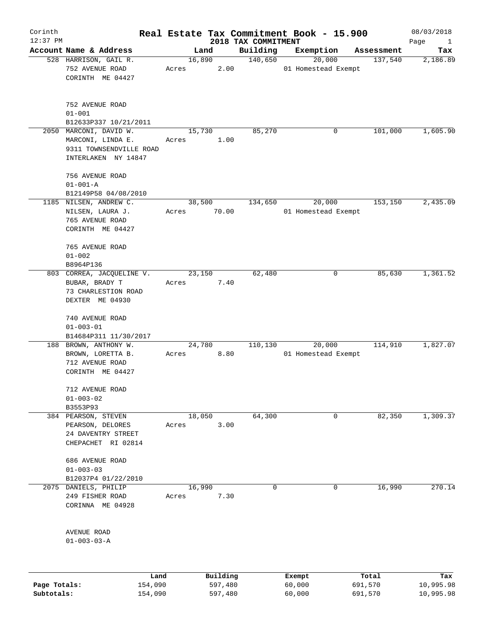| Corinth<br>$12:37$ PM |                                                                                               |                 |          |                                 | Real Estate Tax Commitment Book - 15.900 |            | 08/03/2018                  |
|-----------------------|-----------------------------------------------------------------------------------------------|-----------------|----------|---------------------------------|------------------------------------------|------------|-----------------------------|
|                       | Account Name & Address                                                                        |                 | Land     | 2018 TAX COMMITMENT<br>Building | Exemption                                | Assessment | Page<br>$\mathbf{1}$<br>Tax |
|                       | 528 HARRISON, GAIL R.<br>752 AVENUE ROAD<br>CORINTH ME 04427                                  | 16,890<br>Acres | 2.00     | 140,650                         | 20,000<br>01 Homestead Exempt            | 137,540    | 2,186.89                    |
|                       | 752 AVENUE ROAD<br>$01 - 001$<br>B12633P337 10/21/2011                                        |                 |          |                                 |                                          |            |                             |
|                       | 2050 MARCONI, DAVID W.<br>MARCONI, LINDA E.<br>9311 TOWNSENDVILLE ROAD<br>INTERLAKEN NY 14847 | 15,730<br>Acres | 1.00     | 85,270                          | 0                                        | 101,000    | 1,605.90                    |
|                       | 756 AVENUE ROAD<br>$01 - 001 - A$<br>B12149P58 04/08/2010                                     |                 |          |                                 |                                          |            |                             |
|                       | 1185 NILSEN, ANDREW C.<br>NILSEN, LAURA J.<br>765 AVENUE ROAD<br>CORINTH ME 04427             | 38,500<br>Acres | 70.00    | 134,650                         | 20,000<br>01 Homestead Exempt            | 153, 150   | 2,435.09                    |
|                       | 765 AVENUE ROAD<br>$01 - 002$<br>B8964P136                                                    |                 |          |                                 |                                          |            |                             |
|                       | 803 CORREA, JACQUELINE V.<br>BUBAR, BRADY T<br>73 CHARLESTION ROAD<br>DEXTER ME 04930         | 23,150<br>Acres | 7.40     | 62,480                          | 0                                        | 85,630     | 1,361.52                    |
|                       | 740 AVENUE ROAD<br>$01 - 003 - 01$<br>B14684P311 11/30/2017                                   |                 |          |                                 |                                          |            |                             |
|                       | 188 BROWN, ANTHONY W.<br>BROWN, LORETTA B.<br>712 AVENUE ROAD<br>CORINTH ME 04427             | 24,780<br>Acres | 8.80     | 110,130                         | 20,000<br>01 Homestead Exempt            | 114,910    | 1,827.07                    |
|                       | 712 AVENUE ROAD<br>$01 - 003 - 02$<br>B3553P93                                                |                 |          |                                 |                                          |            |                             |
|                       | 384 PEARSON, STEVEN<br>PEARSON, DELORES<br>24 DAVENTRY STREET<br>CHEPACHET RI 02814           | 18,050<br>Acres | 3.00     | 64,300                          | 0                                        | 82,350     | 1,309.37                    |
|                       | 686 AVENUE ROAD<br>$01 - 003 - 03$<br>B12037P4 01/22/2010                                     |                 |          |                                 |                                          |            |                             |
| 2075                  | DANIELS, PHILIP<br>249 FISHER ROAD<br>CORINNA ME 04928                                        | 16,990<br>Acres | 7.30     | 0                               | 0                                        | 16,990     | 270.14                      |
|                       | AVENUE ROAD<br>$01 - 003 - 03 - A$                                                            |                 |          |                                 |                                          |            |                             |
|                       | Land                                                                                          |                 | Building |                                 | Exempt                                   | Total      | Tax                         |
| Page Totals:          | 154,090                                                                                       |                 | 597,480  |                                 | 60,000                                   | 691,570    | 10,995.98                   |

**Subtotals:** 154,090 597,480 60,000 691,570 10,995.98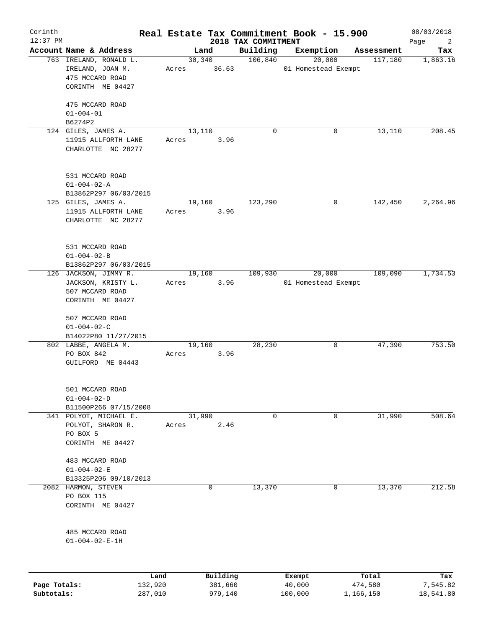| Corinth<br>$12:37$ PM |                                                                                    |                       |          | 2018 TAX COMMITMENT | Real Estate Tax Commitment Book - 15.900 |            | 08/03/2018                    |
|-----------------------|------------------------------------------------------------------------------------|-----------------------|----------|---------------------|------------------------------------------|------------|-------------------------------|
|                       | Account Name & Address                                                             |                       | Land     | Building            | Exemption                                | Assessment | Page<br>$\overline{2}$<br>Tax |
|                       | 763 IRELAND, RONALD L.<br>IRELAND, JOAN M.<br>475 MCCARD ROAD<br>CORINTH ME 04427  | 30,340<br>Acres 36.63 |          | 106,840             | 20,000<br>01 Homestead Exempt            | 117,180    | 1,863.16                      |
|                       | 475 MCCARD ROAD<br>$01 - 004 - 01$<br>B6274P2                                      |                       |          |                     |                                          |            |                               |
|                       | 124 GILES, JAMES A.<br>11915 ALLFORTH LANE<br>CHARLOTTE NC 28277                   | 13,110<br>Acres       | 3.96     | $\Omega$            | 0                                        | 13,110     | 208.45                        |
|                       | 531 MCCARD ROAD<br>$01 - 004 - 02 - A$<br>B13862P297 06/03/2015                    |                       |          |                     |                                          |            |                               |
|                       | 125 GILES, JAMES A.<br>11915 ALLFORTH LANE<br>CHARLOTTE NC 28277                   | 19,160<br>Acres       | 3.96     | 123,290             | 0                                        | 142,450    | 2, 264.96                     |
|                       | 531 MCCARD ROAD<br>$01 - 004 - 02 - B$<br>B13862P297 06/03/2015                    |                       |          |                     |                                          |            |                               |
|                       | 126 JACKSON, JIMMY R.<br>JACKSON, KRISTY L.<br>507 MCCARD ROAD<br>CORINTH ME 04427 | 19,160<br>Acres       | 3.96     | 109,930             | 20,000<br>01 Homestead Exempt            | 109,090    | 1,734.53                      |
|                       | 507 MCCARD ROAD<br>$01 - 004 - 02 - C$<br>B14022P80 11/27/2015                     |                       |          |                     |                                          |            |                               |
|                       | 802 LABBE, ANGELA M.<br>PO BOX 842<br>GUILFORD ME 04443                            | 19,160<br>Acres       | 3.96     | 28,230              | 0                                        | 47,390     | 753.50                        |
|                       | 501 MCCARD ROAD<br>$01 - 004 - 02 - D$<br>B11500P266 07/15/2008                    |                       |          |                     |                                          |            |                               |
|                       | 341 POLYOT, MICHAEL E.<br>POLYOT, SHARON R.<br>PO BOX 5<br>CORINTH ME 04427        | 31,990<br>Acres       | 2.46     | 0                   | 0                                        | 31,990     | 508.64                        |
|                       | 483 MCCARD ROAD<br>$01 - 004 - 02 - E$<br>B13325P206 09/10/2013                    |                       |          |                     |                                          |            |                               |
| 2082                  | HARMON, STEVEN<br>PO BOX 115<br>CORINTH ME 04427                                   |                       | 0        | 13,370              | 0                                        | 13,370     | 212.58                        |
|                       | 485 MCCARD ROAD<br>$01 - 004 - 02 - E - 1H$                                        |                       |          |                     |                                          |            |                               |
|                       | Land                                                                               |                       | Building |                     | Exempt                                   | Total      | Tax                           |
| Page Totals:          | 132,920                                                                            |                       | 381,660  |                     | 40,000                                   | 474,580    | 7,545.82                      |

**Subtotals:** 287,010 979,140 100,000 1,166,150 18,541.80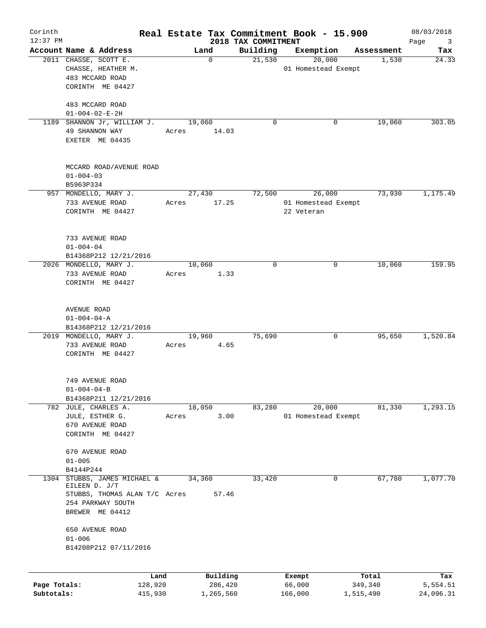| Corinth<br>$12:37$ PM      |                                                                                                | Real Estate Tax Commitment Book - 15.900 | 2018 TAX COMMITMENT |                                   |                      | 08/03/2018<br>Page<br>$\overline{\mathbf{3}}$ |
|----------------------------|------------------------------------------------------------------------------------------------|------------------------------------------|---------------------|-----------------------------------|----------------------|-----------------------------------------------|
|                            | Account Name & Address                                                                         | Land                                     | Building            | Exemption                         | Assessment           | Tax                                           |
|                            | 2011 CHASSE, SCOTT E.<br>CHASSE, HEATHER M.<br>483 MCCARD ROAD                                 | $\mathbf 0$                              | 21,530              | 20,000<br>01 Homestead Exempt     | 1,530                | 24.33                                         |
|                            | CORINTH ME 04427<br>483 MCCARD ROAD                                                            |                                          |                     |                                   |                      |                                               |
|                            | $01 - 004 - 02 - E - 2H$                                                                       |                                          |                     |                                   |                      |                                               |
|                            | 1189 SHANNON Jr, WILLIAM J.<br>49 SHANNON WAY<br>EXETER ME 04435                               | 19,060<br>Acres<br>14.03                 | 0                   | 0                                 | 19,060               | 303.05                                        |
|                            | MCCARD ROAD/AVENUE ROAD<br>$01 - 004 - 03$<br>B5963P334                                        |                                          |                     |                                   |                      |                                               |
|                            | 957 MONDELLO, MARY J.                                                                          | 27,430                                   | 72,500              | 26,000                            | 73,930               | 1,175.49                                      |
|                            | 733 AVENUE ROAD<br>CORINTH ME 04427                                                            | 17.25<br>Acres                           |                     | 01 Homestead Exempt<br>22 Veteran |                      |                                               |
|                            | 733 AVENUE ROAD<br>$01 - 004 - 04$<br>B14368P212 12/21/2016                                    |                                          |                     |                                   |                      |                                               |
|                            | 2026 MONDELLO, MARY J.                                                                         | 10,060                                   | $\mathbf 0$         | 0                                 | 10,060               | 159.95                                        |
|                            | 733 AVENUE ROAD<br>CORINTH ME 04427                                                            | 1.33<br>Acres                            |                     |                                   |                      |                                               |
|                            | AVENUE ROAD<br>$01 - 004 - 04 - A$                                                             |                                          |                     |                                   |                      |                                               |
|                            | B14368P212 12/21/2016<br>2019 MONDELLO, MARY J.                                                | 19,960                                   | 75,690              | 0                                 | 95,650               | 1,520.84                                      |
|                            | 733 AVENUE ROAD<br>CORINTH ME 04427                                                            | 4.65<br>Acres                            |                     |                                   |                      |                                               |
|                            | 749 AVENUE ROAD<br>$01 - 004 - 04 - B$<br>B14368P211 12/21/2016                                |                                          |                     |                                   |                      |                                               |
|                            | 782 JULE, CHARLES A.                                                                           | 18,050                                   | 83,280              | 20,000                            | 81,330               | 1, 293.15                                     |
|                            | JULE, ESTHER G.<br>670 AVENUE ROAD<br>CORINTH ME 04427                                         | 3.00<br>Acres                            |                     | 01 Homestead Exempt               |                      |                                               |
|                            | 670 AVENUE ROAD<br>$01 - 005$<br>B4144P244                                                     |                                          |                     |                                   |                      |                                               |
| 1304                       | STUBBS, JAMES MICHAEL &<br>EILEEN D. J/T<br>STUBBS, THOMAS ALAN T/C Acres<br>254 PARKWAY SOUTH | 34,360<br>57.46                          | 33,420              | 0                                 | 67,780               | 1,077.70                                      |
|                            | BREWER ME 04412<br>650 AVENUE ROAD<br>$01 - 006$                                               |                                          |                     |                                   |                      |                                               |
|                            | B14208P212 07/11/2016                                                                          |                                          |                     |                                   |                      |                                               |
|                            |                                                                                                | Building<br>Land                         |                     | Exempt                            | Total                | Tax                                           |
| Page Totals:<br>Subtotals: | 128,920<br>415,930                                                                             | 286,420<br>1,265,560                     |                     | 66,000<br>166,000                 | 349,340<br>1,515,490 | 5,554.51<br>24,096.31                         |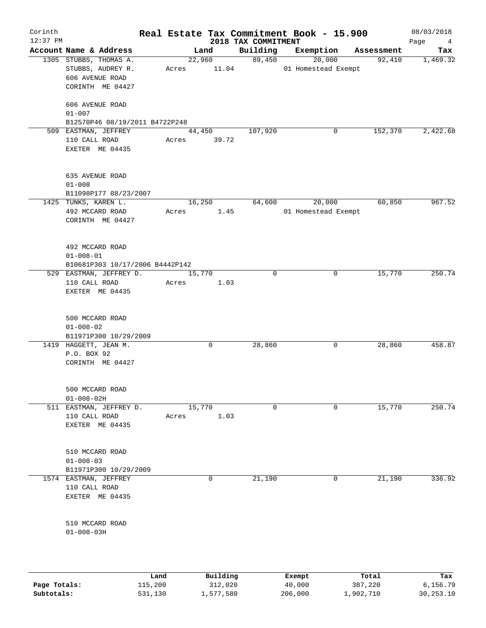| Corinth<br>$12:37$ PM |                                 |         |        |             | 2018 TAX COMMITMENT | Real Estate Tax Commitment Book - 15.900 |            | 08/03/2018<br>Page<br>$\overline{4}$ |
|-----------------------|---------------------------------|---------|--------|-------------|---------------------|------------------------------------------|------------|--------------------------------------|
|                       | Account Name & Address          |         | Land   |             | Building            | Exemption                                | Assessment | Tax                                  |
|                       | 1305 STUBBS, THOMAS A.          |         |        | 22,960      | 89,450              | 20,000                                   | 92,410     | 1,469.32                             |
|                       | STUBBS, AUDREY R.               |         |        | Acres 11.04 |                     | 01 Homestead Exempt                      |            |                                      |
|                       | 606 AVENUE ROAD                 |         |        |             |                     |                                          |            |                                      |
|                       | CORINTH ME 04427                |         |        |             |                     |                                          |            |                                      |
|                       |                                 |         |        |             |                     |                                          |            |                                      |
|                       | 606 AVENUE ROAD                 |         |        |             |                     |                                          |            |                                      |
|                       | $01 - 007$                      |         |        |             |                     |                                          |            |                                      |
|                       | B12570P46 08/19/2011 B4722P248  |         |        |             |                     |                                          |            |                                      |
|                       | 509 EASTMAN, JEFFREY            |         | 44,450 |             | 107,920             | 0                                        | 152,370    | 2,422.68                             |
|                       | 110 CALL ROAD                   |         |        | Acres 39.72 |                     |                                          |            |                                      |
|                       | EXETER ME 04435                 |         |        |             |                     |                                          |            |                                      |
|                       |                                 |         |        |             |                     |                                          |            |                                      |
|                       |                                 |         |        |             |                     |                                          |            |                                      |
|                       | 635 AVENUE ROAD                 |         |        |             |                     |                                          |            |                                      |
|                       | $01 - 008$                      |         |        |             |                     |                                          |            |                                      |
|                       | B11098P177 08/23/2007           |         |        |             |                     |                                          |            |                                      |
|                       | 1425 TUNKS, KAREN L.            |         | 16,250 |             | 64,600              | 20,000                                   | 60,850     | 967.52                               |
|                       | 492 MCCARD ROAD                 |         | Acres  | 1.45        |                     | 01 Homestead Exempt                      |            |                                      |
|                       | CORINTH ME 04427                |         |        |             |                     |                                          |            |                                      |
|                       |                                 |         |        |             |                     |                                          |            |                                      |
|                       |                                 |         |        |             |                     |                                          |            |                                      |
|                       | 492 MCCARD ROAD                 |         |        |             |                     |                                          |            |                                      |
|                       | $01 - 008 - 01$                 |         |        |             |                     |                                          |            |                                      |
|                       | B10681P303 10/17/2006 B4442P142 |         |        |             |                     |                                          |            |                                      |
|                       | 529 EASTMAN, JEFFREY D.         |         | 15,770 |             | $\mathbf 0$         | 0                                        | 15,770     | 250.74                               |
|                       | 110 CALL ROAD                   |         | Acres  | 1.03        |                     |                                          |            |                                      |
|                       | EXETER ME 04435                 |         |        |             |                     |                                          |            |                                      |
|                       |                                 |         |        |             |                     |                                          |            |                                      |
|                       |                                 |         |        |             |                     |                                          |            |                                      |
|                       | 500 MCCARD ROAD                 |         |        |             |                     |                                          |            |                                      |
|                       | $01 - 008 - 02$                 |         |        |             |                     |                                          |            |                                      |
|                       | B11971P300 10/29/2009           |         |        |             |                     |                                          |            |                                      |
|                       | 1419 HAGGETT, JEAN M.           |         |        | $\mathbf 0$ | 28,860              | 0                                        | 28,860     | 458.87                               |
|                       | P.O. BOX 92                     |         |        |             |                     |                                          |            |                                      |
|                       | CORINTH ME 04427                |         |        |             |                     |                                          |            |                                      |
|                       |                                 |         |        |             |                     |                                          |            |                                      |
|                       |                                 |         |        |             |                     |                                          |            |                                      |
|                       | 500 MCCARD ROAD                 |         |        |             |                     |                                          |            |                                      |
|                       | $01 - 008 - 02H$                |         |        |             |                     |                                          |            |                                      |
| 511                   | EASTMAN, JEFFREY D.             |         | 15,770 |             | $\mathbf 0$         | 0                                        | 15,770     | 250.74                               |
|                       | 110 CALL ROAD                   | Acres   |        | 1.03        |                     |                                          |            |                                      |
|                       | EXETER ME 04435                 |         |        |             |                     |                                          |            |                                      |
|                       |                                 |         |        |             |                     |                                          |            |                                      |
|                       |                                 |         |        |             |                     |                                          |            |                                      |
|                       | 510 MCCARD ROAD                 |         |        |             |                     |                                          |            |                                      |
|                       | $01 - 008 - 03$                 |         |        |             |                     |                                          |            |                                      |
|                       | B11971P300 10/29/2009           |         |        |             |                     |                                          |            |                                      |
|                       | 1574 EASTMAN, JEFFREY           |         |        | 0           | 21,190              | 0                                        | 21,190     | 336.92                               |
|                       | 110 CALL ROAD                   |         |        |             |                     |                                          |            |                                      |
|                       | EXETER ME 04435                 |         |        |             |                     |                                          |            |                                      |
|                       |                                 |         |        |             |                     |                                          |            |                                      |
|                       |                                 |         |        |             |                     |                                          |            |                                      |
|                       | 510 MCCARD ROAD                 |         |        |             |                     |                                          |            |                                      |
|                       | $01 - 008 - 03H$                |         |        |             |                     |                                          |            |                                      |
|                       |                                 |         |        |             |                     |                                          |            |                                      |
|                       |                                 |         |        |             |                     |                                          |            |                                      |
|                       |                                 |         |        |             |                     |                                          |            |                                      |
|                       |                                 | Land    |        | Building    |                     | Exempt                                   | Total      | Tax                                  |
| Page Totals:          |                                 | 115,200 |        | 312,020     |                     | 40,000                                   | 387,220    | 6,156.79                             |

**Subtotals:** 531,130 1,577,580 206,000 1,902,710 30,253.10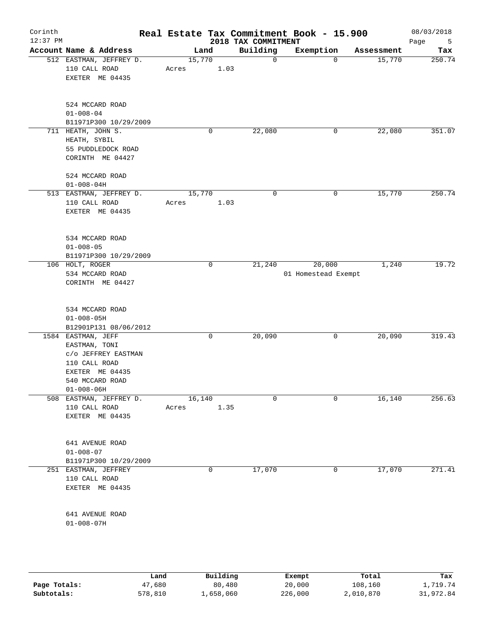| Corinth<br>$12:37$ PM |                                                                                                                                       |                 |      | 2018 TAX COMMITMENT | Real Estate Tax Commitment Book - 15.900 |            | 08/03/2018<br>Page<br>5 |
|-----------------------|---------------------------------------------------------------------------------------------------------------------------------------|-----------------|------|---------------------|------------------------------------------|------------|-------------------------|
|                       | Account Name & Address                                                                                                                | Land            |      | Building            | Exemption                                | Assessment | Tax                     |
|                       | 512 EASTMAN, JEFFREY D.<br>110 CALL ROAD<br>EXETER ME 04435                                                                           | 15,770<br>Acres | 1.03 | $\mathbf 0$         | $\Omega$                                 | 15,770     | 250.74                  |
|                       | 524 MCCARD ROAD<br>$01 - 008 - 04$<br>B11971P300 10/29/2009                                                                           |                 |      |                     |                                          |            |                         |
|                       | 711 HEATH, JOHN S.<br>HEATH, SYBIL<br>55 PUDDLEDOCK ROAD<br>CORINTH ME 04427                                                          |                 | 0    | 22,080              | 0                                        | 22,080     | 351.07                  |
|                       | 524 MCCARD ROAD<br>$01 - 008 - 04H$<br>513 EASTMAN, JEFFREY D.                                                                        | 15,770          |      | 0                   | 0                                        | 15,770     | 250.74                  |
|                       | 110 CALL ROAD<br>EXETER ME 04435<br>534 MCCARD ROAD<br>$01 - 008 - 05$                                                                | Acres           | 1.03 |                     |                                          |            |                         |
|                       | B11971P300 10/29/2009<br>106 HOLT, ROGER<br>534 MCCARD ROAD<br>CORINTH ME 04427                                                       |                 | 0    | 21,240              | 20,000<br>01 Homestead Exempt            | 1,240      | 19.72                   |
|                       | 534 MCCARD ROAD<br>$01 - 008 - 05H$<br>B12901P131 08/06/2012                                                                          |                 |      |                     |                                          |            |                         |
|                       | 1584 EASTMAN, JEFF<br>EASTMAN, TONI<br>C/O JEFFREY EASTMAN<br>110 CALL ROAD<br>EXETER ME 04435<br>540 MCCARD ROAD<br>$01 - 008 - 06H$ |                 | 0    | 20,090              | 0                                        | 20,090     | 319.43                  |
|                       | 508 EASTMAN, JEFFREY D.<br>110 CALL ROAD<br>EXETER ME 04435                                                                           | 16,140<br>Acres | 1.35 | $\Omega$            | $\Omega$                                 | 16,140     | 256.63                  |
|                       | 641 AVENUE ROAD<br>$01 - 008 - 07$<br>B11971P300 10/29/2009                                                                           |                 |      |                     |                                          |            |                         |
|                       | 251 EASTMAN, JEFFREY<br>110 CALL ROAD<br>EXETER ME 04435                                                                              |                 | 0    | 17,070              | 0                                        | 17,070     | 271.41                  |
|                       | 641 AVENUE ROAD<br>$01 - 008 - 07H$                                                                                                   |                 |      |                     |                                          |            |                         |
|                       |                                                                                                                                       |                 |      |                     |                                          |            |                         |

|              | Land    | Building  | Exempt  | Total     | Tax       |
|--------------|---------|-----------|---------|-----------|-----------|
| Page Totals: | 47,680  | 80,480    | 20,000  | 108,160   | 1,719.74  |
| Subtotals:   | 578,810 | 1,658,060 | 226,000 | 2,010,870 | 31,972.84 |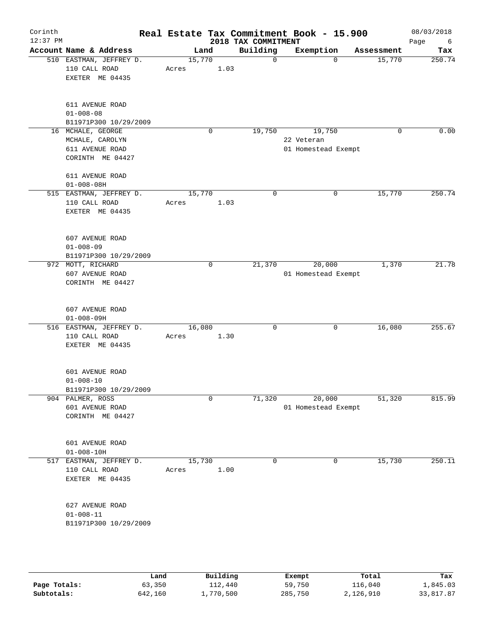| Corinth<br>$12:37$ PM |                                                                             |                 |             |      | Real Estate Tax Commitment Book - 15.900<br>2018 TAX COMMITMENT |                                             |          |            | 08/03/2018<br>Page<br>6 |
|-----------------------|-----------------------------------------------------------------------------|-----------------|-------------|------|-----------------------------------------------------------------|---------------------------------------------|----------|------------|-------------------------|
|                       | Account Name & Address                                                      | Land            |             |      | Building                                                        | Exemption                                   |          | Assessment | Tax                     |
|                       | 510 EASTMAN, JEFFREY D.<br>110 CALL ROAD<br>EXETER ME 04435                 | 15,770<br>Acres |             | 1.03 | $\mathbf 0$                                                     |                                             | $\Omega$ | 15,770     | 250.74                  |
|                       | 611 AVENUE ROAD<br>$01 - 008 - 08$<br>B11971P300 10/29/2009                 |                 |             |      |                                                                 |                                             |          |            |                         |
|                       | 16 MCHALE, GEORGE<br>MCHALE, CAROLYN<br>611 AVENUE ROAD<br>CORINTH ME 04427 |                 | $\mathbf 0$ |      | 19,750                                                          | 19,750<br>22 Veteran<br>01 Homestead Exempt |          | 0          | 0.00                    |
|                       | 611 AVENUE ROAD<br>$01 - 008 - 08H$                                         |                 |             |      |                                                                 |                                             |          |            |                         |
|                       | 515 EASTMAN, JEFFREY D.<br>110 CALL ROAD<br>EXETER ME 04435                 | 15,770<br>Acres |             | 1.03 | $\mathbf 0$                                                     |                                             | 0        | 15,770     | 250.74                  |
|                       | 607 AVENUE ROAD<br>$01 - 008 - 09$<br>B11971P300 10/29/2009                 |                 |             |      |                                                                 |                                             |          |            |                         |
|                       | 972 MOTT, RICHARD<br>607 AVENUE ROAD<br>CORINTH ME 04427                    |                 | 0           |      | 21,370                                                          | 20,000<br>01 Homestead Exempt               |          | 1,370      | 21.78                   |
|                       | 607 AVENUE ROAD<br>$01 - 008 - 09H$                                         |                 |             |      |                                                                 |                                             |          |            |                         |
|                       | 516 EASTMAN, JEFFREY D.<br>110 CALL ROAD<br>EXETER ME 04435                 | 16,080<br>Acres |             | 1.30 | 0                                                               |                                             | 0        | 16,080     | 255.67                  |
|                       | 601 AVENUE ROAD<br>$01 - 008 - 10$<br>B11971P300 10/29/2009                 |                 |             |      |                                                                 |                                             |          |            |                         |
|                       | 904 PALMER, ROSS<br>601 AVENUE ROAD<br>CORINTH ME 04427                     |                 | $\mathbf 0$ |      | 71,320                                                          | 20,000<br>01 Homestead Exempt               |          | 51,320     | 815.99                  |
|                       | 601 AVENUE ROAD<br>$01 - 008 - 10H$                                         |                 |             |      |                                                                 |                                             |          |            |                         |
|                       | 517 EASTMAN, JEFFREY D.<br>110 CALL ROAD<br>EXETER ME 04435                 | 15,730<br>Acres |             | 1.00 | 0                                                               |                                             | 0        | 15,730     | 250.11                  |
|                       | 627 AVENUE ROAD<br>$01 - 008 - 11$<br>B11971P300 10/29/2009                 |                 |             |      |                                                                 |                                             |          |            |                         |
|                       |                                                                             |                 |             |      |                                                                 |                                             |          |            |                         |

|              | Land    | Building   | Exempt  | Total     | Tax       |
|--------------|---------|------------|---------|-----------|-----------|
| Page Totals: | 63,350  | 112,440    | 59,750  | 116,040   | 1,845.03  |
| Subtotals:   | 642,160 | , 770, 500 | 285,750 | 2,126,910 | 33,817.87 |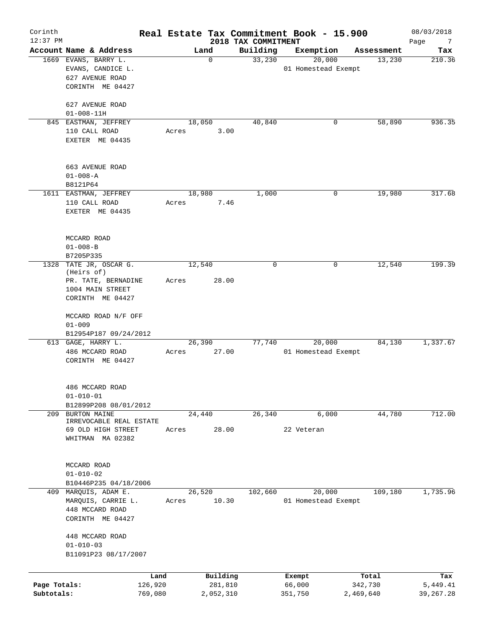| Corinth<br>$12:37$ PM      |                                                                                   |       |                      | 2018 TAX COMMITMENT | Real Estate Tax Commitment Book - 15.900 |                      | 08/03/2018<br>Page<br>$\overline{7}$ |
|----------------------------|-----------------------------------------------------------------------------------|-------|----------------------|---------------------|------------------------------------------|----------------------|--------------------------------------|
|                            | Account Name & Address                                                            |       | Land                 | Building            | Exemption                                | Assessment           | Tax                                  |
|                            | 1669 EVANS, BARRY L.<br>EVANS, CANDICE L.<br>627 AVENUE ROAD<br>CORINTH ME 04427  |       | $\mathbf 0$          | 33,230              | 20,000<br>01 Homestead Exempt            | 13,230               | 210.36                               |
|                            | 627 AVENUE ROAD                                                                   |       |                      |                     |                                          |                      |                                      |
|                            | $01 - 008 - 11H$                                                                  |       |                      |                     |                                          |                      |                                      |
|                            | 845 EASTMAN, JEFFREY<br>110 CALL ROAD<br>EXETER ME 04435                          | Acres | 18,050<br>3.00       | 40,840              | 0                                        | 58,890               | 936.35                               |
|                            | 663 AVENUE ROAD<br>$01 - 008 - A$                                                 |       |                      |                     |                                          |                      |                                      |
|                            | B8121P64<br>1611 EASTMAN, JEFFREY                                                 |       | 18,980               | 1,000               | 0                                        | 19,980               | 317.68                               |
|                            | 110 CALL ROAD<br>EXETER ME 04435                                                  | Acres | 7.46                 |                     |                                          |                      |                                      |
|                            | MCCARD ROAD<br>$01 - 008 - B$<br>B7205P335                                        |       |                      |                     |                                          |                      |                                      |
| 1328                       | TATE JR, OSCAR G.                                                                 |       | 12,540               | $\mathbf 0$         | 0                                        | 12,540               | 199.39                               |
|                            | (Heirs of)<br>PR. TATE, BERNADINE<br>1004 MAIN STREET<br>CORINTH ME 04427         | Acres | 28.00                |                     |                                          |                      |                                      |
|                            | MCCARD ROAD N/F OFF<br>$01 - 009$<br>B12954P187 09/24/2012                        |       |                      |                     |                                          |                      |                                      |
|                            | 613 GAGE, HARRY L.<br>486 MCCARD ROAD<br>CORINTH ME 04427                         | Acres | 26,390<br>27.00      | 77,740              | 20,000<br>01 Homestead Exempt            | 84,130               | 1,337.67                             |
|                            | 486 MCCARD ROAD<br>$01 - 010 - 01$<br>B12899P208 08/01/2012                       |       |                      |                     |                                          |                      |                                      |
| 209                        | BURTON MAINE                                                                      |       | 24,440               | 26,340              | 6,000                                    | 44,780               | 712.00                               |
|                            | IRREVOCABLE REAL ESTATE<br>69 OLD HIGH STREET<br>WHITMAN MA 02382                 | Acres | 28.00                |                     | 22 Veteran                               |                      |                                      |
|                            | MCCARD ROAD<br>$01 - 010 - 02$                                                    |       |                      |                     |                                          |                      |                                      |
|                            | B10446P235 04/18/2006                                                             |       |                      |                     |                                          |                      |                                      |
|                            | 409 MARQUIS, ADAM E.<br>MARQUIS, CARRIE L.<br>448 MCCARD ROAD<br>CORINTH ME 04427 | Acres | 26,520<br>10.30      | 102,660             | 20,000<br>01 Homestead Exempt            | 109,180              | 1,735.96                             |
|                            | 448 MCCARD ROAD<br>$01 - 010 - 03$<br>B11091P23 08/17/2007                        |       |                      |                     |                                          |                      |                                      |
|                            |                                                                                   |       | Building             |                     |                                          | Total                |                                      |
| Page Totals:<br>Subtotals: | 126,920<br>769,080                                                                | Land  | 281,810<br>2,052,310 |                     | Exempt<br>66,000<br>351,750              | 342,730<br>2,469,640 | Tax<br>5,449.41<br>39, 267. 28       |
|                            |                                                                                   |       |                      |                     |                                          |                      |                                      |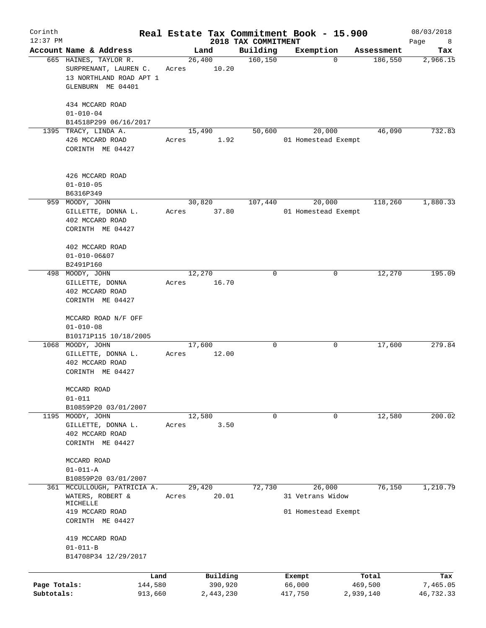| Corinth<br>$12:37$ PM      |                                                                                                |       |                      |                                 | Real Estate Tax Commitment Book - 15.900 |                      | 08/03/2018            |
|----------------------------|------------------------------------------------------------------------------------------------|-------|----------------------|---------------------------------|------------------------------------------|----------------------|-----------------------|
|                            | Account Name & Address                                                                         |       | Land                 | 2018 TAX COMMITMENT<br>Building | Exemption                                | Assessment           | Page<br>8<br>Tax      |
|                            | 665 HAINES, TAYLOR R.<br>SURPRENANT, LAUREN C.<br>13 NORTHLAND ROAD APT 1<br>GLENBURN ME 04401 | Acres | 26,400<br>10.20      | 160, 150                        | $\mathbf 0$                              | 186,550              | 2,966.15              |
|                            | 434 MCCARD ROAD<br>$01 - 010 - 04$<br>B14518P299 06/16/2017                                    |       |                      |                                 |                                          |                      |                       |
|                            | 1395 TRACY, LINDA A.                                                                           |       | 15,490               | 50,600                          | 20,000                                   | 46,090               | 732.83                |
|                            | 426 MCCARD ROAD<br>CORINTH ME 04427                                                            | Acres | 1.92                 |                                 | 01 Homestead Exempt                      |                      |                       |
|                            | 426 MCCARD ROAD<br>$01 - 010 - 05$                                                             |       |                      |                                 |                                          |                      |                       |
|                            | B6316P349<br>959 MOODY, JOHN                                                                   |       | 30,820               | 107,440                         | 20,000                                   | 118,260              | 1,880.33              |
|                            | GILLETTE, DONNA L.<br>402 MCCARD ROAD<br>CORINTH ME 04427                                      | Acres | 37.80                |                                 | 01 Homestead Exempt                      |                      |                       |
|                            | 402 MCCARD ROAD<br>$01 - 010 - 06807$<br>B2491P160                                             |       |                      |                                 |                                          |                      |                       |
| 498                        | MOODY, JOHN                                                                                    |       | 12,270               | 0                               | 0                                        | 12,270               | 195.09                |
|                            | GILLETTE, DONNA<br>402 MCCARD ROAD<br>CORINTH ME 04427                                         | Acres | 16.70                |                                 |                                          |                      |                       |
|                            | MCCARD ROAD N/F OFF<br>$01 - 010 - 08$                                                         |       |                      |                                 |                                          |                      |                       |
|                            | B10171P115 10/18/2005                                                                          |       |                      | 0                               |                                          | 17,600               | 279.84                |
|                            | 1068 MOODY, JOHN<br>GILLETTE, DONNA L.<br>402 MCCARD ROAD<br>CORINTH ME 04427                  | Acres | 17,600<br>12.00      |                                 | 0                                        |                      |                       |
|                            | MCCARD ROAD<br>$01 - 011$                                                                      |       |                      |                                 |                                          |                      |                       |
|                            | B10859P20 03/01/2007                                                                           |       |                      |                                 |                                          |                      |                       |
|                            | 1195 MOODY, JOHN<br>GILLETTE, DONNA L.<br>402 MCCARD ROAD<br>CORINTH ME 04427                  | Acres | 12,580<br>3.50       | 0                               | 0                                        | 12,580               | 200.02                |
|                            | MCCARD ROAD<br>$01 - 011 - A$                                                                  |       |                      |                                 |                                          |                      |                       |
|                            | B10859P20 03/01/2007                                                                           |       |                      |                                 |                                          |                      |                       |
| 361                        | MCCULLOUGH, PATRICIA A.<br>WATERS, ROBERT &<br>MICHELLE                                        | Acres | 29,420<br>20.01      | 72,730                          | 26,000<br>31 Vetrans Widow               | 76,150               | 1,210.79              |
|                            | 419 MCCARD ROAD<br>CORINTH ME 04427                                                            |       |                      |                                 | 01 Homestead Exempt                      |                      |                       |
|                            | 419 MCCARD ROAD<br>$01 - 011 - B$<br>B14708P34 12/29/2017                                      |       |                      |                                 |                                          |                      |                       |
|                            |                                                                                                | Land  | Building             |                                 | Exempt                                   | Total                | Tax                   |
| Page Totals:<br>Subtotals: | 144,580<br>913,660                                                                             |       | 390,920<br>2,443,230 |                                 | 66,000<br>417,750                        | 469,500<br>2,939,140 | 7,465.05<br>46,732.33 |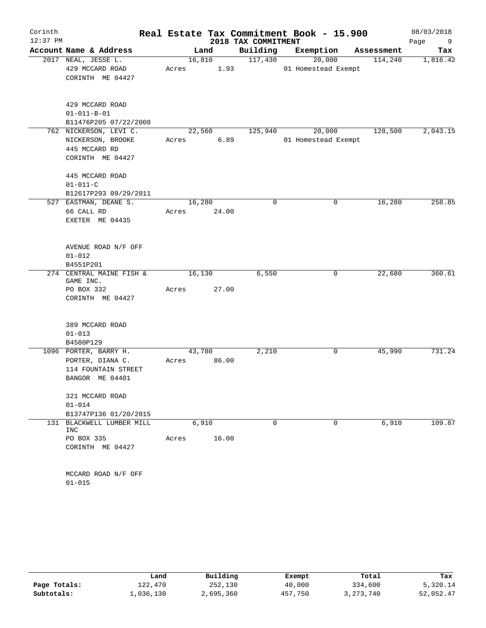| Corinth    |                                           |       |        |             |                     | Real Estate Tax Commitment Book - 15.900 |            | 08/03/2018 |
|------------|-------------------------------------------|-------|--------|-------------|---------------------|------------------------------------------|------------|------------|
| $12:37$ PM |                                           |       |        |             | 2018 TAX COMMITMENT |                                          |            | Page<br>9  |
|            | Account Name & Address                    |       |        | Land        | Building            | Exemption                                | Assessment | Tax        |
|            | 2017 NEAL, JESSE L.                       |       |        | 16,810      | 117,430             | 20,000                                   | 114,240    | 1,816.42   |
|            | 429 MCCARD ROAD                           | Acres |        | 1.93        |                     | 01 Homestead Exempt                      |            |            |
|            | CORINTH ME 04427                          |       |        |             |                     |                                          |            |            |
|            | 429 MCCARD ROAD                           |       |        |             |                     |                                          |            |            |
|            | $01 - 011 - B - 01$                       |       |        |             |                     |                                          |            |            |
|            | B11476P205 07/22/2008                     |       |        |             |                     |                                          |            |            |
|            | 762 NICKERSON, LEVI C.                    |       |        | 22,560      | 125,940             | 20,000                                   | 128,500    | 2,043.15   |
|            | NICKERSON, BROOKE                         |       | Acres  | 6.89        |                     | 01 Homestead Exempt                      |            |            |
|            | 445 MCCARD RD                             |       |        |             |                     |                                          |            |            |
|            | CORINTH ME 04427                          |       |        |             |                     |                                          |            |            |
|            | 445 MCCARD ROAD                           |       |        |             |                     |                                          |            |            |
|            | $01 - 011 - C$                            |       |        |             |                     |                                          |            |            |
|            | B12617P293 09/29/2011                     |       |        |             |                     |                                          |            |            |
|            | 527 EASTMAN, DEANE S.                     |       | 16,280 |             | 0                   | 0                                        | 16,280     | 258.85     |
|            | 66 CALL RD                                | Acres |        | 24.00       |                     |                                          |            |            |
|            | EXETER ME 04435                           |       |        |             |                     |                                          |            |            |
|            | AVENUE ROAD N/F OFF                       |       |        |             |                     |                                          |            |            |
|            | $01 - 012$                                |       |        |             |                     |                                          |            |            |
|            | B4551P201                                 |       |        |             |                     |                                          |            |            |
|            | 274 CENTRAL MAINE FISH &<br>GAME INC.     |       | 16,130 |             | 6,550               | 0                                        | 22,680     | 360.61     |
|            | PO BOX 332                                | Acres |        | 27.00       |                     |                                          |            |            |
|            | CORINTH ME 04427                          |       |        |             |                     |                                          |            |            |
|            |                                           |       |        |             |                     |                                          |            |            |
|            | 389 MCCARD ROAD                           |       |        |             |                     |                                          |            |            |
|            | $01 - 013$                                |       |        |             |                     |                                          |            |            |
|            | B4580P129                                 |       |        |             |                     |                                          |            |            |
|            | 1096 PORTER, BARRY H.<br>PORTER, DIANA C. |       | 43,780 | Acres 86.00 | 2,210               | 0                                        | 45,990     | 731.24     |
|            | 114 FOUNTAIN STREET                       |       |        |             |                     |                                          |            |            |
|            | BANGOR ME 04401                           |       |        |             |                     |                                          |            |            |
|            |                                           |       |        |             |                     |                                          |            |            |
|            | 321 MCCARD ROAD                           |       |        |             |                     |                                          |            |            |
|            | $01 - 014$                                |       |        |             |                     |                                          |            |            |
|            | B13747P136 01/20/2015                     |       |        |             |                     |                                          |            |            |
|            | 131 BLACKWELL LUMBER MILL<br>INC          |       | 6,910  |             | $\Omega$            | $\Omega$                                 | 6,910      | 109.87     |
|            | PO BOX 335                                | Acres |        | 16.00       |                     |                                          |            |            |
|            | CORINTH ME 04427                          |       |        |             |                     |                                          |            |            |
|            | MCCARD ROAD N/F OFF                       |       |        |             |                     |                                          |            |            |
|            | $01 - 015$                                |       |        |             |                     |                                          |            |            |

|              | Land      | Building  | Exempt  | Total       | Tax       |
|--------------|-----------|-----------|---------|-------------|-----------|
| Page Totals: | 122,470   | 252,130   | 40,000  | 334,600     | 5,320.14  |
| Subtotals:   | 1,036,130 | 2,695,360 | 457,750 | 3, 273, 740 | 52,052.47 |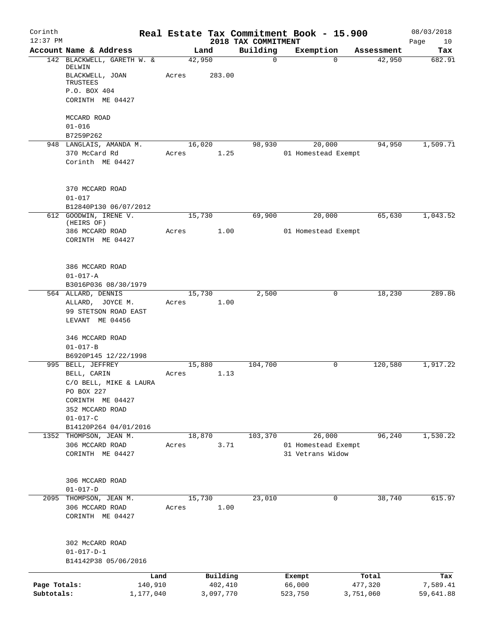| Corinth<br>$12:37$ PM |                                      |        |           | 2018 TAX COMMITMENT | Real Estate Tax Commitment Book - 15.900 |            | 08/03/2018<br>Page<br>10 |
|-----------------------|--------------------------------------|--------|-----------|---------------------|------------------------------------------|------------|--------------------------|
|                       | Account Name & Address               | Land   |           | Building            | Exemption                                | Assessment | Tax                      |
|                       | 142 BLACKWELL, GARETH W. &<br>DELWIN | 42,950 |           | $\mathbf 0$         | $\Omega$                                 | 42,950     | 682.91                   |
|                       | BLACKWELL, JOAN<br>TRUSTEES          | Acres  | 283.00    |                     |                                          |            |                          |
|                       | P.O. BOX 404                         |        |           |                     |                                          |            |                          |
|                       | CORINTH ME 04427                     |        |           |                     |                                          |            |                          |
|                       | MCCARD ROAD                          |        |           |                     |                                          |            |                          |
|                       | $01 - 016$                           |        |           |                     |                                          |            |                          |
|                       | B7259P262                            |        |           |                     |                                          |            |                          |
|                       | 948 LANGLAIS, AMANDA M.              | 16,020 |           | 98,930              | 20,000                                   | 94,950     | 1,509.71                 |
|                       | 370 McCard Rd<br>Corinth ME 04427    | Acres  | 1.25      |                     | 01 Homestead Exempt                      |            |                          |
|                       | 370 MCCARD ROAD                      |        |           |                     |                                          |            |                          |
|                       | $01 - 017$<br>B12840P130 06/07/2012  |        |           |                     |                                          |            |                          |
|                       | 612 GOODWIN, IRENE V.                | 15,730 |           | 69,900              | 20,000                                   | 65,630     | 1,043.52                 |
|                       | (HEIRS OF)                           |        |           |                     |                                          |            |                          |
|                       | 386 MCCARD ROAD                      | Acres  | 1.00      |                     | 01 Homestead Exempt                      |            |                          |
|                       | CORINTH ME 04427                     |        |           |                     |                                          |            |                          |
|                       | 386 MCCARD ROAD                      |        |           |                     |                                          |            |                          |
|                       | $01 - 017 - A$                       |        |           |                     |                                          |            |                          |
|                       | B3016P036 08/30/1979                 |        |           |                     |                                          |            |                          |
|                       | 564 ALLARD, DENNIS                   | 15,730 |           | 2,500               | 0                                        | 18,230     | 289.86                   |
|                       | ALLARD, JOYCE M.                     | Acres  | 1.00      |                     |                                          |            |                          |
|                       | 99 STETSON ROAD EAST                 |        |           |                     |                                          |            |                          |
|                       | LEVANT ME 04456                      |        |           |                     |                                          |            |                          |
|                       | 346 MCCARD ROAD<br>$01 - 017 - B$    |        |           |                     |                                          |            |                          |
|                       | B6920P145 12/22/1998                 |        |           |                     |                                          |            |                          |
| 995                   | BELL, JEFFREY                        | 15,880 |           | 104,700             | 0                                        | 120,580    | 1,917.22                 |
|                       | BELL, CARIN                          | Acres  | 1.13      |                     |                                          |            |                          |
|                       | C/O BELL, MIKE & LAURA               |        |           |                     |                                          |            |                          |
|                       | PO BOX 227                           |        |           |                     |                                          |            |                          |
|                       | CORINTH ME 04427                     |        |           |                     |                                          |            |                          |
|                       | 352 MCCARD ROAD                      |        |           |                     |                                          |            |                          |
|                       | $01 - 017 - C$                       |        |           |                     |                                          |            |                          |
|                       | B14120P264 04/01/2016                |        |           |                     |                                          |            |                          |
|                       | 1352 THOMPSON, JEAN M.               | 18,870 |           | 103,370             | 26,000                                   | 96, 240    | 1,530.22                 |
|                       | 306 MCCARD ROAD                      | Acres  | 3.71      |                     | 01 Homestead Exempt                      |            |                          |
|                       | CORINTH ME 04427                     |        |           |                     | 31 Vetrans Widow                         |            |                          |
|                       | 306 MCCARD ROAD                      |        |           |                     |                                          |            |                          |
|                       | $01 - 017 - D$                       |        |           |                     |                                          |            |                          |
| 2095                  | THOMPSON, JEAN M.                    | 15,730 |           | 23,010              | 0                                        | 38,740     | 615.97                   |
|                       | 306 MCCARD ROAD<br>CORINTH ME 04427  | Acres  | 1.00      |                     |                                          |            |                          |
|                       | 302 McCARD ROAD                      |        |           |                     |                                          |            |                          |
|                       | $01 - 017 - D - 1$                   |        |           |                     |                                          |            |                          |
|                       | B14142P38 05/06/2016                 |        |           |                     |                                          |            |                          |
|                       | Land                                 |        | Building  |                     | Exempt                                   | Total      | Tax                      |
| Page Totals:          | 140,910                              |        | 402,410   |                     | 66,000                                   | 477,320    | 7,589.41                 |
| Subtotals:            | 1,177,040                            |        | 3,097,770 |                     | 523,750                                  | 3,751,060  | 59,641.88                |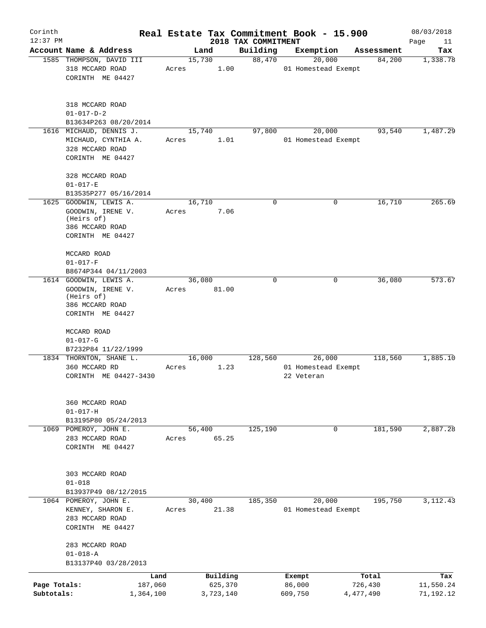| Corinth                    |                                                                                                  |       |                                  |                                 | Real Estate Tax Commitment Book - 15.900    |                               | 08/03/2018                    |
|----------------------------|--------------------------------------------------------------------------------------------------|-------|----------------------------------|---------------------------------|---------------------------------------------|-------------------------------|-------------------------------|
| $12:37$ PM                 | Account Name & Address                                                                           |       | Land                             | 2018 TAX COMMITMENT<br>Building | Exemption                                   | Assessment                    | Page<br>11<br>Tax             |
|                            | 1585 THOMPSON, DAVID III                                                                         |       | 15,730                           | 88,470                          | 20,000                                      | 84,200                        | 1,338.78                      |
|                            | 318 MCCARD ROAD<br>CORINTH ME 04427                                                              | Acres | 1.00                             |                                 | 01 Homestead Exempt                         |                               |                               |
|                            | 318 MCCARD ROAD<br>$01 - 017 - D - 2$<br>B13634P263 08/20/2014                                   |       |                                  |                                 |                                             |                               |                               |
|                            | 1616 MICHAUD, DENNIS J.                                                                          |       | 15,740                           | 97,800                          | 20,000                                      | 93,540                        | 1,487.29                      |
|                            | MICHAUD, CYNTHIA A.<br>328 MCCARD ROAD<br>CORINTH ME 04427                                       | Acres | 1.01                             |                                 | 01 Homestead Exempt                         |                               |                               |
|                            | 328 MCCARD ROAD<br>$01 - 017 - E$                                                                |       |                                  |                                 |                                             |                               |                               |
|                            | B13535P277 05/16/2014                                                                            |       |                                  |                                 |                                             |                               |                               |
| 1625                       | GOODWIN, LEWIS A.<br>GOODWIN, IRENE V.<br>(Heirs of)<br>386 MCCARD ROAD<br>CORINTH ME 04427      | Acres | 16,710<br>7.06                   | $\mathbf 0$                     | 0                                           | 16,710                        | 265.69                        |
|                            | MCCARD ROAD<br>$01 - 017 - F$<br>B8674P344 04/11/2003                                            |       |                                  |                                 |                                             |                               |                               |
|                            | 1614 GOODWIN, LEWIS A.<br>GOODWIN, IRENE V.<br>(Heirs of)<br>386 MCCARD ROAD<br>CORINTH ME 04427 | Acres | 36,080<br>81.00                  | $\Omega$                        | 0                                           | 36,080                        | 573.67                        |
|                            | MCCARD ROAD<br>$01 - 017 - G$                                                                    |       |                                  |                                 |                                             |                               |                               |
|                            | B7232P84 11/22/1999                                                                              |       |                                  |                                 |                                             |                               |                               |
|                            | 1834 THORNTON, SHANE L.<br>360 MCCARD RD<br>CORINTH ME 04427-3430                                | Acres | 16,000<br>1.23                   | 128,560                         | 26,000<br>01 Homestead Exempt<br>22 Veteran | 118,560                       | 1,885.10                      |
|                            | 360 MCCARD ROAD<br>$01 - 017 - H$                                                                |       |                                  |                                 |                                             |                               |                               |
|                            | B13195P80 05/24/2013                                                                             |       |                                  | 125,190                         | $\mathbf 0$                                 | 181,590                       |                               |
|                            | 1069 POMEROY, JOHN E.<br>283 MCCARD ROAD<br>CORINTH ME 04427                                     | Acres | 56,400<br>65.25                  |                                 |                                             |                               | 2,887.28                      |
|                            | 303 MCCARD ROAD<br>$01 - 018$                                                                    |       |                                  |                                 |                                             |                               |                               |
|                            | B13937P49 08/12/2015                                                                             |       |                                  |                                 |                                             |                               |                               |
|                            | 1064 POMEROY, JOHN E.<br>KENNEY, SHARON E.<br>283 MCCARD ROAD<br>CORINTH ME 04427                | Acres | 30,400<br>21.38                  | 185,350                         | 20,000<br>01 Homestead Exempt               | 195,750                       | 3,112.43                      |
|                            | 283 MCCARD ROAD<br>$01 - 018 - A$                                                                |       |                                  |                                 |                                             |                               |                               |
|                            | B13137P40 03/28/2013                                                                             |       |                                  |                                 |                                             |                               |                               |
| Page Totals:<br>Subtotals: | Land<br>187,060<br>1,364,100                                                                     |       | Building<br>625,370<br>3,723,140 |                                 | Exempt<br>86,000<br>609,750                 | Total<br>726,430<br>4,477,490 | Tax<br>11,550.24<br>71,192.12 |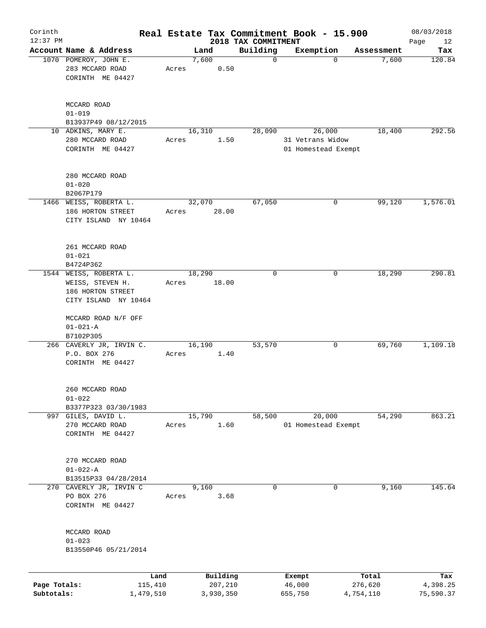| Corinth<br>$12:37$ PM      |                                                                                         |       |                                  | 2018 TAX COMMITMENT | Real Estate Tax Commitment Book - 15.900          |                               | 08/03/2018<br>Page<br>12     |
|----------------------------|-----------------------------------------------------------------------------------------|-------|----------------------------------|---------------------|---------------------------------------------------|-------------------------------|------------------------------|
|                            | Account Name & Address                                                                  |       | Land                             | Building            | Exemption                                         | Assessment                    | Tax                          |
|                            | 1070 POMEROY, JOHN E.<br>283 MCCARD ROAD<br>CORINTH ME 04427                            | Acres | 7,600<br>0.50                    | $\mathbf 0$         | $\mathbf 0$                                       | 7,600                         | 120.84                       |
|                            | MCCARD ROAD<br>$01 - 019$<br>B13937P49 08/12/2015                                       |       |                                  |                     |                                                   |                               |                              |
|                            | 10 ADKINS, MARY E.<br>280 MCCARD ROAD<br>CORINTH ME 04427                               | Acres | 16,310<br>1.50                   | 28,090              | 26,000<br>31 Vetrans Widow<br>01 Homestead Exempt | 18,400                        | 292.56                       |
|                            | 280 MCCARD ROAD<br>$01 - 020$<br>B2067P179                                              |       |                                  |                     |                                                   |                               |                              |
|                            | 1466 WEISS, ROBERTA L.<br>186 HORTON STREET<br>CITY ISLAND NY 10464                     | Acres | 32,070<br>28.00                  | 67,050              | 0                                                 | 99,120                        | 1,576.01                     |
|                            | 261 MCCARD ROAD<br>$01 - 021$<br>B4724P362                                              |       |                                  |                     |                                                   |                               |                              |
|                            | 1544 WEISS, ROBERTA L.<br>WEISS, STEVEN H.<br>186 HORTON STREET<br>CITY ISLAND NY 10464 | Acres | 18,290<br>18.00                  | 0                   | 0                                                 | 18,290                        | 290.81                       |
|                            | MCCARD ROAD N/F OFF<br>$01 - 021 - A$<br>B7102P305                                      |       |                                  |                     |                                                   |                               |                              |
|                            | 266 CAVERLY JR, IRVIN C.<br>P.O. BOX 276<br>CORINTH ME 04427                            | Acres | 16,190<br>1.40                   | 53,570              | 0                                                 | 69,760                        | 1,109.18                     |
|                            | 260 MCCARD ROAD<br>$01 - 022$<br>B3377P323 03/30/1983                                   |       |                                  |                     |                                                   |                               |                              |
|                            | 997 GILES, DAVID L.<br>270 MCCARD ROAD<br>CORINTH ME 04427                              | Acres | 15,790<br>1.60                   | 58,500              | 20,000<br>01 Homestead Exempt                     | 54,290                        | 863.21                       |
|                            | 270 MCCARD ROAD<br>$01 - 022 - A$<br>B13515P33 04/28/2014                               |       |                                  |                     |                                                   |                               |                              |
|                            | 270 CAVERLY JR, IRVIN C<br>PO BOX 276<br>CORINTH ME 04427                               | Acres | 9,160<br>3.68                    | 0                   | 0                                                 | 9,160                         | 145.64                       |
|                            | MCCARD ROAD<br>$01 - 023$<br>B13550P46 05/21/2014                                       |       |                                  |                     |                                                   |                               |                              |
| Page Totals:<br>Subtotals: | 115,410<br>1,479,510                                                                    | Land  | Building<br>207,210<br>3,930,350 |                     | Exempt<br>46,000<br>655,750                       | Total<br>276,620<br>4,754,110 | Tax<br>4,398.25<br>75,590.37 |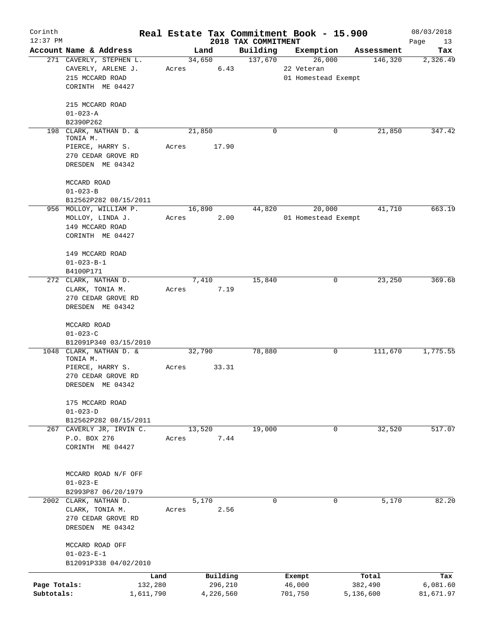| Corinth<br>$12:37$ PM |                                        |       |           |                                 | Real Estate Tax Commitment Book - 15.900 |            | 08/03/2018        |
|-----------------------|----------------------------------------|-------|-----------|---------------------------------|------------------------------------------|------------|-------------------|
|                       | Account Name & Address                 |       | Land      | 2018 TAX COMMITMENT<br>Building | Exemption                                | Assessment | Page<br>13<br>Tax |
|                       | 271 CAVERLY, STEPHEN L.                |       | 34,650    | 137,670                         | 26,000                                   | 146,320    | 2,326.49          |
|                       | CAVERLY, ARLENE J.                     | Acres | 6.43      |                                 | 22 Veteran                               |            |                   |
|                       | 215 MCCARD ROAD                        |       |           |                                 | 01 Homestead Exempt                      |            |                   |
|                       | CORINTH ME 04427                       |       |           |                                 |                                          |            |                   |
|                       | 215 MCCARD ROAD                        |       |           |                                 |                                          |            |                   |
|                       | $01 - 023 - A$                         |       |           |                                 |                                          |            |                   |
|                       | B2390P262                              |       |           |                                 |                                          |            |                   |
|                       | 198 CLARK, NATHAN D. &                 |       | 21,850    | $\Omega$                        | 0                                        | 21,850     | 347.42            |
|                       | TONIA M.<br>PIERCE, HARRY S.           | Acres | 17.90     |                                 |                                          |            |                   |
|                       | 270 CEDAR GROVE RD                     |       |           |                                 |                                          |            |                   |
|                       | DRESDEN ME 04342                       |       |           |                                 |                                          |            |                   |
|                       | MCCARD ROAD                            |       |           |                                 |                                          |            |                   |
|                       | $01 - 023 - B$                         |       |           |                                 |                                          |            |                   |
|                       | B12562P282 08/15/2011                  |       |           |                                 |                                          |            |                   |
|                       | 956 MOLLOY, WILLIAM P.                 |       | 16,890    | 44,820                          | 20,000                                   | 41,710     | 663.19            |
|                       | MOLLOY, LINDA J.                       | Acres | 2.00      |                                 | 01 Homestead Exempt                      |            |                   |
|                       | 149 MCCARD ROAD                        |       |           |                                 |                                          |            |                   |
|                       | CORINTH ME 04427                       |       |           |                                 |                                          |            |                   |
|                       | 149 MCCARD ROAD                        |       |           |                                 |                                          |            |                   |
|                       | $01 - 023 - B - 1$                     |       |           |                                 |                                          |            |                   |
|                       | B4100P171                              |       |           |                                 |                                          |            |                   |
|                       | 272 CLARK, NATHAN D.                   |       | 7,410     | 15,840                          | 0                                        | 23,250     | 369.68            |
|                       | CLARK, TONIA M.                        | Acres | 7.19      |                                 |                                          |            |                   |
|                       | 270 CEDAR GROVE RD                     |       |           |                                 |                                          |            |                   |
|                       | DRESDEN ME 04342                       |       |           |                                 |                                          |            |                   |
|                       | MCCARD ROAD                            |       |           |                                 |                                          |            |                   |
|                       | $01 - 023 - C$                         |       |           |                                 |                                          |            |                   |
|                       | B12091P340 03/15/2010                  |       |           |                                 |                                          |            |                   |
|                       | 1048 CLARK, NATHAN D. &<br>TONIA M.    |       | 32,790    | 78,880                          | 0                                        | 111,670    | 1,775.55          |
|                       | PIERCE, HARRY S.                       | Acres | 33.31     |                                 |                                          |            |                   |
|                       | 270 CEDAR GROVE RD                     |       |           |                                 |                                          |            |                   |
|                       | DRESDEN ME 04342                       |       |           |                                 |                                          |            |                   |
|                       | 175 MCCARD ROAD                        |       |           |                                 |                                          |            |                   |
|                       | $01 - 023 - D$                         |       |           |                                 |                                          |            |                   |
|                       | B12562P282 08/15/2011                  |       |           |                                 |                                          |            |                   |
|                       | 267 CAVERLY JR, IRVIN C.               |       | 13,520    | 19,000                          | $\mathbf{0}$                             | 32,520     | 517.07            |
|                       | P.O. BOX 276                           | Acres | 7.44      |                                 |                                          |            |                   |
|                       | CORINTH ME 04427                       |       |           |                                 |                                          |            |                   |
|                       |                                        |       |           |                                 |                                          |            |                   |
|                       | MCCARD ROAD N/F OFF                    |       |           |                                 |                                          |            |                   |
|                       | $01 - 023 - E$                         |       |           |                                 |                                          |            |                   |
|                       | B2993P87 06/20/1979                    |       |           |                                 |                                          |            |                   |
|                       | 2002 CLARK, NATHAN D.                  |       | 5,170     | 0                               | 0                                        | 5,170      | 82.20             |
|                       | CLARK, TONIA M.                        | Acres | 2.56      |                                 |                                          |            |                   |
|                       | 270 CEDAR GROVE RD<br>DRESDEN ME 04342 |       |           |                                 |                                          |            |                   |
|                       |                                        |       |           |                                 |                                          |            |                   |
|                       | MCCARD ROAD OFF<br>$01 - 023 - E - 1$  |       |           |                                 |                                          |            |                   |
|                       | B12091P338 04/02/2010                  |       |           |                                 |                                          |            |                   |
|                       | Land                                   |       | Building  |                                 | Exempt                                   | Total      | Tax               |
| Page Totals:          | 132,280                                |       | 296,210   |                                 | 46,000                                   | 382,490    | 6,081.60          |
| Subtotals:            | 1,611,790                              |       | 4,226,560 |                                 | 701,750                                  | 5,136,600  | 81,671.97         |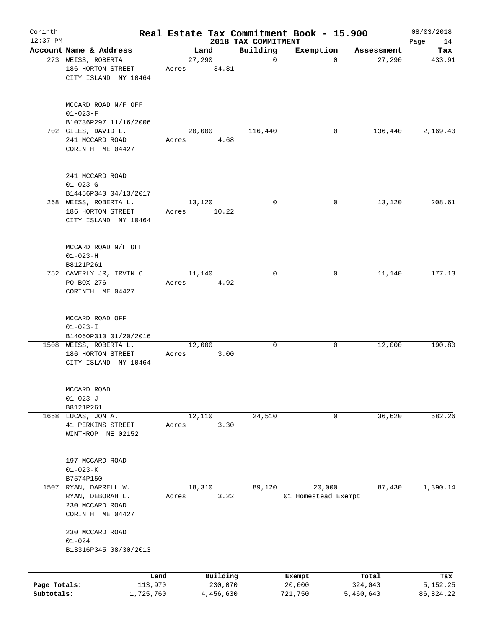| Corinth                    |                                                                             |       |                |                      |                         | Real Estate Tax Commitment Book - 15.900 |                      | 08/03/2018            |
|----------------------------|-----------------------------------------------------------------------------|-------|----------------|----------------------|-------------------------|------------------------------------------|----------------------|-----------------------|
| $12:37$ PM                 | Account Name & Address                                                      |       |                |                      | 2018 TAX COMMITMENT     |                                          |                      | Page<br>14            |
|                            | 273 WEISS, ROBERTA                                                          |       | Land<br>27,290 |                      | Building<br>$\mathbf 0$ | Exemption<br>$\mathbf 0$                 | Assessment<br>27,290 | Tax<br>433.91         |
|                            | 186 HORTON STREET<br>CITY ISLAND NY 10464                                   | Acres |                | 34.81                |                         |                                          |                      |                       |
|                            | MCCARD ROAD N/F OFF<br>$01 - 023 - F$                                       |       |                |                      |                         |                                          |                      |                       |
|                            | B10736P297 11/16/2006                                                       |       |                |                      |                         |                                          |                      |                       |
|                            | 702 GILES, DAVID L.<br>241 MCCARD ROAD<br>CORINTH ME 04427                  | Acres | 20,000         | 4.68                 | 116,440                 | 0                                        | 136,440              | 2,169.40              |
|                            | 241 MCCARD ROAD<br>$01 - 023 - G$<br>B14456P340 04/13/2017                  |       |                |                      |                         |                                          |                      |                       |
|                            | 268 WEISS, ROBERTA L.                                                       |       | 13,120         |                      | 0                       | 0                                        | 13,120               | 208.61                |
|                            | 186 HORTON STREET<br>CITY ISLAND NY 10464                                   | Acres |                | 10.22                |                         |                                          |                      |                       |
|                            | MCCARD ROAD N/F OFF<br>$01 - 023 - H$<br>B8121P261                          |       |                |                      |                         |                                          |                      |                       |
|                            | 752 CAVERLY JR, IRVIN C                                                     |       | 11,140         |                      | $\mathbf 0$             | 0                                        | 11,140               | 177.13                |
|                            | PO BOX 276<br>CORINTH ME 04427                                              | Acres |                | 4.92                 |                         |                                          |                      |                       |
|                            | MCCARD ROAD OFF<br>$01 - 023 - I$                                           |       |                |                      |                         |                                          |                      |                       |
|                            | B14060P310 01/20/2016<br>1508 WEISS, ROBERTA L.                             |       | 12,000         |                      | 0                       | 0                                        | 12,000               | 190.80                |
|                            | 186 HORTON STREET<br>CITY ISLAND NY 10464                                   | Acres |                | 3.00                 |                         |                                          |                      |                       |
|                            | MCCARD ROAD<br>$01 - 023 - J$                                               |       |                |                      |                         |                                          |                      |                       |
|                            | B8121P261                                                                   |       |                |                      |                         |                                          |                      |                       |
|                            | 1658 LUCAS, JON A.<br>41 PERKINS STREET<br>WINTHROP ME 02152                | Acres | 12,110         | 3.30                 | 24,510                  | 0                                        | 36,620               | 582.26                |
|                            | 197 MCCARD ROAD<br>$01 - 023 - K$                                           |       |                |                      |                         |                                          |                      |                       |
|                            | B7574P150                                                                   |       |                |                      |                         |                                          |                      |                       |
| 1507                       | RYAN, DARRELL W.<br>RYAN, DEBORAH L.<br>230 MCCARD ROAD<br>CORINTH ME 04427 | Acres | 18,310         | 3.22                 | 89,120                  | 20,000<br>01 Homestead Exempt            | 87,430               | 1,390.14              |
|                            | 230 MCCARD ROAD<br>$01 - 024$<br>B13316P345 08/30/2013                      |       |                |                      |                         |                                          |                      |                       |
|                            |                                                                             | Land  |                | Building             |                         | Exempt                                   | Total                | Tax                   |
| Page Totals:<br>Subtotals: | 113,970<br>1,725,760                                                        |       |                | 230,070<br>4,456,630 |                         | 20,000<br>721,750                        | 324,040<br>5,460,640 | 5,152.25<br>86,824.22 |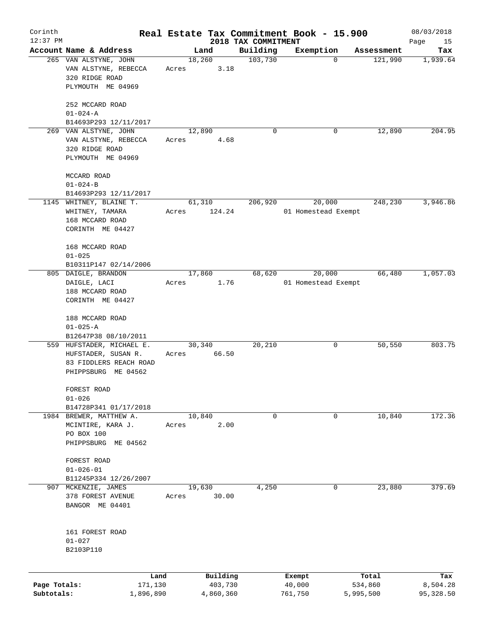| Corinth      |                                               |       |                |                     | Real Estate Tax Commitment Book - 15.900 |            | 08/03/2018 |
|--------------|-----------------------------------------------|-------|----------------|---------------------|------------------------------------------|------------|------------|
| $12:37$ PM   |                                               |       |                | 2018 TAX COMMITMENT |                                          |            | Page<br>15 |
|              | Account Name & Address                        |       | Land<br>18,260 | Building            | Exemption<br>$\mathbf 0$                 | Assessment | Tax        |
|              | 265 VAN ALSTYNE, JOHN<br>VAN ALSTYNE, REBECCA |       | 3.18           | 103,730             |                                          | 121,990    | 1,939.64   |
|              | 320 RIDGE ROAD                                | Acres |                |                     |                                          |            |            |
|              | PLYMOUTH ME 04969                             |       |                |                     |                                          |            |            |
|              |                                               |       |                |                     |                                          |            |            |
|              | 252 MCCARD ROAD                               |       |                |                     |                                          |            |            |
|              | $01 - 024 - A$                                |       |                |                     |                                          |            |            |
|              | B14693P293 12/11/2017                         |       |                |                     |                                          |            |            |
|              | 269 VAN ALSTYNE, JOHN                         |       | 12,890         | 0                   | 0                                        | 12,890     | 204.95     |
|              | VAN ALSTYNE, REBECCA                          | Acres | 4.68           |                     |                                          |            |            |
|              | 320 RIDGE ROAD                                |       |                |                     |                                          |            |            |
|              | PLYMOUTH ME 04969                             |       |                |                     |                                          |            |            |
|              |                                               |       |                |                     |                                          |            |            |
|              | MCCARD ROAD                                   |       |                |                     |                                          |            |            |
|              | $01 - 024 - B$                                |       |                |                     |                                          |            |            |
|              | B14693P293 12/11/2017                         |       |                |                     |                                          |            |            |
|              | 1145 WHITNEY, BLAINE T.                       |       | 61,310         | 206,920             | 20,000                                   | 248,230    | 3,946.86   |
|              | WHITNEY, TAMARA                               | Acres | 124.24         |                     | 01 Homestead Exempt                      |            |            |
|              | 168 MCCARD ROAD                               |       |                |                     |                                          |            |            |
|              | CORINTH ME 04427                              |       |                |                     |                                          |            |            |
|              |                                               |       |                |                     |                                          |            |            |
|              | 168 MCCARD ROAD                               |       |                |                     |                                          |            |            |
|              | $01 - 025$                                    |       |                |                     |                                          |            |            |
|              | B10311P147 02/14/2006                         |       |                |                     |                                          |            |            |
|              | 805 DAIGLE, BRANDON                           |       | 17,860         | 68,620              | 20,000                                   | 66,480     | 1,057.03   |
|              | DAIGLE, LACI                                  | Acres | 1.76           |                     | 01 Homestead Exempt                      |            |            |
|              | 188 MCCARD ROAD                               |       |                |                     |                                          |            |            |
|              | CORINTH ME 04427                              |       |                |                     |                                          |            |            |
|              | 188 MCCARD ROAD                               |       |                |                     |                                          |            |            |
|              | $01 - 025 - A$                                |       |                |                     |                                          |            |            |
|              | B12647P38 08/10/2011                          |       |                |                     |                                          |            |            |
|              | 559 HUFSTADER, MICHAEL E.                     |       | 30,340         | 20,210              | 0                                        | 50,550     | 803.75     |
|              | HUFSTADER, SUSAN R.                           | Acres | 66.50          |                     |                                          |            |            |
|              | 83 FIDDLERS REACH ROAD                        |       |                |                     |                                          |            |            |
|              | PHIPPSBURG ME 04562                           |       |                |                     |                                          |            |            |
|              |                                               |       |                |                     |                                          |            |            |
|              | FOREST ROAD                                   |       |                |                     |                                          |            |            |
|              | $01 - 026$                                    |       |                |                     |                                          |            |            |
|              | B14728P341 01/17/2018                         |       |                |                     |                                          |            |            |
|              | 1984 BREWER, MATTHEW A.                       |       | 10,840         | 0                   | 0                                        | 10,840     | 172.36     |
|              | MCINTIRE, KARA J.                             | Acres | 2.00           |                     |                                          |            |            |
|              | PO BOX 100                                    |       |                |                     |                                          |            |            |
|              | PHIPPSBURG ME 04562                           |       |                |                     |                                          |            |            |
|              |                                               |       |                |                     |                                          |            |            |
|              | FOREST ROAD<br>$01 - 026 - 01$                |       |                |                     |                                          |            |            |
|              | B11245P334 12/26/2007                         |       |                |                     |                                          |            |            |
|              | 907 MCKENZIE, JAMES                           |       | 19,630         | 4,250               | 0                                        | 23,880     | 379.69     |
|              | 378 FOREST AVENUE                             | Acres | 30.00          |                     |                                          |            |            |
|              | BANGOR ME 04401                               |       |                |                     |                                          |            |            |
|              |                                               |       |                |                     |                                          |            |            |
|              |                                               |       |                |                     |                                          |            |            |
|              | 161 FOREST ROAD                               |       |                |                     |                                          |            |            |
|              | $01 - 027$                                    |       |                |                     |                                          |            |            |
|              | B2103P110                                     |       |                |                     |                                          |            |            |
|              |                                               |       |                |                     |                                          |            |            |
|              | Land                                          |       | Building       |                     |                                          | Total      | Tax        |
| Page Totals: | 171,130                                       |       | 403,730        |                     | Exempt<br>40,000                         | 534,860    | 8,504.28   |
| Subtotals:   | 1,896,890                                     |       | 4,860,360      |                     | 761,750                                  | 5,995,500  | 95,328.50  |
|              |                                               |       |                |                     |                                          |            |            |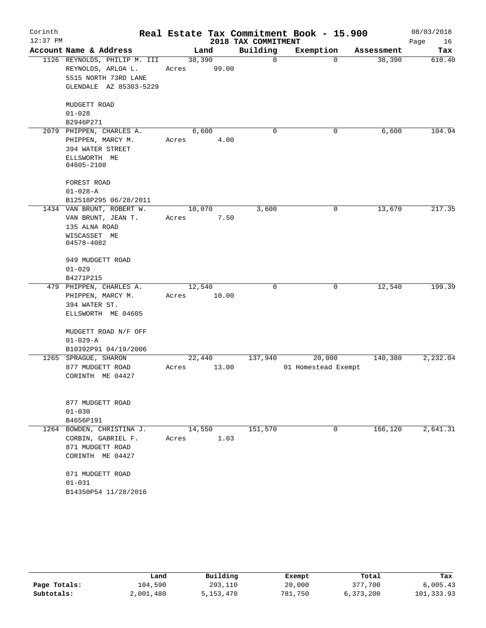| Corinth<br>$12:37$ PM |                              |       |        | 2018 TAX COMMITMENT | Real Estate Tax Commitment Book - 15.900 |            | 08/03/2018<br>Page<br>16 |
|-----------------------|------------------------------|-------|--------|---------------------|------------------------------------------|------------|--------------------------|
|                       | Account Name & Address       |       | Land   | Building            | Exemption                                | Assessment | Tax                      |
|                       | 1126 REYNOLDS, PHILIP M. III |       | 38,390 | 0                   | 0                                        | 38,390     | 610.40                   |
|                       | REYNOLDS, ARLOA L.           | Acres | 99.00  |                     |                                          |            |                          |
|                       | 5515 NORTH 73RD LANE         |       |        |                     |                                          |            |                          |
|                       | GLENDALE AZ 85303-5229       |       |        |                     |                                          |            |                          |
|                       |                              |       |        |                     |                                          |            |                          |
|                       | MUDGETT ROAD                 |       |        |                     |                                          |            |                          |
|                       | $01 - 028$                   |       |        |                     |                                          |            |                          |
|                       | B2946P271                    |       |        |                     |                                          |            |                          |
|                       | 2079 PHIPPEN, CHARLES A.     |       | 6,600  | 0                   | 0                                        | 6,600      | 104.94                   |
|                       | PHIPPEN, MARCY M.            | Acres | 4.00   |                     |                                          |            |                          |
|                       | 394 WATER STREET             |       |        |                     |                                          |            |                          |
|                       | ELLSWORTH ME                 |       |        |                     |                                          |            |                          |
|                       | 04605-2108                   |       |        |                     |                                          |            |                          |
|                       |                              |       |        |                     |                                          |            |                          |
|                       | FOREST ROAD                  |       |        |                     |                                          |            |                          |
|                       | $01 - 028 - A$               |       |        |                     |                                          |            |                          |
|                       | B12518P295 06/28/2011        |       |        |                     |                                          |            |                          |
|                       | 1434 VAN BRUNT, ROBERT W.    |       | 10,070 | 3,600               | 0                                        | 13,670     | 217.35                   |
|                       | VAN BRUNT, JEAN T.           | Acres | 7.50   |                     |                                          |            |                          |
|                       | 135 ALNA ROAD                |       |        |                     |                                          |            |                          |
|                       | WISCASSET ME                 |       |        |                     |                                          |            |                          |
|                       | 04578-4082                   |       |        |                     |                                          |            |                          |
|                       |                              |       |        |                     |                                          |            |                          |
|                       | 949 MUDGETT ROAD             |       |        |                     |                                          |            |                          |
|                       | $01 - 029$                   |       |        |                     |                                          |            |                          |
|                       | B4271P215                    |       |        |                     |                                          |            |                          |
|                       | 479 PHIPPEN, CHARLES A.      |       | 12,540 | 0                   | 0                                        | 12,540     | 199.39                   |
|                       | PHIPPEN, MARCY M.            | Acres | 10.00  |                     |                                          |            |                          |
|                       | 394 WATER ST.                |       |        |                     |                                          |            |                          |
|                       | ELLSWORTH ME 04605           |       |        |                     |                                          |            |                          |
|                       |                              |       |        |                     |                                          |            |                          |
|                       | MUDGETT ROAD N/F OFF         |       |        |                     |                                          |            |                          |
|                       | $01 - 029 - A$               |       |        |                     |                                          |            |                          |
|                       | B10392P91 04/19/2006         |       |        |                     |                                          |            |                          |
|                       | 1265 SPRAGUE, SHARON         |       | 22,440 | 137,940             | 20,000                                   | 140,380    | 2,232.04                 |
|                       | 877 MUDGETT ROAD             | Acres | 13.00  |                     | 01 Homestead Exempt                      |            |                          |
|                       | CORINTH ME 04427             |       |        |                     |                                          |            |                          |
|                       |                              |       |        |                     |                                          |            |                          |
|                       |                              |       |        |                     |                                          |            |                          |
|                       | 877 MUDGETT ROAD             |       |        |                     |                                          |            |                          |
|                       | $01 - 030$                   |       |        |                     |                                          |            |                          |
|                       | B4656P191                    |       |        |                     |                                          |            |                          |
|                       | 1264 BOWDEN, CHRISTINA J.    |       | 14,550 | 151,570             | 0                                        | 166,120    | 2,641.31                 |
|                       | CORBIN, GABRIEL F.           | Acres | 1.03   |                     |                                          |            |                          |
|                       | 871 MUDGETT ROAD             |       |        |                     |                                          |            |                          |
|                       | CORINTH ME 04427             |       |        |                     |                                          |            |                          |
|                       |                              |       |        |                     |                                          |            |                          |
|                       | 871 MUDGETT ROAD             |       |        |                     |                                          |            |                          |
|                       | $01 - 031$                   |       |        |                     |                                          |            |                          |
|                       | B14350P54 11/28/2016         |       |        |                     |                                          |            |                          |
|                       |                              |       |        |                     |                                          |            |                          |

|              | Land      | Building  | Exempt  | Total     | Tax        |
|--------------|-----------|-----------|---------|-----------|------------|
| Page Totals: | 104,590   | 293,110   | 20,000  | 377,700   | 6,005.43   |
| Subtotals:   | 2,001,480 | 5,153,470 | 781,750 | 6,373,200 | 101,333.93 |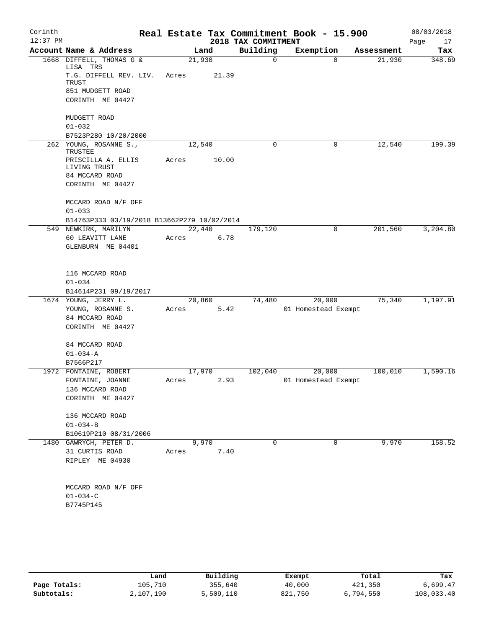| Corinth<br>$12:37$ PM |                                             |        |       | 2018 TAX COMMITMENT | Real Estate Tax Commitment Book - 15.900 |            | 08/03/2018<br>Page<br>17 |
|-----------------------|---------------------------------------------|--------|-------|---------------------|------------------------------------------|------------|--------------------------|
|                       | Account Name & Address                      |        | Land  | Building            | Exemption                                | Assessment | Tax                      |
|                       | 1668 DIFFELL, THOMAS G &<br>LISA TRS        | 21,930 |       | $\mathbf 0$         | $\Omega$                                 | 21,930     | 348.69                   |
|                       | T.G. DIFFELL REV. LIV.<br>TRUST             | Acres  | 21.39 |                     |                                          |            |                          |
|                       | 851 MUDGETT ROAD                            |        |       |                     |                                          |            |                          |
|                       | CORINTH ME 04427                            |        |       |                     |                                          |            |                          |
|                       | MUDGETT ROAD                                |        |       |                     |                                          |            |                          |
|                       | $01 - 032$                                  |        |       |                     |                                          |            |                          |
|                       | B7523P280 10/20/2000                        |        |       |                     |                                          |            | 199.39                   |
|                       | 262 YOUNG, ROSANNE S.,<br>TRUSTEE           | 12,540 |       | 0                   | 0                                        | 12,540     |                          |
|                       | PRISCILLA A. ELLIS<br>LIVING TRUST          | Acres  | 10.00 |                     |                                          |            |                          |
|                       | 84 MCCARD ROAD<br>CORINTH ME 04427          |        |       |                     |                                          |            |                          |
|                       | MCCARD ROAD N/F OFF                         |        |       |                     |                                          |            |                          |
|                       | $01 - 033$                                  |        |       |                     |                                          |            |                          |
|                       | B14763P333 03/19/2018 B13662P279 10/02/2014 |        |       |                     |                                          |            |                          |
|                       | 549 NEWKIRK, MARILYN                        | 22,440 |       | 179,120             | $\mathbf 0$                              | 201,560    | 3,204.80                 |
|                       | 60 LEAVITT LANE                             | Acres  | 6.78  |                     |                                          |            |                          |
|                       | GLENBURN ME 04401                           |        |       |                     |                                          |            |                          |
|                       | 116 MCCARD ROAD                             |        |       |                     |                                          |            |                          |
|                       | $01 - 034$                                  |        |       |                     |                                          |            |                          |
|                       | B14614P231 09/19/2017                       |        |       |                     |                                          |            |                          |
|                       | 1674 YOUNG, JERRY L.                        | 20,860 |       | 74,480              | 20,000                                   | 75,340     | 1,197.91                 |
|                       | YOUNG, ROSANNE S.                           | Acres  | 5.42  |                     | 01 Homestead Exempt                      |            |                          |
|                       | 84 MCCARD ROAD                              |        |       |                     |                                          |            |                          |
|                       | CORINTH ME 04427                            |        |       |                     |                                          |            |                          |
|                       | 84 MCCARD ROAD                              |        |       |                     |                                          |            |                          |
|                       | $01 - 034 - A$                              |        |       |                     |                                          |            |                          |
|                       | B7566P217                                   |        |       |                     |                                          |            |                          |
|                       | 1972 FONTAINE, ROBERT                       | 17,970 |       | 102,040             | 20,000                                   | 100,010    | 1,590.16                 |
|                       | FONTAINE, JOANNE                            | Acres  | 2.93  |                     | 01 Homestead Exempt                      |            |                          |
|                       | 136 MCCARD ROAD                             |        |       |                     |                                          |            |                          |
|                       | CORINTH ME 04427                            |        |       |                     |                                          |            |                          |
|                       | 136 MCCARD ROAD                             |        |       |                     |                                          |            |                          |
|                       | $01 - 034 - B$                              |        |       |                     |                                          |            |                          |
|                       | B10619P210 08/31/2006                       |        |       |                     |                                          |            |                          |
|                       | 1480 GAWRYCH, PETER D.                      |        | 9,970 | 0                   | 0                                        | 9,970      | 158.52                   |
|                       | 31 CURTIS ROAD                              | Acres  | 7.40  |                     |                                          |            |                          |
|                       | RIPLEY ME 04930                             |        |       |                     |                                          |            |                          |
|                       | MCCARD ROAD N/F OFF                         |        |       |                     |                                          |            |                          |
|                       | $01 - 034 - C$                              |        |       |                     |                                          |            |                          |
|                       | B7745P145                                   |        |       |                     |                                          |            |                          |
|                       |                                             |        |       |                     |                                          |            |                          |
|                       |                                             |        |       |                     |                                          |            |                          |

|              | Land      | Building  | Exempt  | Total     | Tax        |
|--------------|-----------|-----------|---------|-----------|------------|
| Page Totals: | 105,710   | 355,640   | 40,000  | 421,350   | 6,699.47   |
| Subtotals:   | 2,107,190 | 5,509,110 | 821,750 | 6,794,550 | 108,033.40 |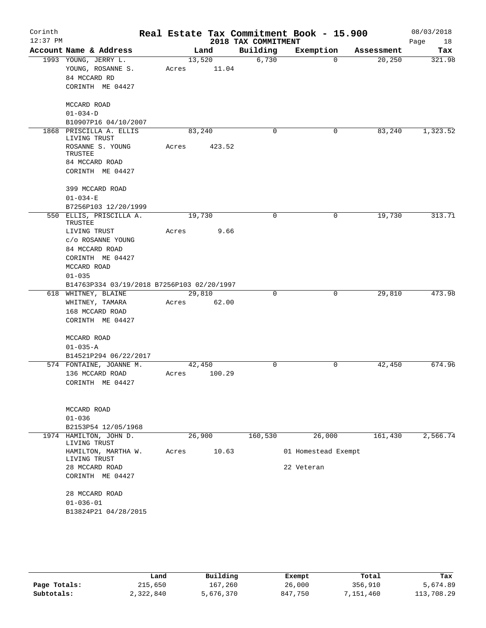| Corinth<br>$12:37$ PM |                                            |       |        | 2018 TAX COMMITMENT | Real Estate Tax Commitment Book - 15.900 |            | 08/03/2018<br>Page<br>18 |
|-----------------------|--------------------------------------------|-------|--------|---------------------|------------------------------------------|------------|--------------------------|
|                       | Account Name & Address                     |       | Land   | Building            | Exemption                                | Assessment | Tax                      |
|                       | 1993 YOUNG, JERRY L.                       |       | 13,520 | 6,730               | $\Omega$                                 | 20, 250    | 321.98                   |
|                       | YOUNG, ROSANNE S.                          | Acres | 11.04  |                     |                                          |            |                          |
|                       | 84 MCCARD RD                               |       |        |                     |                                          |            |                          |
|                       | CORINTH ME 04427                           |       |        |                     |                                          |            |                          |
|                       | MCCARD ROAD                                |       |        |                     |                                          |            |                          |
|                       | $01 - 034 - D$                             |       |        |                     |                                          |            |                          |
|                       | B10907P16 04/10/2007                       |       |        |                     |                                          |            |                          |
| 1868                  | PRISCILLA A. ELLIS<br>LIVING TRUST         |       | 83,240 | $\mathbf 0$         | 0                                        | 83,240     | 1,323.52                 |
|                       | ROSANNE S. YOUNG<br>TRUSTEE                | Acres | 423.52 |                     |                                          |            |                          |
|                       | 84 MCCARD ROAD                             |       |        |                     |                                          |            |                          |
|                       | CORINTH ME 04427                           |       |        |                     |                                          |            |                          |
|                       |                                            |       |        |                     |                                          |            |                          |
|                       | 399 MCCARD ROAD                            |       |        |                     |                                          |            |                          |
|                       | $01 - 034 - E$                             |       |        |                     |                                          |            |                          |
|                       | B7256P103 12/20/1999                       |       |        |                     |                                          |            |                          |
|                       | 550 ELLIS, PRISCILLA A.<br>TRUSTEE         |       | 19,730 | 0                   | 0                                        | 19,730     | 313.71                   |
|                       | LIVING TRUST                               | Acres | 9.66   |                     |                                          |            |                          |
|                       | c/o ROSANNE YOUNG                          |       |        |                     |                                          |            |                          |
|                       | 84 MCCARD ROAD                             |       |        |                     |                                          |            |                          |
|                       | CORINTH ME 04427                           |       |        |                     |                                          |            |                          |
|                       | MCCARD ROAD                                |       |        |                     |                                          |            |                          |
|                       | $01 - 035$                                 |       |        |                     |                                          |            |                          |
|                       | B14763P334 03/19/2018 B7256P103 02/20/1997 |       |        |                     |                                          |            |                          |
|                       | 618 WHITNEY, BLAINE                        |       | 29,810 | 0                   | 0                                        | 29,810     | 473.98                   |
|                       | WHITNEY, TAMARA                            | Acres | 62.00  |                     |                                          |            |                          |
|                       | 168 MCCARD ROAD                            |       |        |                     |                                          |            |                          |
|                       | CORINTH ME 04427                           |       |        |                     |                                          |            |                          |
|                       | MCCARD ROAD                                |       |        |                     |                                          |            |                          |
|                       | $01 - 035 - A$                             |       |        |                     |                                          |            |                          |
|                       | B14521P294 06/22/2017                      |       |        |                     |                                          |            |                          |
|                       | 574 FONTAINE, JOANNE M.                    |       | 42,450 | 0                   | 0                                        | 42,450     | 674.96                   |
|                       | 136 MCCARD ROAD                            | Acres | 100.29 |                     |                                          |            |                          |
|                       | CORINTH ME 04427                           |       |        |                     |                                          |            |                          |
|                       |                                            |       |        |                     |                                          |            |                          |
|                       | MCCARD ROAD                                |       |        |                     |                                          |            |                          |
|                       | $01 - 036$                                 |       |        |                     |                                          |            |                          |
|                       | B2153P54 12/05/1968                        |       |        |                     |                                          |            |                          |
|                       | 1974 HAMILTON, JOHN D.                     |       | 26,900 | 160,530             | 26,000                                   | 161,430    | 2,566.74                 |
|                       | LIVING TRUST                               |       |        |                     |                                          |            |                          |
|                       | HAMILTON, MARTHA W.<br>LIVING TRUST        | Acres | 10.63  |                     | 01 Homestead Exempt                      |            |                          |
|                       | 28 MCCARD ROAD                             |       |        |                     | 22 Veteran                               |            |                          |
|                       | CORINTH ME 04427                           |       |        |                     |                                          |            |                          |
|                       | 28 MCCARD ROAD                             |       |        |                     |                                          |            |                          |
|                       | $01 - 036 - 01$                            |       |        |                     |                                          |            |                          |
|                       | B13824P21 04/28/2015                       |       |        |                     |                                          |            |                          |
|                       |                                            |       |        |                     |                                          |            |                          |

|              | Land      | Building  | Exempt  | Total     | Tax        |
|--------------|-----------|-----------|---------|-----------|------------|
| Page Totals: | 215,650   | 167,260   | 26,000  | 356,910   | 5,674.89   |
| Subtotals:   | 2,322,840 | 5,676,370 | 847,750 | 151,460 ' | 113,708.29 |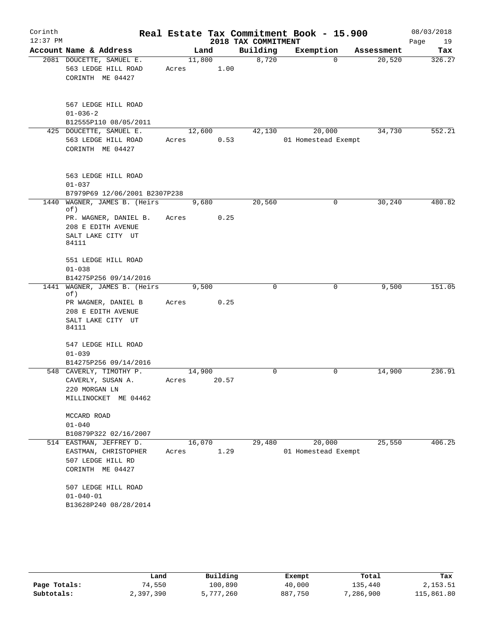| Corinth    |                                                  |        |       |                     | Real Estate Tax Commitment Book - 15.900 |                       | 08/03/2018 |
|------------|--------------------------------------------------|--------|-------|---------------------|------------------------------------------|-----------------------|------------|
| $12:37$ PM |                                                  |        |       | 2018 TAX COMMITMENT |                                          |                       | Page<br>19 |
|            | Account Name & Address                           |        | Land  | Building            | Exemption                                | Assessment            | Tax        |
|            | 2081 DOUCETTE, SAMUEL E.                         | 11,800 |       | 8,720               |                                          | $\Omega$<br>20,520    | 326.27     |
|            | 563 LEDGE HILL ROAD                              | Acres  | 1.00  |                     |                                          |                       |            |
|            | CORINTH ME 04427                                 |        |       |                     |                                          |                       |            |
|            | 567 LEDGE HILL ROAD                              |        |       |                     |                                          |                       |            |
|            | $01 - 036 - 2$                                   |        |       |                     |                                          |                       |            |
|            | B12555P110 08/05/2011                            |        |       |                     |                                          |                       |            |
|            | 425 DOUCETTE, SAMUEL E.                          | 12,600 |       | 42,130              | 20,000                                   | 34,730                | 552.21     |
|            | 563 LEDGE HILL ROAD                              | Acres  | 0.53  |                     | 01 Homestead Exempt                      |                       |            |
|            | CORINTH ME 04427                                 |        |       |                     |                                          |                       |            |
|            | 563 LEDGE HILL ROAD                              |        |       |                     |                                          |                       |            |
|            | $01 - 037$                                       |        |       |                     |                                          |                       |            |
|            | B7979P69 12/06/2001 B2307P238                    |        |       |                     |                                          |                       |            |
| 1440       | WAGNER, JAMES B. (Heirs<br>of)                   | 9,680  |       | 20,560              |                                          | $\mathbf 0$<br>30,240 | 480.82     |
|            | PR. WAGNER, DANIEL B.                            | Acres  | 0.25  |                     |                                          |                       |            |
|            | 208 E EDITH AVENUE                               |        |       |                     |                                          |                       |            |
|            | SALT LAKE CITY UT<br>84111                       |        |       |                     |                                          |                       |            |
|            | 551 LEDGE HILL ROAD                              |        |       |                     |                                          |                       |            |
|            | $01 - 038$                                       |        |       |                     |                                          |                       |            |
|            | B14275P256 09/14/2016                            |        |       |                     |                                          |                       |            |
| 1441       | WAGNER, JAMES B. (Heirs<br>of)                   | 9,500  |       | 0                   |                                          | 9,500<br>0            | 151.05     |
|            | PR WAGNER, DANIEL B                              | Acres  | 0.25  |                     |                                          |                       |            |
|            | 208 E EDITH AVENUE                               |        |       |                     |                                          |                       |            |
|            | SALT LAKE CITY UT<br>84111                       |        |       |                     |                                          |                       |            |
|            | 547 LEDGE HILL ROAD                              |        |       |                     |                                          |                       |            |
|            | $01 - 039$                                       |        |       |                     |                                          |                       |            |
|            | B14275P256 09/14/2016<br>548 CAVERLY, TIMOTHY P. | 14,900 |       | 0                   |                                          | 0<br>14,900           | 236.91     |
|            | CAVERLY, SUSAN A.                                | Acres  | 20.57 |                     |                                          |                       |            |
|            | 220 MORGAN LN                                    |        |       |                     |                                          |                       |            |
|            | MILLINOCKET ME 04462                             |        |       |                     |                                          |                       |            |
|            | MCCARD ROAD                                      |        |       |                     |                                          |                       |            |
|            | $01 - 040$<br>B10879P322 02/16/2007              |        |       |                     |                                          |                       |            |
|            | 514 EASTMAN, JEFFREY D.                          | 16,070 |       | 29,480              | 20,000                                   | 25,550                | 406.25     |
|            | EASTMAN, CHRISTOPHER                             | Acres  | 1.29  |                     | 01 Homestead Exempt                      |                       |            |
|            | 507 LEDGE HILL RD                                |        |       |                     |                                          |                       |            |
|            | CORINTH ME 04427                                 |        |       |                     |                                          |                       |            |
|            | 507 LEDGE HILL ROAD                              |        |       |                     |                                          |                       |            |
|            | $01 - 040 - 01$                                  |        |       |                     |                                          |                       |            |
|            | B13628P240 08/28/2014                            |        |       |                     |                                          |                       |            |
|            |                                                  |        |       |                     |                                          |                       |            |

|              | Land      | Building  | Exempt  | Total     | Tax        |  |
|--------------|-----------|-----------|---------|-----------|------------|--|
| Page Totals: | 74,550    | 100,890   | 40,000  | 135,440   | 2,153.51   |  |
| Subtotals:   | 2,397,390 | 5,777,260 | 887,750 | 7,286,900 | 115,861.80 |  |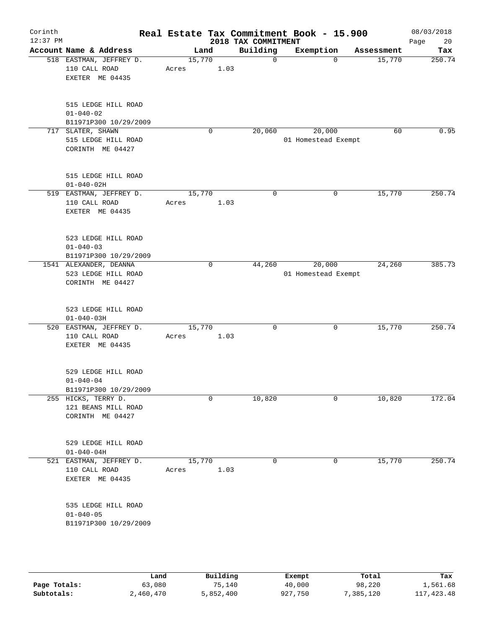| Corinth<br>$12:37$ PM |                                                                   |                 |             | 2018 TAX COMMITMENT | Real Estate Tax Commitment Book - 15.900 |                    | 08/03/2018<br>Page<br>20 |
|-----------------------|-------------------------------------------------------------------|-----------------|-------------|---------------------|------------------------------------------|--------------------|--------------------------|
|                       | Account Name & Address                                            | Land            |             | Building            | Exemption                                | Assessment         | Tax                      |
|                       | 518 EASTMAN, JEFFREY D.<br>110 CALL ROAD<br>EXETER ME 04435       | 15,770<br>Acres | 1.03        | $\mathbf 0$         |                                          | 15,770<br>$\Omega$ | 250.74                   |
|                       | 515 LEDGE HILL ROAD<br>$01 - 040 - 02$<br>B11971P300 10/29/2009   |                 |             |                     |                                          |                    |                          |
| 717                   | SLATER, SHAWN<br>515 LEDGE HILL ROAD<br>CORINTH ME 04427          |                 | $\mathbf 0$ | 20,060              | 20,000<br>01 Homestead Exempt            | 60                 | 0.95                     |
|                       | 515 LEDGE HILL ROAD<br>$01 - 040 - 02H$                           |                 |             |                     |                                          |                    |                          |
|                       | 519 EASTMAN, JEFFREY D.<br>110 CALL ROAD<br>EXETER ME 04435       | 15,770<br>Acres | 1.03        | $\mathbf 0$         |                                          | 15,770<br>0        | 250.74                   |
|                       | 523 LEDGE HILL ROAD<br>$01 - 040 - 03$<br>B11971P300 10/29/2009   |                 |             |                     |                                          |                    |                          |
|                       | 1541 ALEXANDER, DEANNA<br>523 LEDGE HILL ROAD<br>CORINTH ME 04427 |                 | 0           | 44,260              | 20,000<br>01 Homestead Exempt            | 24,260             | 385.73                   |
|                       | 523 LEDGE HILL ROAD<br>$01 - 040 - 03H$                           |                 |             |                     |                                          |                    |                          |
|                       | 520 EASTMAN, JEFFREY D.<br>110 CALL ROAD<br>EXETER ME 04435       | 15,770<br>Acres | 1.03        | 0                   |                                          | 15,770<br>0        | 250.74                   |
|                       | 529 LEDGE HILL ROAD<br>$01 - 040 - 04$<br>B11971P300 10/29/2009   |                 |             |                     |                                          |                    |                          |
|                       | 255 HICKS, TERRY D.<br>121 BEANS MILL ROAD<br>CORINTH ME 04427    |                 | 0           | 10,820              |                                          | 10,820<br>0        | 172.04                   |
|                       | 529 LEDGE HILL ROAD<br>$01 - 040 - 04H$                           |                 |             |                     |                                          |                    |                          |
|                       | 521 EASTMAN, JEFFREY D.<br>110 CALL ROAD<br>EXETER ME 04435       | 15,770<br>Acres | 1.03        | 0                   |                                          | 15,770<br>0        | 250.74                   |
|                       | 535 LEDGE HILL ROAD<br>$01 - 040 - 05$<br>B11971P300 10/29/2009   |                 |             |                     |                                          |                    |                          |
|                       |                                                                   |                 |             |                     |                                          |                    |                          |

|              | Land      | Building  | Exempt  | Total    | Tax          |
|--------------|-----------|-----------|---------|----------|--------------|
| Page Totals: | 63,080    | 75,140    | 40,000  | 98,220   | 1,561.68     |
| Subtotals:   | 2,460,470 | 5,852,400 | 927,750 | ,385,120 | 117, 423, 48 |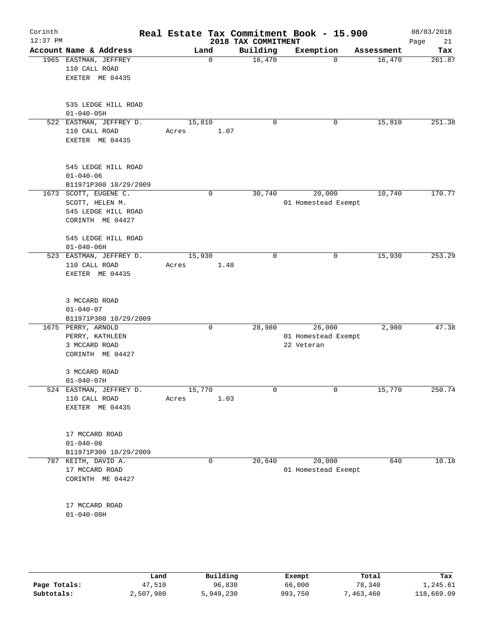| Corinth<br>$12:37$ PM |                                                                                   |                 |             | 2018 TAX COMMITMENT | Real Estate Tax Commitment Book - 15.900    |            | 08/03/2018<br>21<br>Page |
|-----------------------|-----------------------------------------------------------------------------------|-----------------|-------------|---------------------|---------------------------------------------|------------|--------------------------|
|                       | Account Name & Address                                                            | Land            |             | Building            | Exemption                                   | Assessment | Tax                      |
|                       | 1965 EASTMAN, JEFFREY<br>110 CALL ROAD<br>EXETER ME 04435                         |                 | $\mathbf 0$ | 16,470              | $\Omega$                                    | 16,470     | 261.87                   |
|                       | 535 LEDGE HILL ROAD<br>$01 - 040 - 05H$                                           |                 |             |                     |                                             |            |                          |
|                       | 522 EASTMAN, JEFFREY D.<br>110 CALL ROAD<br>EXETER ME 04435                       | 15,810<br>Acres | 1.07        | 0                   | 0                                           | 15,810     | 251.38                   |
|                       | 545 LEDGE HILL ROAD<br>$01 - 040 - 06$<br>B11971P300 10/29/2009                   |                 |             |                     |                                             |            |                          |
|                       | 1673 SCOTT, EUGENE C.                                                             |                 | 0           | 30,740              | 20,000                                      | 10,740     | 170.77                   |
|                       | SCOTT, HELEN M.<br>545 LEDGE HILL ROAD<br>CORINTH ME 04427<br>545 LEDGE HILL ROAD |                 |             |                     | 01 Homestead Exempt                         |            |                          |
|                       | $01 - 040 - 06H$                                                                  |                 |             |                     |                                             |            |                          |
|                       | 523 EASTMAN, JEFFREY D.<br>110 CALL ROAD<br>EXETER ME 04435                       | 15,930<br>Acres | 1.48        | 0                   | 0                                           | 15,930     | 253.29                   |
|                       | 3 MCCARD ROAD<br>$01 - 040 - 07$<br>B11971P300 10/29/2009                         |                 |             |                     |                                             |            |                          |
|                       | 1675 PERRY, ARNOLD<br>PERRY, KATHLEEN<br>3 MCCARD ROAD<br>CORINTH ME 04427        |                 | $\mathbf 0$ | 28,980              | 26,000<br>01 Homestead Exempt<br>22 Veteran | 2,980      | 47.38                    |
|                       | 3 MCCARD ROAD<br>$01 - 040 - 07H$                                                 |                 |             |                     |                                             |            |                          |
|                       | 524 EASTMAN, JEFFREY D.<br>110 CALL ROAD<br>EXETER ME 04435                       | 15,770<br>Acres | 1.03        | 0                   | $\mathbf 0$                                 | 15,770     | 250.74                   |
|                       | 17 MCCARD ROAD<br>$01 - 040 - 08$<br>B11971P300 10/29/2009                        |                 |             |                     |                                             |            |                          |
|                       | 787 KEITH, DAVID A.<br>17 MCCARD ROAD<br>CORINTH ME 04427                         |                 | 0           | 20,640              | 20,000<br>01 Homestead Exempt               | 640        | 10.18                    |
|                       | 17 MCCARD ROAD<br>$01 - 040 - 08H$                                                |                 |             |                     |                                             |            |                          |
|                       |                                                                                   |                 |             |                     |                                             |            |                          |

|              | Land      | Building  | Exempt  | Total      | Tax        |
|--------------|-----------|-----------|---------|------------|------------|
| Page Totals: | 47,510    | 96,830    | 66,000  | 78,340     | 1,245.61   |
| Subtotals:   | 2,507,980 | 5,949,230 | 993,750 | 463,460, ` | 118,669.09 |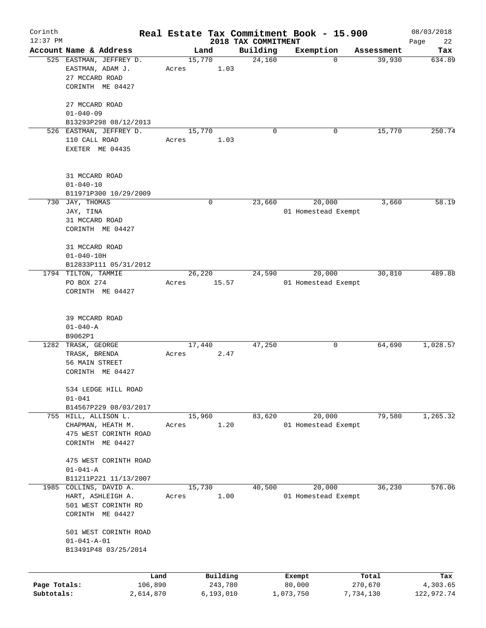| Corinth      |                         |           |       |                |                     | Real Estate Tax Commitment Book - 15.900 |                      | 08/03/2018    |
|--------------|-------------------------|-----------|-------|----------------|---------------------|------------------------------------------|----------------------|---------------|
| $12:37$ PM   | Account Name & Address  |           |       |                | 2018 TAX COMMITMENT |                                          |                      | Page<br>22    |
|              | 525 EASTMAN, JEFFREY D. |           |       | Land<br>15,770 | Building<br>24,160  | Exemption<br>0                           | Assessment<br>39,930 | Tax<br>634.89 |
|              | EASTMAN, ADAM J.        |           | Acres | 1.03           |                     |                                          |                      |               |
|              | 27 MCCARD ROAD          |           |       |                |                     |                                          |                      |               |
|              | CORINTH ME 04427        |           |       |                |                     |                                          |                      |               |
|              |                         |           |       |                |                     |                                          |                      |               |
|              | 27 MCCARD ROAD          |           |       |                |                     |                                          |                      |               |
|              | $01 - 040 - 09$         |           |       |                |                     |                                          |                      |               |
|              | B13293P298 08/12/2013   |           |       |                |                     |                                          |                      |               |
|              | 526 EASTMAN, JEFFREY D. |           |       | 15,770         | $\mathbf 0$         | 0                                        | 15,770               | 250.74        |
|              | 110 CALL ROAD           |           | Acres | 1.03           |                     |                                          |                      |               |
|              | EXETER ME 04435         |           |       |                |                     |                                          |                      |               |
|              |                         |           |       |                |                     |                                          |                      |               |
|              |                         |           |       |                |                     |                                          |                      |               |
|              | 31 MCCARD ROAD          |           |       |                |                     |                                          |                      |               |
|              | $01 - 040 - 10$         |           |       |                |                     |                                          |                      |               |
|              | B11971P300 10/29/2009   |           |       |                |                     |                                          |                      |               |
|              | 730 JAY, THOMAS         |           |       | $\mathbf 0$    | 23,660              | 20,000                                   | 3,660                | 58.19         |
|              | JAY, TINA               |           |       |                |                     | 01 Homestead Exempt                      |                      |               |
|              | 31 MCCARD ROAD          |           |       |                |                     |                                          |                      |               |
|              | CORINTH ME 04427        |           |       |                |                     |                                          |                      |               |
|              |                         |           |       |                |                     |                                          |                      |               |
|              | 31 MCCARD ROAD          |           |       |                |                     |                                          |                      |               |
|              | $01 - 040 - 10H$        |           |       |                |                     |                                          |                      |               |
|              | B12833P111 05/31/2012   |           |       |                |                     |                                          |                      |               |
|              | 1794 TILTON, TAMMIE     |           |       | 26,220         | 24,590              | 20,000                                   | 30,810               | 489.88        |
|              | PO BOX 274              |           | Acres | 15.57          |                     | 01 Homestead Exempt                      |                      |               |
|              | CORINTH ME 04427        |           |       |                |                     |                                          |                      |               |
|              |                         |           |       |                |                     |                                          |                      |               |
|              |                         |           |       |                |                     |                                          |                      |               |
|              | 39 MCCARD ROAD          |           |       |                |                     |                                          |                      |               |
|              | $01 - 040 - A$          |           |       |                |                     |                                          |                      |               |
|              | B9062P1                 |           |       |                |                     |                                          |                      |               |
|              | 1282 TRASK, GEORGE      |           |       | 17,440         | 47,250              | 0                                        | 64,690               | 1,028.57      |
|              | TRASK, BRENDA           |           | Acres | 2.47           |                     |                                          |                      |               |
|              | 56 MAIN STREET          |           |       |                |                     |                                          |                      |               |
|              | CORINTH ME 04427        |           |       |                |                     |                                          |                      |               |
|              |                         |           |       |                |                     |                                          |                      |               |
|              | 534 LEDGE HILL ROAD     |           |       |                |                     |                                          |                      |               |
|              | $01 - 041$              |           |       |                |                     |                                          |                      |               |
|              | B14567P229 08/03/2017   |           |       |                |                     |                                          |                      |               |
|              | 755 HILL, ALLISON L.    |           |       | 15,960         | 83,620              | 20,000                                   | 79,580               | 1, 265.32     |
|              | CHAPMAN, HEATH M.       |           | Acres | 1.20           |                     | 01 Homestead Exempt                      |                      |               |
|              | 475 WEST CORINTH ROAD   |           |       |                |                     |                                          |                      |               |
|              | CORINTH ME 04427        |           |       |                |                     |                                          |                      |               |
|              |                         |           |       |                |                     |                                          |                      |               |
|              | 475 WEST CORINTH ROAD   |           |       |                |                     |                                          |                      |               |
|              | $01 - 041 - A$          |           |       |                |                     |                                          |                      |               |
|              | B11211P221 11/13/2007   |           |       |                |                     |                                          |                      |               |
| 1985         | COLLINS, DAVID A.       |           |       | 15,730         | 40,500              | 20,000                                   | 36,230               | 576.06        |
|              | HART, ASHLEIGH A.       |           | Acres | 1.00           |                     | 01 Homestead Exempt                      |                      |               |
|              | 501 WEST CORINTH RD     |           |       |                |                     |                                          |                      |               |
|              | CORINTH ME 04427        |           |       |                |                     |                                          |                      |               |
|              |                         |           |       |                |                     |                                          |                      |               |
|              | 501 WEST CORINTH ROAD   |           |       |                |                     |                                          |                      |               |
|              | $01 - 041 - A - 01$     |           |       |                |                     |                                          |                      |               |
|              | B13491P48 03/25/2014    |           |       |                |                     |                                          |                      |               |
|              |                         |           |       |                |                     |                                          |                      |               |
|              |                         | Land      |       | Building       |                     | Exempt                                   | Total                | Tax           |
| Page Totals: |                         | 106,890   |       | 243,780        |                     | 80,000                                   | 270,670              | 4,303.65      |
| Subtotals:   |                         | 2,614,870 |       | 6,193,010      |                     | 1,073,750                                | 7,734,130            | 122,972.74    |
|              |                         |           |       |                |                     |                                          |                      |               |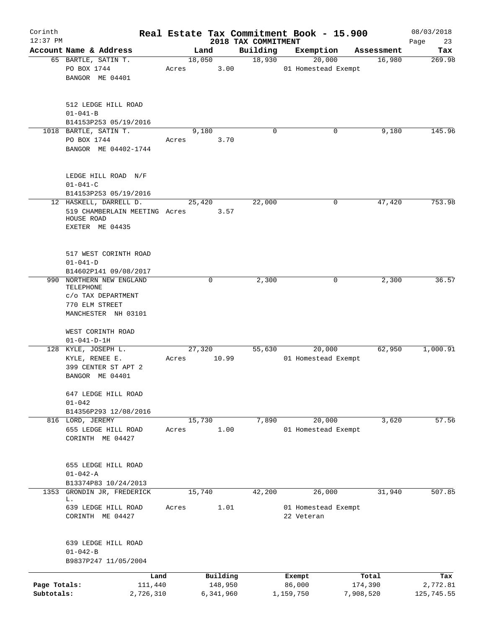| Corinth<br>$12:37$ PM |                                                                                          |       |                     | 2018 TAX COMMITMENT |                  | Real Estate Tax Commitment Book - 15.900 |                  | 08/03/2018        |
|-----------------------|------------------------------------------------------------------------------------------|-------|---------------------|---------------------|------------------|------------------------------------------|------------------|-------------------|
|                       | Account Name & Address                                                                   |       | Land                | Building            |                  | Exemption                                | Assessment       | Page<br>23<br>Tax |
|                       | 65 BARTLE, SATIN T.                                                                      |       | 18,050              | 18,930              |                  | 20,000                                   | 16,980           | 269.98            |
|                       | PO BOX 1744                                                                              | Acres |                     | 3.00                |                  | 01 Homestead Exempt                      |                  |                   |
|                       | BANGOR ME 04401                                                                          |       |                     |                     |                  |                                          |                  |                   |
|                       | 512 LEDGE HILL ROAD                                                                      |       |                     |                     |                  |                                          |                  |                   |
|                       | $01 - 041 - B$                                                                           |       |                     |                     |                  |                                          |                  |                   |
|                       | B14153P253 05/19/2016                                                                    |       |                     |                     |                  |                                          |                  |                   |
|                       | 1018 BARTLE, SATIN T.                                                                    |       | 9,180               |                     | $\Omega$         | 0                                        | 9,180            | 145.96            |
|                       | PO BOX 1744                                                                              | Acres |                     | 3.70                |                  |                                          |                  |                   |
|                       | BANGOR ME 04402-1744                                                                     |       |                     |                     |                  |                                          |                  |                   |
|                       | LEDGE HILL ROAD N/F<br>$01 - 041 - C$                                                    |       |                     |                     |                  |                                          |                  |                   |
|                       | B14153P253 05/19/2016                                                                    |       |                     |                     |                  |                                          |                  |                   |
|                       | 12 HASKELL, DARRELL D.<br>519 CHAMBERLAIN MEETING Acres<br>HOUSE ROAD<br>EXETER ME 04435 |       | 25,420              | 22,000<br>3.57      |                  | 0                                        | 47,420           | 753.98            |
|                       | 517 WEST CORINTH ROAD                                                                    |       |                     |                     |                  |                                          |                  |                   |
|                       | $01 - 041 - D$<br>B14602P141 09/08/2017                                                  |       |                     |                     |                  |                                          |                  |                   |
| 990                   | NORTHERN NEW ENGLAND                                                                     |       | 0                   | 2,300               |                  | 0                                        | 2,300            | 36.57             |
|                       | TELEPHONE                                                                                |       |                     |                     |                  |                                          |                  |                   |
|                       | C/O TAX DEPARTMENT                                                                       |       |                     |                     |                  |                                          |                  |                   |
|                       | 770 ELM STREET                                                                           |       |                     |                     |                  |                                          |                  |                   |
|                       | MANCHESTER NH 03101                                                                      |       |                     |                     |                  |                                          |                  |                   |
|                       |                                                                                          |       |                     |                     |                  |                                          |                  |                   |
|                       | WEST CORINTH ROAD                                                                        |       |                     |                     |                  |                                          |                  |                   |
|                       | $01 - 041 - D - 1H$                                                                      |       |                     |                     |                  |                                          |                  |                   |
|                       | 128 KYLE, JOSEPH L.                                                                      |       | 27,320              | 55,630              |                  | 20,000                                   | 62,950           | 1,000.91          |
|                       | KYLE, RENEE E.                                                                           | Acres | 10.99               |                     |                  | 01 Homestead Exempt                      |                  |                   |
|                       | 399 CENTER ST APT 2                                                                      |       |                     |                     |                  |                                          |                  |                   |
|                       | BANGOR ME 04401                                                                          |       |                     |                     |                  |                                          |                  |                   |
|                       |                                                                                          |       |                     |                     |                  |                                          |                  |                   |
|                       | 647 LEDGE HILL ROAD<br>$01 - 042$                                                        |       |                     |                     |                  |                                          |                  |                   |
|                       | B14356P293 12/08/2016                                                                    |       |                     |                     |                  |                                          |                  |                   |
|                       | 816 LORD, JEREMY                                                                         |       | 15,730              | 7,890               |                  | 20,000                                   | 3,620            | 57.56             |
|                       | 655 LEDGE HILL ROAD                                                                      | Acres |                     | 1.00                |                  | 01 Homestead Exempt                      |                  |                   |
|                       | CORINTH ME 04427                                                                         |       |                     |                     |                  |                                          |                  |                   |
|                       |                                                                                          |       |                     |                     |                  |                                          |                  |                   |
|                       |                                                                                          |       |                     |                     |                  |                                          |                  |                   |
|                       | 655 LEDGE HILL ROAD                                                                      |       |                     |                     |                  |                                          |                  |                   |
|                       | $01 - 042 - A$                                                                           |       |                     |                     |                  |                                          |                  |                   |
|                       | B13374P83 10/24/2013                                                                     |       |                     |                     |                  |                                          |                  |                   |
| 1353                  | GRONDIN JR, FREDERICK                                                                    |       | 15,740              | 42,200              |                  | 26,000                                   | 31,940           | 507.85            |
|                       | L.                                                                                       |       |                     |                     |                  |                                          |                  |                   |
|                       | 639 LEDGE HILL ROAD                                                                      | Acres |                     | 1.01                |                  | 01 Homestead Exempt                      |                  |                   |
|                       | CORINTH ME 04427                                                                         |       |                     |                     | 22 Veteran       |                                          |                  |                   |
|                       | 639 LEDGE HILL ROAD                                                                      |       |                     |                     |                  |                                          |                  |                   |
|                       | $01 - 042 - B$                                                                           |       |                     |                     |                  |                                          |                  |                   |
|                       | B9837P247 11/05/2004                                                                     |       |                     |                     |                  |                                          |                  |                   |
|                       |                                                                                          |       |                     |                     |                  |                                          |                  |                   |
| Page Totals:          | Land<br>111,440                                                                          |       | Building<br>148,950 |                     | Exempt<br>86,000 |                                          | Total<br>174,390 | Tax<br>2,772.81   |
| Subtotals:            | 2,726,310                                                                                |       | 6,341,960           |                     | 1,159,750        |                                          | 7,908,520        | 125,745.55        |
|                       |                                                                                          |       |                     |                     |                  |                                          |                  |                   |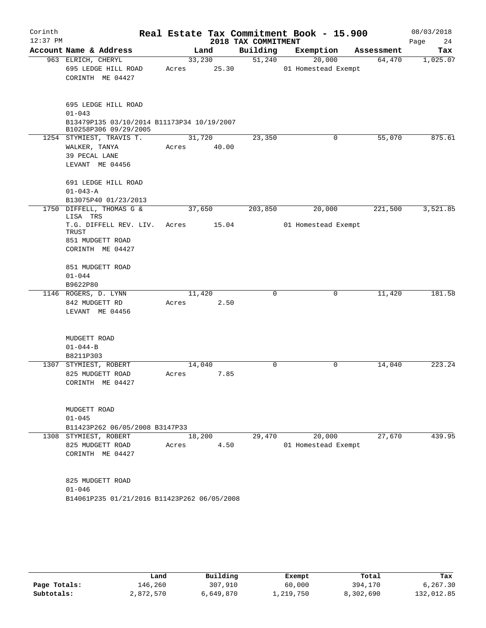| Corinth    |                                                                     |        |       |                     | Real Estate Tax Commitment Book - 15.900 |            | 08/03/2018 |
|------------|---------------------------------------------------------------------|--------|-------|---------------------|------------------------------------------|------------|------------|
| $12:37$ PM |                                                                     |        |       | 2018 TAX COMMITMENT |                                          |            | Page<br>24 |
|            | Account Name & Address                                              |        | Land  | Building            | Exemption                                | Assessment | Tax        |
|            | 963 ELRICH, CHERYL                                                  | 33,230 |       | 51,240              | 20,000                                   | 64,470     | 1,025.07   |
|            | 695 LEDGE HILL ROAD                                                 | Acres  | 25.30 |                     | 01 Homestead Exempt                      |            |            |
|            | CORINTH ME 04427                                                    |        |       |                     |                                          |            |            |
|            |                                                                     |        |       |                     |                                          |            |            |
|            | 695 LEDGE HILL ROAD                                                 |        |       |                     |                                          |            |            |
|            | $01 - 043$                                                          |        |       |                     |                                          |            |            |
|            | B13479P135 03/10/2014 B11173P34 10/19/2007<br>B10258P306 09/29/2005 |        |       |                     |                                          |            |            |
|            | 1254 STYMIEST, TRAVIS T.                                            | 31,720 |       | 23,350              | 0                                        | 55,070     | 875.61     |
|            | WALKER, TANYA                                                       | Acres  | 40.00 |                     |                                          |            |            |
|            | 39 PECAL LANE                                                       |        |       |                     |                                          |            |            |
|            | LEVANT ME 04456                                                     |        |       |                     |                                          |            |            |
|            | 691 LEDGE HILL ROAD                                                 |        |       |                     |                                          |            |            |
|            | $01 - 043 - A$                                                      |        |       |                     |                                          |            |            |
|            | B13075P40 01/23/2013                                                |        |       |                     |                                          |            |            |
|            | 1750 DIFFELL, THOMAS G &<br>LISA TRS                                | 37,650 |       | 203,850             | 20,000                                   | 221,500    | 3,521.85   |
|            | T.G. DIFFELL REV. LIV.<br>TRUST                                     | Acres  | 15.04 |                     | 01 Homestead Exempt                      |            |            |
|            | 851 MUDGETT ROAD                                                    |        |       |                     |                                          |            |            |
|            | CORINTH ME 04427                                                    |        |       |                     |                                          |            |            |
|            | 851 MUDGETT ROAD                                                    |        |       |                     |                                          |            |            |
|            | $01 - 044$                                                          |        |       |                     |                                          |            |            |
|            | B9622P80                                                            |        |       |                     |                                          |            |            |
|            | 1146 ROGERS, D. LYNN                                                | 11,420 |       | 0                   | 0                                        | 11,420     | 181.58     |
|            | 842 MUDGETT RD                                                      | Acres  | 2.50  |                     |                                          |            |            |
|            | LEVANT ME 04456                                                     |        |       |                     |                                          |            |            |
|            | MUDGETT ROAD                                                        |        |       |                     |                                          |            |            |
|            | $01 - 044 - B$                                                      |        |       |                     |                                          |            |            |
|            | B8211P303                                                           |        |       |                     |                                          |            |            |
|            | 1307 STYMIEST, ROBERT                                               | 14,040 |       | 0                   | 0                                        | 14,040     | 223.24     |
|            | 825 MUDGETT ROAD                                                    | Acres  | 7.85  |                     |                                          |            |            |
|            | CORINTH ME 04427                                                    |        |       |                     |                                          |            |            |
|            |                                                                     |        |       |                     |                                          |            |            |
|            | MUDGETT ROAD<br>$01 - 045$                                          |        |       |                     |                                          |            |            |
|            | B11423P262 06/05/2008 B3147P33                                      |        |       |                     |                                          |            |            |
|            | 1308 STYMIEST, ROBERT                                               | 18,200 |       | 29,470              | 20,000                                   | 27,670     | 439.95     |
|            | 825 MUDGETT ROAD                                                    | Acres  | 4.50  |                     | 01 Homestead Exempt                      |            |            |
|            | CORINTH ME 04427                                                    |        |       |                     |                                          |            |            |
|            |                                                                     |        |       |                     |                                          |            |            |
|            | 825 MUDGETT ROAD                                                    |        |       |                     |                                          |            |            |
|            | $01 - 046$                                                          |        |       |                     |                                          |            |            |
|            | B14061P235 01/21/2016 B11423P262 06/05/2008                         |        |       |                     |                                          |            |            |

|              | Land      | Building  | Exempt    | Total     | Tax        |
|--------------|-----------|-----------|-----------|-----------|------------|
| Page Totals: | ⊥46,260   | 307,910   | 60,000    | 394,170   | 6,267.30   |
| Subtotals:   | 2,872,570 | 6,649,870 | 1,219,750 | 8,302,690 | 132,012.85 |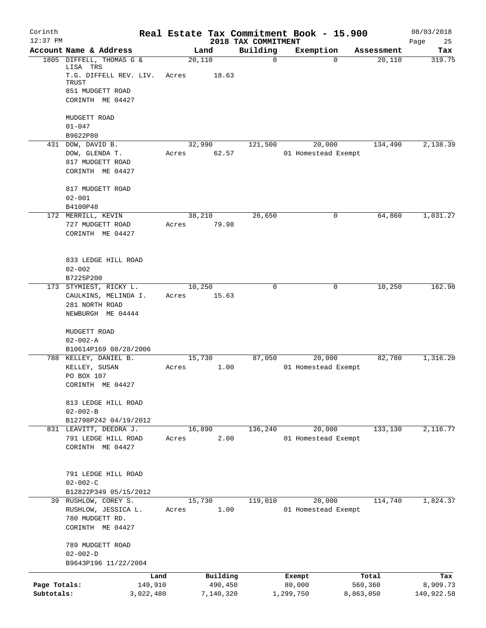| Corinth      |                                                                 |           |       |                 |                                 | Real Estate Tax Commitment Book - 15.900 |            | 08/03/2018        |
|--------------|-----------------------------------------------------------------|-----------|-------|-----------------|---------------------------------|------------------------------------------|------------|-------------------|
| $12:37$ PM   | Account Name & Address                                          |           |       | Land            | 2018 TAX COMMITMENT<br>Building | Exemption                                | Assessment | Page<br>25<br>Tax |
|              | 1805 DIFFELL, THOMAS G &                                        |           |       | 20,110          | $\mathbf 0$                     | $\Omega$                                 | 20,110     | 319.75            |
|              | LISA TRS<br>T.G. DIFFELL REV. LIV.<br>TRUST<br>851 MUDGETT ROAD |           | Acres | 18.63           |                                 |                                          |            |                   |
|              | CORINTH ME 04427                                                |           |       |                 |                                 |                                          |            |                   |
|              | MUDGETT ROAD                                                    |           |       |                 |                                 |                                          |            |                   |
|              | $01 - 047$<br>B9622P80                                          |           |       |                 |                                 |                                          |            |                   |
|              | 431 DOW, DAVID B.                                               |           |       | 32,990          | 121,500                         | 20,000                                   | 134,490    | 2,138.39          |
|              | DOW, GLENDA T.                                                  |           | Acres | 62.57           |                                 | 01 Homestead Exempt                      |            |                   |
|              | 817 MUDGETT ROAD<br>CORINTH ME 04427                            |           |       |                 |                                 |                                          |            |                   |
|              | 817 MUDGETT ROAD<br>$02 - 001$                                  |           |       |                 |                                 |                                          |            |                   |
|              | B4100P48                                                        |           |       |                 |                                 |                                          |            |                   |
|              | 172 MERRILL, KEVIN                                              |           |       | 38,210          | 26,650                          | 0                                        | 64,860     | 1,031.27          |
|              | 727 MUDGETT ROAD<br>CORINTH ME 04427                            |           | Acres | 79.98           |                                 |                                          |            |                   |
|              | 833 LEDGE HILL ROAD<br>$02 - 002$                               |           |       |                 |                                 |                                          |            |                   |
|              | B7225P200                                                       |           |       |                 |                                 |                                          |            |                   |
|              | 173 STYMIEST, RICKY L.<br>CAULKINS, MELINDA I.                  |           | Acres | 10,250<br>15.63 | 0                               | 0                                        | 10,250     | 162.98            |
|              | 281 NORTH ROAD<br>NEWBURGH ME 04444                             |           |       |                 |                                 |                                          |            |                   |
|              | MUDGETT ROAD<br>$02 - 002 - A$                                  |           |       |                 |                                 |                                          |            |                   |
|              | B10614P169 08/28/2006                                           |           |       |                 |                                 |                                          |            |                   |
|              | 788 KELLEY, DANIEL B.<br>KELLEY, SUSAN                          |           | Acres | 15,730<br>1.00  | 87,050                          | 20,000<br>01 Homestead Exempt            | 82,780     | 1,316.20          |
|              | PO BOX 107                                                      |           |       |                 |                                 |                                          |            |                   |
|              | CORINTH ME 04427                                                |           |       |                 |                                 |                                          |            |                   |
|              | 813 LEDGE HILL ROAD<br>$02 - 002 - B$                           |           |       |                 |                                 |                                          |            |                   |
|              | B12798P242 04/19/2012                                           |           |       |                 |                                 |                                          |            |                   |
|              | 831 LEAVITT, DEEDRA J.                                          |           |       | 16,890          | 136,240                         | 20,000                                   | 133,130    | 2,116.77          |
|              | 791 LEDGE HILL ROAD<br>CORINTH ME 04427                         |           | Acres | 2.00            |                                 | 01 Homestead Exempt                      |            |                   |
|              | 791 LEDGE HILL ROAD<br>$02 - 002 - C$                           |           |       |                 |                                 |                                          |            |                   |
|              | B12822P349 05/15/2012                                           |           |       |                 |                                 |                                          |            |                   |
|              | 39 RUSHLOW, COREY S.                                            |           |       | 15,730          | 119,010                         | 20,000                                   | 114,740    | 1,824.37          |
|              | RUSHLOW, JESSICA L.<br>780 MUDGETT RD.<br>CORINTH ME 04427      |           | Acres | 1.00            |                                 | 01 Homestead Exempt                      |            |                   |
|              | 789 MUDGETT ROAD<br>$02 - 002 - D$                              |           |       |                 |                                 |                                          |            |                   |
|              | B9643P196 11/22/2004                                            |           |       |                 |                                 |                                          |            |                   |
|              |                                                                 | Land      |       | Building        |                                 | Exempt                                   | Total      | Tax               |
| Page Totals: |                                                                 | 149,910   |       | 490,450         |                                 | 80,000                                   | 560,360    | 8,909.73          |
| Subtotals:   |                                                                 | 3,022,480 |       | 7,140,320       |                                 | 1,299,750                                | 8,863,050  | 140,922.58        |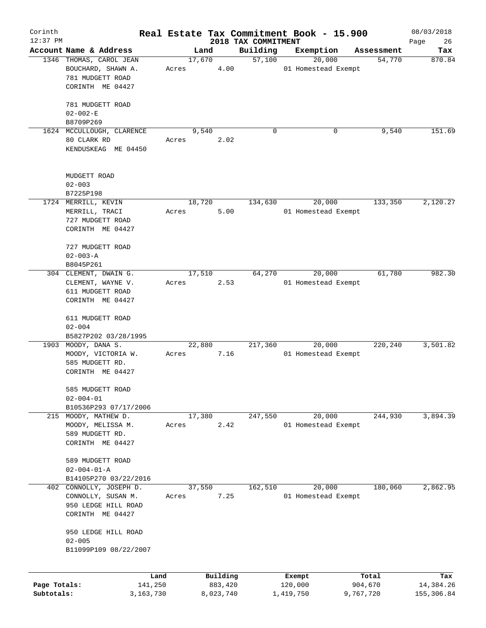| Corinth      |                                     |       |        |           |                                 | Real Estate Tax Commitment Book - 15.900 |                      | 08/03/2018        |
|--------------|-------------------------------------|-------|--------|-----------|---------------------------------|------------------------------------------|----------------------|-------------------|
| $12:37$ PM   | Account Name & Address              |       | Land   |           | 2018 TAX COMMITMENT<br>Building | Exemption                                | Assessment           | Page<br>26<br>Tax |
|              | 1346 THOMAS, CAROL JEAN             |       | 17,670 |           | 57,100                          | 20,000                                   | 54,770               | 870.84            |
|              | BOUCHARD, SHAWN A.                  | Acres |        | 4.00      |                                 | 01 Homestead Exempt                      |                      |                   |
|              | 781 MUDGETT ROAD                    |       |        |           |                                 |                                          |                      |                   |
|              | CORINTH ME 04427                    |       |        |           |                                 |                                          |                      |                   |
|              |                                     |       |        |           |                                 |                                          |                      |                   |
|              | 781 MUDGETT ROAD                    |       |        |           |                                 |                                          |                      |                   |
|              | $02 - 002 - E$                      |       |        |           |                                 |                                          |                      |                   |
|              | B8709P269                           |       |        |           |                                 |                                          |                      |                   |
|              | 1624 MCCULLOUGH, CLARENCE           |       | 9,540  |           | 0                               | 0                                        | 9,540                | 151.69            |
|              | 80 CLARK RD                         | Acres |        | 2.02      |                                 |                                          |                      |                   |
|              | KENDUSKEAG ME 04450                 |       |        |           |                                 |                                          |                      |                   |
|              |                                     |       |        |           |                                 |                                          |                      |                   |
|              | MUDGETT ROAD                        |       |        |           |                                 |                                          |                      |                   |
|              | $02 - 003$                          |       |        |           |                                 |                                          |                      |                   |
|              | B7225P198                           |       |        |           |                                 |                                          |                      |                   |
|              | 1724 MERRILL, KEVIN                 |       | 18,720 |           | 134,630                         | 20,000                                   | $1\overline{33,350}$ | 2,120.27          |
|              | MERRILL, TRACI                      | Acres |        | 5.00      |                                 | 01 Homestead Exempt                      |                      |                   |
|              | 727 MUDGETT ROAD                    |       |        |           |                                 |                                          |                      |                   |
|              | CORINTH ME 04427                    |       |        |           |                                 |                                          |                      |                   |
|              |                                     |       |        |           |                                 |                                          |                      |                   |
|              | 727 MUDGETT ROAD                    |       |        |           |                                 |                                          |                      |                   |
|              | $02 - 003 - A$                      |       |        |           |                                 |                                          |                      |                   |
|              | B8045P261                           |       |        |           |                                 |                                          |                      |                   |
|              | 304 CLEMENT, DWAIN G.               |       | 17,510 |           | 64,270                          | 20,000                                   | 61,780               | 982.30            |
|              | CLEMENT, WAYNE V.                   | Acres |        | 2.53      |                                 | 01 Homestead Exempt                      |                      |                   |
|              | 611 MUDGETT ROAD                    |       |        |           |                                 |                                          |                      |                   |
|              | CORINTH ME 04427                    |       |        |           |                                 |                                          |                      |                   |
|              | 611 MUDGETT ROAD                    |       |        |           |                                 |                                          |                      |                   |
|              | $02 - 004$                          |       |        |           |                                 |                                          |                      |                   |
|              | B5827P202 03/28/1995                |       |        |           |                                 |                                          |                      |                   |
|              | 1903 MOODY, DANA S.                 |       | 22,880 |           | 217,360                         | 20,000                                   | 220,240              | 3,501.82          |
|              | MOODY, VICTORIA W.                  | Acres |        | 7.16      |                                 | 01 Homestead Exempt                      |                      |                   |
|              | 585 MUDGETT RD.                     |       |        |           |                                 |                                          |                      |                   |
|              | CORINTH ME 04427                    |       |        |           |                                 |                                          |                      |                   |
|              |                                     |       |        |           |                                 |                                          |                      |                   |
|              | 585 MUDGETT ROAD<br>$02 - 004 - 01$ |       |        |           |                                 |                                          |                      |                   |
|              | B10536P293 07/17/2006               |       |        |           |                                 |                                          |                      |                   |
|              | 215 MOODY, MATHEW D.                |       | 17,380 |           | 247,550                         | 20,000                                   | 244,930              | 3,894.39          |
|              | MOODY, MELISSA M.                   | Acres |        | 2.42      |                                 | 01 Homestead Exempt                      |                      |                   |
|              | 589 MUDGETT RD.                     |       |        |           |                                 |                                          |                      |                   |
|              | CORINTH ME 04427                    |       |        |           |                                 |                                          |                      |                   |
|              |                                     |       |        |           |                                 |                                          |                      |                   |
|              | 589 MUDGETT ROAD                    |       |        |           |                                 |                                          |                      |                   |
|              | $02 - 004 - 01 - A$                 |       |        |           |                                 |                                          |                      |                   |
|              | B14105P270 03/22/2016               |       |        |           |                                 |                                          |                      |                   |
| 402          | CONNOLLY, JOSEPH D.                 |       | 37,550 |           | 162,510                         | 20,000                                   | 180,060              | 2,862.95          |
|              | CONNOLLY, SUSAN M.                  | Acres |        | 7.25      |                                 | 01 Homestead Exempt                      |                      |                   |
|              | 950 LEDGE HILL ROAD                 |       |        |           |                                 |                                          |                      |                   |
|              | CORINTH ME 04427                    |       |        |           |                                 |                                          |                      |                   |
|              | 950 LEDGE HILL ROAD                 |       |        |           |                                 |                                          |                      |                   |
|              | $02 - 005$                          |       |        |           |                                 |                                          |                      |                   |
|              | B11099P109 08/22/2007               |       |        |           |                                 |                                          |                      |                   |
|              |                                     |       |        |           |                                 |                                          |                      |                   |
|              | Land                                |       |        | Building  |                                 | Exempt                                   | Total                | Tax               |
| Page Totals: | 141,250                             |       |        | 883,420   |                                 | 120,000                                  | 904,670              | 14,384.26         |
| Subtotals:   | 3,163,730                           |       |        | 8,023,740 |                                 | 1,419,750                                | 9,767,720            | 155,306.84        |
|              |                                     |       |        |           |                                 |                                          |                      |                   |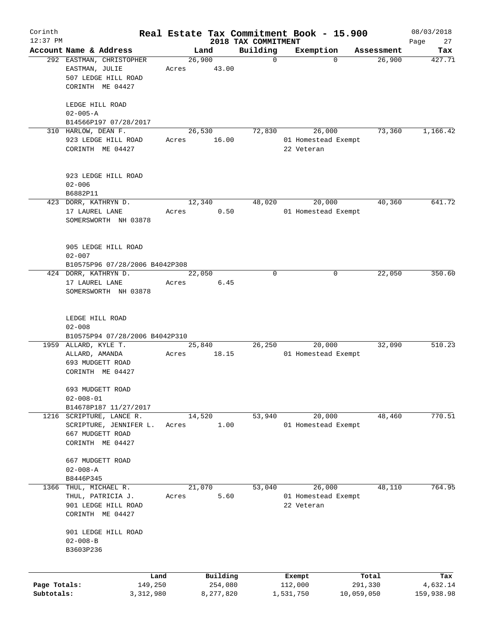| Corinth      |                                                    |         |                |                         | Real Estate Tax Commitment Book - 15.900 |                      | 08/03/2018    |
|--------------|----------------------------------------------------|---------|----------------|-------------------------|------------------------------------------|----------------------|---------------|
| $12:37$ PM   |                                                    |         |                | 2018 TAX COMMITMENT     |                                          |                      | Page<br>27    |
|              | Account Name & Address<br>292 EASTMAN, CHRISTOPHER |         | Land<br>26,900 | Building<br>$\mathbf 0$ | Exemption<br>$\Omega$                    | Assessment<br>26,900 | Tax<br>427.71 |
|              | EASTMAN, JULIE<br>507 LEDGE HILL ROAD              | Acres   | 43.00          |                         |                                          |                      |               |
|              | CORINTH ME 04427                                   |         |                |                         |                                          |                      |               |
|              | LEDGE HILL ROAD<br>$02 - 005 - A$                  |         |                |                         |                                          |                      |               |
|              | B14566P197 07/28/2017                              |         |                |                         |                                          |                      |               |
|              | 310 HARLOW, DEAN F.                                |         | 26,530         | 72,830                  | 26,000                                   | 73,360               | 1,166.42      |
|              | 923 LEDGE HILL ROAD<br>CORINTH ME 04427            | Acres   | 16.00          |                         | 01 Homestead Exempt<br>22 Veteran        |                      |               |
|              | 923 LEDGE HILL ROAD<br>$02 - 006$                  |         |                |                         |                                          |                      |               |
|              | B6882P11                                           |         |                |                         |                                          |                      |               |
|              | 423 DORR, KATHRYN D.                               |         | 12,340         | 48,020                  | 20,000                                   | 40,360               | 641.72        |
|              | 17 LAUREL LANE<br>SOMERSWORTH NH 03878             | Acres   | 0.50           |                         | 01 Homestead Exempt                      |                      |               |
|              | 905 LEDGE HILL ROAD                                |         |                |                         |                                          |                      |               |
|              | $02 - 007$                                         |         |                |                         |                                          |                      |               |
|              | B10575P96 07/28/2006 B4042P308                     |         |                |                         |                                          |                      |               |
|              | 424 DORR, KATHRYN D.                               |         | 22,050         | $\Omega$                | 0                                        | 22,050               | 350.60        |
|              | 17 LAUREL LANE<br>SOMERSWORTH NH 03878             | Acres   | 6.45           |                         |                                          |                      |               |
|              |                                                    |         |                |                         |                                          |                      |               |
|              | LEDGE HILL ROAD                                    |         |                |                         |                                          |                      |               |
|              | $02 - 008$                                         |         |                |                         |                                          |                      |               |
|              | B10575P94 07/28/2006 B4042P310                     |         |                |                         |                                          |                      |               |
|              | 1959 ALLARD, KYLE T.                               |         | 25,840         | 26,250                  | 20,000                                   | 32,090               | 510.23        |
|              | ALLARD, AMANDA                                     | Acres   | 18.15          |                         | 01 Homestead Exempt                      |                      |               |
|              | 693 MUDGETT ROAD<br>CORINTH ME 04427               |         |                |                         |                                          |                      |               |
|              |                                                    |         |                |                         |                                          |                      |               |
|              | 693 MUDGETT ROAD                                   |         |                |                         |                                          |                      |               |
|              | $02 - 008 - 01$                                    |         |                |                         |                                          |                      |               |
|              | B14678P187 11/27/2017                              |         |                |                         |                                          |                      |               |
| 1216         | SCRIPTURE, LANCE R.                                |         | 14,520         | 53,940                  | 20,000                                   | 48,460               | 770.51        |
|              | SCRIPTURE, JENNIFER L.                             | Acres   | 1.00           |                         | 01 Homestead Exempt                      |                      |               |
|              | 667 MUDGETT ROAD                                   |         |                |                         |                                          |                      |               |
|              | CORINTH ME 04427                                   |         |                |                         |                                          |                      |               |
|              | 667 MUDGETT ROAD                                   |         |                |                         |                                          |                      |               |
|              | $02 - 008 - A$                                     |         |                |                         |                                          |                      |               |
|              | B8446P345                                          |         |                |                         |                                          |                      |               |
| 1366         | THUL, MICHAEL R.                                   |         | 21,070         | 53,040                  | 26,000                                   | 48,110               | 764.95        |
|              | THUL, PATRICIA J.                                  | Acres   | 5.60           |                         | 01 Homestead Exempt                      |                      |               |
|              | 901 LEDGE HILL ROAD                                |         |                |                         | 22 Veteran                               |                      |               |
|              | CORINTH ME 04427                                   |         |                |                         |                                          |                      |               |
|              | 901 LEDGE HILL ROAD                                |         |                |                         |                                          |                      |               |
|              | $02 - 008 - B$                                     |         |                |                         |                                          |                      |               |
|              | B3603P236                                          |         |                |                         |                                          |                      |               |
|              |                                                    | Land    | Building       |                         | Exempt                                   | Total                | Tax           |
| Page Totals: |                                                    | 149,250 | 254,080        |                         | 112,000                                  | 291,330              | 4,632.14      |
| Subtotals:   | 3,312,980                                          |         | 8,277,820      |                         | 1,531,750                                | 10,059,050           | 159,938.98    |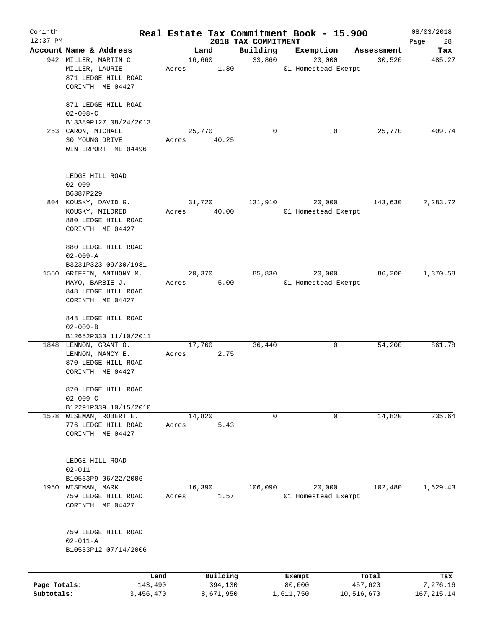| Corinth<br>$12:37$ PM |                          |       |           | 2018 TAX COMMITMENT | Real Estate Tax Commitment Book - 15.900 |            | 08/03/2018<br>Page<br>28 |
|-----------------------|--------------------------|-------|-----------|---------------------|------------------------------------------|------------|--------------------------|
|                       | Account Name & Address   |       | Land      | Building            | Exemption                                | Assessment | Tax                      |
|                       | 942 MILLER, MARTIN C     |       | 16,660    | 33,860              | 20,000                                   | 30,520     | 485.27                   |
|                       | MILLER, LAURIE           | Acres | 1.80      |                     | 01 Homestead Exempt                      |            |                          |
|                       | 871 LEDGE HILL ROAD      |       |           |                     |                                          |            |                          |
|                       | CORINTH ME 04427         |       |           |                     |                                          |            |                          |
|                       |                          |       |           |                     |                                          |            |                          |
|                       | 871 LEDGE HILL ROAD      |       |           |                     |                                          |            |                          |
|                       | $02 - 008 - C$           |       |           |                     |                                          |            |                          |
|                       | B13389P127 08/24/2013    |       |           |                     |                                          |            |                          |
|                       | 253 CARON, MICHAEL       |       | 25,770    | 0                   | 0                                        | 25,770     | 409.74                   |
|                       |                          | Acres |           |                     |                                          |            |                          |
|                       | 30 YOUNG DRIVE           |       | 40.25     |                     |                                          |            |                          |
|                       | WINTERPORT ME 04496      |       |           |                     |                                          |            |                          |
|                       |                          |       |           |                     |                                          |            |                          |
|                       |                          |       |           |                     |                                          |            |                          |
|                       | LEDGE HILL ROAD          |       |           |                     |                                          |            |                          |
|                       | $02 - 009$               |       |           |                     |                                          |            |                          |
|                       | B6387P229                |       |           |                     |                                          |            |                          |
|                       | 804 KOUSKY, DAVID G.     |       | 31,720    | 131,910             | 20,000                                   | 143,630    | 2, 283.72                |
|                       | KOUSKY, MILDRED          | Acres | 40.00     |                     | 01 Homestead Exempt                      |            |                          |
|                       | 880 LEDGE HILL ROAD      |       |           |                     |                                          |            |                          |
|                       | CORINTH ME 04427         |       |           |                     |                                          |            |                          |
|                       |                          |       |           |                     |                                          |            |                          |
|                       | 880 LEDGE HILL ROAD      |       |           |                     |                                          |            |                          |
|                       | $02 - 009 - A$           |       |           |                     |                                          |            |                          |
|                       | B3231P323 09/30/1981     |       |           |                     |                                          |            |                          |
|                       | 1550 GRIFFIN, ANTHONY M. |       | 20,370    | 85,830              | 20,000                                   | 86,200     | 1,370.58                 |
|                       | MAYO, BARBIE J.          | Acres | 5.00      |                     | 01 Homestead Exempt                      |            |                          |
|                       | 848 LEDGE HILL ROAD      |       |           |                     |                                          |            |                          |
|                       | CORINTH ME 04427         |       |           |                     |                                          |            |                          |
|                       |                          |       |           |                     |                                          |            |                          |
|                       | 848 LEDGE HILL ROAD      |       |           |                     |                                          |            |                          |
|                       | $02 - 009 - B$           |       |           |                     |                                          |            |                          |
|                       | B12652P330 11/10/2011    |       |           |                     |                                          |            |                          |
|                       | 1848 LENNON, GRANT O.    |       | 17,760    | 36,440              | 0                                        | 54,200     | 861.78                   |
|                       | LENNON, NANCY E.         | Acres | 2.75      |                     |                                          |            |                          |
|                       | 870 LEDGE HILL ROAD      |       |           |                     |                                          |            |                          |
|                       | CORINTH ME 04427         |       |           |                     |                                          |            |                          |
|                       |                          |       |           |                     |                                          |            |                          |
|                       | 870 LEDGE HILL ROAD      |       |           |                     |                                          |            |                          |
|                       | $02 - 009 - C$           |       |           |                     |                                          |            |                          |
|                       | B12291P339 10/15/2010    |       |           |                     |                                          |            |                          |
| 1528                  | WISEMAN, ROBERT E.       |       | 14,820    | 0                   | 0                                        | 14,820     | 235.64                   |
|                       | 776 LEDGE HILL ROAD      | Acres | 5.43      |                     |                                          |            |                          |
|                       | CORINTH ME 04427         |       |           |                     |                                          |            |                          |
|                       |                          |       |           |                     |                                          |            |                          |
|                       |                          |       |           |                     |                                          |            |                          |
|                       | LEDGE HILL ROAD          |       |           |                     |                                          |            |                          |
|                       | $02 - 011$               |       |           |                     |                                          |            |                          |
|                       | B10533P9 06/22/2006      |       |           |                     |                                          |            |                          |
| 1950                  | WISEMAN, MARK            |       | 16,390    | 106,090             | 20,000                                   | 102,480    | 1,629.43                 |
|                       | 759 LEDGE HILL ROAD      | Acres | 1.57      |                     | 01 Homestead Exempt                      |            |                          |
|                       | CORINTH ME 04427         |       |           |                     |                                          |            |                          |
|                       |                          |       |           |                     |                                          |            |                          |
|                       |                          |       |           |                     |                                          |            |                          |
|                       |                          |       |           |                     |                                          |            |                          |
|                       | 759 LEDGE HILL ROAD      |       |           |                     |                                          |            |                          |
|                       | $02 - 011 - A$           |       |           |                     |                                          |            |                          |
|                       | B10533P12 07/14/2006     |       |           |                     |                                          |            |                          |
|                       |                          |       |           |                     |                                          |            |                          |
|                       |                          |       |           |                     |                                          |            |                          |
|                       | Land                     |       | Building  |                     | Exempt                                   | Total      | Tax                      |
| Page Totals:          | 143,490                  |       | 394,130   |                     | 80,000                                   | 457,620    | 7,276.16                 |
| Subtotals:            | 3,456,470                |       | 8,671,950 |                     | 1,611,750                                | 10,516,670 | 167, 215.14              |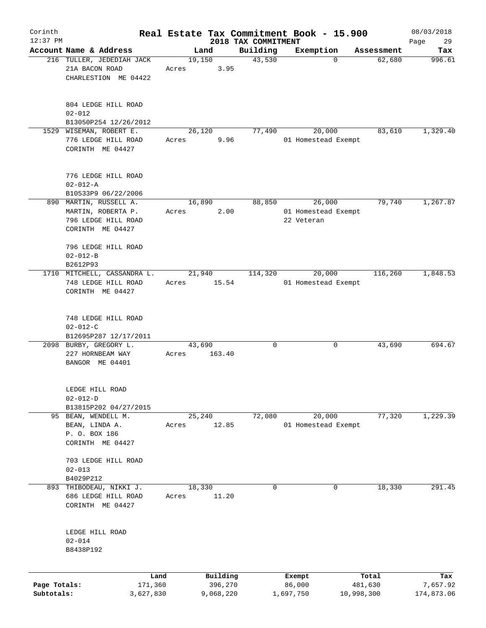| Corinth                    |                                                                            |       |                      |                                 | Real Estate Tax Commitment Book - 15.900 |                       | 08/03/2018             |
|----------------------------|----------------------------------------------------------------------------|-------|----------------------|---------------------------------|------------------------------------------|-----------------------|------------------------|
| $12:37$ PM                 | Account Name & Address                                                     |       | Land                 | 2018 TAX COMMITMENT<br>Building | Exemption                                | Assessment            | 29<br>Page             |
|                            | 216 TULLER, JEDEDIAH JACK                                                  |       | 19,150               | 43,530                          | $\mathbf 0$                              | 62,680                | Tax<br>996.61          |
|                            | 21A BACON ROAD<br>CHARLESTION ME 04422                                     | Acres | 3.95                 |                                 |                                          |                       |                        |
|                            | 804 LEDGE HILL ROAD<br>$02 - 012$                                          |       |                      |                                 |                                          |                       |                        |
|                            | B13050P254 12/26/2012                                                      |       |                      |                                 |                                          |                       |                        |
|                            | 1529 WISEMAN, ROBERT E.<br>776 LEDGE HILL ROAD<br>CORINTH ME 04427         | Acres | 26,120<br>9.96       | 77,490                          | 20,000<br>01 Homestead Exempt            | 83,610                | 1,329.40               |
|                            | 776 LEDGE HILL ROAD<br>$02 - 012 - A$                                      |       |                      |                                 |                                          |                       |                        |
|                            | B10533P9 06/22/2006<br>890 MARTIN, RUSSELL A.                              |       | 16,890               | 88,850                          | 26,000                                   | 79,740                | 1,267.87               |
|                            | MARTIN, ROBERTA P.<br>796 LEDGE HILL ROAD<br>CORINTH ME 04427              | Acres | 2.00                 |                                 | 01 Homestead Exempt<br>22 Veteran        |                       |                        |
|                            | 796 LEDGE HILL ROAD<br>$02 - 012 - B$<br>B2612P93                          |       |                      |                                 |                                          |                       |                        |
|                            | 1710 MITCHELL, CASSANDRA L.                                                |       | 21,940               | 114,320                         | 20,000                                   | 116,260               | 1,848.53               |
|                            | 748 LEDGE HILL ROAD<br>CORINTH ME 04427                                    | Acres | 15.54                |                                 | 01 Homestead Exempt                      |                       |                        |
|                            | 748 LEDGE HILL ROAD<br>$02 - 012 - C$                                      |       |                      |                                 |                                          |                       |                        |
|                            | B12695P287 12/17/2011                                                      |       |                      |                                 |                                          |                       |                        |
|                            | 2098 BURBY, GREGORY L.<br>227 HORNBEAM WAY<br>BANGOR ME 04401              | Acres | 43,690<br>163.40     | $\mathbf 0$                     | 0                                        | 43,690                | 694.67                 |
|                            | LEDGE HILL ROAD<br>$02 - 012 - D$                                          |       |                      |                                 |                                          |                       |                        |
|                            | B13815P202 04/27/2015                                                      |       |                      |                                 |                                          |                       |                        |
|                            | 95 BEAN, WENDELL M.<br>BEAN, LINDA A.<br>P. O. BOX 186<br>CORINTH ME 04427 | Acres | 25,240<br>12.85      | 72,080                          | 20,000<br>01 Homestead Exempt            | 77,320                | 1,229.39               |
|                            | 703 LEDGE HILL ROAD<br>$02 - 013$                                          |       |                      |                                 |                                          |                       |                        |
|                            | B4029P212                                                                  |       |                      |                                 |                                          |                       |                        |
| 893                        | THIBODEAU, NIKKI J.<br>686 LEDGE HILL ROAD<br>CORINTH ME 04427             | Acres | 18,330<br>11.20      | 0                               | 0                                        | 18,330                | 291.45                 |
|                            | LEDGE HILL ROAD<br>$02 - 014$<br>B8438P192                                 |       |                      |                                 |                                          |                       |                        |
|                            | Land                                                                       |       | Building             |                                 | Exempt                                   | Total                 | Tax                    |
| Page Totals:<br>Subtotals: | 171,360<br>3,627,830                                                       |       | 396,270<br>9,068,220 |                                 | 86,000<br>1,697,750                      | 481,630<br>10,998,300 | 7,657.92<br>174,873.06 |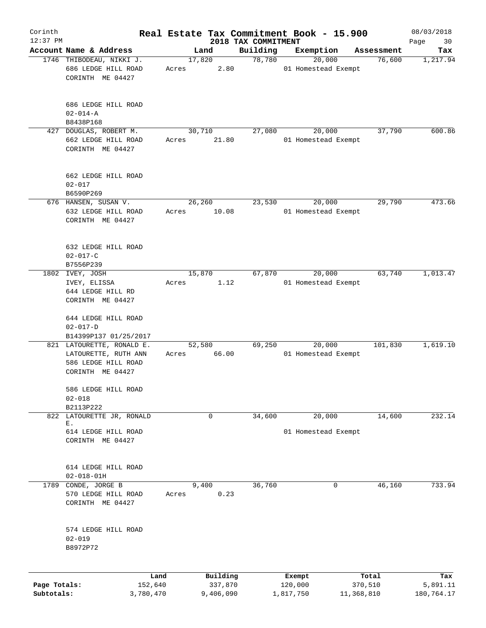| Corinth      |                                                                                              |       |                     |                                 | Real Estate Tax Commitment Book - 15.900 |                  | 08/03/2018        |
|--------------|----------------------------------------------------------------------------------------------|-------|---------------------|---------------------------------|------------------------------------------|------------------|-------------------|
| $12:37$ PM   | Account Name & Address                                                                       |       | Land                | 2018 TAX COMMITMENT<br>Building | Exemption                                | Assessment       | Page<br>30<br>Tax |
|              | 1746 THIBODEAU, NIKKI J.                                                                     |       | 17,820              | 78,780                          | 20,000                                   | 76,600           | 1,217.94          |
|              | 686 LEDGE HILL ROAD<br>CORINTH ME 04427                                                      | Acres | 2.80                |                                 | 01 Homestead Exempt                      |                  |                   |
|              | 686 LEDGE HILL ROAD<br>$02 - 014 - A$                                                        |       |                     |                                 |                                          |                  |                   |
|              | B8438P168                                                                                    |       |                     |                                 |                                          |                  |                   |
| 427          | DOUGLAS, ROBERT M.<br>662 LEDGE HILL ROAD<br>CORINTH ME 04427                                | Acres | 30,710<br>21.80     | 27,080                          | 20,000<br>01 Homestead Exempt            | 37,790           | 600.86            |
|              | 662 LEDGE HILL ROAD<br>$02 - 017$<br>B6590P269                                               |       |                     |                                 |                                          |                  |                   |
|              | 676 HANSEN, SUSAN V.                                                                         |       | 26,260              | 23,530                          | 20,000                                   | 29,790           | 473.66            |
|              | 632 LEDGE HILL ROAD<br>CORINTH ME 04427                                                      | Acres | 10.08               |                                 | 01 Homestead Exempt                      |                  |                   |
|              | 632 LEDGE HILL ROAD<br>$02 - 017 - C$<br>B7556P239                                           |       |                     |                                 |                                          |                  |                   |
|              | 1802 IVEY, JOSH                                                                              |       | 15,870              | 67,870                          | 20,000                                   | 63,740           | 1,013.47          |
|              | IVEY, ELISSA<br>644 LEDGE HILL RD<br>CORINTH ME 04427                                        | Acres | 1.12                |                                 | 01 Homestead Exempt                      |                  |                   |
|              | 644 LEDGE HILL ROAD<br>$02 - 017 - D$                                                        |       |                     |                                 |                                          |                  |                   |
|              | B14399P137 01/25/2017                                                                        |       |                     |                                 |                                          |                  |                   |
|              | 821 LATOURETTE, RONALD E.<br>LATOURETTE, RUTH ANN<br>586 LEDGE HILL ROAD<br>CORINTH ME 04427 | Acres | 52,580<br>66.00     | 69,250                          | 20,000<br>01 Homestead Exempt            | 101,830          | 1,619.10          |
|              | 586 LEDGE HILL ROAD<br>$02 - 018$                                                            |       |                     |                                 |                                          |                  |                   |
|              | B2113P222                                                                                    |       |                     |                                 |                                          |                  |                   |
|              | 822 LATOURETTE JR, RONALD<br>Ε.<br>614 LEDGE HILL ROAD<br>CORINTH ME 04427                   |       | 0                   | 34,600                          | 20,000<br>01 Homestead Exempt            | 14,600           | 232.14            |
|              | 614 LEDGE HILL ROAD<br>$02 - 018 - 01H$                                                      |       |                     |                                 |                                          |                  |                   |
|              | 1789 CONDE, JORGE B<br>570 LEDGE HILL ROAD<br>CORINTH ME 04427                               | Acres | 9,400<br>0.23       | 36,760                          | 0                                        | 46,160           | 733.94            |
|              | 574 LEDGE HILL ROAD<br>$02 - 019$<br>B8972P72                                                |       |                     |                                 |                                          |                  |                   |
|              |                                                                                              |       |                     |                                 |                                          |                  |                   |
| Page Totals: | Land<br>152,640                                                                              |       | Building<br>337,870 |                                 | Exempt<br>120,000                        | Total<br>370,510 | Tax<br>5,891.11   |
| Subtotals:   | 3,780,470                                                                                    |       | 9,406,090           |                                 | 1,817,750                                | 11,368,810       | 180,764.17        |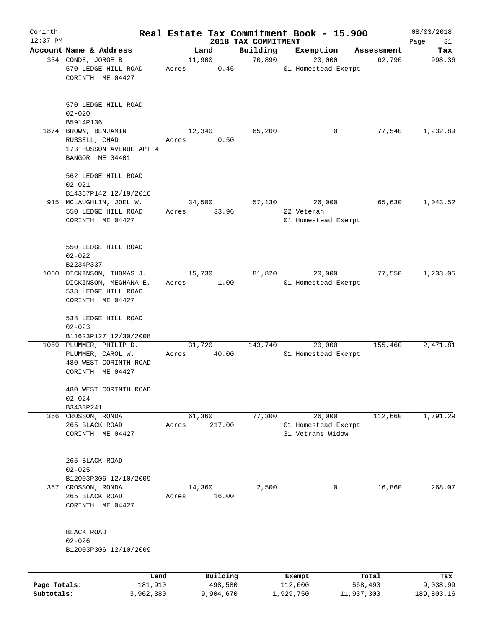| Corinth      |                                                                                           |       |                     |                                 | Real Estate Tax Commitment Book - 15.900          |                  | 08/03/2018        |
|--------------|-------------------------------------------------------------------------------------------|-------|---------------------|---------------------------------|---------------------------------------------------|------------------|-------------------|
| $12:37$ PM   | Account Name & Address                                                                    |       | Land                | 2018 TAX COMMITMENT<br>Building | Exemption                                         | Assessment       | Page<br>31<br>Tax |
|              | 334 CONDE, JORGE B                                                                        |       | 11,900              | 70,890                          | 20,000                                            | 62,790           | 998.36            |
|              | 570 LEDGE HILL ROAD<br>CORINTH ME 04427                                                   | Acres | 0.45                |                                 | 01 Homestead Exempt                               |                  |                   |
|              | 570 LEDGE HILL ROAD<br>$02 - 020$                                                         |       |                     |                                 |                                                   |                  |                   |
|              | B5914P136                                                                                 |       |                     |                                 |                                                   |                  |                   |
|              | 1874 BROWN, BENJAMIN<br>RUSSELL, CHAD<br>173 HUSSON AVENUE APT 4<br>BANGOR ME 04401       | Acres | 12,340<br>0.50      | 65,200                          | 0                                                 | 77,540           | 1,232.89          |
|              | 562 LEDGE HILL ROAD<br>$02 - 021$                                                         |       |                     |                                 |                                                   |                  |                   |
|              | B14367P142 12/19/2016                                                                     |       |                     |                                 |                                                   |                  |                   |
|              | 915 MCLAUGHLIN, JOEL W.<br>550 LEDGE HILL ROAD<br>CORINTH ME 04427                        | Acres | 34,500<br>33.96     | 57,130                          | 26,000<br>22 Veteran<br>01 Homestead Exempt       | 65,630           | 1,043.52          |
|              | 550 LEDGE HILL ROAD<br>$02 - 022$<br>B2234P337                                            |       |                     |                                 |                                                   |                  |                   |
|              | 1060 DICKINSON, THOMAS J.                                                                 |       | 15,730              | 81,820                          | 20,000                                            | 77,550           | 1,233.05          |
|              | DICKINSON, MEGHANA E.<br>538 LEDGE HILL ROAD<br>CORINTH ME 04427                          | Acres | 1.00                |                                 | 01 Homestead Exempt                               |                  |                   |
|              | 538 LEDGE HILL ROAD<br>$02 - 023$                                                         |       |                     |                                 |                                                   |                  |                   |
|              | B11623P127 12/30/2008                                                                     |       |                     |                                 |                                                   |                  |                   |
|              | 1059 PLUMMER, PHILIP D.<br>PLUMMER, CAROL W.<br>480 WEST CORINTH ROAD<br>CORINTH ME 04427 | Acres | 31,720<br>40.00     | 143,740                         | 20,000<br>01 Homestead Exempt                     | 155,460          | 2,471.81          |
|              | 480 WEST CORINTH ROAD<br>$02 - 024$                                                       |       |                     |                                 |                                                   |                  |                   |
|              | B3433P241                                                                                 |       |                     |                                 |                                                   |                  |                   |
|              | 366 CROSSON, RONDA<br>265 BLACK ROAD<br>CORINTH ME 04427                                  | Acres | 61,360<br>217.00    | 77,300                          | 26,000<br>01 Homestead Exempt<br>31 Vetrans Widow | 112,660          | 1,791.29          |
|              | 265 BLACK ROAD<br>$02 - 025$                                                              |       |                     |                                 |                                                   |                  |                   |
|              | B12003P306 12/10/2009                                                                     |       |                     |                                 |                                                   |                  |                   |
| 367          | CROSSON, RONDA<br>265 BLACK ROAD<br>CORINTH ME 04427                                      | Acres | 14,360<br>16.00     | 2,500                           | 0                                                 | 16,860           | 268.07            |
|              | <b>BLACK ROAD</b><br>$02 - 026$<br>B12003P306 12/10/2009                                  |       |                     |                                 |                                                   |                  |                   |
| Page Totals: | Land<br>181,910                                                                           |       | Building<br>498,580 |                                 | Exempt<br>112,000                                 | Total<br>568,490 | Tax<br>9,038.99   |
| Subtotals:   | 3,962,380                                                                                 |       | 9,904,670           |                                 | 1,929,750                                         | 11,937,300       | 189,803.16        |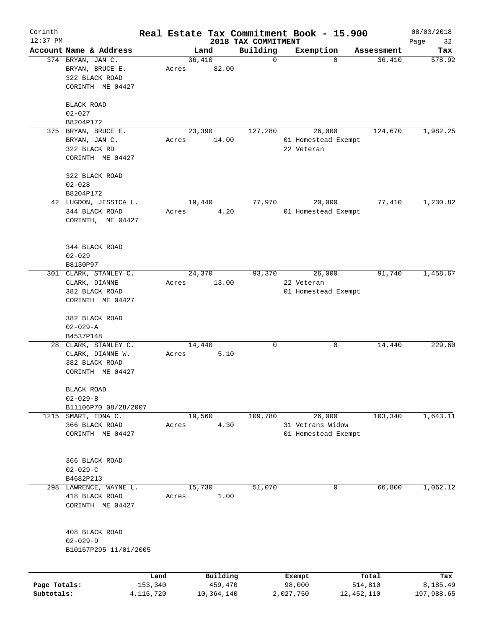| Corinth      |                        |                 |       |        |                     |                                 | Real Estate Tax Commitment Book - 15.900 |                  | 08/03/2018        |
|--------------|------------------------|-----------------|-------|--------|---------------------|---------------------------------|------------------------------------------|------------------|-------------------|
| $12:37$ PM   | Account Name & Address |                 |       | Land   |                     | 2018 TAX COMMITMENT<br>Building | Exemption                                | Assessment       | Page<br>32<br>Tax |
|              | 374 BRYAN, JAN C.      |                 |       | 36,410 |                     | $\mathbf 0$                     | $\mathbf 0$                              | 36,410           | 578.92            |
|              | BRYAN, BRUCE E.        |                 | Acres |        | 82.00               |                                 |                                          |                  |                   |
|              | 322 BLACK ROAD         |                 |       |        |                     |                                 |                                          |                  |                   |
|              | CORINTH ME 04427       |                 |       |        |                     |                                 |                                          |                  |                   |
|              |                        |                 |       |        |                     |                                 |                                          |                  |                   |
|              | BLACK ROAD             |                 |       |        |                     |                                 |                                          |                  |                   |
|              | $02 - 027$             |                 |       |        |                     |                                 |                                          |                  |                   |
|              | B8204P172              |                 |       |        |                     |                                 |                                          |                  |                   |
|              | 375 BRYAN, BRUCE E.    |                 |       | 23,390 |                     | 127,280                         | 26,000                                   | 124,670          | 1,982.25          |
|              | BRYAN, JAN C.          |                 | Acres |        | 14.00               |                                 | 01 Homestead Exempt                      |                  |                   |
|              | 322 BLACK RD           |                 |       |        |                     |                                 | 22 Veteran                               |                  |                   |
|              | CORINTH ME 04427       |                 |       |        |                     |                                 |                                          |                  |                   |
|              |                        |                 |       |        |                     |                                 |                                          |                  |                   |
|              | 322 BLACK ROAD         |                 |       |        |                     |                                 |                                          |                  |                   |
|              | $02 - 028$             |                 |       |        |                     |                                 |                                          |                  |                   |
|              | B8204P172              |                 |       |        |                     |                                 |                                          |                  |                   |
|              | 42 LUGDON, JESSICA L.  |                 |       | 19,440 |                     | 77,970                          | 20,000                                   | 77,410           | 1,230.82          |
|              | 344 BLACK ROAD         |                 | Acres |        | 4.20                |                                 | 01 Homestead Exempt                      |                  |                   |
|              | CORINTH, ME 04427      |                 |       |        |                     |                                 |                                          |                  |                   |
|              |                        |                 |       |        |                     |                                 |                                          |                  |                   |
|              |                        |                 |       |        |                     |                                 |                                          |                  |                   |
|              | 344 BLACK ROAD         |                 |       |        |                     |                                 |                                          |                  |                   |
|              | $02 - 029$             |                 |       |        |                     |                                 |                                          |                  |                   |
|              | B8130P97               |                 |       |        |                     |                                 |                                          |                  |                   |
|              | 301 CLARK, STANLEY C.  |                 |       | 24,370 |                     | 93,370                          | 26,000                                   | 91,740           | 1,458.67          |
|              | CLARK, DIANNE          |                 | Acres |        | 13.00               |                                 | 22 Veteran                               |                  |                   |
|              | 382 BLACK ROAD         |                 |       |        |                     |                                 | 01 Homestead Exempt                      |                  |                   |
|              | CORINTH ME 04427       |                 |       |        |                     |                                 |                                          |                  |                   |
|              | 382 BLACK ROAD         |                 |       |        |                     |                                 |                                          |                  |                   |
|              | $02 - 029 - A$         |                 |       |        |                     |                                 |                                          |                  |                   |
|              | B4537P148              |                 |       |        |                     |                                 |                                          |                  |                   |
|              | 28 CLARK, STANLEY C.   |                 |       | 14,440 |                     | 0                               | 0                                        | 14,440           | 229.60            |
|              | CLARK, DIANNE W.       |                 | Acres |        | 5.10                |                                 |                                          |                  |                   |
|              | 382 BLACK ROAD         |                 |       |        |                     |                                 |                                          |                  |                   |
|              | CORINTH ME 04427       |                 |       |        |                     |                                 |                                          |                  |                   |
|              |                        |                 |       |        |                     |                                 |                                          |                  |                   |
|              | BLACK ROAD             |                 |       |        |                     |                                 |                                          |                  |                   |
|              | $02 - 029 - B$         |                 |       |        |                     |                                 |                                          |                  |                   |
|              | B11106P70 08/28/2007   |                 |       |        |                     |                                 |                                          |                  |                   |
| 1215         | SMART, EDNA C.         |                 |       | 19,560 |                     | 109,780                         | 26,000                                   | 103,340          | 1,643.11          |
|              | 366 BLACK ROAD         |                 | Acres |        | 4.30                |                                 | 31 Vetrans Widow                         |                  |                   |
|              | CORINTH ME 04427       |                 |       |        |                     |                                 | 01 Homestead Exempt                      |                  |                   |
|              |                        |                 |       |        |                     |                                 |                                          |                  |                   |
|              |                        |                 |       |        |                     |                                 |                                          |                  |                   |
|              | 366 BLACK ROAD         |                 |       |        |                     |                                 |                                          |                  |                   |
|              | $02 - 029 - C$         |                 |       |        |                     |                                 |                                          |                  |                   |
|              | B4682P213              |                 |       |        |                     |                                 |                                          |                  |                   |
|              | 298 LAWRENCE, WAYNE L. |                 |       | 15,730 |                     | 51,070                          | 0                                        | 66,800           | 1,062.12          |
|              | 418 BLACK ROAD         |                 | Acres |        | 1.00                |                                 |                                          |                  |                   |
|              | CORINTH ME 04427       |                 |       |        |                     |                                 |                                          |                  |                   |
|              |                        |                 |       |        |                     |                                 |                                          |                  |                   |
|              | 408 BLACK ROAD         |                 |       |        |                     |                                 |                                          |                  |                   |
|              | $02 - 029 - D$         |                 |       |        |                     |                                 |                                          |                  |                   |
|              | B10167P295 11/01/2005  |                 |       |        |                     |                                 |                                          |                  |                   |
|              |                        |                 |       |        |                     |                                 |                                          |                  |                   |
|              |                        |                 |       |        |                     |                                 |                                          |                  |                   |
| Page Totals: |                        | Land<br>153,340 |       |        | Building<br>459,470 |                                 | Exempt<br>98,000                         | Total<br>514,810 | Tax<br>8,185.49   |
| Subtotals:   |                        | 4, 115, 720     |       |        | 10,364,140          |                                 | 2,027,750                                | 12, 452, 110     | 197,988.65        |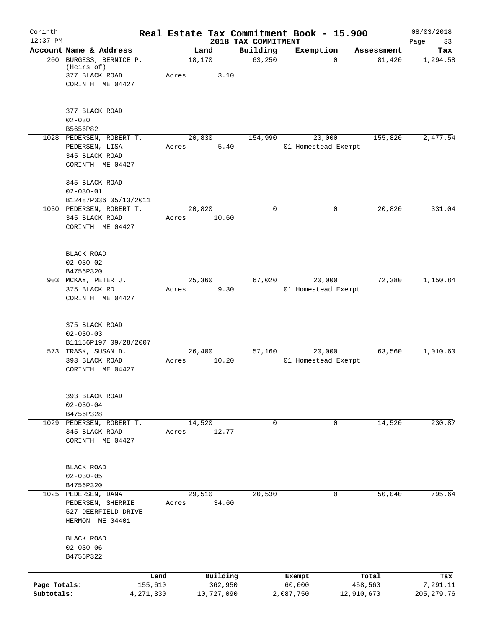| Corinth      |                                                                                    |         |                 |                                 | Real Estate Tax Commitment Book - 15.900 |            | 08/03/2018        |
|--------------|------------------------------------------------------------------------------------|---------|-----------------|---------------------------------|------------------------------------------|------------|-------------------|
| $12:37$ PM   | Account Name & Address                                                             |         | Land            | 2018 TAX COMMITMENT<br>Building | Exemption                                | Assessment | Page<br>33<br>Tax |
|              | 200 BURGESS, BERNICE P.<br>(Heirs of)<br>377 BLACK ROAD<br>CORINTH ME 04427        | Acres   | 18,170<br>3.10  | 63,250                          | $\mathbf 0$                              | 81,420     | 1,294.58          |
|              | 377 BLACK ROAD<br>$02 - 030$<br>B5656P82                                           |         |                 |                                 |                                          |            |                   |
|              | 1028 PEDERSEN, ROBERT T.<br>PEDERSEN, LISA<br>345 BLACK ROAD<br>CORINTH ME 04427   | Acres   | 20,830<br>5.40  | 154,990                         | 20,000<br>01 Homestead Exempt            | 155,820    | 2,477.54          |
|              | 345 BLACK ROAD<br>$02 - 030 - 01$<br>B12487P336 05/13/2011                         |         |                 |                                 |                                          |            |                   |
|              | 1030 PEDERSEN, ROBERT T.<br>345 BLACK ROAD<br>CORINTH ME 04427                     | Acres   | 20,820<br>10.60 | $\mathbf 0$                     | 0                                        | 20,820     | 331.04            |
|              | BLACK ROAD<br>$02 - 030 - 02$<br>B4756P320                                         |         |                 |                                 |                                          |            |                   |
|              | 903 MCKAY, PETER J.<br>375 BLACK RD<br>CORINTH ME 04427                            | Acres   | 25,360<br>9.30  | 67,020                          | 20,000<br>01 Homestead Exempt            | 72,380     | 1,150.84          |
|              | 375 BLACK ROAD<br>$02 - 030 - 03$<br>B11156P197 09/28/2007                         |         |                 |                                 |                                          |            |                   |
|              | 573 TRASK, SUSAN D.<br>393 BLACK ROAD<br>CORINTH ME 04427                          | Acres   | 26,400<br>10.20 | 57,160                          | 20,000<br>01 Homestead Exempt            | 63,560     | 1,010.60          |
|              | 393 BLACK ROAD<br>$02 - 030 - 04$<br>B4756P328                                     |         |                 |                                 |                                          |            |                   |
|              | 1029 PEDERSEN, ROBERT T.<br>345 BLACK ROAD<br>CORINTH ME 04427                     | Acres   | 14,520<br>12.77 | $\mathbf 0$                     | 0                                        | 14,520     | 230.87            |
|              | BLACK ROAD<br>$02 - 030 - 05$<br>B4756P320                                         |         |                 |                                 |                                          |            |                   |
|              | 1025 PEDERSEN, DANA<br>PEDERSEN, SHERRIE<br>527 DEERFIELD DRIVE<br>HERMON ME 04401 | Acres   | 29,510<br>34.60 | 20,530                          | 0                                        | 50,040     | 795.64            |
|              | BLACK ROAD<br>$02 - 030 - 06$<br>B4756P322                                         |         |                 |                                 |                                          |            |                   |
|              |                                                                                    | Land    | Building        |                                 | Exempt                                   | Total      | Tax               |
| Page Totals: |                                                                                    | 155,610 | 362,950         |                                 | 60,000                                   | 458,560    | 7,291.11          |
| Subtotals:   | 4,271,330                                                                          |         | 10,727,090      |                                 | 2,087,750                                | 12,910,670 | 205, 279.76       |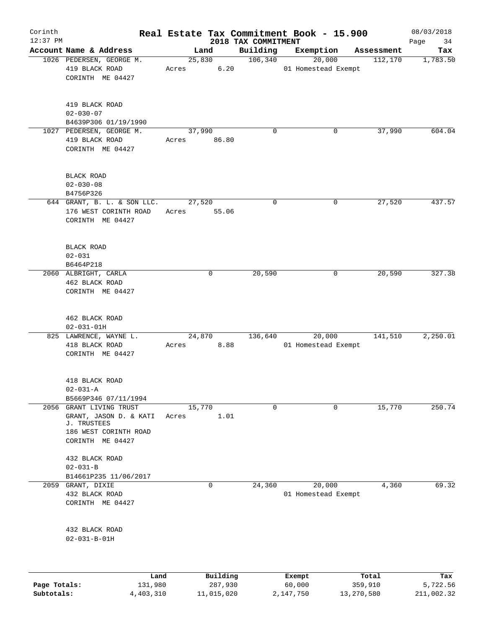| Corinth      |                                                                                    |       |                 |                     | Real Estate Tax Commitment Book - 15.900 |            | 08/03/2018 |
|--------------|------------------------------------------------------------------------------------|-------|-----------------|---------------------|------------------------------------------|------------|------------|
| $12:37$ PM   |                                                                                    |       |                 | 2018 TAX COMMITMENT |                                          |            | Page<br>34 |
|              | Account Name & Address                                                             |       | Land            | Building            | Exemption                                | Assessment | Tax        |
|              | 1026 PEDERSEN, GEORGE M.<br>419 BLACK ROAD<br>CORINTH ME 04427                     | Acres | 25,830<br>6.20  | 106,340             | 20,000<br>01 Homestead Exempt            | 112,170    | 1,783.50   |
|              | 419 BLACK ROAD<br>$02 - 030 - 07$<br>B4639P306 01/19/1990                          |       |                 |                     |                                          |            |            |
|              | 1027 PEDERSEN, GEORGE M.                                                           |       | 37,990          | $\mathbf 0$         | 0                                        | 37,990     | 604.04     |
|              | 419 BLACK ROAD<br>CORINTH ME 04427                                                 | Acres | 86.80           |                     |                                          |            |            |
|              | BLACK ROAD<br>$02 - 030 - 08$<br>B4756P326                                         |       |                 |                     |                                          |            |            |
|              | 644 GRANT, B. L. & SON LLC.<br>176 WEST CORINTH ROAD<br>CORINTH ME 04427           | Acres | 27,520<br>55.06 | $\mathbf 0$         | 0                                        | 27,520     | 437.57     |
|              | BLACK ROAD<br>$02 - 031$<br>B6464P218                                              |       |                 |                     |                                          |            |            |
|              | 2060 ALBRIGHT, CARLA<br>462 BLACK ROAD<br>CORINTH ME 04427                         |       | 0               | 20,590              | 0                                        | 20,590     | 327.38     |
|              | 462 BLACK ROAD<br>$02 - 031 - 01H$                                                 |       |                 |                     |                                          |            |            |
|              | 825 LAWRENCE, WAYNE L.<br>418 BLACK ROAD<br>CORINTH ME 04427                       | Acres | 24,870<br>8.88  | 136,640             | 20,000<br>01 Homestead Exempt            | 141,510    | 2,250.01   |
|              | 418 BLACK ROAD<br>$02 - 031 - A$                                                   |       |                 |                     |                                          |            |            |
|              | B5669P346 07/11/1994<br>2056 GRANT LIVING TRUST                                    |       | 15,770          | $\mathbf 0$         | $\mathbf 0$                              | 15,770     | 250.74     |
|              | GRANT, JASON D. & KATI<br>J. TRUSTEES<br>186 WEST CORINTH ROAD<br>CORINTH ME 04427 | Acres | 1.01            |                     |                                          |            |            |
|              | 432 BLACK ROAD<br>$02 - 031 - B$                                                   |       |                 |                     |                                          |            |            |
|              | B14661P235 11/06/2017                                                              |       |                 |                     |                                          |            |            |
|              | 2059 GRANT, DIXIE<br>432 BLACK ROAD<br>CORINTH ME 04427                            |       | $\mathbf 0$     | 24,360              | 20,000<br>01 Homestead Exempt            | 4,360      | 69.32      |
|              | 432 BLACK ROAD<br>$02 - 031 - B - 01H$                                             |       |                 |                     |                                          |            |            |
|              | Land                                                                               |       | Building        |                     | Exempt                                   | Total      | Tax        |
| Page Totals: | 131,980                                                                            |       | 287,930         |                     | 60,000                                   | 359,910    | 5,722.56   |

**Subtotals:** 4,403,310 11,015,020 2,147,750 13,270,580 211,002.32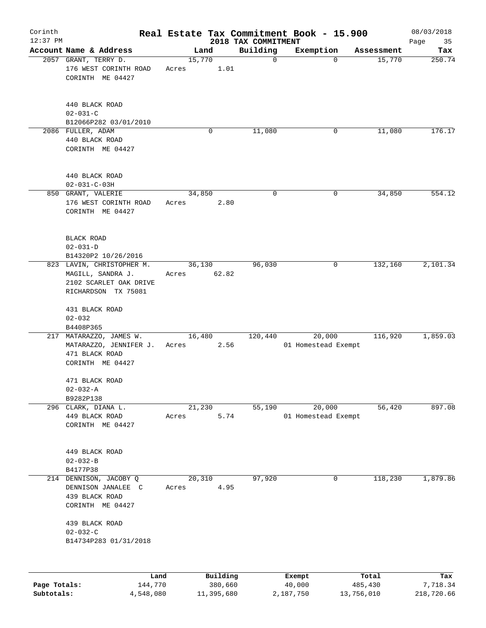| Corinth                    |                                                              |                      |                 |                       |                                 | Real Estate Tax Commitment Book - 15.900 |                       | 08/03/2018             |
|----------------------------|--------------------------------------------------------------|----------------------|-----------------|-----------------------|---------------------------------|------------------------------------------|-----------------------|------------------------|
| $12:37$ PM                 | Account Name & Address                                       |                      |                 | Land                  | 2018 TAX COMMITMENT<br>Building |                                          |                       | Page<br>35             |
|                            | 2057 GRANT, TERRY D.<br>176 WEST CORINTH ROAD                |                      | 15,770<br>Acres | 1.01                  | 0                               | Exemption<br>$\Omega$                    | Assessment<br>15,770  | Tax<br>250.74          |
|                            | CORINTH ME 04427                                             |                      |                 |                       |                                 |                                          |                       |                        |
|                            | 440 BLACK ROAD<br>$02 - 031 - C$                             |                      |                 |                       |                                 |                                          |                       |                        |
|                            | B12066P282 03/01/2010                                        |                      |                 |                       |                                 |                                          |                       |                        |
|                            | 2086 FULLER, ADAM<br>440 BLACK ROAD<br>CORINTH ME 04427      |                      |                 | 0                     | 11,080                          | 0                                        | 11,080                | 176.17                 |
|                            | 440 BLACK ROAD<br>$02 - 031 - C - 03H$                       |                      |                 |                       |                                 |                                          |                       |                        |
|                            | 850 GRANT, VALERIE                                           |                      | 34,850          |                       | 0                               | 0                                        | 34,850                | 554.12                 |
|                            | 176 WEST CORINTH ROAD<br>CORINTH ME 04427                    |                      | Acres           | 2.80                  |                                 |                                          |                       |                        |
|                            | BLACK ROAD<br>$02 - 031 - D$                                 |                      |                 |                       |                                 |                                          |                       |                        |
|                            | B14320P2 10/26/2016<br>823 LAVIN, CHRISTOPHER M.             |                      | 36,130          |                       | 96,030                          | 0                                        | 132,160               | 2,101.34               |
|                            | MAGILL, SANDRA J.                                            |                      | Acres           | 62.82                 |                                 |                                          |                       |                        |
|                            | 2102 SCARLET OAK DRIVE<br>RICHARDSON TX 75081                |                      |                 |                       |                                 |                                          |                       |                        |
|                            | 431 BLACK ROAD<br>$02 - 032$                                 |                      |                 |                       |                                 |                                          |                       |                        |
|                            | B4408P365                                                    |                      |                 |                       |                                 |                                          |                       |                        |
|                            | 217 MATARAZZO, JAMES W.                                      |                      | 16,480          |                       | 120,440                         | 20,000                                   | 116,920               | 1,859.03               |
|                            | MATARAZZO, JENNIFER J.<br>471 BLACK ROAD<br>CORINTH ME 04427 |                      | Acres           | 2.56                  |                                 | 01 Homestead Exempt                      |                       |                        |
|                            | 471 BLACK ROAD<br>$02 - 032 - A$                             |                      |                 |                       |                                 |                                          |                       |                        |
|                            | B9282P138<br>296 CLARK, DIANA L.                             |                      | 21,230          |                       | 55,190                          | 20,000                                   | 56,420                | 897.08                 |
|                            | 449 BLACK ROAD<br>CORINTH ME 04427                           |                      | Acres           | 5.74                  |                                 | 01 Homestead Exempt                      |                       |                        |
|                            | 449 BLACK ROAD<br>$02 - 032 - B$                             |                      |                 |                       |                                 |                                          |                       |                        |
|                            | B4177P38<br>214 DENNISON, JACOBY Q                           |                      | 20,310          |                       | 97,920                          | 0                                        | 118,230               | 1,879.86               |
|                            | DENNISON JANALEE C                                           |                      | Acres           | 4.95                  |                                 |                                          |                       |                        |
|                            | 439 BLACK ROAD<br>CORINTH ME 04427                           |                      |                 |                       |                                 |                                          |                       |                        |
|                            | 439 BLACK ROAD<br>$02 - 032 - C$                             |                      |                 |                       |                                 |                                          |                       |                        |
|                            | B14734P283 01/31/2018                                        |                      |                 |                       |                                 |                                          |                       |                        |
|                            |                                                              | Land                 |                 | Building              |                                 | Exempt                                   | Total                 | Tax                    |
| Page Totals:<br>Subtotals: |                                                              | 144,770<br>4,548,080 |                 | 380,660<br>11,395,680 |                                 | 40,000<br>2,187,750                      | 485,430<br>13,756,010 | 7,718.34<br>218,720.66 |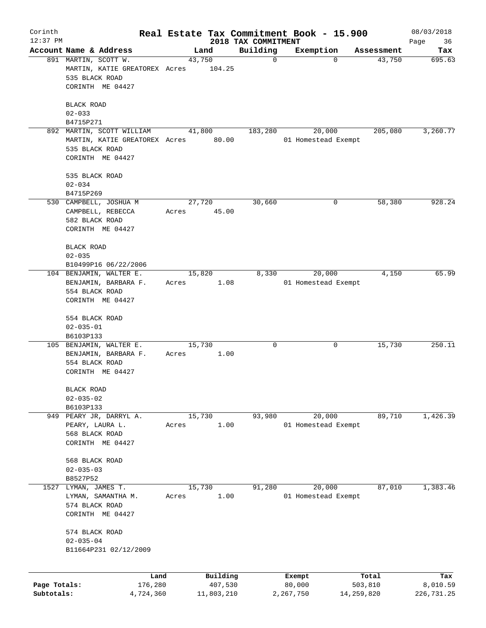| Corinth                    |                                                                                             |       |                                   |                                 | Real Estate Tax Commitment Book - 15.900 |                                | 08/03/2018                    |
|----------------------------|---------------------------------------------------------------------------------------------|-------|-----------------------------------|---------------------------------|------------------------------------------|--------------------------------|-------------------------------|
| $12:37$ PM                 | Account Name & Address                                                                      |       | Land                              | 2018 TAX COMMITMENT<br>Building | Exemption                                | Assessment                     | Page<br>36<br>Tax             |
|                            | 891 MARTIN, SCOTT W.<br>MARTIN, KATIE GREATOREX Acres<br>535 BLACK ROAD<br>CORINTH ME 04427 |       | 43,750<br>104.25                  | $\mathbf 0$                     | $\Omega$                                 | 43,750                         | 695.63                        |
|                            | <b>BLACK ROAD</b><br>$02 - 033$                                                             |       |                                   |                                 |                                          |                                |                               |
|                            | B4715P271<br>892 MARTIN, SCOTT WILLIAM                                                      |       | 41,800                            | 183,280                         | 20,000                                   | 205,080                        | 3,260.77                      |
|                            | MARTIN, KATIE GREATOREX Acres 80.00<br>535 BLACK ROAD<br>CORINTH ME 04427                   |       |                                   |                                 | 01 Homestead Exempt                      |                                |                               |
|                            | 535 BLACK ROAD<br>$02 - 034$                                                                |       |                                   |                                 |                                          |                                |                               |
|                            | B4715P269                                                                                   |       |                                   | 30,660                          | 0                                        |                                | 928.24                        |
|                            | 530 CAMPBELL, JOSHUA M<br>CAMPBELL, REBECCA<br>582 BLACK ROAD<br>CORINTH ME 04427           | Acres | 27,720<br>45.00                   |                                 |                                          | 58,380                         |                               |
|                            | <b>BLACK ROAD</b><br>$02 - 035$                                                             |       |                                   |                                 |                                          |                                |                               |
|                            | B10499P16 06/22/2006                                                                        |       |                                   |                                 |                                          |                                |                               |
|                            | 104 BENJAMIN, WALTER E.<br>BENJAMIN, BARBARA F.<br>554 BLACK ROAD<br>CORINTH ME 04427       | Acres | 15,820<br>1.08                    | 8,330                           | 20,000<br>01 Homestead Exempt            | 4,150                          | 65.99                         |
|                            | 554 BLACK ROAD<br>$02 - 035 - 01$<br>B6103P133                                              |       |                                   |                                 |                                          |                                |                               |
|                            | 105 BENJAMIN, WALTER E.<br>BENJAMIN, BARBARA F.<br>554 BLACK ROAD<br>CORINTH ME 04427       | Acres | 15,730<br>1.00                    | 0                               | 0                                        | 15,730                         | 250.11                        |
|                            | BLACK ROAD<br>$02 - 035 - 02$                                                               |       |                                   |                                 |                                          |                                |                               |
|                            | B6103P133                                                                                   |       |                                   |                                 |                                          |                                |                               |
|                            | 949 PEARY JR, DARRYL A.<br>PEARY, LAURA L.<br>568 BLACK ROAD<br>CORINTH ME 04427            | Acres | 15,730<br>1.00                    | 93,980                          | 20,000<br>01 Homestead Exempt            | 89,710                         | 1,426.39                      |
|                            | 568 BLACK ROAD<br>$02 - 035 - 03$                                                           |       |                                   |                                 |                                          |                                |                               |
|                            | B8527P52                                                                                    |       |                                   |                                 |                                          |                                |                               |
| 1527                       | LYMAN, JAMES T.<br>LYMAN, SAMANTHA M.<br>574 BLACK ROAD<br>CORINTH ME 04427                 | Acres | 15,730<br>1.00                    | 91,280                          | 20,000<br>01 Homestead Exempt            | 87,010                         | 1,383.46                      |
|                            | 574 BLACK ROAD<br>$02 - 035 - 04$<br>B11664P231 02/12/2009                                  |       |                                   |                                 |                                          |                                |                               |
|                            |                                                                                             |       |                                   |                                 |                                          |                                |                               |
| Page Totals:<br>Subtotals: | Land<br>176,280<br>4,724,360                                                                |       | Building<br>407,530<br>11,803,210 |                                 | Exempt<br>80,000<br>2,267,750            | Total<br>503,810<br>14,259,820 | Tax<br>8,010.59<br>226,731.25 |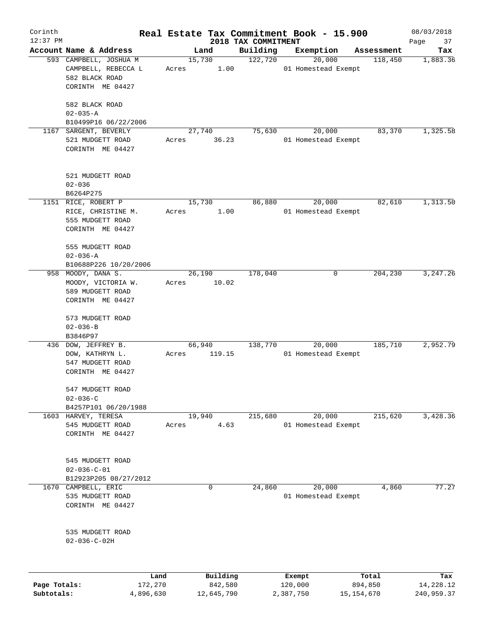| Corinth<br>$12:37$ PM |                                                                 |        |                     |                                 | Real Estate Tax Commitment Book - 15.900 |                  | 08/03/2018        |
|-----------------------|-----------------------------------------------------------------|--------|---------------------|---------------------------------|------------------------------------------|------------------|-------------------|
|                       | Account Name & Address                                          |        | Land                | 2018 TAX COMMITMENT<br>Building | Exemption                                | Assessment       | Page<br>37<br>Tax |
|                       | 593 CAMPBELL, JOSHUA M<br>CAMPBELL, REBECCA L<br>582 BLACK ROAD | Acres  | 15,730<br>1.00      | 122,720                         | 20,000<br>01 Homestead Exempt            | 118,450          | 1,883.36          |
|                       | CORINTH ME 04427<br>582 BLACK ROAD                              |        |                     |                                 |                                          |                  |                   |
|                       | $02 - 035 - A$<br>B10499P16 06/22/2006                          |        |                     |                                 |                                          |                  |                   |
| 1167                  | SARGENT, BEVERLY                                                |        | 27,740              | 75,630                          | 20,000                                   | 83,370           | 1,325.58          |
|                       | 521 MUDGETT ROAD<br>CORINTH ME 04427                            | Acres  | 36.23               |                                 | 01 Homestead Exempt                      |                  |                   |
|                       | 521 MUDGETT ROAD<br>$02 - 036$                                  |        |                     |                                 |                                          |                  |                   |
|                       | B6264P275                                                       |        |                     |                                 |                                          |                  |                   |
|                       | 1151 RICE, ROBERT P                                             | 15,730 |                     | 86,880                          | 20,000                                   | 82,610           | 1,313.50          |
|                       | RICE, CHRISTINE M.<br>555 MUDGETT ROAD<br>CORINTH ME 04427      | Acres  | 1.00                |                                 | 01 Homestead Exempt                      |                  |                   |
|                       | 555 MUDGETT ROAD<br>$02 - 036 - A$                              |        |                     |                                 |                                          |                  |                   |
|                       | B10688P226 10/20/2006                                           |        |                     |                                 |                                          |                  |                   |
|                       | 958 MOODY, DANA S.                                              |        | 26,190              | 178,040                         | 0                                        | 204,230          | 3,247.26          |
|                       | MOODY, VICTORIA W.<br>589 MUDGETT ROAD                          | Acres  | 10.02               |                                 |                                          |                  |                   |
|                       | CORINTH ME 04427                                                |        |                     |                                 |                                          |                  |                   |
|                       | 573 MUDGETT ROAD                                                |        |                     |                                 |                                          |                  |                   |
|                       | $02 - 036 - B$<br>B3846P97                                      |        |                     |                                 |                                          |                  |                   |
|                       | 436 DOW, JEFFREY B.                                             | 66,940 |                     | 138,770                         | 20,000                                   | 185,710          | 2,952.79          |
|                       | DOW, KATHRYN L.                                                 | Acres  | 119.15              |                                 | 01 Homestead Exempt                      |                  |                   |
|                       | 547 MUDGETT ROAD<br>CORINTH ME 04427                            |        |                     |                                 |                                          |                  |                   |
|                       | 547 MUDGETT ROAD                                                |        |                     |                                 |                                          |                  |                   |
|                       | $02 - 036 - C$<br>B4257P101 06/20/1988                          |        |                     |                                 |                                          |                  |                   |
|                       | 1603 HARVEY, TERESA                                             | 19,940 |                     | 215,680                         | 20,000                                   | 215,620          | 3,428.36          |
|                       | 545 MUDGETT ROAD                                                | Acres  | 4.63                |                                 | 01 Homestead Exempt                      |                  |                   |
|                       | CORINTH ME 04427                                                |        |                     |                                 |                                          |                  |                   |
|                       | 545 MUDGETT ROAD                                                |        |                     |                                 |                                          |                  |                   |
|                       | $02 - 036 - C - 01$<br>B12923P205 08/27/2012                    |        |                     |                                 |                                          |                  |                   |
| 1670                  | CAMPBELL, ERIC                                                  |        | 0                   | 24,860                          | 20,000                                   | 4,860            | 77.27             |
|                       | 535 MUDGETT ROAD                                                |        |                     |                                 | 01 Homestead Exempt                      |                  |                   |
|                       | CORINTH ME 04427                                                |        |                     |                                 |                                          |                  |                   |
|                       | 535 MUDGETT ROAD<br>$02 - 036 - C - 02H$                        |        |                     |                                 |                                          |                  |                   |
|                       |                                                                 |        |                     |                                 |                                          |                  |                   |
| Page Totals:          | Land<br>172,270                                                 |        | Building<br>842,580 |                                 | Exempt<br>120,000                        | Total<br>894,850 | Tax<br>14,228.12  |

**Subtotals:** 4,896,630 12,645,790 2,387,750 15,154,670 240,959.37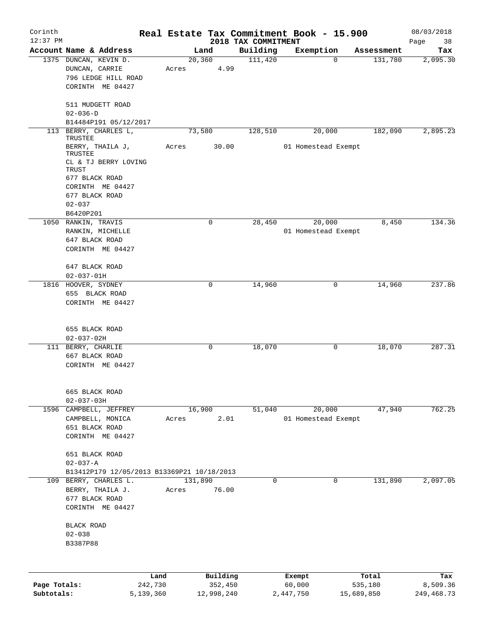| Corinth      |                                            |           |         |             | Real Estate Tax Commitment Book - 15.900 |                     |          |            | 08/03/2018        |
|--------------|--------------------------------------------|-----------|---------|-------------|------------------------------------------|---------------------|----------|------------|-------------------|
| $12:37$ PM   | Account Name & Address                     |           | Land    |             | 2018 TAX COMMITMENT<br>Building          | Exemption           |          | Assessment | Page<br>38<br>Tax |
|              | 1375 DUNCAN, KEVIN D.                      |           | 20, 360 |             | 111,420                                  |                     | $\Omega$ | 131,780    | 2,095.30          |
|              | DUNCAN, CARRIE                             | Acres     |         | 4.99        |                                          |                     |          |            |                   |
|              | 796 LEDGE HILL ROAD                        |           |         |             |                                          |                     |          |            |                   |
|              | CORINTH ME 04427                           |           |         |             |                                          |                     |          |            |                   |
|              |                                            |           |         |             |                                          |                     |          |            |                   |
|              | 511 MUDGETT ROAD                           |           |         |             |                                          |                     |          |            |                   |
|              | $02 - 036 - D$                             |           |         |             |                                          |                     |          |            |                   |
|              | B14484P191 05/12/2017                      |           |         |             |                                          |                     |          |            |                   |
| 113          | BERRY, CHARLES L,<br>TRUSTEE               |           | 73,580  |             | 128,510                                  |                     | 20,000   | 182,090    | 2,895.23          |
|              | BERRY, THAILA J,<br>TRUSTEE                | Acres     |         | 30.00       |                                          | 01 Homestead Exempt |          |            |                   |
|              | CL & TJ BERRY LOVING<br>TRUST              |           |         |             |                                          |                     |          |            |                   |
|              | 677 BLACK ROAD                             |           |         |             |                                          |                     |          |            |                   |
|              | CORINTH ME 04427                           |           |         |             |                                          |                     |          |            |                   |
|              | 677 BLACK ROAD                             |           |         |             |                                          |                     |          |            |                   |
|              | $02 - 037$                                 |           |         |             |                                          |                     |          |            |                   |
|              | B6420P201                                  |           |         |             |                                          |                     |          |            |                   |
|              | 1050 RANKIN, TRAVIS                        |           |         | $\mathbf 0$ | 28,450                                   |                     | 20,000   | 8,450      | 134.36            |
|              | RANKIN, MICHELLE                           |           |         |             |                                          | 01 Homestead Exempt |          |            |                   |
|              | 647 BLACK ROAD                             |           |         |             |                                          |                     |          |            |                   |
|              | CORINTH ME 04427                           |           |         |             |                                          |                     |          |            |                   |
|              |                                            |           |         |             |                                          |                     |          |            |                   |
|              |                                            |           |         |             |                                          |                     |          |            |                   |
|              | 647 BLACK ROAD                             |           |         |             |                                          |                     |          |            |                   |
|              | $02 - 037 - 01H$                           |           |         |             |                                          |                     |          |            |                   |
|              | 1816 HOOVER, SYDNEY                        |           |         | 0           | 14,960                                   |                     | 0        | 14,960     | 237.86            |
|              | 655 BLACK ROAD                             |           |         |             |                                          |                     |          |            |                   |
|              | CORINTH ME 04427                           |           |         |             |                                          |                     |          |            |                   |
|              |                                            |           |         |             |                                          |                     |          |            |                   |
|              | 655 BLACK ROAD                             |           |         |             |                                          |                     |          |            |                   |
|              | $02 - 037 - 02H$                           |           |         |             |                                          |                     |          |            |                   |
|              | 111 BERRY, CHARLIE                         |           |         | 0           | 18,070                                   |                     | 0        | 18,070     | 287.31            |
|              | 667 BLACK ROAD                             |           |         |             |                                          |                     |          |            |                   |
|              | CORINTH ME 04427                           |           |         |             |                                          |                     |          |            |                   |
|              |                                            |           |         |             |                                          |                     |          |            |                   |
|              | 665 BLACK ROAD                             |           |         |             |                                          |                     |          |            |                   |
|              | $02 - 037 - 03H$                           |           |         |             |                                          |                     |          |            |                   |
|              | 1596 CAMPBELL, JEFFREY                     |           | 16,900  |             | 51,040                                   |                     | 20,000   | 47,940     | 762.25            |
|              | CAMPBELL, MONICA                           | Acres     |         | 2.01        |                                          | 01 Homestead Exempt |          |            |                   |
|              | 651 BLACK ROAD                             |           |         |             |                                          |                     |          |            |                   |
|              | CORINTH ME 04427                           |           |         |             |                                          |                     |          |            |                   |
|              |                                            |           |         |             |                                          |                     |          |            |                   |
|              | 651 BLACK ROAD                             |           |         |             |                                          |                     |          |            |                   |
|              | $02 - 037 - A$                             |           |         |             |                                          |                     |          |            |                   |
|              | B13412P179 12/05/2013 B13369P21 10/18/2013 |           |         |             |                                          |                     |          |            |                   |
|              | 109 BERRY, CHARLES L.                      |           | 131,890 |             | $\mathsf{O}$                             |                     | 0        | 131,890    | 2,097.05          |
|              |                                            |           |         |             |                                          |                     |          |            |                   |
|              | BERRY, THAILA J.                           | Acres     |         | 76.00       |                                          |                     |          |            |                   |
|              | 677 BLACK ROAD                             |           |         |             |                                          |                     |          |            |                   |
|              | CORINTH ME 04427                           |           |         |             |                                          |                     |          |            |                   |
|              | BLACK ROAD                                 |           |         |             |                                          |                     |          |            |                   |
|              | $02 - 038$                                 |           |         |             |                                          |                     |          |            |                   |
|              | B3387P88                                   |           |         |             |                                          |                     |          |            |                   |
|              |                                            |           |         |             |                                          |                     |          |            |                   |
|              |                                            |           |         |             |                                          |                     |          |            |                   |
|              |                                            | Land      |         | Building    |                                          | Exempt              |          | Total      | Tax               |
| Page Totals: |                                            | 242,730   |         | 352,450     |                                          | 60,000              |          | 535,180    | 8,509.36          |
| Subtotals:   |                                            | 5,139,360 |         | 12,998,240  |                                          | 2,447,750           |          | 15,689,850 | 249, 468. 73      |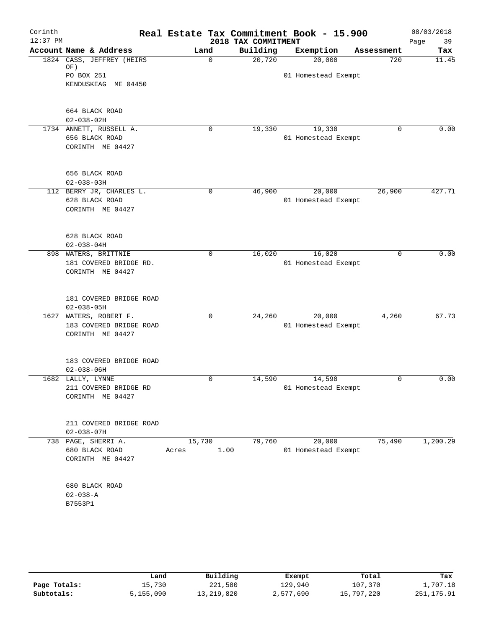| Corinth<br>$12:37$ PM |                                   |               | 2018 TAX COMMITMENT | Real Estate Tax Commitment Book - 15.900 |             | 08/03/2018<br>39<br>Page |
|-----------------------|-----------------------------------|---------------|---------------------|------------------------------------------|-------------|--------------------------|
|                       | Account Name & Address            | Land          | Building            | Exemption                                | Assessment  | Tax                      |
|                       | 1824 CASS, JEFFREY (HEIRS         | $\Omega$      | 20,720              | 20,000                                   | 720         | 11.45                    |
|                       | OF)                               |               |                     |                                          |             |                          |
|                       | PO BOX 251<br>KENDUSKEAG ME 04450 |               |                     | 01 Homestead Exempt                      |             |                          |
|                       |                                   |               |                     |                                          |             |                          |
|                       | 664 BLACK ROAD                    |               |                     |                                          |             |                          |
|                       | $02 - 038 - 02H$                  |               |                     |                                          |             |                          |
|                       | 1734 ANNETT, RUSSELL A.           | 0             | 19,330              | 19,330                                   | 0           | 0.00                     |
|                       | 656 BLACK ROAD                    |               |                     | 01 Homestead Exempt                      |             |                          |
|                       | CORINTH ME 04427                  |               |                     |                                          |             |                          |
|                       | 656 BLACK ROAD                    |               |                     |                                          |             |                          |
|                       | $02 - 038 - 03H$                  |               |                     |                                          |             |                          |
|                       | 112 BERRY JR, CHARLES L.          | 0             | 46,900              | 20,000                                   | 26,900      | 427.71                   |
|                       | 628 BLACK ROAD                    |               |                     | 01 Homestead Exempt                      |             |                          |
|                       | CORINTH ME 04427                  |               |                     |                                          |             |                          |
|                       | 628 BLACK ROAD                    |               |                     |                                          |             |                          |
|                       | $02 - 038 - 04H$                  |               |                     |                                          |             |                          |
|                       | 898 WATERS, BRITTNIE              | 0             | 16,020              | 16,020                                   | $\mathbf 0$ | 0.00                     |
|                       | 181 COVERED BRIDGE RD.            |               |                     | 01 Homestead Exempt                      |             |                          |
|                       | CORINTH ME 04427                  |               |                     |                                          |             |                          |
|                       | 181 COVERED BRIDGE ROAD           |               |                     |                                          |             |                          |
|                       | $02 - 038 - 05H$                  |               |                     |                                          |             |                          |
| 1627                  | WATERS, ROBERT F.                 | 0             | 24,260              | 20,000                                   | 4,260       | 67.73                    |
|                       | 183 COVERED BRIDGE ROAD           |               |                     | 01 Homestead Exempt                      |             |                          |
|                       | CORINTH ME 04427                  |               |                     |                                          |             |                          |
|                       | 183 COVERED BRIDGE ROAD           |               |                     |                                          |             |                          |
|                       | $02 - 038 - 06H$                  |               |                     |                                          |             |                          |
|                       | 1682 LALLY, LYNNE                 | 0             | 14,590              | 14,590                                   | 0           | 0.00                     |
|                       | 211 COVERED BRIDGE RD             |               |                     | 01 Homestead Exempt                      |             |                          |
|                       | CORINTH ME 04427                  |               |                     |                                          |             |                          |
|                       | 211 COVERED BRIDGE ROAD           |               |                     |                                          |             |                          |
|                       | $02 - 038 - 07H$                  |               |                     |                                          |             |                          |
|                       | 738 PAGE, SHERRI A.               | 15,730        | 79,760              | 20,000                                   | 75,490      | 1,200.29                 |
|                       | 680 BLACK ROAD                    | 1.00<br>Acres |                     | 01 Homestead Exempt                      |             |                          |
|                       | CORINTH ME 04427                  |               |                     |                                          |             |                          |
|                       | 680 BLACK ROAD                    |               |                     |                                          |             |                          |
|                       | $02 - 038 - A$                    |               |                     |                                          |             |                          |
|                       | B7553P1                           |               |                     |                                          |             |                          |
|                       |                                   |               |                     |                                          |             |                          |
|                       |                                   |               |                     |                                          |             |                          |
|                       |                                   |               |                     |                                          |             |                          |
|                       |                                   |               |                     |                                          |             |                          |

|              | Land      | Building   | Exempt    | Total      | Tax        |
|--------------|-----------|------------|-----------|------------|------------|
| Page Totals: | 15,730    | 221,580    | 129,940   | 107,370    | 1,707.18   |
| Subtotals:   | 5,155,090 | 13,219,820 | 2,577,690 | 15,797,220 | 251,175.91 |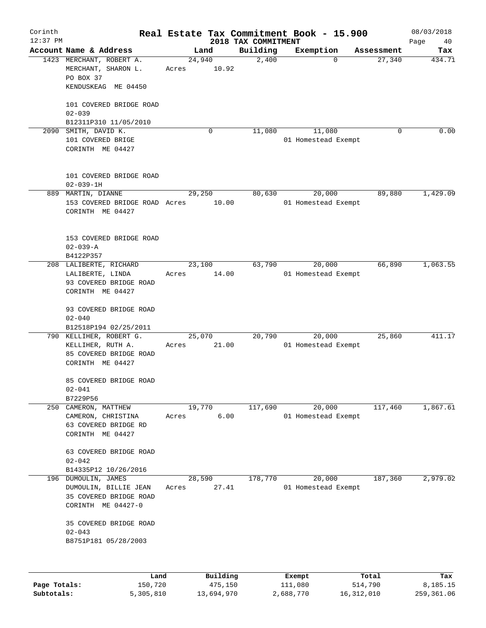| Corinth<br>$12:37$ PM |                                                                                          |                 |          |                                 | Real Estate Tax Commitment Book - 15.900 |            | 08/03/2018        |
|-----------------------|------------------------------------------------------------------------------------------|-----------------|----------|---------------------------------|------------------------------------------|------------|-------------------|
|                       | Account Name & Address                                                                   | Land            |          | 2018 TAX COMMITMENT<br>Building | Exemption                                | Assessment | Page<br>40<br>Tax |
|                       | 1423 MERCHANT, ROBERT A.                                                                 | 24,940          |          | 2,400                           | $\Omega$                                 | 27,340     | 434.71            |
|                       | MERCHANT, SHARON L.<br>PO BOX 37<br>KENDUSKEAG ME 04450                                  | Acres           | 10.92    |                                 |                                          |            |                   |
|                       | 101 COVERED BRIDGE ROAD                                                                  |                 |          |                                 |                                          |            |                   |
|                       | $02 - 039$<br>B12311P310 11/05/2010                                                      |                 |          |                                 |                                          |            |                   |
|                       | 2090 SMITH, DAVID K.<br>101 COVERED BRIGE<br>CORINTH ME 04427                            |                 | 0        | 11,080                          | 11,080<br>01 Homestead Exempt            | 0          | 0.00              |
|                       | 101 COVERED BRIDGE ROAD<br>$02 - 039 - 1H$                                               |                 |          |                                 |                                          |            |                   |
|                       | 889 MARTIN, DIANNE<br>153 COVERED BRIDGE ROAD Acres<br>CORINTH ME 04427                  | 29,250          | 10.00    | 80,630                          | 20,000<br>01 Homestead Exempt            | 89,880     | 1,429.09          |
|                       | 153 COVERED BRIDGE ROAD<br>$02 - 039 - A$<br>B4122P357                                   |                 |          |                                 |                                          |            |                   |
|                       | 208 LALIBERTE, RICHARD<br>LALIBERTE, LINDA<br>93 COVERED BRIDGE ROAD<br>CORINTH ME 04427 | 23,100<br>Acres | 14.00    | 63,790                          | 20,000<br>01 Homestead Exempt            | 66,890     | 1,063.55          |
|                       | 93 COVERED BRIDGE ROAD<br>$02 - 040$<br>B12518P194 02/25/2011                            |                 |          |                                 |                                          |            |                   |
| 790                   | KELLIHER, ROBERT G.<br>KELLIHER, RUTH A.<br>85 COVERED BRIDGE ROAD<br>CORINTH ME 04427   | 25,070<br>Acres | 21.00    | 20,790                          | 20,000<br>01 Homestead Exempt            | 25,860     | 411.17            |
|                       | 85 COVERED BRIDGE ROAD<br>$02 - 041$                                                     |                 |          |                                 |                                          |            |                   |
| 250                   | B7229P56<br>CAMERON, MATTHEW                                                             | 19,770          |          | 117,690                         | 20,000                                   | 117,460    | 1,867.61          |
|                       | CAMERON, CHRISTINA<br>63 COVERED BRIDGE RD<br>CORINTH ME 04427                           | Acres           | 6.00     |                                 | 01 Homestead Exempt                      |            |                   |
|                       | 63 COVERED BRIDGE ROAD<br>$02 - 042$                                                     |                 |          |                                 |                                          |            |                   |
| 196                   | B14335P12 10/26/2016<br>DUMOULIN, JAMES                                                  | 28,590          |          | 178,770                         | 20,000                                   | 187,360    | 2,979.02          |
|                       | DUMOULIN, BILLIE JEAN<br>35 COVERED BRIDGE ROAD<br>CORINTH ME 04427-0                    | Acres           | 27.41    |                                 | 01 Homestead Exempt                      |            |                   |
|                       | 35 COVERED BRIDGE ROAD<br>$02 - 043$<br>B8751P181 05/28/2003                             |                 |          |                                 |                                          |            |                   |
|                       |                                                                                          |                 |          |                                 |                                          |            |                   |
|                       | Land                                                                                     |                 | Building |                                 | Exempt                                   | Total      | Tax               |
| Page Totals:          | 150,720                                                                                  |                 | 475,150  |                                 | 111,080                                  | 514,790    | 8,185.15          |

**Subtotals:** 5,305,810 13,694,970 2,688,770 16,312,010 259,361.06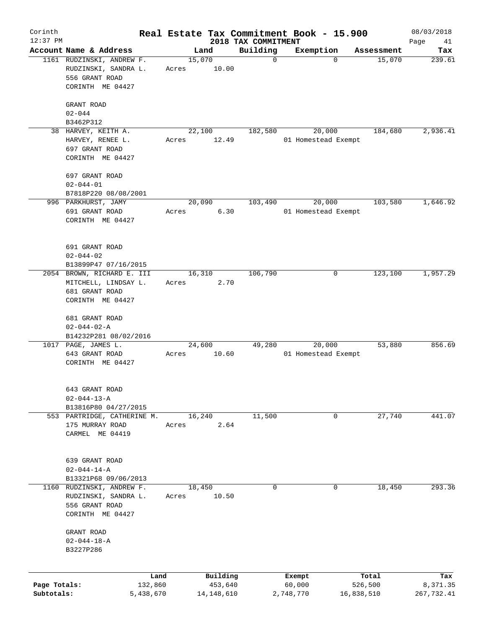| Corinth<br>$12:37$ PM      |                                                                                         |                      |       |                         | 2018 TAX COMMITMENT | Real Estate Tax Commitment Book - 15.900 |                       | 08/03/2018<br>Page<br>41 |
|----------------------------|-----------------------------------------------------------------------------------------|----------------------|-------|-------------------------|---------------------|------------------------------------------|-----------------------|--------------------------|
|                            | Account Name & Address                                                                  |                      |       | Land                    | Building            | Exemption                                | Assessment            | Tax                      |
|                            | 1161 RUDZINSKI, ANDREW F.<br>RUDZINSKI, SANDRA L.<br>556 GRANT ROAD<br>CORINTH ME 04427 |                      | Acres | 15,070<br>10.00         | $\mathbf 0$         | $\Omega$                                 | 15,070                | 239.61                   |
|                            | GRANT ROAD<br>$02 - 044$                                                                |                      |       |                         |                     |                                          |                       |                          |
|                            | B3462P312                                                                               |                      |       |                         |                     |                                          |                       |                          |
|                            | 38 HARVEY, KEITH A.                                                                     |                      |       | 22,100                  | 182,580             | 20,000                                   | 184,680               | 2,936.41                 |
|                            | HARVEY, RENEE L.<br>697 GRANT ROAD<br>CORINTH ME 04427                                  |                      | Acres | 12.49                   |                     | 01 Homestead Exempt                      |                       |                          |
|                            | 697 GRANT ROAD<br>$02 - 044 - 01$                                                       |                      |       |                         |                     |                                          |                       |                          |
|                            | B7818P220 08/08/2001<br>996 PARKHURST, JAMY                                             |                      |       | 20,090                  | 103,490             | 20,000                                   | 103,580               | 1,646.92                 |
|                            | 691 GRANT ROAD<br>CORINTH ME 04427                                                      |                      | Acres | 6.30                    |                     | 01 Homestead Exempt                      |                       |                          |
|                            | 691 GRANT ROAD<br>$02 - 044 - 02$<br>B13899P47 07/16/2015                               |                      |       |                         |                     |                                          |                       |                          |
|                            | 2054 BROWN, RICHARD E. III                                                              |                      |       | 16,310                  | 106,790             | 0                                        | 123,100               | 1,957.29                 |
|                            | MITCHELL, LINDSAY L.<br>681 GRANT ROAD<br>CORINTH ME 04427                              |                      | Acres | 2.70                    |                     |                                          |                       |                          |
|                            | 681 GRANT ROAD<br>$02 - 044 - 02 - A$                                                   |                      |       |                         |                     |                                          |                       |                          |
|                            | B14232P281 08/02/2016                                                                   |                      |       | 24,600                  | 49,280              |                                          | 53,880                | 856.69                   |
|                            | 1017 PAGE, JAMES L.<br>643 GRANT ROAD<br>CORINTH ME 04427                               |                      | Acres | 10.60                   |                     | 20,000<br>01 Homestead Exempt            |                       |                          |
|                            | 643 GRANT ROAD<br>$02 - 044 - 13 - A$<br>B13816P80 04/27/2015                           |                      |       |                         |                     |                                          |                       |                          |
|                            | 553 PARTRIDGE, CATHERINE M.                                                             |                      |       | 16,240                  | 11,500              | 0                                        | 27,740                | 441.07                   |
|                            | 175 MURRAY ROAD<br>CARMEL ME 04419                                                      |                      | Acres | 2.64                    |                     |                                          |                       |                          |
|                            | 639 GRANT ROAD<br>$02 - 044 - 14 - A$<br>B13321P68 09/06/2013                           |                      |       |                         |                     |                                          |                       |                          |
| 1160                       | RUDZINSKI, ANDREW F.<br>RUDZINSKI, SANDRA L.<br>556 GRANT ROAD<br>CORINTH ME 04427      |                      | Acres | 18,450<br>10.50         | 0                   | 0                                        | 18,450                | 293.36                   |
|                            | GRANT ROAD<br>$02 - 044 - 18 - A$<br>B3227P286                                          |                      |       |                         |                     |                                          |                       |                          |
|                            |                                                                                         |                      |       |                         |                     |                                          |                       |                          |
|                            |                                                                                         | Land                 |       | Building                |                     | Exempt                                   | Total                 | Tax                      |
| Page Totals:<br>Subtotals: |                                                                                         | 132,860<br>5,438,670 |       | 453,640<br>14, 148, 610 |                     | 60,000<br>2,748,770                      | 526,500<br>16,838,510 | 8,371.35<br>267,732.41   |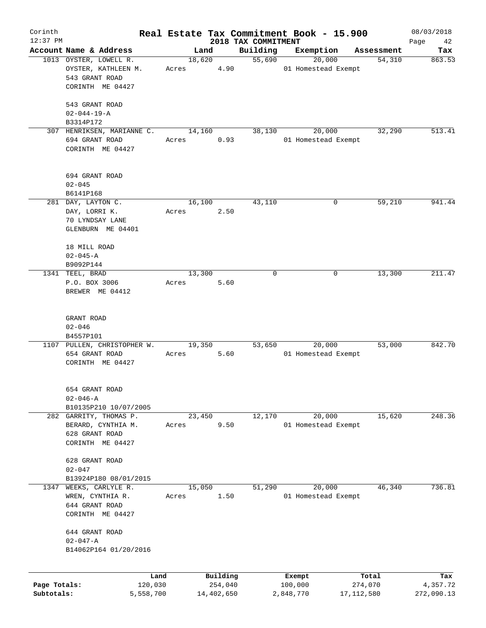| Corinth      |                             |           |       |        |            |                                 | Real Estate Tax Commitment Book - 15.900 |              |            | 08/03/2018        |
|--------------|-----------------------------|-----------|-------|--------|------------|---------------------------------|------------------------------------------|--------------|------------|-------------------|
| $12:37$ PM   | Account Name & Address      |           |       | Land   |            | 2018 TAX COMMITMENT<br>Building | Exemption                                |              | Assessment | Page<br>42<br>Tax |
|              | 1013 OYSTER, LOWELL R.      |           |       | 18,620 |            | 55,690                          | 20,000                                   |              | 54,310     | 863.53            |
|              | OYSTER, KATHLEEN M.         |           | Acres |        | 4.90       |                                 | 01 Homestead Exempt                      |              |            |                   |
|              | 543 GRANT ROAD              |           |       |        |            |                                 |                                          |              |            |                   |
|              | CORINTH ME 04427            |           |       |        |            |                                 |                                          |              |            |                   |
|              |                             |           |       |        |            |                                 |                                          |              |            |                   |
|              | 543 GRANT ROAD              |           |       |        |            |                                 |                                          |              |            |                   |
|              | $02 - 044 - 19 - A$         |           |       |        |            |                                 |                                          |              |            |                   |
|              | B3314P172                   |           |       |        |            |                                 |                                          |              |            |                   |
|              | 307 HENRIKSEN, MARIANNE C.  |           |       | 14,160 |            | 38,130                          | 20,000                                   |              | 32,290     | 513.41            |
|              | 694 GRANT ROAD              |           | Acres |        | 0.93       |                                 | 01 Homestead Exempt                      |              |            |                   |
|              | CORINTH ME 04427            |           |       |        |            |                                 |                                          |              |            |                   |
|              |                             |           |       |        |            |                                 |                                          |              |            |                   |
|              |                             |           |       |        |            |                                 |                                          |              |            |                   |
|              | 694 GRANT ROAD              |           |       |        |            |                                 |                                          |              |            |                   |
|              | $02 - 045$                  |           |       |        |            |                                 |                                          |              |            |                   |
|              | B6141P168                   |           |       |        |            |                                 |                                          |              |            |                   |
|              | 281 DAY, LAYTON C.          |           |       | 16,100 |            | 43,110                          |                                          | 0            | 59,210     | 941.44            |
|              | DAY, LORRI K.               |           | Acres |        | 2.50       |                                 |                                          |              |            |                   |
|              | 70 LYNDSAY LANE             |           |       |        |            |                                 |                                          |              |            |                   |
|              | GLENBURN ME 04401           |           |       |        |            |                                 |                                          |              |            |                   |
|              |                             |           |       |        |            |                                 |                                          |              |            |                   |
|              | 18 MILL ROAD                |           |       |        |            |                                 |                                          |              |            |                   |
|              | $02 - 045 - A$              |           |       |        |            |                                 |                                          |              |            |                   |
|              | B9092P144                   |           |       |        |            |                                 |                                          |              |            |                   |
|              | 1341 TEEL, BRAD             |           |       | 13,300 |            | $\mathbf 0$                     |                                          | 0            | 13,300     | 211.47            |
|              | P.O. BOX 3006               |           | Acres |        | 5.60       |                                 |                                          |              |            |                   |
|              | BREWER ME 04412             |           |       |        |            |                                 |                                          |              |            |                   |
|              |                             |           |       |        |            |                                 |                                          |              |            |                   |
|              |                             |           |       |        |            |                                 |                                          |              |            |                   |
|              | GRANT ROAD                  |           |       |        |            |                                 |                                          |              |            |                   |
|              | $02 - 046$                  |           |       |        |            |                                 |                                          |              |            |                   |
|              | B4557P101                   |           |       |        |            |                                 |                                          |              |            |                   |
|              | 1107 PULLEN, CHRISTOPHER W. |           |       | 19,350 |            | 53,650                          | 20,000                                   |              | 53,000     | 842.70            |
|              | 654 GRANT ROAD              |           | Acres |        | 5.60       |                                 | 01 Homestead Exempt                      |              |            |                   |
|              | CORINTH ME 04427            |           |       |        |            |                                 |                                          |              |            |                   |
|              |                             |           |       |        |            |                                 |                                          |              |            |                   |
|              |                             |           |       |        |            |                                 |                                          |              |            |                   |
|              | 654 GRANT ROAD              |           |       |        |            |                                 |                                          |              |            |                   |
|              | $02 - 046 - A$              |           |       |        |            |                                 |                                          |              |            |                   |
|              | B10135P210 10/07/2005       |           |       |        |            |                                 |                                          |              |            |                   |
|              | 282 GARRITY, THOMAS P.      |           |       | 23,450 |            | 12,170                          | 20,000                                   |              | 15,620     | 248.36            |
|              | BERARD, CYNTHIA M.          |           | Acres |        | 9.50       |                                 | 01 Homestead Exempt                      |              |            |                   |
|              | 628 GRANT ROAD              |           |       |        |            |                                 |                                          |              |            |                   |
|              | CORINTH ME 04427            |           |       |        |            |                                 |                                          |              |            |                   |
|              |                             |           |       |        |            |                                 |                                          |              |            |                   |
|              | 628 GRANT ROAD              |           |       |        |            |                                 |                                          |              |            |                   |
|              | $02 - 047$                  |           |       |        |            |                                 |                                          |              |            |                   |
|              | B13924P180 08/01/2015       |           |       |        |            |                                 |                                          |              |            |                   |
| 1347         | WEEKS, CARLYLE R.           |           |       | 15,050 |            | 51,290                          | 20,000                                   |              | 46,340     | 736.81            |
|              | WREN, CYNTHIA R.            |           | Acres |        | 1.50       |                                 | 01 Homestead Exempt                      |              |            |                   |
|              | 644 GRANT ROAD              |           |       |        |            |                                 |                                          |              |            |                   |
|              | CORINTH ME 04427            |           |       |        |            |                                 |                                          |              |            |                   |
|              |                             |           |       |        |            |                                 |                                          |              |            |                   |
|              | 644 GRANT ROAD              |           |       |        |            |                                 |                                          |              |            |                   |
|              | $02 - 047 - A$              |           |       |        |            |                                 |                                          |              |            |                   |
|              | B14062P164 01/20/2016       |           |       |        |            |                                 |                                          |              |            |                   |
|              |                             |           |       |        |            |                                 |                                          |              |            |                   |
|              |                             | Land      |       |        | Building   |                                 | Exempt                                   |              | Total      | Tax               |
| Page Totals: |                             | 120,030   |       |        | 254,040    |                                 | 100,000                                  | 274,070      |            | 4,357.72          |
| Subtotals:   |                             | 5,558,700 |       |        | 14,402,650 |                                 | 2,848,770                                | 17, 112, 580 |            | 272,090.13        |
|              |                             |           |       |        |            |                                 |                                          |              |            |                   |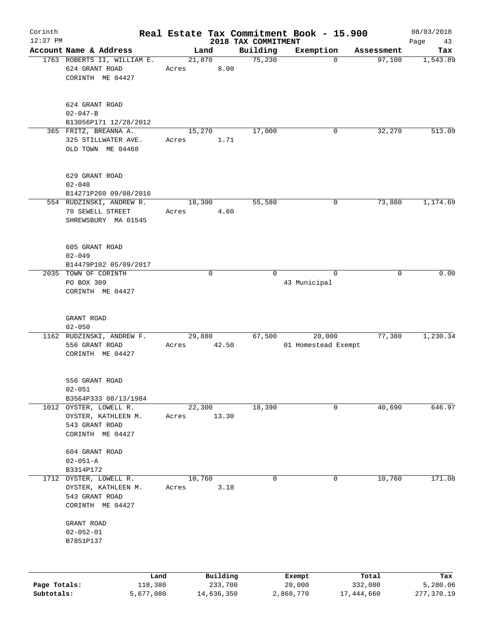| Corinth                    |                                                                                |                 |                       | Real Estate Tax Commitment Book - 15.900 |                       | 08/03/2018             |
|----------------------------|--------------------------------------------------------------------------------|-----------------|-----------------------|------------------------------------------|-----------------------|------------------------|
| 12:37 PM                   |                                                                                |                 | 2018 TAX COMMITMENT   |                                          |                       | Page<br>43             |
|                            | Account Name & Address<br>1763 ROBERTS II, WILLIAM E.                          | Land<br>21,870  | Building<br>75,230    | Exemption<br>$\mathbf 0$                 | Assessment<br>97,100  | Tax<br>1,543.89        |
|                            | 624 GRANT ROAD<br>CORINTH ME 04427                                             | Acres           | 8.00                  |                                          |                       |                        |
|                            | 624 GRANT ROAD<br>$02 - 047 - B$                                               |                 |                       |                                          |                       |                        |
|                            | B13056P171 12/28/2012                                                          |                 |                       |                                          |                       |                        |
|                            | 365 FRITZ, BREANNA A.<br>325 STILLWATER AVE.<br>OLD TOWN ME 04468              | 15,270<br>Acres | 17,000<br>1.71        | 0                                        | 32,270                | 513.09                 |
|                            | 629 GRANT ROAD<br>$02 - 048$                                                   |                 |                       |                                          |                       |                        |
|                            | B14271P260 09/08/2016                                                          |                 |                       | 0                                        |                       | 1,174.69               |
|                            | 554 RUDZINSKI, ANDREW R.<br>70 SEWELL STREET<br>SHREWSBURY MA 01545            | 18,300<br>Acres | 55,580<br>4.60        |                                          | 73,880                |                        |
|                            | 605 GRANT ROAD<br>$02 - 049$                                                   |                 |                       |                                          |                       |                        |
|                            | B14479P102 05/09/2017                                                          |                 |                       |                                          |                       |                        |
|                            | 2035 TOWN OF CORINTH                                                           | $\mathbf 0$     | $\Omega$              | $\Omega$                                 | $\mathbf 0$           | 0.00                   |
|                            | PO BOX 309<br>CORINTH ME 04427                                                 |                 |                       | 43 Municipal                             |                       |                        |
|                            | GRANT ROAD<br>$02 - 050$                                                       |                 |                       |                                          |                       |                        |
|                            | 1162 RUDZINSKI, ANDREW F.                                                      | 29,880          | 67,500                | 20,000                                   | 77,380                | 1,230.34               |
|                            | 556 GRANT ROAD<br>CORINTH ME 04427                                             | 42.50<br>Acres  |                       | 01 Homestead Exempt                      |                       |                        |
|                            | 556 GRANT ROAD<br>$02 - 051$                                                   |                 |                       |                                          |                       |                        |
|                            | B3564P333 08/13/1984<br>1012 OYSTER, LOWELL R.                                 | 22,300          |                       | 0                                        |                       | 646.97                 |
|                            | OYSTER, KATHLEEN M.<br>543 GRANT ROAD<br>CORINTH ME 04427                      | Acres           | 18,390<br>13.30       |                                          | 40,690                |                        |
|                            | 604 GRANT ROAD<br>$02 - 051 - A$<br>B3314P172                                  |                 |                       |                                          |                       |                        |
| 1712                       | OYSTER, LOWELL R.<br>OYSTER, KATHLEEN M.<br>543 GRANT ROAD<br>CORINTH ME 04427 | 10,760<br>Acres | 0<br>3.18             | 0                                        | 10,760                | 171.08                 |
|                            | GRANT ROAD<br>$02 - 052 - 01$<br>B7851P137                                     |                 |                       |                                          |                       |                        |
|                            | Land                                                                           |                 | Building              | Exempt                                   | Total                 | Tax                    |
| Page Totals:<br>Subtotals: | 118,380<br>5,677,080                                                           |                 | 233,700<br>14,636,350 | 20,000<br>2,868,770                      | 332,080<br>17,444,660 | 5,280.06<br>277,370.19 |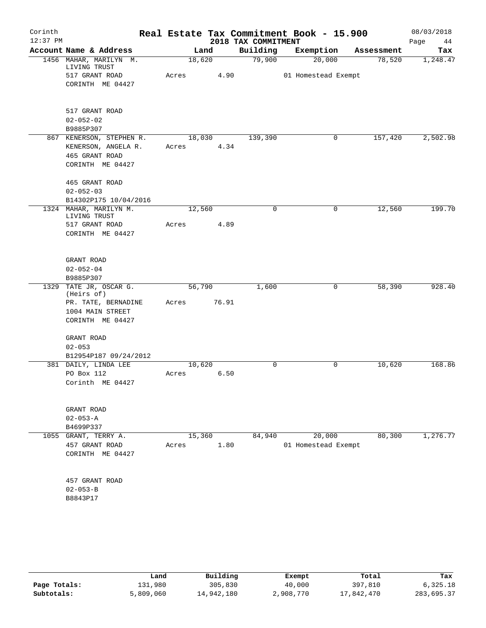| Corinth    |                                        |       |        |                     | Real Estate Tax Commitment Book - 15.900 |            | 08/03/2018 |
|------------|----------------------------------------|-------|--------|---------------------|------------------------------------------|------------|------------|
| $12:37$ PM |                                        |       |        | 2018 TAX COMMITMENT |                                          |            | Page<br>44 |
|            | Account Name & Address                 |       | Land   | Building            | Exemption                                | Assessment | Tax        |
|            | 1456 MAHAR, MARILYN M.<br>LIVING TRUST |       | 18,620 | 79,900              | 20,000                                   | 78,520     | 1,248.47   |
|            | 517 GRANT ROAD                         | Acres | 4.90   |                     | 01 Homestead Exempt                      |            |            |
|            | CORINTH ME 04427                       |       |        |                     |                                          |            |            |
|            |                                        |       |        |                     |                                          |            |            |
|            |                                        |       |        |                     |                                          |            |            |
|            | 517 GRANT ROAD                         |       |        |                     |                                          |            |            |
|            | $02 - 052 - 02$<br>B9885P307           |       |        |                     |                                          |            |            |
|            | 867 KENERSON, STEPHEN R.               |       | 18,030 | 139,390             | 0                                        | 157,420    | 2,502.98   |
|            | KENERSON, ANGELA R.                    | Acres | 4.34   |                     |                                          |            |            |
|            | 465 GRANT ROAD                         |       |        |                     |                                          |            |            |
|            | CORINTH ME 04427                       |       |        |                     |                                          |            |            |
|            | 465 GRANT ROAD                         |       |        |                     |                                          |            |            |
|            | $02 - 052 - 03$                        |       |        |                     |                                          |            |            |
|            | B14302P175 10/04/2016                  |       |        |                     |                                          |            |            |
|            | 1324 MAHAR, MARILYN M.<br>LIVING TRUST |       | 12,560 | 0                   | 0                                        | 12,560     | 199.70     |
|            | 517 GRANT ROAD                         | Acres | 4.89   |                     |                                          |            |            |
|            | CORINTH ME 04427                       |       |        |                     |                                          |            |            |
|            | GRANT ROAD                             |       |        |                     |                                          |            |            |
|            | $02 - 052 - 04$                        |       |        |                     |                                          |            |            |
|            | B9885P307                              |       |        |                     |                                          |            |            |
|            | 1329 TATE JR, OSCAR G.                 |       | 56,790 | 1,600               | 0                                        | 58,390     | 928.40     |
|            | (Heirs of)                             |       |        |                     |                                          |            |            |
|            | PR. TATE, BERNADINE                    | Acres | 76.91  |                     |                                          |            |            |
|            | 1004 MAIN STREET                       |       |        |                     |                                          |            |            |
|            | CORINTH ME 04427                       |       |        |                     |                                          |            |            |
|            | GRANT ROAD                             |       |        |                     |                                          |            |            |
|            | $02 - 053$                             |       |        |                     |                                          |            |            |
|            | B12954P187 09/24/2012                  |       |        |                     |                                          |            |            |
|            | 381 DAILY, LINDA LEE                   |       | 10,620 | $\mathbf 0$         | $\mathbf 0$                              | 10,620     | 168.86     |
|            | PO Box 112<br>Corinth ME 04427         | Acres | 6.50   |                     |                                          |            |            |
|            |                                        |       |        |                     |                                          |            |            |
|            | GRANT ROAD                             |       |        |                     |                                          |            |            |
|            | $02 - 053 - A$                         |       |        |                     |                                          |            |            |
|            | B4699P337                              |       |        |                     |                                          |            |            |
|            | 1055 GRANT, TERRY A.                   |       | 15,360 | 84,940              | 20,000                                   | 80,300     | 1,276.77   |
|            | 457 GRANT ROAD                         | Acres | 1.80   |                     | 01 Homestead Exempt                      |            |            |
|            | CORINTH ME 04427                       |       |        |                     |                                          |            |            |
|            | 457 GRANT ROAD                         |       |        |                     |                                          |            |            |
|            | $02 - 053 - B$                         |       |        |                     |                                          |            |            |
|            | B8843P17                               |       |        |                     |                                          |            |            |
|            |                                        |       |        |                     |                                          |            |            |

|              | Land      | Building   | Exempt    | Total      | Tax        |
|--------------|-----------|------------|-----------|------------|------------|
| Page Totals: | 131,980   | 305,830    | 40,000    | 397,810    | 6,325.18   |
| Subtotals:   | 5,809,060 | 14,942,180 | 2,908,770 | 17,842,470 | 283,695.37 |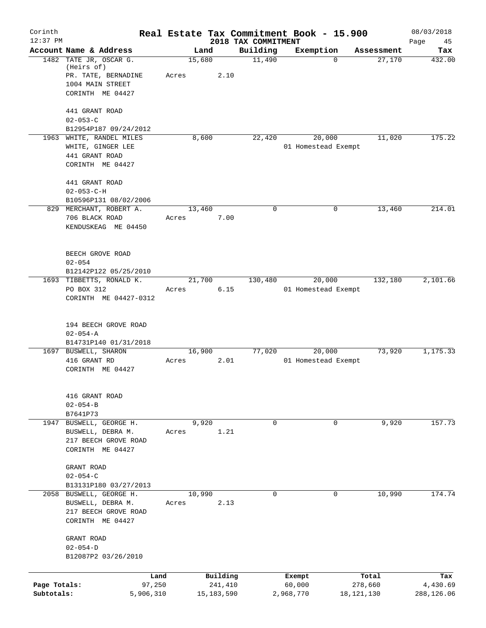| Corinth<br>$12:37$ PM      |                                                                                                     |                 |                         | 2018 TAX COMMITMENT | Real Estate Tax Commitment Book - 15.900 |                         | 08/03/2018             |
|----------------------------|-----------------------------------------------------------------------------------------------------|-----------------|-------------------------|---------------------|------------------------------------------|-------------------------|------------------------|
|                            | Account Name & Address                                                                              | Land            |                         | Building            | Exemption                                | Assessment              | Page<br>45<br>Tax      |
|                            | 1482 TATE JR, OSCAR G.<br>(Heirs of)<br>PR. TATE, BERNADINE<br>1004 MAIN STREET<br>CORINTH ME 04427 | 15,680<br>Acres | 2.10                    | 11,490              |                                          | 27,170<br>0             | 432.00                 |
|                            | 441 GRANT ROAD<br>$02 - 053 - C$                                                                    |                 |                         |                     |                                          |                         |                        |
|                            | B12954P187 09/24/2012                                                                               |                 |                         |                     |                                          |                         |                        |
|                            | 1963 WHITE, RANDEL MILES<br>WHITE, GINGER LEE<br>441 GRANT ROAD<br>CORINTH ME 04427                 | 8,600           |                         | 22,420              | 20,000<br>01 Homestead Exempt            | 11,020                  | 175.22                 |
|                            | 441 GRANT ROAD<br>$02 - 053 - C - H$<br>B10596P131 08/02/2006                                       |                 |                         |                     |                                          |                         |                        |
|                            | 829 MERCHANT, ROBERT A.<br>706 BLACK ROAD<br>KENDUSKEAG ME 04450                                    | 13,460<br>Acres | 7.00                    | $\mathbf 0$         |                                          | 0<br>13,460             | 214.01                 |
|                            | BEECH GROVE ROAD<br>$02 - 054$<br>B12142P122 05/25/2010                                             |                 |                         |                     |                                          |                         |                        |
|                            | 1693 TIBBETTS, RONALD K.<br>PO BOX 312<br>CORINTH ME 04427-0312                                     | 21,700<br>Acres | 6.15                    | 130,480             | 20,000<br>01 Homestead Exempt            | 132,180                 | 2,101.66               |
|                            | 194 BEECH GROVE ROAD<br>$02 - 054 - A$<br>B14731P140 01/31/2018                                     |                 |                         |                     |                                          |                         |                        |
|                            | 1697 BUSWELL, SHARON<br>416 GRANT RD<br>CORINTH ME 04427                                            | 16,900<br>Acres | 2.01                    | 77,020              | 20,000<br>01 Homestead Exempt            | 73,920                  | 1,175.33               |
|                            | 416 GRANT ROAD<br>$02 - 054 - B$<br>B7641P73                                                        |                 |                         |                     |                                          |                         |                        |
|                            | 1947 BUSWELL, GEORGE H.<br>BUSWELL, DEBRA M.<br>217 BEECH GROVE ROAD<br>CORINTH ME 04427            | 9,920<br>Acres  | 1.21                    | 0                   |                                          | 9,920<br>0              | 157.73                 |
|                            | GRANT ROAD<br>$02 - 054 - C$<br>B13131P180 03/27/2013                                               |                 |                         |                     |                                          |                         |                        |
|                            | 2058 BUSWELL, GEORGE H.<br>BUSWELL, DEBRA M.<br>217 BEECH GROVE ROAD<br>CORINTH ME 04427            | 10,990<br>Acres | 2.13                    | $\Omega$            |                                          | 10,990<br>0             | 174.74                 |
|                            | GRANT ROAD<br>$02 - 054 - D$<br>B12087P2 03/26/2010                                                 |                 |                         |                     |                                          |                         |                        |
|                            | Land                                                                                                |                 | Building                |                     | Exempt                                   | Total                   | Tax                    |
| Page Totals:<br>Subtotals: | 97,250<br>5,906,310                                                                                 |                 | 241,410<br>15, 183, 590 |                     | 60,000<br>2,968,770                      | 278,660<br>18, 121, 130 | 4,430.69<br>288,126.06 |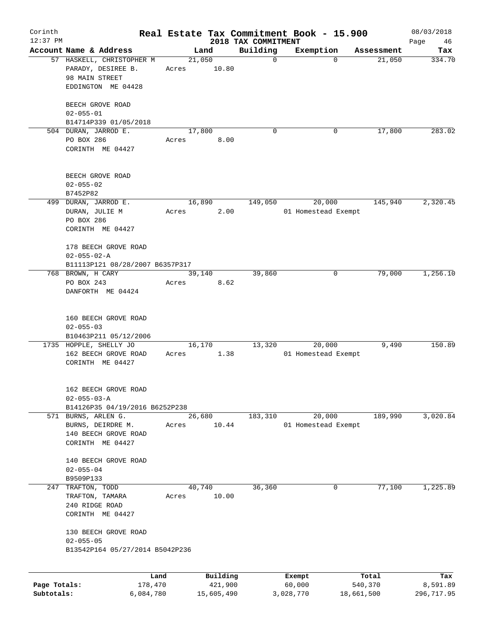| Corinth      |                                                      |       |                |                     | Real Estate Tax Commitment Book - 15.900 |                      | 08/03/2018    |
|--------------|------------------------------------------------------|-------|----------------|---------------------|------------------------------------------|----------------------|---------------|
| $12:37$ PM   | Account Name & Address                               |       |                | 2018 TAX COMMITMENT |                                          |                      | Page<br>46    |
|              | 57 HASKELL, CHRISTOPHER M                            |       | Land<br>21,050 | Building<br>0       | Exemption<br>$\Omega$                    | Assessment<br>21,050 | Tax<br>334.70 |
|              | PARADY, DESIREE B.<br>98 MAIN STREET                 | Acres | 10.80          |                     |                                          |                      |               |
|              | EDDINGTON ME 04428                                   |       |                |                     |                                          |                      |               |
|              | BEECH GROVE ROAD<br>$02 - 055 - 01$                  |       |                |                     |                                          |                      |               |
|              | B14714P339 01/05/2018                                |       |                |                     |                                          |                      |               |
|              | 504 DURAN, JARROD E.                                 |       | 17,800         | $\mathbf 0$         | 0                                        | 17,800               | 283.02        |
|              | PO BOX 286<br>CORINTH ME 04427                       | Acres | 8.00           |                     |                                          |                      |               |
|              | BEECH GROVE ROAD<br>$02 - 055 - 02$                  |       |                |                     |                                          |                      |               |
|              | B7452P82                                             |       |                |                     |                                          |                      | 2,320.45      |
|              | 499 DURAN, JARROD E.<br>DURAN, JULIE M<br>PO BOX 286 | Acres | 16,890<br>2.00 | 149,050             | 20,000<br>01 Homestead Exempt            | 145,940              |               |
|              | CORINTH ME 04427                                     |       |                |                     |                                          |                      |               |
|              | 178 BEECH GROVE ROAD<br>$02 - 055 - 02 - A$          |       |                |                     |                                          |                      |               |
|              | B11113P121 08/28/2007 B6357P317<br>768 BROWN, H CARY |       | 39,140         | 39,860              | 0                                        | 79,000               | 1,256.10      |
|              | PO BOX 243                                           | Acres | 8.62           |                     |                                          |                      |               |
|              | DANFORTH ME 04424                                    |       |                |                     |                                          |                      |               |
|              | 160 BEECH GROVE ROAD                                 |       |                |                     |                                          |                      |               |
|              | $02 - 055 - 03$<br>B10463P211 05/12/2006             |       |                |                     |                                          |                      |               |
|              | 1735 HOPPLE, SHELLY JO                               |       | 16,170         | 13,320              | 20,000                                   | 9,490                | 150.89        |
|              | 162 BEECH GROVE ROAD<br>CORINTH ME 04427             | Acres | 1.38           |                     | 01 Homestead Exempt                      |                      |               |
|              | 162 BEECH GROVE ROAD                                 |       |                |                     |                                          |                      |               |
|              | $02 - 055 - 03 - A$                                  |       |                |                     |                                          |                      |               |
|              | B14126P35 04/19/2016 B6252P238                       |       |                |                     |                                          |                      |               |
|              | 571 BURNS, ARLEN G.                                  |       | 26,680         | 183,310             | 20,000                                   | 189,990              | 3,020.84      |
|              | BURNS, DEIRDRE M.<br>140 BEECH GROVE ROAD            | Acres | 10.44          |                     | 01 Homestead Exempt                      |                      |               |
|              | CORINTH ME 04427                                     |       |                |                     |                                          |                      |               |
|              | 140 BEECH GROVE ROAD                                 |       |                |                     |                                          |                      |               |
|              | $02 - 055 - 04$                                      |       |                |                     |                                          |                      |               |
| 247          | B9509P133<br>TRAFTON, TODD                           |       | 40,740         | 36,360              | 0                                        | 77,100               | 1,225.89      |
|              | TRAFTON, TAMARA                                      | Acres | 10.00          |                     |                                          |                      |               |
|              | 240 RIDGE ROAD                                       |       |                |                     |                                          |                      |               |
|              | CORINTH ME 04427                                     |       |                |                     |                                          |                      |               |
|              | 130 BEECH GROVE ROAD<br>$02 - 055 - 05$              |       |                |                     |                                          |                      |               |
|              | B13542P164 05/27/2014 B5042P236                      |       |                |                     |                                          |                      |               |
|              | Land                                                 |       | Building       |                     | Exempt                                   | Total                | Tax           |
| Page Totals: | 178,470                                              |       | 421,900        |                     | 60,000                                   | 540,370              | 8,591.89      |
| Subtotals:   | 6,084,780                                            |       | 15,605,490     |                     | 3,028,770                                | 18,661,500           | 296,717.95    |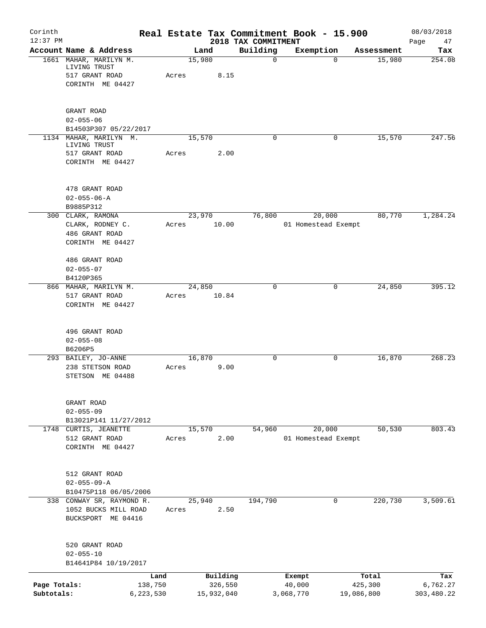| Corinth<br>$12:37$ PM |                                                          |           |       |            |          | 2018 TAX COMMITMENT | Real Estate Tax Commitment Book - 15.900 |             |            | 08/03/2018<br>Page<br>47 |
|-----------------------|----------------------------------------------------------|-----------|-------|------------|----------|---------------------|------------------------------------------|-------------|------------|--------------------------|
|                       | Account Name & Address                                   |           |       | Land       |          | Building            | Exemption                                |             | Assessment | Tax                      |
|                       | 1661 MAHAR, MARILYN M.<br>LIVING TRUST                   |           |       | 15,980     |          | $\mathbf 0$         |                                          | $\mathbf 0$ | 15,980     | 254.08                   |
|                       | 517 GRANT ROAD                                           |           | Acres |            | 8.15     |                     |                                          |             |            |                          |
|                       | CORINTH ME 04427                                         |           |       |            |          |                     |                                          |             |            |                          |
|                       | GRANT ROAD                                               |           |       |            |          |                     |                                          |             |            |                          |
|                       | $02 - 055 - 06$                                          |           |       |            |          |                     |                                          |             |            |                          |
|                       | B14503P307 05/22/2017                                    |           |       |            |          |                     |                                          |             |            |                          |
|                       | 1134 MAHAR, MARILYN M.<br>LIVING TRUST<br>517 GRANT ROAD |           | Acres | 15,570     | 2.00     | 0                   |                                          | 0           | 15,570     | 247.56                   |
|                       | CORINTH ME 04427                                         |           |       |            |          |                     |                                          |             |            |                          |
|                       | 478 GRANT ROAD                                           |           |       |            |          |                     |                                          |             |            |                          |
|                       | $02 - 055 - 06 - A$                                      |           |       |            |          |                     |                                          |             |            |                          |
|                       | B9885P312                                                |           |       |            |          |                     |                                          |             |            |                          |
|                       | 300 CLARK, RAMONA                                        |           |       | 23,970     |          | 76,800              | 20,000                                   |             | 80,770     | 1,284.24                 |
|                       | CLARK, RODNEY C.<br>486 GRANT ROAD                       |           | Acres |            | 10.00    |                     | 01 Homestead Exempt                      |             |            |                          |
|                       | CORINTH ME 04427                                         |           |       |            |          |                     |                                          |             |            |                          |
|                       | 486 GRANT ROAD                                           |           |       |            |          |                     |                                          |             |            |                          |
|                       | $02 - 055 - 07$                                          |           |       |            |          |                     |                                          |             |            |                          |
|                       | B4120P365<br>866 MAHAR, MARILYN M.                       |           |       | 24,850     |          | 0                   |                                          | 0           | 24,850     | 395.12                   |
|                       | 517 GRANT ROAD                                           |           | Acres |            | 10.84    |                     |                                          |             |            |                          |
|                       | CORINTH ME 04427                                         |           |       |            |          |                     |                                          |             |            |                          |
|                       | 496 GRANT ROAD                                           |           |       |            |          |                     |                                          |             |            |                          |
|                       | $02 - 055 - 08$                                          |           |       |            |          |                     |                                          |             |            |                          |
|                       | B6206P5                                                  |           |       |            |          |                     |                                          |             |            |                          |
|                       | 293 BAILEY, JO-ANNE<br>238 STETSON ROAD                  |           | Acres | 16,870     | 9.00     | $\mathbf 0$         |                                          | 0           | 16,870     | 268.23                   |
|                       | STETSON ME 04488                                         |           |       |            |          |                     |                                          |             |            |                          |
|                       | GRANT ROAD                                               |           |       |            |          |                     |                                          |             |            |                          |
|                       | $02 - 055 - 09$                                          |           |       |            |          |                     |                                          |             |            |                          |
|                       | B13021P141 11/27/2012                                    |           |       |            |          |                     |                                          |             |            |                          |
|                       | 1748 CURTIS, JEANETTE                                    |           |       | 15,570     |          | 54,960              | 20,000                                   |             | 50, 530    | 803.43                   |
|                       | 512 GRANT ROAD<br>CORINTH ME 04427                       |           | Acres |            | 2.00     |                     | 01 Homestead Exempt                      |             |            |                          |
|                       | 512 GRANT ROAD                                           |           |       |            |          |                     |                                          |             |            |                          |
|                       | $02 - 055 - 09 - A$                                      |           |       |            |          |                     |                                          |             |            |                          |
|                       | B10475P118 06/05/2006                                    |           |       |            |          |                     |                                          |             |            |                          |
|                       | 338 CONWAY SR, RAYMOND R.                                |           |       | 25,940     |          | 194,790             |                                          | 0           | 220,730    | 3,509.61                 |
|                       | 1052 BUCKS MILL ROAD<br>BUCKSPORT ME 04416               |           | Acres |            | 2.50     |                     |                                          |             |            |                          |
|                       | 520 GRANT ROAD                                           |           |       |            |          |                     |                                          |             |            |                          |
|                       | $02 - 055 - 10$<br>B14641P84 10/19/2017                  |           |       |            |          |                     |                                          |             |            |                          |
|                       |                                                          | Land      |       |            | Building |                     | Exempt                                   |             | Total      | Tax                      |
| Page Totals:          |                                                          | 138,750   |       |            | 326,550  |                     | 40,000                                   |             | 425,300    | 6,762.27                 |
| Subtotals:            |                                                          | 6,223,530 |       | 15,932,040 |          |                     | 3,068,770                                | 19,086,800  |            | 303,480.22               |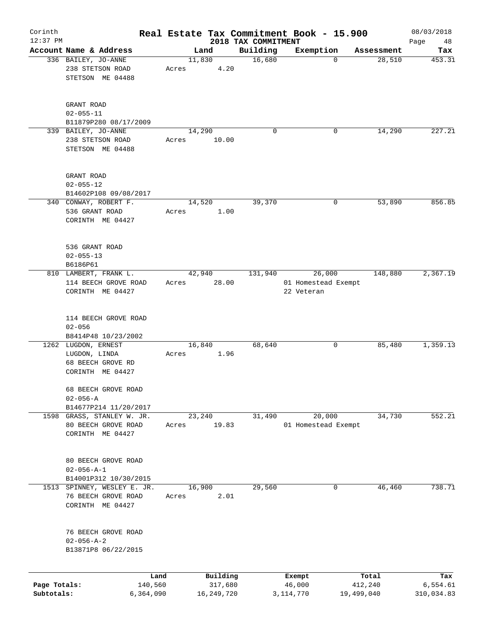| Corinth      |                                    |       |        |                     |                     | Real Estate Tax Commitment Book - 15.900 |             |            | 08/03/2018      |
|--------------|------------------------------------|-------|--------|---------------------|---------------------|------------------------------------------|-------------|------------|-----------------|
| $12:37$ PM   |                                    |       |        |                     | 2018 TAX COMMITMENT |                                          |             |            | Page<br>48      |
|              | Account Name & Address             |       |        | Land                | Building            | Exemption                                |             | Assessment | Tax             |
|              | 336 BAILEY, JO-ANNE                |       | 11,830 |                     | 16,680              |                                          | $\mathbf 0$ | 28,510     | 453.31          |
|              | 238 STETSON ROAD                   | Acres |        | 4.20                |                     |                                          |             |            |                 |
|              | STETSON ME 04488                   |       |        |                     |                     |                                          |             |            |                 |
|              |                                    |       |        |                     |                     |                                          |             |            |                 |
|              | GRANT ROAD                         |       |        |                     |                     |                                          |             |            |                 |
|              | $02 - 055 - 11$                    |       |        |                     |                     |                                          |             |            |                 |
|              | B11879P280 08/17/2009              |       |        |                     |                     |                                          |             |            |                 |
|              | 339 BAILEY, JO-ANNE                |       | 14,290 |                     | $\mathbf 0$         |                                          | 0           | 14,290     | 227.21          |
|              | 238 STETSON ROAD                   | Acres |        | 10.00               |                     |                                          |             |            |                 |
|              | STETSON ME 04488                   |       |        |                     |                     |                                          |             |            |                 |
|              |                                    |       |        |                     |                     |                                          |             |            |                 |
|              | GRANT ROAD                         |       |        |                     |                     |                                          |             |            |                 |
|              | $02 - 055 - 12$                    |       |        |                     |                     |                                          |             |            |                 |
|              | B14602P108 09/08/2017              |       |        |                     |                     |                                          |             |            |                 |
|              | 340 CONWAY, ROBERT F.              |       | 14,520 |                     | 39,370              |                                          | 0           | 53,890     | 856.85          |
|              | 536 GRANT ROAD                     | Acres |        | 1.00                |                     |                                          |             |            |                 |
|              | CORINTH ME 04427                   |       |        |                     |                     |                                          |             |            |                 |
|              |                                    |       |        |                     |                     |                                          |             |            |                 |
|              | 536 GRANT ROAD                     |       |        |                     |                     |                                          |             |            |                 |
|              | $02 - 055 - 13$                    |       |        |                     |                     |                                          |             |            |                 |
|              | B6186P61                           |       |        |                     |                     |                                          |             |            |                 |
|              | 810 LAMBERT, FRANK L.              |       | 42,940 |                     | 131,940             | 26,000                                   |             | 148,880    | 2,367.19        |
|              | 114 BEECH GROVE ROAD               | Acres |        | 28.00               |                     | 01 Homestead Exempt                      |             |            |                 |
|              | CORINTH ME 04427                   |       |        |                     |                     | 22 Veteran                               |             |            |                 |
|              |                                    |       |        |                     |                     |                                          |             |            |                 |
|              | 114 BEECH GROVE ROAD               |       |        |                     |                     |                                          |             |            |                 |
|              | $02 - 056$                         |       |        |                     |                     |                                          |             |            |                 |
|              | B8414P48 10/23/2002                |       |        |                     |                     |                                          |             |            |                 |
|              | 1262 LUGDON, ERNEST                |       | 16,840 |                     | 68,640              |                                          | 0           | 85,480     | 1,359.13        |
|              |                                    |       |        |                     |                     |                                          |             |            |                 |
|              | LUGDON, LINDA<br>68 BEECH GROVE RD | Acres |        | 1.96                |                     |                                          |             |            |                 |
|              | CORINTH ME 04427                   |       |        |                     |                     |                                          |             |            |                 |
|              |                                    |       |        |                     |                     |                                          |             |            |                 |
|              | 68 BEECH GROVE ROAD                |       |        |                     |                     |                                          |             |            |                 |
|              | $02 - 056 - A$                     |       |        |                     |                     |                                          |             |            |                 |
|              | B14677P214 11/20/2017              |       |        |                     |                     |                                          |             |            |                 |
| 1598         | GRASS, STANLEY W. JR.              |       | 23,240 |                     | 31,490              | 20,000                                   |             | 34,730     | 552.21          |
|              | 80 BEECH GROVE ROAD                | Acres |        | 19.83               |                     | 01 Homestead Exempt                      |             |            |                 |
|              | CORINTH ME 04427                   |       |        |                     |                     |                                          |             |            |                 |
|              |                                    |       |        |                     |                     |                                          |             |            |                 |
|              | 80 BEECH GROVE ROAD                |       |        |                     |                     |                                          |             |            |                 |
|              | $02 - 056 - A - 1$                 |       |        |                     |                     |                                          |             |            |                 |
|              | B14001P312 10/30/2015              |       |        |                     |                     |                                          |             |            |                 |
| 1513         | SPINNEY, WESLEY E. JR.             |       | 16,900 |                     | 29,560              |                                          | 0           | 46,460     | 738.71          |
|              | 76 BEECH GROVE ROAD                | Acres |        | 2.01                |                     |                                          |             |            |                 |
|              | CORINTH ME 04427                   |       |        |                     |                     |                                          |             |            |                 |
|              |                                    |       |        |                     |                     |                                          |             |            |                 |
|              | 76 BEECH GROVE ROAD                |       |        |                     |                     |                                          |             |            |                 |
|              | $02 - 056 - A - 2$                 |       |        |                     |                     |                                          |             |            |                 |
|              | B13871P8 06/22/2015                |       |        |                     |                     |                                          |             |            |                 |
|              |                                    |       |        |                     |                     |                                          |             |            |                 |
| Page Totals: | 140,560                            | Land  |        | Building<br>317,680 |                     | Exempt<br>46,000                         |             | Total      | Tax<br>6,554.61 |
| Subtotals:   |                                    |       |        | 16, 249, 720        |                     |                                          | 19,499,040  | 412,240    | 310,034.83      |
|              | 6,364,090                          |       |        |                     |                     | 3,114,770                                |             |            |                 |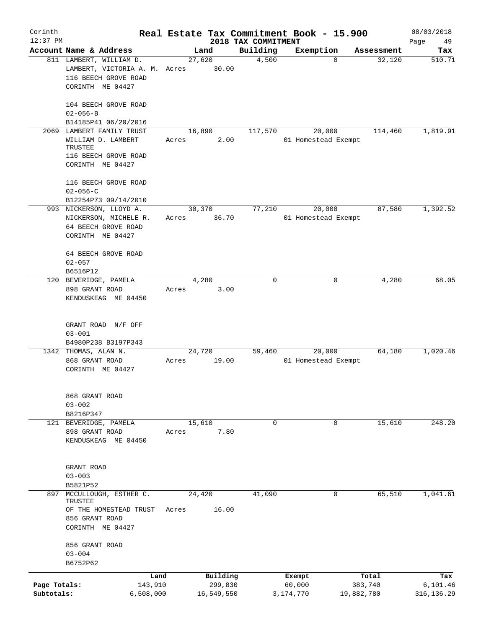| Corinth      |                                                                                  |           |       |                 |                                 | Real Estate Tax Commitment Book - 15.900 |            | 08/03/2018          |
|--------------|----------------------------------------------------------------------------------|-----------|-------|-----------------|---------------------------------|------------------------------------------|------------|---------------------|
| $12:37$ PM   | Account Name & Address                                                           |           |       | Land            | 2018 TAX COMMITMENT<br>Building | Exemption                                | Assessment | 49<br>Page<br>Tax   |
|              | 811 LAMBERT, WILLIAM D.<br>LAMBERT, VICTORIA A. M. Acres<br>116 BEECH GROVE ROAD |           |       | 27,620<br>30.00 | 4,500                           |                                          | $\Omega$   | 32,120<br>510.71    |
|              | CORINTH ME 04427<br>104 BEECH GROVE ROAD                                         |           |       |                 |                                 |                                          |            |                     |
|              | $02 - 056 - B$                                                                   |           |       |                 |                                 |                                          |            |                     |
| 2069         | B14185P41 06/20/2016<br>LAMBERT FAMILY TRUST                                     |           |       | 16,890          | 117,570                         | 20,000                                   |            | 1,819.91<br>114,460 |
|              | WILLIAM D. LAMBERT<br>TRUSTEE<br>116 BEECH GROVE ROAD                            |           | Acres | 2.00            |                                 | 01 Homestead Exempt                      |            |                     |
|              | CORINTH ME 04427                                                                 |           |       |                 |                                 |                                          |            |                     |
|              | 116 BEECH GROVE ROAD<br>$02 - 056 - C$                                           |           |       |                 |                                 |                                          |            |                     |
|              | B12254P73 09/14/2010                                                             |           |       |                 |                                 |                                          |            |                     |
|              | 993 NICKERSON, LLOYD A.                                                          |           |       | 30,370          | 77,210                          | 20,000                                   |            | 87,580<br>1,392.52  |
|              | NICKERSON, MICHELE R.                                                            |           | Acres | 36.70           |                                 | 01 Homestead Exempt                      |            |                     |
|              | 64 BEECH GROVE ROAD<br>CORINTH ME 04427                                          |           |       |                 |                                 |                                          |            |                     |
|              | 64 BEECH GROVE ROAD                                                              |           |       |                 |                                 |                                          |            |                     |
|              | $02 - 057$                                                                       |           |       |                 |                                 |                                          |            |                     |
|              | B6516P12<br>120 BEVERIDGE, PAMELA                                                |           |       | 4,280           | $\Omega$                        |                                          | 0          | 68.05<br>4,280      |
|              | 898 GRANT ROAD                                                                   |           | Acres | 3.00            |                                 |                                          |            |                     |
|              | KENDUSKEAG ME 04450                                                              |           |       |                 |                                 |                                          |            |                     |
|              | GRANT ROAD N/F OFF                                                               |           |       |                 |                                 |                                          |            |                     |
|              | $03 - 001$<br>B4980P238 B3197P343                                                |           |       |                 |                                 |                                          |            |                     |
|              | 1342 THOMAS, ALAN N.                                                             |           |       | 24,720          | 59,460                          | 20,000                                   |            | 64,180<br>1,020.46  |
|              | 868 GRANT ROAD                                                                   |           | Acres | 19.00           |                                 | 01 Homestead Exempt                      |            |                     |
|              | CORINTH ME 04427                                                                 |           |       |                 |                                 |                                          |            |                     |
|              | 868 GRANT ROAD                                                                   |           |       |                 |                                 |                                          |            |                     |
|              | $03 - 002$                                                                       |           |       |                 |                                 |                                          |            |                     |
|              | B8216P347<br>121 BEVERIDGE, PAMELA                                               |           |       | 15,610          | $\mathbf 0$                     |                                          | 0          | 15,610<br>248.20    |
|              | 898 GRANT ROAD                                                                   |           | Acres | 7.80            |                                 |                                          |            |                     |
|              | KENDUSKEAG ME 04450                                                              |           |       |                 |                                 |                                          |            |                     |
|              | GRANT ROAD                                                                       |           |       |                 |                                 |                                          |            |                     |
|              | $03 - 003$                                                                       |           |       |                 |                                 |                                          |            |                     |
|              | B5821P52                                                                         |           |       |                 |                                 |                                          |            |                     |
| 897          | MCCULLOUGH, ESTHER C.<br>TRUSTEE                                                 |           |       | 24,420          | 41,090                          |                                          | 0          | 65,510<br>1,041.61  |
|              | OF THE HOMESTEAD TRUST<br>856 GRANT ROAD<br>CORINTH ME 04427                     |           | Acres | 16.00           |                                 |                                          |            |                     |
|              | 856 GRANT ROAD                                                                   |           |       |                 |                                 |                                          |            |                     |
|              | $03 - 004$                                                                       |           |       |                 |                                 |                                          |            |                     |
|              | B6752P62                                                                         |           |       |                 |                                 |                                          |            |                     |
|              |                                                                                  | Land      |       | Building        |                                 | Exempt                                   | Total      | Tax                 |
| Page Totals: |                                                                                  | 143,910   |       | 299,830         |                                 | 60,000                                   | 383,740    | 6, 101.46           |
| Subtotals:   |                                                                                  | 6,508,000 |       | 16,549,550      |                                 | 3,174,770                                | 19,882,780 | 316, 136.29         |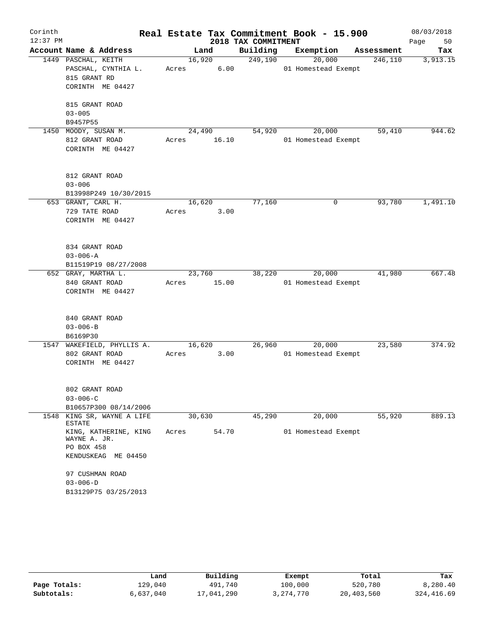| Corinth    |                                       |             |        |                     | Real Estate Tax Commitment Book - 15.900 |            | 08/03/2018 |
|------------|---------------------------------------|-------------|--------|---------------------|------------------------------------------|------------|------------|
| $12:37$ PM |                                       |             |        | 2018 TAX COMMITMENT |                                          |            | Page<br>50 |
|            | Account Name & Address                |             | Land   | Building            | Exemption                                | Assessment | Tax        |
|            | 1449 PASCHAL, KEITH                   |             | 16,920 | 249,190             | 20,000                                   | 246,110    | 3,913.15   |
|            | PASCHAL, CYNTHIA L.                   | Acres       | 6.00   |                     | 01 Homestead Exempt                      |            |            |
|            | 815 GRANT RD                          |             |        |                     |                                          |            |            |
|            | CORINTH ME 04427                      |             |        |                     |                                          |            |            |
|            | 815 GRANT ROAD                        |             |        |                     |                                          |            |            |
|            | $03 - 005$                            |             |        |                     |                                          |            |            |
|            | B9457P55                              |             |        |                     |                                          |            |            |
|            | 1450 MOODY, SUSAN M.                  | 24,490      |        | 54,920              | 20,000                                   | 59,410     | 944.62     |
|            | 812 GRANT ROAD                        | Acres 16.10 |        |                     | 01 Homestead Exempt                      |            |            |
|            | CORINTH ME 04427                      |             |        |                     |                                          |            |            |
|            | 812 GRANT ROAD                        |             |        |                     |                                          |            |            |
|            | $03 - 006$                            |             |        |                     |                                          |            |            |
|            | B13998P249 10/30/2015                 |             |        |                     |                                          |            |            |
|            | 653 GRANT, CARL H.                    |             | 16,620 | 77,160              | 0                                        | 93,780     | 1,491.10   |
|            | 729 TATE ROAD                         | Acres       | 3.00   |                     |                                          |            |            |
|            | CORINTH ME 04427                      |             |        |                     |                                          |            |            |
|            |                                       |             |        |                     |                                          |            |            |
|            | 834 GRANT ROAD                        |             |        |                     |                                          |            |            |
|            | $03 - 006 - A$                        |             |        |                     |                                          |            |            |
|            | B11519P19 08/27/2008                  |             |        |                     |                                          |            |            |
|            | 652 GRAY, MARTHA L.                   | 23,760      |        | 38,220              | 20,000                                   | 41,980     | 667.48     |
|            | 840 GRANT ROAD                        | Acres 15.00 |        |                     | 01 Homestead Exempt                      |            |            |
|            | CORINTH ME 04427                      |             |        |                     |                                          |            |            |
|            | 840 GRANT ROAD                        |             |        |                     |                                          |            |            |
|            | $03 - 006 - B$                        |             |        |                     |                                          |            |            |
|            | B6169P30                              |             |        |                     |                                          |            |            |
|            | 1547 WAKEFIELD, PHYLLIS A.            | 16,620      |        | 26,960              | 20,000                                   | 23,580     | 374.92     |
|            | 802 GRANT ROAD                        | Acres       | 3.00   |                     | 01 Homestead Exempt                      |            |            |
|            | CORINTH ME 04427                      |             |        |                     |                                          |            |            |
|            | 802 GRANT ROAD                        |             |        |                     |                                          |            |            |
|            | $03 - 006 - C$                        |             |        |                     |                                          |            |            |
|            | B10657P300 08/14/2006                 |             |        |                     |                                          |            |            |
| 1548       | KING SR, WAYNE A LIFE<br>ESTATE       | 30,630      |        | 45,290              | 20,000                                   | 55,920     | 889.13     |
|            | KING, KATHERINE, KING<br>WAYNE A. JR. | Acres       | 54.70  |                     | 01 Homestead Exempt                      |            |            |
|            | PO BOX 458                            |             |        |                     |                                          |            |            |
|            | KENDUSKEAG ME 04450                   |             |        |                     |                                          |            |            |
|            | 97 CUSHMAN ROAD                       |             |        |                     |                                          |            |            |
|            | $03 - 006 - D$                        |             |        |                     |                                          |            |            |
|            | B13129P75 03/25/2013                  |             |        |                     |                                          |            |            |

|              | Land      | Building   | Exempt      | Total      | Tax        |
|--------------|-----------|------------|-------------|------------|------------|
| Page Totals: | 129,040   | 491,740    | 100,000     | 520,780    | 8,280.40   |
| Subtotals:   | 6,637,040 | 17,041,290 | 3, 274, 770 | 20,403,560 | 324,416.69 |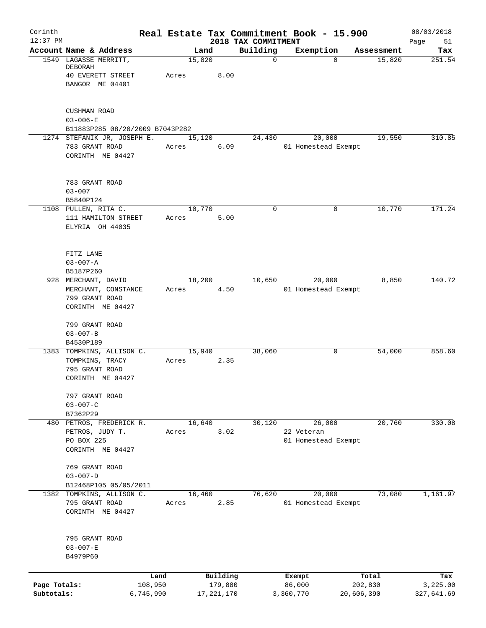| Corinth<br>$12:37$ PM |                                             |                 |                 |                     | Real Estate Tax Commitment Book - 15.900<br>2018 TAX COMMITMENT |                  |                               |                  | 08/03/2018        |
|-----------------------|---------------------------------------------|-----------------|-----------------|---------------------|-----------------------------------------------------------------|------------------|-------------------------------|------------------|-------------------|
|                       | Account Name & Address                      |                 | Land            |                     | Building                                                        |                  | Exemption                     | Assessment       | Page<br>51<br>Tax |
|                       | 1549 LAGASSE MERRITT,                       |                 | 15,820          |                     |                                                                 | $\mathbf 0$      | $\Omega$                      | 15,820           | 251.54            |
|                       | DEBORAH                                     |                 |                 |                     |                                                                 |                  |                               |                  |                   |
|                       | <b>40 EVERETT STREET</b><br>BANGOR ME 04401 |                 | Acres           | 8.00                |                                                                 |                  |                               |                  |                   |
|                       |                                             |                 |                 |                     |                                                                 |                  |                               |                  |                   |
|                       | <b>CUSHMAN ROAD</b>                         |                 |                 |                     |                                                                 |                  |                               |                  |                   |
|                       | $03 - 006 - E$                              |                 |                 |                     |                                                                 |                  |                               |                  |                   |
|                       | B11883P285 08/20/2009 B7043P282             |                 |                 |                     |                                                                 |                  |                               |                  |                   |
|                       | 1274 STEFANIK JR, JOSEPH E.                 |                 | 15,120          | 6.09                | 24,430                                                          |                  | 20,000                        | 19,550           | 310.85            |
|                       | 783 GRANT ROAD<br>CORINTH ME 04427          |                 | Acres           |                     |                                                                 |                  | 01 Homestead Exempt           |                  |                   |
|                       |                                             |                 |                 |                     |                                                                 |                  |                               |                  |                   |
|                       | 783 GRANT ROAD                              |                 |                 |                     |                                                                 |                  |                               |                  |                   |
|                       | $03 - 007$                                  |                 |                 |                     |                                                                 |                  |                               |                  |                   |
|                       | B5840P124                                   |                 |                 |                     |                                                                 |                  |                               |                  |                   |
|                       | 1108 PULLEN, RITA C.                        |                 | 10,770          |                     |                                                                 | $\mathbf 0$      | 0                             | 10,770           | 171.24            |
|                       | 111 HAMILTON STREET<br>ELYRIA OH 44035      |                 | Acres           | 5.00                |                                                                 |                  |                               |                  |                   |
|                       |                                             |                 |                 |                     |                                                                 |                  |                               |                  |                   |
|                       | FITZ LANE                                   |                 |                 |                     |                                                                 |                  |                               |                  |                   |
|                       | $03 - 007 - A$                              |                 |                 |                     |                                                                 |                  |                               |                  |                   |
|                       | B5187P260                                   |                 |                 |                     |                                                                 |                  |                               |                  |                   |
|                       | 928 MERCHANT, DAVID                         |                 | 18,200          |                     | 10,650                                                          |                  | 20,000                        | 8,850            | 140.72            |
|                       | MERCHANT, CONSTANCE<br>799 GRANT ROAD       |                 | Acres           | 4.50                |                                                                 |                  | 01 Homestead Exempt           |                  |                   |
|                       | CORINTH ME 04427                            |                 |                 |                     |                                                                 |                  |                               |                  |                   |
|                       | 799 GRANT ROAD                              |                 |                 |                     |                                                                 |                  |                               |                  |                   |
|                       | $03 - 007 - B$                              |                 |                 |                     |                                                                 |                  |                               |                  |                   |
|                       | B4530P189                                   |                 |                 |                     |                                                                 |                  |                               |                  |                   |
|                       | 1383 TOMPKINS, ALLISON C.                   |                 | 15,940          |                     | 38,060                                                          |                  | 0                             | 54,000           | 858.60            |
|                       | TOMPKINS, TRACY<br>795 GRANT ROAD           |                 | Acres           | 2.35                |                                                                 |                  |                               |                  |                   |
|                       | CORINTH ME 04427                            |                 |                 |                     |                                                                 |                  |                               |                  |                   |
|                       | 797 GRANT ROAD                              |                 |                 |                     |                                                                 |                  |                               |                  |                   |
|                       | $03 - 007 - C$                              |                 |                 |                     |                                                                 |                  |                               |                  |                   |
|                       | B7362P29                                    |                 |                 |                     |                                                                 |                  |                               |                  |                   |
|                       | 480 PETROS, FREDERICK R.                    |                 | 16,640          |                     | 30,120                                                          |                  | 26,000<br>22 Veteran          | 20,760           | 330.08            |
|                       | PETROS, JUDY T.<br>PO BOX 225               |                 | Acres           | 3.02                |                                                                 |                  | 01 Homestead Exempt           |                  |                   |
|                       | CORINTH ME 04427                            |                 |                 |                     |                                                                 |                  |                               |                  |                   |
|                       | 769 GRANT ROAD                              |                 |                 |                     |                                                                 |                  |                               |                  |                   |
|                       | $03 - 007 - D$                              |                 |                 |                     |                                                                 |                  |                               |                  |                   |
|                       | B12468P105 05/05/2011                       |                 |                 |                     |                                                                 |                  |                               |                  |                   |
|                       | 1382 TOMPKINS, ALLISON C.<br>795 GRANT ROAD |                 | 16,460<br>Acres | 2.85                | 76,620                                                          |                  | 20,000<br>01 Homestead Exempt | 73,080           | 1,161.97          |
|                       | CORINTH ME 04427                            |                 |                 |                     |                                                                 |                  |                               |                  |                   |
|                       |                                             |                 |                 |                     |                                                                 |                  |                               |                  |                   |
|                       | 795 GRANT ROAD                              |                 |                 |                     |                                                                 |                  |                               |                  |                   |
|                       | $03 - 007 - E$<br>B4979P60                  |                 |                 |                     |                                                                 |                  |                               |                  |                   |
|                       |                                             |                 |                 |                     |                                                                 |                  |                               |                  |                   |
| Page Totals:          |                                             | Land<br>108,950 |                 | Building<br>179,880 |                                                                 | Exempt<br>86,000 |                               | Total<br>202,830 | Tax<br>3,225.00   |
| Subtotals:            |                                             | 6,745,990       |                 | 17, 221, 170        |                                                                 | 3,360,770        |                               | 20,606,390       | 327,641.69        |
|                       |                                             |                 |                 |                     |                                                                 |                  |                               |                  |                   |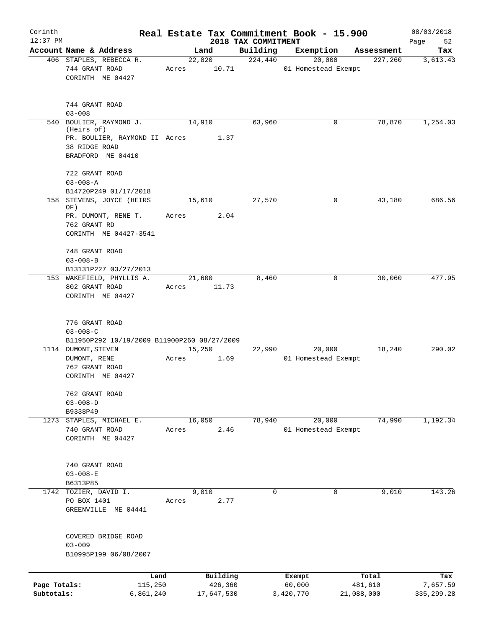| Corinth<br>$12:37$ PM |                                                                                 |       |                     | 2018 TAX COMMITMENT | Real Estate Tax Commitment Book - 15.900 |                  | 08/03/2018        |
|-----------------------|---------------------------------------------------------------------------------|-------|---------------------|---------------------|------------------------------------------|------------------|-------------------|
|                       | Account Name & Address                                                          |       | Land                | Building            | Exemption                                | Assessment       | Page<br>52<br>Tax |
|                       | 406 STAPLES, REBECCA R.                                                         |       | 22,820              | 224,440             | 20,000                                   | 227,260          | 3,613.43          |
|                       | 744 GRANT ROAD<br>CORINTH ME 04427                                              | Acres | 10.71               |                     | 01 Homestead Exempt                      |                  |                   |
|                       | 744 GRANT ROAD<br>$03 - 008$                                                    |       |                     |                     |                                          |                  |                   |
| 540                   | BOULIER, RAYMOND J.<br>(Heirs of)                                               |       | 14,910              | 63,960              | 0                                        | 78,870           | 1,254.03          |
|                       | PR. BOULIER, RAYMOND II Acres<br>38 RIDGE ROAD<br>BRADFORD ME 04410             |       | 1.37                |                     |                                          |                  |                   |
|                       | 722 GRANT ROAD<br>$03 - 008 - A$                                                |       |                     |                     |                                          |                  |                   |
|                       | B14720P249 01/17/2018                                                           |       |                     |                     |                                          |                  |                   |
|                       | 158 STEVENS, JOYCE (HEIRS<br>OF)                                                |       | 15,610              | 27,570              | 0                                        | 43,180           | 686.56            |
|                       | PR. DUMONT, RENE T.<br>762 GRANT RD<br>CORINTH ME 04427-3541                    | Acres | 2.04                |                     |                                          |                  |                   |
|                       | 748 GRANT ROAD<br>$03 - 008 - B$<br>B13131P227 03/27/2013                       |       |                     |                     |                                          |                  |                   |
|                       | 153 WAKEFIELD, PHYLLIS A.<br>802 GRANT ROAD<br>CORINTH ME 04427                 | Acres | 21,600<br>11.73     | 8,460               | 0                                        | 30,060           | 477.95            |
|                       | 776 GRANT ROAD<br>$03 - 008 - C$<br>B11950P292 10/19/2009 B11900P260 08/27/2009 |       |                     |                     |                                          |                  |                   |
|                       | 1114 DUMONT, STEVEN<br>DUMONT, RENE<br>762 GRANT ROAD<br>CORINTH ME 04427       | Acres | 15,250<br>1.69      | 22,990              | 20,000<br>01 Homestead Exempt            | 18,240           | 290.02            |
|                       | 762 GRANT ROAD<br>$03 - 008 - D$<br>B9338P49                                    |       |                     |                     |                                          |                  |                   |
|                       | 1273 STAPLES, MICHAEL E.                                                        |       | 16,050              | 78,940              | 20,000                                   | 74,990           | 1,192.34          |
|                       | 740 GRANT ROAD<br>CORINTH ME 04427                                              | Acres | 2.46                |                     | 01 Homestead Exempt                      |                  |                   |
|                       | 740 GRANT ROAD<br>$03 - 008 - E$                                                |       |                     |                     |                                          |                  |                   |
|                       | B6313P85                                                                        |       |                     |                     |                                          |                  |                   |
|                       | 1742 TOZIER, DAVID I.<br>PO BOX 1401<br>GREENVILLE ME 04441                     | Acres | 9,010<br>2.77       | 0                   | 0                                        | 9,010            | 143.26            |
|                       | COVERED BRIDGE ROAD<br>$03 - 009$<br>B10995P199 06/08/2007                      |       |                     |                     |                                          |                  |                   |
|                       |                                                                                 |       |                     |                     |                                          |                  |                   |
| Page Totals:          | 115,250                                                                         | Land  | Building<br>426,360 |                     | Exempt<br>60,000                         | Total<br>481,610 | Tax<br>7,657.59   |
| Subtotals:            | 6,861,240                                                                       |       | 17,647,530          |                     | 3,420,770                                | 21,088,000       | 335, 299.28       |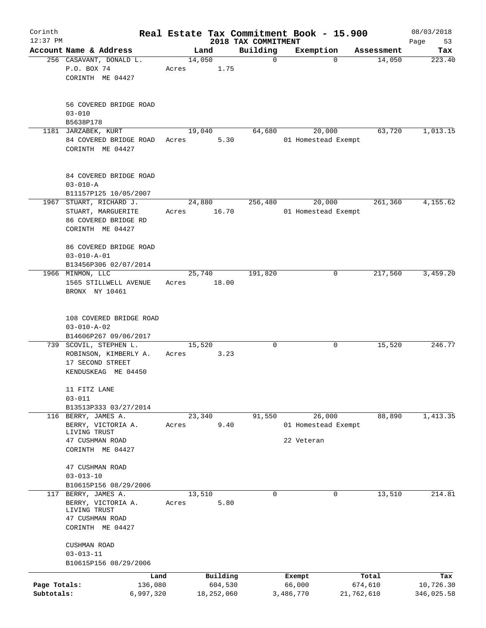| Corinth<br>$12:37$ PM |                                            |         |        |            |                                 | Real Estate Tax Commitment Book - 15.900 |             |            | 08/03/2018        |
|-----------------------|--------------------------------------------|---------|--------|------------|---------------------------------|------------------------------------------|-------------|------------|-------------------|
|                       | Account Name & Address                     |         | Land   |            | 2018 TAX COMMITMENT<br>Building | Exemption                                |             | Assessment | Page<br>53<br>Tax |
|                       | 256 CASAVANT, DONALD L.                    |         | 14,050 |            | $\mathbf 0$                     |                                          | $\mathbf 0$ | 14,050     | 223.40            |
|                       | P.O. BOX 74                                | Acres   |        | 1.75       |                                 |                                          |             |            |                   |
|                       | CORINTH ME 04427                           |         |        |            |                                 |                                          |             |            |                   |
|                       | 56 COVERED BRIDGE ROAD                     |         |        |            |                                 |                                          |             |            |                   |
|                       | $03 - 010$                                 |         |        |            |                                 |                                          |             |            |                   |
|                       | B5638P178                                  |         |        |            |                                 |                                          |             |            |                   |
|                       | 1181 JARZABEK, KURT                        |         | 19,040 |            | 64,680                          | 20,000                                   |             | 63,720     | 1,013.15          |
|                       | 84 COVERED BRIDGE ROAD<br>CORINTH ME 04427 | Acres   |        | 5.30       |                                 | 01 Homestead Exempt                      |             |            |                   |
|                       | 84 COVERED BRIDGE ROAD                     |         |        |            |                                 |                                          |             |            |                   |
|                       | $03 - 010 - A$                             |         |        |            |                                 |                                          |             |            |                   |
|                       | B11157P125 10/05/2007                      |         |        |            |                                 |                                          |             |            |                   |
|                       | 1967 STUART, RICHARD J.                    |         | 24,880 |            | 256,480                         | 20,000                                   |             | 261,360    | 4,155.62          |
|                       | STUART, MARGUERITE                         | Acres   |        | 16.70      |                                 | 01 Homestead Exempt                      |             |            |                   |
|                       | 86 COVERED BRIDGE RD                       |         |        |            |                                 |                                          |             |            |                   |
|                       | CORINTH ME 04427                           |         |        |            |                                 |                                          |             |            |                   |
|                       | 86 COVERED BRIDGE ROAD                     |         |        |            |                                 |                                          |             |            |                   |
|                       | $03 - 010 - A - 01$                        |         |        |            |                                 |                                          |             |            |                   |
|                       | B13456P306 02/07/2014                      |         |        |            |                                 |                                          |             |            |                   |
|                       | 1966 MINMON, LLC                           |         | 25,740 |            | 191,820                         |                                          | 0           | 217,560    | 3,459.20          |
|                       | 1565 STILLWELL AVENUE                      | Acres   |        | 18.00      |                                 |                                          |             |            |                   |
|                       | BRONX NY 10461                             |         |        |            |                                 |                                          |             |            |                   |
|                       |                                            |         |        |            |                                 |                                          |             |            |                   |
|                       |                                            |         |        |            |                                 |                                          |             |            |                   |
|                       | 108 COVERED BRIDGE ROAD                    |         |        |            |                                 |                                          |             |            |                   |
|                       | $03 - 010 - A - 02$                        |         |        |            |                                 |                                          |             |            |                   |
|                       | B14606P267 09/06/2017                      |         |        |            |                                 |                                          |             |            |                   |
|                       | 739 SCOVIL, STEPHEN L.                     |         | 15,520 |            | 0                               |                                          | 0           | 15,520     | 246.77            |
|                       | ROBINSON, KIMBERLY A.                      | Acres   |        | 3.23       |                                 |                                          |             |            |                   |
|                       | 17 SECOND STREET<br>KENDUSKEAG ME 04450    |         |        |            |                                 |                                          |             |            |                   |
|                       |                                            |         |        |            |                                 |                                          |             |            |                   |
|                       | 11 FITZ LANE                               |         |        |            |                                 |                                          |             |            |                   |
|                       | $03 - 011$                                 |         |        |            |                                 |                                          |             |            |                   |
|                       | B13513P333 03/27/2014                      |         |        |            |                                 |                                          |             |            |                   |
|                       | 116 BERRY, JAMES A.                        |         | 23,340 |            | 91,550                          | 26,000                                   |             | 88,890     | 1,413.35          |
|                       | BERRY, VICTORIA A.                         | Acres   |        | 9.40       |                                 | 01 Homestead Exempt                      |             |            |                   |
|                       | LIVING TRUST                               |         |        |            |                                 |                                          |             |            |                   |
|                       | 47 CUSHMAN ROAD                            |         |        |            |                                 | 22 Veteran                               |             |            |                   |
|                       | CORINTH ME 04427                           |         |        |            |                                 |                                          |             |            |                   |
|                       | 47 CUSHMAN ROAD                            |         |        |            |                                 |                                          |             |            |                   |
|                       | $03 - 013 - 10$                            |         |        |            |                                 |                                          |             |            |                   |
|                       | B10615P156 08/29/2006                      |         |        |            |                                 |                                          |             |            |                   |
|                       | 117 BERRY, JAMES A.                        |         | 13,510 |            | $\mathbf 0$                     |                                          | $\Omega$    | 13,510     | 214.81            |
|                       | BERRY, VICTORIA A.                         | Acres   |        | 5.80       |                                 |                                          |             |            |                   |
|                       | LIVING TRUST                               |         |        |            |                                 |                                          |             |            |                   |
|                       | 47 CUSHMAN ROAD                            |         |        |            |                                 |                                          |             |            |                   |
|                       | CORINTH ME 04427                           |         |        |            |                                 |                                          |             |            |                   |
|                       | CUSHMAN ROAD                               |         |        |            |                                 |                                          |             |            |                   |
|                       | $03 - 013 - 11$                            |         |        |            |                                 |                                          |             |            |                   |
|                       | B10615P156 08/29/2006                      |         |        |            |                                 |                                          |             |            |                   |
|                       |                                            | Land    |        | Building   |                                 | Exempt                                   | Total       |            | Tax               |
| Page Totals:          |                                            | 136,080 |        | 604,530    |                                 | 66,000                                   | 674,610     |            | 10,726.30         |
| Subtotals:            | 6,997,320                                  |         |        | 18,252,060 |                                 | 3,486,770                                | 21,762,610  |            | 346,025.58        |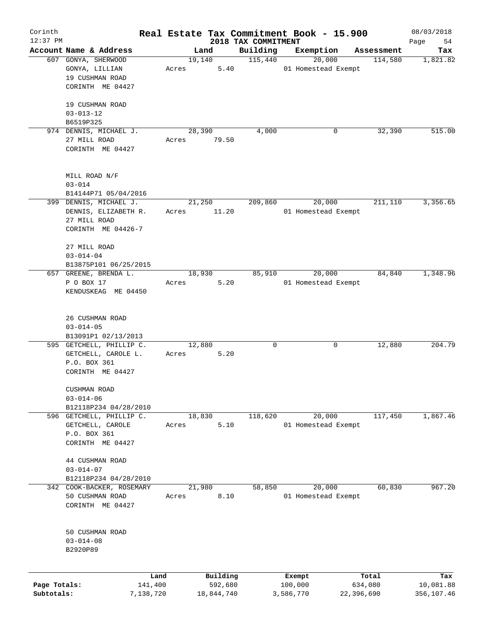| Corinth      |                          |       |            |                                 | Real Estate Tax Commitment Book - 15.900 |            | 08/03/2018        |
|--------------|--------------------------|-------|------------|---------------------------------|------------------------------------------|------------|-------------------|
| $12:37$ PM   | Account Name & Address   |       | Land       | 2018 TAX COMMITMENT<br>Building | Exemption                                | Assessment | 54<br>Page<br>Tax |
|              | 607 GONYA, SHERWOOD      |       | 19,140     | 115,440                         | 20,000                                   | 114,580    | 1,821.82          |
|              | GONYA, LILLIAN           | Acres | 5.40       |                                 | 01 Homestead Exempt                      |            |                   |
|              | 19 CUSHMAN ROAD          |       |            |                                 |                                          |            |                   |
|              | CORINTH ME 04427         |       |            |                                 |                                          |            |                   |
|              |                          |       |            |                                 |                                          |            |                   |
|              | 19 CUSHMAN ROAD          |       |            |                                 |                                          |            |                   |
|              | $03 - 013 - 12$          |       |            |                                 |                                          |            |                   |
|              | B6519P325                |       |            |                                 |                                          |            |                   |
|              | 974 DENNIS, MICHAEL J.   |       | 28,390     | 4,000                           | 0                                        | 32,390     | 515.00            |
|              | 27 MILL ROAD             | Acres | 79.50      |                                 |                                          |            |                   |
|              | CORINTH ME 04427         |       |            |                                 |                                          |            |                   |
|              |                          |       |            |                                 |                                          |            |                   |
|              |                          |       |            |                                 |                                          |            |                   |
|              | MILL ROAD N/F            |       |            |                                 |                                          |            |                   |
|              | $03 - 014$               |       |            |                                 |                                          |            |                   |
|              | B14144P71 05/04/2016     |       |            |                                 |                                          |            |                   |
|              | 399 DENNIS, MICHAEL J.   |       | 21,250     | 209,860                         | 20,000                                   | 211,110    | 3,356.65          |
|              | DENNIS, ELIZABETH R.     | Acres | 11.20      |                                 | 01 Homestead Exempt                      |            |                   |
|              | 27 MILL ROAD             |       |            |                                 |                                          |            |                   |
|              | CORINTH ME 04426-7       |       |            |                                 |                                          |            |                   |
|              |                          |       |            |                                 |                                          |            |                   |
|              | 27 MILL ROAD             |       |            |                                 |                                          |            |                   |
|              | $03 - 014 - 04$          |       |            |                                 |                                          |            |                   |
|              | B13875P101 06/25/2015    |       |            |                                 |                                          |            |                   |
|              | 657 GREENE, BRENDA L.    |       | 18,930     | 85,910                          | 20,000                                   | 84,840     | 1,348.96          |
|              | P O BOX 17               | Acres | 5.20       |                                 | 01 Homestead Exempt                      |            |                   |
|              | KENDUSKEAG ME 04450      |       |            |                                 |                                          |            |                   |
|              |                          |       |            |                                 |                                          |            |                   |
|              |                          |       |            |                                 |                                          |            |                   |
|              | 26 CUSHMAN ROAD          |       |            |                                 |                                          |            |                   |
|              | $03 - 014 - 05$          |       |            |                                 |                                          |            |                   |
|              | B13091P1 02/13/2013      |       |            |                                 |                                          |            |                   |
|              | 595 GETCHELL, PHILLIP C. |       | 12,880     | 0                               | 0                                        | 12,880     | 204.79            |
|              | GETCHELL, CAROLE L.      | Acres | 5.20       |                                 |                                          |            |                   |
|              | P.O. BOX 361             |       |            |                                 |                                          |            |                   |
|              | CORINTH ME 04427         |       |            |                                 |                                          |            |                   |
|              |                          |       |            |                                 |                                          |            |                   |
|              | CUSHMAN ROAD             |       |            |                                 |                                          |            |                   |
|              | $03 - 014 - 06$          |       |            |                                 |                                          |            |                   |
|              | B12118P234 04/28/2010    |       |            |                                 |                                          |            |                   |
|              | 596 GETCHELL, PHILLIP C. |       | 18,830     | 118,620                         | 20,000                                   | 117,450    | 1,867.46          |
|              | GETCHELL, CAROLE         | Acres | 5.10       |                                 | 01 Homestead Exempt                      |            |                   |
|              | P.O. BOX 361             |       |            |                                 |                                          |            |                   |
|              | CORINTH ME 04427         |       |            |                                 |                                          |            |                   |
|              |                          |       |            |                                 |                                          |            |                   |
|              | 44 CUSHMAN ROAD          |       |            |                                 |                                          |            |                   |
|              | $03 - 014 - 07$          |       |            |                                 |                                          |            |                   |
|              | B12118P234 04/28/2010    |       |            |                                 |                                          |            |                   |
| 342          | COOK-BACKER, ROSEMARY    |       | 21,980     | 58,850                          | 20,000                                   | 60,830     | 967.20            |
|              | 50 CUSHMAN ROAD          | Acres | 8.10       |                                 | 01 Homestead Exempt                      |            |                   |
|              | CORINTH ME 04427         |       |            |                                 |                                          |            |                   |
|              |                          |       |            |                                 |                                          |            |                   |
|              |                          |       |            |                                 |                                          |            |                   |
|              | 50 CUSHMAN ROAD          |       |            |                                 |                                          |            |                   |
|              | $03 - 014 - 08$          |       |            |                                 |                                          |            |                   |
|              | B2920P89                 |       |            |                                 |                                          |            |                   |
|              |                          |       |            |                                 |                                          |            |                   |
|              |                          |       |            |                                 |                                          |            |                   |
|              | Land                     |       | Building   |                                 | Exempt                                   | Total      | Tax               |
| Page Totals: | 141,400                  |       | 592,680    |                                 | 100,000                                  | 634,080    | 10,081.88         |
| Subtotals:   | 7,138,720                |       | 18,844,740 |                                 | 3,586,770                                | 22,396,690 | 356,107.46        |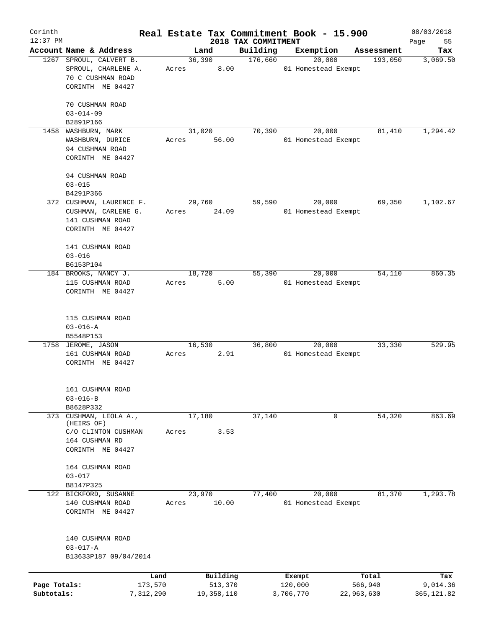| Corinth      |                          |        |              |                     | Real Estate Tax Commitment Book - 15.900 |                       | 08/03/2018      |
|--------------|--------------------------|--------|--------------|---------------------|------------------------------------------|-----------------------|-----------------|
| $12:37$ PM   | Account Name & Address   |        |              | 2018 TAX COMMITMENT |                                          |                       | Page<br>55      |
|              | 1267 SPROUL, CALVERT B.  | 36,390 | Land         | Building<br>176,660 | Exemption<br>20,000                      | Assessment<br>193,050 | Tax<br>3,069.50 |
|              | SPROUL, CHARLENE A.      |        | 8.00         |                     | 01 Homestead Exempt                      |                       |                 |
|              | 70 C CUSHMAN ROAD        | Acres  |              |                     |                                          |                       |                 |
|              |                          |        |              |                     |                                          |                       |                 |
|              | CORINTH ME 04427         |        |              |                     |                                          |                       |                 |
|              | 70 CUSHMAN ROAD          |        |              |                     |                                          |                       |                 |
|              | $03 - 014 - 09$          |        |              |                     |                                          |                       |                 |
|              | B2891P166                |        |              |                     |                                          |                       |                 |
| 1458         | WASHBURN, MARK           | 31,020 |              | 70,390              | 20,000                                   | 81,410                | 1,294.42        |
|              | WASHBURN, DURICE         | Acres  | 56.00        |                     | 01 Homestead Exempt                      |                       |                 |
|              | 94 CUSHMAN ROAD          |        |              |                     |                                          |                       |                 |
|              | CORINTH ME 04427         |        |              |                     |                                          |                       |                 |
|              |                          |        |              |                     |                                          |                       |                 |
|              | 94 CUSHMAN ROAD          |        |              |                     |                                          |                       |                 |
|              | $03 - 015$               |        |              |                     |                                          |                       |                 |
|              | B4291P366                |        |              |                     |                                          |                       |                 |
|              | 372 CUSHMAN, LAURENCE F. | 29,760 |              | 59,590              | 20,000                                   | 69,350                | 1,102.67        |
|              | CUSHMAN, CARLENE G.      | Acres  | 24.09        |                     | 01 Homestead Exempt                      |                       |                 |
|              | 141 CUSHMAN ROAD         |        |              |                     |                                          |                       |                 |
|              | CORINTH ME 04427         |        |              |                     |                                          |                       |                 |
|              |                          |        |              |                     |                                          |                       |                 |
|              | 141 CUSHMAN ROAD         |        |              |                     |                                          |                       |                 |
|              | $03 - 016$               |        |              |                     |                                          |                       |                 |
|              | B6153P104                |        |              |                     |                                          |                       |                 |
|              | 184 BROOKS, NANCY J.     | 18,720 |              | 55,390              | 20,000                                   | 54,110                | 860.35          |
|              | 115 CUSHMAN ROAD         | Acres  | 5.00         |                     | 01 Homestead Exempt                      |                       |                 |
|              | CORINTH ME 04427         |        |              |                     |                                          |                       |                 |
|              |                          |        |              |                     |                                          |                       |                 |
|              |                          |        |              |                     |                                          |                       |                 |
|              | 115 CUSHMAN ROAD         |        |              |                     |                                          |                       |                 |
|              | $03 - 016 - A$           |        |              |                     |                                          |                       |                 |
|              | B5548P153                |        |              |                     |                                          |                       |                 |
|              | 1758 JEROME, JASON       | 16,530 |              | 36,800              | 20,000                                   | 33,330                | 529.95          |
|              | 161 CUSHMAN ROAD         | Acres  | 2.91         |                     | 01 Homestead Exempt                      |                       |                 |
|              | CORINTH ME 04427         |        |              |                     |                                          |                       |                 |
|              |                          |        |              |                     |                                          |                       |                 |
|              |                          |        |              |                     |                                          |                       |                 |
|              | 161 CUSHMAN ROAD         |        |              |                     |                                          |                       |                 |
|              | $03 - 016 - B$           |        |              |                     |                                          |                       |                 |
|              | B8628P332                |        |              |                     |                                          |                       |                 |
| 373          | CUSHMAN, LEOLA A.,       | 17,180 |              | 37,140              | 0                                        | 54,320                | 863.69          |
|              | (HEIRS OF)               |        |              |                     |                                          |                       |                 |
|              | C/O CLINTON CUSHMAN      | Acres  | 3.53         |                     |                                          |                       |                 |
|              | 164 CUSHMAN RD           |        |              |                     |                                          |                       |                 |
|              | CORINTH ME 04427         |        |              |                     |                                          |                       |                 |
|              |                          |        |              |                     |                                          |                       |                 |
|              | 164 CUSHMAN ROAD         |        |              |                     |                                          |                       |                 |
|              | $03 - 017$               |        |              |                     |                                          |                       |                 |
|              | B8147P325                |        |              |                     |                                          |                       |                 |
|              | 122 BICKFORD, SUSANNE    | 23,970 |              | 77,400              | 20,000                                   | 81,370                | 1,293.78        |
|              | 140 CUSHMAN ROAD         | Acres  | 10.00        |                     | 01 Homestead Exempt                      |                       |                 |
|              | CORINTH ME 04427         |        |              |                     |                                          |                       |                 |
|              |                          |        |              |                     |                                          |                       |                 |
|              |                          |        |              |                     |                                          |                       |                 |
|              | 140 CUSHMAN ROAD         |        |              |                     |                                          |                       |                 |
|              | $03 - 017 - A$           |        |              |                     |                                          |                       |                 |
|              | B13633P187 09/04/2014    |        |              |                     |                                          |                       |                 |
|              |                          |        |              |                     |                                          |                       |                 |
|              | Land                     |        | Building     |                     | Exempt                                   | Total                 | Tax             |
| Page Totals: | 173,570                  |        | 513,370      |                     | 120,000                                  | 566,940               | 9,014.36        |
| Subtotals:   | 7,312,290                |        | 19, 358, 110 |                     | 3,706,770                                | 22,963,630            | 365, 121.82     |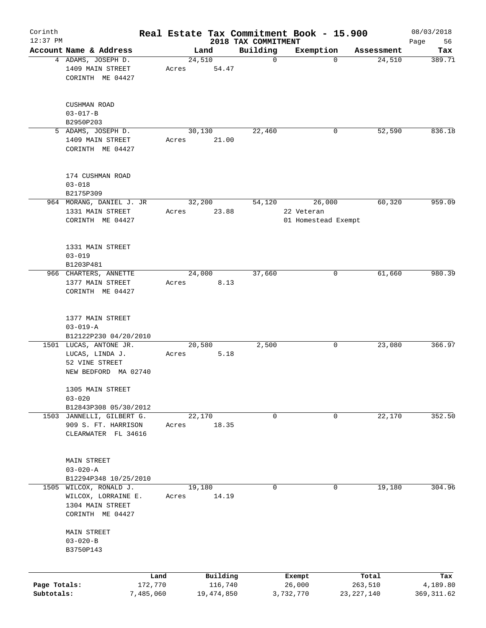| Corinth<br>$12:37$ PM |                                |           |       |              |                                 | Real Estate Tax Commitment Book - 15.900 |              | 08/03/2018        |
|-----------------------|--------------------------------|-----------|-------|--------------|---------------------------------|------------------------------------------|--------------|-------------------|
|                       | Account Name & Address         |           |       | Land         | 2018 TAX COMMITMENT<br>Building | Exemption                                | Assessment   | 56<br>Page<br>Tax |
|                       | 4 ADAMS, JOSEPH D.             |           |       | 24,510       | 0                               | $\Omega$                                 | 24,510       | 389.71            |
|                       | 1409 MAIN STREET               |           | Acres | 54.47        |                                 |                                          |              |                   |
|                       | CORINTH ME 04427               |           |       |              |                                 |                                          |              |                   |
|                       |                                |           |       |              |                                 |                                          |              |                   |
|                       | CUSHMAN ROAD<br>$03 - 017 - B$ |           |       |              |                                 |                                          |              |                   |
|                       | B2950P203                      |           |       |              |                                 |                                          |              |                   |
|                       | 5 ADAMS, JOSEPH D.             |           |       | 30,130       | 22,460                          | 0                                        | 52,590       | 836.18            |
|                       | 1409 MAIN STREET               |           | Acres | 21.00        |                                 |                                          |              |                   |
|                       | CORINTH ME 04427               |           |       |              |                                 |                                          |              |                   |
|                       | 174 CUSHMAN ROAD               |           |       |              |                                 |                                          |              |                   |
|                       | $03 - 018$                     |           |       |              |                                 |                                          |              |                   |
|                       | B2175P309                      |           |       |              |                                 |                                          |              |                   |
|                       | 964 MORANG, DANIEL J. JR       |           |       | 32,200       | 54,120                          | 26,000                                   | 60,320       | 959.09            |
|                       | 1331 MAIN STREET               |           | Acres | 23.88        |                                 | 22 Veteran                               |              |                   |
|                       | CORINTH ME 04427               |           |       |              |                                 | 01 Homestead Exempt                      |              |                   |
|                       |                                |           |       |              |                                 |                                          |              |                   |
|                       | 1331 MAIN STREET               |           |       |              |                                 |                                          |              |                   |
|                       | $03 - 019$                     |           |       |              |                                 |                                          |              |                   |
|                       | B1203P481                      |           |       |              |                                 |                                          |              |                   |
|                       | 966 CHARTERS, ANNETTE          |           |       | 24,000       | 37,660                          | 0                                        | 61,660       | 980.39            |
|                       | 1377 MAIN STREET               |           | Acres | 8.13         |                                 |                                          |              |                   |
|                       | CORINTH ME 04427               |           |       |              |                                 |                                          |              |                   |
|                       | 1377 MAIN STREET               |           |       |              |                                 |                                          |              |                   |
|                       | $03 - 019 - A$                 |           |       |              |                                 |                                          |              |                   |
|                       | B12122P230 04/20/2010          |           |       |              |                                 |                                          |              |                   |
|                       | 1501 LUCAS, ANTONE JR.         |           |       | 20,580       | 2,500                           | 0                                        | 23,080       | 366.97            |
|                       | LUCAS, LINDA J.                |           | Acres | 5.18         |                                 |                                          |              |                   |
|                       | 52 VINE STREET                 |           |       |              |                                 |                                          |              |                   |
|                       | NEW BEDFORD MA 02740           |           |       |              |                                 |                                          |              |                   |
|                       | 1305 MAIN STREET<br>$03 - 020$ |           |       |              |                                 |                                          |              |                   |
|                       | B12843P308 05/30/2012          |           |       |              |                                 |                                          |              |                   |
|                       | 1503 JANNELLI, GILBERT G.      |           |       | 22,170       | 0                               | 0                                        | 22,170       | 352.50            |
|                       | 909 S. FT. HARRISON            |           | Acres | 18.35        |                                 |                                          |              |                   |
|                       | CLEARWATER FL 34616            |           |       |              |                                 |                                          |              |                   |
|                       |                                |           |       |              |                                 |                                          |              |                   |
|                       | MAIN STREET                    |           |       |              |                                 |                                          |              |                   |
|                       | $03 - 020 - A$                 |           |       |              |                                 |                                          |              |                   |
|                       | B12294P348 10/25/2010          |           |       |              |                                 |                                          |              |                   |
| 1505                  | WILCOX, RONALD J.              |           |       | 19,180       | 0                               | 0                                        | 19,180       | 304.96            |
|                       | WILCOX, LORRAINE E.            |           | Acres | 14.19        |                                 |                                          |              |                   |
|                       | 1304 MAIN STREET               |           |       |              |                                 |                                          |              |                   |
|                       | CORINTH ME 04427               |           |       |              |                                 |                                          |              |                   |
|                       | <b>MAIN STREET</b>             |           |       |              |                                 |                                          |              |                   |
|                       | $03 - 020 - B$                 |           |       |              |                                 |                                          |              |                   |
|                       | B3750P143                      |           |       |              |                                 |                                          |              |                   |
|                       |                                |           |       |              |                                 |                                          |              |                   |
|                       |                                | Land      |       | Building     |                                 | Exempt                                   | Total        | Tax               |
| Page Totals:          |                                | 172,770   |       | 116,740      |                                 | 26,000                                   | 263,510      | 4,189.80          |
| Subtotals:            |                                | 7,485,060 |       | 19, 474, 850 |                                 | 3,732,770                                | 23, 227, 140 | 369, 311.62       |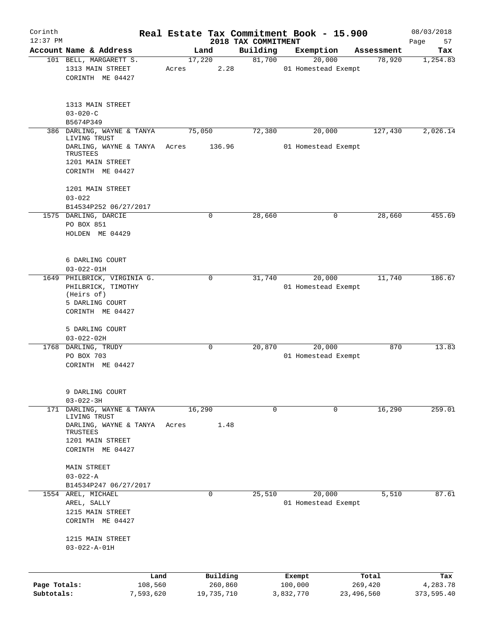| Corinth                    |                                                                                                        |                              |       |                                   |                                 | Real Estate Tax Commitment Book - 15.900 |                               |                      | 08/03/2018                    |
|----------------------------|--------------------------------------------------------------------------------------------------------|------------------------------|-------|-----------------------------------|---------------------------------|------------------------------------------|-------------------------------|----------------------|-------------------------------|
| $12:37$ PM                 | Account Name & Address                                                                                 |                              |       | Land                              | 2018 TAX COMMITMENT<br>Building |                                          |                               |                      | 57<br>Page                    |
|                            | 101 BELL, MARGARETT S.                                                                                 |                              |       | 17,220                            | 81,700                          | Exemption                                | 20,000                        | Assessment<br>78,920 | Tax<br>1,254.83               |
|                            | 1313 MAIN STREET<br>CORINTH ME 04427                                                                   |                              | Acres | 2.28                              |                                 |                                          | 01 Homestead Exempt           |                      |                               |
|                            | 1313 MAIN STREET<br>$03 - 020 - C$                                                                     |                              |       |                                   |                                 |                                          |                               |                      |                               |
|                            | B5674P349                                                                                              |                              |       |                                   |                                 |                                          |                               |                      |                               |
|                            | 386 DARLING, WAYNE & TANYA<br>LIVING TRUST<br>DARLING, WAYNE & TANYA                                   |                              | Acres | 75,050<br>136.96                  | 72,380                          |                                          | 20,000<br>01 Homestead Exempt | 127,430              | 2,026.14                      |
|                            | TRUSTEES<br>1201 MAIN STREET<br>CORINTH ME 04427                                                       |                              |       |                                   |                                 |                                          |                               |                      |                               |
|                            | 1201 MAIN STREET<br>$03 - 022$                                                                         |                              |       |                                   |                                 |                                          |                               |                      |                               |
|                            | B14534P252 06/27/2017                                                                                  |                              |       |                                   |                                 |                                          |                               |                      |                               |
|                            | 1575 DARLING, DARCIE<br>PO BOX 851<br>HOLDEN ME 04429                                                  |                              |       | 0                                 | 28,660                          |                                          | 0                             | 28,660               | 455.69                        |
|                            | 6 DARLING COURT<br>$03 - 022 - 01H$                                                                    |                              |       |                                   |                                 |                                          |                               |                      |                               |
|                            | 1649 PHILBRICK, VIRGINIA G.<br>PHILBRICK, TIMOTHY<br>(Heirs of)<br>5 DARLING COURT<br>CORINTH ME 04427 |                              |       | 0                                 | 31,740                          |                                          | 20,000<br>01 Homestead Exempt | 11,740               | 186.67                        |
|                            | 5 DARLING COURT<br>$03 - 022 - 02H$                                                                    |                              |       |                                   |                                 |                                          |                               |                      |                               |
|                            | 1768 DARLING, TRUDY<br>PO BOX 703<br>CORINTH ME 04427                                                  |                              |       | 0                                 | 20,870                          |                                          | 20,000<br>01 Homestead Exempt | 870                  | 13.83                         |
|                            | 9 DARLING COURT<br>$03 - 022 - 3H$                                                                     |                              |       |                                   |                                 |                                          |                               |                      |                               |
|                            | 171 DARLING, WAYNE & TANYA<br>LIVING TRUST                                                             |                              |       | 16,290                            |                                 | $\Omega$                                 | 0                             | 16,290               | 259.01                        |
|                            | DARLING, WAYNE & TANYA<br>TRUSTEES<br>1201 MAIN STREET<br>CORINTH ME 04427                             |                              | Acres | 1.48                              |                                 |                                          |                               |                      |                               |
|                            | <b>MAIN STREET</b><br>$03 - 022 - A$<br>B14534P247 06/27/2017                                          |                              |       |                                   |                                 |                                          |                               |                      |                               |
|                            | 1554 AREL, MICHAEL<br>AREL, SALLY<br>1215 MAIN STREET<br>CORINTH ME 04427                              |                              |       | $\mathbf 0$                       | 25,510                          |                                          | 20,000<br>01 Homestead Exempt | 5,510                | 87.61                         |
|                            | 1215 MAIN STREET<br>$03 - 022 - A - 01H$                                                               |                              |       |                                   |                                 |                                          |                               |                      |                               |
|                            |                                                                                                        |                              |       |                                   |                                 |                                          |                               |                      |                               |
| Page Totals:<br>Subtotals: |                                                                                                        | Land<br>108,560<br>7,593,620 |       | Building<br>260,860<br>19,735,710 |                                 | Exempt<br>100,000<br>3,832,770           | 23,496,560                    | Total<br>269,420     | Tax<br>4,283.78<br>373,595.40 |
|                            |                                                                                                        |                              |       |                                   |                                 |                                          |                               |                      |                               |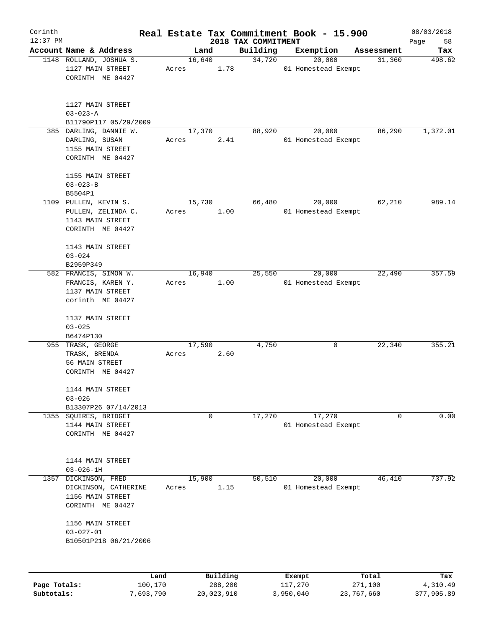| Corinth                    |                                                                                 |                      |                 |                       |                                 | Real Estate Tax Commitment Book - 15.900 |                       | 08/03/2018             |
|----------------------------|---------------------------------------------------------------------------------|----------------------|-----------------|-----------------------|---------------------------------|------------------------------------------|-----------------------|------------------------|
| $12:37$ PM                 | Account Name & Address                                                          |                      |                 | Land                  | 2018 TAX COMMITMENT<br>Building | Exemption                                |                       | Page<br>58             |
|                            | 1148 ROLLAND, JOSHUA S.                                                         |                      | 16,640          |                       | 34,720                          | 20,000                                   | Assessment<br>31,360  | Tax<br>498.62          |
|                            | 1127 MAIN STREET<br>CORINTH ME 04427                                            |                      | Acres           | 1.78                  |                                 | 01 Homestead Exempt                      |                       |                        |
|                            | 1127 MAIN STREET<br>$03 - 023 - A$<br>B11790P117 05/29/2009                     |                      |                 |                       |                                 |                                          |                       |                        |
|                            | 385 DARLING, DANNIE W.                                                          |                      | 17,370          |                       | 88,920                          | 20,000                                   | 86,290                | 1,372.01               |
|                            | DARLING, SUSAN<br>1155 MAIN STREET<br>CORINTH ME 04427                          |                      | Acres           | 2.41                  |                                 | 01 Homestead Exempt                      |                       |                        |
|                            | 1155 MAIN STREET                                                                |                      |                 |                       |                                 |                                          |                       |                        |
|                            | $03 - 023 - B$                                                                  |                      |                 |                       |                                 |                                          |                       |                        |
|                            | B5504P1                                                                         |                      |                 |                       |                                 |                                          |                       |                        |
|                            | 1109 PULLEN, KEVIN S.                                                           |                      | 15,730          |                       | 66,480                          | 20,000                                   | 62,210                | 989.14                 |
|                            | PULLEN, ZELINDA C.<br>1143 MAIN STREET<br>CORINTH ME 04427                      |                      | Acres           | 1.00                  |                                 | 01 Homestead Exempt                      |                       |                        |
|                            | 1143 MAIN STREET                                                                |                      |                 |                       |                                 |                                          |                       |                        |
|                            | $03 - 024$                                                                      |                      |                 |                       |                                 |                                          |                       |                        |
|                            | B2959P349                                                                       |                      |                 |                       |                                 |                                          |                       |                        |
|                            | 582 FRANCIS, SIMON W.                                                           |                      | 16,940          |                       | 25,550                          | 20,000                                   | 22,490                | 357.59                 |
|                            | FRANCIS, KAREN Y.<br>1137 MAIN STREET<br>corinth ME 04427                       |                      | Acres           | 1.00                  |                                 | 01 Homestead Exempt                      |                       |                        |
|                            | 1137 MAIN STREET<br>$03 - 025$<br>B6474P130                                     |                      |                 |                       |                                 |                                          |                       |                        |
|                            | 955 TRASK, GEORGE<br>TRASK, BRENDA<br>56 MAIN STREET<br>CORINTH ME 04427        |                      | 17,590<br>Acres | 2.60                  | 4,750                           | 0                                        | 22,340                | 355.21                 |
|                            | 1144 MAIN STREET<br>$03 - 026$                                                  |                      |                 |                       |                                 |                                          |                       |                        |
|                            | B13307P26 07/14/2013                                                            |                      |                 |                       |                                 |                                          |                       |                        |
| 1355                       | SQUIRES, BRIDGET<br>1144 MAIN STREET<br>CORINTH ME 04427                        |                      |                 | 0                     | 17,270                          | 17,270<br>01 Homestead Exempt            | 0                     | 0.00                   |
|                            | 1144 MAIN STREET<br>$03 - 026 - 1H$                                             |                      |                 |                       |                                 |                                          |                       |                        |
| 1357                       | DICKINSON, FRED<br>DICKINSON, CATHERINE<br>1156 MAIN STREET<br>CORINTH ME 04427 |                      | 15,900<br>Acres | 1.15                  | 50,510                          | 20,000<br>01 Homestead Exempt            | 46,410                | 737.92                 |
|                            | 1156 MAIN STREET<br>$03 - 027 - 01$<br>B10501P218 06/21/2006                    |                      |                 |                       |                                 |                                          |                       |                        |
|                            |                                                                                 | Land                 |                 | Building              |                                 | Exempt                                   | Total                 | Tax                    |
| Page Totals:<br>Subtotals: |                                                                                 | 100,170<br>7,693,790 |                 | 288,200<br>20,023,910 |                                 | 117,270<br>3,950,040                     | 271,100<br>23,767,660 | 4,310.49<br>377,905.89 |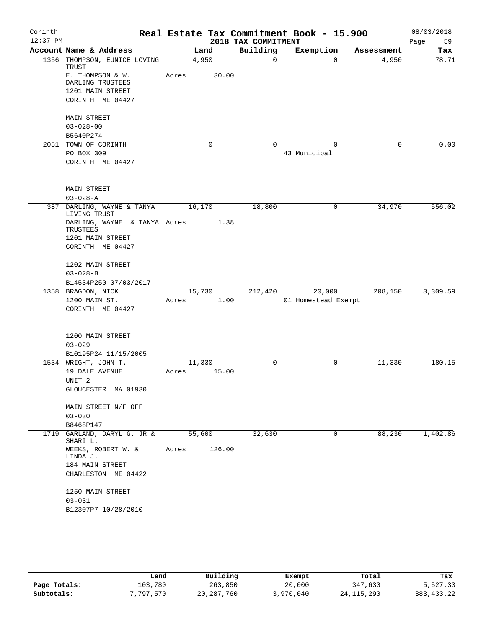| Corinth    |                                          |       |             |                      | Real Estate Tax Commitment Book - 15.900 |             | 08/03/2018 |
|------------|------------------------------------------|-------|-------------|----------------------|------------------------------------------|-------------|------------|
| $12:37$ PM |                                          |       |             | 2018 TAX COMMITMENT  |                                          |             | 59<br>Page |
|            | Account Name & Address                   |       | Land        | Building<br>$\Omega$ | Exemption<br>$\Omega$                    | Assessment  | Tax        |
|            | 1356 THOMPSON, EUNICE LOVING<br>TRUST    |       | 4,950       |                      |                                          | 4,950       | 78.71      |
|            | E. THOMPSON & W.                         | Acres | 30.00       |                      |                                          |             |            |
|            | DARLING TRUSTEES                         |       |             |                      |                                          |             |            |
|            | 1201 MAIN STREET                         |       |             |                      |                                          |             |            |
|            | CORINTH ME 04427                         |       |             |                      |                                          |             |            |
|            | <b>MAIN STREET</b>                       |       |             |                      |                                          |             |            |
|            | $03 - 028 - 00$                          |       |             |                      |                                          |             |            |
|            | B5640P274                                |       |             |                      |                                          |             |            |
|            | 2051 TOWN OF CORINTH                     |       | $\mathbf 0$ | 0                    | $\Omega$                                 | $\mathbf 0$ | 0.00       |
|            | PO BOX 309                               |       |             |                      | 43 Municipal                             |             |            |
|            | CORINTH ME 04427                         |       |             |                      |                                          |             |            |
|            | <b>MAIN STREET</b>                       |       |             |                      |                                          |             |            |
|            | $03 - 028 - A$                           |       |             |                      |                                          |             |            |
| 387        | DARLING, WAYNE & TANYA<br>LIVING TRUST   |       | 16,170      | 18,800               | 0                                        | 34,970      | 556.02     |
|            | DARLING, WAYNE & TANYA Acres<br>TRUSTEES |       | 1.38        |                      |                                          |             |            |
|            | 1201 MAIN STREET                         |       |             |                      |                                          |             |            |
|            | CORINTH ME 04427                         |       |             |                      |                                          |             |            |
|            | 1202 MAIN STREET                         |       |             |                      |                                          |             |            |
|            | $03 - 028 - B$                           |       |             |                      |                                          |             |            |
|            | B14534P250 07/03/2017                    |       |             |                      |                                          |             |            |
|            | 1358 BRAGDON, NICK                       |       | 15,730      | 212,420              | 20,000                                   | 208,150     | 3,309.59   |
|            | 1200 MAIN ST.                            | Acres | 1.00        |                      | 01 Homestead Exempt                      |             |            |
|            | CORINTH ME 04427                         |       |             |                      |                                          |             |            |
|            | 1200 MAIN STREET                         |       |             |                      |                                          |             |            |
|            | $03 - 029$                               |       |             |                      |                                          |             |            |
|            | B10195P24 11/15/2005                     |       |             |                      |                                          |             |            |
|            | 1534 WRIGHT, JOHN T.                     |       | 11,330      | 0                    | 0                                        | 11,330      | 180.15     |
|            | 19 DALE AVENUE                           | Acres | 15.00       |                      |                                          |             |            |
|            | UNIT <sub>2</sub>                        |       |             |                      |                                          |             |            |
|            | GLOUCESTER MA 01930                      |       |             |                      |                                          |             |            |
|            | MAIN STREET N/F OFF                      |       |             |                      |                                          |             |            |
|            | $03 - 030$                               |       |             |                      |                                          |             |            |
|            | B8468P147                                |       |             |                      |                                          |             |            |
| 1719       | GARLAND, DARYL G. JR &<br>SHARI L.       |       | 55,600      | 32,630               | 0                                        | 88,230      | 1,402.86   |
|            | WEEKS, ROBERT W. &<br>LINDA J.           | Acres | 126.00      |                      |                                          |             |            |
|            | 184 MAIN STREET                          |       |             |                      |                                          |             |            |
|            | CHARLESTON ME 04422                      |       |             |                      |                                          |             |            |
|            | 1250 MAIN STREET                         |       |             |                      |                                          |             |            |
|            | $03 - 031$                               |       |             |                      |                                          |             |            |
|            | B12307P7 10/28/2010                      |       |             |                      |                                          |             |            |
|            |                                          |       |             |                      |                                          |             |            |

|              | Land      | Building     | Exempt    | Total        | Tax          |
|--------------|-----------|--------------|-----------|--------------|--------------|
| Page Totals: | 103,780   | 263,850      | 20,000    | 347,630      | 5,527.33     |
| Subtotals:   | 7,797,570 | 20, 287, 760 | 3,970,040 | 24, 115, 290 | 383, 433. 22 |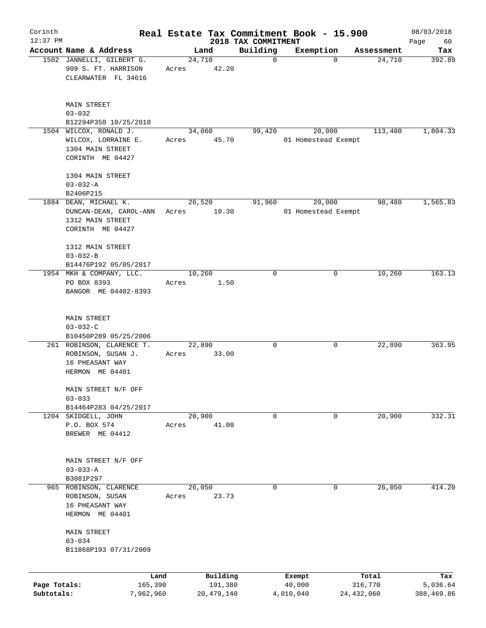| Corinth      |                                                                                 |        |                 |                                 | Real Estate Tax Commitment Book - 15.900 |                      | 08/03/2018    |
|--------------|---------------------------------------------------------------------------------|--------|-----------------|---------------------------------|------------------------------------------|----------------------|---------------|
| $12:37$ PM   | Account Name & Address                                                          |        | Land            | 2018 TAX COMMITMENT<br>Building |                                          |                      | Page<br>60    |
|              | 1502 JANNELLI, GILBERT G.                                                       | 24,710 |                 | $\mathbf 0$                     | Exemption<br>$\mathbf 0$                 | Assessment<br>24,710 | Tax<br>392.89 |
|              | 909 S. FT. HARRISON<br>CLEARWATER FL 34616                                      | Acres  | 42.20           |                                 |                                          |                      |               |
|              | <b>MAIN STREET</b><br>$03 - 032$                                                |        |                 |                                 |                                          |                      |               |
|              | B12294P350 10/25/2010                                                           |        |                 |                                 |                                          |                      |               |
|              | 1504 WILCOX, RONALD J.                                                          |        | 34,060          | 99,420                          | 20,000                                   | 113,480              | 1,804.33      |
|              | WILCOX, LORRAINE E.<br>1304 MAIN STREET<br>CORINTH ME 04427                     | Acres  | 45.70           |                                 | 01 Homestead Exempt                      |                      |               |
|              |                                                                                 |        |                 |                                 |                                          |                      |               |
|              | 1304 MAIN STREET                                                                |        |                 |                                 |                                          |                      |               |
|              | $03 - 032 - A$                                                                  |        |                 |                                 |                                          |                      |               |
|              | B2406P215<br>1884 DEAN, MICHAEL K.                                              |        | 26,520          | 91,960                          | 20,000                                   | 98,480               | 1,565.83      |
|              | DUNCAN-DEAN, CAROL-ANN<br>1312 MAIN STREET                                      | Acres  | 10.30           |                                 | 01 Homestead Exempt                      |                      |               |
|              | CORINTH ME 04427                                                                |        |                 |                                 |                                          |                      |               |
|              | 1312 MAIN STREET<br>$03 - 032 - B$                                              |        |                 |                                 |                                          |                      |               |
|              | B14476P192 05/05/2017                                                           |        |                 |                                 |                                          |                      |               |
|              | 1954 MKH & COMPANY, LLC.<br>PO BOX 8393<br>BANGOR ME 04402-8393                 | Acres  | 10,260<br>1.50  | $\mathbf 0$                     | 0                                        | 10,260               | 163.13        |
|              | <b>MAIN STREET</b><br>$03 - 032 - C$<br>B10450P289 05/25/2006                   |        |                 |                                 |                                          |                      |               |
|              | 261 ROBINSON, CLARENCE T.                                                       |        | 22,890          | 0                               | 0                                        | 22,890               | 363.95        |
|              | ROBINSON, SUSAN J.<br>16 PHEASANT WAY<br>HERMON ME 04401                        | Acres  | 33.00           |                                 |                                          |                      |               |
|              | MAIN STREET N/F OFF<br>$03 - 033$                                               |        |                 |                                 |                                          |                      |               |
|              | B14464P283 04/25/2017                                                           |        |                 |                                 |                                          |                      |               |
|              | 1204 SKIDGELL, JOHN                                                             |        | 20,900          | 0                               | 0                                        | 20,900               | 332.31        |
|              | P.O. BOX 574<br>BREWER ME 04412                                                 | Acres  | 41.00           |                                 |                                          |                      |               |
|              | MAIN STREET N/F OFF<br>$03 - 033 - A$                                           |        |                 |                                 |                                          |                      |               |
|              | B3081P297                                                                       |        |                 |                                 |                                          |                      |               |
|              | 965 ROBINSON, CLARENCE<br>ROBINSON, SUSAN<br>16 PHEASANT WAY<br>HERMON ME 04401 | Acres  | 26,050<br>23.73 | 0                               | 0                                        | 26,050               | 414.20        |
|              | <b>MAIN STREET</b><br>$03 - 034$<br>B11868P193 07/31/2009                       |        |                 |                                 |                                          |                      |               |
|              |                                                                                 |        |                 |                                 |                                          |                      |               |
|              | Land                                                                            |        | Building        |                                 | Exempt                                   | Total                | Tax           |
| Page Totals: | 165,390                                                                         |        | 191,380         |                                 | 40,000                                   | 316,770              | 5,036.64      |
| Subtotals:   | 7,962,960                                                                       |        | 20, 479, 140    |                                 | 4,010,040                                | 24, 432, 060         | 388,469.86    |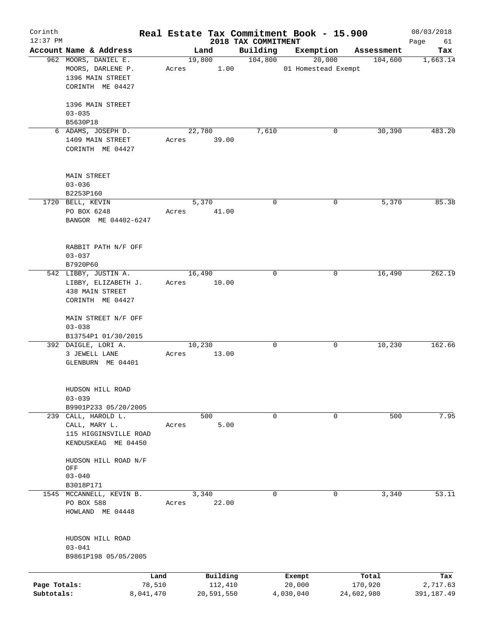| Corinth<br>$12:37$ PM |                                       |             |            | 2018 TAX COMMITMENT | Real Estate Tax Commitment Book - 15.900 |            | 08/03/2018        |
|-----------------------|---------------------------------------|-------------|------------|---------------------|------------------------------------------|------------|-------------------|
|                       | Account Name & Address                |             | Land       | Building            | Exemption                                | Assessment | Page<br>61<br>Tax |
|                       | 962 MOORS, DANIEL E.                  |             | 19,800     | 104,800             | 20,000                                   | 104,600    | 1,663.14          |
|                       | MOORS, DARLENE P.<br>1396 MAIN STREET | Acres       | 1.00       |                     | 01 Homestead Exempt                      |            |                   |
|                       | CORINTH ME 04427                      |             |            |                     |                                          |            |                   |
|                       | 1396 MAIN STREET                      |             |            |                     |                                          |            |                   |
|                       | $03 - 035$                            |             |            |                     |                                          |            |                   |
|                       | B5630P18                              |             |            |                     |                                          |            |                   |
|                       | 6 ADAMS, JOSEPH D.                    |             | 22,780     | 7,610               | 0                                        | 30,390     | 483.20            |
|                       | 1409 MAIN STREET<br>CORINTH ME 04427  | Acres 39.00 |            |                     |                                          |            |                   |
|                       | <b>MAIN STREET</b>                    |             |            |                     |                                          |            |                   |
|                       | $03 - 036$                            |             |            |                     |                                          |            |                   |
|                       | B2253P160                             |             |            |                     |                                          |            |                   |
|                       | 1720 BELL, KEVIN                      |             | 5,370      | $\mathbf 0$         | 0                                        | 5,370      | 85.38             |
|                       | PO BOX 6248                           | Acres       | 41.00      |                     |                                          |            |                   |
|                       | BANGOR ME 04402-6247                  |             |            |                     |                                          |            |                   |
|                       | RABBIT PATH N/F OFF                   |             |            |                     |                                          |            |                   |
|                       | $03 - 037$                            |             |            |                     |                                          |            |                   |
|                       | B7920P60                              |             |            |                     |                                          |            |                   |
|                       | 542 LIBBY, JUSTIN A.                  |             | 16,490     | $\mathbf 0$         | 0                                        | 16,490     | 262.19            |
|                       | LIBBY, ELIZABETH J.                   | Acres 10.00 |            |                     |                                          |            |                   |
|                       | 438 MAIN STREET                       |             |            |                     |                                          |            |                   |
|                       | CORINTH ME 04427                      |             |            |                     |                                          |            |                   |
|                       | MAIN STREET N/F OFF                   |             |            |                     |                                          |            |                   |
|                       | $03 - 038$                            |             |            |                     |                                          |            |                   |
|                       | B13754P1 01/30/2015                   |             |            |                     |                                          |            |                   |
|                       | 392 DAIGLE, LORI A.                   |             | 10,230     | $\mathbf 0$         | 0                                        | 10,230     | 162.66            |
|                       | 3 JEWELL LANE<br>GLENBURN ME 04401    | Acres       | 13.00      |                     |                                          |            |                   |
|                       | HUDSON HILL ROAD                      |             |            |                     |                                          |            |                   |
|                       | $03 - 039$                            |             |            |                     |                                          |            |                   |
|                       | B9901P233 05/20/2005                  |             |            |                     |                                          |            |                   |
|                       | 239 CALL, HAROLD L.                   |             | 500        | $\mathsf{O}$        | 0                                        | 500        | 7.95              |
|                       | CALL, MARY L.                         | Acres       | 5.00       |                     |                                          |            |                   |
|                       | 115 HIGGINSVILLE ROAD                 |             |            |                     |                                          |            |                   |
|                       | KENDUSKEAG ME 04450                   |             |            |                     |                                          |            |                   |
|                       | HUDSON HILL ROAD N/F<br>OFF           |             |            |                     |                                          |            |                   |
|                       | $03 - 040$                            |             |            |                     |                                          |            |                   |
|                       | B3018P171                             |             |            |                     |                                          |            |                   |
|                       | 1545 MCCANNELL, KEVIN B.              |             | 3,340      | $\mathbf 0$         | $\mathbf 0$                              | 3,340      | 53.11             |
|                       | PO BOX 588                            | Acres       | 22.00      |                     |                                          |            |                   |
|                       | HOWLAND ME 04448                      |             |            |                     |                                          |            |                   |
|                       | HUDSON HILL ROAD                      |             |            |                     |                                          |            |                   |
|                       | $03 - 041$                            |             |            |                     |                                          |            |                   |
|                       | B9861P198 05/05/2005                  |             |            |                     |                                          |            |                   |
|                       |                                       |             |            |                     |                                          |            |                   |
|                       | Land                                  |             | Building   |                     | Exempt                                   | Total      | Tax               |
| Page Totals:          | 78,510                                |             | 112,410    |                     | 20,000                                   | 170,920    | 2,717.63          |
| Subtotals:            | 8,041,470                             |             | 20,591,550 |                     | 4,030,040                                | 24,602,980 | 391,187.49        |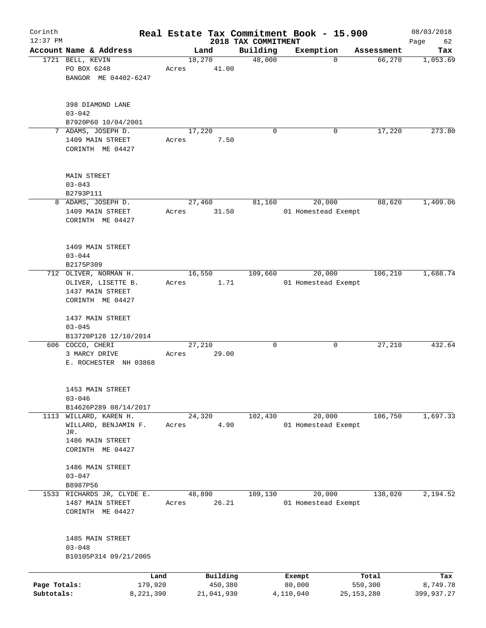| Corinth      |                                 |           |       |                |                     | Real Estate Tax Commitment Book - 15.900 |                      | 08/03/2018      |
|--------------|---------------------------------|-----------|-------|----------------|---------------------|------------------------------------------|----------------------|-----------------|
| $12:37$ PM   |                                 |           |       |                | 2018 TAX COMMITMENT |                                          |                      | Page<br>62      |
|              | Account Name & Address          |           |       | Land<br>18,270 | Building<br>48,000  | Exemption<br>$\mathbf 0$                 | Assessment<br>66,270 | Tax<br>1,053.69 |
|              | 1721 BELL, KEVIN<br>PO BOX 6248 |           | Acres | 41.00          |                     |                                          |                      |                 |
|              | BANGOR ME 04402-6247            |           |       |                |                     |                                          |                      |                 |
|              |                                 |           |       |                |                     |                                          |                      |                 |
|              |                                 |           |       |                |                     |                                          |                      |                 |
|              | 398 DIAMOND LANE                |           |       |                |                     |                                          |                      |                 |
|              | $03 - 042$                      |           |       |                |                     |                                          |                      |                 |
|              | B7920P60 10/04/2001             |           |       |                |                     |                                          |                      |                 |
|              | 7 ADAMS, JOSEPH D.              |           |       | 17,220         | $\Omega$            | 0                                        | 17,220               | 273.80          |
|              | 1409 MAIN STREET                |           | Acres | 7.50           |                     |                                          |                      |                 |
|              | CORINTH ME 04427                |           |       |                |                     |                                          |                      |                 |
|              |                                 |           |       |                |                     |                                          |                      |                 |
|              | MAIN STREET                     |           |       |                |                     |                                          |                      |                 |
|              | $03 - 043$                      |           |       |                |                     |                                          |                      |                 |
|              | B2793P111                       |           |       |                |                     |                                          |                      |                 |
|              | 8 ADAMS, JOSEPH D.              |           |       | 27,460         | 81,160              | 20,000                                   | 88,620               | 1,409.06        |
|              | 1409 MAIN STREET                |           | Acres | 31.50          |                     | 01 Homestead Exempt                      |                      |                 |
|              | CORINTH ME 04427                |           |       |                |                     |                                          |                      |                 |
|              |                                 |           |       |                |                     |                                          |                      |                 |
|              | 1409 MAIN STREET                |           |       |                |                     |                                          |                      |                 |
|              | $03 - 044$                      |           |       |                |                     |                                          |                      |                 |
|              |                                 |           |       |                |                     |                                          |                      |                 |
|              | B2175P309                       |           |       |                |                     |                                          |                      |                 |
|              | 712 OLIVER, NORMAN H.           |           |       | 16,550         | 109,660             | 20,000                                   | 106,210              | 1,688.74        |
|              | OLIVER, LISETTE B.              |           | Acres | 1.71           |                     | 01 Homestead Exempt                      |                      |                 |
|              | 1437 MAIN STREET                |           |       |                |                     |                                          |                      |                 |
|              | CORINTH ME 04427                |           |       |                |                     |                                          |                      |                 |
|              | 1437 MAIN STREET                |           |       |                |                     |                                          |                      |                 |
|              | $03 - 045$                      |           |       |                |                     |                                          |                      |                 |
|              | B13720P128 12/10/2014           |           |       |                |                     |                                          |                      |                 |
|              | 606 COCCO, CHERI                |           |       | 27,210         | 0                   | 0                                        | 27,210               | 432.64          |
|              | 3 MARCY DRIVE                   |           | Acres | 29.00          |                     |                                          |                      |                 |
|              | E. ROCHESTER NH 03868           |           |       |                |                     |                                          |                      |                 |
|              |                                 |           |       |                |                     |                                          |                      |                 |
|              | 1453 MAIN STREET                |           |       |                |                     |                                          |                      |                 |
|              | $03 - 046$                      |           |       |                |                     |                                          |                      |                 |
|              |                                 |           |       |                |                     |                                          |                      |                 |
|              | B14626P289 08/14/2017           |           |       |                |                     |                                          |                      |                 |
|              | 1113 WILLARD, KAREN H.          |           |       | 24,320         | 102,430             | 20,000                                   | 106,750              | 1,697.33        |
|              | WILLARD, BENJAMIN F.<br>JR.     |           | Acres | 4.90           |                     | 01 Homestead Exempt                      |                      |                 |
|              | 1486 MAIN STREET                |           |       |                |                     |                                          |                      |                 |
|              | CORINTH ME 04427                |           |       |                |                     |                                          |                      |                 |
|              |                                 |           |       |                |                     |                                          |                      |                 |
|              | 1486 MAIN STREET                |           |       |                |                     |                                          |                      |                 |
|              | $03 - 047$                      |           |       |                |                     |                                          |                      |                 |
|              | B8987P56                        |           |       |                |                     |                                          |                      |                 |
|              | 1533 RICHARDS JR, CLYDE E.      |           |       | 48,890         | 109,130             | 20,000                                   | 138,020              | 2,194.52        |
|              |                                 |           |       | 26.21          |                     |                                          |                      |                 |
|              | 1487 MAIN STREET                |           | Acres |                |                     | 01 Homestead Exempt                      |                      |                 |
|              | CORINTH ME 04427                |           |       |                |                     |                                          |                      |                 |
|              |                                 |           |       |                |                     |                                          |                      |                 |
|              | 1485 MAIN STREET                |           |       |                |                     |                                          |                      |                 |
|              | $03 - 048$                      |           |       |                |                     |                                          |                      |                 |
|              | B10105P314 09/21/2005           |           |       |                |                     |                                          |                      |                 |
|              |                                 |           |       |                |                     |                                          |                      |                 |
|              |                                 | Land      |       | Building       |                     | Exempt                                   | Total                | Tax             |
| Page Totals: |                                 | 179,920   |       | 450,380        |                     | 80,000                                   | 550,300              | 8,749.78        |
| Subtotals:   |                                 | 8,221,390 |       | 21,041,930     |                     | 4,110,040                                | 25,153,280           | 399,937.27      |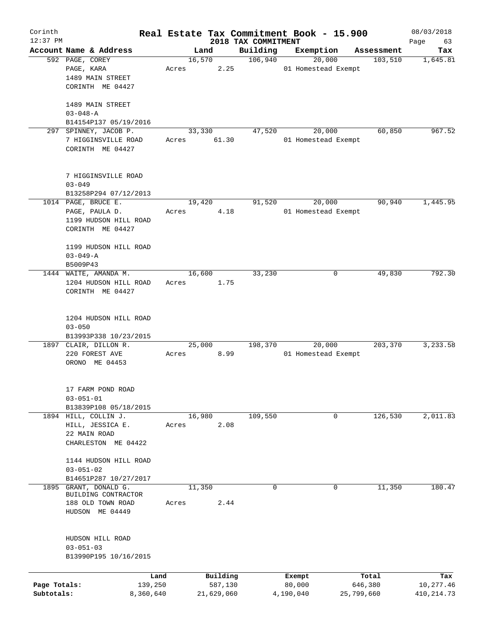| Corinth      |                        |       |            |                                 | Real Estate Tax Commitment Book - 15.900 |                       | 08/03/2018      |
|--------------|------------------------|-------|------------|---------------------------------|------------------------------------------|-----------------------|-----------------|
| $12:37$ PM   | Account Name & Address |       | Land       | 2018 TAX COMMITMENT<br>Building | Exemption                                |                       | Page<br>63      |
|              | 592 PAGE, COREY        |       | 16,570     | 106,940                         | 20,000                                   | Assessment<br>103,510 | Tax<br>1,645.81 |
|              | PAGE, KARA             | Acres | 2.25       |                                 | 01 Homestead Exempt                      |                       |                 |
|              | 1489 MAIN STREET       |       |            |                                 |                                          |                       |                 |
|              | CORINTH ME 04427       |       |            |                                 |                                          |                       |                 |
|              |                        |       |            |                                 |                                          |                       |                 |
|              | 1489 MAIN STREET       |       |            |                                 |                                          |                       |                 |
|              | $03 - 048 - A$         |       |            |                                 |                                          |                       |                 |
|              | B14154P137 05/19/2016  |       |            |                                 |                                          |                       |                 |
| 297          | SPINNEY, JACOB P.      |       | 33,330     | 47,520                          | 20,000                                   | 60,850                | 967.52          |
|              | 7 HIGGINSVILLE ROAD    | Acres | 61.30      |                                 | 01 Homestead Exempt                      |                       |                 |
|              | CORINTH ME 04427       |       |            |                                 |                                          |                       |                 |
|              |                        |       |            |                                 |                                          |                       |                 |
|              |                        |       |            |                                 |                                          |                       |                 |
|              | 7 HIGGINSVILLE ROAD    |       |            |                                 |                                          |                       |                 |
|              | $03 - 049$             |       |            |                                 |                                          |                       |                 |
|              | B13258P294 07/12/2013  |       |            |                                 |                                          |                       |                 |
|              | 1014 PAGE, BRUCE E.    |       | 19,420     | 91,520                          | 20,000                                   | 90,940                | 1,445.95        |
|              | PAGE, PAULA D.         | Acres | 4.18       |                                 | 01 Homestead Exempt                      |                       |                 |
|              | 1199 HUDSON HILL ROAD  |       |            |                                 |                                          |                       |                 |
|              | CORINTH ME 04427       |       |            |                                 |                                          |                       |                 |
|              |                        |       |            |                                 |                                          |                       |                 |
|              | 1199 HUDSON HILL ROAD  |       |            |                                 |                                          |                       |                 |
|              | $03 - 049 - A$         |       |            |                                 |                                          |                       |                 |
|              | B5009P43               |       |            |                                 |                                          |                       |                 |
|              | 1444 WAITE, AMANDA M.  |       | 16,600     | 33,230                          | 0                                        | 49,830                | 792.30          |
|              | 1204 HUDSON HILL ROAD  | Acres | 1.75       |                                 |                                          |                       |                 |
|              | CORINTH ME 04427       |       |            |                                 |                                          |                       |                 |
|              |                        |       |            |                                 |                                          |                       |                 |
|              |                        |       |            |                                 |                                          |                       |                 |
|              | 1204 HUDSON HILL ROAD  |       |            |                                 |                                          |                       |                 |
|              | $03 - 050$             |       |            |                                 |                                          |                       |                 |
|              | B13993P338 10/23/2015  |       |            |                                 |                                          |                       |                 |
|              | 1897 CLAIR, DILLON R.  |       | 25,000     | 198,370                         | 20,000                                   | 203,370               | 3,233.58        |
|              | 220 FOREST AVE         | Acres | 8.99       |                                 | 01 Homestead Exempt                      |                       |                 |
|              | ORONO ME 04453         |       |            |                                 |                                          |                       |                 |
|              |                        |       |            |                                 |                                          |                       |                 |
|              |                        |       |            |                                 |                                          |                       |                 |
|              | 17 FARM POND ROAD      |       |            |                                 |                                          |                       |                 |
|              | $03 - 051 - 01$        |       |            |                                 |                                          |                       |                 |
|              | B13839P108 05/18/2015  |       |            |                                 |                                          |                       |                 |
|              | 1894 HILL, COLLIN J.   |       | 16,980     | 109,550                         | 0                                        | 126,530               | 2,011.83        |
|              | HILL, JESSICA E.       | Acres | 2.08       |                                 |                                          |                       |                 |
|              | 22 MAIN ROAD           |       |            |                                 |                                          |                       |                 |
|              | CHARLESTON ME 04422    |       |            |                                 |                                          |                       |                 |
|              |                        |       |            |                                 |                                          |                       |                 |
|              | 1144 HUDSON HILL ROAD  |       |            |                                 |                                          |                       |                 |
|              | $03 - 051 - 02$        |       |            |                                 |                                          |                       |                 |
|              | B14651P287 10/27/2017  |       |            |                                 |                                          |                       |                 |
| 1895         | GRANT, DONALD G.       |       | 11,350     | 0                               | 0                                        | 11,350                | 180.47          |
|              | BUILDING CONTRACTOR    |       |            |                                 |                                          |                       |                 |
|              | 188 OLD TOWN ROAD      | Acres | 2.44       |                                 |                                          |                       |                 |
|              | HUDSON ME 04449        |       |            |                                 |                                          |                       |                 |
|              |                        |       |            |                                 |                                          |                       |                 |
|              |                        |       |            |                                 |                                          |                       |                 |
|              | HUDSON HILL ROAD       |       |            |                                 |                                          |                       |                 |
|              | $03 - 051 - 03$        |       |            |                                 |                                          |                       |                 |
|              | B13990P195 10/16/2015  |       |            |                                 |                                          |                       |                 |
|              |                        |       |            |                                 |                                          |                       |                 |
|              |                        | Land  | Building   |                                 | Exempt                                   | Total                 | Tax             |
| Page Totals: | 139,250                |       | 587,130    |                                 | 80,000                                   | 646,380               | 10,277.46       |
| Subtotals:   | 8,360,640              |       | 21,629,060 |                                 | 4,190,040                                | 25,799,660            | 410, 214.73     |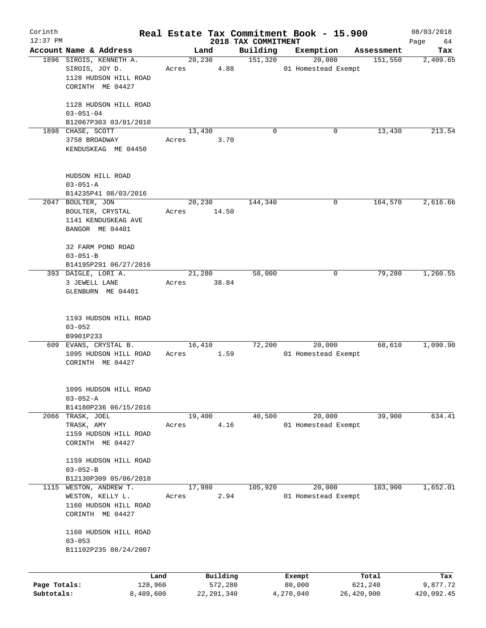| Corinth<br>$12:37$ PM |                                           |       |                |                                 | Real Estate Tax Commitment Book - 15.900 |            | 08/03/2018        |
|-----------------------|-------------------------------------------|-------|----------------|---------------------------------|------------------------------------------|------------|-------------------|
|                       | Account Name & Address                    |       | Land           | 2018 TAX COMMITMENT<br>Building | Exemption                                | Assessment | Page<br>64<br>Tax |
|                       | 1896 SIROIS, KENNETH A.                   |       | 20,230         | 151,320                         | 20,000                                   | 151,550    | 2,409.65          |
|                       | SIROIS, JOY D.                            | Acres | 4.88           |                                 | 01 Homestead Exempt                      |            |                   |
|                       | 1128 HUDSON HILL ROAD                     |       |                |                                 |                                          |            |                   |
|                       | CORINTH ME 04427                          |       |                |                                 |                                          |            |                   |
|                       |                                           |       |                |                                 |                                          |            |                   |
|                       | 1128 HUDSON HILL ROAD                     |       |                |                                 |                                          |            |                   |
|                       | $03 - 051 - 04$                           |       |                |                                 |                                          |            |                   |
|                       | B12067P303 03/01/2010                     |       |                |                                 |                                          |            |                   |
|                       | 1898 CHASE, SCOTT<br>3758 BROADWAY        | Acres | 13,430<br>3.70 | $\Omega$                        | 0                                        | 13,430     | 213.54            |
|                       | KENDUSKEAG ME 04450                       |       |                |                                 |                                          |            |                   |
|                       |                                           |       |                |                                 |                                          |            |                   |
|                       |                                           |       |                |                                 |                                          |            |                   |
|                       | HUDSON HILL ROAD                          |       |                |                                 |                                          |            |                   |
|                       | $03 - 051 - A$                            |       |                |                                 |                                          |            |                   |
|                       | B14235P41 08/03/2016                      |       |                |                                 |                                          |            |                   |
|                       | 2047 BOULTER, JON                         |       | 20,230         | 144,340                         | 0                                        | 164,570    | 2,616.66          |
|                       | BOULTER, CRYSTAL                          | Acres | 14.50          |                                 |                                          |            |                   |
|                       | 1141 KENDUSKEAG AVE                       |       |                |                                 |                                          |            |                   |
|                       | BANGOR ME 04401                           |       |                |                                 |                                          |            |                   |
|                       | 32 FARM POND ROAD                         |       |                |                                 |                                          |            |                   |
|                       | $03 - 051 - B$                            |       |                |                                 |                                          |            |                   |
|                       | B14195P291 06/27/2016                     |       |                |                                 |                                          |            |                   |
|                       | 393 DAIGLE, LORI A.                       |       | 21,280         | 58,000                          | 0                                        | 79,280     | 1,260.55          |
|                       | 3 JEWELL LANE                             | Acres | 38.84          |                                 |                                          |            |                   |
|                       | GLENBURN ME 04401                         |       |                |                                 |                                          |            |                   |
|                       |                                           |       |                |                                 |                                          |            |                   |
|                       |                                           |       |                |                                 |                                          |            |                   |
|                       | 1193 HUDSON HILL ROAD<br>$03 - 052$       |       |                |                                 |                                          |            |                   |
|                       | B9901P233                                 |       |                |                                 |                                          |            |                   |
|                       | 609 EVANS, CRYSTAL B.                     |       | 16,410         | 72,200                          | 20,000                                   | 68,610     | 1,090.90          |
|                       | 1095 HUDSON HILL ROAD                     | Acres | 1.59           |                                 | 01 Homestead Exempt                      |            |                   |
|                       | CORINTH ME 04427                          |       |                |                                 |                                          |            |                   |
|                       |                                           |       |                |                                 |                                          |            |                   |
|                       |                                           |       |                |                                 |                                          |            |                   |
|                       | 1095 HUDSON HILL ROAD                     |       |                |                                 |                                          |            |                   |
|                       | $03 - 052 - A$<br>B14180P236 06/15/2016   |       |                |                                 |                                          |            |                   |
|                       | 2066 TRASK, JOEL                          |       | 19,400         | 40,500                          | 20,000                                   | 39,900     | 634.41            |
|                       | TRASK, AMY                                | Acres | 4.16           |                                 | 01 Homestead Exempt                      |            |                   |
|                       | 1159 HUDSON HILL ROAD                     |       |                |                                 |                                          |            |                   |
|                       | CORINTH ME 04427                          |       |                |                                 |                                          |            |                   |
|                       |                                           |       |                |                                 |                                          |            |                   |
|                       | 1159 HUDSON HILL ROAD                     |       |                |                                 |                                          |            |                   |
|                       | $03 - 052 - B$                            |       |                |                                 |                                          |            |                   |
|                       | B12130P309 05/06/2010                     |       |                |                                 |                                          |            |                   |
| 1115                  | WESTON, ANDREW T.                         |       | 17,980         | 105,920                         | 20,000                                   | 103,900    | 1,652.01          |
|                       | WESTON, KELLY L.<br>1160 HUDSON HILL ROAD | Acres | 2.94           |                                 | 01 Homestead Exempt                      |            |                   |
|                       | CORINTH ME 04427                          |       |                |                                 |                                          |            |                   |
|                       |                                           |       |                |                                 |                                          |            |                   |
|                       | 1160 HUDSON HILL ROAD                     |       |                |                                 |                                          |            |                   |
|                       | $03 - 053$                                |       |                |                                 |                                          |            |                   |
|                       | B11102P235 08/24/2007                     |       |                |                                 |                                          |            |                   |
|                       |                                           |       |                |                                 |                                          |            |                   |
|                       | Land                                      |       | Building       |                                 | Exempt                                   | Total      | Tax               |
| Page Totals:          | 128,960                                   |       | 572,280        |                                 | 80,000                                   | 621,240    | 9,877.72          |
| Subtotals:            | 8,489,600                                 |       | 22, 201, 340   |                                 | 4,270,040                                | 26,420,900 | 420,092.45        |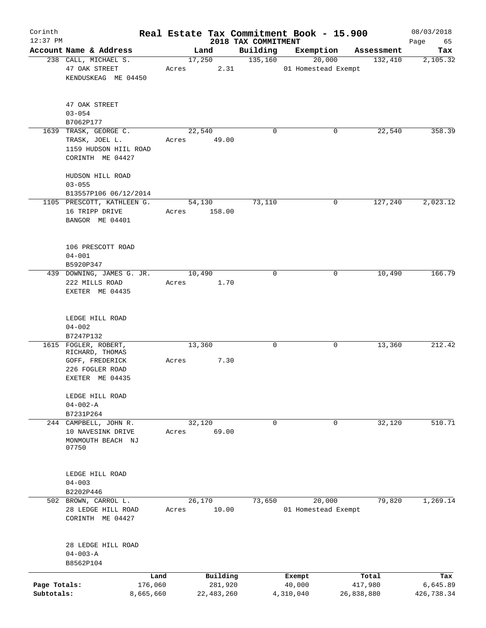| Corinth      |                                                             |       |                     |                                 | Real Estate Tax Commitment Book - 15.900 |                  | 08/03/2018        |
|--------------|-------------------------------------------------------------|-------|---------------------|---------------------------------|------------------------------------------|------------------|-------------------|
| $12:37$ PM   | Account Name & Address                                      |       | Land                | 2018 TAX COMMITMENT<br>Building | Exemption                                | Assessment       | Page<br>65<br>Tax |
|              | 238 CALL, MICHAEL S.                                        |       | 17,250              | 135,160                         | 20,000                                   | 132,410          | 2,105.32          |
|              | 47 OAK STREET<br>KENDUSKEAG ME 04450                        | Acres | 2.31                |                                 | 01 Homestead Exempt                      |                  |                   |
|              |                                                             |       |                     |                                 |                                          |                  |                   |
|              | 47 OAK STREET                                               |       |                     |                                 |                                          |                  |                   |
|              | $03 - 054$                                                  |       |                     |                                 |                                          |                  |                   |
|              | B7062P177<br>1639 TRASK, GEORGE C.                          |       | 22,540              | $\Omega$                        | 0                                        | 22,540           | 358.39            |
|              | TRASK, JOEL L.<br>1159 HUDSON HIIL ROAD<br>CORINTH ME 04427 | Acres | 49.00               |                                 |                                          |                  |                   |
|              | HUDSON HILL ROAD                                            |       |                     |                                 |                                          |                  |                   |
|              | $03 - 055$                                                  |       |                     |                                 |                                          |                  |                   |
|              | B13557P106 06/12/2014                                       |       |                     |                                 |                                          |                  |                   |
|              | 1105 PRESCOTT, KATHLEEN G.<br>16 TRIPP DRIVE                |       | 54,130              | 73,110                          | 0                                        | 127,240          | 2,023.12          |
|              | BANGOR ME 04401                                             | Acres | 158.00              |                                 |                                          |                  |                   |
|              | 106 PRESCOTT ROAD                                           |       |                     |                                 |                                          |                  |                   |
|              | $04 - 001$                                                  |       |                     |                                 |                                          |                  |                   |
|              | B5920P347                                                   |       |                     |                                 |                                          |                  |                   |
|              | 439 DOWNING, JAMES G. JR.                                   |       | 10,490              | 0                               | 0                                        | 10,490           | 166.79            |
|              | 222 MILLS ROAD                                              | Acres | 1.70                |                                 |                                          |                  |                   |
|              | EXETER ME 04435                                             |       |                     |                                 |                                          |                  |                   |
|              | LEDGE HILL ROAD                                             |       |                     |                                 |                                          |                  |                   |
|              | $04 - 002$                                                  |       |                     |                                 |                                          |                  |                   |
|              | B7247P132                                                   |       |                     |                                 |                                          |                  |                   |
|              | 1615 FOGLER, ROBERT,                                        |       | 13,360              | 0                               | 0                                        | 13,360           | 212.42            |
|              | RICHARD, THOMAS                                             |       |                     |                                 |                                          |                  |                   |
|              | GOFF, FREDERICK<br>226 FOGLER ROAD                          | Acres | 7.30                |                                 |                                          |                  |                   |
|              | EXETER ME 04435                                             |       |                     |                                 |                                          |                  |                   |
|              | LEDGE HILL ROAD                                             |       |                     |                                 |                                          |                  |                   |
|              | $04 - 002 - A$                                              |       |                     |                                 |                                          |                  |                   |
|              | B7231P264                                                   |       |                     |                                 |                                          |                  |                   |
|              | 244 CAMPBELL, JOHN R.                                       |       | 32,120              | $\mathbf 0$                     | $\mathbf 0$                              | 32,120           | 510.71            |
|              | 10 NAVESINK DRIVE                                           | Acres | 69.00               |                                 |                                          |                  |                   |
|              | MONMOUTH BEACH NJ<br>07750                                  |       |                     |                                 |                                          |                  |                   |
|              |                                                             |       |                     |                                 |                                          |                  |                   |
|              | LEDGE HILL ROAD<br>$04 - 003$                               |       |                     |                                 |                                          |                  |                   |
|              | B2202P446                                                   |       |                     |                                 |                                          |                  |                   |
|              | 502 BROWN, CARROL L.                                        |       | 26,170              | 73,650                          | 20,000                                   | 79,820           | 1,269.14          |
|              | 28 LEDGE HILL ROAD                                          | Acres | 10.00               |                                 | 01 Homestead Exempt                      |                  |                   |
|              | CORINTH ME 04427                                            |       |                     |                                 |                                          |                  |                   |
|              | 28 LEDGE HILL ROAD                                          |       |                     |                                 |                                          |                  |                   |
|              | $04 - 003 - A$                                              |       |                     |                                 |                                          |                  |                   |
|              | B8562P104                                                   |       |                     |                                 |                                          |                  |                   |
|              |                                                             |       |                     |                                 |                                          |                  |                   |
| Page Totals: | Land<br>176,060                                             |       | Building<br>281,920 |                                 | Exempt<br>40,000                         | Total<br>417,980 | Tax<br>6,645.89   |
| Subtotals:   | 8,665,660                                                   |       | 22, 483, 260        |                                 | 4,310,040                                | 26,838,880       | 426,738.34        |
|              |                                                             |       |                     |                                 |                                          |                  |                   |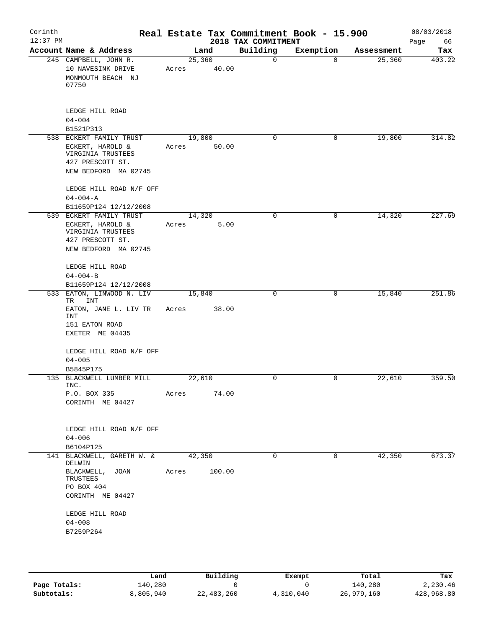| Corinth<br>$12:37$ PM |                                                                                                              | Real Estate Tax Commitment Book - 15.900 | 2018 TAX COMMITMENT |           |            | 08/03/2018<br>Page<br>66 |
|-----------------------|--------------------------------------------------------------------------------------------------------------|------------------------------------------|---------------------|-----------|------------|--------------------------|
|                       | Account Name & Address                                                                                       | Land                                     | Building            | Exemption | Assessment | Tax                      |
|                       | 245 CAMPBELL, JOHN R.<br>10 NAVESINK DRIVE<br>MONMOUTH BEACH NJ<br>07750                                     | 25,360<br>40.00<br>Acres                 | $\mathbf 0$         | $\Omega$  | 25,360     | 403.22                   |
|                       | LEDGE HILL ROAD<br>$04 - 004$<br>B1521P313                                                                   |                                          |                     |           |            |                          |
|                       | 538 ECKERT FAMILY TRUST                                                                                      | 19,800                                   | $\Omega$            | 0         | 19,800     | 314.82                   |
|                       | ECKERT, HAROLD &<br>VIRGINIA TRUSTEES<br>427 PRESCOTT ST.<br>NEW BEDFORD MA 02745                            | 50.00<br>Acres                           |                     |           |            |                          |
|                       | LEDGE HILL ROAD N/F OFF<br>$04 - 004 - A$                                                                    |                                          |                     |           |            |                          |
|                       | B11659P124 12/12/2008                                                                                        |                                          |                     |           |            |                          |
|                       | 539 ECKERT FAMILY TRUST<br>ECKERT, HAROLD &<br>VIRGINIA TRUSTEES<br>427 PRESCOTT ST.<br>NEW BEDFORD MA 02745 | 14,320<br>Acres<br>5.00                  | 0                   | 0         | 14,320     | 227.69                   |
|                       | LEDGE HILL ROAD<br>$04 - 004 - B$<br>B11659P124 12/12/2008                                                   |                                          |                     |           |            |                          |
| 533                   | EATON, LINWOOD N. LIV                                                                                        | 15,840                                   | $\mathbf 0$         | 0         | 15,840     | 251.86                   |
|                       | <b>INT</b><br>TR<br>EATON, JANE L. LIV TR<br><b>INT</b><br>151 EATON ROAD<br>EXETER ME 04435                 | 38.00<br>Acres                           |                     |           |            |                          |
|                       | LEDGE HILL ROAD N/F OFF<br>$04 - 005$                                                                        |                                          |                     |           |            |                          |
|                       | B5845P175                                                                                                    |                                          |                     |           |            |                          |
|                       | 135 BLACKWELL LUMBER MILL<br>INC.                                                                            | 22,610                                   | 0                   | 0         | 22,610     | 359.50                   |
|                       | P.O. BOX 335<br>CORINTH ME 04427                                                                             | 74.00<br>Acres                           |                     |           |            |                          |
|                       | LEDGE HILL ROAD N/F OFF<br>$04 - 006$<br>B6104P125                                                           |                                          |                     |           |            |                          |
|                       | 141 BLACKWELL, GARETH W. &                                                                                   | 42,350                                   | 0                   | 0         | 42,350     | 673.37                   |
|                       | DELWIN<br>BLACKWELL, JOAN<br>TRUSTEES<br>PO BOX 404<br>CORINTH ME 04427                                      | 100.00<br>Acres                          |                     |           |            |                          |
|                       | LEDGE HILL ROAD<br>$04 - 008$<br>B7259P264                                                                   |                                          |                     |           |            |                          |
|                       |                                                                                                              |                                          |                     |           |            |                          |

|              | Land      | Building   | Exempt    | Total      | Tax        |
|--------------|-----------|------------|-----------|------------|------------|
| Page Totals: | 140,280   |            |           | 140,280    | 2,230.46   |
| Subtotals:   | 8,805,940 | 22,483,260 | 4,310,040 | 26,979,160 | 428,968.80 |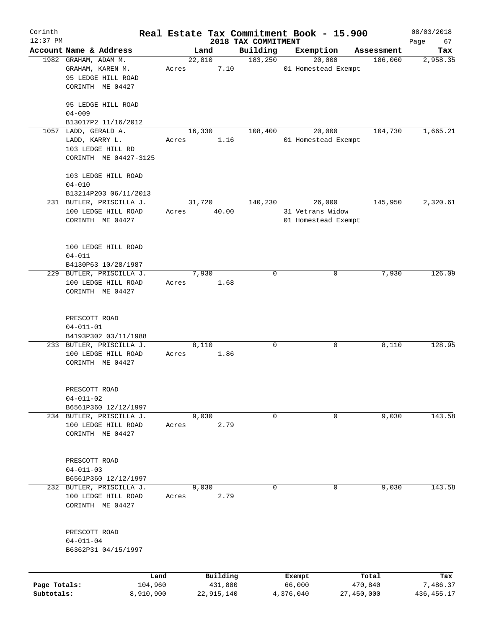| Corinth      |                                  |       |        |                     |                                 | Real Estate Tax Commitment Book - 15.900 |                       | 08/03/2018        |
|--------------|----------------------------------|-------|--------|---------------------|---------------------------------|------------------------------------------|-----------------------|-------------------|
| $12:37$ PM   | Account Name & Address           |       | Land   |                     | 2018 TAX COMMITMENT<br>Building | Exemption                                |                       | Page<br>67<br>Tax |
|              | 1982 GRAHAM, ADAM M.             |       | 22,810 |                     | 183,250                         | 20,000                                   | Assessment<br>186,060 | 2,958.35          |
|              | GRAHAM, KAREN M.                 | Acres |        | 7.10                |                                 | 01 Homestead Exempt                      |                       |                   |
|              | 95 LEDGE HILL ROAD               |       |        |                     |                                 |                                          |                       |                   |
|              | CORINTH ME 04427                 |       |        |                     |                                 |                                          |                       |                   |
|              |                                  |       |        |                     |                                 |                                          |                       |                   |
|              | 95 LEDGE HILL ROAD               |       |        |                     |                                 |                                          |                       |                   |
|              | $04 - 009$                       |       |        |                     |                                 |                                          |                       |                   |
|              | B13017P2 11/16/2012              |       |        |                     |                                 |                                          |                       |                   |
|              | 1057 LADD, GERALD A.             |       | 16,330 |                     | 108,400                         | 20,000                                   | 104,730               | 1,665.21          |
|              | LADD, KARRY L.                   | Acres |        | 1.16                |                                 | 01 Homestead Exempt                      |                       |                   |
|              | 103 LEDGE HILL RD                |       |        |                     |                                 |                                          |                       |                   |
|              | CORINTH ME 04427-3125            |       |        |                     |                                 |                                          |                       |                   |
|              |                                  |       |        |                     |                                 |                                          |                       |                   |
|              | 103 LEDGE HILL ROAD              |       |        |                     |                                 |                                          |                       |                   |
|              | $04 - 010$                       |       |        |                     |                                 |                                          |                       |                   |
|              | B13214P203 06/11/2013            |       |        |                     |                                 |                                          |                       |                   |
|              | 231 BUTLER, PRISCILLA J.         |       | 31,720 |                     | 140,230                         | 26,000                                   | 145,950               | 2,320.61          |
|              | 100 LEDGE HILL ROAD              | Acres |        | 40.00               |                                 | 31 Vetrans Widow                         |                       |                   |
|              | CORINTH ME 04427                 |       |        |                     |                                 | 01 Homestead Exempt                      |                       |                   |
|              |                                  |       |        |                     |                                 |                                          |                       |                   |
|              | 100 LEDGE HILL ROAD              |       |        |                     |                                 |                                          |                       |                   |
|              | $04 - 011$                       |       |        |                     |                                 |                                          |                       |                   |
|              | B4130P63 10/28/1987              |       |        |                     |                                 |                                          |                       |                   |
|              | 229 BUTLER, PRISCILLA J.         |       | 7,930  |                     | 0                               | 0                                        | 7,930                 | 126.09            |
|              | 100 LEDGE HILL ROAD              | Acres |        | 1.68                |                                 |                                          |                       |                   |
|              | CORINTH ME 04427                 |       |        |                     |                                 |                                          |                       |                   |
|              |                                  |       |        |                     |                                 |                                          |                       |                   |
|              |                                  |       |        |                     |                                 |                                          |                       |                   |
|              | PRESCOTT ROAD<br>$04 - 011 - 01$ |       |        |                     |                                 |                                          |                       |                   |
|              | B4193P302 03/11/1988             |       |        |                     |                                 |                                          |                       |                   |
|              | 233 BUTLER, PRISCILLA J.         |       | 8,110  |                     | 0                               | 0                                        | 8,110                 | 128.95            |
|              | 100 LEDGE HILL ROAD              | Acres |        | 1.86                |                                 |                                          |                       |                   |
|              | CORINTH ME 04427                 |       |        |                     |                                 |                                          |                       |                   |
|              |                                  |       |        |                     |                                 |                                          |                       |                   |
|              |                                  |       |        |                     |                                 |                                          |                       |                   |
|              | PRESCOTT ROAD                    |       |        |                     |                                 |                                          |                       |                   |
|              | $04 - 011 - 02$                  |       |        |                     |                                 |                                          |                       |                   |
|              | B6561P360 12/12/1997             |       |        |                     |                                 |                                          |                       |                   |
|              | 234 BUTLER, PRISCILLA J.         |       | 9,030  |                     | 0                               | 0                                        | 9,030                 | 143.58            |
|              | 100 LEDGE HILL ROAD              | Acres |        | 2.79                |                                 |                                          |                       |                   |
|              | CORINTH ME 04427                 |       |        |                     |                                 |                                          |                       |                   |
|              |                                  |       |        |                     |                                 |                                          |                       |                   |
|              | PRESCOTT ROAD                    |       |        |                     |                                 |                                          |                       |                   |
|              | $04 - 011 - 03$                  |       |        |                     |                                 |                                          |                       |                   |
|              | B6561P360 12/12/1997             |       |        |                     |                                 |                                          |                       |                   |
|              | 232 BUTLER, PRISCILLA J.         |       | 9,030  |                     | 0                               | 0                                        | 9,030                 | 143.58            |
|              | 100 LEDGE HILL ROAD              | Acres |        | 2.79                |                                 |                                          |                       |                   |
|              | CORINTH ME 04427                 |       |        |                     |                                 |                                          |                       |                   |
|              |                                  |       |        |                     |                                 |                                          |                       |                   |
|              |                                  |       |        |                     |                                 |                                          |                       |                   |
|              | PRESCOTT ROAD                    |       |        |                     |                                 |                                          |                       |                   |
|              | $04 - 011 - 04$                  |       |        |                     |                                 |                                          |                       |                   |
|              | B6362P31 04/15/1997              |       |        |                     |                                 |                                          |                       |                   |
|              |                                  |       |        |                     |                                 |                                          |                       |                   |
| Page Totals: | Land<br>104,960                  |       |        | Building<br>431,880 |                                 | Exempt<br>66,000                         | Total<br>470,840      | Tax<br>7,486.37   |
| Subtotals:   | 8,910,900                        |       |        | 22, 915, 140        |                                 | 4,376,040                                | 27,450,000            | 436, 455.17       |
|              |                                  |       |        |                     |                                 |                                          |                       |                   |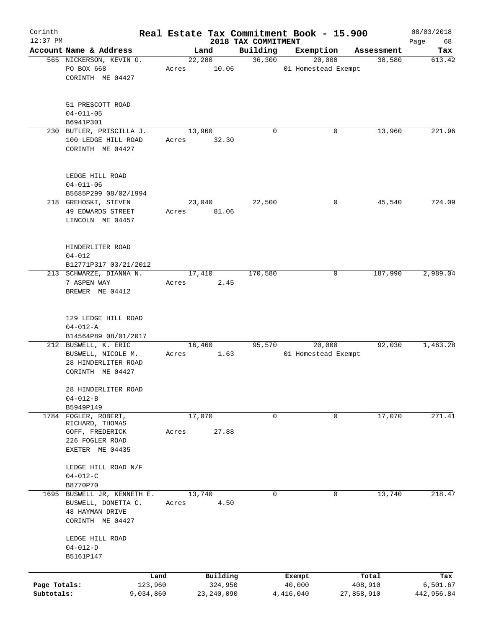| Corinth                    |                                                                                                  |                      |        |                         |                                 | Real Estate Tax Commitment Book - 15.900 |                       | 08/03/2018             |
|----------------------------|--------------------------------------------------------------------------------------------------|----------------------|--------|-------------------------|---------------------------------|------------------------------------------|-----------------------|------------------------|
| 12:37 PM                   | Account Name & Address                                                                           |                      | Land   |                         | 2018 TAX COMMITMENT<br>Building | Exemption                                | Assessment            | Page<br>68<br>Tax      |
|                            | 565 NICKERSON, KEVIN G.                                                                          |                      | 22,280 |                         | 36,300                          | 20,000                                   | 38,580                | 613.42                 |
|                            | PO BOX 668                                                                                       | Acres                |        | 10.06                   |                                 | 01 Homestead Exempt                      |                       |                        |
|                            | CORINTH ME 04427                                                                                 |                      |        |                         |                                 |                                          |                       |                        |
|                            | 51 PRESCOTT ROAD<br>$04 - 011 - 05$                                                              |                      |        |                         |                                 |                                          |                       |                        |
|                            | B6941P301                                                                                        |                      |        |                         |                                 |                                          |                       |                        |
|                            | 230 BUTLER, PRISCILLA J.<br>100 LEDGE HILL ROAD<br>CORINTH ME 04427                              | Acres                | 13,960 | 32.30                   | $\mathbf 0$                     | 0                                        | 13,960                | 221.96                 |
|                            | LEDGE HILL ROAD<br>$04 - 011 - 06$<br>B5685P299 08/02/1994                                       |                      |        |                         |                                 |                                          |                       |                        |
|                            | 218 GREHOSKI, STEVEN                                                                             |                      | 23,040 |                         | 22,500                          | 0                                        | 45,540                | 724.09                 |
|                            | 49 EDWARDS STREET<br>LINCOLN ME 04457                                                            | Acres                |        | 81.06                   |                                 |                                          |                       |                        |
|                            | HINDERLITER ROAD<br>$04 - 012$                                                                   |                      |        |                         |                                 |                                          |                       |                        |
|                            | B12771P317 03/21/2012<br>213 SCHWARZE, DIANNA N.                                                 |                      | 17,410 |                         | 170,580                         | 0                                        | 187,990               | 2,989.04               |
|                            | 7 ASPEN WAY<br>BREWER ME 04412                                                                   | Acres                |        | 2.45                    |                                 |                                          |                       |                        |
|                            | 129 LEDGE HILL ROAD<br>$04 - 012 - A$                                                            |                      |        |                         |                                 |                                          |                       |                        |
|                            | B14564P89 08/01/2017                                                                             |                      |        |                         |                                 |                                          |                       |                        |
|                            | 212 BUSWELL, K. ERIC<br>BUSWELL, NICOLE M.<br>28 HINDERLITER ROAD<br>CORINTH ME 04427            | Acres                | 16,460 | 1.63                    | 95,570                          | 20,000<br>01 Homestead Exempt            | 92,030                | 1,463.28               |
|                            | 28 HINDERLITER ROAD<br>$04 - 012 - B$                                                            |                      |        |                         |                                 |                                          |                       |                        |
|                            | B5949P149                                                                                        |                      |        |                         |                                 |                                          |                       |                        |
|                            | 1784 FOGLER, ROBERT,<br>RICHARD, THOMAS<br>GOFF, FREDERICK<br>226 FOGLER ROAD<br>EXETER ME 04435 | Acres                | 17,070 | 27.88                   | 0                               | 0                                        | 17,070                | 271.41                 |
|                            | LEDGE HILL ROAD N/F<br>$04 - 012 - C$                                                            |                      |        |                         |                                 |                                          |                       |                        |
|                            | B8770P70                                                                                         |                      |        |                         |                                 |                                          |                       |                        |
| 1695                       | BUSWELL JR, KENNETH E.<br>BUSWELL, DONETTA C.                                                    | Acres                | 13,740 | 4.50                    | $\mathbf 0$                     | $\mathbf 0$                              | 13,740                | 218.47                 |
|                            | <b>48 HAYMAN DRIVE</b><br>CORINTH ME 04427                                                       |                      |        |                         |                                 |                                          |                       |                        |
|                            | LEDGE HILL ROAD<br>$04 - 012 - D$<br>B5161P147                                                   |                      |        |                         |                                 |                                          |                       |                        |
|                            |                                                                                                  |                      |        |                         |                                 |                                          |                       |                        |
|                            |                                                                                                  | Land                 |        | Building                |                                 | Exempt                                   | Total                 | Tax                    |
| Page Totals:<br>Subtotals: |                                                                                                  | 123,960<br>9,034,860 |        | 324,950<br>23, 240, 090 |                                 | 40,000<br>4,416,040                      | 408,910<br>27,858,910 | 6,501.67<br>442,956.84 |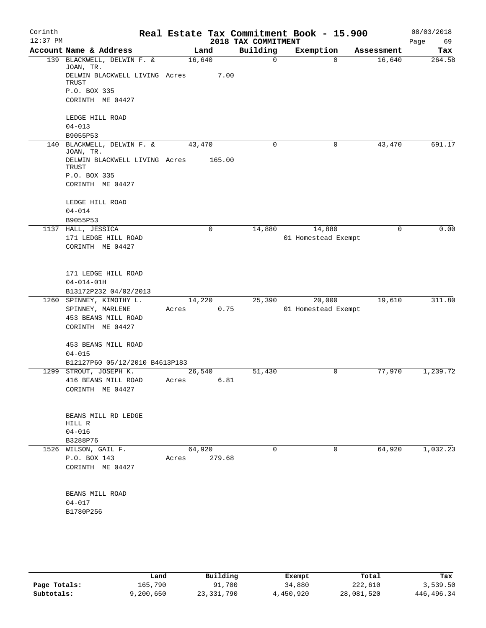| Corinth<br>$12:37$ PM |                                                     |        |        | 2018 TAX COMMITMENT | Real Estate Tax Commitment Book - 15.900 |            | 08/03/2018<br>Page<br>69 |
|-----------------------|-----------------------------------------------------|--------|--------|---------------------|------------------------------------------|------------|--------------------------|
|                       | Account Name & Address                              | Land   |        | Building            | Exemption                                | Assessment | Tax                      |
|                       | 139 BLACKWELL, DELWIN F. &<br>JOAN, TR.             | 16,640 |        | $\mathbf 0$         | $\mathbf 0$                              | 16,640     | 264.58                   |
|                       | DELWIN BLACKWELL LIVING Acres<br>TRUST              |        | 7.00   |                     |                                          |            |                          |
|                       | P.O. BOX 335<br>CORINTH ME 04427                    |        |        |                     |                                          |            |                          |
|                       | LEDGE HILL ROAD                                     |        |        |                     |                                          |            |                          |
|                       | $04 - 013$<br>B9055P53                              |        |        |                     |                                          |            |                          |
|                       | 140 BLACKWELL, DELWIN F. &                          | 43,470 |        | 0                   | 0                                        | 43,470     | 691.17                   |
|                       | JOAN, TR.<br>DELWIN BLACKWELL LIVING Acres<br>TRUST |        | 165.00 |                     |                                          |            |                          |
|                       | P.O. BOX 335                                        |        |        |                     |                                          |            |                          |
|                       | CORINTH ME 04427                                    |        |        |                     |                                          |            |                          |
|                       | LEDGE HILL ROAD<br>$04 - 014$                       |        |        |                     |                                          |            |                          |
|                       | B9055P53                                            |        |        |                     |                                          |            |                          |
|                       | 1137 HALL, JESSICA                                  |        | 0      | 14,880              | 14,880                                   | 0          | 0.00                     |
|                       | 171 LEDGE HILL ROAD<br>CORINTH ME 04427             |        |        |                     | 01 Homestead Exempt                      |            |                          |
|                       | 171 LEDGE HILL ROAD                                 |        |        |                     |                                          |            |                          |
|                       | $04 - 014 - 01H$<br>B13172P232 04/02/2013           |        |        |                     |                                          |            |                          |
|                       | 1260 SPINNEY, KIMOTHY L.                            | 14,220 |        | 25,390              | 20,000                                   | 19,610     | 311.80                   |
|                       | SPINNEY, MARLENE                                    | Acres  | 0.75   |                     | 01 Homestead Exempt                      |            |                          |
|                       | 453 BEANS MILL ROAD<br>CORINTH ME 04427             |        |        |                     |                                          |            |                          |
|                       | 453 BEANS MILL ROAD                                 |        |        |                     |                                          |            |                          |
|                       | $04 - 015$<br>B12127P60 05/12/2010 B4613P183        |        |        |                     |                                          |            |                          |
|                       | 1299 STROUT, JOSEPH K.                              | 26,540 |        | 51,430              | 0                                        | 77,970     | 1,239.72                 |
|                       | 416 BEANS MILL ROAD                                 | Acres  | 6.81   |                     |                                          |            |                          |
|                       | CORINTH ME 04427                                    |        |        |                     |                                          |            |                          |
|                       | BEANS MILL RD LEDGE                                 |        |        |                     |                                          |            |                          |
|                       | HILL R<br>$04 - 016$                                |        |        |                     |                                          |            |                          |
|                       | B3288P76                                            |        |        |                     |                                          |            |                          |
|                       | 1526 WILSON, GAIL F.                                | 64,920 |        | 0                   | 0                                        | 64,920     | 1,032.23                 |
|                       | P.O. BOX 143<br>CORINTH ME 04427                    | Acres  | 279.68 |                     |                                          |            |                          |
|                       |                                                     |        |        |                     |                                          |            |                          |
|                       | BEANS MILL ROAD                                     |        |        |                     |                                          |            |                          |
|                       | $04 - 017$<br>B1780P256                             |        |        |                     |                                          |            |                          |
|                       |                                                     |        |        |                     |                                          |            |                          |
|                       |                                                     |        |        |                     |                                          |            |                          |
|                       |                                                     |        |        |                     |                                          |            |                          |
|                       |                                                     |        |        |                     |                                          |            |                          |

|              | Land      | Building   | Exempt    | Total      | Tax        |
|--------------|-----------|------------|-----------|------------|------------|
| Page Totals: | 165,790   | 91,700     | 34,880    | 222,610    | 3,539.50   |
| Subtotals:   | 9,200,650 | 23,331,790 | 4,450,920 | 28,081,520 | 446,496.34 |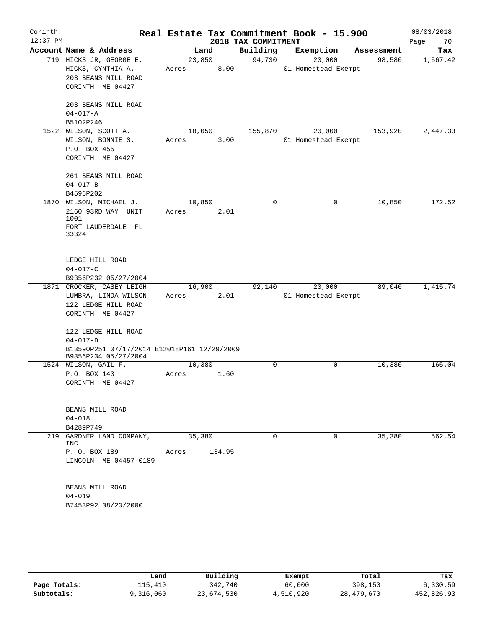| Corinth<br>$12:37$ PM |                                             |        |        | 2018 TAX COMMITMENT | Real Estate Tax Commitment Book - 15.900 |            | 08/03/2018<br>Page<br>70 |
|-----------------------|---------------------------------------------|--------|--------|---------------------|------------------------------------------|------------|--------------------------|
|                       | Account Name & Address                      |        | Land   | Building            | Exemption                                | Assessment | Tax                      |
|                       | 719 HICKS JR, GEORGE E.                     | 23,850 |        | 94,730              | 20,000                                   | 98,580     | 1,567.42                 |
|                       | HICKS, CYNTHIA A.                           | Acres  | 8.00   |                     | 01 Homestead Exempt                      |            |                          |
|                       | 203 BEANS MILL ROAD                         |        |        |                     |                                          |            |                          |
|                       | CORINTH ME 04427                            |        |        |                     |                                          |            |                          |
|                       |                                             |        |        |                     |                                          |            |                          |
|                       | 203 BEANS MILL ROAD                         |        |        |                     |                                          |            |                          |
|                       | $04 - 017 - A$                              |        |        |                     |                                          |            |                          |
|                       | B5102P246                                   |        |        |                     |                                          |            |                          |
|                       | 1522 WILSON, SCOTT A.                       |        | 18,050 | 155,870             | 20,000                                   | 153,920    | 2,447.33                 |
|                       | WILSON, BONNIE S.                           | Acres  | 3.00   |                     | 01 Homestead Exempt                      |            |                          |
|                       | P.O. BOX 455                                |        |        |                     |                                          |            |                          |
|                       | CORINTH ME 04427                            |        |        |                     |                                          |            |                          |
|                       |                                             |        |        |                     |                                          |            |                          |
|                       | 261 BEANS MILL ROAD                         |        |        |                     |                                          |            |                          |
|                       | $04 - 017 - B$                              |        |        |                     |                                          |            |                          |
|                       | B4596P202                                   |        |        |                     |                                          |            |                          |
|                       | 1870 WILSON, MICHAEL J.                     | 10,850 |        | $\Omega$            | $\Omega$                                 | 10,850     | 172.52                   |
|                       | 2160 93RD WAY UNIT                          | Acres  | 2.01   |                     |                                          |            |                          |
|                       | 1001                                        |        |        |                     |                                          |            |                          |
|                       | FORT LAUDERDALE FL                          |        |        |                     |                                          |            |                          |
|                       | 33324                                       |        |        |                     |                                          |            |                          |
|                       |                                             |        |        |                     |                                          |            |                          |
|                       | LEDGE HILL ROAD                             |        |        |                     |                                          |            |                          |
|                       | $04 - 017 - C$                              |        |        |                     |                                          |            |                          |
|                       | B9356P232 05/27/2004                        |        |        |                     |                                          |            |                          |
|                       | 1871 CROCKER, CASEY LEIGH                   | 16,900 |        | 92,140              | 20,000                                   | 89,040     | 1,415.74                 |
|                       | LUMBRA, LINDA WILSON                        | Acres  | 2.01   |                     | 01 Homestead Exempt                      |            |                          |
|                       | 122 LEDGE HILL ROAD                         |        |        |                     |                                          |            |                          |
|                       | CORINTH ME 04427                            |        |        |                     |                                          |            |                          |
|                       |                                             |        |        |                     |                                          |            |                          |
|                       | 122 LEDGE HILL ROAD                         |        |        |                     |                                          |            |                          |
|                       | $04 - 017 - D$                              |        |        |                     |                                          |            |                          |
|                       | B13590P251 07/17/2014 B12018P161 12/29/2009 |        |        |                     |                                          |            |                          |
|                       | B9356P234 05/27/2004                        |        |        |                     |                                          |            |                          |
|                       | 1524 WILSON, GAIL F.                        | 10,380 |        | $\Omega$            | 0                                        | 10,380     | 165.04                   |
|                       | P.O. BOX 143                                | Acres  | 1.60   |                     |                                          |            |                          |
|                       | CORINTH ME 04427                            |        |        |                     |                                          |            |                          |
|                       |                                             |        |        |                     |                                          |            |                          |
|                       |                                             |        |        |                     |                                          |            |                          |
|                       | BEANS MILL ROAD                             |        |        |                     |                                          |            |                          |
|                       | $04 - 018$                                  |        |        |                     |                                          |            |                          |
|                       | B4289P749                                   |        |        |                     |                                          |            |                          |
|                       | 219 GARDNER LAND COMPANY,<br>INC.           | 35,380 |        | $\Omega$            | $\Omega$                                 | 35,380     | 562.54                   |
|                       | P. O. BOX 189                               | Acres  | 134.95 |                     |                                          |            |                          |
|                       | LINCOLN ME 04457-0189                       |        |        |                     |                                          |            |                          |
|                       |                                             |        |        |                     |                                          |            |                          |
|                       |                                             |        |        |                     |                                          |            |                          |
|                       | BEANS MILL ROAD                             |        |        |                     |                                          |            |                          |
|                       | $04 - 019$                                  |        |        |                     |                                          |            |                          |
|                       | B7453P92 08/23/2000                         |        |        |                     |                                          |            |                          |
|                       |                                             |        |        |                     |                                          |            |                          |
|                       |                                             |        |        |                     |                                          |            |                          |
|                       |                                             |        |        |                     |                                          |            |                          |
|                       |                                             |        |        |                     |                                          |            |                          |

|              | Land      | Building   | Exempt    | Total      | Tax        |
|--------------|-----------|------------|-----------|------------|------------|
| Page Totals: | 115,410   | 342,740    | 60,000    | 398,150    | 6,330.59   |
| Subtotals:   | 9,316,060 | 23,674,530 | 4,510,920 | 28,479,670 | 452,826.93 |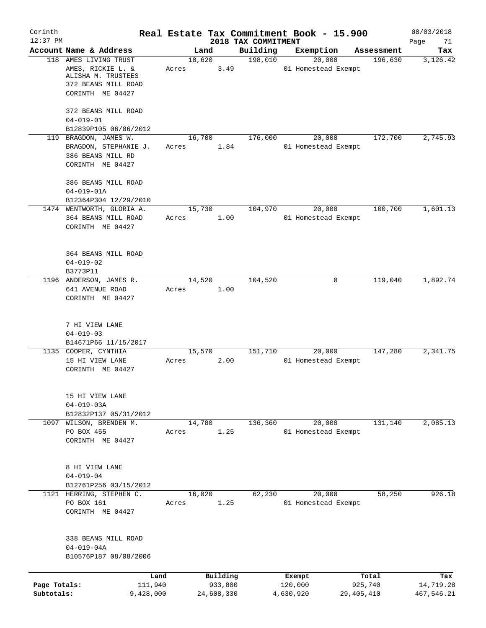| Corinth                    |                                                                     |                 |                       | Real Estate Tax Commitment Book - 15.900 |                      |        |                       | 08/03/2018              |
|----------------------------|---------------------------------------------------------------------|-----------------|-----------------------|------------------------------------------|----------------------|--------|-----------------------|-------------------------|
| $12:37$ PM                 | Account Name & Address                                              | Land            |                       | 2018 TAX COMMITMENT<br>Building          | Exemption            |        | Assessment            | Page<br>71<br>Tax       |
|                            | 118 AMES LIVING TRUST                                               | 18,620          |                       | 198,010                                  |                      | 20,000 | 196,630               | 3,126.42                |
|                            | AMES, RICKIE L. &<br>ALISHA M. TRUSTEES                             | Acres           | 3.49                  |                                          | 01 Homestead Exempt  |        |                       |                         |
|                            | 372 BEANS MILL ROAD<br>CORINTH ME 04427                             |                 |                       |                                          |                      |        |                       |                         |
|                            | 372 BEANS MILL ROAD<br>$04 - 019 - 01$                              |                 |                       |                                          |                      |        |                       |                         |
|                            | B12839P105 06/06/2012                                               |                 |                       |                                          |                      |        |                       |                         |
|                            | 119 BRAGDON, JAMES W.<br>BRAGDON, STEPHANIE J.<br>386 BEANS MILL RD | 16,700<br>Acres | 1.84                  | 176,000                                  | 01 Homestead Exempt  | 20,000 | 172,700               | 2,745.93                |
|                            | CORINTH ME 04427                                                    |                 |                       |                                          |                      |        |                       |                         |
|                            | 386 BEANS MILL ROAD                                                 |                 |                       |                                          |                      |        |                       |                         |
|                            | $04 - 019 - 01A$                                                    |                 |                       |                                          |                      |        |                       |                         |
|                            | B12364P304 12/29/2010<br>1474 WENTWORTH, GLORIA A.                  | 15,730          |                       | 104,970                                  |                      | 20,000 | 100,700               | 1,601.13                |
|                            | 364 BEANS MILL ROAD                                                 | Acres           | 1.00                  |                                          | 01 Homestead Exempt  |        |                       |                         |
|                            | CORINTH ME 04427                                                    |                 |                       |                                          |                      |        |                       |                         |
|                            | 364 BEANS MILL ROAD                                                 |                 |                       |                                          |                      |        |                       |                         |
|                            | $04 - 019 - 02$<br>B3773P11                                         |                 |                       |                                          |                      |        |                       |                         |
|                            | 1196 ANDERSON, JAMES R.                                             | 14,520          |                       | 104,520                                  |                      | 0      | 119,040               | 1,892.74                |
|                            | 641 AVENUE ROAD                                                     | Acres           | 1.00                  |                                          |                      |        |                       |                         |
|                            | CORINTH ME 04427                                                    |                 |                       |                                          |                      |        |                       |                         |
|                            | 7 HI VIEW LANE<br>$04 - 019 - 03$                                   |                 |                       |                                          |                      |        |                       |                         |
|                            | B14671P66 11/15/2017                                                |                 |                       |                                          |                      |        |                       |                         |
|                            | 1135 COOPER, CYNTHIA                                                | 15,570          |                       | 151,710                                  |                      | 20,000 | 147,280               | 2,341.75                |
|                            | 15 HI VIEW LANE                                                     | Acres           | 2.00                  |                                          | 01 Homestead Exempt  |        |                       |                         |
|                            | CORINTH ME 04427                                                    |                 |                       |                                          |                      |        |                       |                         |
|                            | 15 HI VIEW LANE                                                     |                 |                       |                                          |                      |        |                       |                         |
|                            | $04 - 019 - 03A$                                                    |                 |                       |                                          |                      |        |                       |                         |
|                            | B12832P137 05/31/2012<br>1097 WILSON, BRENDEN M.                    | 14,780          |                       | 136,360                                  |                      | 20,000 | 131,140               | 2,085.13                |
|                            | PO BOX 455                                                          | Acres           | 1.25                  |                                          | 01 Homestead Exempt  |        |                       |                         |
|                            | CORINTH ME 04427                                                    |                 |                       |                                          |                      |        |                       |                         |
|                            | 8 HI VIEW LANE                                                      |                 |                       |                                          |                      |        |                       |                         |
|                            | $04 - 019 - 04$                                                     |                 |                       |                                          |                      |        |                       |                         |
|                            | B12761P256 03/15/2012                                               |                 |                       |                                          |                      |        |                       |                         |
|                            | 1121 HERRING, STEPHEN C.<br>PO BOX 161                              | 16,020          | 1.25                  | 62,230                                   |                      | 20,000 | 58,250                | 926.18                  |
|                            | CORINTH ME 04427                                                    | Acres           |                       |                                          | 01 Homestead Exempt  |        |                       |                         |
|                            | 338 BEANS MILL ROAD                                                 |                 |                       |                                          |                      |        |                       |                         |
|                            | $04 - 019 - 04A$<br>B10576P187 08/08/2006                           |                 |                       |                                          |                      |        |                       |                         |
|                            |                                                                     |                 |                       |                                          |                      |        |                       |                         |
|                            | Land                                                                |                 | Building              |                                          | Exempt               |        | Total                 | Tax                     |
| Page Totals:<br>Subtotals: | 111,940<br>9,428,000                                                |                 | 933,800<br>24,608,330 |                                          | 120,000<br>4,630,920 |        | 925,740<br>29,405,410 | 14,719.28<br>467,546.21 |
|                            |                                                                     |                 |                       |                                          |                      |        |                       |                         |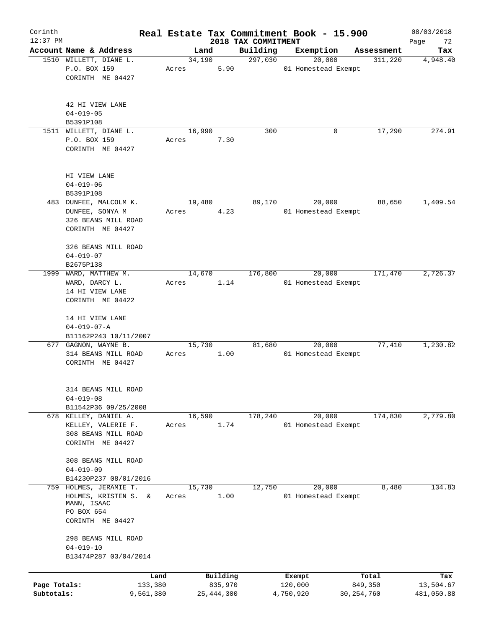| Corinth      |                                          |         |                |            |                     | Real Estate Tax Commitment Book - 15.900 |                       | 08/03/2018      |
|--------------|------------------------------------------|---------|----------------|------------|---------------------|------------------------------------------|-----------------------|-----------------|
| $12:37$ PM   | Account Name & Address                   |         |                |            | 2018 TAX COMMITMENT |                                          |                       | Page<br>72      |
|              | 1510 WILLETT, DIANE L.                   |         | Land<br>34,190 |            | Building<br>297,030 | Exemption<br>20,000                      | Assessment<br>311,220 | Tax<br>4,948.40 |
|              | P.O. BOX 159                             | Acres   |                | 5.90       |                     | 01 Homestead Exempt                      |                       |                 |
|              | CORINTH ME 04427                         |         |                |            |                     |                                          |                       |                 |
|              |                                          |         |                |            |                     |                                          |                       |                 |
|              |                                          |         |                |            |                     |                                          |                       |                 |
|              | 42 HI VIEW LANE                          |         |                |            |                     |                                          |                       |                 |
|              | $04 - 019 - 05$                          |         |                |            |                     |                                          |                       |                 |
|              | B5391P108                                |         |                |            |                     |                                          |                       |                 |
|              | 1511 WILLETT, DIANE L.                   |         | 16,990         |            | 300                 | 0                                        | 17,290                | 274.91          |
|              | P.O. BOX 159                             | Acres   |                | 7.30       |                     |                                          |                       |                 |
|              | CORINTH ME 04427                         |         |                |            |                     |                                          |                       |                 |
|              |                                          |         |                |            |                     |                                          |                       |                 |
|              | HI VIEW LANE                             |         |                |            |                     |                                          |                       |                 |
|              | $04 - 019 - 06$                          |         |                |            |                     |                                          |                       |                 |
|              | B5391P108                                |         |                |            |                     |                                          |                       |                 |
|              | 483 DUNFEE, MALCOLM K.                   |         | 19,480         |            | 89,170              | 20,000                                   | 88,650                | 1,409.54        |
|              | DUNFEE, SONYA M                          | Acres   |                | 4.23       |                     | 01 Homestead Exempt                      |                       |                 |
|              | 326 BEANS MILL ROAD                      |         |                |            |                     |                                          |                       |                 |
|              | CORINTH ME 04427                         |         |                |            |                     |                                          |                       |                 |
|              |                                          |         |                |            |                     |                                          |                       |                 |
|              | 326 BEANS MILL ROAD                      |         |                |            |                     |                                          |                       |                 |
|              | $04 - 019 - 07$                          |         |                |            |                     |                                          |                       |                 |
|              | B2675P138                                |         |                |            |                     |                                          |                       |                 |
| 1999         | WARD, MATTHEW M.                         |         | 14,670         |            | 176,800             | 20,000                                   | 171,470               | 2,726.37        |
|              | WARD, DARCY L.                           | Acres   |                | 1.14       |                     | 01 Homestead Exempt                      |                       |                 |
|              | 14 HI VIEW LANE                          |         |                |            |                     |                                          |                       |                 |
|              | CORINTH ME 04422                         |         |                |            |                     |                                          |                       |                 |
|              | 14 HI VIEW LANE                          |         |                |            |                     |                                          |                       |                 |
|              | $04 - 019 - 07 - A$                      |         |                |            |                     |                                          |                       |                 |
|              | B11162P243 10/11/2007                    |         |                |            |                     |                                          |                       |                 |
|              | 677 GAGNON, WAYNE B.                     |         | 15,730         |            | 81,680              | 20,000                                   | 77,410                | 1,230.82        |
|              | 314 BEANS MILL ROAD                      | Acres   |                | 1.00       |                     | 01 Homestead Exempt                      |                       |                 |
|              | CORINTH ME 04427                         |         |                |            |                     |                                          |                       |                 |
|              |                                          |         |                |            |                     |                                          |                       |                 |
|              |                                          |         |                |            |                     |                                          |                       |                 |
|              | 314 BEANS MILL ROAD                      |         |                |            |                     |                                          |                       |                 |
|              | $04 - 019 - 08$                          |         |                |            |                     |                                          |                       |                 |
|              | B11542P36 09/25/2008                     |         |                |            |                     |                                          |                       |                 |
|              | 678 KELLEY, DANIEL A.                    |         | 16,590         |            | 178,240             | 20,000                                   | 174,830               | 2,779.80        |
|              | KELLEY, VALERIE F.                       | Acres   |                | 1.74       |                     | 01 Homestead Exempt                      |                       |                 |
|              | 308 BEANS MILL ROAD                      |         |                |            |                     |                                          |                       |                 |
|              | CORINTH ME 04427                         |         |                |            |                     |                                          |                       |                 |
|              |                                          |         |                |            |                     |                                          |                       |                 |
|              | 308 BEANS MILL ROAD                      |         |                |            |                     |                                          |                       |                 |
|              | $04 - 019 - 09$<br>B14230P237 08/01/2016 |         |                |            |                     |                                          |                       |                 |
| 759          | HOLMES, JERAMIE T.                       |         | 15,730         |            | 12,750              | 20,000                                   | 8,480                 | 134.83          |
|              | HOLMES, KRISTEN S.<br>&                  | Acres   |                | 1.00       |                     | 01 Homestead Exempt                      |                       |                 |
|              | MANN, ISAAC                              |         |                |            |                     |                                          |                       |                 |
|              | PO BOX 654                               |         |                |            |                     |                                          |                       |                 |
|              | CORINTH ME 04427                         |         |                |            |                     |                                          |                       |                 |
|              |                                          |         |                |            |                     |                                          |                       |                 |
|              | 298 BEANS MILL ROAD                      |         |                |            |                     |                                          |                       |                 |
|              | $04 - 019 - 10$                          |         |                |            |                     |                                          |                       |                 |
|              | B13474P287 03/04/2014                    |         |                |            |                     |                                          |                       |                 |
|              |                                          |         |                |            |                     |                                          |                       |                 |
|              |                                          | Land    |                | Building   |                     | Exempt                                   | Total                 | Tax             |
| Page Totals: |                                          | 133,380 |                | 835,970    |                     | 120,000                                  | 849,350               | 13,504.67       |
| Subtotals:   | 9,561,380                                |         |                | 25,444,300 |                     | 4,750,920                                | 30, 254, 760          | 481,050.88      |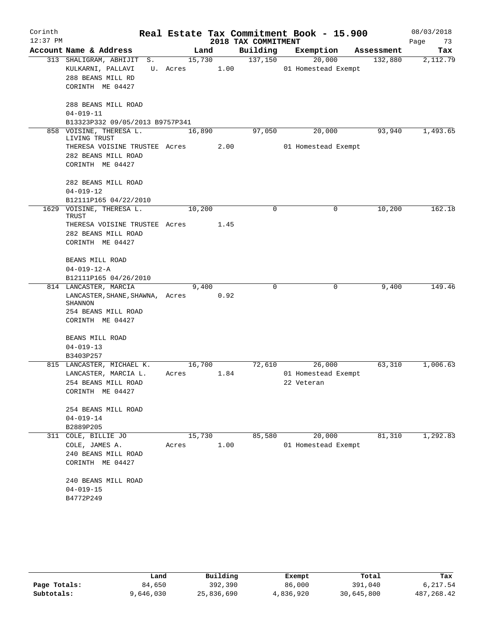| Corinth    |                                         |          |        |                     | Real Estate Tax Commitment Book - 15.900 |            | 08/03/2018 |
|------------|-----------------------------------------|----------|--------|---------------------|------------------------------------------|------------|------------|
| $12:37$ PM |                                         |          |        | 2018 TAX COMMITMENT |                                          |            | Page<br>73 |
|            | Account Name & Address                  | Land     |        | Building            | Exemption                                | Assessment | Tax        |
|            | 313 SHALIGRAM, ABHIJIT<br>S.            |          | 15,730 | 137,150             | 20,000                                   | 132,880    | 2,112.79   |
|            | KULKARNI, PALLAVI                       | U. Acres | 1.00   |                     | 01 Homestead Exempt                      |            |            |
|            | 288 BEANS MILL RD                       |          |        |                     |                                          |            |            |
|            | CORINTH ME 04427                        |          |        |                     |                                          |            |            |
|            | 288 BEANS MILL ROAD                     |          |        |                     |                                          |            |            |
|            | $04 - 019 - 11$                         |          |        |                     |                                          |            |            |
|            | B13323P332 09/05/2013 B9757P341         |          |        |                     |                                          |            |            |
|            | 858 VOISINE, THERESA L.<br>LIVING TRUST | 16,890   |        | 97,050              | 20,000                                   | 93,940     | 1,493.65   |
|            | THERESA VOISINE TRUSTEE Acres           |          | 2.00   |                     | 01 Homestead Exempt                      |            |            |
|            | 282 BEANS MILL ROAD                     |          |        |                     |                                          |            |            |
|            | CORINTH ME 04427                        |          |        |                     |                                          |            |            |
|            | 282 BEANS MILL ROAD                     |          |        |                     |                                          |            |            |
|            | $04 - 019 - 12$                         |          |        |                     |                                          |            |            |
|            | B12111P165 04/22/2010                   |          |        |                     |                                          |            |            |
|            | 1629 VOISINE, THERESA L.<br>TRUST       | 10,200   |        | 0                   | $\mathbf 0$                              | 10,200     | 162.18     |
|            | THERESA VOISINE TRUSTEE Acres           |          | 1.45   |                     |                                          |            |            |
|            | 282 BEANS MILL ROAD                     |          |        |                     |                                          |            |            |
|            | CORINTH ME 04427                        |          |        |                     |                                          |            |            |
|            | BEANS MILL ROAD                         |          |        |                     |                                          |            |            |
|            | $04 - 019 - 12 - A$                     |          |        |                     |                                          |            |            |
|            | B12111P165 04/26/2010                   |          |        |                     |                                          |            |            |
|            | 814 LANCASTER, MARCIA                   | 9,400    |        | 0                   | 0                                        | 9,400      | 149.46     |
|            | LANCASTER, SHANE, SHAWNA, Acres         |          | 0.92   |                     |                                          |            |            |
|            | SHANNON<br>254 BEANS MILL ROAD          |          |        |                     |                                          |            |            |
|            | CORINTH ME 04427                        |          |        |                     |                                          |            |            |
|            |                                         |          |        |                     |                                          |            |            |
|            | BEANS MILL ROAD                         |          |        |                     |                                          |            |            |
|            | $04 - 019 - 13$                         |          |        |                     |                                          |            |            |
|            | B3403P257                               |          |        |                     |                                          |            |            |
|            | 815 LANCASTER, MICHAEL K.               | 16,700   |        | 72,610              | 26,000                                   | 63,310     | 1,006.63   |
|            | LANCASTER, MARCIA L.                    | Acres    | 1.84   |                     | 01 Homestead Exempt                      |            |            |
|            | 254 BEANS MILL ROAD                     |          |        |                     | 22 Veteran                               |            |            |
|            | CORINTH ME 04427                        |          |        |                     |                                          |            |            |
|            | 254 BEANS MILL ROAD                     |          |        |                     |                                          |            |            |
|            | $04 - 019 - 14$                         |          |        |                     |                                          |            |            |
|            | B2889P205                               |          |        |                     |                                          |            |            |
| 311        | COLE, BILLIE JO                         | 15,730   |        | 85,580              | 20,000                                   | 81,310     | 1,292.83   |
|            | COLE, JAMES A.                          | Acres    | 1.00   |                     | 01 Homestead Exempt                      |            |            |
|            | 240 BEANS MILL ROAD                     |          |        |                     |                                          |            |            |
|            | CORINTH ME 04427                        |          |        |                     |                                          |            |            |
|            | 240 BEANS MILL ROAD                     |          |        |                     |                                          |            |            |
|            | $04 - 019 - 15$                         |          |        |                     |                                          |            |            |
|            | B4772P249                               |          |        |                     |                                          |            |            |
|            |                                         |          |        |                     |                                          |            |            |

|              | Land      | Building   | Exempt    | Total      | Tax         |
|--------------|-----------|------------|-----------|------------|-------------|
| Page Totals: | 84,650    | 392,390    | 86,000    | 391,040    | 6,217.54    |
| Subtotals:   | 9,646,030 | 25,836,690 | 4,836,920 | 30,645,800 | 487, 268.42 |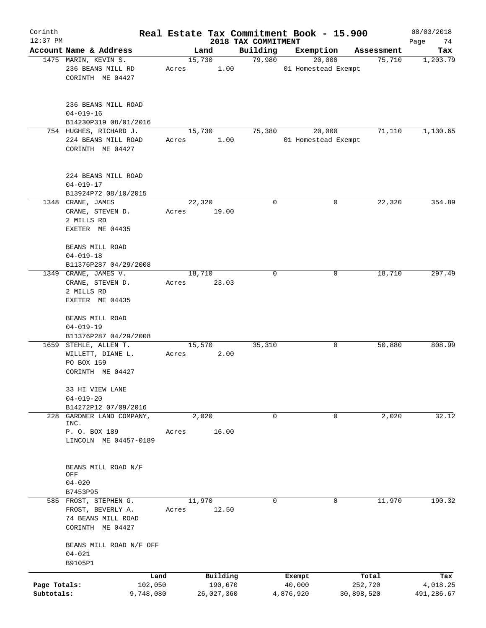| Corinth      |                                                                              |        |                     |                                 | Real Estate Tax Commitment Book - 15.900 |                      | 08/03/2018        |
|--------------|------------------------------------------------------------------------------|--------|---------------------|---------------------------------|------------------------------------------|----------------------|-------------------|
| $12:37$ PM   | Account Name & Address                                                       |        | Land                | 2018 TAX COMMITMENT<br>Building | Exemption                                |                      | Page<br>74<br>Tax |
|              | 1475 MARIN, KEVIN S.                                                         |        | 15,730              | 79,980                          | 20,000                                   | Assessment<br>75,710 | 1,203.79          |
|              | 236 BEANS MILL RD<br>CORINTH ME 04427                                        | Acres  | 1.00                |                                 | 01 Homestead Exempt                      |                      |                   |
|              | 236 BEANS MILL ROAD<br>$04 - 019 - 16$<br>B14230P319 08/01/2016              |        |                     |                                 |                                          |                      |                   |
|              | 754 HUGHES, RICHARD J.                                                       |        | 15,730              | 75,380                          | 20,000                                   | 71,110               | 1,130.65          |
|              | 224 BEANS MILL ROAD<br>CORINTH ME 04427                                      | Acres  | 1.00                |                                 | 01 Homestead Exempt                      |                      |                   |
|              | 224 BEANS MILL ROAD<br>$04 - 019 - 17$                                       |        |                     |                                 |                                          |                      |                   |
|              | B13924P72 08/10/2015<br>1348 CRANE, JAMES                                    | 22,320 |                     | 0                               | 0                                        | 22,320               | 354.89            |
|              | CRANE, STEVEN D.<br>2 MILLS RD<br>EXETER ME 04435                            | Acres  | 19.00               |                                 |                                          |                      |                   |
|              | BEANS MILL ROAD<br>$04 - 019 - 18$<br>B11376P287 04/29/2008                  |        |                     |                                 |                                          |                      |                   |
|              | 1349 CRANE, JAMES V.                                                         | 18,710 |                     | 0                               | 0                                        | 18,710               | 297.49            |
|              | CRANE, STEVEN D.<br>2 MILLS RD<br>EXETER ME 04435                            | Acres  | 23.03               |                                 |                                          |                      |                   |
|              | BEANS MILL ROAD                                                              |        |                     |                                 |                                          |                      |                   |
|              | $04 - 019 - 19$                                                              |        |                     |                                 |                                          |                      |                   |
|              | B11376P287 04/29/2008                                                        |        |                     |                                 |                                          |                      |                   |
|              | 1659 STEHLE, ALLEN T.<br>WILLETT, DIANE L.<br>PO BOX 159<br>CORINTH ME 04427 | Acres  | 15,570<br>2.00      | 35,310                          | 0                                        | 50,880               | 808.99            |
|              | 33 HI VIEW LANE<br>$04 - 019 - 20$                                           |        |                     |                                 |                                          |                      |                   |
|              | B14272P12 07/09/2016                                                         |        |                     |                                 |                                          |                      |                   |
| 228          | GARDNER LAND COMPANY,<br>INC.<br>P. O. BOX 189                               | Acres  | 2,020<br>16.00      | 0                               | 0                                        | 2,020                | 32.12             |
|              | LINCOLN ME 04457-0189                                                        |        |                     |                                 |                                          |                      |                   |
|              | BEANS MILL ROAD N/F<br>OFF                                                   |        |                     |                                 |                                          |                      |                   |
|              | $04 - 020$<br>B7453P95                                                       |        |                     |                                 |                                          |                      |                   |
|              | 585 FROST, STEPHEN G.                                                        | 11,970 |                     | 0                               | 0                                        | 11,970               | 190.32            |
|              | FROST, BEVERLY A.<br>74 BEANS MILL ROAD<br>CORINTH ME 04427                  | Acres  | 12.50               |                                 |                                          |                      |                   |
|              | BEANS MILL ROAD N/F OFF<br>$04 - 021$<br>B9105P1                             |        |                     |                                 |                                          |                      |                   |
|              |                                                                              |        |                     |                                 |                                          |                      |                   |
| Page Totals: | Land<br>102,050                                                              |        | Building<br>190,670 |                                 | Exempt<br>40,000                         | Total<br>252,720     | Tax<br>4,018.25   |
| Subtotals:   | 9,748,080                                                                    |        | 26,027,360          |                                 | 4,876,920                                | 30,898,520           | 491,286.67        |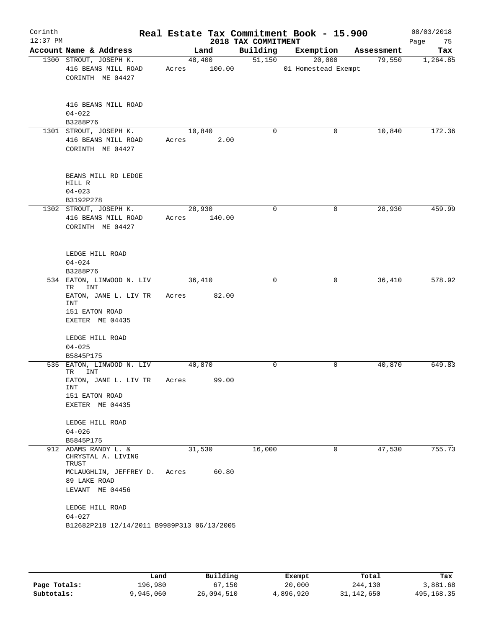| Corinth<br>$12:37$ PM |                                                                   |              |        | 2018 TAX COMMITMENT | Real Estate Tax Commitment Book - 15.900 |            | 08/03/2018<br>Page<br>75 |
|-----------------------|-------------------------------------------------------------------|--------------|--------|---------------------|------------------------------------------|------------|--------------------------|
|                       | Account Name & Address                                            |              | Land   |                     | Building Exemption                       | Assessment | Tax                      |
|                       | 1300 STROUT, JOSEPH K.<br>416 BEANS MILL ROAD<br>CORINTH ME 04427 | Acres 100.00 | 48,400 | 51,150              | 20,000<br>01 Homestead Exempt            | 79,550     | 1,264.85                 |
|                       | 416 BEANS MILL ROAD<br>$04 - 022$<br>B3288P76                     |              |        |                     |                                          |            |                          |
|                       | 1301 STROUT, JOSEPH K.                                            | 10,840       |        | 0                   | 0                                        | 10,840     | 172.36                   |
|                       | 416 BEANS MILL ROAD<br>CORINTH ME 04427                           | Acres        | 2.00   |                     |                                          |            |                          |
|                       | BEANS MILL RD LEDGE<br>HILL R<br>$04 - 023$<br>B3192P278          |              |        |                     |                                          |            |                          |
|                       | 1302 STROUT, JOSEPH K.                                            | 28,930       |        | $\mathbf 0$         | 0                                        | 28,930     | 459.99                   |
|                       | 416 BEANS MILL ROAD<br>CORINTH ME 04427                           | Acres 140.00 |        |                     |                                          |            |                          |
|                       | LEDGE HILL ROAD<br>$04 - 024$                                     |              |        |                     |                                          |            |                          |
|                       | B3288P76                                                          |              |        |                     |                                          |            |                          |
|                       | 534 EATON, LINWOOD N. LIV<br>TR INT                               | 36,410       |        | $\Omega$            | $\mathbf 0$                              | 36,410     | 578.92                   |
|                       | EATON, JANE L. LIV TR<br>INT<br>151 EATON ROAD<br>EXETER ME 04435 | Acres 82.00  |        |                     |                                          |            |                          |
|                       | LEDGE HILL ROAD                                                   |              |        |                     |                                          |            |                          |
|                       | $04 - 025$                                                        |              |        |                     |                                          |            |                          |
|                       | B5845P175                                                         |              |        |                     |                                          |            |                          |
|                       | 535 EATON, LINWOOD N. LIV<br>INT<br>TR                            | 40,870       |        | $\Omega$            | 0                                        | 40,870     | 649.83                   |
|                       | EATON, JANE L. LIV TR<br>INT<br>151 EATON ROAD<br>EXETER ME 04435 | Acres        | 99.00  |                     |                                          |            |                          |
|                       |                                                                   |              |        |                     |                                          |            |                          |
|                       | LEDGE HILL ROAD                                                   |              |        |                     |                                          |            |                          |
|                       | $04 - 026$                                                        |              |        |                     |                                          |            |                          |
|                       | B5845P175                                                         |              |        |                     |                                          |            |                          |
|                       | 912 ADAMS RANDY L. &<br>CHRYSTAL A. LIVING<br>TRUST               | 31,530       |        | 16,000              | 0                                        | 47,530     | 755.73                   |
|                       | MCLAUGHLIN, JEFFREY D.<br>89 LAKE ROAD<br>LEVANT ME 04456         | Acres        | 60.80  |                     |                                          |            |                          |
|                       |                                                                   |              |        |                     |                                          |            |                          |
|                       | LEDGE HILL ROAD<br>$04 - 027$                                     |              |        |                     |                                          |            |                          |
|                       | B12682P218 12/14/2011 B9989P313 06/13/2005                        |              |        |                     |                                          |            |                          |
|                       |                                                                   |              |        |                     |                                          |            |                          |

|              | Land      | Building   | Exempt    | Total      | Tax        |
|--------------|-----------|------------|-----------|------------|------------|
| Page Totals: | 196,980   | 67,150     | 20,000    | 244,130    | 3,881.68   |
| Subtotals:   | 9,945,060 | 26,094,510 | 4,896,920 | 31,142,650 | 495,168.35 |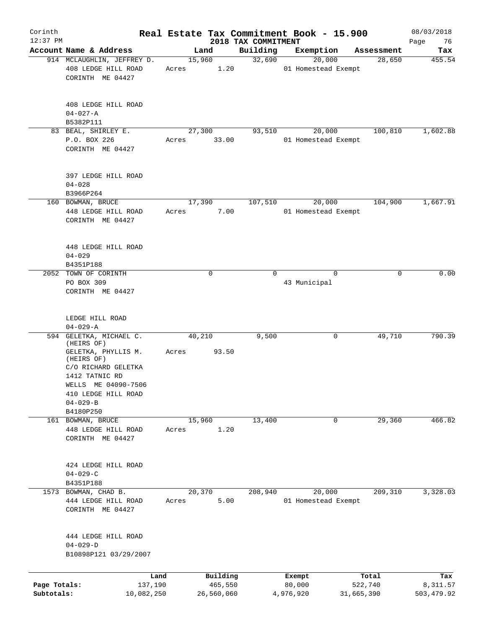| Corinth<br>$12:37$ PM      |                                                                                                                                                          |                 |                                   | 2018 TAX COMMITMENT | Real Estate Tax Commitment Book - 15.900 |                                | 08/03/2018<br>Page<br>76      |
|----------------------------|----------------------------------------------------------------------------------------------------------------------------------------------------------|-----------------|-----------------------------------|---------------------|------------------------------------------|--------------------------------|-------------------------------|
|                            | Account Name & Address                                                                                                                                   |                 | Land                              | Building            | Exemption                                | Assessment                     | Tax                           |
|                            | 914 MCLAUGHLIN, JEFFREY D.                                                                                                                               | 15,960          |                                   | 32,690              | 20,000                                   | 28,650                         | 455.54                        |
|                            | 408 LEDGE HILL ROAD<br>CORINTH ME 04427                                                                                                                  | Acres           | 1.20                              |                     | 01 Homestead Exempt                      |                                |                               |
|                            | 408 LEDGE HILL ROAD<br>$04 - 027 - A$                                                                                                                    |                 |                                   |                     |                                          |                                |                               |
|                            | B5382P111                                                                                                                                                |                 |                                   |                     |                                          |                                |                               |
|                            | 83 BEAL, SHIRLEY E.<br>P.O. BOX 226<br>CORINTH ME 04427                                                                                                  | 27,300<br>Acres | 33.00                             | 93,510              | 20,000<br>01 Homestead Exempt            | 100,810                        | 1,602.88                      |
|                            | 397 LEDGE HILL ROAD<br>$04 - 028$<br>B3966P264                                                                                                           |                 |                                   |                     |                                          |                                |                               |
|                            | 160 BOWMAN, BRUCE                                                                                                                                        | 17,390          |                                   | 107,510             | 20,000                                   | 104,900                        | 1,667.91                      |
|                            | 448 LEDGE HILL ROAD<br>CORINTH ME 04427                                                                                                                  | Acres           | 7.00                              |                     | 01 Homestead Exempt                      |                                |                               |
|                            | 448 LEDGE HILL ROAD<br>$04 - 029$                                                                                                                        |                 |                                   |                     |                                          |                                |                               |
|                            | B4351P188                                                                                                                                                |                 |                                   |                     |                                          |                                |                               |
| 2052                       | TOWN OF CORINTH<br>PO BOX 309<br>CORINTH ME 04427                                                                                                        |                 | $\mathbf 0$                       | $\Omega$            | $\Omega$<br>43 Municipal                 | 0                              | 0.00                          |
|                            | LEDGE HILL ROAD<br>$04 - 029 - A$                                                                                                                        |                 |                                   |                     |                                          |                                |                               |
|                            | 594 GELETKA, MICHAEL C.                                                                                                                                  | 40,210          |                                   | 9,500               | 0                                        | 49,710                         | 790.39                        |
|                            | (HEIRS OF)<br>GELETKA, PHYLLIS M.<br>(HEIRS OF)<br>C/O RICHARD GELETKA<br>1412 TATNIC RD<br>WELLS ME 04090-7506<br>410 LEDGE HILL ROAD<br>$04 - 029 - B$ | Acres           | 93.50                             |                     |                                          |                                |                               |
|                            | B4180P250                                                                                                                                                |                 |                                   |                     |                                          |                                |                               |
| 161                        | BOWMAN, BRUCE<br>448 LEDGE HILL ROAD<br>CORINTH ME 04427                                                                                                 | 15,960<br>Acres | 1.20                              | 13,400              | 0                                        | 29,360                         | 466.82                        |
|                            | 424 LEDGE HILL ROAD<br>$04 - 029 - C$                                                                                                                    |                 |                                   |                     |                                          |                                |                               |
|                            | B4351P188                                                                                                                                                |                 |                                   |                     |                                          |                                |                               |
| 1573                       | BOWMAN, CHAD B.<br>444 LEDGE HILL ROAD<br>CORINTH ME 04427                                                                                               | 20,370<br>Acres | 5.00                              | 208,940             | 20,000<br>01 Homestead Exempt            | 209,310                        | 3,328.03                      |
|                            | 444 LEDGE HILL ROAD<br>$04 - 029 - D$<br>B10898P121 03/29/2007                                                                                           |                 |                                   |                     |                                          |                                |                               |
|                            |                                                                                                                                                          |                 |                                   |                     |                                          |                                |                               |
| Page Totals:<br>Subtotals: | Land<br>137,190<br>10,082,250                                                                                                                            |                 | Building<br>465,550<br>26,560,060 |                     | Exempt<br>80,000<br>4,976,920            | Total<br>522,740<br>31,665,390 | Tax<br>8,311.57<br>503,479.92 |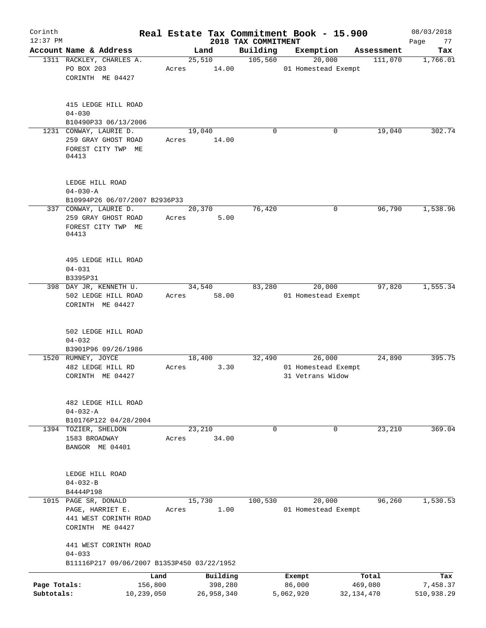| Corinth      |                                                                   |                 |       |        |                     |                                 | Real Estate Tax Commitment Book - 15.900 |              |                       | 08/03/2018        |
|--------------|-------------------------------------------------------------------|-----------------|-------|--------|---------------------|---------------------------------|------------------------------------------|--------------|-----------------------|-------------------|
| $12:37$ PM   | Account Name & Address                                            |                 |       | Land   |                     | 2018 TAX COMMITMENT<br>Building | Exemption                                |              |                       | Page<br>77<br>Tax |
|              | 1311 RACKLEY, CHARLES A.                                          |                 |       | 25,510 |                     | 105,560                         | 20,000                                   |              | Assessment<br>111,070 | 1,766.01          |
|              | PO BOX 203<br>CORINTH ME 04427                                    |                 | Acres |        | 14.00               |                                 | 01 Homestead Exempt                      |              |                       |                   |
|              | 415 LEDGE HILL ROAD<br>$04 - 030$                                 |                 |       |        |                     |                                 |                                          |              |                       |                   |
|              | B10490P33 06/13/2006<br>1231 CONWAY, LAURIE D.                    |                 |       | 19,040 |                     | $\mathbf 0$                     |                                          | 0            | 19,040                | 302.74            |
|              | 259 GRAY GHOST ROAD<br>FOREST CITY TWP ME<br>04413                |                 | Acres |        | 14.00               |                                 |                                          |              |                       |                   |
|              | LEDGE HILL ROAD                                                   |                 |       |        |                     |                                 |                                          |              |                       |                   |
|              | $04 - 030 - A$                                                    |                 |       |        |                     |                                 |                                          |              |                       |                   |
|              | B10994P26 06/07/2007 B2936P33                                     |                 |       |        |                     |                                 |                                          |              |                       |                   |
|              | 337 CONWAY, LAURIE D.                                             |                 |       | 20,370 | 5.00                | 76,420                          |                                          | 0            | 96,790                | 1,538.96          |
|              | 259 GRAY GHOST ROAD<br>FOREST CITY TWP ME<br>04413                |                 | Acres |        |                     |                                 |                                          |              |                       |                   |
|              | 495 LEDGE HILL ROAD<br>$04 - 031$                                 |                 |       |        |                     |                                 |                                          |              |                       |                   |
|              | B3395P31                                                          |                 |       |        |                     |                                 |                                          |              |                       |                   |
|              | 398 DAY JR, KENNETH U.<br>502 LEDGE HILL ROAD<br>CORINTH ME 04427 |                 | Acres | 34,540 | 58.00               | 83,280                          | 20,000<br>01 Homestead Exempt            |              | 97,820                | 1,555.34          |
|              | 502 LEDGE HILL ROAD<br>$04 - 032$                                 |                 |       |        |                     |                                 |                                          |              |                       |                   |
|              | B3901P96 09/26/1986<br>1520 RUMNEY, JOYCE                         |                 |       | 18,400 |                     | 32,490                          | 26,000                                   |              | 24,890                | 395.75            |
|              | 482 LEDGE HILL RD<br>CORINTH ME 04427                             |                 | Acres |        | 3.30                |                                 | 01 Homestead Exempt<br>31 Vetrans Widow  |              |                       |                   |
|              | 482 LEDGE HILL ROAD<br>$04 - 032 - A$                             |                 |       |        |                     |                                 |                                          |              |                       |                   |
|              | B10176P122 04/28/2004<br>1394 TOZIER, SHELDON                     |                 |       | 23,210 |                     | $\Omega$                        |                                          | $\mathbf 0$  | 23,210                | 369.04            |
|              | 1583 BROADWAY<br>BANGOR ME 04401                                  |                 | Acres |        | 34.00               |                                 |                                          |              |                       |                   |
|              | LEDGE HILL ROAD<br>$04 - 032 - B$                                 |                 |       |        |                     |                                 |                                          |              |                       |                   |
|              | B4444P198<br>1015 PAGE SR, DONALD                                 |                 |       | 15,730 |                     | 100,530                         | 20,000                                   |              | 96,260                | 1,530.53          |
|              | PAGE, HARRIET E.<br>441 WEST CORINTH ROAD<br>CORINTH ME 04427     |                 | Acres |        | 1.00                |                                 | 01 Homestead Exempt                      |              |                       |                   |
|              | 441 WEST CORINTH ROAD<br>$04 - 033$                               |                 |       |        |                     |                                 |                                          |              |                       |                   |
|              | B11116P217 09/06/2007 B1353P450 03/22/1952                        |                 |       |        |                     |                                 |                                          |              |                       |                   |
| Page Totals: |                                                                   | Land<br>156,800 |       |        | Building<br>398,280 |                                 | Exempt<br>86,000                         |              | Total<br>469,080      | Tax<br>7,458.37   |
| Subtotals:   |                                                                   | 10,239,050      |       |        | 26,958,340          |                                 | 5,062,920                                | 32, 134, 470 |                       | 510,938.29        |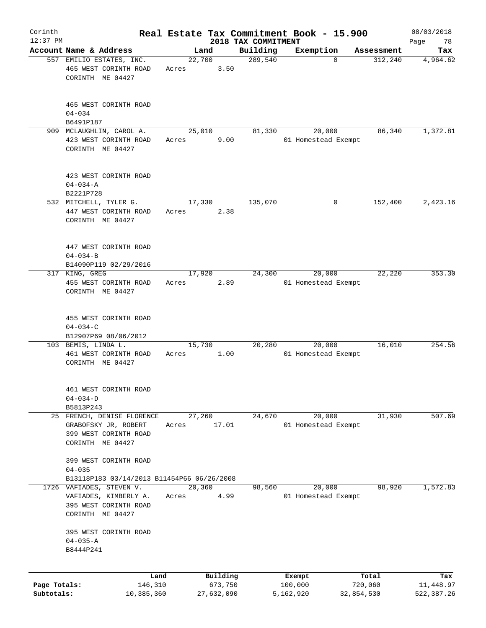| Corinth                    |                                                                    |       |                       |                     | Real Estate Tax Commitment Book - 15.900 |                       | 08/03/2018              |
|----------------------------|--------------------------------------------------------------------|-------|-----------------------|---------------------|------------------------------------------|-----------------------|-------------------------|
| $12:37$ PM                 | Account Name & Address                                             |       |                       | 2018 TAX COMMITMENT |                                          |                       | Page<br>78              |
|                            | 557 EMILIO ESTATES, INC.                                           |       | Land<br>22,700        | Building<br>289,540 | Exemption<br>$\Omega$                    | Assessment<br>312,240 | Tax<br>4,964.62         |
|                            | 465 WEST CORINTH ROAD<br>CORINTH ME 04427                          | Acres | 3.50                  |                     |                                          |                       |                         |
|                            | 465 WEST CORINTH ROAD<br>$04 - 034$<br>B6491P187                   |       |                       |                     |                                          |                       |                         |
|                            | 909 MCLAUGHLIN, CAROL A.                                           |       | 25,010                | 81,330              | 20,000                                   | 86,340                | 1,372.81                |
|                            | 423 WEST CORINTH ROAD<br>CORINTH ME 04427                          | Acres | 9.00                  |                     | 01 Homestead Exempt                      |                       |                         |
|                            | 423 WEST CORINTH ROAD<br>$04 - 034 - A$                            |       |                       |                     |                                          |                       |                         |
|                            | B2221P728<br>532 MITCHELL, TYLER G.                                |       | 17,330                | 135,070             | 0                                        |                       | 2,423.16                |
|                            | 447 WEST CORINTH ROAD<br>CORINTH ME 04427                          | Acres | 2.38                  |                     |                                          | 152,400               |                         |
|                            | 447 WEST CORINTH ROAD<br>$04 - 034 - B$<br>B14090P119 02/29/2016   |       |                       |                     |                                          |                       |                         |
|                            | 317 KING, GREG                                                     |       | 17,920                | 24,300              | 20,000                                   | 22,220                | 353.30                  |
|                            | 455 WEST CORINTH ROAD<br>CORINTH ME 04427                          | Acres | 2.89                  |                     | 01 Homestead Exempt                      |                       |                         |
|                            | 455 WEST CORINTH ROAD<br>$04 - 034 - C$                            |       |                       |                     |                                          |                       |                         |
|                            | B12907P69 08/06/2012                                               |       |                       |                     |                                          |                       |                         |
|                            | 103 BEMIS, LINDA L.<br>461 WEST CORINTH ROAD<br>CORINTH ME 04427   | Acres | 15,730<br>1.00        | 20,280              | 20,000<br>01 Homestead Exempt            | 16,010                | 254.56                  |
|                            | 461 WEST CORINTH ROAD<br>$04 - 034 - D$                            |       |                       |                     |                                          |                       |                         |
|                            | B5813P243<br>25 FRENCH, DENISE FLORENCE                            |       | 27,260                | 24,670              | 20,000                                   | 31,930                | 507.69                  |
|                            | GRABOFSKY JR, ROBERT<br>399 WEST CORINTH ROAD<br>CORINTH ME 04427  | Acres | 17.01                 |                     | 01 Homestead Exempt                      |                       |                         |
|                            | 399 WEST CORINTH ROAD<br>$04 - 035$                                |       |                       |                     |                                          |                       |                         |
|                            | B13118P183 03/14/2013 B11454P66 06/26/2008                         |       |                       |                     |                                          |                       |                         |
|                            | 1726 VAFIADES, STEVEN V.                                           |       | 20,360                | 98,560              | 20,000                                   | 98,920                | 1,572.83                |
|                            | VAFIADES, KIMBERLY A.<br>395 WEST CORINTH ROAD<br>CORINTH ME 04427 | Acres | 4.99                  |                     | 01 Homestead Exempt                      |                       |                         |
|                            | 395 WEST CORINTH ROAD<br>$04 - 035 - A$<br>B8444P241               |       |                       |                     |                                          |                       |                         |
|                            | Land                                                               |       | Building              |                     | Exempt                                   | Total                 | Tax                     |
| Page Totals:<br>Subtotals: | 146,310<br>10,385,360                                              |       | 673,750<br>27,632,090 |                     | 100,000<br>5,162,920                     | 720,060<br>32,854,530 | 11,448.97<br>522,387.26 |
|                            |                                                                    |       |                       |                     |                                          |                       |                         |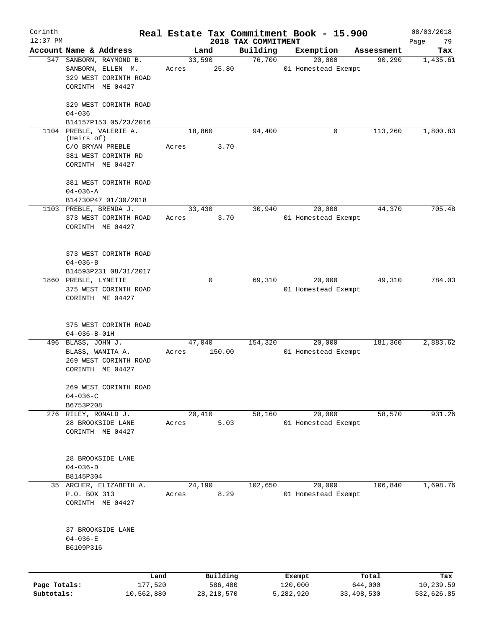| Corinth      |                      |                         |       |                     |                                 | Real Estate Tax Commitment Book - 15.900 |                      | 08/03/2018        |
|--------------|----------------------|-------------------------|-------|---------------------|---------------------------------|------------------------------------------|----------------------|-------------------|
| $12:37$ PM   |                      | Account Name & Address  |       | Land                | 2018 TAX COMMITMENT<br>Building | Exemption                                |                      | Page<br>79<br>Tax |
|              |                      | 347 SANBORN, RAYMOND B. |       | 33,590              | 76,700                          | 20,000                                   | Assessment<br>90,290 | 1,435.61          |
|              |                      | SANBORN, ELLEN M.       | Acres | 25.80               |                                 | 01 Homestead Exempt                      |                      |                   |
|              |                      | 329 WEST CORINTH ROAD   |       |                     |                                 |                                          |                      |                   |
|              |                      | CORINTH ME 04427        |       |                     |                                 |                                          |                      |                   |
|              |                      |                         |       |                     |                                 |                                          |                      |                   |
|              |                      | 329 WEST CORINTH ROAD   |       |                     |                                 |                                          |                      |                   |
|              | $04 - 036$           |                         |       |                     |                                 |                                          |                      |                   |
|              |                      | B14157P153 05/23/2016   |       |                     |                                 |                                          |                      |                   |
|              | (Heirs of)           | 1104 PREBLE, VALERIE A. |       | 18,860              | 94,400                          | 0                                        | 113,260              | 1,800.83          |
|              |                      | C/O BRYAN PREBLE        | Acres | 3.70                |                                 |                                          |                      |                   |
|              |                      | 381 WEST CORINTH RD     |       |                     |                                 |                                          |                      |                   |
|              |                      | CORINTH ME 04427        |       |                     |                                 |                                          |                      |                   |
|              |                      | 381 WEST CORINTH ROAD   |       |                     |                                 |                                          |                      |                   |
|              | $04 - 036 - A$       |                         |       |                     |                                 |                                          |                      |                   |
|              |                      | B14730P47 01/30/2018    |       |                     |                                 |                                          |                      |                   |
|              |                      | 1103 PREBLE, BRENDA J.  |       | 33,430              | 30,940                          | 20,000                                   | 44,370               | 705.48            |
|              |                      | 373 WEST CORINTH ROAD   | Acres | 3.70                |                                 | 01 Homestead Exempt                      |                      |                   |
|              |                      | CORINTH ME 04427        |       |                     |                                 |                                          |                      |                   |
|              |                      |                         |       |                     |                                 |                                          |                      |                   |
|              |                      |                         |       |                     |                                 |                                          |                      |                   |
|              |                      | 373 WEST CORINTH ROAD   |       |                     |                                 |                                          |                      |                   |
|              | $04 - 036 - B$       | B14593P231 08/31/2017   |       |                     |                                 |                                          |                      |                   |
|              | 1860 PREBLE, LYNETTE |                         |       | 0                   | 69,310                          | 20,000                                   | 49,310               | 784.03            |
|              |                      | 375 WEST CORINTH ROAD   |       |                     |                                 | 01 Homestead Exempt                      |                      |                   |
|              |                      | CORINTH ME 04427        |       |                     |                                 |                                          |                      |                   |
|              |                      |                         |       |                     |                                 |                                          |                      |                   |
|              |                      | 375 WEST CORINTH ROAD   |       |                     |                                 |                                          |                      |                   |
|              | $04 - 036 - B - 01H$ |                         |       |                     |                                 |                                          |                      |                   |
|              | 496 BLASS, JOHN J.   |                         |       | 47,040              | 154,320                         | 20,000                                   | 181,360              | 2,883.62          |
|              |                      | BLASS, WANITA A.        | Acres | 150.00              |                                 | 01 Homestead Exempt                      |                      |                   |
|              |                      | 269 WEST CORINTH ROAD   |       |                     |                                 |                                          |                      |                   |
|              |                      | CORINTH ME 04427        |       |                     |                                 |                                          |                      |                   |
|              |                      | 269 WEST CORINTH ROAD   |       |                     |                                 |                                          |                      |                   |
|              | $04 - 036 - C$       |                         |       |                     |                                 |                                          |                      |                   |
|              | B6753P208            |                         |       |                     |                                 |                                          |                      |                   |
|              |                      | 276 RILEY, RONALD J.    |       | 20,410              | 58,160                          | 20,000                                   | 58,570               | 931.26            |
|              |                      | 28 BROOKSIDE LANE       | Acres | 5.03                |                                 | 01 Homestead Exempt                      |                      |                   |
|              |                      | CORINTH ME 04427        |       |                     |                                 |                                          |                      |                   |
|              |                      |                         |       |                     |                                 |                                          |                      |                   |
|              |                      | 28 BROOKSIDE LANE       |       |                     |                                 |                                          |                      |                   |
|              | $04 - 036 - D$       |                         |       |                     |                                 |                                          |                      |                   |
|              | B8145P304            |                         |       |                     |                                 |                                          |                      |                   |
|              |                      | 35 ARCHER, ELIZABETH A. |       | 24,190              | 102,650                         | 20,000                                   | 106,840              | 1,698.76          |
|              | P.O. BOX 313         |                         | Acres | 8.29                |                                 | 01 Homestead Exempt                      |                      |                   |
|              |                      | CORINTH ME 04427        |       |                     |                                 |                                          |                      |                   |
|              |                      |                         |       |                     |                                 |                                          |                      |                   |
|              | $04 - 036 - E$       | 37 BROOKSIDE LANE       |       |                     |                                 |                                          |                      |                   |
|              | B6109P316            |                         |       |                     |                                 |                                          |                      |                   |
|              |                      |                         |       |                     |                                 |                                          |                      |                   |
|              |                      |                         |       |                     |                                 |                                          |                      |                   |
| Page Totals: |                      | Land<br>177,520         |       | Building<br>586,480 |                                 | Exempt<br>120,000                        | Total<br>644,000     | Tax<br>10,239.59  |
| Subtotals:   |                      | 10,562,880              |       | 28, 218, 570        |                                 | 5,282,920                                | 33, 498, 530         | 532,626.85        |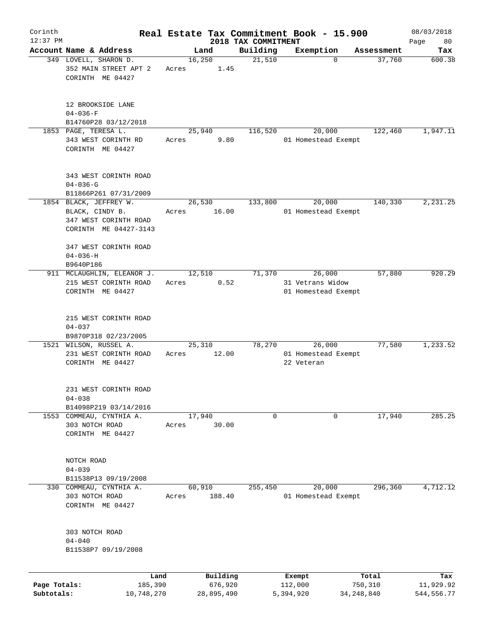| Corinth      |                                                                                             |                 |                     |                                 | Real Estate Tax Commitment Book - 15.900          |                  | 08/03/2018       |
|--------------|---------------------------------------------------------------------------------------------|-----------------|---------------------|---------------------------------|---------------------------------------------------|------------------|------------------|
| $12:37$ PM   | Account Name & Address                                                                      |                 | Land                | 2018 TAX COMMITMENT<br>Building | Exemption                                         | Assessment       | Page<br>80       |
|              | 349 LOVELL, SHARON D.<br>352 MAIN STREET APT 2<br>CORINTH ME 04427                          | Acres           | 16,250<br>1.45      | 21,510                          | $\mathbf 0$                                       | 37,760           | Tax<br>600.38    |
|              | 12 BROOKSIDE LANE<br>$04 - 036 - F$<br>B14760P28 03/12/2018                                 |                 |                     |                                 |                                                   |                  |                  |
|              | 1853 PAGE, TERESA L.<br>343 WEST CORINTH RD<br>CORINTH ME 04427                             | Acres           | 25,940<br>9.80      | 116,520                         | 20,000<br>01 Homestead Exempt                     | 122,460          | 1,947.11         |
|              | 343 WEST CORINTH ROAD<br>$04 - 036 - G$<br>B11866P261 07/31/2009                            |                 |                     |                                 |                                                   |                  |                  |
|              | 1854 BLACK, JEFFREY W.<br>BLACK, CINDY B.<br>347 WEST CORINTH ROAD<br>CORINTH ME 04427-3143 | Acres           | 26,530<br>16.00     | 133,800                         | 20,000<br>01 Homestead Exempt                     | 140,330          | 2,231.25         |
|              | 347 WEST CORINTH ROAD<br>$04 - 036 - H$<br>B9640P186                                        |                 |                     |                                 |                                                   |                  |                  |
|              | 911 MCLAUGHLIN, ELEANOR J.<br>215 WEST CORINTH ROAD<br>CORINTH ME 04427                     | Acres           | 12,510<br>0.52      | 71,370                          | 26,000<br>31 Vetrans Widow<br>01 Homestead Exempt | 57,880           | 920.29           |
|              | 215 WEST CORINTH ROAD<br>$04 - 037$<br>B9870P318 02/23/2005                                 |                 |                     |                                 |                                                   |                  |                  |
|              | 1521 WILSON, RUSSEL A.<br>231 WEST CORINTH ROAD<br>CORINTH ME 04427                         | Acres           | 25,310<br>12.00     | 78,270                          | 26,000<br>01 Homestead Exempt<br>22 Veteran       | 77,580           | 1, 233.52        |
|              | 231 WEST CORINTH ROAD<br>$04 - 038$<br>B14098P219 03/14/2016                                |                 |                     |                                 |                                                   |                  |                  |
| 1553         | COMMEAU, CYNTHIA A.<br>303 NOTCH ROAD<br>CORINTH ME 04427                                   | Acres           | 17,940<br>30.00     | 0                               | 0                                                 | 17,940           | 285.25           |
|              | NOTCH ROAD<br>$04 - 039$<br>B11538P13 09/19/2008                                            |                 |                     |                                 |                                                   |                  |                  |
|              | 330 COMMEAU, CYNTHIA A.<br>303 NOTCH ROAD<br>CORINTH ME 04427                               | Acres           | 60,910<br>188.40    | 255,450                         | 20,000<br>01 Homestead Exempt                     | 296,360          | 4,712.12         |
|              | 303 NOTCH ROAD<br>$04 - 040$<br>B11538P7 09/19/2008                                         |                 |                     |                                 |                                                   |                  |                  |
| Page Totals: |                                                                                             | Land<br>185,390 | Building<br>676,920 |                                 | Exempt<br>112,000                                 | Total<br>750,310 | Tax<br>11,929.92 |
| Subtotals:   | 10,748,270                                                                                  |                 | 28,895,490          |                                 | 5,394,920                                         | 34, 248, 840     | 544, 556.77      |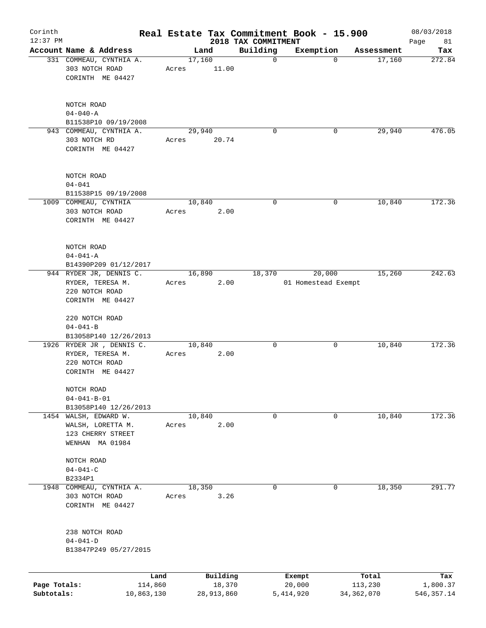| Corinth      |                                                                                    |                 |       |                |                    |                         | Real Estate Tax Commitment Book - 15.900 |             |                         | 08/03/2018              |
|--------------|------------------------------------------------------------------------------------|-----------------|-------|----------------|--------------------|-------------------------|------------------------------------------|-------------|-------------------------|-------------------------|
| $12:37$ PM   |                                                                                    |                 |       |                |                    | 2018 TAX COMMITMENT     |                                          |             |                         | Page<br>81              |
|              | Account Name & Address<br>331 COMMEAU, CYNTHIA A.                                  |                 |       | Land<br>17,160 |                    | Building<br>$\mathbf 0$ | Exemption                                | $\mathbf 0$ | Assessment<br>17,160    | Tax<br>272.84           |
|              | 303 NOTCH ROAD<br>CORINTH ME 04427                                                 |                 | Acres |                | 11.00              |                         |                                          |             |                         |                         |
|              | NOTCH ROAD<br>$04 - 040 - A$                                                       |                 |       |                |                    |                         |                                          |             |                         |                         |
|              | B11538P10 09/19/2008<br>943 COMMEAU, CYNTHIA A.                                    |                 |       | 29,940         |                    | $\Omega$                |                                          | 0           | 29,940                  | 476.05                  |
|              | 303 NOTCH RD<br>CORINTH ME 04427                                                   |                 | Acres |                | 20.74              |                         |                                          |             |                         |                         |
|              | NOTCH ROAD<br>$04 - 041$                                                           |                 |       |                |                    |                         |                                          |             |                         |                         |
|              | B11538P15 09/19/2008                                                               |                 |       |                |                    |                         |                                          |             |                         |                         |
|              | 1009 COMMEAU, CYNTHIA<br>303 NOTCH ROAD<br>CORINTH ME 04427                        |                 | Acres | 10,840         | 2.00               | 0                       |                                          | 0           | 10,840                  | 172.36                  |
|              | NOTCH ROAD<br>$04 - 041 - A$<br>B14390P209 01/12/2017                              |                 |       |                |                    |                         |                                          |             |                         |                         |
|              | 944 RYDER JR, DENNIS C.                                                            |                 |       | 16,890         |                    | 18,370                  | 20,000                                   |             | 15,260                  | 242.63                  |
|              | RYDER, TERESA M.<br>220 NOTCH ROAD<br>CORINTH ME 04427                             |                 | Acres |                | 2.00               |                         | 01 Homestead Exempt                      |             |                         |                         |
|              | 220 NOTCH ROAD<br>$04 - 041 - B$                                                   |                 |       |                |                    |                         |                                          |             |                         |                         |
|              | B13058P140 12/26/2013                                                              |                 |       |                |                    |                         |                                          |             |                         |                         |
|              | 1926 RYDER JR, DENNIS C.                                                           |                 |       | 10,840         |                    | 0                       |                                          | 0           | 10,840                  | 172.36                  |
|              | RYDER, TERESA M.<br>220 NOTCH ROAD<br>CORINTH ME 04427                             |                 | Acres |                | 2.00               |                         |                                          |             |                         |                         |
|              | NOTCH ROAD<br>$04 - 041 - B - 01$                                                  |                 |       |                |                    |                         |                                          |             |                         |                         |
|              | B13058P140 12/26/2013                                                              |                 |       |                |                    |                         |                                          |             |                         |                         |
|              | 1454 WALSH, EDWARD W.<br>WALSH, LORETTA M.<br>123 CHERRY STREET<br>WENHAN MA 01984 |                 | Acres | 10,840         | 2.00               | 0                       |                                          | 0           | 10,840                  | 172.36                  |
|              | NOTCH ROAD<br>$04 - 041 - C$                                                       |                 |       |                |                    |                         |                                          |             |                         |                         |
|              | B2334P1                                                                            |                 |       |                |                    |                         |                                          |             |                         |                         |
| 1948         | COMMEAU, CYNTHIA A.                                                                |                 |       | 18,350         |                    | 0                       |                                          | 0           | 18,350                  | 291.77                  |
|              | 303 NOTCH ROAD<br>CORINTH ME 04427                                                 |                 | Acres |                | 3.26               |                         |                                          |             |                         |                         |
|              | 238 NOTCH ROAD<br>$04 - 041 - D$<br>B13847P249 05/27/2015                          |                 |       |                |                    |                         |                                          |             |                         |                         |
| Page Totals: |                                                                                    | Land<br>114,860 |       |                | Building<br>18,370 |                         | Exempt<br>20,000                         |             | Total                   | Tax                     |
| Subtotals:   |                                                                                    | 10,863,130      |       |                | 28,913,860         |                         | 5,414,920                                |             | 113,230<br>34, 362, 070 | 1,800.37<br>546, 357.14 |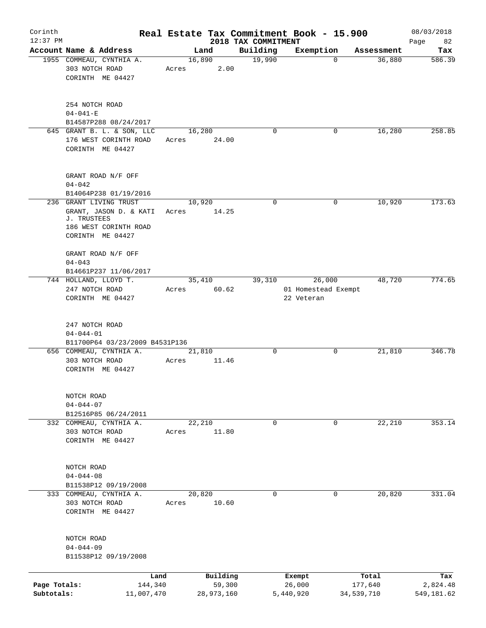| Corinth                    |                                                                                    |         |                      |                                 | Real Estate Tax Commitment Book - 15.900 |                       | 08/03/2018             |
|----------------------------|------------------------------------------------------------------------------------|---------|----------------------|---------------------------------|------------------------------------------|-----------------------|------------------------|
| $12:37$ PM                 | Account Name & Address                                                             |         | Land                 | 2018 TAX COMMITMENT<br>Building |                                          |                       | Page<br>82             |
|                            | 1955 COMMEAU, CYNTHIA A.                                                           |         | 16,890               | 19,990                          | Exemption<br>$\mathbf 0$                 | Assessment<br>36,880  | Tax<br>586.39          |
|                            | 303 NOTCH ROAD<br>CORINTH ME 04427                                                 | Acres   | 2.00                 |                                 |                                          |                       |                        |
|                            | 254 NOTCH ROAD<br>$04 - 041 - E$                                                   |         |                      |                                 |                                          |                       |                        |
|                            | B14587P288 08/24/2017                                                              |         |                      |                                 |                                          |                       |                        |
|                            | 645 GRANT B. L. & SON, LLC<br>176 WEST CORINTH ROAD<br>CORINTH ME 04427            | Acres   | 16,280<br>24.00      | $\mathbf 0$                     | 0                                        | 16,280                | 258.85                 |
|                            | GRANT ROAD N/F OFF<br>$04 - 042$                                                   |         |                      |                                 |                                          |                       |                        |
|                            | B14064P238 01/19/2016<br>236 GRANT LIVING TRUST                                    |         | 10,920               | 0                               | 0                                        | 10,920                | 173.63                 |
|                            | GRANT, JASON D. & KATI<br>J. TRUSTEES<br>186 WEST CORINTH ROAD<br>CORINTH ME 04427 | Acres   | 14.25                |                                 |                                          |                       |                        |
|                            | GRANT ROAD N/F OFF<br>$04 - 043$<br>B14661P237 11/06/2017                          |         |                      |                                 |                                          |                       |                        |
|                            | 744 HOLLAND, LLOYD T.                                                              |         | 35,410               | 39,310                          | 26,000                                   | 48,720                | 774.65                 |
|                            | 247 NOTCH ROAD                                                                     | Acres   | 60.62                |                                 | 01 Homestead Exempt                      |                       |                        |
|                            | CORINTH ME 04427                                                                   |         |                      |                                 | 22 Veteran                               |                       |                        |
|                            | 247 NOTCH ROAD<br>$04 - 044 - 01$<br>B11700P64 03/23/2009 B4531P136                |         |                      |                                 |                                          |                       |                        |
|                            | 656 COMMEAU, CYNTHIA A.<br>303 NOTCH ROAD<br>CORINTH ME 04427                      | Acres   | 21,810<br>11.46      | 0                               | 0                                        | 21,810                | 346.78                 |
|                            | NOTCH ROAD<br>$04 - 044 - 07$<br>B12516P85 06/24/2011                              |         |                      |                                 |                                          |                       |                        |
|                            | 332 COMMEAU, CYNTHIA A.<br>303 NOTCH ROAD<br>CORINTH ME 04427                      | Acres   | 22,210<br>11.80      | $\mathbf 0$                     | 0                                        | 22,210                | 353.14                 |
|                            | NOTCH ROAD<br>$04 - 044 - 08$<br>B11538P12 09/19/2008                              |         |                      |                                 |                                          |                       |                        |
|                            | 333 COMMEAU, CYNTHIA A.<br>303 NOTCH ROAD<br>CORINTH ME 04427                      | Acres   | 20,820<br>10.60      | $\mathbf 0$                     | $\mathbf 0$                              | 20,820                | 331.04                 |
|                            | NOTCH ROAD<br>$04 - 044 - 09$<br>B11538P12 09/19/2008                              |         |                      |                                 |                                          |                       |                        |
|                            |                                                                                    | Land    | Building             |                                 | Exempt                                   | Total                 | Tax                    |
| Page Totals:<br>Subtotals: | 11,007,470                                                                         | 144,340 | 59,300<br>28,973,160 |                                 | 26,000<br>5,440,920                      | 177,640<br>34,539,710 | 2,824.48<br>549,181.62 |
|                            |                                                                                    |         |                      |                                 |                                          |                       |                        |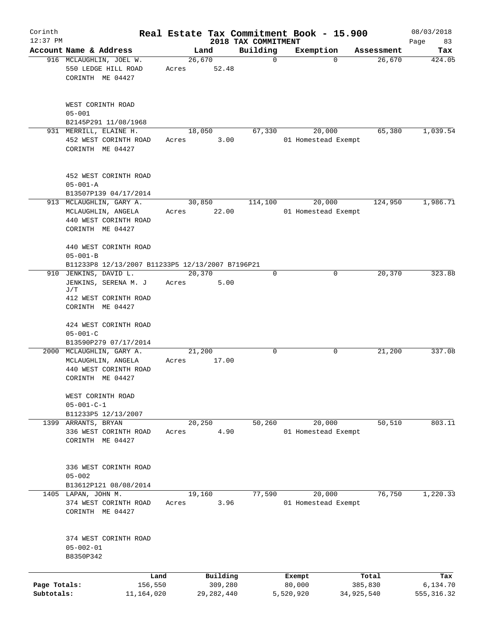| Corinth                    |                                                                                                   |                 |                         |                                 | Real Estate Tax Commitment Book - 15.900 |                       | 08/03/2018              |
|----------------------------|---------------------------------------------------------------------------------------------------|-----------------|-------------------------|---------------------------------|------------------------------------------|-----------------------|-------------------------|
| $12:37$ PM                 | Account Name & Address                                                                            |                 | Land                    | 2018 TAX COMMITMENT<br>Building |                                          | Assessment            | Page<br>83              |
|                            | 916 MCLAUGHLIN, JOEL W.<br>550 LEDGE HILL ROAD<br>CORINTH ME 04427                                | 26,670<br>Acres | 52.48                   | $\mathbf 0$                     | Exemption<br>$\Omega$                    | 26,670                | Tax<br>424.05           |
|                            | WEST CORINTH ROAD<br>$05 - 001$<br>B2145P291 11/08/1968                                           |                 |                         |                                 |                                          |                       |                         |
|                            | 931 MERRILL, ELAINE H.<br>452 WEST CORINTH ROAD<br>CORINTH ME 04427                               | 18,050<br>Acres | 3.00                    | 67,330                          | 20,000<br>01 Homestead Exempt            | 65,380                | 1,039.54                |
|                            | 452 WEST CORINTH ROAD<br>$05 - 001 - A$<br>B13507P139 04/17/2014                                  |                 |                         |                                 |                                          |                       |                         |
|                            | 913 MCLAUGHLIN, GARY A.<br>MCLAUGHLIN, ANGELA<br>440 WEST CORINTH ROAD<br>CORINTH ME 04427        | 30,850<br>Acres | 22.00                   | 114,100                         | 20,000<br>01 Homestead Exempt            | 124,950               | 1,986.71                |
|                            | 440 WEST CORINTH ROAD<br>$05 - 001 - B$<br>B11233P8 12/13/2007 B11233P5 12/13/2007 B7196P21       |                 |                         |                                 |                                          |                       |                         |
|                            | 910 JENKINS, DAVID L.<br>JENKINS, SERENA M. J<br>J/T<br>412 WEST CORINTH ROAD<br>CORINTH ME 04427 | 20,370<br>Acres | 5.00                    | 0                               | 0                                        | 20,370                | 323.88                  |
|                            | 424 WEST CORINTH ROAD<br>$05 - 001 - C$<br>B13590P279 07/17/2014                                  |                 |                         |                                 |                                          |                       |                         |
|                            | 2000 MCLAUGHLIN, GARY A.<br>MCLAUGHLIN, ANGELA<br>440 WEST CORINTH ROAD<br>CORINTH ME 04427       | 21,200<br>Acres | 17.00                   | $\mathsf{O}$                    | 0                                        | 21,200                | 337.08                  |
|                            | WEST CORINTH ROAD<br>$05 - 001 - C - 1$<br>B11233P5 12/13/2007                                    |                 |                         |                                 |                                          |                       |                         |
| 1399                       | ARRANTS, BRYAN<br>336 WEST CORINTH ROAD<br>CORINTH ME 04427                                       | 20,250<br>Acres | 4.90                    | 50,260                          | 20,000<br>01 Homestead Exempt            | 50, 510               | 803.11                  |
|                            | 336 WEST CORINTH ROAD<br>$05 - 002$<br>B13612P121 08/08/2014                                      |                 |                         |                                 |                                          |                       |                         |
|                            | 1405 LAPAN, JOHN M.<br>374 WEST CORINTH ROAD<br>CORINTH ME 04427                                  | 19,160<br>Acres | 3.96                    | 77,590                          | 20,000<br>01 Homestead Exempt            | 76,750                | 1,220.33                |
|                            | 374 WEST CORINTH ROAD<br>$05 - 002 - 01$<br>B8350P342                                             |                 |                         |                                 |                                          |                       |                         |
|                            | Land                                                                                              |                 | Building                |                                 | Exempt                                   | Total                 | Tax                     |
| Page Totals:<br>Subtotals: | 156,550<br>11, 164, 020                                                                           |                 | 309,280<br>29, 282, 440 |                                 | 80,000<br>5,520,920                      | 385,830<br>34,925,540 | 6,134.70<br>555, 316.32 |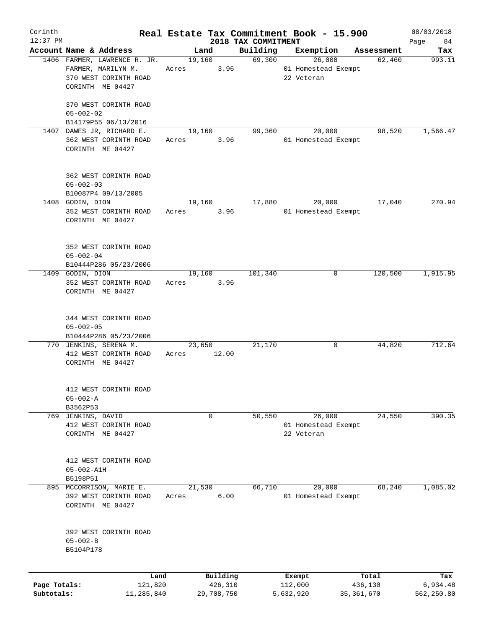| Corinth<br>$12:37$ PM |                                                 |       |                     |                                 | Real Estate Tax Commitment Book - 15.900 |                  | 08/03/2018        |
|-----------------------|-------------------------------------------------|-------|---------------------|---------------------------------|------------------------------------------|------------------|-------------------|
|                       | Account Name & Address                          |       | Land                | 2018 TAX COMMITMENT<br>Building | Exemption                                | Assessment       | Page<br>84<br>Tax |
|                       | 1406 FARMER, LAWRENCE R. JR.                    |       | 19,160              | 69,300                          | 26,000                                   | 62,460           | 993.11            |
|                       | FARMER, MARILYN M.                              | Acres | 3.96                |                                 | 01 Homestead Exempt                      |                  |                   |
|                       | 370 WEST CORINTH ROAD                           |       |                     |                                 | 22 Veteran                               |                  |                   |
|                       | CORINTH ME 04427                                |       |                     |                                 |                                          |                  |                   |
|                       |                                                 |       |                     |                                 |                                          |                  |                   |
|                       | 370 WEST CORINTH ROAD                           |       |                     |                                 |                                          |                  |                   |
|                       | $05 - 002 - 02$                                 |       |                     |                                 |                                          |                  |                   |
|                       | B14179P55 06/13/2016                            |       |                     |                                 |                                          |                  |                   |
|                       | 1407 DAWES JR, RICHARD E.                       |       | 19,160              | 99,360                          | 20,000                                   | 98,520           | 1,566.47          |
|                       | 362 WEST CORINTH ROAD                           | Acres | 3.96                |                                 | 01 Homestead Exempt                      |                  |                   |
|                       | CORINTH ME 04427                                |       |                     |                                 |                                          |                  |                   |
|                       |                                                 |       |                     |                                 |                                          |                  |                   |
|                       | 362 WEST CORINTH ROAD                           |       |                     |                                 |                                          |                  |                   |
|                       | $05 - 002 - 03$                                 |       |                     |                                 |                                          |                  |                   |
|                       | B10087P4 09/13/2005                             |       |                     |                                 |                                          |                  |                   |
|                       | 1408 GODIN, DION                                |       | 19,160              | 17,880                          | 20,000                                   | 17,040           | 270.94            |
|                       | 352 WEST CORINTH ROAD                           | Acres | 3.96                |                                 | 01 Homestead Exempt                      |                  |                   |
|                       | CORINTH ME 04427                                |       |                     |                                 |                                          |                  |                   |
|                       |                                                 |       |                     |                                 |                                          |                  |                   |
|                       | 352 WEST CORINTH ROAD                           |       |                     |                                 |                                          |                  |                   |
|                       | $05 - 002 - 04$                                 |       |                     |                                 |                                          |                  |                   |
|                       | B10444P286 05/23/2006                           |       |                     |                                 |                                          |                  |                   |
|                       | 1409 GODIN, DION                                |       | 19,160              | 101,340                         | 0                                        | 120,500          | 1,915.95          |
|                       | 352 WEST CORINTH ROAD                           | Acres | 3.96                |                                 |                                          |                  |                   |
|                       | CORINTH ME 04427                                |       |                     |                                 |                                          |                  |                   |
|                       |                                                 |       |                     |                                 |                                          |                  |                   |
|                       |                                                 |       |                     |                                 |                                          |                  |                   |
|                       | 344 WEST CORINTH ROAD                           |       |                     |                                 |                                          |                  |                   |
|                       | $05 - 002 - 05$                                 |       |                     |                                 |                                          |                  |                   |
|                       | B10444P286 05/23/2006<br>770 JENKINS, SERENA M. |       | 23,650              | 21,170                          | 0                                        | 44,820           | 712.64            |
|                       |                                                 |       | 12.00               |                                 |                                          |                  |                   |
|                       | 412 WEST CORINTH ROAD                           | Acres |                     |                                 |                                          |                  |                   |
|                       | CORINTH ME 04427                                |       |                     |                                 |                                          |                  |                   |
|                       |                                                 |       |                     |                                 |                                          |                  |                   |
|                       | 412 WEST CORINTH ROAD                           |       |                     |                                 |                                          |                  |                   |
|                       | $05 - 002 - A$                                  |       |                     |                                 |                                          |                  |                   |
|                       | B3562P53                                        |       |                     |                                 |                                          |                  |                   |
| 769                   | JENKINS, DAVID                                  |       | 0                   | 50,550                          | 26,000                                   | 24,550           | 390.35            |
|                       | 412 WEST CORINTH ROAD                           |       |                     |                                 | 01 Homestead Exempt                      |                  |                   |
|                       | CORINTH ME 04427                                |       |                     |                                 | 22 Veteran                               |                  |                   |
|                       |                                                 |       |                     |                                 |                                          |                  |                   |
|                       | 412 WEST CORINTH ROAD                           |       |                     |                                 |                                          |                  |                   |
|                       | $05 - 002 - A1H$                                |       |                     |                                 |                                          |                  |                   |
|                       | B5198P51                                        |       |                     |                                 |                                          |                  |                   |
|                       | 895 MCCORRISON, MARIE E.                        |       | 21,530              | 66,710                          | 20,000                                   | 68,240           | 1,085.02          |
|                       | 392 WEST CORINTH ROAD                           | Acres | 6.00                |                                 | 01 Homestead Exempt                      |                  |                   |
|                       | CORINTH ME 04427                                |       |                     |                                 |                                          |                  |                   |
|                       |                                                 |       |                     |                                 |                                          |                  |                   |
|                       |                                                 |       |                     |                                 |                                          |                  |                   |
|                       | 392 WEST CORINTH ROAD                           |       |                     |                                 |                                          |                  |                   |
|                       | $05 - 002 - B$                                  |       |                     |                                 |                                          |                  |                   |
|                       | B5104P178                                       |       |                     |                                 |                                          |                  |                   |
|                       |                                                 |       |                     |                                 |                                          |                  |                   |
| Page Totals:          | Land<br>121,820                                 |       | Building<br>426,310 |                                 | Exempt<br>112,000                        | Total<br>436,130 | Tax<br>6,934.48   |
| Subtotals:            | 11,285,840                                      |       | 29,708,750          |                                 | 5,632,920                                | 35, 361, 670     | 562,250.80        |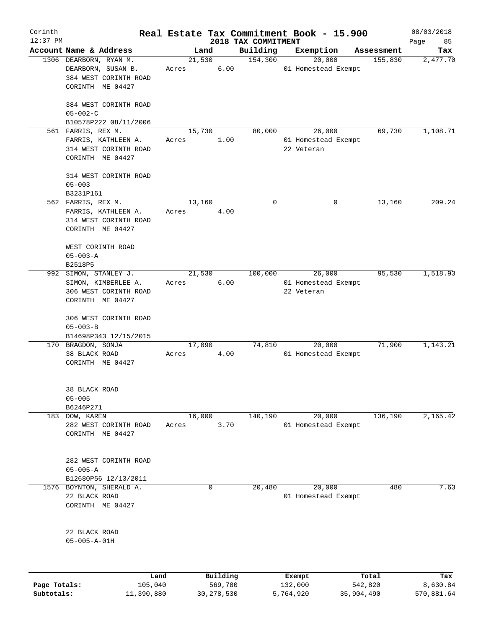| Corinth<br>$12:37$ PM |                                                                                           |                 |          |                                 | Real Estate Tax Commitment Book - 15.900    |            | 08/03/2018          |
|-----------------------|-------------------------------------------------------------------------------------------|-----------------|----------|---------------------------------|---------------------------------------------|------------|---------------------|
|                       | Account Name & Address                                                                    | Land            |          | 2018 TAX COMMITMENT<br>Building | Exemption                                   | Assessment | Page<br>85<br>Tax   |
|                       | 1306 DEARBORN, RYAN M.                                                                    | 21,530          |          | 154,300                         | 20,000                                      | 155,830    | 2,477.70            |
|                       | DEARBORN, SUSAN B.<br>384 WEST CORINTH ROAD<br>CORINTH ME 04427                           | Acres           | 6.00     |                                 | 01 Homestead Exempt                         |            |                     |
|                       | 384 WEST CORINTH ROAD<br>$05 - 002 - C$                                                   |                 |          |                                 |                                             |            |                     |
|                       | B10578P222 08/11/2006                                                                     |                 |          |                                 |                                             |            |                     |
|                       | 561 FARRIS, REX M.<br>FARRIS, KATHLEEN A.<br>314 WEST CORINTH ROAD<br>CORINTH ME 04427    | 15,730<br>Acres | 1.00     | 80,000                          | 26,000<br>01 Homestead Exempt<br>22 Veteran | 69,730     | 1,108.71            |
|                       | 314 WEST CORINTH ROAD<br>$05 - 003$<br>B3231P161                                          |                 |          |                                 |                                             |            |                     |
|                       | 562 FARRIS, REX M.<br>FARRIS, KATHLEEN A.<br>314 WEST CORINTH ROAD<br>CORINTH ME 04427    | 13,160<br>Acres | 4.00     | $\mathbf 0$                     | 0                                           | 13,160     | $\overline{209.24}$ |
|                       | WEST CORINTH ROAD<br>$05 - 003 - A$<br>B2518P5                                            |                 |          |                                 |                                             |            |                     |
|                       | 992 SIMON, STANLEY J.<br>SIMON, KIMBERLEE A.<br>306 WEST CORINTH ROAD<br>CORINTH ME 04427 | 21,530<br>Acres | 6.00     | 100,000                         | 26,000<br>01 Homestead Exempt<br>22 Veteran | 95,530     | 1,518.93            |
|                       | 306 WEST CORINTH ROAD<br>$05 - 003 - B$                                                   |                 |          |                                 |                                             |            |                     |
|                       | B14698P343 12/15/2015<br>170 BRAGDON, SONJA                                               | 17,090          |          | 74,810                          | 20,000                                      | 71,900     | 1,143.21            |
|                       | 38 BLACK ROAD<br>CORINTH ME 04427                                                         | Acres           | 4.00     |                                 | 01 Homestead Exempt                         |            |                     |
|                       | 38 BLACK ROAD<br>$05 - 005$<br>B6246P271                                                  |                 |          |                                 |                                             |            |                     |
|                       | 183 DOW, KAREN                                                                            | 16,000          |          | 140,190                         | 20,000                                      | 136,190    | 2,165.42            |
|                       | 282 WEST CORINTH ROAD<br>CORINTH ME 04427                                                 | Acres           | 3.70     |                                 | 01 Homestead Exempt                         |            |                     |
|                       | 282 WEST CORINTH ROAD<br>$05 - 005 - A$<br>B12680P56 12/13/2011                           |                 |          |                                 |                                             |            |                     |
|                       | 1576 BOYNTON, SHERALD A.<br>22 BLACK ROAD<br>CORINTH ME 04427                             |                 | 0        | 20, 480                         | 20,000<br>01 Homestead Exempt               | 480        | 7.63                |
|                       | 22 BLACK ROAD<br>$05 - 005 - A - 01H$                                                     |                 |          |                                 |                                             |            |                     |
|                       | Land                                                                                      |                 | Building |                                 | Exempt                                      | Total      | Tax                 |

|              | -----      | --------     | -------   | -----      | .          |
|--------------|------------|--------------|-----------|------------|------------|
| Page Totals: | 105,040    | 569,780      | 132,000   | 542,820    | 8,630.84   |
| Subtotals:   | 11,390,880 | 30, 278, 530 | 5,764,920 | 35,904,490 | 570,881.64 |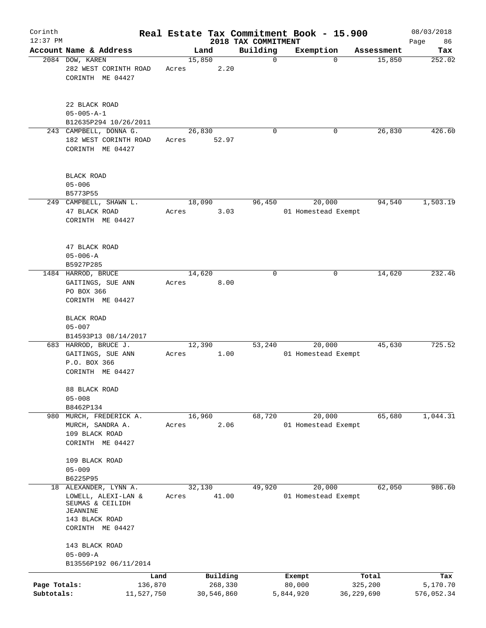| Corinth<br>$12:37$ PM      |                                                                                                                 |                               |       |         |                                   | 2018 TAX COMMITMENT |             | Real Estate Tax Commitment Book - 15.900 |            |                  | 08/03/2018<br>Page<br>86      |
|----------------------------|-----------------------------------------------------------------------------------------------------------------|-------------------------------|-------|---------|-----------------------------------|---------------------|-------------|------------------------------------------|------------|------------------|-------------------------------|
|                            | Account Name & Address                                                                                          |                               |       | Land    |                                   | Building            |             | Exemption                                |            | Assessment       | Tax                           |
|                            | 2084 DOW, KAREN<br>282 WEST CORINTH ROAD<br>CORINTH ME 04427                                                    |                               | Acres | 15,850  | 2.20                              |                     | $\mathbf 0$ | $\Omega$                                 |            | 15,850           | 252.02                        |
|                            | 22 BLACK ROAD<br>$05 - 005 - A - 1$<br>B12635P294 10/26/2011                                                    |                               |       |         |                                   |                     |             |                                          |            |                  |                               |
|                            | 243 CAMPBELL, DONNA G.<br>182 WEST CORINTH ROAD<br>CORINTH ME 04427                                             |                               | Acres | 26,830  | 52.97                             |                     | $\mathbf 0$ | 0                                        |            | 26,830           | 426.60                        |
|                            | <b>BLACK ROAD</b><br>$05 - 006$<br>B5773P55                                                                     |                               |       |         |                                   |                     |             |                                          |            |                  |                               |
|                            | 249 CAMPBELL, SHAWN L.<br>47 BLACK ROAD<br>CORINTH ME 04427                                                     |                               | Acres | 18,090  | 3.03                              | 96,450              |             | 20,000<br>01 Homestead Exempt            |            | 94,540           | 1,503.19                      |
|                            | 47 BLACK ROAD<br>$05 - 006 - A$<br>B5927P285                                                                    |                               |       |         |                                   |                     |             |                                          |            |                  |                               |
|                            | 1484 HARROD, BRUCE<br>GAITINGS, SUE ANN<br>PO BOX 366<br>CORINTH ME 04427                                       |                               | Acres | 14,620  | 8.00                              |                     | $\mathbf 0$ | 0                                        |            | 14,620           | 232.46                        |
|                            | BLACK ROAD<br>$05 - 007$<br>B14593P13 08/14/2017                                                                |                               |       |         |                                   |                     |             |                                          |            |                  |                               |
|                            | 683 HARROD, BRUCE J.<br>GAITINGS, SUE ANN<br>P.O. BOX 366<br>CORINTH ME 04427                                   |                               | Acres | 12, 390 | 1.00                              | 53,240              |             | 20,000<br>01 Homestead Exempt            |            | 45,630           | 725.52                        |
|                            | 88 BLACK ROAD<br>$05 - 008$<br>B8462P134                                                                        |                               |       |         |                                   |                     |             |                                          |            |                  |                               |
| 980                        | MURCH, FREDERICK A.<br>MURCH, SANDRA A.<br>109 BLACK ROAD<br>CORINTH ME 04427                                   |                               | Acres | 16,960  | 2.06                              | 68,720              |             | 20,000<br>01 Homestead Exempt            |            | 65,680           | 1,044.31                      |
|                            | 109 BLACK ROAD<br>$05 - 009$<br>B6225P95                                                                        |                               |       |         |                                   |                     |             |                                          |            |                  |                               |
| 18                         | ALEXANDER, LYNN A.<br>LOWELL, ALEXI-LAN &<br>SEUMAS & CEILIDH<br>JEANNINE<br>143 BLACK ROAD<br>CORINTH ME 04427 |                               | Acres | 32,130  | 41.00                             | 49,920              |             | 20,000<br>01 Homestead Exempt            |            | 62,050           | 986.60                        |
|                            | 143 BLACK ROAD<br>$05 - 009 - A$<br>B13556P192 06/11/2014                                                       |                               |       |         |                                   |                     |             |                                          |            |                  |                               |
| Page Totals:<br>Subtotals: |                                                                                                                 | Land<br>136,870<br>11,527,750 |       |         | Building<br>268,330<br>30,546,860 |                     |             | Exempt<br>80,000<br>5,844,920            | 36,229,690 | Total<br>325,200 | Tax<br>5,170.70<br>576,052.34 |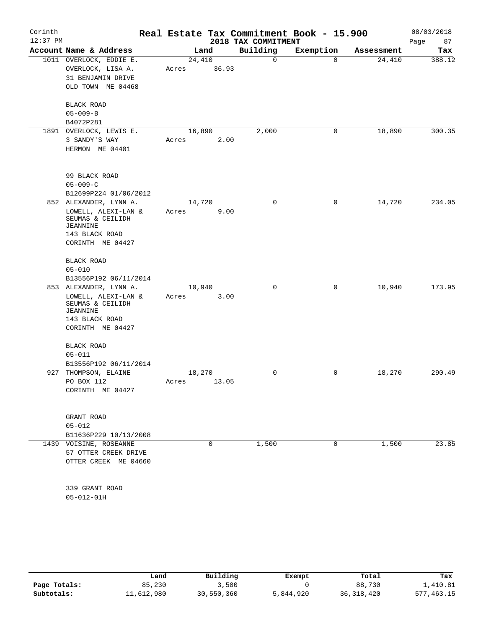| Corinth<br>$12:37$ PM |                                                                                                                                              | Real Estate Tax Commitment Book - 15.900 | 2018 TAX COMMITMENT |             |            | 08/03/2018<br>Page<br>87 |
|-----------------------|----------------------------------------------------------------------------------------------------------------------------------------------|------------------------------------------|---------------------|-------------|------------|--------------------------|
|                       | Account Name & Address                                                                                                                       | Land                                     | Building            | Exemption   | Assessment | Tax                      |
|                       | 1011 OVERLOCK, EDDIE E.<br>OVERLOCK, LISA A.<br>31 BENJAMIN DRIVE<br>OLD TOWN ME 04468                                                       | 24,410<br>36.93<br>Acres                 | 0                   | $\mathbf 0$ | 24,410     | 388.12                   |
|                       | BLACK ROAD<br>$05 - 009 - B$<br>B4072P281                                                                                                    |                                          |                     |             |            |                          |
|                       | 1891 OVERLOCK, LEWIS E.<br>3 SANDY'S WAY<br>HERMON ME 04401                                                                                  | 16,890<br>2.00<br>Acres                  | 2,000               | 0           | 18,890     | 300.35                   |
|                       | 99 BLACK ROAD<br>$05 - 009 - C$<br>B12699P224 01/06/2012                                                                                     |                                          |                     |             |            |                          |
|                       | 852 ALEXANDER, LYNN A.<br>LOWELL, ALEXI-LAN &<br>SEUMAS & CEILIDH<br><b>JEANNINE</b><br>143 BLACK ROAD<br>CORINTH ME 04427                   | 14,720<br>9.00<br>Acres                  | 0                   | 0           | 14,720     | 234.05                   |
|                       | BLACK ROAD<br>$05 - 010$                                                                                                                     |                                          |                     |             |            |                          |
|                       | B13556P192 06/11/2014<br>853 ALEXANDER, LYNN A.<br>LOWELL, ALEXI-LAN &<br>SEUMAS & CEILIDH<br>JEANNINE<br>143 BLACK ROAD<br>CORINTH ME 04427 | 10,940<br>Acres<br>3.00                  | 0                   | 0           | 10,940     | 173.95                   |
|                       | BLACK ROAD<br>$05 - 011$<br>B13556P192 06/11/2014                                                                                            |                                          |                     |             |            |                          |
| 927                   | THOMPSON, ELAINE<br>PO BOX 112<br>CORINTH ME 04427                                                                                           | 18,270<br>13.05<br>Acres                 | 0                   | 0           | 18,270     | 290.49                   |
|                       | GRANT ROAD<br>$05 - 012$<br>B11636P229 10/13/2008                                                                                            |                                          |                     |             |            |                          |
|                       | 1439 VOISINE, ROSEANNE<br>57 OTTER CREEK DRIVE<br>OTTER CREEK ME 04660                                                                       | 0                                        | 1,500               | 0           | 1,500      | 23.85                    |
|                       | 339 GRANT ROAD<br>$05 - 012 - 01H$                                                                                                           |                                          |                     |             |            |                          |

|              | Land       | Building   | Exempt    | Total        | Tax        |
|--------------|------------|------------|-----------|--------------|------------|
| Page Totals: | 85,230     | 3,500      |           | 88,730       | 1,410.81   |
| Subtotals:   | 11,612,980 | 30,550,360 | 5,844,920 | 36, 318, 420 | 577,463.15 |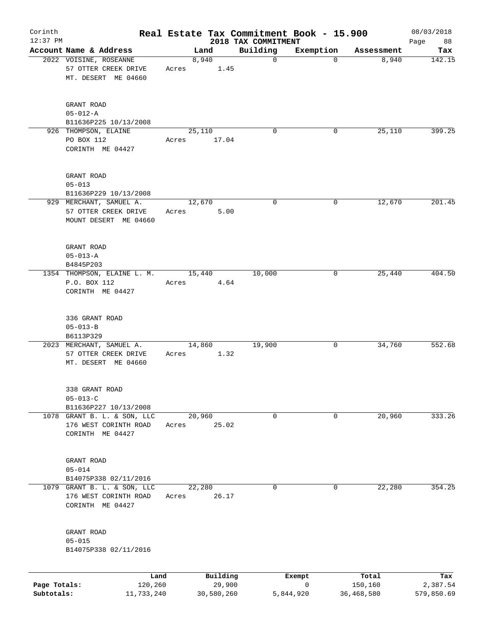| Corinth<br>$12:37$ PM |                                                                               |       |                    |                                 | Real Estate Tax Commitment Book - 15.900 |                  | 08/03/2018        |
|-----------------------|-------------------------------------------------------------------------------|-------|--------------------|---------------------------------|------------------------------------------|------------------|-------------------|
|                       | Account Name & Address                                                        |       | Land               | 2018 TAX COMMITMENT<br>Building | Exemption                                | Assessment       | 88<br>Page<br>Tax |
|                       | 2022 VOISINE, ROSEANNE<br>57 OTTER CREEK DRIVE<br>MT. DESERT ME 04660         | Acres | 8,940<br>1.45      | $\mathbf 0$                     | $\mathbf 0$                              | 8,940            | 142.15            |
|                       | GRANT ROAD<br>$05 - 012 - A$<br>B11636P225 10/13/2008<br>926 THOMPSON, ELAINE |       | 25,110             | $\mathbf 0$                     | 0                                        | 25,110           | 399.25            |
|                       | PO BOX 112<br>CORINTH ME 04427                                                | Acres | 17.04              |                                 |                                          |                  |                   |
|                       | GRANT ROAD<br>$05 - 013$<br>B11636P229 10/13/2008                             |       |                    |                                 |                                          |                  |                   |
|                       | 929 MERCHANT, SAMUEL A.<br>57 OTTER CREEK DRIVE<br>MOUNT DESERT ME 04660      | Acres | 12,670<br>5.00     | 0                               | 0                                        | 12,670           | 201.45            |
|                       | GRANT ROAD<br>$05 - 013 - A$<br>B4845P203                                     |       |                    |                                 |                                          |                  |                   |
|                       | 1354 THOMPSON, ELAINE L. M.<br>P.O. BOX 112<br>CORINTH ME 04427               | Acres | 15,440<br>4.64     | 10,000                          | 0                                        | 25,440           | 404.50            |
|                       | 336 GRANT ROAD<br>$05 - 013 - B$<br>B6113P329                                 |       |                    |                                 |                                          |                  |                   |
|                       | 2023 MERCHANT, SAMUEL A.<br>57 OTTER CREEK DRIVE<br>MT. DESERT ME 04660       | Acres | 14,860<br>1.32     | 19,900                          | 0                                        | 34,760           | 552.68            |
|                       | 338 GRANT ROAD<br>$05 - 013 - C$<br>B11636P227 10/13/2008                     |       |                    |                                 |                                          |                  |                   |
|                       | 1078 GRANT B. L. & SON, LLC<br>176 WEST CORINTH ROAD<br>CORINTH ME 04427      | Acres | 20,960<br>25.02    | 0                               | 0                                        | 20,960           | 333.26            |
|                       | GRANT ROAD<br>$05 - 014$<br>B14075P338 02/11/2016                             |       |                    |                                 |                                          |                  |                   |
|                       | 1079 GRANT B. L. & SON, LLC<br>176 WEST CORINTH ROAD<br>CORINTH ME 04427      | Acres | 22,280<br>26.17    | 0                               | 0                                        | 22,280           | 354.25            |
|                       | GRANT ROAD<br>$05 - 015$<br>B14075P338 02/11/2016                             |       |                    |                                 |                                          |                  |                   |
| Page Totals:          | Land<br>120,260                                                               |       | Building<br>29,900 |                                 | Exempt<br>0                              | Total<br>150,160 | Tax<br>2,387.54   |
| Subtotals:            | 11,733,240                                                                    |       | 30,580,260         |                                 | 5,844,920                                | 36,468,580       | 579,850.69        |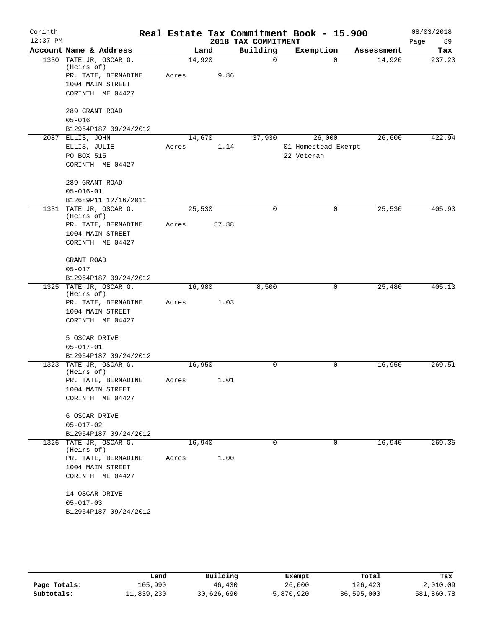| Corinth    |                                         |        |        |                     | Real Estate Tax Commitment Book - 15.900 |            | 08/03/2018 |
|------------|-----------------------------------------|--------|--------|---------------------|------------------------------------------|------------|------------|
| $12:37$ PM |                                         |        |        | 2018 TAX COMMITMENT |                                          |            | 89<br>Page |
|            | Account Name & Address                  |        | Land   | Building            | Exemption                                | Assessment | Tax        |
|            | 1330 TATE JR, OSCAR G.<br>(Heirs of)    | 14,920 |        | 0                   | $\Omega$                                 | 14,920     | 237.23     |
|            | PR. TATE, BERNADINE                     | Acres  | 9.86   |                     |                                          |            |            |
|            | 1004 MAIN STREET                        |        |        |                     |                                          |            |            |
|            | CORINTH ME 04427                        |        |        |                     |                                          |            |            |
|            |                                         |        |        |                     |                                          |            |            |
|            | 289 GRANT ROAD                          |        |        |                     |                                          |            |            |
|            | $05 - 016$                              |        |        |                     |                                          |            |            |
|            | B12954P187 09/24/2012                   |        |        |                     |                                          |            |            |
|            | 2087 ELLIS, JOHN                        |        | 14,670 | 37,930              | 26,000                                   | 26,600     | 422.94     |
|            | ELLIS, JULIE                            | Acres  | 1.14   |                     | 01 Homestead Exempt                      |            |            |
|            | PO BOX 515<br>CORINTH ME 04427          |        |        |                     | 22 Veteran                               |            |            |
|            |                                         |        |        |                     |                                          |            |            |
|            | 289 GRANT ROAD                          |        |        |                     |                                          |            |            |
|            | $05 - 016 - 01$                         |        |        |                     |                                          |            |            |
|            | B12689P11 12/16/2011                    |        |        |                     |                                          |            |            |
|            | 1331 TATE JR, OSCAR G.                  | 25,530 |        | 0                   | 0                                        | 25,530     | 405.93     |
|            | (Heirs of)                              |        |        |                     |                                          |            |            |
|            | PR. TATE, BERNADINE                     | Acres  | 57.88  |                     |                                          |            |            |
|            | 1004 MAIN STREET<br>CORINTH ME 04427    |        |        |                     |                                          |            |            |
|            |                                         |        |        |                     |                                          |            |            |
|            | GRANT ROAD                              |        |        |                     |                                          |            |            |
|            | $05 - 017$                              |        |        |                     |                                          |            |            |
|            | B12954P187 09/24/2012                   |        |        |                     |                                          |            |            |
|            | 1325 TATE JR, OSCAR G.                  | 16,980 |        | 8,500               | 0                                        | 25,480     | 405.13     |
|            | (Heirs of)                              |        |        |                     |                                          |            |            |
|            | PR. TATE, BERNADINE<br>1004 MAIN STREET | Acres  | 1.03   |                     |                                          |            |            |
|            | CORINTH ME 04427                        |        |        |                     |                                          |            |            |
|            |                                         |        |        |                     |                                          |            |            |
|            | 5 OSCAR DRIVE                           |        |        |                     |                                          |            |            |
|            | $05 - 017 - 01$                         |        |        |                     |                                          |            |            |
|            | B12954P187 09/24/2012                   |        |        |                     |                                          |            |            |
|            | 1323 TATE JR, OSCAR G.                  | 16,950 |        | 0                   | 0                                        | 16,950     | 269.51     |
|            | (Heirs of)                              |        |        |                     |                                          |            |            |
|            | PR. TATE, BERNADINE<br>1004 MAIN STREET | Acres  | 1.01   |                     |                                          |            |            |
|            | CORINTH ME 04427                        |        |        |                     |                                          |            |            |
|            |                                         |        |        |                     |                                          |            |            |
|            | 6 OSCAR DRIVE                           |        |        |                     |                                          |            |            |
|            | $05 - 017 - 02$                         |        |        |                     |                                          |            |            |
|            | B12954P187 09/24/2012                   |        |        |                     |                                          |            |            |
|            | 1326 TATE JR, OSCAR G.                  | 16,940 |        | 0                   | 0                                        | 16,940     | 269.35     |
|            | (Heirs of)                              |        |        |                     |                                          |            |            |
|            | PR. TATE, BERNADINE                     | Acres  | 1.00   |                     |                                          |            |            |
|            | 1004 MAIN STREET                        |        |        |                     |                                          |            |            |
|            | CORINTH ME 04427                        |        |        |                     |                                          |            |            |
|            | 14 OSCAR DRIVE                          |        |        |                     |                                          |            |            |
|            | $05 - 017 - 03$                         |        |        |                     |                                          |            |            |
|            | B12954P187 09/24/2012                   |        |        |                     |                                          |            |            |
|            |                                         |        |        |                     |                                          |            |            |

|              | Land       | Building   | Exempt    | Total      | Tax        |
|--------------|------------|------------|-----------|------------|------------|
| Page Totals: | 105,990    | 46,430     | 26,000    | 126,420    | 2,010.09   |
| Subtotals:   | 11,839,230 | 30,626,690 | 5,870,920 | 36,595,000 | 581,860.78 |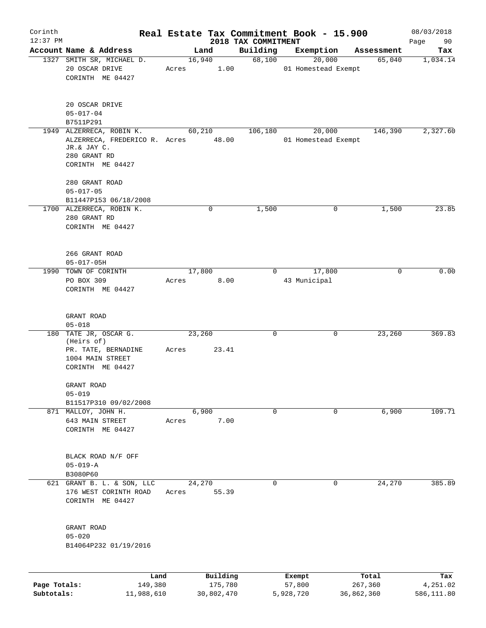| Corinth<br>$12:37$ PM |                                                                                                                    |       |                 |                                 | Real Estate Tax Commitment Book - 15.900 |            | 08/03/2018        |
|-----------------------|--------------------------------------------------------------------------------------------------------------------|-------|-----------------|---------------------------------|------------------------------------------|------------|-------------------|
|                       | Account Name & Address                                                                                             |       | Land            | 2018 TAX COMMITMENT<br>Building | Exemption                                | Assessment | 90<br>Page<br>Tax |
|                       | 1327 SMITH SR, MICHAEL D.<br>20 OSCAR DRIVE<br>CORINTH ME 04427                                                    | Acres | 16,940<br>1.00  | 68,100                          | 20,000<br>01 Homestead Exempt            | 65,040     | 1,034.14          |
|                       | 20 OSCAR DRIVE<br>$05 - 017 - 04$<br>B7511P291                                                                     |       |                 |                                 |                                          |            |                   |
|                       | 1949 ALZERRECA, ROBIN K.<br>ALZERRECA, FREDERICO R. Acres 48.00<br>JR.& JAY C.<br>280 GRANT RD<br>CORINTH ME 04427 |       | 60,210          | 106,180                         | 20,000<br>01 Homestead Exempt            | 146,390    | 2,327.60          |
|                       | 280 GRANT ROAD<br>$05 - 017 - 05$                                                                                  |       |                 |                                 |                                          |            |                   |
|                       | B11447P153 06/18/2008<br>1700 ALZERRECA, ROBIN K.<br>280 GRANT RD<br>CORINTH ME 04427                              |       | $\mathbf 0$     | 1,500                           | 0                                        | 1,500      | 23.85             |
|                       | 266 GRANT ROAD<br>$05 - 017 - 05H$                                                                                 |       |                 |                                 |                                          |            |                   |
|                       | 1990 TOWN OF CORINTH<br>PO BOX 309<br>CORINTH ME 04427                                                             | Acres | 17,800<br>8.00  | $\Omega$                        | 17,800<br>43 Municipal                   | $\Omega$   | 0.00              |
|                       | GRANT ROAD<br>$05 - 018$                                                                                           |       |                 |                                 |                                          |            |                   |
|                       | 180 TATE JR, OSCAR G.<br>(Heirs of)<br>PR. TATE, BERNADINE<br>1004 MAIN STREET<br>CORINTH ME 04427                 | Acres | 23,260<br>23.41 | 0                               | 0                                        | 23,260     | 369.83            |
|                       | GRANT ROAD<br>$05 - 019$<br>B11517P310 09/02/2008                                                                  |       |                 |                                 |                                          |            |                   |
|                       | 871 MALLOY, JOHN H.<br>643 MAIN STREET<br>CORINTH ME 04427                                                         | Acres | 6,900<br>7.00   | $\Omega$                        | 0                                        | 6,900      | 109.71            |
|                       | BLACK ROAD N/F OFF<br>$05 - 019 - A$<br>B3080P60                                                                   |       |                 |                                 |                                          |            |                   |
|                       | 621 GRANT B. L. & SON, LLC<br>176 WEST CORINTH ROAD<br>CORINTH ME 04427                                            | Acres | 24,270<br>55.39 | 0                               | 0                                        | 24,270     | 385.89            |
|                       | GRANT ROAD<br>$05 - 020$<br>B14064P232 01/19/2016                                                                  |       |                 |                                 |                                          |            |                   |
|                       | Land                                                                                                               |       | Building        |                                 | Exempt                                   | Total      | Tax               |
| Page Totals:          | 149,380                                                                                                            |       | 175,780         |                                 | 57,800                                   | 267,360    | 4,251.02          |

**Subtotals:** 11,988,610 30,802,470 5,928,720 36,862,360 586,111.80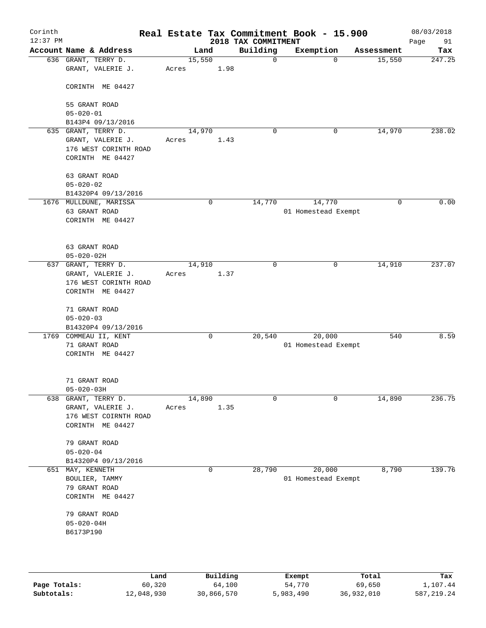| Corinth<br>$12:37$ PM |                                                                |        |          | 2018 TAX COMMITMENT | Real Estate Tax Commitment Book - 15.900 |            | 08/03/2018        |
|-----------------------|----------------------------------------------------------------|--------|----------|---------------------|------------------------------------------|------------|-------------------|
|                       | Account Name & Address                                         |        | Land     | Building            | Exemption                                | Assessment | Page<br>91<br>Tax |
|                       | 636 GRANT, TERRY D.                                            | 15,550 |          | $\mathbf 0$         | $\Omega$                                 | 15,550     | 247.25            |
|                       | GRANT, VALERIE J.                                              | Acres  | 1.98     |                     |                                          |            |                   |
|                       | CORINTH ME 04427                                               |        |          |                     |                                          |            |                   |
|                       | 55 GRANT ROAD<br>$05 - 020 - 01$                               |        |          |                     |                                          |            |                   |
|                       | B143P4 09/13/2016                                              |        |          |                     |                                          |            |                   |
|                       | 635 GRANT, TERRY D.                                            | 14,970 |          | $\mathbf 0$         | 0                                        | 14,970     | 238.02            |
|                       | GRANT, VALERIE J.<br>176 WEST CORINTH ROAD<br>CORINTH ME 04427 | Acres  | 1.43     |                     |                                          |            |                   |
|                       | 63 GRANT ROAD                                                  |        |          |                     |                                          |            |                   |
|                       | $05 - 020 - 02$<br>B14320P4 09/13/2016                         |        |          |                     |                                          |            |                   |
|                       | 1676 MULLDUNE, MARISSA                                         |        | 0        | 14,770              | 14,770                                   | 0          | 0.00              |
|                       | 63 GRANT ROAD                                                  |        |          |                     | 01 Homestead Exempt                      |            |                   |
|                       | CORINTH ME 04427                                               |        |          |                     |                                          |            |                   |
|                       | 63 GRANT ROAD                                                  |        |          |                     |                                          |            |                   |
| 637                   | $05 - 020 - 02H$<br>GRANT, TERRY D.                            | 14,910 |          | $\mathbf 0$         | 0                                        | 14,910     | 237.07            |
|                       | GRANT, VALERIE J.                                              | Acres  | 1.37     |                     |                                          |            |                   |
|                       | 176 WEST CORINTH ROAD<br>CORINTH ME 04427                      |        |          |                     |                                          |            |                   |
|                       | 71 GRANT ROAD<br>$05 - 020 - 03$                               |        |          |                     |                                          |            |                   |
|                       | B14320P4 09/13/2016                                            |        |          |                     |                                          |            |                   |
| 1769                  | COMMEAU II, KENT                                               |        | 0        | 20,540              | 20,000                                   | 540        | 8.59              |
|                       | 71 GRANT ROAD                                                  |        |          |                     | 01 Homestead Exempt                      |            |                   |
|                       | CORINTH ME 04427                                               |        |          |                     |                                          |            |                   |
|                       | 71 GRANT ROAD                                                  |        |          |                     |                                          |            |                   |
|                       | $05 - 020 - 03H$                                               |        |          |                     |                                          |            |                   |
| 638                   | GRANT, TERRY D.                                                | 14,890 |          | $\mathbf 0$         | $\mathbf 0$                              | 14,890     | 236.75            |
|                       | GRANT, VALERIE J.<br>176 WEST COIRNTH ROAD                     | Acres  | 1.35     |                     |                                          |            |                   |
|                       | CORINTH ME 04427                                               |        |          |                     |                                          |            |                   |
|                       | 79 GRANT ROAD                                                  |        |          |                     |                                          |            |                   |
|                       | $05 - 020 - 04$                                                |        |          |                     |                                          |            |                   |
| 651                   | B14320P4 09/13/2016<br>MAY, KENNETH                            |        | 0        | 28,790              | 20,000                                   | 8,790      | 139.76            |
|                       | BOULIER, TAMMY                                                 |        |          |                     | 01 Homestead Exempt                      |            |                   |
|                       | 79 GRANT ROAD                                                  |        |          |                     |                                          |            |                   |
|                       | CORINTH ME 04427                                               |        |          |                     |                                          |            |                   |
|                       |                                                                |        |          |                     |                                          |            |                   |
|                       | 79 GRANT ROAD<br>$05 - 020 - 04H$                              |        |          |                     |                                          |            |                   |
|                       | B6173P190                                                      |        |          |                     |                                          |            |                   |
|                       |                                                                |        |          |                     |                                          |            |                   |
|                       |                                                                |        |          |                     |                                          |            |                   |
|                       | Land                                                           |        | Building |                     | Exempt                                   | Total      | Tax               |
| Page Totals:          | 60,320                                                         |        | 64,100   |                     | 54,770                                   | 69,650     | 1,107.44          |

**Subtotals:** 12,048,930 30,866,570 5,983,490 36,932,010 587,219.24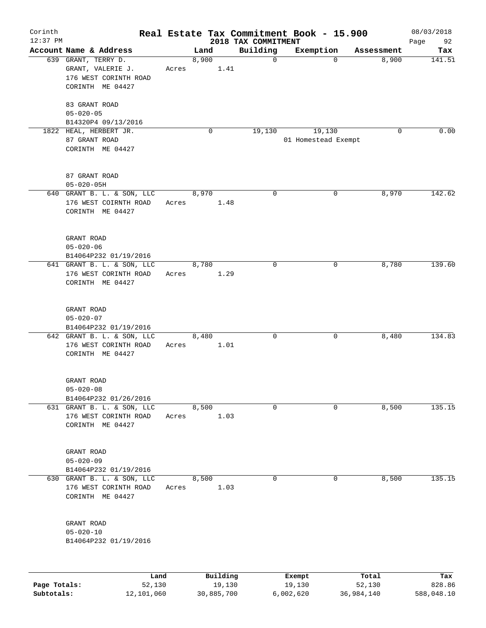| Corinth<br>$12:37$ PM |                                                                                       |       |       |                    | 2018 TAX COMMITMENT | Real Estate Tax Commitment Book - 15.900 |                   | 08/03/2018<br>Page<br>92 |
|-----------------------|---------------------------------------------------------------------------------------|-------|-------|--------------------|---------------------|------------------------------------------|-------------------|--------------------------|
|                       | Account Name & Address                                                                |       | Land  |                    | Building            | Exemption                                | Assessment        | Tax                      |
|                       | 639 GRANT, TERRY D.<br>GRANT, VALERIE J.<br>176 WEST CORINTH ROAD<br>CORINTH ME 04427 | Acres | 8,900 | 1.41               | $\mathbf 0$         |                                          | 8,900<br>$\Omega$ | 141.51                   |
|                       | 83 GRANT ROAD<br>$05 - 020 - 05$<br>B14320P4 09/13/2016                               |       |       |                    |                     |                                          |                   |                          |
|                       | 1822 HEAL, HERBERT JR.<br>87 GRANT ROAD<br>CORINTH ME 04427                           |       |       | 0                  | 19,130              | 19,130<br>01 Homestead Exempt            | $\mathbf 0$       | 0.00                     |
|                       | 87 GRANT ROAD<br>$05 - 020 - 05H$                                                     |       |       |                    |                     |                                          |                   |                          |
|                       | 640 GRANT B. L. & SON, LLC<br>176 WEST COIRNTH ROAD<br>CORINTH ME 04427               | Acres | 8,970 | 1.48               | $\mathbf 0$         |                                          | 8,970<br>0        | 142.62                   |
|                       | GRANT ROAD<br>$05 - 020 - 06$<br>B14064P232 01/19/2016                                |       |       |                    |                     |                                          |                   |                          |
|                       | 641 GRANT B. L. & SON, LLC<br>176 WEST CORINTH ROAD<br>CORINTH ME 04427               | Acres | 8,780 | 1.29               | $\mathbf 0$         |                                          | 8,780<br>0        | 139.60                   |
|                       | GRANT ROAD<br>$05 - 020 - 07$<br>B14064P232 01/19/2016                                |       |       |                    |                     |                                          |                   |                          |
|                       | 642 GRANT B. L. & SON, LLC<br>176 WEST CORINTH ROAD<br>CORINTH ME 04427               | Acres | 8,480 | 1.01               | 0                   |                                          | 0<br>8,480        | 134.83                   |
|                       | GRANT ROAD<br>$05 - 020 - 08$<br>B14064P232 01/26/2016                                |       |       |                    |                     |                                          |                   |                          |
|                       | 631 GRANT B. L. & SON, LLC<br>176 WEST CORINTH ROAD<br>CORINTH ME 04427               | Acres | 8,500 | 1.03               | 0                   |                                          | 8,500<br>0        | 135.15                   |
|                       | GRANT ROAD<br>$05 - 020 - 09$<br>B14064P232 01/19/2016                                |       |       |                    |                     |                                          |                   |                          |
|                       | 630 GRANT B. L. & SON, LLC<br>176 WEST CORINTH ROAD<br>CORINTH ME 04427               | Acres | 8,500 | 1.03               | 0                   |                                          | 8,500<br>0        | 135.15                   |
|                       | GRANT ROAD<br>$05 - 020 - 10$<br>B14064P232 01/19/2016                                |       |       |                    |                     |                                          |                   |                          |
|                       |                                                                                       |       |       |                    |                     |                                          |                   |                          |
| Page Totals:          | Land<br>52,130                                                                        |       |       | Building<br>19,130 |                     | Exempt<br>19,130                         | Total<br>52,130   | Tax<br>828.86            |

**Subtotals:** 12,101,060 30,885,700 6,002,620 36,984,140 588,048.10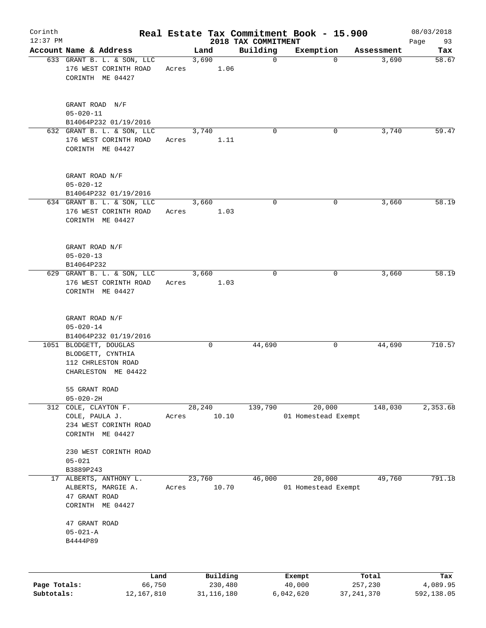| Corinth      |                                                                                          |       |        |                     |                                 |             | Real Estate Tax Commitment Book - 15.900 |                  | 08/03/2018      |
|--------------|------------------------------------------------------------------------------------------|-------|--------|---------------------|---------------------------------|-------------|------------------------------------------|------------------|-----------------|
| $12:37$ PM   | Account Name & Address                                                                   |       | Land   |                     | 2018 TAX COMMITMENT<br>Building |             | Exemption                                | Assessment       | 93<br>Page      |
|              | 633 GRANT B. L. & SON, LLC<br>176 WEST CORINTH ROAD<br>CORINTH ME 04427                  | Acres | 3,690  | 1.06                |                                 | $\mathbf 0$ | $\mathbf 0$                              | 3,690            | Tax<br>58.67    |
|              | GRANT ROAD N/F<br>$05 - 020 - 11$<br>B14064P232 01/19/2016                               |       |        |                     |                                 |             |                                          |                  |                 |
|              | 632 GRANT B. L. & SON, LLC<br>176 WEST CORINTH ROAD<br>CORINTH ME 04427                  | Acres | 3,740  | 1.11                |                                 | $\mathbf 0$ | 0                                        | 3,740            | 59.47           |
|              | GRANT ROAD N/F<br>$05 - 020 - 12$<br>B14064P232 01/19/2016                               |       |        |                     |                                 |             |                                          |                  |                 |
|              | 634 GRANT B. L. & SON, LLC<br>176 WEST CORINTH ROAD<br>CORINTH ME 04427                  | Acres | 3,660  | 1.03                |                                 | 0           | 0                                        | 3,660            | 58.19           |
|              | GRANT ROAD N/F<br>$05 - 020 - 13$<br>B14064P232                                          |       |        |                     |                                 |             |                                          |                  |                 |
|              | 629 GRANT B. L. & SON, LLC<br>176 WEST CORINTH ROAD<br>CORINTH ME 04427                  | Acres | 3,660  | 1.03                |                                 | $\mathbf 0$ | 0                                        | 3,660            | 58.19           |
|              | GRANT ROAD N/F<br>$05 - 020 - 14$<br>B14064P232 01/19/2016                               |       |        |                     |                                 |             |                                          |                  |                 |
|              | 1051 BLODGETT, DOUGLAS<br>BLODGETT, CYNTHIA<br>112 CHRLESTON ROAD<br>CHARLESTON ME 04422 |       | 0      |                     | 44,690                          |             | 0                                        | 44,690           | 710.57          |
|              | 55 GRANT ROAD<br>$05 - 020 - 2H$                                                         |       |        |                     |                                 |             |                                          |                  |                 |
| 312          | COLE, CLAYTON F.<br>COLE, PAULA J.<br>234 WEST CORINTH ROAD<br>CORINTH ME 04427          | Acres | 28,240 | 10.10               | 139,790                         |             | 20,000<br>01 Homestead Exempt            | 148,030          | 2,353.68        |
|              | 230 WEST CORINTH ROAD<br>$05 - 021$<br>B3889P243                                         |       |        |                     |                                 |             |                                          |                  |                 |
| 17           | ALBERTS, ANTHONY L.<br>ALBERTS, MARGIE A.<br>47 GRANT ROAD<br>CORINTH ME 04427           | Acres | 23,760 | 10.70               | 46,000                          |             | 20,000<br>01 Homestead Exempt            | 49,760           | 791.18          |
|              | 47 GRANT ROAD<br>$05 - 021 - A$<br>B4444P89                                              |       |        |                     |                                 |             |                                          |                  |                 |
|              |                                                                                          |       |        |                     |                                 |             |                                          |                  |                 |
| Page Totals: | Land<br>66,750                                                                           |       |        | Building<br>230,480 |                                 |             | Exempt<br>40,000                         | Total<br>257,230 | Tax<br>4,089.95 |

**Subtotals:** 12,167,810 31,116,180 6,042,620 37,241,370 592,138.05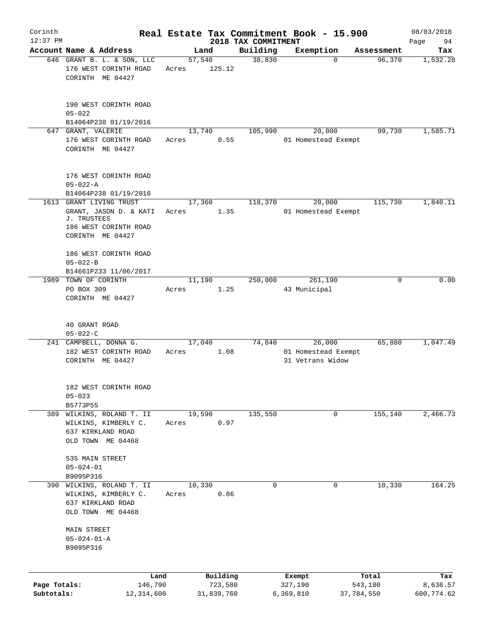| Corinth                    |                                                                                                          |                 |                                   |                                 | Real Estate Tax Commitment Book - 15.900 |                                | 08/03/2018                    |
|----------------------------|----------------------------------------------------------------------------------------------------------|-----------------|-----------------------------------|---------------------------------|------------------------------------------|--------------------------------|-------------------------------|
| $12:37$ PM                 | Account Name & Address                                                                                   |                 | Land                              | 2018 TAX COMMITMENT<br>Building | Exemption                                | Assessment                     | 94<br>Page<br>Tax             |
|                            | 646 GRANT B. L. & SON, LLC<br>176 WEST CORINTH ROAD<br>CORINTH ME 04427                                  | 57,540<br>Acres | 125.12                            | 38,830                          | $\mathbf 0$                              | 96,370                         | 1,532.28                      |
|                            | 190 WEST CORINTH ROAD<br>$05 - 022$<br>B14064P238 01/19/2016                                             |                 |                                   |                                 |                                          |                                |                               |
|                            | 647 GRANT, VALERIE                                                                                       | 13,740          |                                   | 105,990                         | 20,000                                   | 99,730                         | 1,585.71                      |
|                            | 176 WEST CORINTH ROAD<br>CORINTH ME 04427                                                                | Acres           | 0.55                              |                                 | 01 Homestead Exempt                      |                                |                               |
|                            | 176 WEST CORINTH ROAD<br>$05 - 022 - A$                                                                  |                 |                                   |                                 |                                          |                                |                               |
|                            | B14064P238 01/19/2016                                                                                    |                 |                                   |                                 |                                          |                                |                               |
| 1613                       | GRANT LIVING TRUST<br>GRANT, JASON D. & KATI<br>J. TRUSTEES<br>186 WEST CORINTH ROAD<br>CORINTH ME 04427 | 17,360<br>Acres | 1.35                              | 118,370                         | 20,000<br>01 Homestead Exempt            | 115,730                        | 1,840.11                      |
|                            | 186 WEST CORINTH ROAD<br>$05 - 022 - B$<br>B14661P233 11/06/2017                                         |                 |                                   |                                 |                                          |                                |                               |
|                            | 1989 TOWN OF CORINTH<br>PO BOX 309<br>CORINTH ME 04427                                                   | 11,190<br>Acres | 1.25                              | 250,000                         | 261,190<br>43 Municipal                  | $\Omega$                       | 0.00                          |
|                            | 40 GRANT ROAD<br>$05 - 022 - C$<br>241 CAMPBELL, DONNA G.                                                | 17,040          |                                   | 74,840                          | 26,000                                   | 65,880                         | 1,047.49                      |
|                            | 182 WEST CORINTH ROAD<br>CORINTH ME 04427                                                                | Acres           | 1.08                              |                                 | 01 Homestead Exempt<br>31 Vetrans Widow  |                                |                               |
|                            | 182 WEST CORINTH ROAD<br>$05 - 023$<br>B5773P55                                                          |                 |                                   |                                 |                                          |                                |                               |
|                            | 389 WILKINS, ROLAND T. II<br>WILKINS, KIMBERLY C.<br>637 KIRKLAND ROAD<br>OLD TOWN ME 04468              | 19,590<br>Acres | 0.97                              | 135,550                         | 0                                        | 155,140                        | 2,466.73                      |
|                            | 535 MAIN STREET<br>$05 - 024 - 01$<br>B9095P316                                                          |                 |                                   |                                 |                                          |                                |                               |
|                            | 390 WILKINS, ROLAND T. II<br>WILKINS, KIMBERLY C.<br>637 KIRKLAND ROAD<br>OLD TOWN ME 04468              | 10,330<br>Acres | 0.86                              | 0                               | 0                                        | 10,330                         | 164.25                        |
|                            | MAIN STREET<br>$05 - 024 - 01 - A$<br>B9095P316                                                          |                 |                                   |                                 |                                          |                                |                               |
|                            |                                                                                                          |                 |                                   |                                 |                                          |                                |                               |
| Page Totals:<br>Subtotals: | Land<br>146,790<br>12,314,600                                                                            |                 | Building<br>723,580<br>31,839,760 |                                 | Exempt<br>327,190<br>6,369,810           | Total<br>543,180<br>37,784,550 | Tax<br>8,636.57<br>600,774.62 |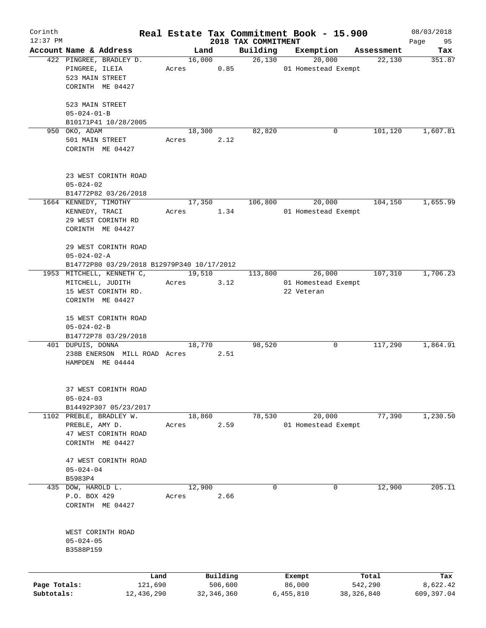| Corinth<br>$12:37$ PM |                                            |       |            |                                 | Real Estate Tax Commitment Book - 15.900 |            | 08/03/2018        |
|-----------------------|--------------------------------------------|-------|------------|---------------------------------|------------------------------------------|------------|-------------------|
|                       | Account Name & Address                     |       | Land       | 2018 TAX COMMITMENT<br>Building | Exemption                                | Assessment | 95<br>Page<br>Tax |
|                       | 422 PINGREE, BRADLEY D.                    |       | 16,000     | 26,130                          | 20,000                                   | 22,130     | 351.87            |
|                       | PINGREE, ILEIA                             | Acres | 0.85       |                                 | 01 Homestead Exempt                      |            |                   |
|                       | 523 MAIN STREET                            |       |            |                                 |                                          |            |                   |
|                       | CORINTH ME 04427                           |       |            |                                 |                                          |            |                   |
|                       |                                            |       |            |                                 |                                          |            |                   |
|                       | 523 MAIN STREET                            |       |            |                                 |                                          |            |                   |
|                       | $05 - 024 - 01 - B$                        |       |            |                                 |                                          |            |                   |
|                       | B10171P41 10/28/2005                       |       |            |                                 |                                          |            |                   |
|                       | 950 OKO, ADAM                              |       | 18,300     | 82,820                          | 0                                        | 101,120    | 1,607.81          |
|                       | 501 MAIN STREET                            | Acres | 2.12       |                                 |                                          |            |                   |
|                       | CORINTH ME 04427                           |       |            |                                 |                                          |            |                   |
|                       |                                            |       |            |                                 |                                          |            |                   |
|                       |                                            |       |            |                                 |                                          |            |                   |
|                       | 23 WEST CORINTH ROAD                       |       |            |                                 |                                          |            |                   |
|                       | $05 - 024 - 02$                            |       |            |                                 |                                          |            |                   |
|                       | B14772P82 03/26/2018                       |       |            |                                 |                                          |            |                   |
|                       | 1664 KENNEDY, TIMOTHY                      |       | 17,350     | 106,800                         | 20,000                                   | 104,150    | 1,655.99          |
|                       | KENNEDY, TRACI                             | Acres | 1.34       |                                 | 01 Homestead Exempt                      |            |                   |
|                       | 29 WEST CORINTH RD                         |       |            |                                 |                                          |            |                   |
|                       | CORINTH ME 04427                           |       |            |                                 |                                          |            |                   |
|                       |                                            |       |            |                                 |                                          |            |                   |
|                       | 29 WEST CORINTH ROAD                       |       |            |                                 |                                          |            |                   |
|                       | $05 - 024 - 02 - A$                        |       |            |                                 |                                          |            |                   |
|                       | B14772P80 03/29/2018 B12979P340 10/17/2012 |       |            |                                 |                                          |            |                   |
|                       | 1953 MITCHELL, KENNETH C,                  |       | 19,510     | 113,800                         | 26,000                                   | 107,310    | 1,706.23          |
|                       | MITCHELL, JUDITH                           | Acres | 3.12       |                                 | 01 Homestead Exempt                      |            |                   |
|                       | 15 WEST CORINTH RD.                        |       |            |                                 | 22 Veteran                               |            |                   |
|                       | CORINTH ME 04427                           |       |            |                                 |                                          |            |                   |
|                       |                                            |       |            |                                 |                                          |            |                   |
|                       | 15 WEST CORINTH ROAD                       |       |            |                                 |                                          |            |                   |
|                       | $05 - 024 - 02 - B$                        |       |            |                                 |                                          |            |                   |
|                       | B14772P78 03/29/2018                       |       |            |                                 |                                          |            |                   |
|                       | 401 DUPUIS, DONNA                          |       | 18,770     | 98,520                          | 0                                        | 117,290    | 1,864.91          |
|                       | 238B ENERSON MILL ROAD Acres               |       | 2.51       |                                 |                                          |            |                   |
|                       | HAMPDEN ME 04444                           |       |            |                                 |                                          |            |                   |
|                       |                                            |       |            |                                 |                                          |            |                   |
|                       |                                            |       |            |                                 |                                          |            |                   |
|                       | 37 WEST CORINTH ROAD                       |       |            |                                 |                                          |            |                   |
|                       | $05 - 024 - 03$                            |       |            |                                 |                                          |            |                   |
|                       | B14492P307 05/23/2017                      |       |            |                                 |                                          |            |                   |
|                       | 1102 PREBLE, BRADLEY W.                    |       | 18,860     | 78,530                          | 20,000                                   | 77,390     | 1,230.50          |
|                       | PREBLE, AMY D.                             | Acres | 2.59       |                                 | 01 Homestead Exempt                      |            |                   |
|                       | 47 WEST CORINTH ROAD                       |       |            |                                 |                                          |            |                   |
|                       | CORINTH ME 04427                           |       |            |                                 |                                          |            |                   |
|                       |                                            |       |            |                                 |                                          |            |                   |
|                       | 47 WEST CORINTH ROAD                       |       |            |                                 |                                          |            |                   |
|                       | $05 - 024 - 04$                            |       |            |                                 |                                          |            |                   |
|                       | B5983P4                                    |       |            |                                 |                                          |            |                   |
|                       | 435 DOW, HAROLD L.                         |       | 12,900     | 0                               | 0                                        | 12,900     | 205.11            |
|                       | P.O. BOX 429                               | Acres | 2.66       |                                 |                                          |            |                   |
|                       | CORINTH ME 04427                           |       |            |                                 |                                          |            |                   |
|                       |                                            |       |            |                                 |                                          |            |                   |
|                       |                                            |       |            |                                 |                                          |            |                   |
|                       | WEST CORINTH ROAD                          |       |            |                                 |                                          |            |                   |
|                       | $05 - 024 - 05$                            |       |            |                                 |                                          |            |                   |
|                       | B3588P159                                  |       |            |                                 |                                          |            |                   |
|                       |                                            |       |            |                                 |                                          |            |                   |
|                       |                                            |       |            |                                 |                                          |            |                   |
|                       | Land                                       |       | Building   |                                 | Exempt                                   | Total      | Tax               |
| Page Totals:          | 121,690                                    |       | 506,600    |                                 | 86,000                                   | 542,290    | 8,622.42          |
| Subtotals:            | 12,436,290                                 |       | 32,346,360 |                                 | 6,455,810                                | 38,326,840 | 609,397.04        |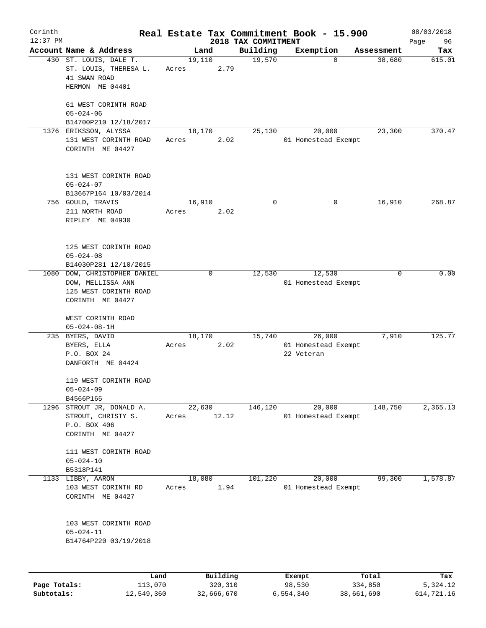| Corinth      |                                                                    |                 |              |                     | Real Estate Tax Commitment Book - 15.900 |                      | 08/03/2018    |
|--------------|--------------------------------------------------------------------|-----------------|--------------|---------------------|------------------------------------------|----------------------|---------------|
| $12:37$ PM   | Account Name & Address                                             |                 |              | 2018 TAX COMMITMENT |                                          |                      | Page<br>96    |
|              | 430 ST. LOUIS, DALE T.<br>ST. LOUIS, THERESA L.                    | 19,110<br>Acres | Land<br>2.79 | Building<br>19,570  | Exemption<br>0                           | Assessment<br>38,680 | Tax<br>615.01 |
|              | 41 SWAN ROAD<br>HERMON ME 04401                                    |                 |              |                     |                                          |                      |               |
|              | 61 WEST CORINTH ROAD<br>$05 - 024 - 06$                            |                 |              |                     |                                          |                      |               |
|              | B14700P210 12/18/2017                                              |                 |              |                     |                                          |                      | 370.47        |
|              | 1376 ERIKSSON, ALYSSA<br>131 WEST CORINTH ROAD<br>CORINTH ME 04427 | 18,170<br>Acres | 2.02         | 25,130              | 20,000<br>01 Homestead Exempt            | 23,300               |               |
|              | 131 WEST CORINTH ROAD<br>$05 - 024 - 07$<br>B13667P164 10/03/2014  |                 |              |                     |                                          |                      |               |
|              | 756 GOULD, TRAVIS                                                  | 16,910          |              | 0                   | 0                                        | 16,910               | 268.87        |
|              | 211 NORTH ROAD<br>RIPLEY ME 04930                                  | Acres           | 2.02         |                     |                                          |                      |               |
|              | 125 WEST CORINTH ROAD<br>$05 - 024 - 08$                           |                 |              |                     |                                          |                      |               |
|              | B14030P281 12/10/2015                                              |                 |              |                     |                                          |                      |               |
| 1080         | DOW, CHRISTOPHER DANIEL                                            |                 | 0            | 12,530              | 12,530                                   | 0                    | 0.00          |
|              | DOW, MELLISSA ANN<br>125 WEST CORINTH ROAD                         |                 |              |                     | 01 Homestead Exempt                      |                      |               |
|              | CORINTH ME 04427                                                   |                 |              |                     |                                          |                      |               |
|              | WEST CORINTH ROAD                                                  |                 |              |                     |                                          |                      |               |
|              | $05 - 024 - 08 - 1H$                                               |                 |              |                     |                                          |                      |               |
|              | 235 BYERS, DAVID                                                   | 18,170          |              | 15,740              | 26,000                                   | 7,910                | 125.77        |
|              | BYERS, ELLA                                                        | Acres           | 2.02         |                     | 01 Homestead Exempt                      |                      |               |
|              | P.O. BOX 24<br>DANFORTH ME 04424                                   |                 |              |                     | 22 Veteran                               |                      |               |
|              | 119 WEST CORINTH ROAD<br>$05 - 024 - 09$                           |                 |              |                     |                                          |                      |               |
|              | B4566P165                                                          |                 |              |                     |                                          |                      |               |
|              | 1296 STROUT JR, DONALD A.                                          | 22,630          |              | 146,120             | 20,000                                   | 148,750              | 2,365.13      |
|              | STROUT, CHRISTY S.<br>P.O. BOX 406<br>CORINTH ME 04427             | Acres           | 12.12        |                     | 01 Homestead Exempt                      |                      |               |
|              | 111 WEST CORINTH ROAD<br>$05 - 024 - 10$                           |                 |              |                     |                                          |                      |               |
|              | B5318P141                                                          |                 |              |                     |                                          |                      |               |
|              | 1133 LIBBY, AARON                                                  | 18,080          |              | 101,220             | 20,000                                   | 99,300               | 1,578.87      |
|              | 103 WEST CORINTH RD<br>CORINTH ME 04427                            | Acres           | 1.94         |                     | 01 Homestead Exempt                      |                      |               |
|              | 103 WEST CORINTH ROAD<br>$05 - 024 - 11$<br>B14764P220 03/19/2018  |                 |              |                     |                                          |                      |               |
|              |                                                                    |                 |              |                     |                                          |                      |               |
|              | Land                                                               |                 | Building     |                     | Exempt                                   | Total                | Tax           |
| Page Totals: | 113,070                                                            |                 | 320,310      |                     | 98,530                                   | 334,850              | 5,324.12      |

**Subtotals:** 12,549,360 32,666,670 6,554,340 38,661,690 614,721.16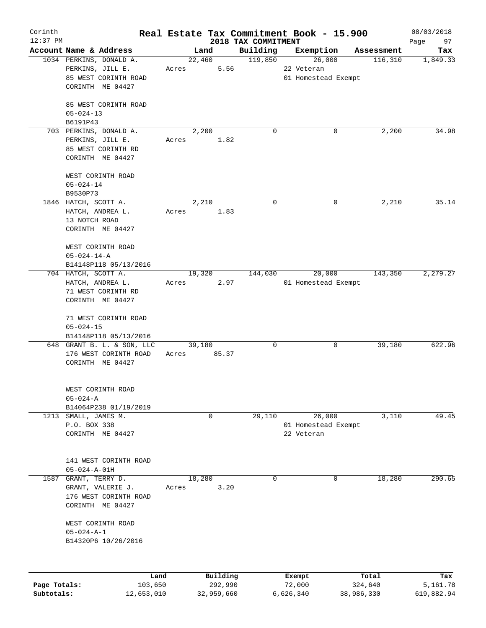| Corinth      |                         |                            |       |        |            |                                 | Real Estate Tax Commitment Book - 15.900 |            |            | 08/03/2018        |
|--------------|-------------------------|----------------------------|-------|--------|------------|---------------------------------|------------------------------------------|------------|------------|-------------------|
| $12:37$ PM   | Account Name & Address  |                            |       | Land   |            | 2018 TAX COMMITMENT<br>Building | Exemption                                |            | Assessment | 97<br>Page<br>Tax |
|              | 1034 PERKINS, DONALD A. |                            |       | 22,460 |            | 119,850                         | 26,000                                   |            | 116,310    | 1,849.33          |
|              | PERKINS, JILL E.        |                            | Acres |        | 5.56       |                                 | 22 Veteran                               |            |            |                   |
|              |                         | 85 WEST CORINTH ROAD       |       |        |            |                                 | 01 Homestead Exempt                      |            |            |                   |
|              | CORINTH ME 04427        |                            |       |        |            |                                 |                                          |            |            |                   |
|              |                         |                            |       |        |            |                                 |                                          |            |            |                   |
|              |                         | 85 WEST CORINTH ROAD       |       |        |            |                                 |                                          |            |            |                   |
|              | $05 - 024 - 13$         |                            |       |        |            |                                 |                                          |            |            |                   |
|              | B6191P43                |                            |       |        |            |                                 |                                          |            |            |                   |
|              | 703 PERKINS, DONALD A.  |                            |       | 2,200  |            | $\Omega$                        |                                          | 0          | 2,200      | 34.98             |
|              | PERKINS, JILL E.        |                            | Acres |        | 1.82       |                                 |                                          |            |            |                   |
|              |                         | 85 WEST CORINTH RD         |       |        |            |                                 |                                          |            |            |                   |
|              | CORINTH ME 04427        |                            |       |        |            |                                 |                                          |            |            |                   |
|              |                         |                            |       |        |            |                                 |                                          |            |            |                   |
|              | WEST CORINTH ROAD       |                            |       |        |            |                                 |                                          |            |            |                   |
|              | $05 - 024 - 14$         |                            |       |        |            |                                 |                                          |            |            |                   |
|              | B9530P73                |                            |       |        |            |                                 |                                          |            |            |                   |
|              | 1846 HATCH, SCOTT A.    |                            |       | 2,210  |            | 0                               |                                          | 0          | 2,210      | 35.14             |
|              | HATCH, ANDREA L.        |                            | Acres |        | 1.83       |                                 |                                          |            |            |                   |
|              | 13 NOTCH ROAD           |                            |       |        |            |                                 |                                          |            |            |                   |
|              | CORINTH ME 04427        |                            |       |        |            |                                 |                                          |            |            |                   |
|              | WEST CORINTH ROAD       |                            |       |        |            |                                 |                                          |            |            |                   |
|              | $05 - 024 - 14 - A$     |                            |       |        |            |                                 |                                          |            |            |                   |
|              |                         | B14148P118 05/13/2016      |       |        |            |                                 |                                          |            |            |                   |
|              | 704 HATCH, SCOTT A.     |                            |       | 19,320 |            | 144,030                         | 20,000                                   |            | 143,350    | 2,279.27          |
|              | HATCH, ANDREA L.        |                            |       | Acres  | 2.97       |                                 | 01 Homestead Exempt                      |            |            |                   |
|              |                         | 71 WEST CORINTH RD         |       |        |            |                                 |                                          |            |            |                   |
|              | CORINTH ME 04427        |                            |       |        |            |                                 |                                          |            |            |                   |
|              |                         |                            |       |        |            |                                 |                                          |            |            |                   |
|              |                         | 71 WEST CORINTH ROAD       |       |        |            |                                 |                                          |            |            |                   |
|              | $05 - 024 - 15$         |                            |       |        |            |                                 |                                          |            |            |                   |
|              |                         | B14148P118 05/13/2016      |       |        |            |                                 |                                          |            |            |                   |
|              |                         | 648 GRANT B. L. & SON, LLC |       | 39,180 |            | 0                               |                                          | 0          | 39,180     | 622.96            |
|              |                         | 176 WEST CORINTH ROAD      | Acres |        | 85.37      |                                 |                                          |            |            |                   |
|              | CORINTH ME 04427        |                            |       |        |            |                                 |                                          |            |            |                   |
|              |                         |                            |       |        |            |                                 |                                          |            |            |                   |
|              | WEST CORINTH ROAD       |                            |       |        |            |                                 |                                          |            |            |                   |
|              | $05 - 024 - A$          |                            |       |        |            |                                 |                                          |            |            |                   |
|              |                         | B14064P238 01/19/2019      |       |        |            |                                 |                                          |            |            |                   |
|              | 1213 SMALL, JAMES M.    |                            |       |        | 0          | 29,110                          | 26,000                                   |            | 3,110      | 49.45             |
|              | P.O. BOX 338            |                            |       |        |            |                                 | 01 Homestead Exempt                      |            |            |                   |
|              | CORINTH ME 04427        |                            |       |        |            |                                 | 22 Veteran                               |            |            |                   |
|              |                         |                            |       |        |            |                                 |                                          |            |            |                   |
|              |                         |                            |       |        |            |                                 |                                          |            |            |                   |
|              |                         | 141 WEST CORINTH ROAD      |       |        |            |                                 |                                          |            |            |                   |
|              | $05 - 024 - A - 01H$    |                            |       |        |            |                                 |                                          |            |            |                   |
| 1587         | GRANT, TERRY D.         |                            |       | 18,280 |            | 0                               |                                          | 0          | 18,280     | 290.65            |
|              | GRANT, VALERIE J.       |                            | Acres |        | 3.20       |                                 |                                          |            |            |                   |
|              |                         | 176 WEST CORINTH ROAD      |       |        |            |                                 |                                          |            |            |                   |
|              | CORINTH ME 04427        |                            |       |        |            |                                 |                                          |            |            |                   |
|              |                         |                            |       |        |            |                                 |                                          |            |            |                   |
|              | WEST CORINTH ROAD       |                            |       |        |            |                                 |                                          |            |            |                   |
|              | $05 - 024 - A - 1$      |                            |       |        |            |                                 |                                          |            |            |                   |
|              |                         | B14320P6 10/26/2016        |       |        |            |                                 |                                          |            |            |                   |
|              |                         |                            |       |        |            |                                 |                                          |            |            |                   |
|              |                         | Land                       |       |        | Building   |                                 | Exempt                                   |            | Total      | Tax               |
| Page Totals: |                         | 103,650                    |       |        | 292,990    |                                 | 72,000                                   | 324,640    |            | 5,161.78          |
| Subtotals:   |                         | 12,653,010                 |       |        | 32,959,660 |                                 | 6,626,340                                | 38,986,330 |            | 619,882.94        |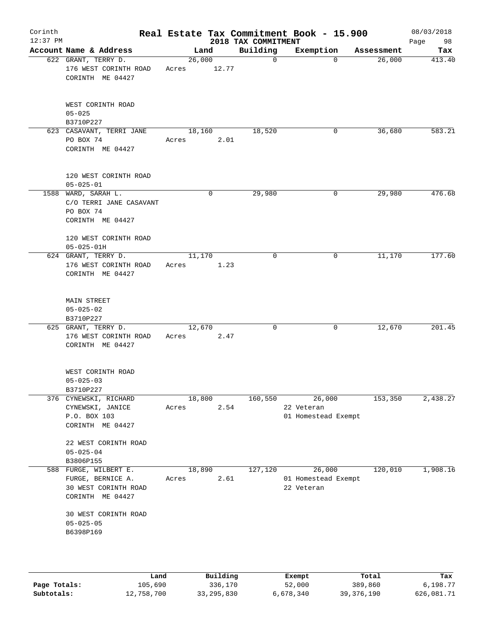| Corinth<br>$12:37$ PM |                                                                                    |                 |                | 2018 TAX COMMITMENT | Real Estate Tax Commitment Book - 15.900    |            | 08/03/2018<br>Page<br>98 |
|-----------------------|------------------------------------------------------------------------------------|-----------------|----------------|---------------------|---------------------------------------------|------------|--------------------------|
|                       | Account Name & Address                                                             |                 | Land           | Building            | Exemption                                   | Assessment | Tax                      |
|                       | 622 GRANT, TERRY D.<br>176 WEST CORINTH ROAD<br>CORINTH ME 04427                   | 26,000<br>Acres | 12.77          | $\mathbf 0$         | $\Omega$                                    | 26,000     | 413.40                   |
|                       | WEST CORINTH ROAD<br>$05 - 025$<br>B3710P227                                       |                 |                |                     |                                             |            |                          |
|                       | 623 CASAVANT, TERRI JANE<br>PO BOX 74<br>CORINTH ME 04427                          | Acres           | 18,160<br>2.01 | 18,520              | 0                                           | 36,680     | 583.21                   |
|                       | 120 WEST CORINTH ROAD<br>$05 - 025 - 01$                                           |                 |                |                     |                                             |            |                          |
|                       | 1588 WARD, SARAH L.<br>C/O TERRI JANE CASAVANT<br>PO BOX 74<br>CORINTH ME 04427    |                 | 0              | 29,980              | 0                                           | 29,980     | 476.68                   |
|                       | 120 WEST CORINTH ROAD<br>$05 - 025 - 01H$                                          |                 |                |                     |                                             |            |                          |
|                       | 624 GRANT, TERRY D.                                                                | 11,170          |                | $\mathbf 0$         | 0                                           | 11,170     | 177.60                   |
|                       | 176 WEST CORINTH ROAD<br>CORINTH ME 04427                                          | Acres           | 1.23           |                     |                                             |            |                          |
|                       | <b>MAIN STREET</b><br>$05 - 025 - 02$<br>B3710P227                                 |                 |                |                     |                                             |            |                          |
|                       | 625 GRANT, TERRY D.<br>176 WEST CORINTH ROAD<br>CORINTH ME 04427                   | 12,670<br>Acres | 2.47           | $\mathbf 0$         | 0                                           | 12,670     | 201.45                   |
|                       | WEST CORINTH ROAD<br>$05 - 025 - 03$<br>B3710P227                                  |                 |                |                     |                                             |            |                          |
|                       | 376 CYNEWSKI, RICHARD                                                              | 18,800          |                | 160,550             | 26,000                                      | 153,350    | 2,438.27                 |
|                       | CYNEWSKI, JANICE<br>P.O. BOX 103<br>CORINTH ME 04427                               | Acres           | 2.54           |                     | 22 Veteran<br>01 Homestead Exempt           |            |                          |
|                       | 22 WEST CORINTH ROAD<br>$05 - 025 - 04$<br>B3806P155                               |                 |                |                     |                                             |            |                          |
| 588                   | FURGE, WILBERT E.<br>FURGE, BERNICE A.<br>30 WEST CORINTH ROAD<br>CORINTH ME 04427 | 18,890<br>Acres | 2.61           | 127,120             | 26,000<br>01 Homestead Exempt<br>22 Veteran | 120,010    | 1,908.16                 |
|                       | 30 WEST CORINTH ROAD<br>$05 - 025 - 05$<br>B6398P169                               |                 |                |                     |                                             |            |                          |
|                       |                                                                                    |                 |                |                     |                                             |            |                          |
|                       | Land                                                                               |                 | Building       |                     | Exempt                                      | Total      | Tax                      |

|              | -------    |              | -------   | ------     | ------     |
|--------------|------------|--------------|-----------|------------|------------|
| Page Totals: | 105,690    | 336,170      | 52,000    | 389,860    | 6,198.77   |
| Subtotals:   | 12,758,700 | 33, 295, 830 | 6,678,340 | 39,376,190 | 626,081.71 |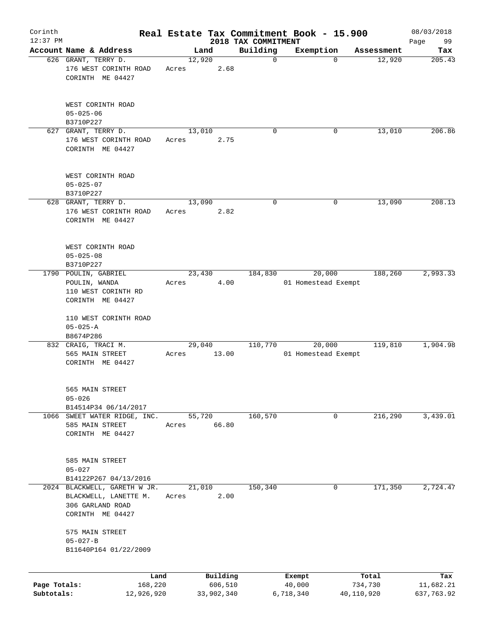|                                                               |                                                                                                                                                                                                                                                                                                                         |                                                                                          |                                                                            |         |                                                                                                                                                               |                                  |                                                          | 08/03/2018                                                                                                                                                                        |
|---------------------------------------------------------------|-------------------------------------------------------------------------------------------------------------------------------------------------------------------------------------------------------------------------------------------------------------------------------------------------------------------------|------------------------------------------------------------------------------------------|----------------------------------------------------------------------------|---------|---------------------------------------------------------------------------------------------------------------------------------------------------------------|----------------------------------|----------------------------------------------------------|-----------------------------------------------------------------------------------------------------------------------------------------------------------------------------------|
|                                                               |                                                                                                                                                                                                                                                                                                                         |                                                                                          |                                                                            |         |                                                                                                                                                               |                                  |                                                          | 99<br>Page                                                                                                                                                                        |
|                                                               |                                                                                                                                                                                                                                                                                                                         |                                                                                          |                                                                            |         |                                                                                                                                                               |                                  |                                                          | Tax<br>205.43                                                                                                                                                                     |
| 176 WEST CORINTH ROAD<br>CORINTH ME 04427                     | Acres                                                                                                                                                                                                                                                                                                                   |                                                                                          |                                                                            |         |                                                                                                                                                               |                                  |                                                          |                                                                                                                                                                                   |
| WEST CORINTH ROAD<br>$05 - 025 - 06$                          |                                                                                                                                                                                                                                                                                                                         |                                                                                          |                                                                            |         |                                                                                                                                                               |                                  |                                                          |                                                                                                                                                                                   |
|                                                               |                                                                                                                                                                                                                                                                                                                         |                                                                                          |                                                                            |         |                                                                                                                                                               |                                  |                                                          | 206.86                                                                                                                                                                            |
| 176 WEST CORINTH ROAD<br>CORINTH ME 04427                     | Acres                                                                                                                                                                                                                                                                                                                   |                                                                                          |                                                                            |         |                                                                                                                                                               |                                  |                                                          |                                                                                                                                                                                   |
| WEST CORINTH ROAD<br>$05 - 025 - 07$                          |                                                                                                                                                                                                                                                                                                                         |                                                                                          |                                                                            |         |                                                                                                                                                               |                                  |                                                          |                                                                                                                                                                                   |
|                                                               |                                                                                                                                                                                                                                                                                                                         |                                                                                          |                                                                            |         |                                                                                                                                                               |                                  |                                                          | 208.13                                                                                                                                                                            |
| 176 WEST CORINTH ROAD<br>CORINTH ME 04427                     | Acres                                                                                                                                                                                                                                                                                                                   |                                                                                          |                                                                            |         |                                                                                                                                                               |                                  |                                                          |                                                                                                                                                                                   |
| WEST CORINTH ROAD<br>$05 - 025 - 08$                          |                                                                                                                                                                                                                                                                                                                         |                                                                                          |                                                                            |         |                                                                                                                                                               |                                  |                                                          |                                                                                                                                                                                   |
|                                                               |                                                                                                                                                                                                                                                                                                                         |                                                                                          |                                                                            |         |                                                                                                                                                               |                                  |                                                          | 2,993.33                                                                                                                                                                          |
| POULIN, WANDA<br>110 WEST CORINTH RD                          | Acres                                                                                                                                                                                                                                                                                                                   |                                                                                          |                                                                            |         |                                                                                                                                                               |                                  |                                                          |                                                                                                                                                                                   |
| 110 WEST CORINTH ROAD<br>$05 - 025 - A$                       |                                                                                                                                                                                                                                                                                                                         |                                                                                          |                                                                            |         |                                                                                                                                                               |                                  |                                                          |                                                                                                                                                                                   |
|                                                               |                                                                                                                                                                                                                                                                                                                         |                                                                                          |                                                                            | 110,770 |                                                                                                                                                               |                                  | 119,810                                                  | 1,904.98                                                                                                                                                                          |
| 565 MAIN STREET<br>CORINTH ME 04427                           | Acres                                                                                                                                                                                                                                                                                                                   |                                                                                          |                                                                            |         |                                                                                                                                                               |                                  |                                                          |                                                                                                                                                                                   |
| 565 MAIN STREET<br>$05 - 026$                                 |                                                                                                                                                                                                                                                                                                                         |                                                                                          |                                                                            |         |                                                                                                                                                               |                                  |                                                          |                                                                                                                                                                                   |
|                                                               |                                                                                                                                                                                                                                                                                                                         |                                                                                          |                                                                            |         |                                                                                                                                                               |                                  |                                                          | 3,439.01                                                                                                                                                                          |
| 585 MAIN STREET<br>CORINTH ME 04427                           | Acres                                                                                                                                                                                                                                                                                                                   |                                                                                          |                                                                            |         |                                                                                                                                                               |                                  |                                                          |                                                                                                                                                                                   |
| 585 MAIN STREET<br>$05 - 027$                                 |                                                                                                                                                                                                                                                                                                                         |                                                                                          |                                                                            |         |                                                                                                                                                               |                                  |                                                          |                                                                                                                                                                                   |
| BLACKWELL, LANETTE M.<br>306 GARLAND ROAD<br>CORINTH ME 04427 | Acres                                                                                                                                                                                                                                                                                                                   |                                                                                          |                                                                            | 150,340 |                                                                                                                                                               | 0                                | 171,350                                                  | 2,724.47                                                                                                                                                                          |
| 575 MAIN STREET<br>$05 - 027 - B$<br>B11640P164 01/22/2009    |                                                                                                                                                                                                                                                                                                                         |                                                                                          |                                                                            |         |                                                                                                                                                               |                                  |                                                          |                                                                                                                                                                                   |
|                                                               |                                                                                                                                                                                                                                                                                                                         |                                                                                          |                                                                            |         |                                                                                                                                                               |                                  |                                                          |                                                                                                                                                                                   |
|                                                               |                                                                                                                                                                                                                                                                                                                         |                                                                                          |                                                                            |         | Exempt<br>40,000                                                                                                                                              |                                  | Total                                                    | Tax<br>11,682.21<br>637,763.92                                                                                                                                                    |
|                                                               | $12:37$ PM<br>Account Name & Address<br>626 GRANT, TERRY D.<br>B3710P227<br>627 GRANT, TERRY D.<br>B3710P227<br>628 GRANT, TERRY D.<br>B3710P227<br>1790 POULIN, GABRIEL<br>CORINTH ME 04427<br>B8674P286<br>832 CRAIG, TRACI M.<br>B14514P34 06/14/2017<br>B14122P267 04/13/2016<br>2024<br>Page Totals:<br>Subtotals: | 1066 SWEET WATER RIDGE, INC.<br>BLACKWELL, GARETH W JR.<br>Land<br>168,220<br>12,926,920 | Land<br>12,920<br>13,010<br>13,090<br>23,430<br>29,040<br>55,720<br>21,010 |         | Building<br>$\mathbf 0$<br>2.68<br>$\Omega$<br>2.75<br>0<br>2.82<br>184,830<br>4.00<br>13.00<br>160,570<br>66.80<br>2.00<br>Building<br>606,510<br>33,902,340 | 2018 TAX COMMITMENT<br>6,718,340 | Exemption<br>$\Omega$<br>0<br>0<br>20,000<br>20,000<br>0 | Real Estate Tax Commitment Book - 15.900<br>Assessment<br>12,920<br>13,010<br>13,090<br>188,260<br>01 Homestead Exempt<br>01 Homestead Exempt<br>216,290<br>734,730<br>40,110,920 |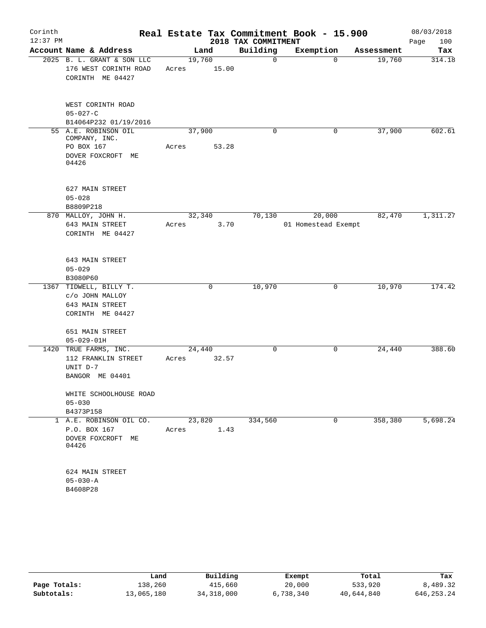| Corinth<br>$12:37$ PM |                                                                                   |                 |       | 2018 TAX COMMITMENT | Real Estate Tax Commitment Book - 15.900 |            | 08/03/2018<br>100<br>Page |
|-----------------------|-----------------------------------------------------------------------------------|-----------------|-------|---------------------|------------------------------------------|------------|---------------------------|
|                       | Account Name & Address                                                            | Land            |       | Building            | Exemption                                | Assessment | Tax                       |
|                       | 2025 B. L. GRANT & SON LLC<br>176 WEST CORINTH ROAD<br>CORINTH ME 04427           | 19,760<br>Acres | 15.00 | 0                   | $\Omega$                                 | 19,760     | 314.18                    |
|                       | WEST CORINTH ROAD<br>$05 - 027 - C$                                               |                 |       |                     |                                          |            |                           |
|                       | B14064P232 01/19/2016                                                             |                 |       | 0                   |                                          |            |                           |
|                       | 55 A.E. ROBINSON OIL<br>COMPANY, INC.<br>PO BOX 167<br>DOVER FOXCROFT ME<br>04426 | 37,900<br>Acres | 53.28 |                     | 0                                        | 37,900     | 602.61                    |
|                       | 627 MAIN STREET<br>$05 - 028$<br>B8809P218                                        |                 |       |                     |                                          |            |                           |
|                       | 870 MALLOY, JOHN H.<br>643 MAIN STREET<br>CORINTH ME 04427                        | 32,340<br>Acres | 3.70  | 70,130              | 20,000<br>01 Homestead Exempt            | 82,470     | 1,311.27                  |
|                       | 643 MAIN STREET<br>$05 - 029$<br>B3080P60                                         |                 |       |                     |                                          |            |                           |
|                       | 1367 TIDWELL, BILLY T.<br>c/o JOHN MALLOY<br>643 MAIN STREET<br>CORINTH ME 04427  |                 | 0     | 10,970              | 0                                        | 10,970     | 174.42                    |
|                       | 651 MAIN STREET<br>$05 - 029 - 01H$                                               |                 |       |                     |                                          |            |                           |
|                       | 1420 TRUE FARMS, INC.<br>112 FRANKLIN STREET<br>UNIT D-7<br>BANGOR ME 04401       | 24,440<br>Acres | 32.57 | $\mathbf 0$         | 0                                        | 24,440     | 388.60                    |
|                       | WHITE SCHOOLHOUSE ROAD<br>$05 - 030$<br>B4373P158                                 |                 |       |                     |                                          |            |                           |
|                       | 1 A.E. ROBINSON OIL CO.<br>P.O. BOX 167<br>DOVER FOXCROFT ME<br>04426             | 23,820<br>Acres | 1.43  | 334,560             | 0                                        | 358,380    | 5,698.24                  |
|                       | 624 MAIN STREET<br>$05 - 030 - A$<br>B4608P28                                     |                 |       |                     |                                          |            |                           |

|              | Land       | Building     | Exempt    | Total      | Tax          |
|--------------|------------|--------------|-----------|------------|--------------|
| Page Totals: | 138,260    | 415,660      | 20,000    | 533,920    | 8,489.32     |
| Subtotals:   | 13,065,180 | 34, 318, 000 | 6,738,340 | 40,644,840 | 646, 253. 24 |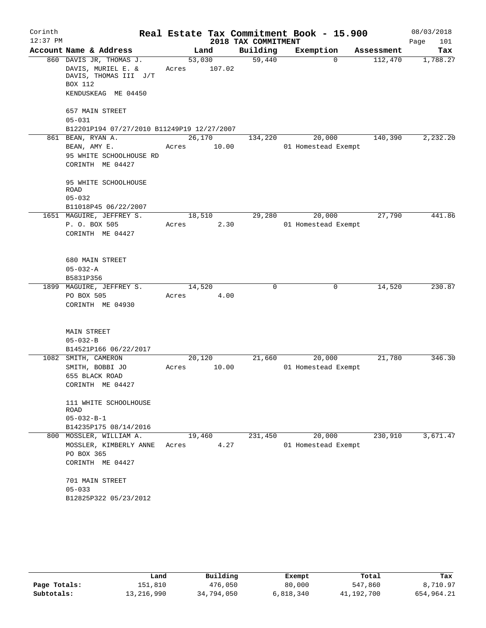| Corinth    |                                   |                                                                                               |                 |                  | Real Estate Tax Commitment Book - 15.900 |                     |          |            | 08/03/2018  |
|------------|-----------------------------------|-----------------------------------------------------------------------------------------------|-----------------|------------------|------------------------------------------|---------------------|----------|------------|-------------|
| $12:37$ PM |                                   |                                                                                               |                 |                  | 2018 TAX COMMITMENT                      |                     |          |            | Page<br>101 |
|            |                                   | Account Name & Address                                                                        |                 | Land             | Building                                 | Exemption           |          | Assessment | Tax         |
|            | BOX 112                           | 860 DAVIS JR, THOMAS J.<br>DAVIS, MURIEL E. &<br>DAVIS, THOMAS III J/T<br>KENDUSKEAG ME 04450 | Acres           | 53,030<br>107.02 | 59,440                                   |                     | $\Omega$ | 112,470    | 1,788.27    |
|            | $05 - 031$                        | 657 MAIN STREET<br>B12201P194 07/27/2010 B11249P19 12/27/2007                                 |                 |                  |                                          |                     |          |            |             |
|            |                                   | 861 BEAN, RYAN A.<br>BEAN, AMY E.<br>95 WHITE SCHOOLHOUSE RD<br>CORINTH ME 04427              | 26,170<br>Acres | 10.00            | 134,220                                  | 01 Homestead Exempt | 20,000   | 140,390    | 2,232.20    |
|            | <b>ROAD</b><br>$05 - 032$         | 95 WHITE SCHOOLHOUSE<br>B11018P45 06/22/2007                                                  |                 |                  |                                          |                     |          |            |             |
|            |                                   | 1651 MAGUIRE, JEFFREY S.<br>P. O. BOX 505<br>CORINTH ME 04427                                 | 18,510<br>Acres | 2.30             | 29,280                                   | 01 Homestead Exempt | 20,000   | 27,790     | 441.86      |
|            | $05 - 032 - A$<br>B5831P356       | 680 MAIN STREET                                                                               |                 |                  |                                          |                     |          |            |             |
|            | PO BOX 505                        | 1899 MAGUIRE, JEFFREY S.<br>CORINTH ME 04930                                                  | 14,520<br>Acres | 4.00             | 0                                        |                     | 0        | 14,520     | 230.87      |
|            | $05 - 032 - B$                    | <b>MAIN STREET</b><br>B14521P166 06/22/2017                                                   |                 |                  |                                          |                     |          |            |             |
|            |                                   | 1082 SMITH, CAMERON<br>SMITH, BOBBI JO<br>655 BLACK ROAD<br>CORINTH ME 04427                  | 20,120<br>Acres | 10.00            | 21,660                                   | 01 Homestead Exempt | 20,000   | 21,780     | 346.30      |
|            | <b>ROAD</b><br>$05 - 032 - B - 1$ | 111 WHITE SCHOOLHOUSE<br>B14235P175 08/14/2016                                                |                 |                  |                                          |                     |          |            |             |
|            | PO BOX 365                        | 800 MOSSLER, WILLIAM A.<br>MOSSLER, KIMBERLY ANNE<br>CORINTH ME 04427                         | 19,460<br>Acres | 4.27             | 231,450                                  | 01 Homestead Exempt | 20,000   | 230,910    | 3,671.47    |
|            | $05 - 033$                        | 701 MAIN STREET<br>B12825P322 05/23/2012                                                      |                 |                  |                                          |                     |          |            |             |

|              | Land       | Building   | Exempt    | Total      | Tax        |
|--------------|------------|------------|-----------|------------|------------|
| Page Totals: | 151,810    | 476,050    | 80,000    | 547,860    | 8,710.97   |
| Subtotals:   | 13,216,990 | 34,794,050 | 6,818,340 | 41,192,700 | 654,964.21 |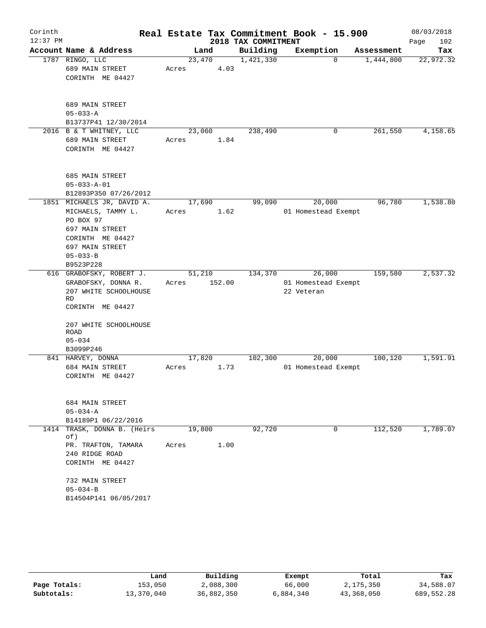| Corinth<br>$12:37$ PM |                                                                                                                                                               |                 |        | 2018 TAX COMMITMENT | Real Estate Tax Commitment Book - 15.900    |            | 08/03/2018<br>Page<br>102 |
|-----------------------|---------------------------------------------------------------------------------------------------------------------------------------------------------------|-----------------|--------|---------------------|---------------------------------------------|------------|---------------------------|
|                       | Account Name & Address                                                                                                                                        |                 | Land   | Building            | Exemption                                   | Assessment | Tax                       |
|                       | 1787 RINGO, LLC<br>689 MAIN STREET<br>CORINTH ME 04427                                                                                                        | 23,470<br>Acres | 4.03   | 1,421,330           | 0                                           | 1,444,800  | 22,972.32                 |
|                       | 689 MAIN STREET<br>$05 - 033 - A$<br>B13737P41 12/30/2014                                                                                                     |                 |        |                     |                                             |            |                           |
|                       | 2016 B & T WHITNEY, LLC<br>689 MAIN STREET<br>CORINTH ME 04427                                                                                                | 23,060<br>Acres | 1.84   | 238,490             | 0                                           | 261,550    | 4,158.65                  |
|                       | 685 MAIN STREET<br>$05 - 033 - A - 01$<br>B12893P350 07/26/2012                                                                                               |                 |        |                     |                                             |            |                           |
|                       | 1851 MICHAELS JR, DAVID A.<br>MICHAELS, TAMMY L.<br>PO BOX 97<br>697 MAIN STREET<br>CORINTH ME 04427<br>697 MAIN STREET<br>$05 - 033 - B$<br>B9523P228        | 17,690<br>Acres | 1.62   | 99,090              | 20,000<br>01 Homestead Exempt               | 96,780     | 1,538.80                  |
|                       | 616 GRABOFSKY, ROBERT J.<br>GRABOFSKY, DONNA R.<br>207 WHITE SCHOOLHOUSE<br>RD<br>CORINTH ME 04427<br>207 WHITE SCHOOLHOUSE<br>ROAD<br>$05 - 034$             | 51,210<br>Acres | 152.00 | 134,370             | 26,000<br>01 Homestead Exempt<br>22 Veteran | 159,580    | 2,537.32                  |
|                       | B3099P246                                                                                                                                                     |                 |        |                     |                                             |            |                           |
|                       | 841 HARVEY, DONNA<br>684 MAIN STREET<br>CORINTH ME 04427                                                                                                      | 17,820<br>Acres | 1.73   | 102,300             | 20,000<br>01 Homestead Exempt               | 100,120    | 1,591.91                  |
|                       | 684 MAIN STREET<br>$05 - 034 - A$<br>B14189P1 06/22/2016                                                                                                      |                 |        |                     |                                             |            |                           |
|                       | 1414 TRASK, DONNA B. (Heirs<br>of)<br>PR. TRAFTON, TAMARA<br>240 RIDGE ROAD<br>CORINTH ME 04427<br>732 MAIN STREET<br>$05 - 034 - B$<br>B14504P141 06/05/2017 | 19,800<br>Acres | 1.00   | 92,720              | $\mathbf{0}$                                | 112,520    | 1,789.07                  |

|              | Land       | Building   | Exempt    | Total      | Tax        |
|--------------|------------|------------|-----------|------------|------------|
| Page Totals: | 153,050    | 2,088,300  | 66,000    | 2,175,350  | 34,588.07  |
| Subtotals:   | 13,370,040 | 36,882,350 | 6,884,340 | 43,368,050 | 689,552.28 |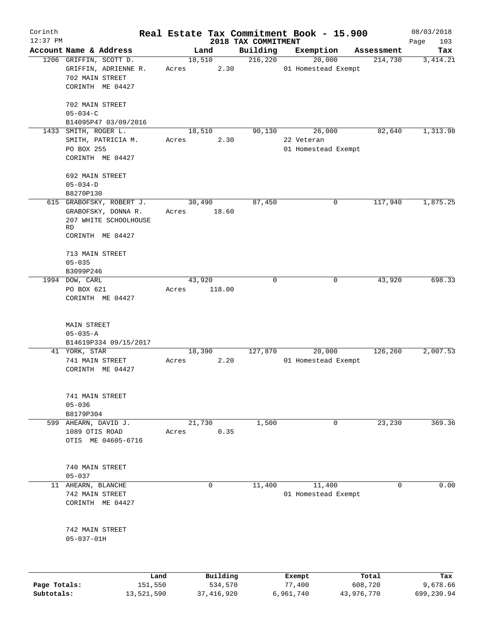| Corinth      |                             |            |        |              |                                 |            | Real Estate Tax Commitment Book - 15.900 |            | 08/03/2018         |
|--------------|-----------------------------|------------|--------|--------------|---------------------------------|------------|------------------------------------------|------------|--------------------|
| $12:37$ PM   | Account Name & Address      |            |        | Land         | 2018 TAX COMMITMENT<br>Building |            | Exemption                                | Assessment | Page<br>103<br>Tax |
|              | 1206 GRIFFIN, SCOTT D.      |            | 18,510 |              | 216,220                         |            | 20,000                                   | 214,730    | 3, 414.21          |
|              | GRIFFIN, ADRIENNE R.        |            | Acres  | 2.30         |                                 |            | 01 Homestead Exempt                      |            |                    |
|              | 702 MAIN STREET             |            |        |              |                                 |            |                                          |            |                    |
|              | CORINTH ME 04427            |            |        |              |                                 |            |                                          |            |                    |
|              |                             |            |        |              |                                 |            |                                          |            |                    |
|              | 702 MAIN STREET             |            |        |              |                                 |            |                                          |            |                    |
|              | $05 - 034 - C$              |            |        |              |                                 |            |                                          |            |                    |
|              | B14095P47 03/09/2016        |            |        |              |                                 |            |                                          |            |                    |
|              | 1433 SMITH, ROGER L.        |            | 18,510 |              | 90,130                          |            | 26,000                                   | 82,640     | 1,313.98           |
|              | SMITH, PATRICIA M.          |            | Acres  | 2.30         |                                 | 22 Veteran |                                          |            |                    |
|              | PO BOX 255                  |            |        |              |                                 |            | 01 Homestead Exempt                      |            |                    |
|              | CORINTH ME 04427            |            |        |              |                                 |            |                                          |            |                    |
|              |                             |            |        |              |                                 |            |                                          |            |                    |
|              | 692 MAIN STREET             |            |        |              |                                 |            |                                          |            |                    |
|              | $05 - 034 - D$              |            |        |              |                                 |            |                                          |            |                    |
|              | B8270P130                   |            |        |              |                                 |            |                                          |            |                    |
|              | 615 GRABOFSKY, ROBERT J.    |            |        |              | 87,450                          |            | 0                                        |            |                    |
|              |                             |            | 30,490 |              |                                 |            |                                          | 117,940    | 1,875.25           |
|              | GRABOFSKY, DONNA R.         |            | Acres  | 18.60        |                                 |            |                                          |            |                    |
|              | 207 WHITE SCHOOLHOUSE<br>RD |            |        |              |                                 |            |                                          |            |                    |
|              | CORINTH ME 04427            |            |        |              |                                 |            |                                          |            |                    |
|              |                             |            |        |              |                                 |            |                                          |            |                    |
|              | 713 MAIN STREET             |            |        |              |                                 |            |                                          |            |                    |
|              | $05 - 035$                  |            |        |              |                                 |            |                                          |            |                    |
|              | B3099P246                   |            |        |              |                                 |            |                                          |            |                    |
|              | 1994 DOW, CARL              |            | 43,920 |              | $\Omega$                        |            | 0                                        | 43,920     | 698.33             |
|              | PO BOX 621                  |            |        | 118.00       |                                 |            |                                          |            |                    |
|              | CORINTH ME 04427            |            | Acres  |              |                                 |            |                                          |            |                    |
|              |                             |            |        |              |                                 |            |                                          |            |                    |
|              |                             |            |        |              |                                 |            |                                          |            |                    |
|              | MAIN STREET                 |            |        |              |                                 |            |                                          |            |                    |
|              | $05 - 035 - A$              |            |        |              |                                 |            |                                          |            |                    |
|              | B14619P334 09/15/2017       |            |        |              |                                 |            |                                          |            |                    |
|              | 41 YORK, STAR               |            | 18,390 |              | 127,870                         |            | 20,000                                   | 126, 260   | 2,007.53           |
|              | 741 MAIN STREET             |            | Acres  | 2.20         |                                 |            | 01 Homestead Exempt                      |            |                    |
|              | CORINTH ME 04427            |            |        |              |                                 |            |                                          |            |                    |
|              |                             |            |        |              |                                 |            |                                          |            |                    |
|              |                             |            |        |              |                                 |            |                                          |            |                    |
|              | 741 MAIN STREET             |            |        |              |                                 |            |                                          |            |                    |
|              | $05 - 036$                  |            |        |              |                                 |            |                                          |            |                    |
|              | B8179P304                   |            |        |              |                                 |            |                                          |            |                    |
|              | 599 AHEARN, DAVID J.        |            | 21,730 |              | 1,500                           |            | $\mathbf 0$                              | 23,230     | 369.36             |
|              | 1089 OTIS ROAD              |            | Acres  | 0.35         |                                 |            |                                          |            |                    |
|              | OTIS ME 04605-6716          |            |        |              |                                 |            |                                          |            |                    |
|              |                             |            |        |              |                                 |            |                                          |            |                    |
|              |                             |            |        |              |                                 |            |                                          |            |                    |
|              | 740 MAIN STREET             |            |        |              |                                 |            |                                          |            |                    |
|              | $05 - 037$                  |            |        |              |                                 |            |                                          |            |                    |
|              | 11 AHEARN, BLANCHE          |            |        | $\mathbf 0$  | 11,400                          |            | 11,400                                   | 0          | 0.00               |
|              | 742 MAIN STREET             |            |        |              |                                 |            | 01 Homestead Exempt                      |            |                    |
|              | CORINTH ME 04427            |            |        |              |                                 |            |                                          |            |                    |
|              |                             |            |        |              |                                 |            |                                          |            |                    |
|              | 742 MAIN STREET             |            |        |              |                                 |            |                                          |            |                    |
|              | $05 - 037 - 01H$            |            |        |              |                                 |            |                                          |            |                    |
|              |                             |            |        |              |                                 |            |                                          |            |                    |
|              |                             |            |        |              |                                 |            |                                          |            |                    |
|              |                             | Land       |        | Building     |                                 | Exempt     |                                          | Total      | Tax                |
| Page Totals: |                             | 151,550    |        | 534,570      |                                 | 77,400     |                                          | 608,720    | 9,678.66           |
| Subtotals:   |                             | 13,521,590 |        | 37, 416, 920 |                                 | 6,961,740  |                                          | 43,976,770 | 699,230.94         |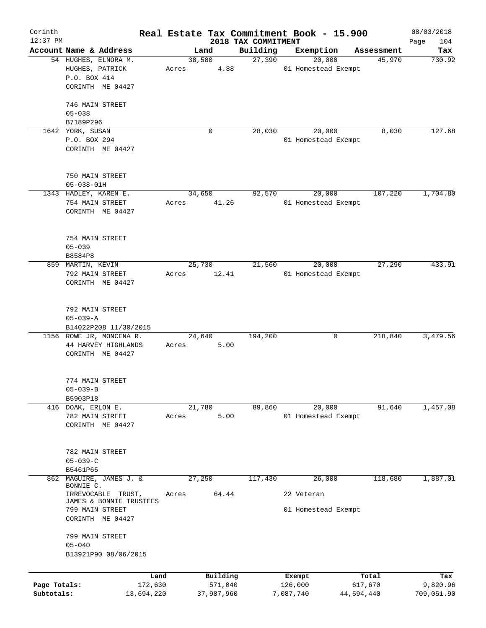| Corinth      |                                            |       |                |                                 | Real Estate Tax Commitment Book - 15.900 |                      | 08/03/2018    |
|--------------|--------------------------------------------|-------|----------------|---------------------------------|------------------------------------------|----------------------|---------------|
| $12:37$ PM   | Account Name & Address                     |       | Land           | 2018 TAX COMMITMENT<br>Building | Exemption                                |                      | 104<br>Page   |
|              | 54 HUGHES, ELNORA M.                       |       | 38,580         | 27,390                          | 20,000                                   | Assessment<br>45,970 | Tax<br>730.92 |
|              | HUGHES, PATRICK                            | Acres | 4.88           |                                 | 01 Homestead Exempt                      |                      |               |
|              | P.O. BOX 414                               |       |                |                                 |                                          |                      |               |
|              | CORINTH ME 04427                           |       |                |                                 |                                          |                      |               |
|              |                                            |       |                |                                 |                                          |                      |               |
|              | 746 MAIN STREET                            |       |                |                                 |                                          |                      |               |
|              | $05 - 038$                                 |       |                |                                 |                                          |                      |               |
|              | B7189P296                                  |       |                |                                 |                                          |                      |               |
|              | 1642 YORK, SUSAN                           |       | 0              | 28,030                          | 20,000                                   | 8,030                | 127.68        |
|              | P.O. BOX 294                               |       |                |                                 | 01 Homestead Exempt                      |                      |               |
|              | CORINTH ME 04427                           |       |                |                                 |                                          |                      |               |
|              |                                            |       |                |                                 |                                          |                      |               |
|              |                                            |       |                |                                 |                                          |                      |               |
|              | 750 MAIN STREET                            |       |                |                                 |                                          |                      |               |
|              | $05 - 038 - 01H$                           |       |                |                                 |                                          |                      |               |
|              | 1343 HADLEY, KAREN E.                      |       | 34,650         | 92,570                          | 20,000                                   | 107,220              | 1,704.80      |
|              | 754 MAIN STREET                            | Acres | 41.26          |                                 | 01 Homestead Exempt                      |                      |               |
|              | CORINTH ME 04427                           |       |                |                                 |                                          |                      |               |
|              |                                            |       |                |                                 |                                          |                      |               |
|              | 754 MAIN STREET                            |       |                |                                 |                                          |                      |               |
|              | $05 - 039$                                 |       |                |                                 |                                          |                      |               |
|              | B8584P8                                    |       |                |                                 |                                          |                      |               |
|              | 859 MARTIN, KEVIN                          |       | 25,730         | 21,560                          | 20,000                                   | 27,290               | 433.91        |
|              | 792 MAIN STREET                            | Acres | 12.41          |                                 | 01 Homestead Exempt                      |                      |               |
|              | CORINTH ME 04427                           |       |                |                                 |                                          |                      |               |
|              |                                            |       |                |                                 |                                          |                      |               |
|              |                                            |       |                |                                 |                                          |                      |               |
|              | 792 MAIN STREET                            |       |                |                                 |                                          |                      |               |
|              | $05 - 039 - A$                             |       |                |                                 |                                          |                      |               |
|              | B14022P208 11/30/2015                      |       |                |                                 |                                          |                      |               |
|              | 1156 ROWE JR, MONCENA R.                   |       | 24,640<br>5.00 | 194,200                         |                                          | 218,840<br>0         | 3,479.56      |
|              | 44 HARVEY HIGHLANDS<br>CORINTH ME 04427    | Acres |                |                                 |                                          |                      |               |
|              |                                            |       |                |                                 |                                          |                      |               |
|              |                                            |       |                |                                 |                                          |                      |               |
|              | 774 MAIN STREET                            |       |                |                                 |                                          |                      |               |
|              | $05 - 039 - B$                             |       |                |                                 |                                          |                      |               |
|              | B5903P18                                   |       |                |                                 |                                          |                      |               |
|              | 416 DOAK, ERLON E.                         |       | 21,780         | 89,860                          | 20,000                                   | 91,640               | 1,457.08      |
|              | 782 MAIN STREET                            | Acres | 5.00           |                                 | 01 Homestead Exempt                      |                      |               |
|              | CORINTH ME 04427                           |       |                |                                 |                                          |                      |               |
|              |                                            |       |                |                                 |                                          |                      |               |
|              | 782 MAIN STREET                            |       |                |                                 |                                          |                      |               |
|              | $05 - 039 - C$                             |       |                |                                 |                                          |                      |               |
|              | B5461P65                                   |       |                |                                 |                                          |                      |               |
| 862          | MAGUIRE, JAMES J. &                        |       | 27,250         | 117,430                         | 26,000                                   | 118,680              | 1,887.01      |
|              | BONNIE C.                                  |       |                |                                 |                                          |                      |               |
|              | IRREVOCABLE<br>TRUST,                      | Acres | 64.44          |                                 | 22 Veteran                               |                      |               |
|              | JAMES & BONNIE TRUSTEES<br>799 MAIN STREET |       |                |                                 | 01 Homestead Exempt                      |                      |               |
|              | CORINTH ME 04427                           |       |                |                                 |                                          |                      |               |
|              |                                            |       |                |                                 |                                          |                      |               |
|              | 799 MAIN STREET                            |       |                |                                 |                                          |                      |               |
|              | $05 - 040$                                 |       |                |                                 |                                          |                      |               |
|              | B13921P90 08/06/2015                       |       |                |                                 |                                          |                      |               |
|              |                                            |       |                |                                 |                                          |                      |               |
|              | Land                                       |       | Building       |                                 | Exempt                                   | Total                | Tax           |
| Page Totals: | 172,630                                    |       | 571,040        |                                 | 126,000                                  | 617,670              | 9,820.96      |
| Subtotals:   | 13,694,220                                 |       | 37,987,960     |                                 | 7,087,740                                | 44,594,440           | 709,051.90    |
|              |                                            |       |                |                                 |                                          |                      |               |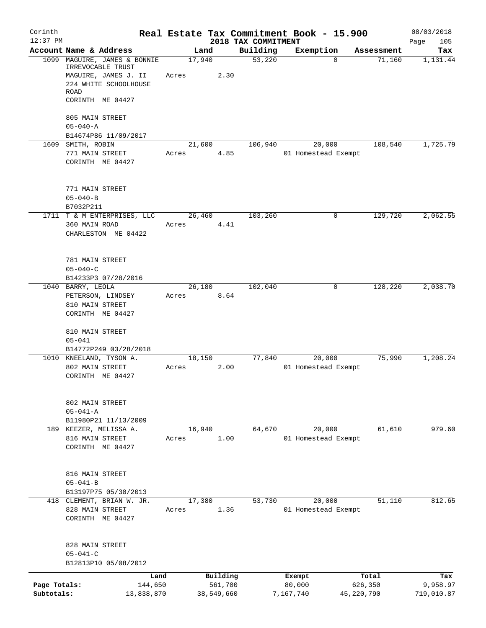| Corinth<br>$12:37$ PM      |                                                                                                                                       |       |                                   |                                 | Real Estate Tax Commitment Book - 15.900 |                                | 08/03/2018                    |
|----------------------------|---------------------------------------------------------------------------------------------------------------------------------------|-------|-----------------------------------|---------------------------------|------------------------------------------|--------------------------------|-------------------------------|
|                            | Account Name & Address                                                                                                                |       | Land                              | 2018 TAX COMMITMENT<br>Building | Exemption                                | Assessment                     | Page<br>105<br>Tax            |
|                            | 1099 MAGUIRE, JAMES & BONNIE<br>IRREVOCABLE TRUST<br>MAGUIRE, JAMES J. II<br>224 WHITE SCHOOLHOUSE<br><b>ROAD</b><br>CORINTH ME 04427 | Acres | 17,940<br>2.30                    | 53,220                          | $\Omega$                                 | 71,160                         | 1,131.44                      |
|                            | 805 MAIN STREET<br>$05 - 040 - A$<br>B14674P86 11/09/2017                                                                             |       |                                   |                                 |                                          |                                |                               |
|                            | 1609 SMITH, ROBIN                                                                                                                     |       | 21,600                            | 106,940                         | 20,000                                   | 108,540                        | 1,725.79                      |
|                            | 771 MAIN STREET<br>CORINTH ME 04427                                                                                                   | Acres | 4.85                              |                                 | 01 Homestead Exempt                      |                                |                               |
|                            | 771 MAIN STREET<br>$05 - 040 - B$<br>B7032P211                                                                                        |       |                                   |                                 |                                          |                                |                               |
|                            | 1711 T & M ENTERPRISES, LLC                                                                                                           |       | 26,460                            | 103,260                         | 0                                        | 129,720                        | 2,062.55                      |
|                            | 360 MAIN ROAD<br>CHARLESTON ME 04422                                                                                                  | Acres | 4.41                              |                                 |                                          |                                |                               |
|                            | 781 MAIN STREET<br>$05 - 040 - C$                                                                                                     |       |                                   |                                 |                                          |                                |                               |
|                            | B14233P3 07/28/2016                                                                                                                   |       | 26,180                            | 102,040                         | 0                                        | 128,220                        | 2,038.70                      |
|                            | 1040 BARRY, LEOLA<br>PETERSON, LINDSEY<br>810 MAIN STREET<br>CORINTH ME 04427                                                         | Acres | 8.64                              |                                 |                                          |                                |                               |
|                            | 810 MAIN STREET<br>$05 - 041$                                                                                                         |       |                                   |                                 |                                          |                                |                               |
|                            | B14772P249 03/28/2018<br>1010 KNEELAND, TYSON A.                                                                                      |       |                                   | 77,840                          | 20,000                                   | 75,990                         | 1,208.24                      |
|                            | 802 MAIN STREET<br>CORINTH ME 04427                                                                                                   | Acres | 18,150<br>2.00                    |                                 | 01 Homestead Exempt                      |                                |                               |
|                            | 802 MAIN STREET<br>$05 - 041 - A$                                                                                                     |       |                                   |                                 |                                          |                                |                               |
|                            | B11980P21 11/13/2009<br>189 KEEZER, MELISSA A.                                                                                        |       | 16,940                            | 64,670                          | 20,000                                   | 61,610                         | 979.60                        |
|                            | 816 MAIN STREET<br>CORINTH ME 04427                                                                                                   | Acres | 1.00                              |                                 | 01 Homestead Exempt                      |                                |                               |
|                            | 816 MAIN STREET<br>$05 - 041 - B$                                                                                                     |       |                                   |                                 |                                          |                                |                               |
|                            | B13197P75 05/30/2013<br>418 CLEMENT, BRIAN W. JR.                                                                                     |       | 17,380                            | 53,730                          | 20,000                                   | 51,110                         | 812.65                        |
|                            | 828 MAIN STREET<br>CORINTH ME 04427                                                                                                   | Acres | 1.36                              |                                 | 01 Homestead Exempt                      |                                |                               |
|                            | 828 MAIN STREET<br>$05 - 041 - C$                                                                                                     |       |                                   |                                 |                                          |                                |                               |
|                            | B12813P10 05/08/2012                                                                                                                  |       |                                   |                                 |                                          |                                |                               |
| Page Totals:<br>Subtotals: | Land<br>144,650<br>13,838,870                                                                                                         |       | Building<br>561,700<br>38,549,660 |                                 | Exempt<br>80,000<br>7,167,740            | Total<br>626,350<br>45,220,790 | Tax<br>9,958.97<br>719,010.87 |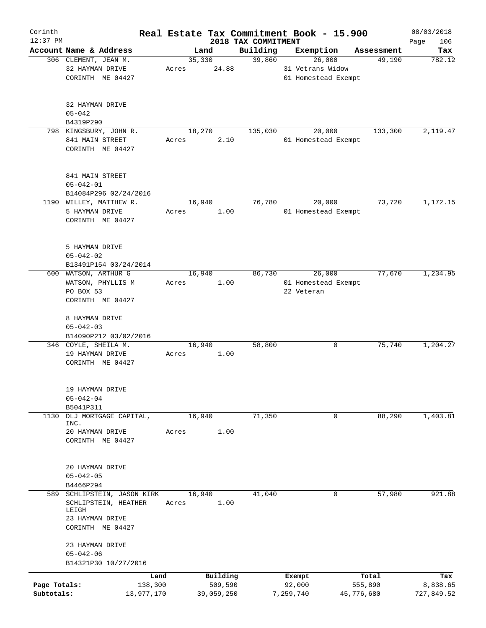| Corinth      |                             |       |        |            |                                 | Real Estate Tax Commitment Book - 15.900 |            | 08/03/2018    |
|--------------|-----------------------------|-------|--------|------------|---------------------------------|------------------------------------------|------------|---------------|
| $12:37$ PM   | Account Name & Address      |       | Land   |            | 2018 TAX COMMITMENT<br>Building | Exemption                                | Assessment | 106<br>Page   |
|              | 306 CLEMENT, JEAN M.        |       | 35,330 |            | 39,860                          | 26,000                                   | 49,190     | Tax<br>782.12 |
|              | 32 HAYMAN DRIVE             | Acres |        | 24.88      |                                 | 31 Vetrans Widow                         |            |               |
|              | CORINTH ME 04427            |       |        |            |                                 | 01 Homestead Exempt                      |            |               |
|              |                             |       |        |            |                                 |                                          |            |               |
|              |                             |       |        |            |                                 |                                          |            |               |
|              | 32 HAYMAN DRIVE             |       |        |            |                                 |                                          |            |               |
|              | $05 - 042$                  |       |        |            |                                 |                                          |            |               |
|              | B4319P290                   |       |        |            |                                 |                                          |            |               |
|              | 798 KINGSBURY, JOHN R.      |       | 18,270 |            | 135,030                         | 20,000                                   | 133,300    | 2,119.47      |
|              | 841 MAIN STREET             | Acres |        | 2.10       |                                 | 01 Homestead Exempt                      |            |               |
|              | CORINTH ME 04427            |       |        |            |                                 |                                          |            |               |
|              |                             |       |        |            |                                 |                                          |            |               |
|              | 841 MAIN STREET             |       |        |            |                                 |                                          |            |               |
|              | $05 - 042 - 01$             |       |        |            |                                 |                                          |            |               |
|              | B14084P296 02/24/2016       |       |        |            |                                 |                                          |            |               |
|              | 1190 WILLEY, MATTHEW R.     |       | 16,940 |            | 76,780                          | 20,000                                   | 73,720     | 1,172.15      |
|              | 5 HAYMAN DRIVE              | Acres |        | 1.00       |                                 | 01 Homestead Exempt                      |            |               |
|              | CORINTH ME 04427            |       |        |            |                                 |                                          |            |               |
|              |                             |       |        |            |                                 |                                          |            |               |
|              | 5 HAYMAN DRIVE              |       |        |            |                                 |                                          |            |               |
|              | $05 - 042 - 02$             |       |        |            |                                 |                                          |            |               |
|              | B13491P154 03/24/2014       |       |        |            |                                 |                                          |            |               |
|              | 600 WATSON, ARTHUR G        |       | 16,940 |            | 86,730                          | 26,000                                   | 77,670     | 1,234.95      |
|              | WATSON, PHYLLIS M           | Acres |        | 1.00       |                                 | 01 Homestead Exempt                      |            |               |
|              | PO BOX 53                   |       |        |            |                                 | 22 Veteran                               |            |               |
|              | CORINTH ME 04427            |       |        |            |                                 |                                          |            |               |
|              |                             |       |        |            |                                 |                                          |            |               |
|              | 8 HAYMAN DRIVE              |       |        |            |                                 |                                          |            |               |
|              | $05 - 042 - 03$             |       |        |            |                                 |                                          |            |               |
|              | B14090P212 03/02/2016       |       |        |            |                                 |                                          |            |               |
|              | 346 COYLE, SHEILA M.        |       | 16,940 |            | 58,800                          | 0                                        | 75,740     | 1,204.27      |
|              | 19 HAYMAN DRIVE             | Acres |        | 1.00       |                                 |                                          |            |               |
|              | CORINTH ME 04427            |       |        |            |                                 |                                          |            |               |
|              |                             |       |        |            |                                 |                                          |            |               |
|              | 19 HAYMAN DRIVE             |       |        |            |                                 |                                          |            |               |
|              | $05 - 042 - 04$             |       |        |            |                                 |                                          |            |               |
|              | B5041P311                   |       |        |            |                                 |                                          |            |               |
| 1130         | DLJ MORTGAGE CAPITAL,       |       | 16,940 |            | 71,350                          | 0                                        | 88,290     | 1,403.81      |
|              | INC.<br>20 HAYMAN DRIVE     |       |        |            |                                 |                                          |            |               |
|              | CORINTH ME 04427            | Acres |        | 1.00       |                                 |                                          |            |               |
|              |                             |       |        |            |                                 |                                          |            |               |
|              |                             |       |        |            |                                 |                                          |            |               |
|              | 20 HAYMAN DRIVE             |       |        |            |                                 |                                          |            |               |
|              | $05 - 042 - 05$             |       |        |            |                                 |                                          |            |               |
|              | B4466P294                   |       |        |            |                                 |                                          |            |               |
|              | 589 SCHLIPSTEIN, JASON KIRK |       | 16,940 |            | 41,040                          | 0                                        | 57,980     | 921.88        |
|              | SCHLIPSTEIN, HEATHER        | Acres |        | 1.00       |                                 |                                          |            |               |
|              | LEIGH<br>23 HAYMAN DRIVE    |       |        |            |                                 |                                          |            |               |
|              | CORINTH ME 04427            |       |        |            |                                 |                                          |            |               |
|              |                             |       |        |            |                                 |                                          |            |               |
|              | 23 HAYMAN DRIVE             |       |        |            |                                 |                                          |            |               |
|              | $05 - 042 - 06$             |       |        |            |                                 |                                          |            |               |
|              | B14321P30 10/27/2016        |       |        |            |                                 |                                          |            |               |
|              |                             | Land  |        | Building   |                                 | Exempt                                   | Total      | Tax           |
| Page Totals: | 138,300                     |       |        | 509,590    |                                 | 92,000                                   | 555,890    | 8,838.65      |
| Subtotals:   | 13,977,170                  |       |        | 39,059,250 |                                 | 7,259,740                                | 45,776,680 | 727,849.52    |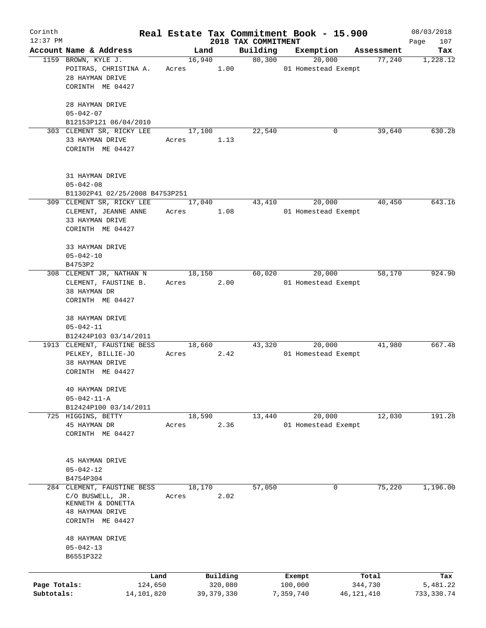| Corinth      |                                                                                          |         |        |              |                     | Real Estate Tax Commitment Book - 15.900 |              | 08/03/2018  |
|--------------|------------------------------------------------------------------------------------------|---------|--------|--------------|---------------------|------------------------------------------|--------------|-------------|
| $12:37$ PM   |                                                                                          |         |        |              | 2018 TAX COMMITMENT |                                          |              | 107<br>Page |
|              | Account Name & Address                                                                   |         | Land   |              | Building            | Exemption                                | Assessment   | Tax         |
|              | 1159 BROWN, KYLE J.<br>POITRAS, CHRISTINA A.<br>28 HAYMAN DRIVE                          | Acres   | 16,940 | 1.00         | 80,300              | 20,000<br>01 Homestead Exempt            | 77,240       | 1,228.12    |
|              | CORINTH ME 04427                                                                         |         |        |              |                     |                                          |              |             |
|              | 28 HAYMAN DRIVE<br>$05 - 042 - 07$                                                       |         |        |              |                     |                                          |              |             |
|              | B12153P121 06/04/2010                                                                    |         |        |              |                     |                                          |              |             |
|              | 303 CLEMENT SR, RICKY LEE                                                                |         | 17,100 |              | 22,540              | 0                                        | 39,640       | 630.28      |
|              | 33 HAYMAN DRIVE<br>CORINTH ME 04427                                                      | Acres   |        | 1.13         |                     |                                          |              |             |
|              | 31 HAYMAN DRIVE<br>$05 - 042 - 08$                                                       |         |        |              |                     |                                          |              |             |
|              | B11302P41 02/25/2008 B4753P251                                                           |         |        |              |                     |                                          |              |             |
|              | 309 CLEMENT SR, RICKY LEE<br>CLEMENT, JEANNE ANNE<br>33 HAYMAN DRIVE<br>CORINTH ME 04427 | Acres   | 17,040 | 1.08         | 43,410              | 20,000<br>01 Homestead Exempt            | 40,450       | 643.16      |
|              | 33 HAYMAN DRIVE<br>$05 - 042 - 10$                                                       |         |        |              |                     |                                          |              |             |
|              | B4753P2                                                                                  |         |        |              |                     |                                          |              |             |
|              | 308 CLEMENT JR, NATHAN N<br>CLEMENT, FAUSTINE B.<br>38 HAYMAN DR                         | Acres   | 18,150 | 2.00         | 60,020              | 20,000<br>01 Homestead Exempt            | 58,170       | 924.90      |
|              | CORINTH ME 04427                                                                         |         |        |              |                     |                                          |              |             |
|              | 38 HAYMAN DRIVE                                                                          |         |        |              |                     |                                          |              |             |
|              | $05 - 042 - 11$                                                                          |         |        |              |                     |                                          |              |             |
|              | B12424P103 03/14/2011                                                                    |         |        |              |                     |                                          |              |             |
|              | 1913 CLEMENT, FAUSTINE BESS                                                              |         | 18,660 |              | 43,320              | 20,000                                   | 41,980       | 667.48      |
|              | PELKEY, BILLIE-JO<br>38 HAYMAN DRIVE                                                     | Acres   |        | 2.42         |                     | 01 Homestead Exempt                      |              |             |
|              | CORINTH ME 04427                                                                         |         |        |              |                     |                                          |              |             |
|              | 40 HAYMAN DRIVE                                                                          |         |        |              |                     |                                          |              |             |
|              | $05 - 042 - 11 - A$                                                                      |         |        |              |                     |                                          |              |             |
|              | B12424P100 03/14/2011                                                                    |         |        |              |                     |                                          |              |             |
| 725          | HIGGINS, BETTY                                                                           |         | 18,590 |              | 13,440              | 20,000                                   | 12,030       | 191.28      |
|              | 45 HAYMAN DR<br>CORINTH ME 04427                                                         | Acres   |        | 2.36         |                     | 01 Homestead Exempt                      |              |             |
|              |                                                                                          |         |        |              |                     |                                          |              |             |
|              | 45 HAYMAN DRIVE                                                                          |         |        |              |                     |                                          |              |             |
|              | $05 - 042 - 12$                                                                          |         |        |              |                     |                                          |              |             |
|              | B4754P304                                                                                |         |        |              |                     |                                          | 75,220       | 1,196.00    |
|              | 284 CLEMENT, FAUSTINE BESS<br>C/O BUSWELL, JR.<br>KENNETH & DONETTA                      | Acres   | 18,170 | 2.02         | 57,050              | 0                                        |              |             |
|              | <b>48 HAYMAN DRIVE</b><br>CORINTH ME 04427                                               |         |        |              |                     |                                          |              |             |
|              | <b>48 HAYMAN DRIVE</b>                                                                   |         |        |              |                     |                                          |              |             |
|              | $05 - 042 - 13$<br>B6551P322                                                             |         |        |              |                     |                                          |              |             |
|              |                                                                                          |         |        |              |                     |                                          |              |             |
|              |                                                                                          | Land    |        | Building     |                     | Exempt                                   | Total        | Tax         |
| Page Totals: |                                                                                          | 124,650 |        | 320,080      |                     | 100,000                                  | 344,730      | 5,481.22    |
| Subtotals:   | 14,101,820                                                                               |         |        | 39, 379, 330 |                     | 7,359,740                                | 46, 121, 410 | 733, 330.74 |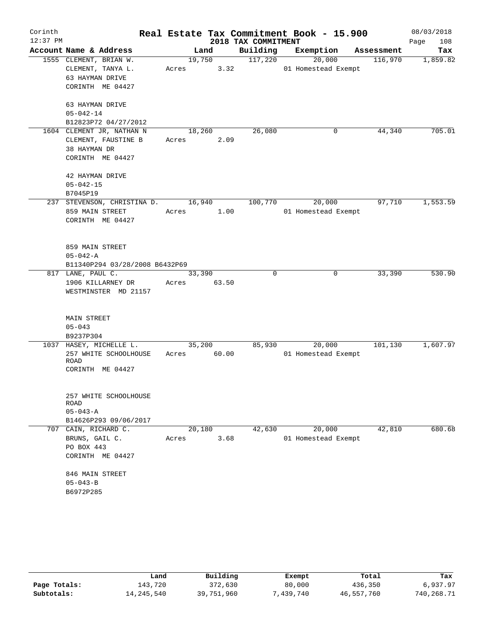| Corinth    |                                |             |        |                     | Real Estate Tax Commitment Book - 15.900 |            | 08/03/2018  |
|------------|--------------------------------|-------------|--------|---------------------|------------------------------------------|------------|-------------|
| $12:37$ PM |                                |             |        | 2018 TAX COMMITMENT |                                          |            | 108<br>Page |
|            | Account Name & Address         |             | Land   | Building            | Exemption                                | Assessment | Tax         |
|            | 1555 CLEMENT, BRIAN W.         |             | 19,750 | 117,220             | 20,000                                   | 116,970    | 1,859.82    |
|            | CLEMENT, TANYA L.              | Acres       | 3.32   |                     | 01 Homestead Exempt                      |            |             |
|            | 63 HAYMAN DRIVE                |             |        |                     |                                          |            |             |
|            | CORINTH ME 04427               |             |        |                     |                                          |            |             |
|            | 63 HAYMAN DRIVE                |             |        |                     |                                          |            |             |
|            | $05 - 042 - 14$                |             |        |                     |                                          |            |             |
|            | B12823P72 04/27/2012           |             |        |                     |                                          |            |             |
|            | 1604 CLEMENT JR, NATHAN N      | 18,260      |        | 26,080              | 0                                        | 44,340     | 705.01      |
|            | CLEMENT, FAUSTINE B            | Acres       | 2.09   |                     |                                          |            |             |
|            | 38 HAYMAN DR                   |             |        |                     |                                          |            |             |
|            | CORINTH ME 04427               |             |        |                     |                                          |            |             |
|            | 42 HAYMAN DRIVE                |             |        |                     |                                          |            |             |
|            | $05 - 042 - 15$                |             |        |                     |                                          |            |             |
|            | B7045P19                       |             |        |                     |                                          |            |             |
|            | 237 STEVENSON, CHRISTINA D.    |             | 16,940 | 100,770             | 20,000                                   | 97,710     | 1,553.59    |
|            | 859 MAIN STREET                | Acres       | 1.00   |                     | 01 Homestead Exempt                      |            |             |
|            | CORINTH ME 04427               |             |        |                     |                                          |            |             |
|            | 859 MAIN STREET                |             |        |                     |                                          |            |             |
|            | $05 - 042 - A$                 |             |        |                     |                                          |            |             |
|            | B11340P294 03/28/2008 B6432P69 |             |        |                     |                                          |            |             |
|            | 817 LANE, PAUL C.              | 33,390      |        | 0                   | $\mathbf 0$                              | 33,390     | 530.90      |
|            | 1906 KILLARNEY DR              | Acres 63.50 |        |                     |                                          |            |             |
|            | WESTMINSTER MD 21157           |             |        |                     |                                          |            |             |
|            | MAIN STREET                    |             |        |                     |                                          |            |             |
|            | $05 - 043$                     |             |        |                     |                                          |            |             |
|            | B9237P304                      |             |        |                     |                                          |            |             |
|            | 1037 HASEY, MICHELLE L.        |             | 35,200 | 85,930              | 20,000                                   | 101,130    | 1,607.97    |
|            | 257 WHITE SCHOOLHOUSE<br>ROAD  | Acres       | 60.00  |                     | 01 Homestead Exempt                      |            |             |
|            | CORINTH ME 04427               |             |        |                     |                                          |            |             |
|            | 257 WHITE SCHOOLHOUSE          |             |        |                     |                                          |            |             |
|            | ROAD                           |             |        |                     |                                          |            |             |
|            | $05 - 043 - A$                 |             |        |                     |                                          |            |             |
|            | B14626P293 09/06/2017          |             |        |                     |                                          |            |             |
|            | 707 CAIN, RICHARD C.           | 20,180      |        | 42,630              | 20,000                                   | 42,810     | 680.68      |
|            | BRUNS, GAIL C.                 | Acres       | 3.68   |                     | 01 Homestead Exempt                      |            |             |
|            | PO BOX 443                     |             |        |                     |                                          |            |             |
|            | CORINTH ME 04427               |             |        |                     |                                          |            |             |
|            | 846 MAIN STREET                |             |        |                     |                                          |            |             |
|            | $05 - 043 - B$                 |             |        |                     |                                          |            |             |
|            | B6972P285                      |             |        |                     |                                          |            |             |
|            |                                |             |        |                     |                                          |            |             |

|              | Land       | Building   | Exempt    | Total      | Tax        |
|--------------|------------|------------|-----------|------------|------------|
| Page Totals: | 143,720    | 372,630    | 80,000    | 436,350    | 6,937.97   |
| Subtotals:   | 14,245,540 | 39,751,960 | 7,439,740 | 46,557,760 | 740,268.71 |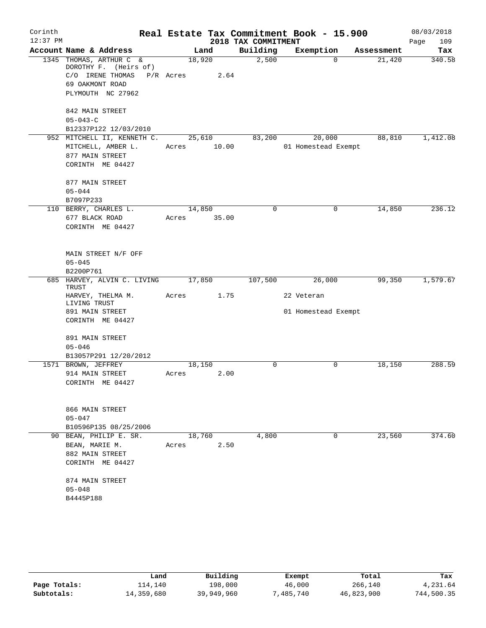| Corinth    |                                                  |           |        |                     | Real Estate Tax Commitment Book - 15.900 |            | 08/03/2018         |
|------------|--------------------------------------------------|-----------|--------|---------------------|------------------------------------------|------------|--------------------|
| $12:37$ PM |                                                  |           |        | 2018 TAX COMMITMENT |                                          |            | 109<br>Page        |
|            | Account Name & Address                           |           | Land   | Building            | Exemption                                | Assessment | Tax                |
|            | 1345 THOMAS, ARTHUR C &<br>DOROTHY F. (Heirs of) | 18,920    |        | 2,500               |                                          | $\Omega$   | 340.58<br>21,420   |
|            | C/O IRENE THOMAS                                 | P/R Acres | 2.64   |                     |                                          |            |                    |
|            | 69 OAKMONT ROAD                                  |           |        |                     |                                          |            |                    |
|            | PLYMOUTH NC 27962                                |           |        |                     |                                          |            |                    |
|            | 842 MAIN STREET                                  |           |        |                     |                                          |            |                    |
|            | $05 - 043 - C$                                   |           |        |                     |                                          |            |                    |
|            | B12337P122 12/03/2010                            |           |        |                     |                                          |            |                    |
|            | 952 MITCHELL II, KENNETH C.                      |           | 25,610 | 83,200              | 20,000                                   |            | 88,810<br>1,412.08 |
|            | MITCHELL, AMBER L.                               | Acres     | 10.00  |                     | 01 Homestead Exempt                      |            |                    |
|            | 877 MAIN STREET                                  |           |        |                     |                                          |            |                    |
|            | CORINTH ME 04427                                 |           |        |                     |                                          |            |                    |
|            | 877 MAIN STREET                                  |           |        |                     |                                          |            |                    |
|            | $05 - 044$                                       |           |        |                     |                                          |            |                    |
|            | B7097P233                                        |           |        |                     |                                          |            |                    |
|            | 110 BERRY, CHARLES L.                            | 14,850    |        | $\mathbf 0$         |                                          | 0          | 14,850<br>236.12   |
|            | 677 BLACK ROAD                                   | Acres     | 35.00  |                     |                                          |            |                    |
|            | CORINTH ME 04427                                 |           |        |                     |                                          |            |                    |
|            | MAIN STREET N/F OFF                              |           |        |                     |                                          |            |                    |
|            | $05 - 045$                                       |           |        |                     |                                          |            |                    |
|            | B2200P761                                        |           |        |                     |                                          |            |                    |
|            | 685 HARVEY, ALVIN C. LIVING                      | 17,850    |        | 107,500             | 26,000                                   |            | 99,350<br>1,579.67 |
|            | TRUST                                            |           |        |                     |                                          |            |                    |
|            | HARVEY, THELMA M.<br>LIVING TRUST                | Acres     | 1.75   |                     | 22 Veteran                               |            |                    |
|            | 891 MAIN STREET                                  |           |        |                     | 01 Homestead Exempt                      |            |                    |
|            | CORINTH ME 04427                                 |           |        |                     |                                          |            |                    |
|            | 891 MAIN STREET                                  |           |        |                     |                                          |            |                    |
|            | $05 - 046$                                       |           |        |                     |                                          |            |                    |
|            | B13057P291 12/20/2012                            |           |        |                     |                                          |            |                    |
|            | 1571 BROWN, JEFFREY                              | 18,150    |        | $\Omega$            |                                          | 0          | 288.59<br>18,150   |
|            | 914 MAIN STREET                                  | Acres     | 2.00   |                     |                                          |            |                    |
|            | CORINTH ME 04427                                 |           |        |                     |                                          |            |                    |
|            | 866 MAIN STREET                                  |           |        |                     |                                          |            |                    |
|            | $05 - 047$                                       |           |        |                     |                                          |            |                    |
|            | B10596P135 08/25/2006                            |           |        |                     |                                          |            |                    |
|            | 90 BEAN, PHILIP E. SR.                           | 18,760    |        | 4,800               |                                          | 0          | 374.60<br>23,560   |
|            | BEAN, MARIE M.                                   | Acres     | 2.50   |                     |                                          |            |                    |
|            | 882 MAIN STREET                                  |           |        |                     |                                          |            |                    |
|            | CORINTH ME 04427                                 |           |        |                     |                                          |            |                    |
|            | 874 MAIN STREET                                  |           |        |                     |                                          |            |                    |
|            | $05 - 048$                                       |           |        |                     |                                          |            |                    |
|            | B4445P188                                        |           |        |                     |                                          |            |                    |
|            |                                                  |           |        |                     |                                          |            |                    |

|              | Land       | Building   | Exempt   | Total      | Tax        |
|--------------|------------|------------|----------|------------|------------|
| Page Totals: | 114.140    | 198,000    | 46,000   | 266,140    | 4,231.64   |
| Subtotals:   | 14,359,680 | 39,949,960 | 485,740" | 46,823,900 | 744,500.35 |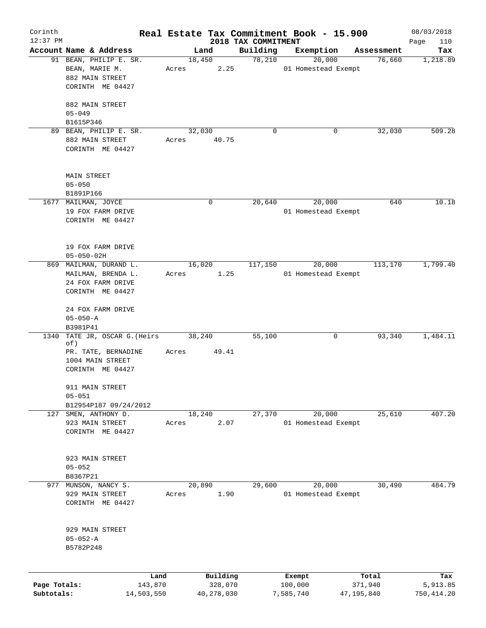| Corinth      |                            |       |              |                                 | Real Estate Tax Commitment Book - 15.900 |                      | 08/03/2018      |
|--------------|----------------------------|-------|--------------|---------------------------------|------------------------------------------|----------------------|-----------------|
| $12:37$ PM   | Account Name & Address     |       | Land         | 2018 TAX COMMITMENT<br>Building |                                          |                      | Page<br>110     |
|              | 91 BEAN, PHILIP E. SR.     |       | 18,450       | 78,210                          | Exemption<br>20,000                      | Assessment<br>76,660 | Tax<br>1,218.89 |
|              | BEAN, MARIE M.             | Acres | 2.25         |                                 | 01 Homestead Exempt                      |                      |                 |
|              | 882 MAIN STREET            |       |              |                                 |                                          |                      |                 |
|              | CORINTH ME 04427           |       |              |                                 |                                          |                      |                 |
|              |                            |       |              |                                 |                                          |                      |                 |
|              | 882 MAIN STREET            |       |              |                                 |                                          |                      |                 |
|              | $05 - 049$                 |       |              |                                 |                                          |                      |                 |
|              | B1615P346                  |       |              |                                 |                                          |                      |                 |
|              | 89 BEAN, PHILIP E. SR.     |       | 32,030       | 0                               | 0                                        | 32,030               | 509.28          |
|              | 882 MAIN STREET            | Acres | 40.75        |                                 |                                          |                      |                 |
|              | CORINTH ME 04427           |       |              |                                 |                                          |                      |                 |
|              |                            |       |              |                                 |                                          |                      |                 |
|              |                            |       |              |                                 |                                          |                      |                 |
|              | <b>MAIN STREET</b>         |       |              |                                 |                                          |                      |                 |
|              | $05 - 050$                 |       |              |                                 |                                          |                      |                 |
|              | B1891P166                  |       |              |                                 |                                          |                      |                 |
|              | 1677 MAILMAN, JOYCE        |       | 0            | 20,640                          | 20,000                                   | 640                  | 10.18           |
|              | 19 FOX FARM DRIVE          |       |              |                                 | 01 Homestead Exempt                      |                      |                 |
|              | CORINTH ME 04427           |       |              |                                 |                                          |                      |                 |
|              |                            |       |              |                                 |                                          |                      |                 |
|              |                            |       |              |                                 |                                          |                      |                 |
|              | 19 FOX FARM DRIVE          |       |              |                                 |                                          |                      |                 |
|              | $05 - 050 - 02H$           |       |              |                                 |                                          |                      |                 |
|              | 869 MAILMAN, DURAND L.     |       | 16,020       | 117,150                         | 20,000                                   | 113,170              | 1,799.40        |
|              | MAILMAN, BRENDA L.         | Acres | 1.25         |                                 | 01 Homestead Exempt                      |                      |                 |
|              | 24 FOX FARM DRIVE          |       |              |                                 |                                          |                      |                 |
|              | CORINTH ME 04427           |       |              |                                 |                                          |                      |                 |
|              |                            |       |              |                                 |                                          |                      |                 |
|              | 24 FOX FARM DRIVE          |       |              |                                 |                                          |                      |                 |
|              | $05 - 050 - A$<br>B3981P41 |       |              |                                 |                                          |                      |                 |
|              | TATE JR, OSCAR G. (Heirs   |       | 38,240       | 55,100                          | 0                                        | 93,340               | 1,484.11        |
| 1340         | of)                        |       |              |                                 |                                          |                      |                 |
|              | PR. TATE, BERNADINE        | Acres | 49.41        |                                 |                                          |                      |                 |
|              | 1004 MAIN STREET           |       |              |                                 |                                          |                      |                 |
|              | CORINTH ME 04427           |       |              |                                 |                                          |                      |                 |
|              |                            |       |              |                                 |                                          |                      |                 |
|              | 911 MAIN STREET            |       |              |                                 |                                          |                      |                 |
|              | $05 - 051$                 |       |              |                                 |                                          |                      |                 |
|              | B12954P187 09/24/2012      |       |              |                                 |                                          |                      |                 |
|              | 127 SMEN, ANTHONY D.       |       | 18,240       | 27,370                          | 20,000                                   | 25,610               | 407.20          |
|              | 923 MAIN STREET            | Acres | 2.07         |                                 | 01 Homestead Exempt                      |                      |                 |
|              | CORINTH ME 04427           |       |              |                                 |                                          |                      |                 |
|              |                            |       |              |                                 |                                          |                      |                 |
|              |                            |       |              |                                 |                                          |                      |                 |
|              | 923 MAIN STREET            |       |              |                                 |                                          |                      |                 |
|              | $05 - 052$                 |       |              |                                 |                                          |                      |                 |
|              | B8367P21                   |       |              |                                 |                                          |                      |                 |
|              | 977 MUNSON, NANCY S.       |       | 20,890       | 29,600                          | 20,000                                   | 30,490               | 484.79          |
|              | 929 MAIN STREET            | Acres | 1.90         |                                 | 01 Homestead Exempt                      |                      |                 |
|              | CORINTH ME 04427           |       |              |                                 |                                          |                      |                 |
|              |                            |       |              |                                 |                                          |                      |                 |
|              |                            |       |              |                                 |                                          |                      |                 |
|              | 929 MAIN STREET            |       |              |                                 |                                          |                      |                 |
|              | $05 - 052 - A$             |       |              |                                 |                                          |                      |                 |
|              | B5782P248                  |       |              |                                 |                                          |                      |                 |
|              |                            |       |              |                                 |                                          |                      |                 |
|              | Land                       |       | Building     |                                 | Exempt                                   | Total                | Tax             |
| Page Totals: | 143,870                    |       | 328,070      |                                 | 100,000                                  | 371,940              | 5,913.85        |
| Subtotals:   | 14,503,550                 |       | 40, 278, 030 |                                 | 7,585,740                                | 47,195,840           | 750, 414.20     |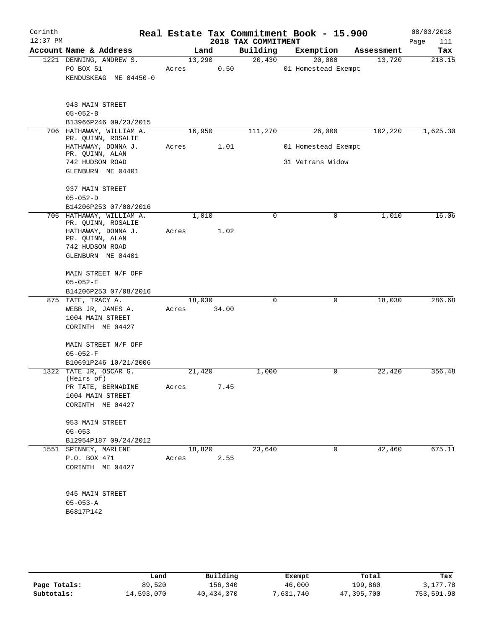| Corinth<br>$12:37$ PM |                                                                                                                                 |                 |               | 2018 TAX COMMITMENT | Real Estate Tax Commitment Book - 15.900 |            | 08/03/2018<br>Page<br>111 |
|-----------------------|---------------------------------------------------------------------------------------------------------------------------------|-----------------|---------------|---------------------|------------------------------------------|------------|---------------------------|
|                       | Account Name & Address                                                                                                          |                 | Land          | Building            | Exemption                                | Assessment | Tax                       |
|                       | 1221 DENNING, ANDREW S.<br>PO BOX 51<br>KENDUSKEAG ME 04450-0                                                                   | 13,290<br>Acres | 0.50          | 20,430              | 20,000<br>01 Homestead Exempt            | 13,720     | 218.15                    |
|                       | 943 MAIN STREET<br>$05 - 052 - B$<br>B13966P246 09/23/2015                                                                      |                 |               |                     |                                          |            |                           |
|                       | 706 HATHAWAY, WILLIAM A.                                                                                                        | 16,950          |               | 111,270             | 26,000                                   | 102,220    | 1,625.30                  |
|                       | PR. QUINN, ROSALIE<br>HATHAWAY, DONNA J.<br>PR. QUINN, ALAN                                                                     | Acres           | 1.01          |                     | 01 Homestead Exempt                      |            |                           |
|                       | 742 HUDSON ROAD<br>GLENBURN ME 04401                                                                                            |                 |               |                     | 31 Vetrans Widow                         |            |                           |
|                       | 937 MAIN STREET<br>$05 - 052 - D$                                                                                               |                 |               |                     |                                          |            |                           |
|                       | B14206P253 07/08/2016                                                                                                           |                 |               |                     |                                          |            |                           |
|                       | 705 HATHAWAY, WILLIAM A.<br>PR. QUINN, ROSALIE<br>HATHAWAY, DONNA J.<br>PR. QUINN, ALAN<br>742 HUDSON ROAD<br>GLENBURN ME 04401 | Acres           | 1,010<br>1.02 | 0                   | 0                                        | 1,010      | 16.06                     |
|                       | MAIN STREET N/F OFF<br>$05 - 052 - E$                                                                                           |                 |               |                     |                                          |            |                           |
|                       | B14206P253 07/08/2016                                                                                                           |                 |               |                     |                                          |            |                           |
|                       | 875 TATE, TRACY A.<br>WEBB JR, JAMES A.<br>1004 MAIN STREET<br>CORINTH ME 04427                                                 | 18,030<br>Acres | 34.00         | 0                   | $\mathbf{0}$                             | 18,030     | 286.68                    |
|                       | MAIN STREET N/F OFF<br>$05 - 052 - F$<br>B10691P246 10/21/2006                                                                  |                 |               |                     |                                          |            |                           |
|                       | 1322 TATE JR, OSCAR G.<br>(Heirs of)<br>PR TATE, BERNADINE<br>1004 MAIN STREET                                                  | 21,420<br>Acres | 7.45          | 1,000               | 0                                        | 22,420     | 356.48                    |
|                       | CORINTH ME 04427<br>953 MAIN STREET<br>$05 - 053$                                                                               |                 |               |                     |                                          |            |                           |
|                       | B12954P187 09/24/2012                                                                                                           |                 |               |                     |                                          |            |                           |
|                       | 1551 SPINNEY, MARLENE<br>P.O. BOX 471<br>CORINTH ME 04427                                                                       | 18,820<br>Acres | 2.55          | 23,640              | 0                                        | 42,460     | 675.11                    |
|                       | 945 MAIN STREET<br>$05 - 053 - A$<br>B6817P142                                                                                  |                 |               |                     |                                          |            |                           |
|                       |                                                                                                                                 |                 |               |                     |                                          |            |                           |

|              | Land       | Building     | Exempt    | Total      | Tax        |
|--------------|------------|--------------|-----------|------------|------------|
| Page Totals: | 89,520     | 156,340      | 46,000    | 199,860    | 3,177.78   |
| Subtotals:   | 14,593,070 | 40, 434, 370 | 7,631,740 | 47,395,700 | 753,591.98 |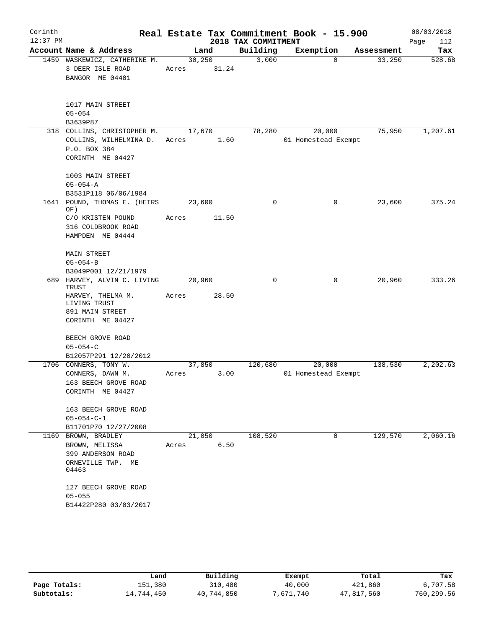| Corinth    |                                                                     |                  |       |                     | Real Estate Tax Commitment Book - 15.900 |          |            | 08/03/2018  |
|------------|---------------------------------------------------------------------|------------------|-------|---------------------|------------------------------------------|----------|------------|-------------|
| $12:37$ PM |                                                                     |                  |       | 2018 TAX COMMITMENT |                                          |          |            | 112<br>Page |
|            | Account Name & Address                                              | Land             |       | Building            | Exemption                                |          | Assessment | Tax         |
|            | 1459 WASKEWICZ, CATHERINE M.<br>3 DEER ISLE ROAD<br>BANGOR ME 04401 | 30, 250<br>Acres | 31.24 | 3,000               |                                          | $\Omega$ | 33,250     | 528.68      |
|            | 1017 MAIN STREET<br>$05 - 054$<br>B3639P87                          |                  |       |                     |                                          |          |            |             |
|            | 318 COLLINS, CHRISTOPHER M.                                         | 17,670           |       | 78,280              | 20,000                                   |          | 75,950     | 1,207.61    |
|            | COLLINS, WILHELMINA D.<br>P.O. BOX 384<br>CORINTH ME 04427          | Acres            | 1.60  |                     | 01 Homestead Exempt                      |          |            |             |
|            |                                                                     |                  |       |                     |                                          |          |            |             |
|            | 1003 MAIN STREET<br>$05 - 054 - A$                                  |                  |       |                     |                                          |          |            |             |
|            | B3531P118 06/06/1984                                                |                  |       |                     |                                          |          |            |             |
|            | 1641 POUND, THOMAS E. (HEIRS<br>OF)                                 | 23,600           |       | 0                   |                                          | 0        | 23,600     | 375.24      |
|            | C/O KRISTEN POUND<br>316 COLDBROOK ROAD<br>HAMPDEN ME 04444         | Acres            | 11.50 |                     |                                          |          |            |             |
|            |                                                                     |                  |       |                     |                                          |          |            |             |
|            | <b>MAIN STREET</b>                                                  |                  |       |                     |                                          |          |            |             |
|            | $05 - 054 - B$                                                      |                  |       |                     |                                          |          |            |             |
|            | B3049P001 12/21/1979<br>689 HARVEY, ALVIN C. LIVING                 | 20,960           |       | $\Omega$            |                                          | $\Omega$ | 20,960     | 333.26      |
|            | TRUST                                                               |                  |       |                     |                                          |          |            |             |
|            | HARVEY, THELMA M.<br>LIVING TRUST                                   | Acres            | 28.50 |                     |                                          |          |            |             |
|            | 891 MAIN STREET                                                     |                  |       |                     |                                          |          |            |             |
|            | CORINTH ME 04427                                                    |                  |       |                     |                                          |          |            |             |
|            | BEECH GROVE ROAD<br>$05 - 054 - C$                                  |                  |       |                     |                                          |          |            |             |
|            | B12057P291 12/20/2012                                               |                  |       |                     |                                          |          |            |             |
|            | 1706 CONNERS, TONY W.                                               | 37,850           |       | 120,680             | 20,000                                   |          | 138,530    | 2,202.63    |
|            | CONNERS, DAWN M.                                                    | Acres            | 3.00  |                     | 01 Homestead Exempt                      |          |            |             |
|            | 163 BEECH GROVE ROAD                                                |                  |       |                     |                                          |          |            |             |
|            | CORINTH ME 04427                                                    |                  |       |                     |                                          |          |            |             |
|            | 163 BEECH GROVE ROAD                                                |                  |       |                     |                                          |          |            |             |
|            | $05 - 054 - C - 1$                                                  |                  |       |                     |                                          |          |            |             |
|            | B11701P70 12/27/2008                                                |                  |       |                     |                                          |          |            |             |
|            | 1169 BROWN, BRADLEY                                                 | 21,050           |       | 108,520             |                                          | 0        | 129,570    | 2,060.16    |
|            | BROWN, MELISSA<br>399 ANDERSON ROAD                                 | Acres            | 6.50  |                     |                                          |          |            |             |
|            | ORNEVILLE TWP. ME                                                   |                  |       |                     |                                          |          |            |             |
|            | 04463                                                               |                  |       |                     |                                          |          |            |             |
|            | 127 BEECH GROVE ROAD                                                |                  |       |                     |                                          |          |            |             |
|            | $05 - 055$                                                          |                  |       |                     |                                          |          |            |             |
|            | B14422P280 03/03/2017                                               |                  |       |                     |                                          |          |            |             |
|            |                                                                     |                  |       |                     |                                          |          |            |             |

|              | Land       | Building   | Exempt    | Total      | Tax        |
|--------------|------------|------------|-----------|------------|------------|
| Page Totals: | 151,380    | 310,480    | 40,000    | 421,860    | 6,707.58   |
| Subtotals:   | 14,744,450 | 40,744,850 | 7,671,740 | 47,817,560 | 760,299.56 |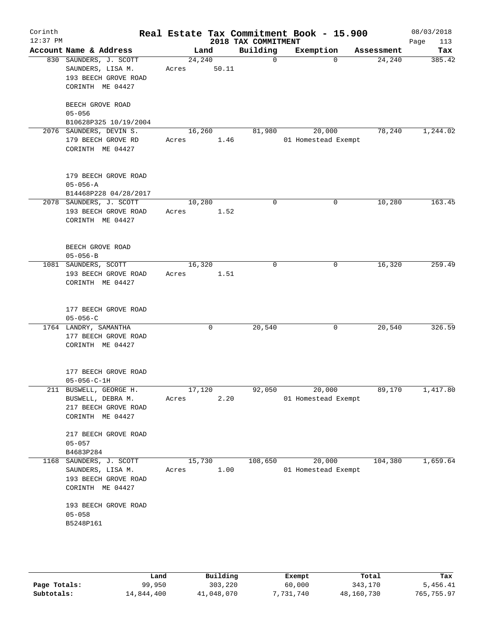| Corinth<br>$12:37$ PM |                                                                                          |                 |                | 2018 TAX COMMITMENT | Real Estate Tax Commitment Book - 15.900 |            | 08/03/2018<br>Page<br>113 |
|-----------------------|------------------------------------------------------------------------------------------|-----------------|----------------|---------------------|------------------------------------------|------------|---------------------------|
|                       | Account Name & Address                                                                   |                 | Land           | Building            | Exemption                                | Assessment | Tax                       |
|                       | 830 SAUNDERS, J. SCOTT<br>SAUNDERS, LISA M.<br>193 BEECH GROVE ROAD<br>CORINTH ME 04427  | 24,240<br>Acres | 50.11          | $\mathsf{O}$        | $\Omega$                                 | 24,240     | 385.42                    |
|                       | BEECH GROVE ROAD<br>$05 - 056$<br>B10628P325 10/19/2004                                  |                 |                |                     |                                          |            |                           |
|                       | 2076 SAUNDERS, DEVIN S.<br>179 BEECH GROVE RD<br>CORINTH ME 04427                        | 16,260<br>Acres | 1.46           | 81,980              | 20,000<br>01 Homestead Exempt            | 78,240     | 1,244.02                  |
|                       | 179 BEECH GROVE ROAD<br>$05 - 056 - A$<br>B14468P228 04/28/2017                          |                 |                |                     |                                          |            |                           |
|                       | 2078 SAUNDERS, J. SCOTT<br>193 BEECH GROVE ROAD<br>CORINTH ME 04427                      | 10,280<br>Acres | 1.52           | $\mathbf 0$         | 0                                        | 10,280     | 163.45                    |
|                       | BEECH GROVE ROAD<br>$05 - 056 - B$                                                       |                 |                |                     |                                          |            |                           |
|                       | 1081 SAUNDERS, SCOTT<br>193 BEECH GROVE ROAD<br>CORINTH ME 04427                         | 16,320<br>Acres | 1.51           | 0                   | $\mathbf 0$                              | 16,320     | 259.49                    |
|                       | 177 BEECH GROVE ROAD<br>$05 - 056 - C$                                                   |                 |                |                     |                                          |            |                           |
|                       | 1764 LANDRY, SAMANTHA<br>177 BEECH GROVE ROAD<br>CORINTH ME 04427                        |                 | 0              | 20,540              | 0                                        | 20,540     | 326.59                    |
|                       | 177 BEECH GROVE ROAD<br>$05 - 056 - C - 1H$                                              |                 |                |                     |                                          |            |                           |
|                       | 211 BUSWELL, GEORGE H.<br>BUSWELL, DEBRA M.<br>217 BEECH GROVE ROAD<br>CORINTH ME 04427  | Acres           | 17,120<br>2.20 | 92,050              | 20,000<br>01 Homestead Exempt            | 89,170     | 1,417.80                  |
|                       | 217 BEECH GROVE ROAD<br>$05 - 057$<br>B4683P284                                          |                 |                |                     |                                          |            |                           |
|                       | 1168 SAUNDERS, J. SCOTT<br>SAUNDERS, LISA M.<br>193 BEECH GROVE ROAD<br>CORINTH ME 04427 | Acres           | 15,730<br>1.00 | 108,650             | 20,000<br>01 Homestead Exempt            | 104,380    | 1,659.64                  |
|                       | 193 BEECH GROVE ROAD<br>$05 - 058$<br>B5248P161                                          |                 |                |                     |                                          |            |                           |
|                       |                                                                                          |                 |                |                     |                                          |            |                           |

|              | Land       | Building   | Exempt    | Total      | Tax        |
|--------------|------------|------------|-----------|------------|------------|
| Page Totals: | 99,950     | 303,220    | 60,000    | 343,170    | 5,456.41   |
| Subtotals:   | 14,844,400 | 41,048,070 | 7,731,740 | 48,160,730 | 765,755.97 |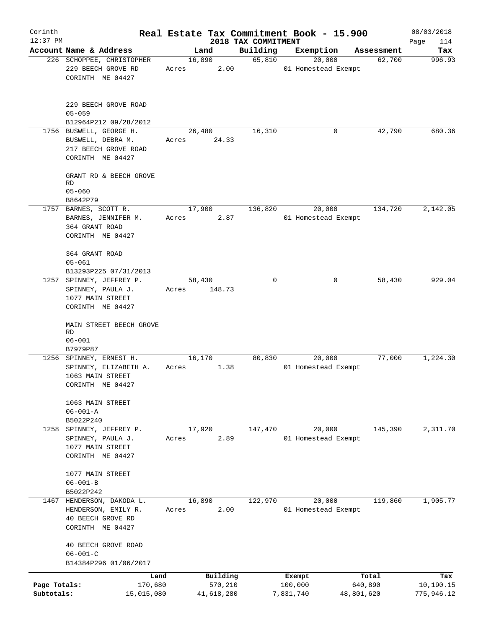| Corinth                    |                                                                                          |                 |                       |                                 | Real Estate Tax Commitment Book - 15.900 |                       | 08/03/2018              |
|----------------------------|------------------------------------------------------------------------------------------|-----------------|-----------------------|---------------------------------|------------------------------------------|-----------------------|-------------------------|
| $12:37$ PM                 | Account Name & Address                                                                   |                 | Land                  | 2018 TAX COMMITMENT<br>Building | Exemption                                |                       | Page<br>114<br>Tax      |
|                            | 226 SCHOPPEE, CHRISTOPHER                                                                |                 | 16,890                | 65,810                          | 20,000                                   | Assessment<br>62,700  | 996.93                  |
|                            | 229 BEECH GROVE RD<br>CORINTH ME 04427                                                   | Acres           | 2.00                  |                                 | 01 Homestead Exempt                      |                       |                         |
|                            | 229 BEECH GROVE ROAD<br>$05 - 059$                                                       |                 |                       |                                 |                                          |                       |                         |
|                            | B12964P212 09/28/2012                                                                    |                 |                       |                                 |                                          |                       |                         |
|                            | 1756 BUSWELL, GEORGE H.<br>BUSWELL, DEBRA M.<br>217 BEECH GROVE ROAD<br>CORINTH ME 04427 | Acres           | 26,480<br>24.33       | 16,310                          | 0                                        | 42,790                | 680.36                  |
|                            | GRANT RD & BEECH GROVE<br>RD                                                             |                 |                       |                                 |                                          |                       |                         |
|                            | $05 - 060$<br>B8642P79                                                                   |                 |                       |                                 |                                          |                       |                         |
|                            | 1757 BARNES, SCOTT R.                                                                    |                 | 17,900                | 136,820                         | 20,000                                   | 134,720               | 2,142.05                |
|                            | BARNES, JENNIFER M.<br>364 GRANT ROAD<br>CORINTH ME 04427                                | Acres           | 2.87                  |                                 | 01 Homestead Exempt                      |                       |                         |
|                            | 364 GRANT ROAD<br>$05 - 061$<br>B13293P225 07/31/2013                                    |                 |                       |                                 |                                          |                       |                         |
|                            | 1257 SPINNEY, JEFFREY P.<br>SPINNEY, PAULA J.<br>1077 MAIN STREET<br>CORINTH ME 04427    | 58,430<br>Acres | 148.73                | $\Omega$                        | $\Omega$                                 | 58,430                | 929.04                  |
|                            | MAIN STREET BEECH GROVE<br><b>RD</b><br>$06 - 001$                                       |                 |                       |                                 |                                          |                       |                         |
|                            | B7979P87                                                                                 |                 |                       |                                 |                                          |                       |                         |
|                            | 1256 SPINNEY, ERNEST H.<br>SPINNEY, ELIZABETH A.<br>1063 MAIN STREET<br>CORINTH ME 04427 | 16,170<br>Acres | 1.38                  | 80,830                          | 20,000<br>01 Homestead Exempt            | 77,000                | 1,224.30                |
|                            | 1063 MAIN STREET<br>$06 - 001 - A$                                                       |                 |                       |                                 |                                          |                       |                         |
|                            | B5022P240                                                                                |                 |                       |                                 |                                          |                       |                         |
|                            | 1258 SPINNEY, JEFFREY P.                                                                 |                 | 17,920                | 147,470                         | 20,000                                   | 145,390               | 2,311.70                |
|                            | SPINNEY, PAULA J.<br>1077 MAIN STREET<br>CORINTH ME 04427                                | Acres           | 2.89                  |                                 | 01 Homestead Exempt                      |                       |                         |
|                            | 1077 MAIN STREET<br>$06 - 001 - B$                                                       |                 |                       |                                 |                                          |                       |                         |
|                            | B5022P242                                                                                |                 |                       |                                 |                                          |                       |                         |
| 1467                       | HENDERSON, DAKODA L.<br>HENDERSON, EMILY R.<br>40 BEECH GROVE RD<br>CORINTH ME 04427     | Acres           | 16,890<br>2.00        | 122,970                         | 20,000<br>01 Homestead Exempt            | 119,860               | 1,905.77                |
|                            | 40 BEECH GROVE ROAD<br>$06 - 001 - C$<br>B14384P296 01/06/2017                           |                 |                       |                                 |                                          |                       |                         |
|                            | Land                                                                                     |                 | Building              |                                 | Exempt                                   | Total                 | Tax                     |
| Page Totals:<br>Subtotals: | 170,680<br>15,015,080                                                                    |                 | 570,210<br>41,618,280 |                                 | 100,000<br>7,831,740                     | 640,890<br>48,801,620 | 10,190.15<br>775,946.12 |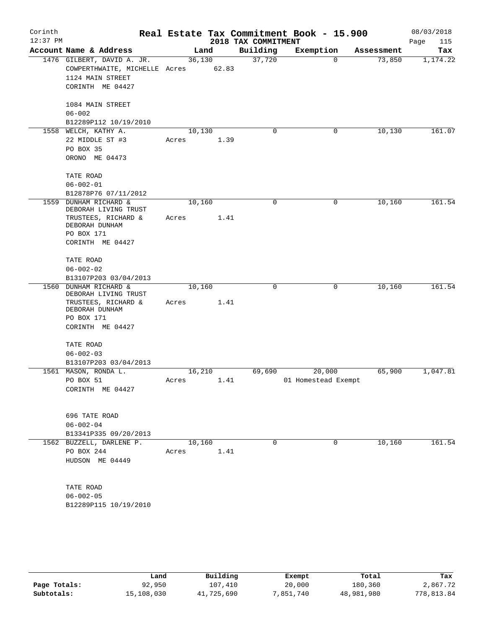| Corinth<br>$12:37$ PM |                                                                                                                                |                 |       | 2018 TAX COMMITMENT | Real Estate Tax Commitment Book - 15.900 |            | 08/03/2018<br>Page<br>115 |
|-----------------------|--------------------------------------------------------------------------------------------------------------------------------|-----------------|-------|---------------------|------------------------------------------|------------|---------------------------|
|                       | Account Name & Address                                                                                                         |                 | Land  | Building            | Exemption                                | Assessment | Tax                       |
|                       | 1476 GILBERT, DAVID A. JR.<br>COWPERTHWAITE, MICHELLE Acres<br>1124 MAIN STREET<br>CORINTH ME 04427                            | 36,130          | 62.83 | 37,720              | $\mathbf 0$                              | 73,850     | 1,174.22                  |
|                       | 1084 MAIN STREET<br>$06 - 002$<br>B12289P112 10/19/2010                                                                        |                 |       |                     |                                          |            |                           |
|                       | 1558 WELCH, KATHY A.<br>22 MIDDLE ST #3<br>PO BOX 35<br>ORONO ME 04473                                                         | 10,130<br>Acres | 1.39  | $\mathbf 0$         | 0                                        | 10,130     | 161.07                    |
|                       | TATE ROAD<br>$06 - 002 - 01$<br>B12878P76 07/11/2012                                                                           |                 |       |                     |                                          |            |                           |
| 1559                  | <b>DUNHAM RICHARD &amp;</b><br>DEBORAH LIVING TRUST<br>TRUSTEES, RICHARD &<br>DEBORAH DUNHAM<br>PO BOX 171<br>CORINTH ME 04427 | 10,160<br>Acres | 1.41  | $\mathbf 0$         | $\mathbf 0$                              | 10,160     | 161.54                    |
|                       | TATE ROAD<br>$06 - 002 - 02$<br>B13107P203 03/04/2013                                                                          |                 |       |                     |                                          |            |                           |
| 1560                  | DUNHAM RICHARD &<br>DEBORAH LIVING TRUST<br>TRUSTEES, RICHARD &<br>DEBORAH DUNHAM<br>PO BOX 171<br>CORINTH ME 04427            | 10,160<br>Acres | 1.41  | $\mathbf 0$         | 0                                        | 10,160     | 161.54                    |
|                       | TATE ROAD<br>$06 - 002 - 03$<br>B13107P203 03/04/2013                                                                          |                 |       |                     |                                          |            |                           |
|                       | 1561 MASON, RONDA L.<br>PO BOX 51<br>CORINTH ME 04427                                                                          | 16,210<br>Acres | 1.41  | 69,690              | 20,000<br>01 Homestead Exempt            | 65,900     | 1,047.81                  |
|                       | 696 TATE ROAD<br>$06 - 002 - 04$<br>B13341P335 09/20/2013                                                                      |                 |       |                     |                                          |            |                           |
|                       | 1562 BUZZELL, DARLENE P.<br>PO BOX 244<br>HUDSON ME 04449                                                                      | 10,160<br>Acres | 1.41  | 0                   | 0                                        | 10,160     | 161.54                    |
|                       | TATE ROAD<br>$06 - 002 - 05$<br>B12289P115 10/19/2010                                                                          |                 |       |                     |                                          |            |                           |
|                       |                                                                                                                                |                 |       |                     |                                          |            |                           |

|              | Land       | Building   | Exempt    | Total      | Tax        |
|--------------|------------|------------|-----------|------------|------------|
| Page Totals: | 92,950     | 107,410    | 20,000    | 180,360    | 2,867.72   |
| Subtotals:   | 15,108,030 | 41,725,690 | 7,851,740 | 48,981,980 | 778,813.84 |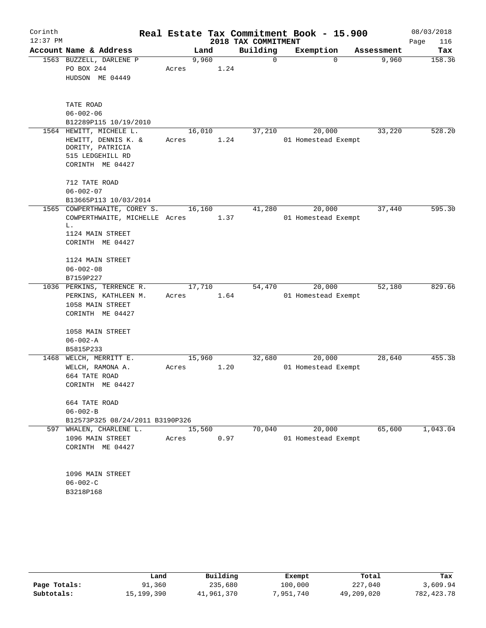| Corinth    |                                 |        |      |                     | Real Estate Tax Commitment Book - 15.900 |            | 08/03/2018  |
|------------|---------------------------------|--------|------|---------------------|------------------------------------------|------------|-------------|
| $12:37$ PM |                                 |        |      | 2018 TAX COMMITMENT |                                          |            | Page<br>116 |
|            | Account Name & Address          |        | Land | Building            | Exemption                                | Assessment | Tax         |
|            | 1563 BUZZELL, DARLENE P         | 9,960  |      | 0                   | $\Omega$                                 | 9,960      | 158.36      |
|            | PO BOX 244                      | Acres  | 1.24 |                     |                                          |            |             |
|            | HUDSON ME 04449                 |        |      |                     |                                          |            |             |
|            | TATE ROAD                       |        |      |                     |                                          |            |             |
|            | $06 - 002 - 06$                 |        |      |                     |                                          |            |             |
|            | B12289P115 10/19/2010           |        |      |                     |                                          |            |             |
|            | 1564 HEWITT, MICHELE L.         | 16,010 |      | 37,210              | 20,000                                   | 33,220     | 528.20      |
|            | HEWITT, DENNIS K. &             | Acres  | 1.24 |                     |                                          |            |             |
|            | DORITY, PATRICIA                |        |      |                     | 01 Homestead Exempt                      |            |             |
|            | 515 LEDGEHILL RD                |        |      |                     |                                          |            |             |
|            | CORINTH ME 04427                |        |      |                     |                                          |            |             |
|            |                                 |        |      |                     |                                          |            |             |
|            | 712 TATE ROAD                   |        |      |                     |                                          |            |             |
|            | $06 - 002 - 07$                 |        |      |                     |                                          |            |             |
|            | B13665P113 10/03/2014           |        |      |                     |                                          |            |             |
|            | 1565 COWPERTHWAITE, COREY S.    | 16,160 |      | 41,280              | 20,000                                   | 37,440     | 595.30      |
|            | COWPERTHWAITE, MICHELLE Acres   |        | 1.37 |                     | 01 Homestead Exempt                      |            |             |
|            | L.                              |        |      |                     |                                          |            |             |
|            | 1124 MAIN STREET                |        |      |                     |                                          |            |             |
|            | CORINTH ME 04427                |        |      |                     |                                          |            |             |
|            | 1124 MAIN STREET                |        |      |                     |                                          |            |             |
|            | $06 - 002 - 08$                 |        |      |                     |                                          |            |             |
|            | B7159P227                       |        |      |                     |                                          |            |             |
|            | 1036 PERKINS, TERRENCE R.       | 17,710 |      | 54,470              | 20,000                                   | 52,180     | 829.66      |
|            | PERKINS, KATHLEEN M.            | Acres  | 1.64 |                     | 01 Homestead Exempt                      |            |             |
|            | 1058 MAIN STREET                |        |      |                     |                                          |            |             |
|            | CORINTH ME 04427                |        |      |                     |                                          |            |             |
|            |                                 |        |      |                     |                                          |            |             |
|            | 1058 MAIN STREET                |        |      |                     |                                          |            |             |
|            | $06 - 002 - A$                  |        |      |                     |                                          |            |             |
|            | B5815P233                       |        |      |                     |                                          |            |             |
| 1468       | WELCH, MERRITT E.               | 15,960 |      | 32,680              | 20,000                                   | 28,640     | 455.38      |
|            | WELCH, RAMONA A.                | Acres  | 1.20 |                     | 01 Homestead Exempt                      |            |             |
|            | 664 TATE ROAD                   |        |      |                     |                                          |            |             |
|            | CORINTH ME 04427                |        |      |                     |                                          |            |             |
|            | 664 TATE ROAD                   |        |      |                     |                                          |            |             |
|            | $06 - 002 - B$                  |        |      |                     |                                          |            |             |
|            | B12573P325 08/24/2011 B3190P326 |        |      |                     |                                          |            |             |
|            | 597 WHALEN, CHARLENE L.         | 15,560 |      | 70,040              | 20,000                                   | 65,600     | 1,043.04    |
|            | 1096 MAIN STREET                | Acres  | 0.97 |                     | 01 Homestead Exempt                      |            |             |
|            | CORINTH ME 04427                |        |      |                     |                                          |            |             |
|            |                                 |        |      |                     |                                          |            |             |
|            | 1096 MAIN STREET                |        |      |                     |                                          |            |             |
|            | $06 - 002 - C$                  |        |      |                     |                                          |            |             |
|            | B3218P168                       |        |      |                     |                                          |            |             |
|            |                                 |        |      |                     |                                          |            |             |

|              | Land       | Building   | Exempt    | Total      | Tax        |
|--------------|------------|------------|-----------|------------|------------|
| Page Totals: | 91,360     | 235,680    | 100,000   | 227,040    | 3,609.94   |
| Subtotals:   | 15,199,390 | 41,961,370 | 7,951,740 | 49,209,020 | 782,423.78 |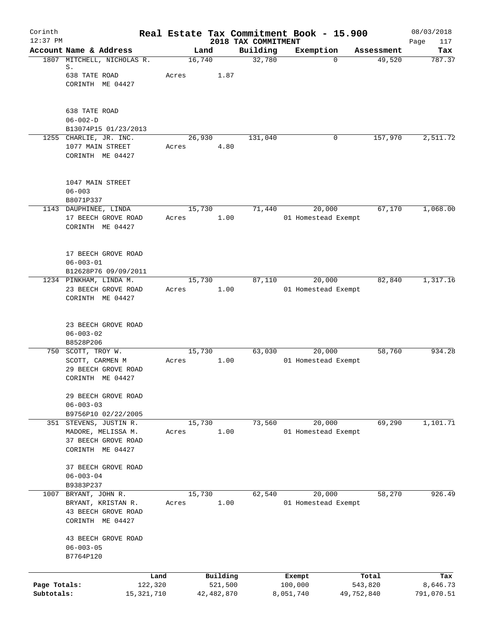| Corinth<br>$12:37$ PM      |                                                                                     |                 |                                 | Real Estate Tax Commitment Book - 15.900 |                       | 08/03/2018             |
|----------------------------|-------------------------------------------------------------------------------------|-----------------|---------------------------------|------------------------------------------|-----------------------|------------------------|
|                            | Account Name & Address                                                              | Land            | 2018 TAX COMMITMENT<br>Building | Exemption                                | Assessment            | Page<br>117<br>Tax     |
|                            | 1807 MITCHELL, NICHOLAS R.<br>S.<br>638 TATE ROAD<br>CORINTH ME 04427               | 16,740<br>Acres | 32,780<br>1.87                  | $\Omega$                                 | 49,520                | 787.37                 |
|                            | 638 TATE ROAD<br>$06 - 002 - D$<br>B13074P15 01/23/2013<br>1255 CHARLIE, JR. INC.   | 26,930          | 131,040                         | 0                                        | 157,970               | 2,511.72               |
|                            | 1077 MAIN STREET<br>CORINTH ME 04427<br>1047 MAIN STREET                            | Acres           | 4.80                            |                                          |                       |                        |
|                            | $06 - 003$<br>B8071P337                                                             |                 |                                 |                                          |                       |                        |
|                            | 1143 DAUPHINEE, LINDA<br>17 BEECH GROVE ROAD<br>CORINTH ME 04427                    | 15,730<br>Acres | 71,440<br>1.00                  | 20,000<br>01 Homestead Exempt            | 67,170                | 1,068.00               |
|                            | 17 BEECH GROVE ROAD<br>$06 - 003 - 01$<br>B12628P76 09/09/2011                      |                 |                                 |                                          |                       |                        |
|                            | 1234 PINKHAM, LINDA M.<br>23 BEECH GROVE ROAD<br>CORINTH ME 04427                   | 15,730<br>Acres | 87,110<br>1.00                  | 20,000<br>01 Homestead Exempt            | 82,840                | 1,317.16               |
|                            | 23 BEECH GROVE ROAD<br>$06 - 003 - 02$<br>B8528P206                                 |                 |                                 |                                          |                       |                        |
|                            | 750 SCOTT, TROY W.<br>SCOTT, CARMEN M<br>29 BEECH GROVE ROAD<br>CORINTH ME 04427    | 15,730<br>Acres | 63,030<br>1.00                  | 20,000<br>01 Homestead Exempt            | 58,760                | 934.28                 |
|                            | 29 BEECH GROVE ROAD<br>$06 - 003 - 03$<br>B9756P10 02/22/2005                       |                 |                                 |                                          |                       |                        |
| 351                        | STEVENS, JUSTIN R.<br>MADORE, MELISSA M.<br>37 BEECH GROVE ROAD<br>CORINTH ME 04427 | 15,730<br>Acres | 73,560<br>1.00                  | 20,000<br>01 Homestead Exempt            | 69,290                | 1,101.71               |
|                            | 37 BEECH GROVE ROAD<br>$06 - 003 - 04$<br>B9383P237                                 |                 |                                 |                                          |                       |                        |
| 1007                       | BRYANT, JOHN R.<br>BRYANT, KRISTAN R.<br>43 BEECH GROVE ROAD<br>CORINTH ME 04427    | 15,730<br>Acres | 62,540<br>1.00                  | 20,000<br>01 Homestead Exempt            | 58,270                | 926.49                 |
|                            | 43 BEECH GROVE ROAD<br>$06 - 003 - 05$<br>B7764P120                                 |                 |                                 |                                          |                       |                        |
|                            | Land                                                                                | Building        |                                 | Exempt                                   | Total                 | Tax                    |
| Page Totals:<br>Subtotals: | 122,320<br>15,321,710                                                               | 42, 482, 870    | 521,500                         | 100,000<br>8,051,740                     | 543,820<br>49,752,840 | 8,646.73<br>791,070.51 |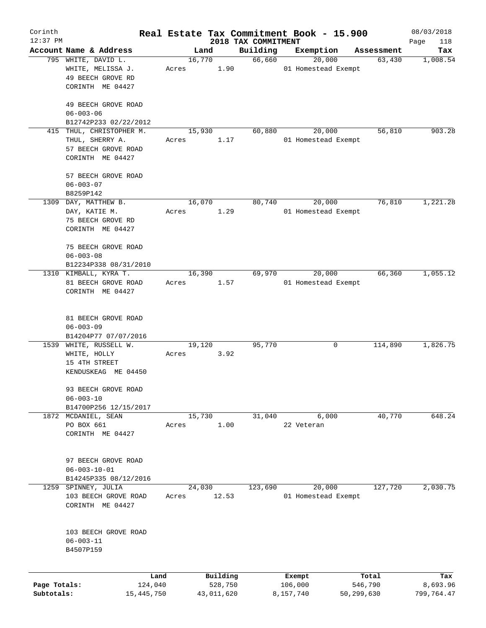| Corinth      |                                       |       |                     |                                 | Real Estate Tax Commitment Book - 15.900 |                  | 08/03/2018         |
|--------------|---------------------------------------|-------|---------------------|---------------------------------|------------------------------------------|------------------|--------------------|
| $12:37$ PM   | Account Name & Address                |       | Land                | 2018 TAX COMMITMENT<br>Building | Exemption                                | Assessment       | Page<br>118<br>Tax |
|              | 795 WHITE, DAVID L.                   |       | 16,770              | 66,660                          | 20,000                                   | 63,430           | 1,008.54           |
|              | WHITE, MELISSA J.                     | Acres | 1.90                |                                 | 01 Homestead Exempt                      |                  |                    |
|              | 49 BEECH GROVE RD                     |       |                     |                                 |                                          |                  |                    |
|              | CORINTH ME 04427                      |       |                     |                                 |                                          |                  |                    |
|              |                                       |       |                     |                                 |                                          |                  |                    |
|              | 49 BEECH GROVE ROAD                   |       |                     |                                 |                                          |                  |                    |
|              | $06 - 003 - 06$                       |       |                     |                                 |                                          |                  |                    |
|              | B12742P233 02/22/2012                 |       |                     |                                 |                                          |                  |                    |
|              | 415 THUL, CHRISTOPHER M.              |       | 15,930              | 60,880                          | 20,000                                   | 56,810           | 903.28             |
|              | THUL, SHERRY A.                       | Acres | 1.17                |                                 | 01 Homestead Exempt                      |                  |                    |
|              | 57 BEECH GROVE ROAD                   |       |                     |                                 |                                          |                  |                    |
|              | CORINTH ME 04427                      |       |                     |                                 |                                          |                  |                    |
|              |                                       |       |                     |                                 |                                          |                  |                    |
|              | 57 BEECH GROVE ROAD                   |       |                     |                                 |                                          |                  |                    |
|              | $06 - 003 - 07$                       |       |                     |                                 |                                          |                  |                    |
| 1309         | B8259P142                             |       |                     |                                 |                                          | 76,810           | 1,221.28           |
|              | DAY, MATTHEW B.                       |       | 16,070<br>1.29      | 80,740                          | 20,000                                   |                  |                    |
|              | DAY, KATIE M.                         | Acres |                     |                                 | 01 Homestead Exempt                      |                  |                    |
|              | 75 BEECH GROVE RD<br>CORINTH ME 04427 |       |                     |                                 |                                          |                  |                    |
|              |                                       |       |                     |                                 |                                          |                  |                    |
|              | 75 BEECH GROVE ROAD                   |       |                     |                                 |                                          |                  |                    |
|              | $06 - 003 - 08$                       |       |                     |                                 |                                          |                  |                    |
|              | B12234P338 08/31/2010                 |       |                     |                                 |                                          |                  |                    |
|              | 1310 KIMBALL, KYRA T.                 |       | 16,390              | 69,970                          | 20,000                                   | 66,360           | 1,055.12           |
|              | 81 BEECH GROVE ROAD                   | Acres | 1.57                |                                 | 01 Homestead Exempt                      |                  |                    |
|              | CORINTH ME 04427                      |       |                     |                                 |                                          |                  |                    |
|              |                                       |       |                     |                                 |                                          |                  |                    |
|              |                                       |       |                     |                                 |                                          |                  |                    |
|              | 81 BEECH GROVE ROAD                   |       |                     |                                 |                                          |                  |                    |
|              | $06 - 003 - 09$                       |       |                     |                                 |                                          |                  |                    |
|              | B14204P77 07/07/2016                  |       |                     |                                 |                                          |                  |                    |
| 1539         | WHITE, RUSSELL W.                     |       | 19,120              | 95,770                          | 0                                        | 114,890          | 1,826.75           |
|              | WHITE, HOLLY                          | Acres | 3.92                |                                 |                                          |                  |                    |
|              | 15 4TH STREET                         |       |                     |                                 |                                          |                  |                    |
|              | KENDUSKEAG ME 04450                   |       |                     |                                 |                                          |                  |                    |
|              | 93 BEECH GROVE ROAD                   |       |                     |                                 |                                          |                  |                    |
|              | $06 - 003 - 10$                       |       |                     |                                 |                                          |                  |                    |
|              | B14700P256 12/15/2017                 |       |                     |                                 |                                          |                  |                    |
|              | 1872 MCDANIEL, SEAN                   |       | 15,730              | 31,040                          | 6,000                                    | 40,770           | 648.24             |
|              | PO BOX 661                            | Acres | 1.00                |                                 | 22 Veteran                               |                  |                    |
|              | CORINTH ME 04427                      |       |                     |                                 |                                          |                  |                    |
|              |                                       |       |                     |                                 |                                          |                  |                    |
|              |                                       |       |                     |                                 |                                          |                  |                    |
|              | 97 BEECH GROVE ROAD                   |       |                     |                                 |                                          |                  |                    |
|              | $06 - 003 - 10 - 01$                  |       |                     |                                 |                                          |                  |                    |
|              | B14245P335 08/12/2016                 |       |                     |                                 |                                          |                  |                    |
| 1259         | SPINNEY, JULIA                        |       | 24,030              | 123,690                         | 20,000                                   | 127,720          | 2,030.75           |
|              | 103 BEECH GROVE ROAD                  | Acres | 12.53               |                                 | 01 Homestead Exempt                      |                  |                    |
|              | CORINTH ME 04427                      |       |                     |                                 |                                          |                  |                    |
|              |                                       |       |                     |                                 |                                          |                  |                    |
|              |                                       |       |                     |                                 |                                          |                  |                    |
|              | 103 BEECH GROVE ROAD                  |       |                     |                                 |                                          |                  |                    |
|              | $06 - 003 - 11$<br>B4507P159          |       |                     |                                 |                                          |                  |                    |
|              |                                       |       |                     |                                 |                                          |                  |                    |
|              |                                       |       |                     |                                 |                                          |                  |                    |
| Page Totals: | Land<br>124,040                       |       | Building<br>528,750 |                                 | Exempt<br>106,000                        | Total<br>546,790 | Tax<br>8,693.96    |
| Subtotals:   | 15, 445, 750                          |       | 43,011,620          |                                 | 8,157,740                                | 50,299,630       | 799,764.47         |
|              |                                       |       |                     |                                 |                                          |                  |                    |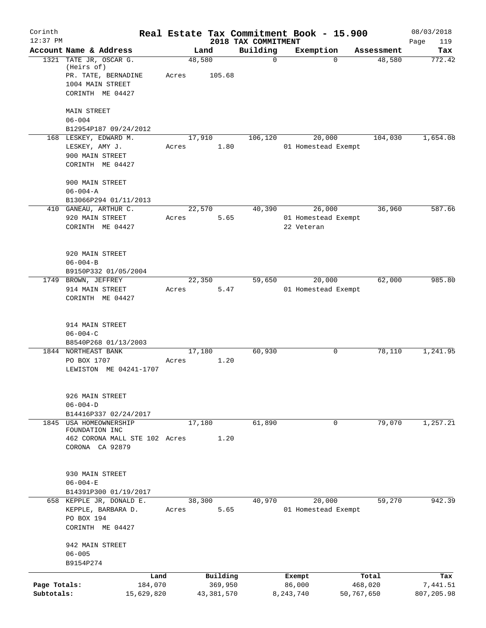| Corinth<br>$12:37$ PM      |                                                                                                     |       |                                     | Real Estate Tax Commitment Book - 15.900 |                                 |                               |                                | 08/03/2018                    |
|----------------------------|-----------------------------------------------------------------------------------------------------|-------|-------------------------------------|------------------------------------------|---------------------------------|-------------------------------|--------------------------------|-------------------------------|
|                            | Account Name & Address                                                                              |       | Land                                | 2018 TAX COMMITMENT<br>Building          | Exemption                       |                               | Assessment                     | Page<br>119<br>Tax            |
|                            | 1321 TATE JR, OSCAR G.<br>(Heirs of)<br>PR. TATE, BERNADINE<br>1004 MAIN STREET<br>CORINTH ME 04427 | Acres | 48,580<br>105.68                    | $\mathbf 0$                              |                                 | $\Omega$                      | 48,580                         | 772.42                        |
|                            | <b>MAIN STREET</b><br>$06 - 004$<br>B12954P187 09/24/2012                                           |       |                                     |                                          |                                 |                               |                                |                               |
|                            | 168 LESKEY, EDWARD M.<br>LESKEY, AMY J.<br>900 MAIN STREET<br>CORINTH ME 04427                      | Acres | 17,910<br>1.80                      | 106,120                                  |                                 | 20,000<br>01 Homestead Exempt | 104,030                        | 1,654.08                      |
|                            | 900 MAIN STREET<br>$06 - 004 - A$<br>B13066P294 01/11/2013                                          |       |                                     |                                          |                                 |                               |                                |                               |
|                            | 410 GANEAU, ARTHUR C.<br>920 MAIN STREET<br>CORINTH ME 04427                                        | Acres | 22,570<br>5.65                      | 40,390                                   | 22 Veteran                      | 26,000<br>01 Homestead Exempt | 36,960                         | 587.66                        |
|                            | 920 MAIN STREET<br>$06 - 004 - B$<br>B9150P332 01/05/2004                                           |       |                                     |                                          |                                 |                               |                                |                               |
|                            | 1749 BROWN, JEFFREY<br>914 MAIN STREET<br>CORINTH ME 04427                                          | Acres | 22,350<br>5.47                      | 59,650                                   |                                 | 20,000<br>01 Homestead Exempt | 62,000                         | 985.80                        |
|                            | 914 MAIN STREET<br>$06 - 004 - C$<br>B8540P268 01/13/2003                                           |       |                                     |                                          |                                 |                               |                                |                               |
|                            | 1844 NORTHEAST BANK<br>PO BOX 1707<br>LEWISTON ME 04241-1707                                        | Acres | 17,180<br>1.20                      | 60,930                                   |                                 | 0                             | 78,110                         | 1,241.95                      |
|                            | 926 MAIN STREET<br>$06 - 004 - D$<br>B14416P337 02/24/2017                                          |       |                                     |                                          |                                 |                               |                                |                               |
| 1845                       | USA HOMEOWNERSHIP<br>FOUNDATION INC<br>462 CORONA MALL STE 102 Acres<br>CORONA CA 92879             |       | 17,180<br>1.20                      | 61,890                                   |                                 | 0                             | 79,070                         | 1,257.21                      |
|                            | 930 MAIN STREET<br>$06 - 004 - E$                                                                   |       |                                     |                                          |                                 |                               |                                |                               |
|                            | B14391P300 01/19/2017                                                                               |       |                                     |                                          |                                 |                               |                                |                               |
|                            | 658 KEPPLE JR, DONALD E.<br>KEPPLE, BARBARA D.<br>PO BOX 194<br>CORINTH ME 04427                    | Acres | 38,300<br>5.65                      | 40,970                                   |                                 | 20,000<br>01 Homestead Exempt | 59,270                         | 942.39                        |
|                            | 942 MAIN STREET<br>$06 - 005$<br>B9154P274                                                          |       |                                     |                                          |                                 |                               |                                |                               |
| Page Totals:<br>Subtotals: | Land<br>184,070<br>15,629,820                                                                       |       | Building<br>369,950<br>43, 381, 570 |                                          | Exempt<br>86,000<br>8, 243, 740 |                               | Total<br>468,020<br>50,767,650 | Tax<br>7,441.51<br>807,205.98 |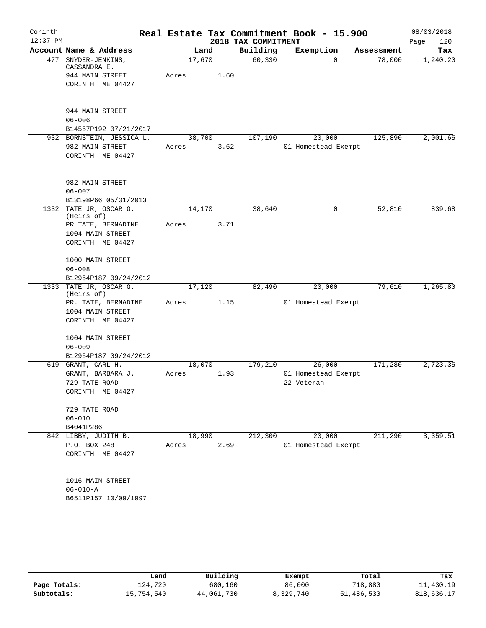| Corinth<br>$12:37$ PM |                                                        |        |      | 2018 TAX COMMITMENT | Real Estate Tax Commitment Book - 15.900 |            | 08/03/2018<br>Page<br>120 |
|-----------------------|--------------------------------------------------------|--------|------|---------------------|------------------------------------------|------------|---------------------------|
|                       | Account Name & Address                                 | Land   |      | Building            | Exemption                                | Assessment | Tax                       |
|                       | 477 SNYDER-JENKINS,<br>CASSANDRA E.                    | 17,670 |      | 60, 330             | 0                                        | 78,000     | 1,240.20                  |
|                       | 944 MAIN STREET<br>CORINTH ME 04427                    | Acres  | 1.60 |                     |                                          |            |                           |
|                       | 944 MAIN STREET<br>$06 - 006$<br>B14557P192 07/21/2017 |        |      |                     |                                          |            |                           |
|                       | 932 BORNSTEIN, JESSICA L.                              | 38,700 |      | 107,190             | 20,000                                   | 125,890    | 2,001.65                  |
|                       | 982 MAIN STREET<br>CORINTH ME 04427                    | Acres  | 3.62 |                     | 01 Homestead Exempt                      |            |                           |
|                       | 982 MAIN STREET<br>$06 - 007$                          |        |      |                     |                                          |            |                           |
|                       | B13198P66 05/31/2013<br>1332 TATE JR, OSCAR G.         | 14,170 |      | 38,640              | 0                                        | 52,810     | 839.68                    |
|                       | (Heirs of)                                             |        |      |                     |                                          |            |                           |
|                       | PR TATE, BERNADINE                                     | Acres  | 3.71 |                     |                                          |            |                           |
|                       | 1004 MAIN STREET<br>CORINTH ME 04427                   |        |      |                     |                                          |            |                           |
|                       | 1000 MAIN STREET                                       |        |      |                     |                                          |            |                           |
|                       | $06 - 008$                                             |        |      |                     |                                          |            |                           |
|                       | B12954P187 09/24/2012<br>1333 TATE JR, OSCAR G.        |        |      |                     |                                          | 79,610     | 1,265.80                  |
|                       | (Heirs of)                                             | 17,120 |      | 82,490              | 20,000                                   |            |                           |
|                       | PR. TATE, BERNADINE                                    | Acres  | 1.15 |                     | 01 Homestead Exempt                      |            |                           |
|                       | 1004 MAIN STREET<br>CORINTH ME 04427                   |        |      |                     |                                          |            |                           |
|                       | 1004 MAIN STREET                                       |        |      |                     |                                          |            |                           |
|                       | $06 - 009$                                             |        |      |                     |                                          |            |                           |
| 619                   | B12954P187 09/24/2012<br>GRANT, CARL H.                | 18,070 |      | 179,210             | 26,000                                   | 171,280    | 2,723.35                  |
|                       | GRANT, BARBARA J.                                      | Acres  | 1.93 |                     | 01 Homestead Exempt                      |            |                           |
|                       | 729 TATE ROAD                                          |        |      |                     | 22 Veteran                               |            |                           |
|                       | CORINTH ME 04427                                       |        |      |                     |                                          |            |                           |
|                       | 729 TATE ROAD                                          |        |      |                     |                                          |            |                           |
|                       | $06 - 010$<br>B4041P286                                |        |      |                     |                                          |            |                           |
|                       | 842 LIBBY, JUDITH B.                                   | 18,990 |      | 212,300             | 20,000                                   | 211,290    | 3,359.51                  |
|                       | P.O. BOX 248<br>CORINTH ME 04427                       | Acres  | 2.69 |                     | 01 Homestead Exempt                      |            |                           |
|                       | 1016 MAIN STREET                                       |        |      |                     |                                          |            |                           |
|                       | $06 - 010 - A$                                         |        |      |                     |                                          |            |                           |
|                       | B6511P157 10/09/1997                                   |        |      |                     |                                          |            |                           |

|              | Land       | Building   | Exempt    | Total      | Tax        |
|--------------|------------|------------|-----------|------------|------------|
| Page Totals: | 124,720    | 680,160    | 86,000    | 718,880    | 11,430.19  |
| Subtotals:   | 15,754,540 | 44,061,730 | 8,329,740 | 51,486,530 | 818,636.17 |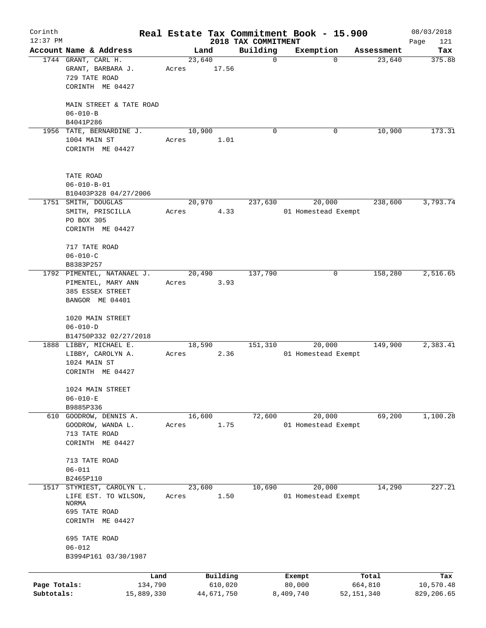| Corinth      |                                              |       |                |                                 | Real Estate Tax Commitment Book - 15.900 |            | 08/03/2018         |
|--------------|----------------------------------------------|-------|----------------|---------------------------------|------------------------------------------|------------|--------------------|
| $12:37$ PM   | Account Name & Address                       |       | Land           | 2018 TAX COMMITMENT<br>Building | Exemption                                | Assessment | Page<br>121<br>Tax |
|              | 1744 GRANT, CARL H.                          |       | 23,640         | $\mathbf 0$                     | $\mathbf 0$                              | 23,640     | 375.88             |
|              | GRANT, BARBARA J.                            | Acres | 17.56          |                                 |                                          |            |                    |
|              | 729 TATE ROAD                                |       |                |                                 |                                          |            |                    |
|              | CORINTH ME 04427                             |       |                |                                 |                                          |            |                    |
|              |                                              |       |                |                                 |                                          |            |                    |
|              | MAIN STREET & TATE ROAD                      |       |                |                                 |                                          |            |                    |
|              | $06 - 010 - B$                               |       |                |                                 |                                          |            |                    |
|              | B4041P286                                    |       |                |                                 |                                          |            |                    |
|              | 1956 TATE, BERNARDINE J.                     |       | 10,900         | $\Omega$                        | 0                                        | 10,900     | 173.31             |
|              | 1004 MAIN ST                                 | Acres | 1.01           |                                 |                                          |            |                    |
|              | CORINTH ME 04427                             |       |                |                                 |                                          |            |                    |
|              |                                              |       |                |                                 |                                          |            |                    |
|              |                                              |       |                |                                 |                                          |            |                    |
|              | TATE ROAD                                    |       |                |                                 |                                          |            |                    |
|              | $06 - 010 - B - 01$                          |       |                |                                 |                                          |            |                    |
|              | B10403P328 04/27/2006                        |       |                |                                 |                                          |            |                    |
|              | 1751 SMITH, DOUGLAS                          |       | 20,970         | 237,630                         | 20,000                                   | 238,600    | 3,793.74           |
|              | SMITH, PRISCILLA                             | Acres | 4.33           |                                 | 01 Homestead Exempt                      |            |                    |
|              | PO BOX 305                                   |       |                |                                 |                                          |            |                    |
|              | CORINTH ME 04427                             |       |                |                                 |                                          |            |                    |
|              |                                              |       |                |                                 |                                          |            |                    |
|              | 717 TATE ROAD                                |       |                |                                 |                                          |            |                    |
|              | $06 - 010 - C$                               |       |                |                                 |                                          |            |                    |
|              | B8383P257                                    |       |                |                                 |                                          |            |                    |
|              | 1792 PIMENTEL, NATANAEL J.                   |       | 20,490         | 137,790                         | 0                                        | 158,280    | 2,516.65           |
|              | PIMENTEL, MARY ANN<br>385 ESSEX STREET       | Acres | 3.93           |                                 |                                          |            |                    |
|              | BANGOR ME 04401                              |       |                |                                 |                                          |            |                    |
|              |                                              |       |                |                                 |                                          |            |                    |
|              | 1020 MAIN STREET                             |       |                |                                 |                                          |            |                    |
|              | $06 - 010 - D$                               |       |                |                                 |                                          |            |                    |
|              | B14750P332 02/27/2018                        |       |                |                                 |                                          |            |                    |
|              | 1888 LIBBY, MICHAEL E.                       |       | 18,590         | 151,310                         | 20,000                                   | 149,900    | 2,383.41           |
|              | LIBBY, CAROLYN A.                            | Acres | 2.36           |                                 | 01 Homestead Exempt                      |            |                    |
|              | 1024 MAIN ST                                 |       |                |                                 |                                          |            |                    |
|              | CORINTH ME 04427                             |       |                |                                 |                                          |            |                    |
|              |                                              |       |                |                                 |                                          |            |                    |
|              | 1024 MAIN STREET                             |       |                |                                 |                                          |            |                    |
|              | $06 - 010 - E$                               |       |                |                                 |                                          |            |                    |
|              | B9885P336                                    |       |                |                                 |                                          |            |                    |
| 610          | GOODROW, DENNIS A.                           |       | 16,600         | 72,600                          | 20,000                                   | 69,200     | 1,100.28           |
|              | GOODROW, WANDA L.                            | Acres | 1.75           |                                 | 01 Homestead Exempt                      |            |                    |
|              | 713 TATE ROAD                                |       |                |                                 |                                          |            |                    |
|              | CORINTH ME 04427                             |       |                |                                 |                                          |            |                    |
|              |                                              |       |                |                                 |                                          |            |                    |
|              | 713 TATE ROAD                                |       |                |                                 |                                          |            |                    |
|              | $06 - 011$                                   |       |                |                                 |                                          |            |                    |
| 1517         | B2465P110                                    |       |                |                                 |                                          | 14,290     | 227.21             |
|              | STYMIEST, CAROLYN L.<br>LIFE EST. TO WILSON, |       | 23,600<br>1.50 | 10,690                          | 20,000<br>01 Homestead Exempt            |            |                    |
|              | <b>NORMA</b>                                 | Acres |                |                                 |                                          |            |                    |
|              | 695 TATE ROAD                                |       |                |                                 |                                          |            |                    |
|              | CORINTH ME 04427                             |       |                |                                 |                                          |            |                    |
|              |                                              |       |                |                                 |                                          |            |                    |
|              | 695 TATE ROAD                                |       |                |                                 |                                          |            |                    |
|              | $06 - 012$                                   |       |                |                                 |                                          |            |                    |
|              | B3994P161 03/30/1987                         |       |                |                                 |                                          |            |                    |
|              |                                              |       |                |                                 |                                          |            |                    |
|              | Land                                         |       | Building       |                                 | Exempt                                   | Total      | Tax                |
| Page Totals: | 134,790                                      |       | 610,020        |                                 | 80,000                                   | 664,810    | 10,570.48          |
| Subtotals:   | 15,889,330                                   |       | 44,671,750     |                                 | 8,409,740                                | 52,151,340 | 829,206.65         |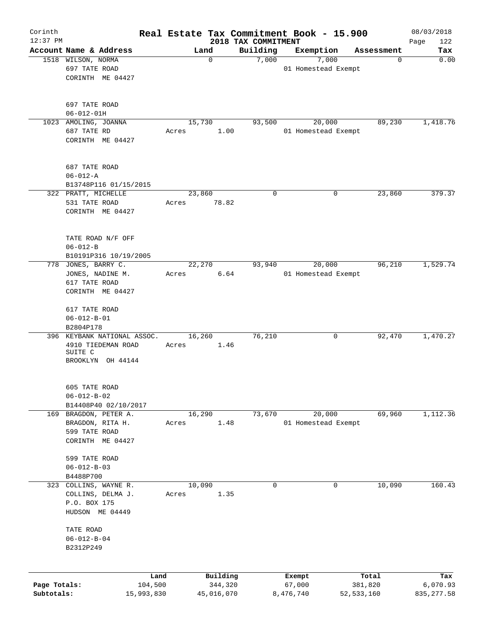| Corinth                    |                                                                                              | Real Estate Tax Commitment Book - 15.900 |                       |                                 |                     |                               |                         | 08/03/2018              |
|----------------------------|----------------------------------------------------------------------------------------------|------------------------------------------|-----------------------|---------------------------------|---------------------|-------------------------------|-------------------------|-------------------------|
| $12:37$ PM                 | Account Name & Address                                                                       | Land                                     |                       | 2018 TAX COMMITMENT<br>Building |                     | Exemption                     | Assessment              | 122<br>Page<br>Tax      |
|                            | 1518 WILSON, NORMA<br>697 TATE ROAD<br>CORINTH ME 04427                                      |                                          | $\mathbf 0$           | 7,000                           |                     | 7,000<br>01 Homestead Exempt  | 0                       | 0.00                    |
|                            | 697 TATE ROAD<br>$06 - 012 - 01H$<br>1023 AMOLING, JOANNA<br>687 TATE RD<br>CORINTH ME 04427 | 15,730<br>Acres                          | 1.00                  | 93,500                          |                     | 20,000<br>01 Homestead Exempt | 89,230                  | 1,418.76                |
|                            | 687 TATE ROAD<br>$06 - 012 - A$<br>B13748P116 01/15/2015                                     |                                          |                       |                                 |                     |                               |                         |                         |
|                            | 322 PRATT, MICHELLE<br>531 TATE ROAD<br>CORINTH ME 04427                                     | 23,860<br>Acres                          | 78.82                 | $\mathbf 0$                     |                     | 0                             | 23,860                  | 379.37                  |
|                            | TATE ROAD N/F OFF<br>$06 - 012 - B$<br>B10191P316 10/19/2005                                 |                                          |                       |                                 |                     |                               |                         |                         |
|                            | 778 JONES, BARRY C.<br>JONES, NADINE M.<br>617 TATE ROAD<br>CORINTH ME 04427                 | 22,270<br>Acres                          | 6.64                  | 93,940                          |                     | 20,000<br>01 Homestead Exempt | 96,210                  | 1,529.74                |
|                            | 617 TATE ROAD<br>$06 - 012 - B - 01$<br>B2804P178                                            |                                          |                       |                                 |                     |                               |                         |                         |
|                            | 396 KEYBANK NATIONAL ASSOC.<br>4910 TIEDEMAN ROAD<br>SUITE C<br>BROOKLYN OH 44144            | 16,260<br>Acres                          | 1.46                  | 76,210                          |                     | 0                             | 92,470                  | 1,470.27                |
|                            | 605 TATE ROAD<br>$06 - 012 - B - 02$<br>B14408P40 02/10/2017                                 |                                          |                       |                                 |                     |                               |                         |                         |
|                            | 169 BRAGDON, PETER A.<br>BRAGDON, RITA H.<br>599 TATE ROAD<br>CORINTH ME 04427               | 16,290<br>Acres                          | 1.48                  | 73,670                          |                     | 20,000<br>01 Homestead Exempt | 69,960                  | 1,112.36                |
|                            | 599 TATE ROAD<br>$06 - 012 - B - 03$<br>B4488P700                                            |                                          |                       | $\mathbf 0$                     |                     |                               |                         |                         |
|                            | 323 COLLINS, WAYNE R.<br>COLLINS, DELMA J.<br>P.O. BOX 175<br>HUDSON ME 04449                | 10,090<br>Acres                          | 1.35                  |                                 |                     | 0                             | 10,090                  | 160.43                  |
|                            | TATE ROAD<br>$06 - 012 - B - 04$<br>B2312P249                                                |                                          |                       |                                 |                     |                               |                         |                         |
|                            | Land                                                                                         |                                          | Building              |                                 | Exempt              |                               | Total                   | Tax                     |
| Page Totals:<br>Subtotals: | 104,500<br>15,993,830                                                                        |                                          | 344,320<br>45,016,070 |                                 | 67,000<br>8,476,740 |                               | 381,820<br>52, 533, 160 | 6,070.93<br>835, 277.58 |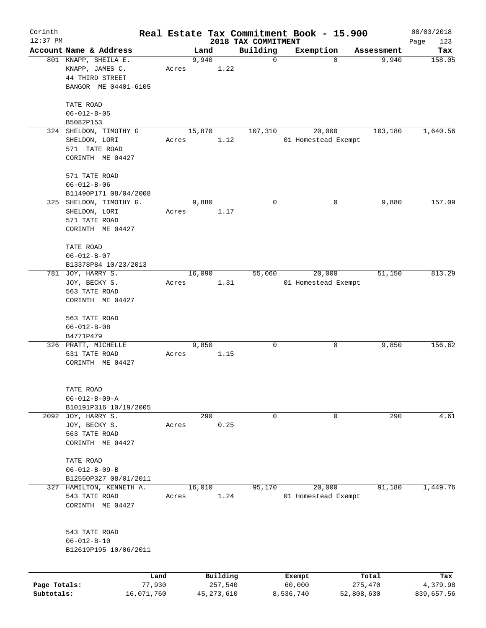| Corinth      |                                     |            |       |        |              |                                 | Real Estate Tax Commitment Book - 15.900 |                     | 08/03/2018    |
|--------------|-------------------------------------|------------|-------|--------|--------------|---------------------------------|------------------------------------------|---------------------|---------------|
| $12:37$ PM   | Account Name & Address              |            |       | Land   |              | 2018 TAX COMMITMENT<br>Building | Exemption                                |                     | Page<br>123   |
|              | 801 KNAPP, SHEILA E.                |            |       | 9,940  |              | 0                               | $\Omega$                                 | Assessment<br>9,940 | Tax<br>158.05 |
|              | KNAPP, JAMES C.                     |            | Acres |        | 1.22         |                                 |                                          |                     |               |
|              | 44 THIRD STREET                     |            |       |        |              |                                 |                                          |                     |               |
|              | BANGOR ME 04401-6105                |            |       |        |              |                                 |                                          |                     |               |
|              |                                     |            |       |        |              |                                 |                                          |                     |               |
|              | TATE ROAD                           |            |       |        |              |                                 |                                          |                     |               |
|              | $06 - 012 - B - 05$                 |            |       |        |              |                                 |                                          |                     |               |
|              | B5082P153                           |            |       |        |              |                                 |                                          |                     |               |
| 324          | SHELDON, TIMOTHY G<br>SHELDON, LORI |            |       | 15,870 |              | 107,310                         | 20,000                                   | 103,180             | 1,640.56      |
|              | 571 TATE ROAD                       |            | Acres |        | 1.12         |                                 | 01 Homestead Exempt                      |                     |               |
|              | CORINTH ME 04427                    |            |       |        |              |                                 |                                          |                     |               |
|              |                                     |            |       |        |              |                                 |                                          |                     |               |
|              | 571 TATE ROAD                       |            |       |        |              |                                 |                                          |                     |               |
|              | $06 - 012 - B - 06$                 |            |       |        |              |                                 |                                          |                     |               |
|              | B11490P171 08/04/2008               |            |       |        |              |                                 |                                          |                     |               |
|              | 325 SHELDON, TIMOTHY G.             |            |       | 9,880  |              | 0                               | $\mathbf 0$                              | 9,880               | 157.09        |
|              | SHELDON, LORI                       |            | Acres |        | 1.17         |                                 |                                          |                     |               |
|              | 571 TATE ROAD                       |            |       |        |              |                                 |                                          |                     |               |
|              | CORINTH ME 04427                    |            |       |        |              |                                 |                                          |                     |               |
|              | TATE ROAD                           |            |       |        |              |                                 |                                          |                     |               |
|              | $06 - 012 - B - 07$                 |            |       |        |              |                                 |                                          |                     |               |
|              | B13378P84 10/23/2013                |            |       |        |              |                                 |                                          |                     |               |
| 781          | JOY, HARRY S.                       |            |       | 16,090 |              | 55,060                          | 20,000                                   | 51,150              | 813.29        |
|              | JOY, BECKY S.                       |            | Acres |        | 1.31         |                                 | 01 Homestead Exempt                      |                     |               |
|              | 563 TATE ROAD                       |            |       |        |              |                                 |                                          |                     |               |
|              | CORINTH ME 04427                    |            |       |        |              |                                 |                                          |                     |               |
|              |                                     |            |       |        |              |                                 |                                          |                     |               |
|              | 563 TATE ROAD                       |            |       |        |              |                                 |                                          |                     |               |
|              | $06 - 012 - B - 08$                 |            |       |        |              |                                 |                                          |                     |               |
|              | B4771P479<br>326 PRATT, MICHELLE    |            |       | 9,850  |              | 0                               | 0                                        | 9,850               | 156.62        |
|              | 531 TATE ROAD                       |            | Acres |        | 1.15         |                                 |                                          |                     |               |
|              | CORINTH ME 04427                    |            |       |        |              |                                 |                                          |                     |               |
|              |                                     |            |       |        |              |                                 |                                          |                     |               |
|              |                                     |            |       |        |              |                                 |                                          |                     |               |
|              | TATE ROAD                           |            |       |        |              |                                 |                                          |                     |               |
|              | $06 - 012 - B - 09 - A$             |            |       |        |              |                                 |                                          |                     |               |
|              | B10191P316 10/19/2005               |            |       |        |              |                                 |                                          |                     |               |
|              | 2092 JOY, HARRY S.                  |            |       | 290    |              | 0                               | 0                                        | 290                 | 4.61          |
|              | JOY, BECKY S.                       |            | Acres |        | 0.25         |                                 |                                          |                     |               |
|              | 563 TATE ROAD<br>CORINTH ME 04427   |            |       |        |              |                                 |                                          |                     |               |
|              |                                     |            |       |        |              |                                 |                                          |                     |               |
|              | TATE ROAD                           |            |       |        |              |                                 |                                          |                     |               |
|              | $06 - 012 - B - 09 - B$             |            |       |        |              |                                 |                                          |                     |               |
|              | B12550P327 08/01/2011               |            |       |        |              |                                 |                                          |                     |               |
|              | 327 HAMILTON, KENNETH A.            |            |       | 16,010 |              | 95,170                          | 20,000                                   | 91,180              | 1,449.76      |
|              | 543 TATE ROAD                       |            | Acres |        | 1.24         |                                 | 01 Homestead Exempt                      |                     |               |
|              | CORINTH ME 04427                    |            |       |        |              |                                 |                                          |                     |               |
|              |                                     |            |       |        |              |                                 |                                          |                     |               |
|              | 543 TATE ROAD                       |            |       |        |              |                                 |                                          |                     |               |
|              | $06 - 012 - B - 10$                 |            |       |        |              |                                 |                                          |                     |               |
|              | B12619P195 10/06/2011               |            |       |        |              |                                 |                                          |                     |               |
|              |                                     |            |       |        |              |                                 |                                          |                     |               |
|              |                                     | Land       |       |        | Building     |                                 | Exempt                                   | Total               | Tax           |
| Page Totals: |                                     | 77,930     |       |        | 257,540      |                                 | 60,000                                   | 275,470             | 4,379.98      |
| Subtotals:   |                                     | 16,071,760 |       |        | 45, 273, 610 |                                 | 8,536,740                                | 52,808,630          | 839,657.56    |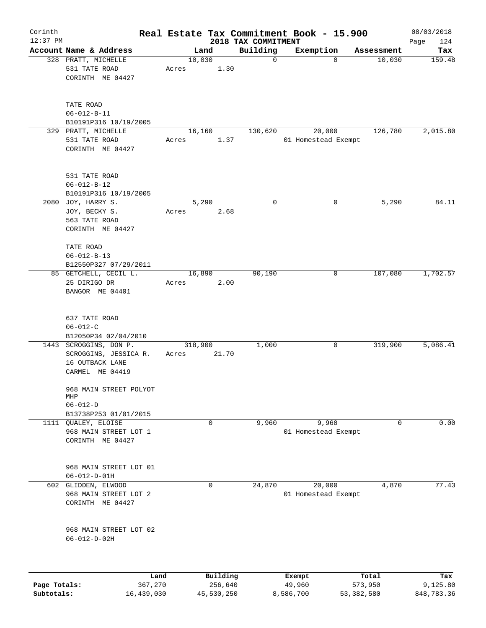| Corinth      |                                                                                       |                 |         |                     | Real Estate Tax Commitment Book - 15.900 |                  |                               |                  | 08/03/2018         |
|--------------|---------------------------------------------------------------------------------------|-----------------|---------|---------------------|------------------------------------------|------------------|-------------------------------|------------------|--------------------|
| $12:37$ PM   | Account Name & Address                                                                |                 | Land    |                     | 2018 TAX COMMITMENT<br>Building          |                  | Exemption                     | Assessment       | Page<br>124<br>Tax |
|              | 328 PRATT, MICHELLE<br>531 TATE ROAD<br>CORINTH ME 04427                              | Acres           | 10,030  | 1.30                |                                          | $\mathbf 0$      | $\mathbf 0$                   | 10,030           | 159.48             |
|              | TATE ROAD<br>$06 - 012 - B - 11$<br>B10191P316 10/19/2005<br>329 PRATT, MICHELLE      |                 | 16,160  |                     | 130,620                                  |                  | 20,000                        | 126,780          | 2,015.80           |
|              | 531 TATE ROAD<br>CORINTH ME 04427                                                     | Acres           |         | 1.37                |                                          |                  | 01 Homestead Exempt           |                  |                    |
|              | 531 TATE ROAD<br>$06 - 012 - B - 12$<br>B10191P316 10/19/2005                         |                 |         |                     |                                          |                  |                               |                  |                    |
|              | 2080 JOY, HARRY S.<br>JOY, BECKY S.<br>563 TATE ROAD<br>CORINTH ME 04427              | Acres           | 5,290   | 2.68                |                                          | 0                | 0                             | 5,290            | 84.11              |
|              | TATE ROAD<br>$06 - 012 - B - 13$<br>B12550P327 07/29/2011                             |                 |         |                     |                                          |                  |                               |                  |                    |
|              | 85 GETCHELL, CECIL L.<br>25 DIRIGO DR<br>BANGOR ME 04401                              | Acres           | 16,890  | 2.00                | 90,190                                   |                  | 0                             | 107,080          | 1,702.57           |
|              | 637 TATE ROAD<br>$06 - 012 - C$<br>B12050P34 02/04/2010                               |                 |         |                     |                                          |                  |                               |                  |                    |
|              | 1443 SCROGGINS, DON P.<br>SCROGGINS, JESSICA R.<br>16 OUTBACK LANE<br>CARMEL ME 04419 | Acres           | 318,900 | 21.70               | 1,000                                    |                  | 0                             | 319,900          | 5,086.41           |
|              | 968 MAIN STREET POLYOT<br>MHP<br>$06 - 012 - D$                                       |                 |         |                     |                                          |                  |                               |                  |                    |
| 1111         | B13738P253 01/01/2015<br>QUALEY, ELOISE<br>968 MAIN STREET LOT 1<br>CORINTH ME 04427  |                 |         | 0                   | 9,960                                    |                  | 9,960<br>01 Homestead Exempt  | $\Omega$         | 0.00               |
|              | 968 MAIN STREET LOT 01<br>$06 - 012 - D - 01H$                                        |                 |         |                     |                                          |                  |                               |                  |                    |
|              | 602 GLIDDEN, ELWOOD<br>968 MAIN STREET LOT 2<br>CORINTH ME 04427                      |                 |         | $\mathbf 0$         | 24,870                                   |                  | 20,000<br>01 Homestead Exempt | 4,870            | 77.43              |
|              | 968 MAIN STREET LOT 02<br>$06 - 012 - D - 02H$                                        |                 |         |                     |                                          |                  |                               |                  |                    |
| Page Totals: |                                                                                       | Land<br>367,270 |         | Building<br>256,640 |                                          | Exempt<br>49,960 |                               | Total<br>573,950 | Tax<br>9,125.80    |
| Subtotals:   | 16,439,030                                                                            |                 |         | 45,530,250          |                                          | 8,586,700        |                               | 53,382,580       | 848,783.36         |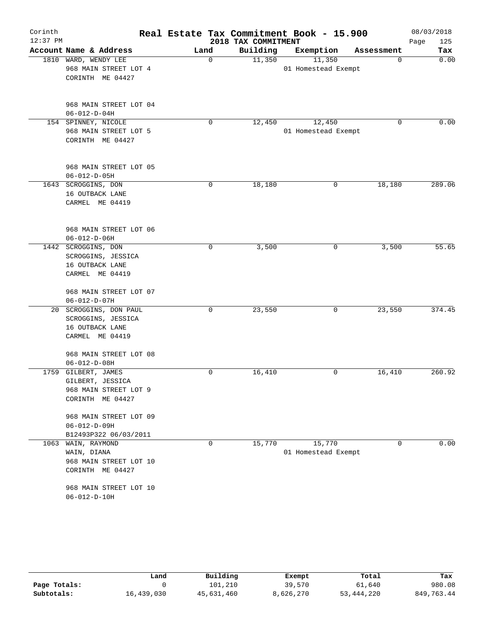| Corinth    |                        |             |                     | Real Estate Tax Commitment Book - 15.900 |            | 08/03/2018  |
|------------|------------------------|-------------|---------------------|------------------------------------------|------------|-------------|
| $12:37$ PM |                        |             | 2018 TAX COMMITMENT |                                          |            | 125<br>Page |
|            | Account Name & Address | Land        | Building            | Exemption                                | Assessment | Tax         |
|            | 1810 WARD, WENDY LEE   | $\mathbf 0$ | 11,350              | 11,350                                   | 0          | 0.00        |
|            | 968 MAIN STREET LOT 4  |             |                     | 01 Homestead Exempt                      |            |             |
|            | CORINTH ME 04427       |             |                     |                                          |            |             |
|            | 968 MAIN STREET LOT 04 |             |                     |                                          |            |             |
|            | $06 - 012 - D - 04H$   |             |                     |                                          |            |             |
|            | 154 SPINNEY, NICOLE    | 0           | 12,450              | 12,450                                   | $\Omega$   | 0.00        |
|            | 968 MAIN STREET LOT 5  |             |                     | 01 Homestead Exempt                      |            |             |
|            | CORINTH ME 04427       |             |                     |                                          |            |             |
|            | 968 MAIN STREET LOT 05 |             |                     |                                          |            |             |
|            | $06 - 012 - D - 05H$   |             |                     |                                          |            |             |
|            | 1643 SCROGGINS, DON    | 0           | 18,180              | 0                                        | 18,180     | 289.06      |
|            | 16 OUTBACK LANE        |             |                     |                                          |            |             |
|            | CARMEL ME 04419        |             |                     |                                          |            |             |
|            | 968 MAIN STREET LOT 06 |             |                     |                                          |            |             |
|            | $06 - 012 - D - 06H$   |             |                     |                                          |            |             |
|            | 1442 SCROGGINS, DON    | 0           | 3,500               | 0                                        | 3,500      | 55.65       |
|            | SCROGGINS, JESSICA     |             |                     |                                          |            |             |
|            | 16 OUTBACK LANE        |             |                     |                                          |            |             |
|            | CARMEL ME 04419        |             |                     |                                          |            |             |
|            | 968 MAIN STREET LOT 07 |             |                     |                                          |            |             |
|            | $06 - 012 - D - 07H$   |             |                     |                                          |            |             |
|            | 20 SCROGGINS, DON PAUL | 0           | 23,550              | 0                                        | 23,550     | 374.45      |
|            | SCROGGINS, JESSICA     |             |                     |                                          |            |             |
|            | 16 OUTBACK LANE        |             |                     |                                          |            |             |
|            | CARMEL ME 04419        |             |                     |                                          |            |             |
|            | 968 MAIN STREET LOT 08 |             |                     |                                          |            |             |
|            | $06 - 012 - D - 08H$   |             |                     |                                          |            |             |
|            | 1759 GILBERT, JAMES    | 0           | 16,410              | 0                                        | 16,410     | 260.92      |
|            | GILBERT, JESSICA       |             |                     |                                          |            |             |
|            | 968 MAIN STREET LOT 9  |             |                     |                                          |            |             |
|            | CORINTH ME 04427       |             |                     |                                          |            |             |
|            | 968 MAIN STREET LOT 09 |             |                     |                                          |            |             |
|            | $06 - 012 - D - 09H$   |             |                     |                                          |            |             |
|            | B12493P322 06/03/2011  |             |                     |                                          |            |             |
| 1063       | WAIN, RAYMOND          | 0           | 15,770              | 15,770                                   | 0          | 0.00        |
|            | WAIN, DIANA            |             |                     | 01 Homestead Exempt                      |            |             |
|            | 968 MAIN STREET LOT 10 |             |                     |                                          |            |             |
|            | CORINTH ME 04427       |             |                     |                                          |            |             |
|            | 968 MAIN STREET LOT 10 |             |                     |                                          |            |             |
|            | $06 - 012 - D - 10H$   |             |                     |                                          |            |             |

|              | Land       | Building   | Exempt    | Total        | Tax        |
|--------------|------------|------------|-----------|--------------|------------|
| Page Totals: |            | 101,210    | 39,570    | 61,640       | 980.08     |
| Subtotals:   | 16,439,030 | 45,631,460 | 8,626,270 | 53, 444, 220 | 849,763.44 |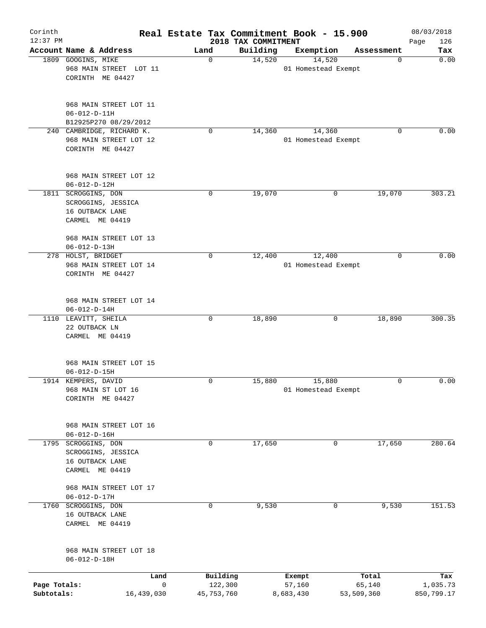| Corinth<br>$12:37$ PM      |                                                                                 |              |                       | 2018 TAX COMMITMENT | Real Estate Tax Commitment Book - 15.900 |                      | 08/03/2018<br>Page<br>126 |
|----------------------------|---------------------------------------------------------------------------------|--------------|-----------------------|---------------------|------------------------------------------|----------------------|---------------------------|
|                            | Account Name & Address                                                          | Land         |                       | Building            | Exemption                                | Assessment           | Tax                       |
|                            | 1809 GOOGINS, MIKE<br>968 MAIN STREET LOT 11<br>CORINTH ME 04427                |              | 0                     | 14,520              | 14,520<br>01 Homestead Exempt            | 0                    | 0.00                      |
|                            | 968 MAIN STREET LOT 11<br>$06 - 012 - D - 11H$<br>B12925P270 08/29/2012         |              |                       |                     |                                          |                      |                           |
| 240                        | CAMBRIDGE, RICHARD K.<br>968 MAIN STREET LOT 12<br>CORINTH ME 04427             |              | 0                     | 14,360              | 14,360<br>01 Homestead Exempt            | 0                    | 0.00                      |
|                            | 968 MAIN STREET LOT 12<br>$06 - 012 - D - 12H$                                  |              |                       |                     |                                          |                      |                           |
|                            | 1811 SCROGGINS, DON<br>SCROGGINS, JESSICA<br>16 OUTBACK LANE<br>CARMEL ME 04419 |              | $\mathbf 0$           | 19,070              |                                          | 19,070<br>0          | 303.21                    |
|                            | 968 MAIN STREET LOT 13<br>$06 - 012 - D - 13H$                                  |              |                       |                     |                                          |                      |                           |
|                            | 278 HOLST, BRIDGET<br>968 MAIN STREET LOT 14<br>CORINTH ME 04427                |              | 0                     | 12,400              | 12,400<br>01 Homestead Exempt            | $\mathbf 0$          | 0.00                      |
|                            | 968 MAIN STREET LOT 14<br>$06 - 012 - D - 14H$                                  |              |                       |                     |                                          |                      |                           |
|                            | 1110 LEAVITT, SHEILA<br>22 OUTBACK LN<br>CARMEL ME 04419                        |              | $\mathbf 0$           | 18,890              |                                          | 18,890<br>0          | 300.35                    |
|                            | 968 MAIN STREET LOT 15<br>$06 - 012 - D - 15H$                                  |              |                       |                     |                                          |                      |                           |
|                            | 1914 KEMPERS, DAVID<br>968 MAIN ST LOT 16<br>CORINTH ME 04427                   |              | $\mathbf 0$           | 15,880              | 15,880<br>01 Homestead Exempt            | 0                    | 0.00                      |
|                            | 968 MAIN STREET LOT 16<br>$06 - 012 - D - 16H$                                  |              |                       |                     |                                          |                      |                           |
| 1795                       | SCROGGINS, DON<br>SCROGGINS, JESSICA<br>16 OUTBACK LANE<br>CARMEL ME 04419      |              | 0                     | 17,650              |                                          | 17,650<br>0          | 280.64                    |
|                            | 968 MAIN STREET LOT 17<br>$06 - 012 - D - 17H$                                  |              |                       |                     |                                          |                      |                           |
| 1760                       | SCROGGINS, DON<br>16 OUTBACK LANE<br>CARMEL ME 04419                            |              | 0                     | 9,530               | 0                                        | 9,530                | 151.53                    |
|                            | 968 MAIN STREET LOT 18<br>$06 - 012 - D - 18H$                                  |              |                       |                     |                                          |                      |                           |
|                            |                                                                                 | Land         | Building              |                     | Exempt                                   | Total                | Tax                       |
| Page Totals:<br>Subtotals: | 16,439,030                                                                      | $\mathsf{O}$ | 122,300<br>45,753,760 |                     | 57,160<br>8,683,430                      | 65,140<br>53,509,360 | 1,035.73<br>850,799.17    |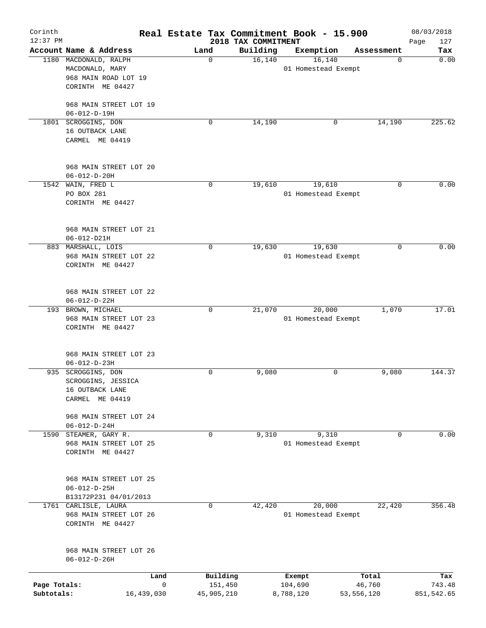| Corinth<br>$12:37$ PM      |                                                                                      | Real Estate Tax Commitment Book - 15.900 | 2018 TAX COMMITMENT |                                |                                 | 08/03/2018<br>127<br>Page   |
|----------------------------|--------------------------------------------------------------------------------------|------------------------------------------|---------------------|--------------------------------|---------------------------------|-----------------------------|
|                            | Account Name & Address                                                               | Land                                     | Building            | Exemption                      | Assessment                      | Tax                         |
|                            | 1180 MACDONALD, RALPH<br>MACDONALD, MARY<br>968 MAIN ROAD LOT 19<br>CORINTH ME 04427 | $\mathbf 0$                              | 16,140              | 16, 140<br>01 Homestead Exempt | 0                               | 0.00                        |
|                            | 968 MAIN STREET LOT 19<br>$06 - 012 - D - 19H$                                       |                                          |                     |                                |                                 |                             |
|                            | 1801 SCROGGINS, DON<br>16 OUTBACK LANE<br>CARMEL ME 04419                            | 0                                        | 14,190              | 0                              | 14,190                          | 225.62                      |
|                            | 968 MAIN STREET LOT 20<br>$06 - 012 - D - 20H$                                       |                                          |                     |                                |                                 |                             |
|                            | 1542 WAIN, FRED L<br>PO BOX 281<br>CORINTH ME 04427                                  | $\mathbf 0$                              | 19,610              | 19,610<br>01 Homestead Exempt  | $\Omega$                        | 0.00                        |
|                            | 968 MAIN STREET LOT 21<br>06-012-D21H                                                |                                          |                     |                                |                                 |                             |
|                            | 883 MARSHALL, LOIS<br>968 MAIN STREET LOT 22<br>CORINTH ME 04427                     | 0                                        | 19,630              | 19,630<br>01 Homestead Exempt  | 0                               | 0.00                        |
|                            | 968 MAIN STREET LOT 22<br>$06 - 012 - D - 22H$                                       |                                          |                     |                                |                                 |                             |
|                            | 193 BROWN, MICHAEL<br>968 MAIN STREET LOT 23<br>CORINTH ME 04427                     | $\mathbf 0$                              | 21,070              | 20,000<br>01 Homestead Exempt  | 1,070                           | 17.01                       |
|                            | 968 MAIN STREET LOT 23<br>$06 - 012 - D - 23H$                                       |                                          |                     |                                |                                 |                             |
|                            | 935 SCROGGINS, DON<br>SCROGGINS, JESSICA<br>16 OUTBACK LANE<br>CARMEL ME 04419       | 0                                        | 9,080               | 0                              | 9,080                           | 144.37                      |
|                            | 968 MAIN STREET LOT 24<br>$06 - 012 - D - 24H$                                       |                                          |                     |                                |                                 |                             |
| 1590                       | STEAMER, GARY R.<br>968 MAIN STREET LOT 25<br>CORINTH ME 04427                       | $\mathbf 0$                              | 9,310               | 9,310<br>01 Homestead Exempt   | 0                               | 0.00                        |
|                            | 968 MAIN STREET LOT 25<br>$06 - 012 - D - 25H$<br>B13172P231 04/01/2013              |                                          |                     |                                |                                 |                             |
| 1761                       | CARLISLE, LAURA<br>968 MAIN STREET LOT 26<br>CORINTH ME 04427                        | 0                                        | 42,420              | 20,000<br>01 Homestead Exempt  | 22,420                          | 356.48                      |
|                            | 968 MAIN STREET LOT 26<br>$06 - 012 - D - 26H$                                       |                                          |                     |                                |                                 |                             |
| Page Totals:<br>Subtotals: | Land<br>16,439,030                                                                   | Building<br>0<br>151,450<br>45,905,210   |                     | Exempt<br>104,690<br>8,788,120 | Total<br>46,760<br>53, 556, 120 | Tax<br>743.48<br>851,542.65 |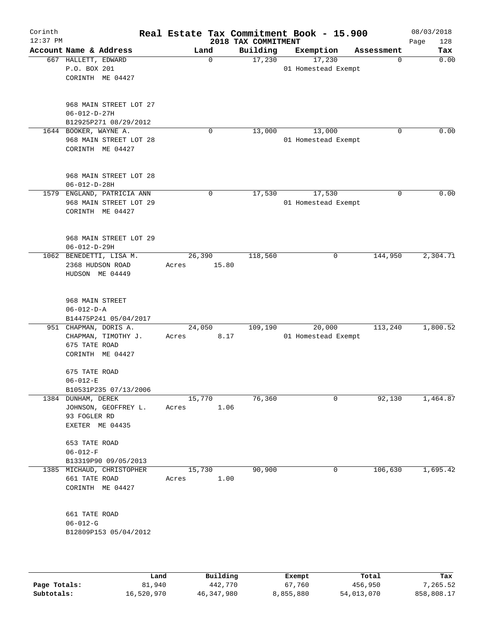| Corinth<br>$12:37$ PM |                                       |                                                                          |                 |                 | 2018 TAX COMMITMENT | Real Estate Tax Commitment Book - 15.900 |            | 08/03/2018<br>Page<br>128 |
|-----------------------|---------------------------------------|--------------------------------------------------------------------------|-----------------|-----------------|---------------------|------------------------------------------|------------|---------------------------|
|                       |                                       | Account Name & Address                                                   |                 | Land            | Building            | Exemption                                | Assessment | Tax                       |
|                       | 667 HALLETT, EDWARD<br>P.O. BOX 201   | CORINTH ME 04427                                                         |                 | $\mathbf 0$     | 17,230              | 17,230<br>01 Homestead Exempt            | 0          | 0.00                      |
|                       | $06 - 012 - D - 27H$                  | 968 MAIN STREET LOT 27<br>B12925P271 08/29/2012                          |                 |                 |                     |                                          |            |                           |
|                       | 1644 BOOKER, WAYNE A.                 | 968 MAIN STREET LOT 28<br>CORINTH ME 04427                               |                 | $\mathbf 0$     | 13,000              | 13,000<br>01 Homestead Exempt            | 0          | 0.00                      |
|                       | $06 - 012 - D - 28H$                  | 968 MAIN STREET LOT 28                                                   |                 |                 |                     |                                          |            |                           |
|                       |                                       | 1579 ENGLAND, PATRICIA ANN<br>968 MAIN STREET LOT 29<br>CORINTH ME 04427 |                 | 0               | 17,530              | 17,530<br>01 Homestead Exempt            | $\Omega$   | 0.00                      |
|                       | $06 - 012 - D - 29H$                  | 968 MAIN STREET LOT 29                                                   |                 |                 |                     |                                          |            |                           |
|                       |                                       | 1062 BENEDETTI, LISA M.<br>2368 HUDSON ROAD<br>HUDSON ME 04449           | Acres           | 26,390<br>15.80 | 118,560             | 0                                        | 144,950    | 2,304.71                  |
|                       | 968 MAIN STREET<br>$06 - 012 - D - A$ | B14475P241 05/04/2017                                                    |                 |                 |                     |                                          |            |                           |
|                       | 675 TATE ROAD                         | 951 CHAPMAN, DORIS A.<br>CHAPMAN, TIMOTHY J.<br>CORINTH ME 04427         | 24,050<br>Acres | 8.17            | 109,190             | 20,000<br>01 Homestead Exempt            | 113,240    | 1,800.52                  |
|                       | 675 TATE ROAD<br>$06 - 012 - E$       | B10531P235 07/13/2006                                                    |                 |                 |                     |                                          |            |                           |
|                       | 1384 DUNHAM, DEREK<br>93 FOGLER RD    | JOHNSON, GEOFFREY L.<br>EXETER ME 04435                                  | Acres           | 15,770<br>1.06  | 76,360              | 0                                        | 92,130     | 1,464.87                  |
|                       | 653 TATE ROAD<br>$06 - 012 - F$       | B13319P90 09/05/2013                                                     |                 |                 |                     |                                          |            |                           |
|                       | 661 TATE ROAD                         | 1385 MICHAUD, CHRISTOPHER<br>CORINTH ME 04427                            | 15,730<br>Acres | 1.00            | 90,900              | 0                                        | 106,630    | 1,695.42                  |
|                       | 661 TATE ROAD<br>$06 - 012 - G$       | B12809P153 05/04/2012                                                    |                 |                 |                     |                                          |            |                           |
|                       |                                       |                                                                          |                 |                 |                     |                                          |            |                           |

|              | Land       | Building   | Exempt    | Total      | Tax        |
|--------------|------------|------------|-----------|------------|------------|
| Page Totals: | 81,940     | 442,770    | 67,760    | 456,950    | 7.265.52   |
| Subtotals:   | 16,520,970 | 46,347,980 | 8,855,880 | 54,013,070 | 858,808.17 |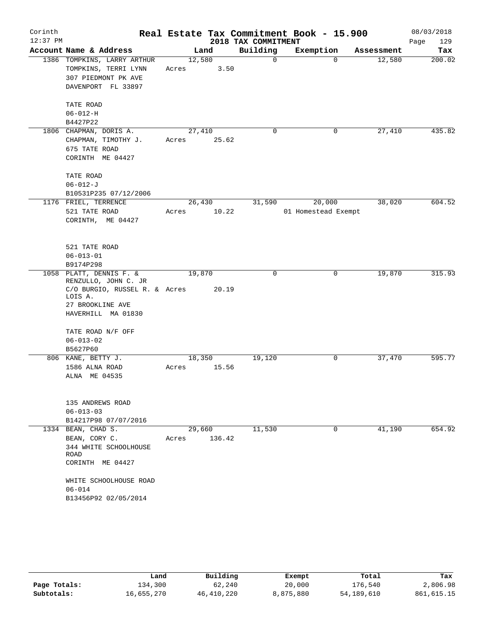| Corinth<br>$12:37$ PM |                                          |        |        | 2018 TAX COMMITMENT | Real Estate Tax Commitment Book - 15.900 |            | 08/03/2018<br>Page<br>129 |
|-----------------------|------------------------------------------|--------|--------|---------------------|------------------------------------------|------------|---------------------------|
|                       | Account Name & Address                   |        | Land   | Building            | Exemption                                | Assessment | Tax                       |
|                       | 1386 TOMPKINS, LARRY ARTHUR              | 12,580 |        | $\mathbf 0$         | $\Omega$                                 | 12,580     | 200.02                    |
|                       | TOMPKINS, TERRI LYNN                     | Acres  | 3.50   |                     |                                          |            |                           |
|                       | 307 PIEDMONT PK AVE                      |        |        |                     |                                          |            |                           |
|                       | DAVENPORT FL 33897                       |        |        |                     |                                          |            |                           |
|                       | TATE ROAD                                |        |        |                     |                                          |            |                           |
|                       | $06 - 012 - H$                           |        |        |                     |                                          |            |                           |
|                       | B4427P22                                 |        |        |                     |                                          |            |                           |
|                       | 1806 CHAPMAN, DORIS A.                   | 27,410 |        | $\mathbf 0$         | 0                                        | 27,410     | 435.82                    |
|                       | CHAPMAN, TIMOTHY J.                      | Acres  | 25.62  |                     |                                          |            |                           |
|                       | 675 TATE ROAD                            |        |        |                     |                                          |            |                           |
|                       | CORINTH ME 04427                         |        |        |                     |                                          |            |                           |
|                       | TATE ROAD                                |        |        |                     |                                          |            |                           |
|                       | $06 - 012 - J$                           |        |        |                     |                                          |            |                           |
|                       | B10531P235 07/12/2006                    |        |        |                     |                                          |            |                           |
|                       | 1176 FRIEL, TERRENCE                     |        | 26,430 | 31,590              | 20,000                                   | 38,020     | 604.52                    |
|                       | 521 TATE ROAD                            | Acres  | 10.22  |                     | 01 Homestead Exempt                      |            |                           |
|                       | CORINTH, ME 04427                        |        |        |                     |                                          |            |                           |
|                       | 521 TATE ROAD                            |        |        |                     |                                          |            |                           |
|                       | $06 - 013 - 01$                          |        |        |                     |                                          |            |                           |
|                       | B9174P298                                |        |        |                     |                                          |            |                           |
|                       | 1058 PLATT, DENNIS F. &                  | 19,870 |        | 0                   | 0                                        | 19,870     | 315.93                    |
|                       | RENZULLO, JOHN C. JR                     |        |        |                     |                                          |            |                           |
|                       | C/O BURGIO, RUSSEL R. & Acres<br>LOIS A. |        | 20.19  |                     |                                          |            |                           |
|                       | 27 BROOKLINE AVE                         |        |        |                     |                                          |            |                           |
|                       | HAVERHILL MA 01830                       |        |        |                     |                                          |            |                           |
|                       | TATE ROAD N/F OFF                        |        |        |                     |                                          |            |                           |
|                       | $06 - 013 - 02$                          |        |        |                     |                                          |            |                           |
|                       | B5627P60                                 |        |        |                     |                                          |            |                           |
|                       | 806 KANE, BETTY J.                       | 18,350 |        | 19,120              | 0                                        | 37,470     | 595.77                    |
|                       | 1586 ALNA ROAD                           | Acres  | 15.56  |                     |                                          |            |                           |
|                       | ALNA ME 04535                            |        |        |                     |                                          |            |                           |
|                       |                                          |        |        |                     |                                          |            |                           |
|                       | 135 ANDREWS ROAD<br>$06 - 013 - 03$      |        |        |                     |                                          |            |                           |
|                       | B14217P98 07/07/2016                     |        |        |                     |                                          |            |                           |
|                       | 1334 BEAN, CHAD S.                       |        | 29,660 | 11,530              | 0                                        | 41,190     | 654.92                    |
|                       | BEAN, CORY C.                            | Acres  | 136.42 |                     |                                          |            |                           |
|                       | 344 WHITE SCHOOLHOUSE                    |        |        |                     |                                          |            |                           |
|                       | <b>ROAD</b>                              |        |        |                     |                                          |            |                           |
|                       | CORINTH ME 04427                         |        |        |                     |                                          |            |                           |
|                       | WHITE SCHOOLHOUSE ROAD                   |        |        |                     |                                          |            |                           |
|                       | $06 - 014$                               |        |        |                     |                                          |            |                           |
|                       | B13456P92 02/05/2014                     |        |        |                     |                                          |            |                           |

|              | Land       | Building     | Exempt    | Total        | Tax        |
|--------------|------------|--------------|-----------|--------------|------------|
| Page Totals: | 134,300    | 62,240       | 20,000    | 176,540      | 2,806.98   |
| Subtotals:   | 16,655,270 | 46, 410, 220 | 8,875,880 | 54, 189, 610 | 861,615.15 |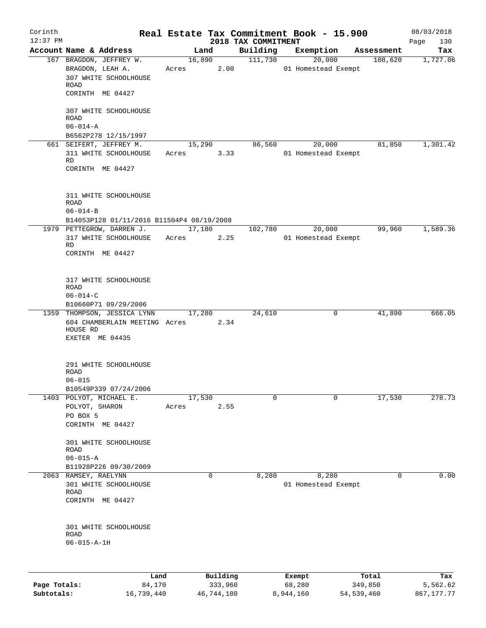| Corinth<br>$12:37$ PM |                                           |       |          | 2018 TAX COMMITMENT | Real Estate Tax Commitment Book - 15.900 |            | 08/03/2018<br>130<br>Page |
|-----------------------|-------------------------------------------|-------|----------|---------------------|------------------------------------------|------------|---------------------------|
|                       | Account Name & Address                    |       | Land     | Building            | Exemption                                | Assessment | Tax                       |
|                       | 167 BRAGDON, JEFFREY W.                   |       | 16,890   | 111,730             | 20,000                                   | 108,620    | 1,727.06                  |
|                       | BRAGDON, LEAH A.                          | Acres | 2.00     |                     | 01 Homestead Exempt                      |            |                           |
|                       | 307 WHITE SCHOOLHOUSE                     |       |          |                     |                                          |            |                           |
|                       | ROAD                                      |       |          |                     |                                          |            |                           |
|                       | CORINTH ME 04427                          |       |          |                     |                                          |            |                           |
|                       | 307 WHITE SCHOOLHOUSE                     |       |          |                     |                                          |            |                           |
|                       | ROAD                                      |       |          |                     |                                          |            |                           |
|                       | $06 - 014 - A$                            |       |          |                     |                                          |            |                           |
|                       | B6562P278 12/15/1997                      |       |          |                     |                                          |            |                           |
|                       | 661 SEIFERT, JEFFREY M.                   |       | 15,290   | 86,560              | 20,000                                   | 81,850     | 1,301.42                  |
|                       | 311 WHITE SCHOOLHOUSE                     | Acres | 3.33     |                     | 01 Homestead Exempt                      |            |                           |
|                       | RD                                        |       |          |                     |                                          |            |                           |
|                       | CORINTH ME 04427                          |       |          |                     |                                          |            |                           |
|                       |                                           |       |          |                     |                                          |            |                           |
|                       | 311 WHITE SCHOOLHOUSE                     |       |          |                     |                                          |            |                           |
|                       | <b>ROAD</b>                               |       |          |                     |                                          |            |                           |
|                       | $06 - 014 - B$                            |       |          |                     |                                          |            |                           |
|                       | B14053P128 01/11/2016 B11504P4 08/19/2008 |       |          |                     |                                          |            |                           |
|                       | 1979 PETTEGROW, DARREN J.                 |       | 17,180   | 102,780             | 20,000                                   | 99,960     | 1,589.36                  |
|                       | 317 WHITE SCHOOLHOUSE                     | Acres | 2.25     |                     | 01 Homestead Exempt                      |            |                           |
|                       | RD                                        |       |          |                     |                                          |            |                           |
|                       | CORINTH ME 04427                          |       |          |                     |                                          |            |                           |
|                       |                                           |       |          |                     |                                          |            |                           |
|                       | 317 WHITE SCHOOLHOUSE                     |       |          |                     |                                          |            |                           |
|                       | ROAD                                      |       |          |                     |                                          |            |                           |
|                       | $06 - 014 - C$                            |       |          |                     |                                          |            |                           |
|                       | B10660P71 09/29/2006                      |       |          |                     |                                          |            |                           |
|                       | 1359 THOMPSON, JESSICA LYNN               |       | 17,280   | 24,610              | 0                                        | 41,890     | 666.05                    |
|                       | 604 CHAMBERLAIN MEETING Acres             |       | 2.34     |                     |                                          |            |                           |
|                       | HOUSE RD                                  |       |          |                     |                                          |            |                           |
|                       | EXETER ME 04435                           |       |          |                     |                                          |            |                           |
|                       |                                           |       |          |                     |                                          |            |                           |
|                       | 291 WHITE SCHOOLHOUSE                     |       |          |                     |                                          |            |                           |
|                       | ROAD                                      |       |          |                     |                                          |            |                           |
|                       | $06 - 015$                                |       |          |                     |                                          |            |                           |
|                       | B10549P339 07/24/2006                     |       |          |                     |                                          |            |                           |
|                       | 1403 POLYOT, MICHAEL E.                   |       | 17,530   | $\mathbf 0$         | 0                                        | 17,530     | 278.73                    |
|                       | POLYOT, SHARON                            | Acres | 2.55     |                     |                                          |            |                           |
|                       | PO BOX 5                                  |       |          |                     |                                          |            |                           |
|                       | CORINTH ME 04427                          |       |          |                     |                                          |            |                           |
|                       | 301 WHITE SCHOOLHOUSE                     |       |          |                     |                                          |            |                           |
|                       | <b>ROAD</b>                               |       |          |                     |                                          |            |                           |
|                       | $06 - 015 - A$                            |       |          |                     |                                          |            |                           |
|                       | B11928P226 09/30/2009                     |       |          |                     |                                          |            |                           |
|                       | 2063 RAMSEY, RAELYNN                      |       | 0        | 8,280               | 8,280                                    | $\Omega$   | 0.00                      |
|                       | 301 WHITE SCHOOLHOUSE                     |       |          |                     | 01 Homestead Exempt                      |            |                           |
|                       | ROAD                                      |       |          |                     |                                          |            |                           |
|                       | CORINTH ME 04427                          |       |          |                     |                                          |            |                           |
|                       |                                           |       |          |                     |                                          |            |                           |
|                       | 301 WHITE SCHOOLHOUSE                     |       |          |                     |                                          |            |                           |
|                       | <b>ROAD</b>                               |       |          |                     |                                          |            |                           |
|                       | $06 - 015 - A - 1H$                       |       |          |                     |                                          |            |                           |
|                       |                                           |       |          |                     |                                          |            |                           |
|                       |                                           |       |          |                     |                                          |            |                           |
|                       |                                           |       |          |                     |                                          |            |                           |
|                       | Land                                      |       | Building |                     | Exempt                                   | Total      | Tax                       |

| Page Totals: | 84,170     | 333,960    | 68,280    | 349,850    | 5,562.62   |
|--------------|------------|------------|-----------|------------|------------|
| Subtotals:   | 16,739,440 | 46,744,180 | 8,944,160 | 54,539,460 | 867,177.77 |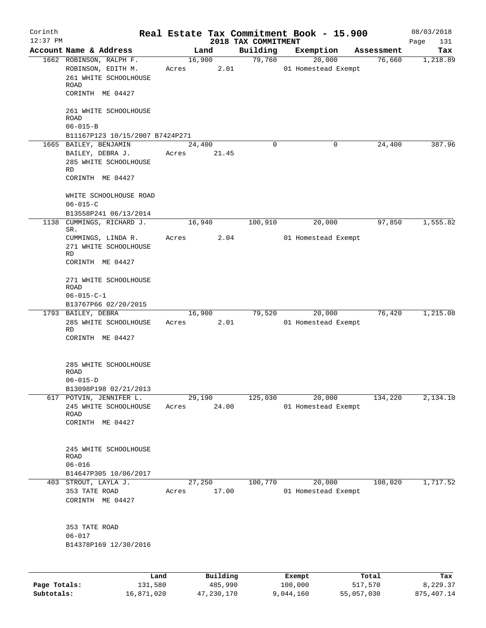| Corinth      |                                 |        |          |                     | Real Estate Tax Commitment Book - 15.900 |            | 08/03/2018  |
|--------------|---------------------------------|--------|----------|---------------------|------------------------------------------|------------|-------------|
| $12:37$ PM   |                                 |        |          | 2018 TAX COMMITMENT |                                          |            | Page<br>131 |
|              | Account Name & Address          |        | Land     | Building            | Exemption                                | Assessment | Tax         |
|              | 1662 ROBINSON, RALPH F.         |        | 16,900   | 79,760              | 20,000                                   | 76,660     | 1,218.89    |
|              | ROBINSON, EDITH M.              | Acres  | 2.01     |                     | 01 Homestead Exempt                      |            |             |
|              | 261 WHITE SCHOOLHOUSE<br>ROAD   |        |          |                     |                                          |            |             |
|              | CORINTH ME 04427                |        |          |                     |                                          |            |             |
|              | 261 WHITE SCHOOLHOUSE           |        |          |                     |                                          |            |             |
|              | <b>ROAD</b>                     |        |          |                     |                                          |            |             |
|              | $06 - 015 - B$                  |        |          |                     |                                          |            |             |
|              | B11167P123 10/15/2007 B7424P271 |        |          |                     |                                          |            |             |
|              | 1665 BAILEY, BENJAMIN           | 24,400 |          | 0                   | 0                                        | 24,400     | 387.96      |
|              | BAILEY, DEBRA J.                | Acres  | 21.45    |                     |                                          |            |             |
|              | 285 WHITE SCHOOLHOUSE           |        |          |                     |                                          |            |             |
|              | RD                              |        |          |                     |                                          |            |             |
|              | CORINTH ME 04427                |        |          |                     |                                          |            |             |
|              | WHITE SCHOOLHOUSE ROAD          |        |          |                     |                                          |            |             |
|              | $06 - 015 - C$                  |        |          |                     |                                          |            |             |
|              | B13558P241 06/13/2014           |        |          |                     |                                          |            |             |
| 1138         | CUMMINGS, RICHARD J.            | 16,940 |          | 100,910             | 20,000                                   | 97,850     | 1,555.82    |
|              | SR.<br>CUMMINGS, LINDA R.       | Acres  | 2.04     |                     | 01 Homestead Exempt                      |            |             |
|              | 271 WHITE SCHOOLHOUSE           |        |          |                     |                                          |            |             |
|              | RD                              |        |          |                     |                                          |            |             |
|              | CORINTH ME 04427                |        |          |                     |                                          |            |             |
|              | 271 WHITE SCHOOLHOUSE           |        |          |                     |                                          |            |             |
|              | ROAD                            |        |          |                     |                                          |            |             |
|              | $06 - 015 - C - 1$              |        |          |                     |                                          |            |             |
|              | B13767P66 02/20/2015            |        |          |                     |                                          |            |             |
|              | 1793 BAILEY, DEBRA              | 16,900 |          | 79,520              | 20,000                                   | 76,420     | 1,215.08    |
|              | 285 WHITE SCHOOLHOUSE           | Acres  | 2.01     |                     | 01 Homestead Exempt                      |            |             |
|              | <b>RD</b>                       |        |          |                     |                                          |            |             |
|              | CORINTH ME 04427                |        |          |                     |                                          |            |             |
|              | 285 WHITE SCHOOLHOUSE           |        |          |                     |                                          |            |             |
|              | ROAD                            |        |          |                     |                                          |            |             |
|              | $06 - 015 - D$                  |        |          |                     |                                          |            |             |
|              | B13098P198 02/21/2013           |        |          |                     |                                          |            |             |
|              | 617 POTVIN, JENNIFER L.         | 29,190 |          | 125,030             | 20,000                                   | 134,220    | 2,134.10    |
|              | 245 WHITE SCHOOLHOUSE           | Acres  | 24.00    |                     | 01 Homestead Exempt                      |            |             |
|              | ROAD                            |        |          |                     |                                          |            |             |
|              | CORINTH ME 04427                |        |          |                     |                                          |            |             |
|              |                                 |        |          |                     |                                          |            |             |
|              | 245 WHITE SCHOOLHOUSE           |        |          |                     |                                          |            |             |
|              | ROAD<br>$06 - 016$              |        |          |                     |                                          |            |             |
|              | B14647P305 10/06/2017           |        |          |                     |                                          |            |             |
|              | 403 STROUT, LAYLA J.            | 27,250 |          | 100,770             | 20,000                                   | 108,020    | 1,717.52    |
|              | 353 TATE ROAD                   | Acres  | 17.00    |                     | 01 Homestead Exempt                      |            |             |
|              | CORINTH ME 04427                |        |          |                     |                                          |            |             |
|              |                                 |        |          |                     |                                          |            |             |
|              | 353 TATE ROAD                   |        |          |                     |                                          |            |             |
|              | $06 - 017$                      |        |          |                     |                                          |            |             |
|              | B14378P169 12/30/2016           |        |          |                     |                                          |            |             |
|              |                                 |        |          |                     |                                          |            |             |
|              |                                 |        |          |                     |                                          |            |             |
|              | Land                            |        | Building |                     | Exempt                                   | Total      | Tax         |
| Page Totals: | 131,580                         |        | 485,990  |                     | 100,000                                  | 517,570    | 8,229.37    |

**Subtotals:** 16,871,020 47,230,170 9,044,160 55,057,030 875,407.14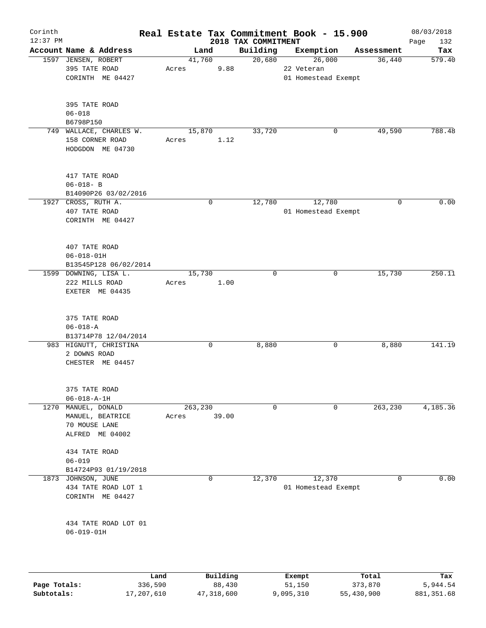| Corinth<br>$12:37$ PM |                                 |       |          | 2018 TAX COMMITMENT | Real Estate Tax Commitment Book - 15.900 |             | 08/03/2018         |
|-----------------------|---------------------------------|-------|----------|---------------------|------------------------------------------|-------------|--------------------|
|                       | Account Name & Address          |       | Land     | Building            | Exemption                                | Assessment  | 132<br>Page<br>Tax |
|                       | 1597 JENSEN, ROBERT             |       | 41,760   | 20,680              | 26,000                                   | 36,440      | 579.40             |
|                       | 395 TATE ROAD                   | Acres | 9.88     |                     | 22 Veteran                               |             |                    |
|                       | CORINTH ME 04427                |       |          |                     |                                          |             |                    |
|                       |                                 |       |          |                     | 01 Homestead Exempt                      |             |                    |
|                       |                                 |       |          |                     |                                          |             |                    |
|                       | 395 TATE ROAD                   |       |          |                     |                                          |             |                    |
|                       | $06 - 018$                      |       |          |                     |                                          |             |                    |
|                       | B6798P150                       |       |          |                     |                                          |             |                    |
|                       | 749 WALLACE, CHARLES W.         |       | 15,870   | 33,720              | 0                                        | 49,590      | 788.48             |
|                       | 158 CORNER ROAD                 | Acres | 1.12     |                     |                                          |             |                    |
|                       | HODGDON ME 04730                |       |          |                     |                                          |             |                    |
|                       |                                 |       |          |                     |                                          |             |                    |
|                       | 417 TATE ROAD                   |       |          |                     |                                          |             |                    |
|                       | $06 - 018 - B$                  |       |          |                     |                                          |             |                    |
|                       | B14090P26 03/02/2016            |       |          |                     |                                          |             |                    |
|                       | 1927 CROSS, RUTH A.             |       | 0        | 12,780              | 12,780                                   | $\mathbf 0$ | 0.00               |
|                       | 407 TATE ROAD                   |       |          |                     | 01 Homestead Exempt                      |             |                    |
|                       | CORINTH ME 04427                |       |          |                     |                                          |             |                    |
|                       |                                 |       |          |                     |                                          |             |                    |
|                       | 407 TATE ROAD                   |       |          |                     |                                          |             |                    |
|                       | $06 - 018 - 01H$                |       |          |                     |                                          |             |                    |
|                       | B13545P128 06/02/2014           |       |          |                     |                                          |             |                    |
|                       | 1599 DOWNING, LISA L.           |       | 15,730   | $\mathbf 0$         | 0                                        | 15,730      | 250.11             |
|                       | 222 MILLS ROAD                  | Acres | 1.00     |                     |                                          |             |                    |
|                       | EXETER ME 04435                 |       |          |                     |                                          |             |                    |
|                       | 375 TATE ROAD<br>$06 - 018 - A$ |       |          |                     |                                          |             |                    |
|                       | B13714P78 12/04/2014            |       |          |                     |                                          |             |                    |
|                       | 983 HIGNUTT, CHRISTINA          |       | 0        | 8,880               | 0                                        | 8,880       | 141.19             |
|                       | 2 DOWNS ROAD                    |       |          |                     |                                          |             |                    |
|                       | CHESTER ME 04457                |       |          |                     |                                          |             |                    |
|                       |                                 |       |          |                     |                                          |             |                    |
|                       | 375 TATE ROAD                   |       |          |                     |                                          |             |                    |
|                       | $06 - 018 - A - 1H$             |       |          |                     |                                          |             |                    |
| 1270                  | MANUEL, DONALD                  |       | 263,230  | 0                   | 0                                        | 263, 230    | 4,185.36           |
|                       | MANUEL, BEATRICE                | Acres | 39.00    |                     |                                          |             |                    |
|                       | 70 MOUSE LANE                   |       |          |                     |                                          |             |                    |
|                       | ALFRED ME 04002                 |       |          |                     |                                          |             |                    |
|                       | 434 TATE ROAD                   |       |          |                     |                                          |             |                    |
|                       | $06 - 019$                      |       |          |                     |                                          |             |                    |
|                       | B14724P93 01/19/2018            |       |          |                     |                                          |             |                    |
| 1873                  | JOHNSON, JUNE                   |       | 0        | 12,370              | 12,370                                   | $\mathbf 0$ | 0.00               |
|                       | 434 TATE ROAD LOT 1             |       |          |                     | 01 Homestead Exempt                      |             |                    |
|                       | CORINTH ME 04427                |       |          |                     |                                          |             |                    |
|                       |                                 |       |          |                     |                                          |             |                    |
|                       | 434 TATE ROAD LOT 01            |       |          |                     |                                          |             |                    |
|                       | $06 - 019 - 01H$                |       |          |                     |                                          |             |                    |
|                       |                                 |       |          |                     |                                          |             |                    |
|                       |                                 |       |          |                     |                                          |             |                    |
|                       |                                 | Land  | Building |                     | Exempt                                   | Total       | Tax                |

|              | -------    |            | _______   | ------     | ------     |
|--------------|------------|------------|-----------|------------|------------|
| Page Totals: | 336,590    | 88,430     | 51,150    | 373,870    | 5,944.54   |
| Subtotals:   | 17,207,610 | 47,318,600 | 9,095,310 | 55,430,900 | 881,351.68 |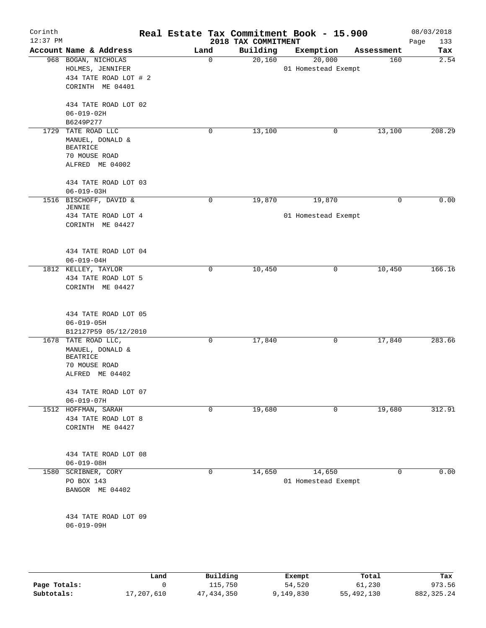| Corinth<br>$12:37$ PM |                                            |  |      | Real Estate Tax Commitment Book - 15.900<br>2018 TAX COMMITMENT |                     |        |            | 08/03/2018<br>Page<br>133 |
|-----------------------|--------------------------------------------|--|------|-----------------------------------------------------------------|---------------------|--------|------------|---------------------------|
|                       | Account Name & Address                     |  | Land | Building                                                        | Exemption           |        | Assessment | Tax                       |
|                       | 968 BOGAN, NICHOLAS<br>HOLMES, JENNIFER    |  | 0    | 20,160                                                          | 01 Homestead Exempt | 20,000 | 160        | $\overline{2.54}$         |
|                       | 434 TATE ROAD LOT # 2<br>CORINTH ME 04401  |  |      |                                                                 |                     |        |            |                           |
|                       | 434 TATE ROAD LOT 02<br>$06 - 019 - 02H$   |  |      |                                                                 |                     |        |            |                           |
|                       | B6249P277                                  |  |      |                                                                 |                     |        |            |                           |
| 1729                  | TATE ROAD LLC                              |  | 0    | 13,100                                                          |                     | 0      | 13,100     | 208.29                    |
|                       | MANUEL, DONALD &<br><b>BEATRICE</b>        |  |      |                                                                 |                     |        |            |                           |
|                       | 70 MOUSE ROAD<br>ALFRED ME 04002           |  |      |                                                                 |                     |        |            |                           |
|                       | 434 TATE ROAD LOT 03<br>$06 - 019 - 03H$   |  |      |                                                                 |                     |        |            |                           |
|                       | 1516 BISCHOFF, DAVID &                     |  | 0    | 19,870                                                          |                     | 19,870 | 0          | 0.00                      |
|                       | <b>JENNIE</b><br>434 TATE ROAD LOT 4       |  |      |                                                                 | 01 Homestead Exempt |        |            |                           |
|                       | CORINTH ME 04427                           |  |      |                                                                 |                     |        |            |                           |
|                       | 434 TATE ROAD LOT 04                       |  |      |                                                                 |                     |        |            |                           |
|                       | $06 - 019 - 04H$                           |  |      |                                                                 |                     |        |            |                           |
|                       | 1812 KELLEY, TAYLOR<br>434 TATE ROAD LOT 5 |  | 0    | 10,450                                                          |                     | 0      | 10,450     | 166.16                    |
|                       | CORINTH ME 04427                           |  |      |                                                                 |                     |        |            |                           |
|                       | 434 TATE ROAD LOT 05                       |  |      |                                                                 |                     |        |            |                           |
|                       | $06 - 019 - 05H$<br>B12127P59 05/12/2010   |  |      |                                                                 |                     |        |            |                           |
|                       | 1678 TATE ROAD LLC,                        |  | 0    | 17,840                                                          |                     | 0      | 17,840     | 283.66                    |
|                       | MANUEL, DONALD &<br><b>BEATRICE</b>        |  |      |                                                                 |                     |        |            |                           |
|                       | 70 MOUSE ROAD<br>ALFRED ME 04402           |  |      |                                                                 |                     |        |            |                           |
|                       | 434 TATE ROAD LOT 07                       |  |      |                                                                 |                     |        |            |                           |
|                       | $06 - 019 - 07H$                           |  |      |                                                                 |                     |        |            |                           |
|                       | 1512 HOFFMAN, SARAH<br>434 TATE ROAD LOT 8 |  | 0    | 19,680                                                          |                     | 0      | 19,680     | 312.91                    |
|                       | CORINTH ME 04427                           |  |      |                                                                 |                     |        |            |                           |
|                       | 434 TATE ROAD LOT 08                       |  |      |                                                                 |                     |        |            |                           |
|                       | $06 - 019 - 08H$                           |  |      |                                                                 |                     |        |            |                           |
| 1580                  | SCRIBNER, CORY<br>PO BOX 143               |  | 0    | 14,650                                                          | 01 Homestead Exempt | 14,650 | 0          | 0.00                      |
|                       | BANGOR ME 04402                            |  |      |                                                                 |                     |        |            |                           |
|                       | 434 TATE ROAD LOT 09                       |  |      |                                                                 |                     |        |            |                           |
|                       | $06 - 019 - 09H$                           |  |      |                                                                 |                     |        |            |                           |
|                       |                                            |  |      |                                                                 |                     |        |            |                           |
|                       |                                            |  |      |                                                                 |                     |        |            |                           |

|              | Land       | Building   |           | Total      | Tax          |
|--------------|------------|------------|-----------|------------|--------------|
|              |            |            | Exempt    |            |              |
| Page Totals: |            | 115,750    | 54,520    | 61,230     | 973.56       |
| Subtotals:   | 17,207,610 | 47,434,350 | 9,149,830 | 55,492,130 | 882, 325, 24 |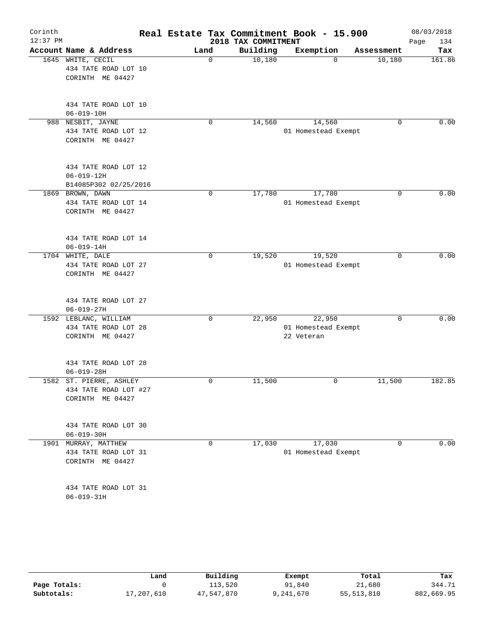| Corinth<br>12:37 PM |                                                                   |             | 2018 TAX COMMITMENT | Real Estate Tax Commitment Book - 15.900    |             | 08/03/2018<br>Page<br>134 |
|---------------------|-------------------------------------------------------------------|-------------|---------------------|---------------------------------------------|-------------|---------------------------|
|                     | Account Name & Address                                            | Land        | Building            | Exemption                                   | Assessment  | Tax                       |
| 1645                | WHITE, CECIL<br>434 TATE ROAD LOT 10<br>CORINTH ME 04427          | 0           | 10,180              | $\Omega$                                    | 10,180      | 161.86                    |
|                     | 434 TATE ROAD LOT 10<br>$06 - 019 - 10H$                          |             |                     |                                             |             |                           |
|                     | 988 NESBIT, JAYNE<br>434 TATE ROAD LOT 12<br>CORINTH ME 04427     | 0           | 14,560              | 14,560<br>01 Homestead Exempt               | 0           | 0.00                      |
|                     | 434 TATE ROAD LOT 12<br>$06 - 019 - 12H$<br>B14085P302 02/25/2016 |             |                     |                                             |             |                           |
|                     | 1869 BROWN, DAWN<br>434 TATE ROAD LOT 14<br>CORINTH ME 04427      | 0           | 17,780              | 17,780<br>01 Homestead Exempt               | $\mathbf 0$ | 0.00                      |
|                     | 434 TATE ROAD LOT 14<br>$06 - 019 - 14H$                          |             |                     |                                             |             |                           |
|                     | 1704 WHITE, DALE<br>434 TATE ROAD LOT 27<br>CORINTH ME 04427      | 0           | 19,520              | 19,520<br>01 Homestead Exempt               | 0           | 0.00                      |
|                     | 434 TATE ROAD LOT 27<br>$06 - 019 - 27H$                          |             |                     |                                             |             |                           |
|                     | 1592 LEBLANC, WILLIAM<br>434 TATE ROAD LOT 28<br>CORINTH ME 04427 | $\mathbf 0$ | 22,950              | 22,950<br>01 Homestead Exempt<br>22 Veteran | $\Omega$    | 0.00                      |
|                     | 434 TATE ROAD LOT 28<br>$06 - 019 - 28H$                          |             |                     |                                             |             |                           |
| 1582                | ST. PIERRE, ASHLEY<br>434 TATE ROAD LOT #27<br>CORINTH ME 04427   | 0           | 11,500              | 0                                           | 11,500      | 182.85                    |
|                     | 434 TATE ROAD LOT 30<br>$06 - 019 - 30H$                          |             |                     |                                             |             |                           |
|                     | 1901 MURRAY, MATTHEW<br>434 TATE ROAD LOT 31<br>CORINTH ME 04427  | 0           | 17,030              | 17,030<br>01 Homestead Exempt               | 0           | 0.00                      |
|                     | 434 TATE ROAD LOT 31<br>$06 - 019 - 31H$                          |             |                     |                                             |             |                           |

|              | Land       | Building   | Exempt    | Total      | Tax        |
|--------------|------------|------------|-----------|------------|------------|
| Page Totals: |            | 113,520    | 91,840    | 21,680     | 344.71     |
| Subtotals:   | 17,207,610 | 47,547,870 | 9,241,670 | 55,513,810 | 882,669.95 |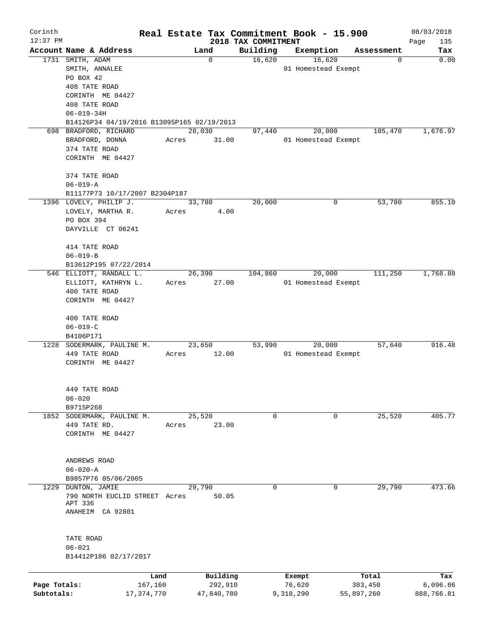| Corinth      |                                                          |              |       |             |                                 | Real Estate Tax Commitment Book - 15.900 |            | 08/03/2018         |
|--------------|----------------------------------------------------------|--------------|-------|-------------|---------------------------------|------------------------------------------|------------|--------------------|
| $12:37$ PM   | Account Name & Address                                   |              |       | Land        | 2018 TAX COMMITMENT<br>Building | Exemption                                | Assessment | Page<br>135<br>Tax |
|              | 1731 SMITH, ADAM                                         |              |       | $\mathbf 0$ | 16,620                          | 16,620                                   | 0          | 0.00               |
|              | SMITH, ANNALEE                                           |              |       |             |                                 | 01 Homestead Exempt                      |            |                    |
|              | PO BOX 42                                                |              |       |             |                                 |                                          |            |                    |
|              | 408 TATE ROAD                                            |              |       |             |                                 |                                          |            |                    |
|              | CORINTH ME 04427                                         |              |       |             |                                 |                                          |            |                    |
|              | 408 TATE ROAD                                            |              |       |             |                                 |                                          |            |                    |
|              | $06 - 019 - 34H$                                         |              |       |             |                                 |                                          |            |                    |
|              | B14126P34 04/19/2016 B13095P165 02/19/2013               |              |       |             |                                 |                                          |            |                    |
|              | 698 BRADFORD, RICHARD                                    |              |       | 28,030      | 97,440                          | 20,000                                   | 105,470    | 1,676.97           |
|              | BRADFORD, DONNA                                          |              | Acres | 31.00       |                                 | 01 Homestead Exempt                      |            |                    |
|              | 374 TATE ROAD                                            |              |       |             |                                 |                                          |            |                    |
|              | CORINTH ME 04427                                         |              |       |             |                                 |                                          |            |                    |
|              |                                                          |              |       |             |                                 |                                          |            |                    |
|              | 374 TATE ROAD                                            |              |       |             |                                 |                                          |            |                    |
|              | $06 - 019 - A$                                           |              |       |             |                                 |                                          |            |                    |
|              | B11177P73 10/17/2007 B2304P187<br>1396 LOVELY, PHILIP J. |              |       | 33,780      | 20,000                          | 0                                        | 53,780     | 855.10             |
|              | LOVELY, MARTHA R.                                        |              |       |             |                                 |                                          |            |                    |
|              | PO BOX 394                                               |              | Acres | 4.00        |                                 |                                          |            |                    |
|              | DAYVILLE CT 06241                                        |              |       |             |                                 |                                          |            |                    |
|              |                                                          |              |       |             |                                 |                                          |            |                    |
|              | 414 TATE ROAD                                            |              |       |             |                                 |                                          |            |                    |
|              | $06 - 019 - B$                                           |              |       |             |                                 |                                          |            |                    |
|              | B13612P195 07/22/2014                                    |              |       |             |                                 |                                          |            |                    |
|              | 546 ELLIOTT, RANDALL L.                                  |              |       | 26,390      | 104,860                         | 20,000                                   | 111,250    | 1,768.88           |
|              | ELLIOTT, KATHRYN L.                                      |              | Acres | 27.00       |                                 | 01 Homestead Exempt                      |            |                    |
|              | 400 TATE ROAD                                            |              |       |             |                                 |                                          |            |                    |
|              | CORINTH ME 04427                                         |              |       |             |                                 |                                          |            |                    |
|              | 400 TATE ROAD                                            |              |       |             |                                 |                                          |            |                    |
|              | $06 - 019 - C$                                           |              |       |             |                                 |                                          |            |                    |
|              | B4106P171                                                |              |       |             |                                 |                                          |            |                    |
| 1228         | SODERMARK, PAULINE M.                                    |              |       | 23,650      | 53,990                          | 20,000                                   | 57,640     | 916.48             |
|              | 449 TATE ROAD                                            |              | Acres | 12.00       |                                 | 01 Homestead Exempt                      |            |                    |
|              | CORINTH ME 04427                                         |              |       |             |                                 |                                          |            |                    |
|              |                                                          |              |       |             |                                 |                                          |            |                    |
|              |                                                          |              |       |             |                                 |                                          |            |                    |
|              | 449 TATE ROAD                                            |              |       |             |                                 |                                          |            |                    |
|              | $06 - 020$                                               |              |       |             |                                 |                                          |            |                    |
|              | B9715P268                                                |              |       |             |                                 |                                          |            |                    |
|              | 1852 SODERMARK, PAULINE M.                               |              |       | 25,520      | 0                               | 0                                        | 25,520     | 405.77             |
|              | 449 TATE RD.                                             |              | Acres | 23.00       |                                 |                                          |            |                    |
|              | CORINTH ME 04427                                         |              |       |             |                                 |                                          |            |                    |
|              |                                                          |              |       |             |                                 |                                          |            |                    |
|              | ANDREWS ROAD                                             |              |       |             |                                 |                                          |            |                    |
|              | $06 - 020 - A$                                           |              |       |             |                                 |                                          |            |                    |
|              | B9857P76 05/06/2005                                      |              |       |             |                                 |                                          |            |                    |
| 1229         | DUNTON, JAMIE                                            |              |       | 29,790      | 0                               | 0                                        | 29,790     | 473.66             |
|              | 790 NORTH EUCLID STREET Acres                            |              |       | 50.05       |                                 |                                          |            |                    |
|              | APT 336                                                  |              |       |             |                                 |                                          |            |                    |
|              | ANAHEIM CA 92801                                         |              |       |             |                                 |                                          |            |                    |
|              |                                                          |              |       |             |                                 |                                          |            |                    |
|              | TATE ROAD                                                |              |       |             |                                 |                                          |            |                    |
|              | $06 - 021$                                               |              |       |             |                                 |                                          |            |                    |
|              | B14412P186 02/17/2017                                    |              |       |             |                                 |                                          |            |                    |
|              |                                                          |              |       |             |                                 |                                          |            |                    |
|              |                                                          | Land         |       | Building    |                                 | Exempt                                   | Total      | Tax                |
| Page Totals: |                                                          | 167,160      |       | 292,910     |                                 | 76,620                                   | 383,450    | 6,096.86           |
| Subtotals:   |                                                          | 17, 374, 770 |       | 47,840,780  |                                 | 9,318,290                                | 55,897,260 | 888,766.81         |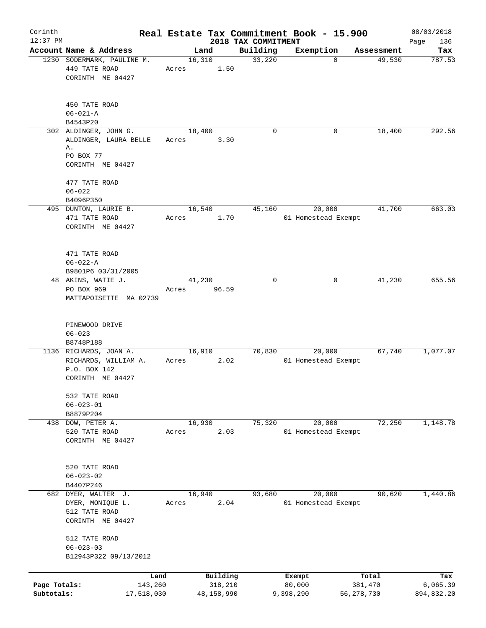| Corinth      |                                  |            |        |            | Real Estate Tax Commitment Book - 15.900 |                     |          |              | 08/03/2018         |
|--------------|----------------------------------|------------|--------|------------|------------------------------------------|---------------------|----------|--------------|--------------------|
| $12:37$ PM   | Account Name & Address           |            |        | Land       | 2018 TAX COMMITMENT<br>Building          | Exemption           |          | Assessment   | Page<br>136<br>Tax |
|              | 1230 SODERMARK, PAULINE M.       |            | 16,310 |            | 33,220                                   |                     | $\Omega$ | 49,530       | 787.53             |
|              | 449 TATE ROAD                    |            | Acres  | 1.50       |                                          |                     |          |              |                    |
|              | CORINTH ME 04427                 |            |        |            |                                          |                     |          |              |                    |
|              |                                  |            |        |            |                                          |                     |          |              |                    |
|              | 450 TATE ROAD                    |            |        |            |                                          |                     |          |              |                    |
|              | $06 - 021 - A$                   |            |        |            |                                          |                     |          |              |                    |
|              | B4543P20                         |            |        |            |                                          |                     |          |              |                    |
|              | 302 ALDINGER, JOHN G.            |            | 18,400 |            | $\Omega$                                 |                     | 0        | 18,400       | 292.56             |
|              | ALDINGER, LAURA BELLE            |            | Acres  | 3.30       |                                          |                     |          |              |                    |
|              | Α.<br>PO BOX 77                  |            |        |            |                                          |                     |          |              |                    |
|              | CORINTH ME 04427                 |            |        |            |                                          |                     |          |              |                    |
|              |                                  |            |        |            |                                          |                     |          |              |                    |
|              | 477 TATE ROAD                    |            |        |            |                                          |                     |          |              |                    |
|              | $06 - 022$                       |            |        |            |                                          |                     |          |              |                    |
|              | B4096P350                        |            |        |            |                                          |                     |          |              |                    |
|              | 495 DUNTON, LAURIE B.            |            | 16,540 |            | 45,160                                   |                     | 20,000   | 41,700       | 663.03             |
|              | 471 TATE ROAD                    |            | Acres  | 1.70       |                                          | 01 Homestead Exempt |          |              |                    |
|              | CORINTH ME 04427                 |            |        |            |                                          |                     |          |              |                    |
|              |                                  |            |        |            |                                          |                     |          |              |                    |
|              |                                  |            |        |            |                                          |                     |          |              |                    |
|              | 471 TATE ROAD                    |            |        |            |                                          |                     |          |              |                    |
|              | $06 - 022 - A$                   |            |        |            |                                          |                     |          |              |                    |
|              | B9801P6 03/31/2005               |            |        |            |                                          |                     |          |              |                    |
|              | 48 AKINS, WATIE J.               |            | 41,230 |            | $\Omega$                                 |                     | 0        | 41,230       | 655.56             |
|              | PO BOX 969                       |            | Acres  | 96.59      |                                          |                     |          |              |                    |
|              | MATTAPOISETTE MA 02739           |            |        |            |                                          |                     |          |              |                    |
|              |                                  |            |        |            |                                          |                     |          |              |                    |
|              | PINEWOOD DRIVE                   |            |        |            |                                          |                     |          |              |                    |
|              | $06 - 023$                       |            |        |            |                                          |                     |          |              |                    |
|              | B8748P188                        |            |        |            |                                          |                     |          |              |                    |
|              | 1136 RICHARDS, JOAN A.           |            | 16,910 |            | 70,830                                   |                     | 20,000   | 67,740       | 1,077.07           |
|              | RICHARDS, WILLIAM A.             |            | Acres  | 2.02       |                                          | 01 Homestead Exempt |          |              |                    |
|              | P.O. BOX 142                     |            |        |            |                                          |                     |          |              |                    |
|              | CORINTH ME 04427                 |            |        |            |                                          |                     |          |              |                    |
|              |                                  |            |        |            |                                          |                     |          |              |                    |
|              | 532 TATE ROAD<br>$06 - 023 - 01$ |            |        |            |                                          |                     |          |              |                    |
|              | B8879P204                        |            |        |            |                                          |                     |          |              |                    |
| 438          | DOW, PETER A.                    |            | 16,930 |            | 75,320                                   |                     | 20,000   | 72,250       | 1,148.78           |
|              | 520 TATE ROAD                    |            | Acres  | 2.03       |                                          | 01 Homestead Exempt |          |              |                    |
|              | CORINTH ME 04427                 |            |        |            |                                          |                     |          |              |                    |
|              |                                  |            |        |            |                                          |                     |          |              |                    |
|              |                                  |            |        |            |                                          |                     |          |              |                    |
|              | 520 TATE ROAD                    |            |        |            |                                          |                     |          |              |                    |
|              | $06 - 023 - 02$                  |            |        |            |                                          |                     |          |              |                    |
|              | B4407P246                        |            |        |            |                                          |                     |          |              |                    |
|              | 682 DYER, WALTER J.              |            | 16,940 |            | 93,680                                   |                     | 20,000   | 90,620       | 1,440.86           |
|              | DYER, MONIQUE L.                 |            | Acres  | 2.04       |                                          | 01 Homestead Exempt |          |              |                    |
|              | 512 TATE ROAD                    |            |        |            |                                          |                     |          |              |                    |
|              | CORINTH ME 04427                 |            |        |            |                                          |                     |          |              |                    |
|              |                                  |            |        |            |                                          |                     |          |              |                    |
|              | 512 TATE ROAD<br>$06 - 023 - 03$ |            |        |            |                                          |                     |          |              |                    |
|              | B12943P322 09/13/2012            |            |        |            |                                          |                     |          |              |                    |
|              |                                  |            |        |            |                                          |                     |          |              |                    |
|              |                                  | Land       |        | Building   |                                          | Exempt              |          | Total        | Tax                |
| Page Totals: |                                  | 143,260    |        | 318,210    |                                          | 80,000              |          | 381,470      | 6,065.39           |
| Subtotals:   |                                  | 17,518,030 |        | 48,158,990 |                                          | 9,398,290           |          | 56, 278, 730 | 894,832.20         |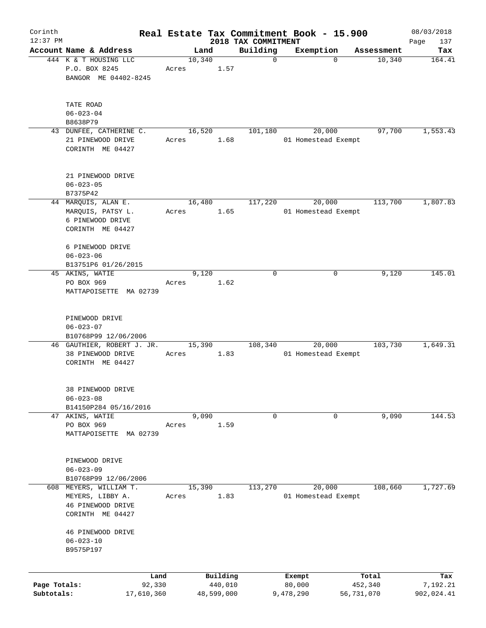| Corinth      |                                       |            |       |        |            |                                 | Real Estate Tax Commitment Book - 15.900 |          |            | 08/03/2018         |
|--------------|---------------------------------------|------------|-------|--------|------------|---------------------------------|------------------------------------------|----------|------------|--------------------|
| $12:37$ PM   | Account Name & Address                |            |       | Land   |            | 2018 TAX COMMITMENT<br>Building | Exemption                                |          | Assessment | Page<br>137<br>Tax |
|              | 444 K & T HOUSING LLC                 |            |       | 10,340 |            | $\mathbf 0$                     |                                          | $\Omega$ | 10,340     | 164.41             |
|              | P.O. BOX 8245                         |            | Acres |        | 1.57       |                                 |                                          |          |            |                    |
|              | BANGOR ME 04402-8245                  |            |       |        |            |                                 |                                          |          |            |                    |
|              |                                       |            |       |        |            |                                 |                                          |          |            |                    |
|              | TATE ROAD                             |            |       |        |            |                                 |                                          |          |            |                    |
|              | $06 - 023 - 04$                       |            |       |        |            |                                 |                                          |          |            |                    |
|              | B8638P79                              |            |       |        |            |                                 |                                          |          |            |                    |
|              | 43 DUNFEE, CATHERINE C.               |            |       | 16,520 |            | 101,180                         | 20,000                                   |          | 97,700     | 1,553.43           |
|              | 21 PINEWOOD DRIVE<br>CORINTH ME 04427 |            | Acres |        | 1.68       |                                 | 01 Homestead Exempt                      |          |            |                    |
|              |                                       |            |       |        |            |                                 |                                          |          |            |                    |
|              | 21 PINEWOOD DRIVE                     |            |       |        |            |                                 |                                          |          |            |                    |
|              | $06 - 023 - 05$                       |            |       |        |            |                                 |                                          |          |            |                    |
|              | B7375P42                              |            |       |        |            |                                 |                                          |          |            | 1,807.83           |
|              | 44 MARQUIS, ALAN E.                   |            |       | 16,480 |            | 117,220                         | 20,000                                   |          | 113,700    |                    |
|              | MARQUIS, PATSY L.                     |            | Acres |        | 1.65       |                                 | 01 Homestead Exempt                      |          |            |                    |
|              | 6 PINEWOOD DRIVE                      |            |       |        |            |                                 |                                          |          |            |                    |
|              | CORINTH ME 04427                      |            |       |        |            |                                 |                                          |          |            |                    |
|              | 6 PINEWOOD DRIVE                      |            |       |        |            |                                 |                                          |          |            |                    |
|              | $06 - 023 - 06$                       |            |       |        |            |                                 |                                          |          |            |                    |
|              |                                       |            |       |        |            |                                 |                                          |          |            |                    |
|              | B13751P6 01/26/2015                   |            |       | 9,120  |            | $\mathbf 0$                     |                                          | 0        | 9,120      | 145.01             |
|              | 45 AKINS, WATIE                       |            |       |        | 1.62       |                                 |                                          |          |            |                    |
|              | PO BOX 969                            |            | Acres |        |            |                                 |                                          |          |            |                    |
|              | MATTAPOISETTE MA 02739                |            |       |        |            |                                 |                                          |          |            |                    |
|              | PINEWOOD DRIVE                        |            |       |        |            |                                 |                                          |          |            |                    |
|              | $06 - 023 - 07$                       |            |       |        |            |                                 |                                          |          |            |                    |
|              | B10768P99 12/06/2006                  |            |       |        |            |                                 |                                          |          |            |                    |
|              | 46 GAUTHIER, ROBERT J. JR.            |            |       | 15,390 |            | 108,340                         | 20,000                                   |          | 103,730    | 1,649.31           |
|              | 38 PINEWOOD DRIVE                     |            | Acres |        | 1.83       |                                 | 01 Homestead Exempt                      |          |            |                    |
|              | CORINTH ME 04427                      |            |       |        |            |                                 |                                          |          |            |                    |
|              | 38 PINEWOOD DRIVE                     |            |       |        |            |                                 |                                          |          |            |                    |
|              | $06 - 023 - 08$                       |            |       |        |            |                                 |                                          |          |            |                    |
|              | B14150P284 05/16/2016                 |            |       |        |            |                                 |                                          |          |            |                    |
| 47           | AKINS, WATIE                          |            |       | 9,090  |            | 0                               |                                          | 0        | 9,090      | 144.53             |
|              | PO BOX 969                            |            | Acres |        | 1.59       |                                 |                                          |          |            |                    |
|              | MATTAPOISETTE                         | MA 02739   |       |        |            |                                 |                                          |          |            |                    |
|              |                                       |            |       |        |            |                                 |                                          |          |            |                    |
|              | PINEWOOD DRIVE                        |            |       |        |            |                                 |                                          |          |            |                    |
|              | $06 - 023 - 09$                       |            |       |        |            |                                 |                                          |          |            |                    |
|              | B10768P99 12/06/2006                  |            |       |        |            |                                 |                                          |          |            |                    |
| 608          | MEYERS, WILLIAM T.                    |            |       | 15,390 |            | 113,270                         | 20,000                                   |          | 108,660    | 1,727.69           |
|              | MEYERS, LIBBY A.                      |            | Acres |        | 1.83       |                                 | 01 Homestead Exempt                      |          |            |                    |
|              | 46 PINEWOOD DRIVE                     |            |       |        |            |                                 |                                          |          |            |                    |
|              | CORINTH ME 04427                      |            |       |        |            |                                 |                                          |          |            |                    |
|              | 46 PINEWOOD DRIVE                     |            |       |        |            |                                 |                                          |          |            |                    |
|              | $06 - 023 - 10$                       |            |       |        |            |                                 |                                          |          |            |                    |
|              | B9575P197                             |            |       |        |            |                                 |                                          |          |            |                    |
|              |                                       |            |       |        |            |                                 |                                          |          |            |                    |
|              |                                       | Land       |       |        | Building   |                                 | Exempt                                   |          | Total      | Tax                |
| Page Totals: |                                       | 92,330     |       |        | 440,010    |                                 | 80,000                                   |          | 452,340    | 7,192.21           |
| Subtotals:   |                                       | 17,610,360 |       |        | 48,599,000 |                                 | 9,478,290                                |          | 56,731,070 | 902,024.41         |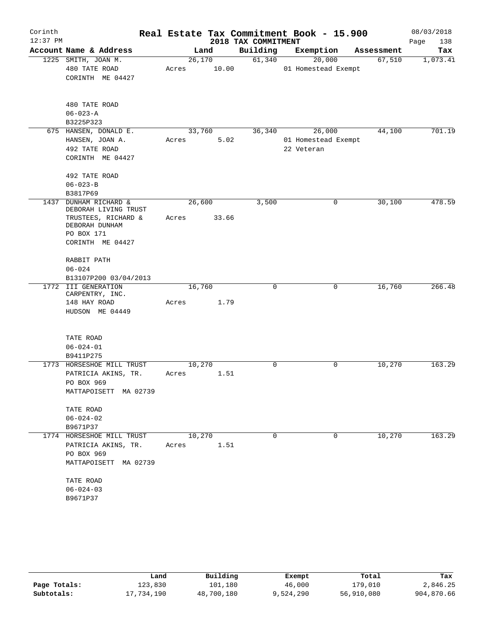| Corinth    |                                          |       |        |       | Real Estate Tax Commitment Book - 15.900 |                     |             |            | 08/03/2018  |
|------------|------------------------------------------|-------|--------|-------|------------------------------------------|---------------------|-------------|------------|-------------|
| $12:37$ PM |                                          |       |        |       | 2018 TAX COMMITMENT                      |                     |             |            | 138<br>Page |
|            | Account Name & Address                   |       | Land   |       | Building                                 | Exemption           |             | Assessment | Tax         |
|            | 1225 SMITH, JOAN M.                      |       | 26,170 |       | 61,340                                   | 20,000              |             | 67,510     | 1,073.41    |
|            | 480 TATE ROAD                            | Acres |        | 10.00 |                                          | 01 Homestead Exempt |             |            |             |
|            | CORINTH ME 04427                         |       |        |       |                                          |                     |             |            |             |
|            | 480 TATE ROAD                            |       |        |       |                                          |                     |             |            |             |
|            | $06 - 023 - A$                           |       |        |       |                                          |                     |             |            |             |
|            | B3225P323                                |       |        |       |                                          |                     |             |            |             |
|            | 675 HANSEN, DONALD E.                    |       | 33,760 |       | 36,340                                   | 26,000              |             | 44,100     | 701.19      |
|            | HANSEN, JOAN A.                          | Acres |        | 5.02  |                                          | 01 Homestead Exempt |             |            |             |
|            | 492 TATE ROAD                            |       |        |       |                                          | 22 Veteran          |             |            |             |
|            | CORINTH ME 04427                         |       |        |       |                                          |                     |             |            |             |
|            | 492 TATE ROAD                            |       |        |       |                                          |                     |             |            |             |
|            | $06 - 023 - B$                           |       |        |       |                                          |                     |             |            |             |
|            | B3817P69                                 |       |        |       |                                          |                     |             |            |             |
| 1437       | DUNHAM RICHARD &<br>DEBORAH LIVING TRUST |       | 26,600 |       | 3,500                                    |                     | 0           | 30,100     | 478.59      |
|            | TRUSTEES, RICHARD &<br>DEBORAH DUNHAM    | Acres |        | 33.66 |                                          |                     |             |            |             |
|            | PO BOX 171                               |       |        |       |                                          |                     |             |            |             |
|            | CORINTH ME 04427                         |       |        |       |                                          |                     |             |            |             |
|            | RABBIT PATH                              |       |        |       |                                          |                     |             |            |             |
|            | $06 - 024$                               |       |        |       |                                          |                     |             |            |             |
|            | B13107P200 03/04/2013                    |       |        |       |                                          |                     |             |            |             |
|            | 1772 III GENERATION<br>CARPENTRY, INC.   |       | 16,760 |       | 0                                        |                     | $\mathbf 0$ | 16,760     | 266.48      |
|            | 148 HAY ROAD                             | Acres |        | 1.79  |                                          |                     |             |            |             |
|            | HUDSON ME 04449                          |       |        |       |                                          |                     |             |            |             |
|            | TATE ROAD                                |       |        |       |                                          |                     |             |            |             |
|            | $06 - 024 - 01$                          |       |        |       |                                          |                     |             |            |             |
|            | B9411P275                                |       |        |       |                                          |                     |             |            |             |
|            | 1773 HORSESHOE MILL TRUST                |       | 10,270 |       | $\Omega$                                 |                     | 0           | 10,270     | 163.29      |
|            | PATRICIA AKINS, TR.                      | Acres |        | 1.51  |                                          |                     |             |            |             |
|            | PO BOX 969                               |       |        |       |                                          |                     |             |            |             |
|            | MATTAPOISETT MA 02739                    |       |        |       |                                          |                     |             |            |             |
|            | TATE ROAD                                |       |        |       |                                          |                     |             |            |             |
|            | $06 - 024 - 02$                          |       |        |       |                                          |                     |             |            |             |
|            | B9671P37                                 |       |        |       |                                          |                     |             |            |             |
|            | 1774 HORSESHOE MILL TRUST                |       | 10,270 |       | $\Omega$                                 |                     | 0           | 10,270     | 163.29      |
|            | PATRICIA AKINS, TR.                      | Acres |        | 1.51  |                                          |                     |             |            |             |
|            | PO BOX 969                               |       |        |       |                                          |                     |             |            |             |
|            | MATTAPOISETT MA 02739                    |       |        |       |                                          |                     |             |            |             |
|            | TATE ROAD                                |       |        |       |                                          |                     |             |            |             |
|            | $06 - 024 - 03$                          |       |        |       |                                          |                     |             |            |             |
|            | B9671P37                                 |       |        |       |                                          |                     |             |            |             |
|            |                                          |       |        |       |                                          |                     |             |            |             |

|              | Land       | Building   | Exempt    | Total      | Tax        |
|--------------|------------|------------|-----------|------------|------------|
| Page Totals: | 123,830    | 101,180    | 46,000    | 179,010    | 2,846.25   |
| Subtotals:   | 17,734,190 | 48,700,180 | 9,524,290 | 56,910,080 | 904,870.66 |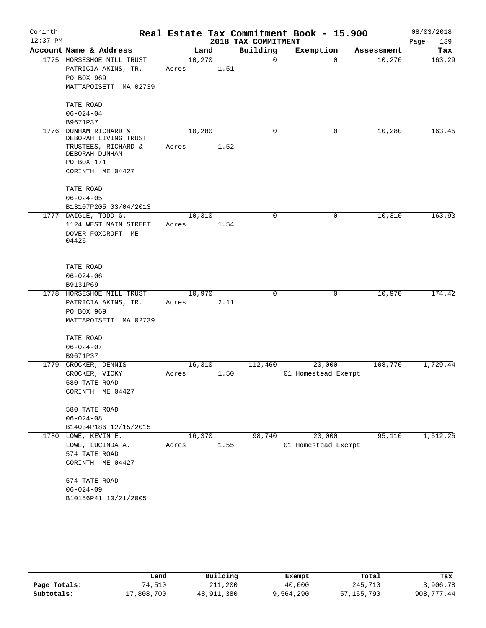| Corinth    |                                          |        |      |                     | Real Estate Tax Commitment Book - 15.900 |            | 08/03/2018  |
|------------|------------------------------------------|--------|------|---------------------|------------------------------------------|------------|-------------|
| $12:37$ PM |                                          |        |      | 2018 TAX COMMITMENT |                                          |            | 139<br>Page |
|            | Account Name & Address                   |        | Land | Building            | Exemption                                | Assessment | Tax         |
|            | 1775 HORSESHOE MILL TRUST                | 10,270 |      | $\mathbf 0$         | $\Omega$                                 | 10,270     | 163.29      |
|            | PATRICIA AKINS, TR.                      | Acres  | 1.51 |                     |                                          |            |             |
|            | PO BOX 969                               |        |      |                     |                                          |            |             |
|            | MATTAPOISETT MA 02739                    |        |      |                     |                                          |            |             |
|            | TATE ROAD                                |        |      |                     |                                          |            |             |
|            | $06 - 024 - 04$                          |        |      |                     |                                          |            |             |
|            | B9671P37                                 |        |      |                     |                                          |            |             |
| 1776       | DUNHAM RICHARD &<br>DEBORAH LIVING TRUST | 10,280 |      | $\mathbf 0$         | $\mathbf 0$                              | 10,280     | 163.45      |
|            | TRUSTEES, RICHARD &                      | Acres  | 1.52 |                     |                                          |            |             |
|            | DEBORAH DUNHAM                           |        |      |                     |                                          |            |             |
|            | PO BOX 171                               |        |      |                     |                                          |            |             |
|            | CORINTH ME 04427                         |        |      |                     |                                          |            |             |
|            | TATE ROAD                                |        |      |                     |                                          |            |             |
|            | $06 - 024 - 05$                          |        |      |                     |                                          |            |             |
|            | B13107P205 03/04/2013                    |        |      |                     |                                          |            |             |
|            | 1777 DAIGLE, TODD G.                     | 10,310 |      | $\mathbf 0$         | $\mathbf 0$                              | 10,310     | 163.93      |
|            | 1124 WEST MAIN STREET                    | Acres  | 1.54 |                     |                                          |            |             |
|            | DOVER-FOXCROFT ME                        |        |      |                     |                                          |            |             |
|            | 04426                                    |        |      |                     |                                          |            |             |
|            |                                          |        |      |                     |                                          |            |             |
|            | TATE ROAD                                |        |      |                     |                                          |            |             |
|            | $06 - 024 - 06$                          |        |      |                     |                                          |            |             |
|            | B9131P69                                 |        |      |                     |                                          |            |             |
|            | 1778 HORSESHOE MILL TRUST                | 10,970 |      | $\mathbf 0$         | 0                                        | 10,970     | 174.42      |
|            | PATRICIA AKINS, TR.                      | Acres  | 2.11 |                     |                                          |            |             |
|            | PO BOX 969                               |        |      |                     |                                          |            |             |
|            | MATTAPOISETT MA 02739                    |        |      |                     |                                          |            |             |
|            | TATE ROAD                                |        |      |                     |                                          |            |             |
|            | $06 - 024 - 07$                          |        |      |                     |                                          |            |             |
|            | B9671P37                                 |        |      |                     |                                          |            |             |
| 1779       | CROCKER, DENNIS                          | 16,310 |      | 112,460             | 20,000                                   | 108,770    | 1,729.44    |
|            | CROCKER, VICKY                           | Acres  | 1.50 |                     | 01 Homestead Exempt                      |            |             |
|            | 580 TATE ROAD                            |        |      |                     |                                          |            |             |
|            | CORINTH ME 04427                         |        |      |                     |                                          |            |             |
|            | 580 TATE ROAD                            |        |      |                     |                                          |            |             |
|            | $06 - 024 - 08$                          |        |      |                     |                                          |            |             |
|            | B14034P186 12/15/2015                    |        |      |                     |                                          |            |             |
|            | 1780 LOWE, KEVIN E.                      | 16,370 |      | 98,740              | 20,000                                   | 95,110     | 1,512.25    |
|            | LOWE, LUCINDA A.                         | Acres  | 1.55 |                     | 01 Homestead Exempt                      |            |             |
|            | 574 TATE ROAD                            |        |      |                     |                                          |            |             |
|            | CORINTH ME 04427                         |        |      |                     |                                          |            |             |
|            | 574 TATE ROAD                            |        |      |                     |                                          |            |             |
|            | $06 - 024 - 09$                          |        |      |                     |                                          |            |             |
|            | B10156P41 10/21/2005                     |        |      |                     |                                          |            |             |
|            |                                          |        |      |                     |                                          |            |             |

|              | Land       | Building   | Exempt    | Total        | Tax        |
|--------------|------------|------------|-----------|--------------|------------|
| Page Totals: | 74,510     | 211,200    | 40,000    | 245,710      | 3,906.78   |
| Subtotals:   | 17,808,700 | 48,911,380 | 9,564,290 | 57, 155, 790 | 908,777.44 |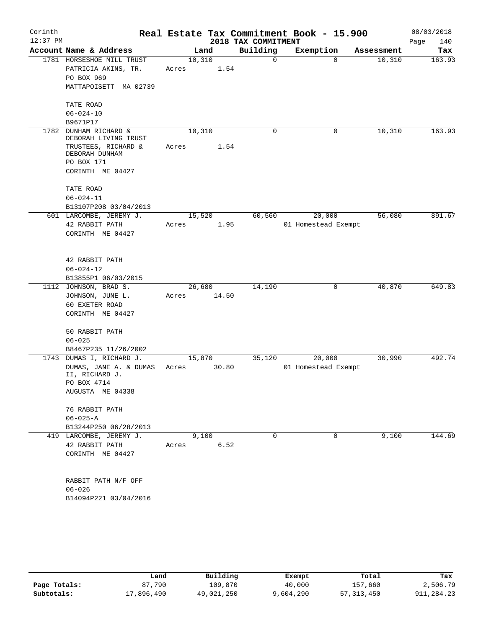| Corinth<br>$12:37$ PM |                                                  |       |        |       | 2018 TAX COMMITMENT | Real Estate Tax Commitment Book - 15.900 |            | 08/03/2018<br>140<br>Page |
|-----------------------|--------------------------------------------------|-------|--------|-------|---------------------|------------------------------------------|------------|---------------------------|
|                       | Account Name & Address                           |       | Land   |       | Building            | Exemption                                | Assessment | Tax                       |
|                       | 1781 HORSESHOE MILL TRUST<br>PATRICIA AKINS, TR. | Acres | 10,310 | 1.54  | 0                   | $\Omega$                                 | 10,310     | 163.93                    |
|                       | PO BOX 969                                       |       |        |       |                     |                                          |            |                           |
|                       | MATTAPOISETT MA 02739                            |       |        |       |                     |                                          |            |                           |
|                       | TATE ROAD                                        |       |        |       |                     |                                          |            |                           |
|                       | $06 - 024 - 10$                                  |       |        |       |                     |                                          |            |                           |
|                       | B9671P17                                         |       |        |       |                     |                                          |            |                           |
| 1782                  | DUNHAM RICHARD &<br>DEBORAH LIVING TRUST         |       | 10,310 |       | 0                   | $\mathbf 0$                              | 10,310     | 163.93                    |
|                       | TRUSTEES, RICHARD &<br>DEBORAH DUNHAM            | Acres |        | 1.54  |                     |                                          |            |                           |
|                       | PO BOX 171                                       |       |        |       |                     |                                          |            |                           |
|                       | CORINTH ME 04427                                 |       |        |       |                     |                                          |            |                           |
|                       | TATE ROAD<br>$06 - 024 - 11$                     |       |        |       |                     |                                          |            |                           |
|                       | B13107P208 03/04/2013                            |       |        |       |                     |                                          |            |                           |
|                       | 601 LARCOMBE, JEREMY J.                          |       | 15,520 |       | 60,560              | 20,000                                   | 56,080     | 891.67                    |
|                       | 42 RABBIT PATH                                   | Acres |        | 1.95  |                     | 01 Homestead Exempt                      |            |                           |
|                       | CORINTH ME 04427                                 |       |        |       |                     |                                          |            |                           |
|                       |                                                  |       |        |       |                     |                                          |            |                           |
|                       | 42 RABBIT PATH                                   |       |        |       |                     |                                          |            |                           |
|                       | $06 - 024 - 12$                                  |       |        |       |                     |                                          |            |                           |
|                       | B13855P1 06/03/2015                              |       |        |       |                     |                                          |            |                           |
|                       | 1112 JOHNSON, BRAD S.                            |       | 26,680 |       | 14,190              | 0                                        | 40,870     | 649.83                    |
|                       | JOHNSON, JUNE L.                                 | Acres |        | 14.50 |                     |                                          |            |                           |
|                       | 60 EXETER ROAD                                   |       |        |       |                     |                                          |            |                           |
|                       | CORINTH ME 04427                                 |       |        |       |                     |                                          |            |                           |
|                       | 50 RABBIT PATH                                   |       |        |       |                     |                                          |            |                           |
|                       | $06 - 025$                                       |       |        |       |                     |                                          |            |                           |
|                       | B8467P235 11/26/2002<br>1743 DUMAS I, RICHARD J. |       | 15,870 |       | 35,120              | 20,000                                   | 30,990     | 492.74                    |
|                       | DUMAS, JANE A. & DUMAS                           | Acres |        | 30.80 |                     | 01 Homestead Exempt                      |            |                           |
|                       | II, RICHARD J.                                   |       |        |       |                     |                                          |            |                           |
|                       | PO BOX 4714                                      |       |        |       |                     |                                          |            |                           |
|                       | AUGUSTA ME 04338                                 |       |        |       |                     |                                          |            |                           |
|                       | 76 RABBIT PATH                                   |       |        |       |                     |                                          |            |                           |
|                       | $06 - 025 - A$                                   |       |        |       |                     |                                          |            |                           |
|                       | B13244P250 06/28/2013                            |       |        |       |                     |                                          |            |                           |
|                       | 419 LARCOMBE, JEREMY J.                          |       | 9,100  |       | $\Omega$            | 0                                        | 9,100      | 144.69                    |
|                       | 42 RABBIT PATH                                   | Acres |        | 6.52  |                     |                                          |            |                           |
|                       | CORINTH ME 04427                                 |       |        |       |                     |                                          |            |                           |
|                       | RABBIT PATH N/F OFF                              |       |        |       |                     |                                          |            |                           |
|                       | $06 - 026$                                       |       |        |       |                     |                                          |            |                           |
|                       | B14094P221 03/04/2016                            |       |        |       |                     |                                          |            |                           |
|                       |                                                  |       |        |       |                     |                                          |            |                           |
|                       |                                                  |       |        |       |                     |                                          |            |                           |

|              | Land       | Building   | Exempt    | Total        | Tax        |
|--------------|------------|------------|-----------|--------------|------------|
| Page Totals: | 87,790     | 109,870    | 40,000    | 157,660      | 2,506.79   |
| Subtotals:   | 17,896,490 | 49,021,250 | 9,604,290 | 57, 313, 450 | 911,284.23 |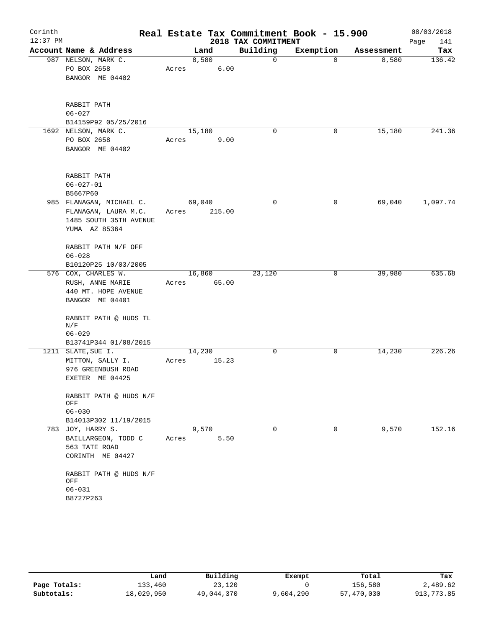| Corinth    |                               |       |        |        |                     | Real Estate Tax Commitment Book - 15.900 |            | 08/03/2018  |
|------------|-------------------------------|-------|--------|--------|---------------------|------------------------------------------|------------|-------------|
| $12:37$ PM |                               |       |        |        | 2018 TAX COMMITMENT |                                          |            | Page<br>141 |
|            | Account Name & Address        |       | Land   |        | Building            | Exemption                                | Assessment | Tax         |
|            | 987 NELSON, MARK C.           |       | 8,580  |        | $\mathbf 0$         | 0                                        | 8,580      | 136.42      |
|            | PO BOX 2658                   | Acres |        | 6.00   |                     |                                          |            |             |
|            | BANGOR ME 04402               |       |        |        |                     |                                          |            |             |
|            | RABBIT PATH                   |       |        |        |                     |                                          |            |             |
|            | $06 - 027$                    |       |        |        |                     |                                          |            |             |
|            | B14159P92 05/25/2016          |       |        |        |                     |                                          |            |             |
|            | 1692 NELSON, MARK C.          |       | 15,180 |        | 0                   | 0                                        | 15,180     | 241.36      |
|            | PO BOX 2658                   | Acres |        | 9.00   |                     |                                          |            |             |
|            | BANGOR ME 04402               |       |        |        |                     |                                          |            |             |
|            | RABBIT PATH                   |       |        |        |                     |                                          |            |             |
|            | $06 - 027 - 01$               |       |        |        |                     |                                          |            |             |
|            | B5667P60                      |       |        |        |                     |                                          |            |             |
|            | 985 FLANAGAN, MICHAEL C.      |       | 69,040 |        | 0                   | 0                                        | 69,040     | 1,097.74    |
|            | FLANAGAN, LAURA M.C.          | Acres |        | 215.00 |                     |                                          |            |             |
|            | 1485 SOUTH 35TH AVENUE        |       |        |        |                     |                                          |            |             |
|            | YUMA AZ 85364                 |       |        |        |                     |                                          |            |             |
|            | RABBIT PATH N/F OFF           |       |        |        |                     |                                          |            |             |
|            | $06 - 028$                    |       |        |        |                     |                                          |            |             |
|            | B10120P25 10/03/2005          |       |        |        |                     |                                          |            |             |
|            | 576 COX, CHARLES W.           |       | 16,860 |        | 23,120              | 0                                        | 39,980     | 635.68      |
|            | RUSH, ANNE MARIE              | Acres |        | 65.00  |                     |                                          |            |             |
|            | 440 MT. HOPE AVENUE           |       |        |        |                     |                                          |            |             |
|            | BANGOR ME 04401               |       |        |        |                     |                                          |            |             |
|            | RABBIT PATH @ HUDS TL<br>N/F  |       |        |        |                     |                                          |            |             |
|            | $06 - 029$                    |       |        |        |                     |                                          |            |             |
|            | B13741P344 01/08/2015         |       |        |        |                     |                                          |            |             |
|            | 1211 SLATE, SUE I.            |       | 14,230 |        | 0                   | 0                                        | 14,230     | 226.26      |
|            | MITTON, SALLY I.              | Acres |        | 15.23  |                     |                                          |            |             |
|            | 976 GREENBUSH ROAD            |       |        |        |                     |                                          |            |             |
|            | EXETER ME 04425               |       |        |        |                     |                                          |            |             |
|            | RABBIT PATH @ HUDS N/F<br>OFF |       |        |        |                     |                                          |            |             |
|            | $06 - 030$                    |       |        |        |                     |                                          |            |             |
|            | B14013P302 11/19/2015         |       |        |        |                     |                                          |            |             |
|            | 783 JOY, HARRY S.             |       | 9,570  |        | $\Omega$            | 0                                        | 9,570      | 152.16      |
|            | BAILLARGEON, TODD C           | Acres |        | 5.50   |                     |                                          |            |             |
|            | 563 TATE ROAD                 |       |        |        |                     |                                          |            |             |
|            | CORINTH ME 04427              |       |        |        |                     |                                          |            |             |
|            | RABBIT PATH @ HUDS N/F<br>OFF |       |        |        |                     |                                          |            |             |
|            | $06 - 031$                    |       |        |        |                     |                                          |            |             |
|            | B8727P263                     |       |        |        |                     |                                          |            |             |
|            |                               |       |        |        |                     |                                          |            |             |

|              | Land       | Building   | Exempt    | Total      | Tax        |
|--------------|------------|------------|-----------|------------|------------|
| Page Totals: | 133,460    | 23,120     |           | 156,580    | 2,489.62   |
| Subtotals:   | 18,029,950 | 49,044,370 | 9,604,290 | 57,470,030 | 913,773.85 |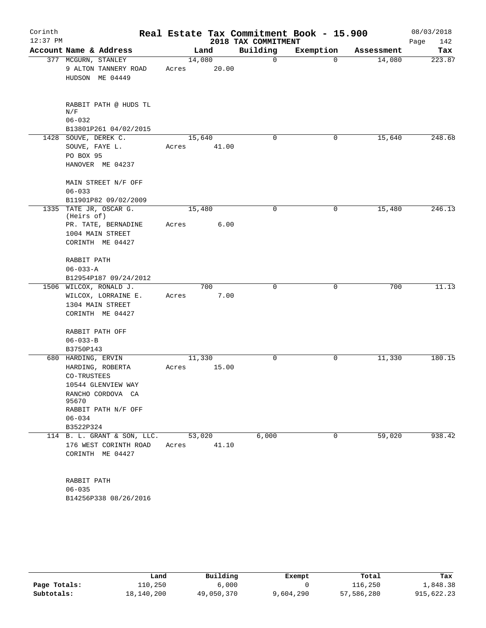| Corinth<br>$12:37$ PM |                                                                                                                                                             |                 |       | 2018 TAX COMMITMENT | Real Estate Tax Commitment Book - 15.900 |            | 08/03/2018<br>142<br>Page |
|-----------------------|-------------------------------------------------------------------------------------------------------------------------------------------------------------|-----------------|-------|---------------------|------------------------------------------|------------|---------------------------|
|                       | Account Name & Address                                                                                                                                      |                 | Land  | Building            | Exemption                                | Assessment | Tax                       |
|                       | 377 MCGURN, STANLEY<br>9 ALTON TANNERY ROAD<br>HUDSON ME 04449                                                                                              | 14,080<br>Acres | 20.00 | 0                   | $\Omega$                                 | 14,080     | 223.87                    |
|                       | RABBIT PATH @ HUDS TL<br>N/F<br>$06 - 032$<br>B13801P261 04/02/2015                                                                                         |                 |       |                     |                                          |            |                           |
|                       | 1428 SOUVE, DEREK C.<br>SOUVE, FAYE L.<br>PO BOX 95<br>HANOVER ME 04237                                                                                     | 15,640<br>Acres | 41.00 | $\Omega$            | 0                                        | 15,640     | 248.68                    |
|                       | MAIN STREET N/F OFF<br>$06 - 033$<br>B11901P82 09/02/2009                                                                                                   |                 |       |                     |                                          |            |                           |
|                       | 1335 TATE JR, OSCAR G.                                                                                                                                      | 15,480          |       | 0                   | 0                                        | 15,480     | 246.13                    |
|                       | (Heirs of)<br>PR. TATE, BERNADINE<br>1004 MAIN STREET<br>CORINTH ME 04427                                                                                   | Acres           | 6.00  |                     |                                          |            |                           |
|                       | RABBIT PATH<br>$06 - 033 - A$                                                                                                                               |                 |       |                     |                                          |            |                           |
|                       | B12954P187 09/24/2012<br>1506 WILCOX, RONALD J.                                                                                                             |                 | 700   | 0                   | $\mathbf 0$                              | 700        | 11.13                     |
|                       | WILCOX, LORRAINE E.<br>1304 MAIN STREET<br>CORINTH ME 04427                                                                                                 | Acres           | 7.00  |                     |                                          |            |                           |
|                       | RABBIT PATH OFF<br>$06 - 033 - B$<br>B3750P143                                                                                                              |                 |       |                     |                                          |            |                           |
|                       | 680 HARDING, ERVIN<br>HARDING, ROBERTA<br>CO-TRUSTEES<br>10544 GLENVIEW WAY<br>RANCHO CORDOVA CA<br>95670<br>RABBIT PATH N/F OFF<br>$06 - 034$<br>B3522P324 | 11,330<br>Acres | 15.00 | $\mathbf 0$         | 0                                        | 11,330     | 180.15                    |
|                       | 114 B. L. GRANT & SON, LLC.                                                                                                                                 | 53,020          |       | 6,000               | 0                                        | 59,020     | 938.42                    |
|                       | 176 WEST CORINTH ROAD<br>CORINTH ME 04427                                                                                                                   | Acres           | 41.10 |                     |                                          |            |                           |
|                       | RABBIT PATH<br>$06 - 035$<br>B14256P338 08/26/2016                                                                                                          |                 |       |                     |                                          |            |                           |

|              | Land       | Building   | Exempt    | Total      | Tax        |
|--------------|------------|------------|-----------|------------|------------|
| Page Totals: | 110,250    | 6,000      |           | 116,250    | 1,848.38   |
| Subtotals:   | 18,140,200 | 49,050,370 | 9,604,290 | 57,586,280 | 915,622.23 |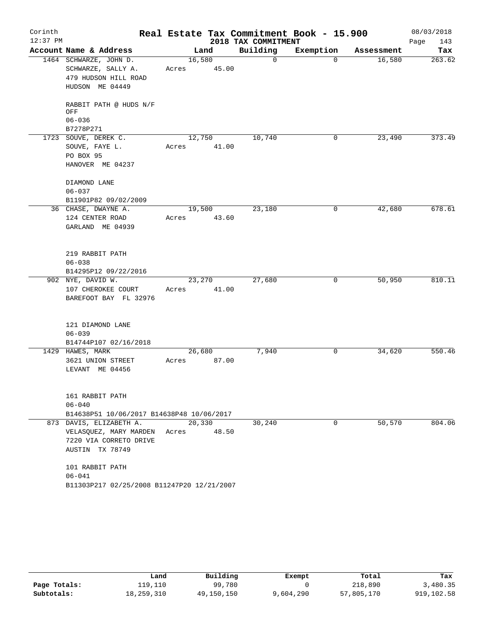| Corinth<br>$12:37$ PM |                                            |        |       | 2018 TAX COMMITMENT | Real Estate Tax Commitment Book - 15.900 |            | 08/03/2018<br>143<br>Page |
|-----------------------|--------------------------------------------|--------|-------|---------------------|------------------------------------------|------------|---------------------------|
|                       | Account Name & Address                     |        | Land  | Building            | Exemption                                | Assessment | Tax                       |
|                       | 1464 SCHWARZE, JOHN D.                     | 16,580 |       | 0                   | $\Omega$                                 | 16,580     | 263.62                    |
|                       | SCHWARZE, SALLY A.                         | Acres  | 45.00 |                     |                                          |            |                           |
|                       | 479 HUDSON HILL ROAD                       |        |       |                     |                                          |            |                           |
|                       | HUDSON ME 04449                            |        |       |                     |                                          |            |                           |
|                       | RABBIT PATH @ HUDS N/F<br>OFF              |        |       |                     |                                          |            |                           |
|                       | $06 - 036$                                 |        |       |                     |                                          |            |                           |
|                       | B7278P271                                  |        |       |                     |                                          |            |                           |
|                       | 1723 SOUVE, DEREK C.                       | 12,750 |       | 10,740              | 0                                        | 23,490     | 373.49                    |
|                       | SOUVE, FAYE L.                             | Acres  | 41.00 |                     |                                          |            |                           |
|                       | PO BOX 95                                  |        |       |                     |                                          |            |                           |
|                       | HANOVER ME 04237                           |        |       |                     |                                          |            |                           |
|                       | DIAMOND LANE                               |        |       |                     |                                          |            |                           |
|                       | $06 - 037$                                 |        |       |                     |                                          |            |                           |
|                       | B11901P82 09/02/2009                       |        |       |                     |                                          |            |                           |
|                       | 36 CHASE, DWAYNE A.                        | 19,500 |       | 23,180              | 0                                        | 42,680     | 678.61                    |
|                       | 124 CENTER ROAD                            | Acres  | 43.60 |                     |                                          |            |                           |
|                       | GARLAND ME 04939                           |        |       |                     |                                          |            |                           |
|                       | 219 RABBIT PATH                            |        |       |                     |                                          |            |                           |
|                       | $06 - 038$                                 |        |       |                     |                                          |            |                           |
|                       | B14295P12 09/22/2016                       |        |       |                     |                                          |            |                           |
|                       | 902 NYE, DAVID W.                          | 23,270 |       | 27,680              | 0                                        | 50,950     | 810.11                    |
|                       | 107 CHEROKEE COURT                         | Acres  | 41.00 |                     |                                          |            |                           |
|                       | BAREFOOT BAY FL 32976                      |        |       |                     |                                          |            |                           |
|                       | 121 DIAMOND LANE                           |        |       |                     |                                          |            |                           |
|                       | $06 - 039$                                 |        |       |                     |                                          |            |                           |
|                       | B14744P107 02/16/2018                      |        |       |                     |                                          |            |                           |
|                       | 1429 HAWES, MARK                           | 26,680 |       | 7,940               | 0                                        | 34,620     | 550.46                    |
|                       | 3621 UNION STREET                          | Acres  | 87.00 |                     |                                          |            |                           |
|                       | LEVANT ME 04456                            |        |       |                     |                                          |            |                           |
|                       | 161 RABBIT PATH                            |        |       |                     |                                          |            |                           |
|                       | $06 - 040$                                 |        |       |                     |                                          |            |                           |
|                       | B14638P51 10/06/2017 B14638P48 10/06/2017  |        |       |                     |                                          |            |                           |
|                       | 873 DAVIS, ELIZABETH A.                    | 20,330 |       | 30,240              | 0                                        | 50,570     | 804.06                    |
|                       | VELASQUEZ, MARY MARDEN Acres 48.50         |        |       |                     |                                          |            |                           |
|                       | 7220 VIA CORRETO DRIVE                     |        |       |                     |                                          |            |                           |
|                       | AUSTIN TX 78749                            |        |       |                     |                                          |            |                           |
|                       | 101 RABBIT PATH                            |        |       |                     |                                          |            |                           |
|                       | $06 - 041$                                 |        |       |                     |                                          |            |                           |
|                       | B11303P217 02/25/2008 B11247P20 12/21/2007 |        |       |                     |                                          |            |                           |

|              | Land       | Building   | Exempt    | Total      | Tax        |
|--------------|------------|------------|-----------|------------|------------|
| Page Totals: | 119,110    | 99,780     |           | 218,890    | 3,480.35   |
| Subtotals:   | 18,259,310 | 49,150,150 | 9,604,290 | 57,805,170 | 919,102.58 |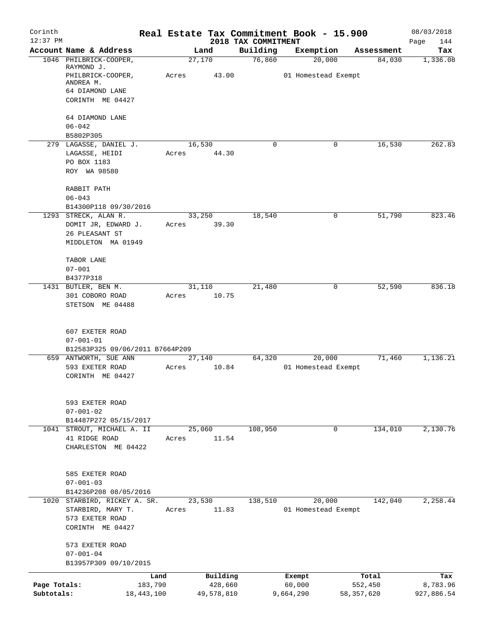| Corinth<br>$12:37$ PM |                                                          |       |                 |                                 | Real Estate Tax Commitment Book - 15.900 |            | 08/03/2018         |
|-----------------------|----------------------------------------------------------|-------|-----------------|---------------------------------|------------------------------------------|------------|--------------------|
|                       | Account Name & Address                                   |       | Land            | 2018 TAX COMMITMENT<br>Building | Exemption                                | Assessment | Page<br>144<br>Tax |
|                       | 1046 PHILBRICK-COOPER,                                   |       | 27,170          | 76,860                          | 20,000                                   | 84,030     | 1,336.08           |
|                       | RAYMOND J.<br>PHILBRICK-COOPER,<br>ANDREA M.             | Acres | 43.00           |                                 | 01 Homestead Exempt                      |            |                    |
|                       | 64 DIAMOND LANE<br>CORINTH ME 04427                      |       |                 |                                 |                                          |            |                    |
|                       |                                                          |       |                 |                                 |                                          |            |                    |
|                       | 64 DIAMOND LANE<br>$06 - 042$                            |       |                 |                                 |                                          |            |                    |
|                       | B5802P305                                                |       |                 |                                 |                                          |            |                    |
|                       | 279 LAGASSE, DANIEL J.<br>LAGASSE, HEIDI                 | Acres | 16,530<br>44.30 | 0                               | 0                                        | 16,530     | 262.83             |
|                       | PO BOX 1183                                              |       |                 |                                 |                                          |            |                    |
|                       | ROY WA 98580                                             |       |                 |                                 |                                          |            |                    |
|                       | RABBIT PATH<br>$06 - 043$                                |       |                 |                                 |                                          |            |                    |
|                       | B14300P118 09/30/2016                                    |       |                 |                                 |                                          |            |                    |
|                       | 1293 STRECK, ALAN R.                                     |       | 33,250          | 18,540                          | 0                                        | 51,790     | 823.46             |
|                       | DOMIT JR, EDWARD J.<br>26 PLEASANT ST                    | Acres | 39.30           |                                 |                                          |            |                    |
|                       | MIDDLETON MA 01949                                       |       |                 |                                 |                                          |            |                    |
|                       | TABOR LANE                                               |       |                 |                                 |                                          |            |                    |
|                       | $07 - 001$                                               |       |                 |                                 |                                          |            |                    |
|                       | B4377P318<br>1431 BUTLER, BEN M.                         |       | 31,110          | 21,480                          | 0                                        | 52,590     | 836.18             |
|                       | 301 COBORO ROAD                                          | Acres | 10.75           |                                 |                                          |            |                    |
|                       | STETSON ME 04488                                         |       |                 |                                 |                                          |            |                    |
|                       | 607 EXETER ROAD                                          |       |                 |                                 |                                          |            |                    |
|                       | $07 - 001 - 01$                                          |       |                 |                                 |                                          |            |                    |
|                       | B12583P325 09/06/2011 B7664P209<br>659 ANTWORTH, SUE ANN |       | 27,140          | 64,320                          | 20,000                                   | 71,460     | 1,136.21           |
|                       | 593 EXETER ROAD                                          | Acres | 10.84           |                                 | 01 Homestead Exempt                      |            |                    |
|                       | CORINTH ME 04427                                         |       |                 |                                 |                                          |            |                    |
|                       | 593 EXETER ROAD                                          |       |                 |                                 |                                          |            |                    |
|                       | $07 - 001 - 02$                                          |       |                 |                                 |                                          |            |                    |
|                       | B14487P272 05/15/2017                                    |       |                 |                                 |                                          |            |                    |
|                       | 1041 STROUT, MICHAEL A. II<br>41 RIDGE ROAD              | Acres | 25,060<br>11.54 | 108,950                         | $\mathbf 0$                              | 134,010    | 2,130.76           |
|                       | CHARLESTON ME 04422                                      |       |                 |                                 |                                          |            |                    |
|                       |                                                          |       |                 |                                 |                                          |            |                    |
|                       | 585 EXETER ROAD<br>$07 - 001 - 03$                       |       |                 |                                 |                                          |            |                    |
|                       | B14236P208 08/05/2016                                    |       |                 |                                 |                                          |            |                    |
|                       | 1020 STARBIRD, RICKEY A. SR.                             |       | 23,530          | 138,510                         | 20,000                                   | 142,040    | 2,258.44           |
|                       | STARBIRD, MARY T.                                        | Acres | 11.83           |                                 | 01 Homestead Exempt                      |            |                    |
|                       | 573 EXETER ROAD<br>CORINTH ME 04427                      |       |                 |                                 |                                          |            |                    |
|                       | 573 EXETER ROAD                                          |       |                 |                                 |                                          |            |                    |
|                       | $07 - 001 - 04$<br>B13957P309 09/10/2015                 |       |                 |                                 |                                          |            |                    |
|                       |                                                          | Land  | Building        |                                 | Exempt                                   | Total      | Tax                |
| Page Totals:          | 183,790                                                  |       | 428,660         |                                 | 60,000                                   | 552,450    | 8,783.96           |
| Subtotals:            | 18,443,100                                               |       | 49,578,810      |                                 | 9,664,290                                | 58,357,620 | 927,886.54         |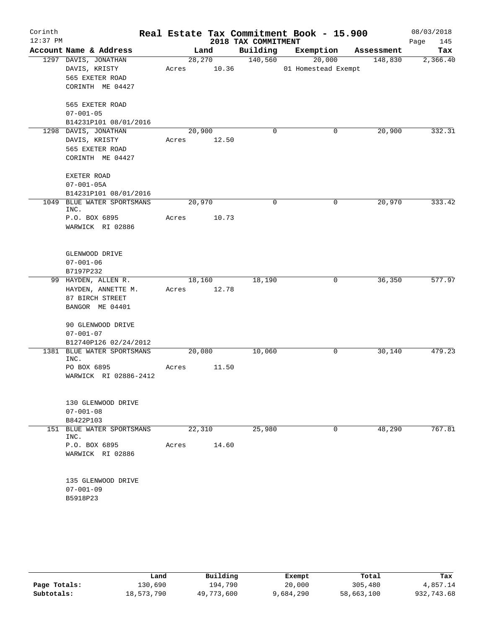| Corinth<br>$12:37$ PM |                                                                                 |                       |                 | 2018 TAX COMMITMENT | Real Estate Tax Commitment Book - 15.900 |            | 08/03/2018<br>Page<br>145 |
|-----------------------|---------------------------------------------------------------------------------|-----------------------|-----------------|---------------------|------------------------------------------|------------|---------------------------|
|                       | Account Name & Address                                                          |                       | Land            | Building            | Exemption                                | Assessment | Tax                       |
|                       | 1297 DAVIS, JONATHAN<br>DAVIS, KRISTY<br>565 EXETER ROAD<br>CORINTH ME 04427    | Acres                 | 28,270<br>10.36 | 140,560             | 20,000<br>01 Homestead Exempt            | 148,830    | 2,366.40                  |
|                       | 565 EXETER ROAD<br>$07 - 001 - 05$<br>B14231P101 08/01/2016                     |                       |                 |                     |                                          |            |                           |
|                       | 1298 DAVIS, JONATHAN<br>DAVIS, KRISTY<br>565 EXETER ROAD<br>CORINTH ME 04427    | 20,900<br>Acres       | 12.50           | 0                   | 0                                        | 20,900     | 332.31                    |
|                       | EXETER ROAD<br>$07 - 001 - 05A$<br>B14231P101 08/01/2016                        |                       |                 |                     |                                          |            |                           |
| 1049                  | BLUE WATER SPORTSMANS<br>INC.<br>P.O. BOX 6895<br>WARWICK RI 02886              | 20,970<br>Acres       | 10.73           | $\mathbf 0$         | 0                                        | 20,970     | 333.42                    |
|                       | GLENWOOD DRIVE<br>$07 - 001 - 06$<br>B7197P232                                  |                       |                 |                     |                                          |            |                           |
|                       | 99 HAYDEN, ALLEN R.<br>HAYDEN, ANNETTE M.<br>87 BIRCH STREET<br>BANGOR ME 04401 | 18,160<br>Acres 12.78 |                 | 18,190              | 0                                        | 36,350     | 577.97                    |
|                       | 90 GLENWOOD DRIVE<br>$07 - 001 - 07$<br>B12740P126 02/24/2012                   |                       |                 |                     |                                          |            |                           |
|                       | 1381 BLUE WATER SPORTSMANS<br>INC.                                              | 20,080                |                 | 10,060              | 0                                        | 30,140     | 479.23                    |
|                       | PO BOX 6895<br>WARWICK RI 02886-2412                                            | Acres                 | 11.50           |                     |                                          |            |                           |
|                       | 130 GLENWOOD DRIVE<br>$07 - 001 - 08$<br>B8422P103                              |                       |                 |                     |                                          |            |                           |
|                       | 151 BLUE WATER SPORTSMANS<br>INC.<br>P.O. BOX 6895<br>WARWICK RI 02886          | 22,310<br>Acres       | 14.60           | 25,980              | 0                                        | 48,290     | 767.81                    |
|                       | 135 GLENWOOD DRIVE<br>$07 - 001 - 09$<br>B5918P23                               |                       |                 |                     |                                          |            |                           |

|              | Land       | Building   | Exempt    | Total      | Tax        |
|--------------|------------|------------|-----------|------------|------------|
| Page Totals: | 130,690    | 194,790    | 20,000    | 305,480    | 4,857.14   |
| Subtotals:   | 18,573,790 | 49,773,600 | 9,684,290 | 58,663,100 | 932,743.68 |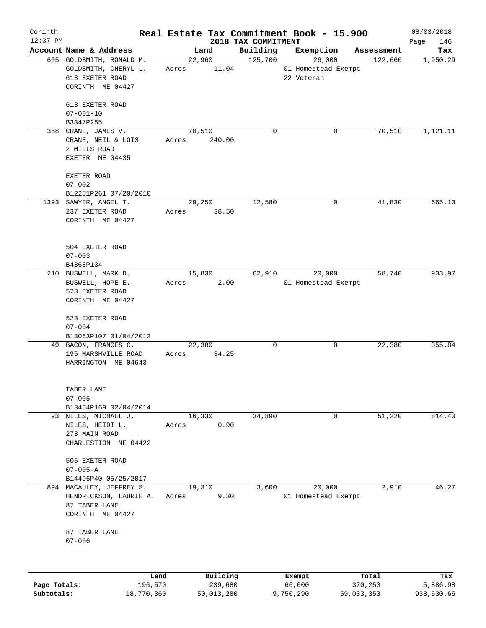| Corinth      |                                     |                 |          |                                 | Real Estate Tax Commitment Book - 15.900 |            |         | 08/03/2018         |
|--------------|-------------------------------------|-----------------|----------|---------------------------------|------------------------------------------|------------|---------|--------------------|
| $12:37$ PM   | Account Name & Address              |                 | Land     | 2018 TAX COMMITMENT<br>Building | Exemption                                | Assessment |         | 146<br>Page<br>Tax |
|              | 605 GOLDSMITH, RONALD M.            | 22,960          |          | 125,700                         | 26,000                                   |            | 122,660 | 1,950.29           |
|              | GOLDSMITH, CHERYL L.                | Acres           | 11.04    |                                 | 01 Homestead Exempt                      |            |         |                    |
|              | 613 EXETER ROAD                     |                 |          |                                 | 22 Veteran                               |            |         |                    |
|              | CORINTH ME 04427                    |                 |          |                                 |                                          |            |         |                    |
|              | 613 EXETER ROAD                     |                 |          |                                 |                                          |            |         |                    |
|              | $07 - 001 - 10$                     |                 |          |                                 |                                          |            |         |                    |
|              | B3347P255                           |                 |          |                                 |                                          |            |         |                    |
|              | 358 CRANE, JAMES V.                 | 70,510          |          | $\Omega$                        |                                          | 0          | 70,510  | 1,121.11           |
|              | CRANE, NEIL & LOIS                  | Acres           | 240.00   |                                 |                                          |            |         |                    |
|              | 2 MILLS ROAD                        |                 |          |                                 |                                          |            |         |                    |
|              | EXETER ME 04435                     |                 |          |                                 |                                          |            |         |                    |
|              | EXETER ROAD                         |                 |          |                                 |                                          |            |         |                    |
|              | $07 - 002$                          |                 |          |                                 |                                          |            |         |                    |
|              | B12251P261 07/20/2010               |                 |          |                                 |                                          |            |         |                    |
|              | 1393 SAWYER, ANGEL T.               | 29,250          |          | 12,580                          |                                          | 0          | 41,830  | 665.10             |
|              | 237 EXETER ROAD                     | Acres           | 38.50    |                                 |                                          |            |         |                    |
|              | CORINTH ME 04427                    |                 |          |                                 |                                          |            |         |                    |
|              |                                     |                 |          |                                 |                                          |            |         |                    |
|              |                                     |                 |          |                                 |                                          |            |         |                    |
|              | 504 EXETER ROAD                     |                 |          |                                 |                                          |            |         |                    |
|              | $07 - 003$                          |                 |          |                                 |                                          |            |         |                    |
|              | B4868P134                           |                 |          |                                 |                                          |            |         |                    |
|              | 210 BUSWELL, MARK D.                | 15,830<br>Acres | 2.00     | 62,910                          | 20,000<br>01 Homestead Exempt            |            | 58,740  | 933.97             |
|              | BUSWELL, HOPE E.<br>523 EXETER ROAD |                 |          |                                 |                                          |            |         |                    |
|              | CORINTH ME 04427                    |                 |          |                                 |                                          |            |         |                    |
|              |                                     |                 |          |                                 |                                          |            |         |                    |
|              | 523 EXETER ROAD                     |                 |          |                                 |                                          |            |         |                    |
|              | $07 - 004$                          |                 |          |                                 |                                          |            |         |                    |
|              | B13063P107 01/04/2012               |                 |          |                                 |                                          |            |         |                    |
|              | 49 BACON, FRANCES C.                | 22,380          |          | 0                               |                                          | 0          | 22,380  | 355.84             |
|              | 195 MARSHVILLE ROAD                 | Acres           | 34.25    |                                 |                                          |            |         |                    |
|              | HARRINGTON ME 04643                 |                 |          |                                 |                                          |            |         |                    |
|              | TABER LANE                          |                 |          |                                 |                                          |            |         |                    |
|              | $07 - 005$                          |                 |          |                                 |                                          |            |         |                    |
|              | B13454P169 02/04/2014               |                 |          |                                 |                                          |            |         |                    |
|              | 93 NILES, MICHAEL J.                | 16,330          |          | 34,890                          |                                          | 0          | 51,220  | 814.40             |
|              | NILES, HEIDI L.                     | Acres           | 0.90     |                                 |                                          |            |         |                    |
|              | 273 MAIN ROAD                       |                 |          |                                 |                                          |            |         |                    |
|              | CHARLESTION ME 04422                |                 |          |                                 |                                          |            |         |                    |
|              | 505 EXETER ROAD                     |                 |          |                                 |                                          |            |         |                    |
|              | $07 - 005 - A$                      |                 |          |                                 |                                          |            |         |                    |
|              | B14496P40 05/25/2017                |                 |          |                                 |                                          |            |         |                    |
|              | 894 MACAULEY, JEFFREY S.            | 19,310          |          | 3,600                           | 20,000                                   |            | 2,910   | 46.27              |
|              | HENDRICKSON, LAURIE A.              | Acres           | 9.30     |                                 | 01 Homestead Exempt                      |            |         |                    |
|              | 87 TABER LANE                       |                 |          |                                 |                                          |            |         |                    |
|              | CORINTH ME 04427                    |                 |          |                                 |                                          |            |         |                    |
|              | 87 TABER LANE                       |                 |          |                                 |                                          |            |         |                    |
|              | $07 - 006$                          |                 |          |                                 |                                          |            |         |                    |
|              |                                     |                 |          |                                 |                                          |            |         |                    |
|              |                                     |                 |          |                                 |                                          |            |         |                    |
|              | Land                                |                 | Building |                                 | Exempt                                   | Total      |         | Tax                |
| Page Totals: | 196,570                             |                 | 239,680  |                                 | 66,000                                   | 370,250    |         | 5,886.98           |

**Subtotals:** 18,770,360 50,013,280 9,750,290 59,033,350 938,630.66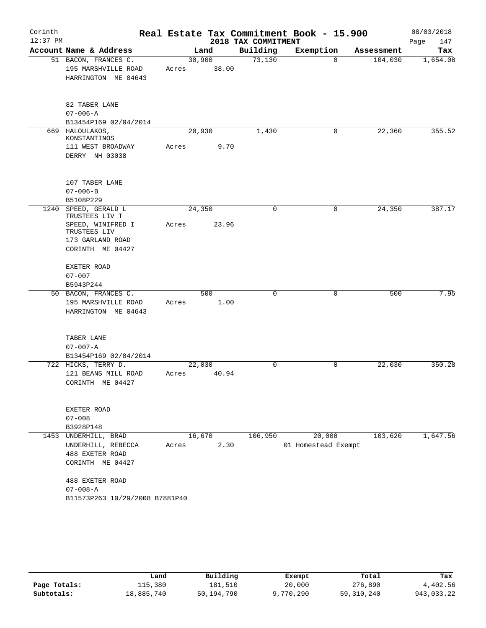| Corinth<br>$12:37$ PM |                                                                                             |                 |             | 2018 TAX COMMITMENT | Real Estate Tax Commitment Book - 15.900 |            | 08/03/2018<br>Page<br>147 |
|-----------------------|---------------------------------------------------------------------------------------------|-----------------|-------------|---------------------|------------------------------------------|------------|---------------------------|
|                       | Account Name & Address                                                                      |                 | Land        | Building            | Exemption                                | Assessment | Tax                       |
|                       | 51 BACON, FRANCES C.<br>195 MARSHVILLE ROAD<br>HARRINGTON ME 04643                          | 30,900<br>Acres | 38.00       | 73,130              | 0                                        | 104,030    | 1,654.08                  |
|                       | 82 TABER LANE<br>$07 - 006 - A$<br>B13454P169 02/04/2014                                    |                 |             |                     |                                          |            |                           |
|                       | 669 HALOULAKOS,                                                                             | 20,930          |             | 1,430               | 0                                        | 22,360     | 355.52                    |
|                       | KONSTANTINOS<br>111 WEST BROADWAY<br>DERRY NH 03038                                         | Acres           | 9.70        |                     |                                          |            |                           |
|                       | 107 TABER LANE<br>$07 - 006 - B$                                                            |                 |             |                     |                                          |            |                           |
| 1240                  | B5108P229<br>SPEED, GERALD L                                                                | 24,350          |             | 0                   | $\mathbf 0$                              | 24,350     | 387.17                    |
|                       | TRUSTEES LIV T<br>SPEED, WINIFRED I<br>TRUSTEES LIV<br>173 GARLAND ROAD<br>CORINTH ME 04427 | Acres           | 23.96       |                     |                                          |            |                           |
|                       | EXETER ROAD<br>$07 - 007$<br>B5943P244                                                      |                 |             |                     |                                          |            |                           |
|                       | 50 BACON, FRANCES C.<br>195 MARSHVILLE ROAD<br>HARRINGTON ME 04643                          | Acres           | 500<br>1.00 | 0                   | 0                                        | 500        | 7.95                      |
|                       | TABER LANE<br>$07 - 007 - A$<br>B13454P169 02/04/2014                                       |                 |             |                     |                                          |            |                           |
|                       | 722 HICKS, TERRY D.<br>121 BEANS MILL ROAD<br>CORINTH ME 04427                              | 22,030<br>Acres | 40.94       | $\mathbf 0$         | $\mathbf 0$                              | 22,030     | 350.28                    |
|                       | EXETER ROAD<br>$07 - 008$<br>B3928P148                                                      |                 |             |                     |                                          |            |                           |
|                       | 1453 UNDERHILL, BRAD<br>UNDERHILL, REBECCA<br>488 EXETER ROAD                               | 16,670<br>Acres | 2.30        | 106,950             | 20,000<br>01 Homestead Exempt            | 103,620    | 1,647.56                  |
|                       | CORINTH ME 04427<br>488 EXETER ROAD<br>$07 - 008 - A$<br>B11573P263 10/29/2008 B7881P40     |                 |             |                     |                                          |            |                           |

|              | Land       | Building   | Exempt    | Total      | Tax        |
|--------------|------------|------------|-----------|------------|------------|
| Page Totals: | 115,380    | 181.510    | 20,000    | 276,890    | 4,402.56   |
| Subtotals:   | 18,885,740 | 50,194,790 | 9,770,290 | 59,310,240 | 943,033.22 |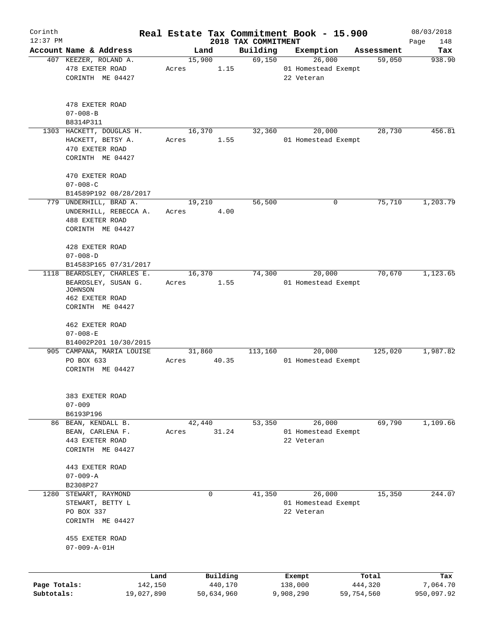| Corinth      |                                     |       |             |                                 | Real Estate Tax Commitment Book - 15.900 |            | 08/03/2018         |
|--------------|-------------------------------------|-------|-------------|---------------------------------|------------------------------------------|------------|--------------------|
| $12:37$ PM   | Account Name & Address              |       | Land        | 2018 TAX COMMITMENT<br>Building | Exemption                                | Assessment | Page<br>148<br>Tax |
|              | 407 KEEZER, ROLAND A.               |       | 15,900      | 69,150                          | 26,000                                   | 59,050     | 938.90             |
|              | 478 EXETER ROAD                     | Acres | 1.15        |                                 | 01 Homestead Exempt                      |            |                    |
|              | CORINTH ME 04427                    |       |             |                                 | 22 Veteran                               |            |                    |
|              |                                     |       |             |                                 |                                          |            |                    |
|              |                                     |       |             |                                 |                                          |            |                    |
|              | 478 EXETER ROAD                     |       |             |                                 |                                          |            |                    |
|              | $07 - 008 - B$                      |       |             |                                 |                                          |            |                    |
|              | B8314P311                           |       |             |                                 |                                          |            |                    |
|              | 1303 HACKETT, DOUGLAS H.            |       | 16,370      | 32,360                          | 20,000                                   | 28,730     | 456.81             |
|              | HACKETT, BETSY A.                   | Acres | 1.55        |                                 | 01 Homestead Exempt                      |            |                    |
|              | 470 EXETER ROAD<br>CORINTH ME 04427 |       |             |                                 |                                          |            |                    |
|              |                                     |       |             |                                 |                                          |            |                    |
|              | 470 EXETER ROAD                     |       |             |                                 |                                          |            |                    |
|              | $07 - 008 - C$                      |       |             |                                 |                                          |            |                    |
|              | B14589P192 08/28/2017               |       |             |                                 |                                          |            |                    |
|              | 779 UNDERHILL, BRAD A.              |       | 19,210      | 56,500                          | 0                                        | 75,710     | 1,203.79           |
|              | UNDERHILL, REBECCA A.               | Acres | 4.00        |                                 |                                          |            |                    |
|              | 488 EXETER ROAD                     |       |             |                                 |                                          |            |                    |
|              | CORINTH ME 04427                    |       |             |                                 |                                          |            |                    |
|              |                                     |       |             |                                 |                                          |            |                    |
|              | 428 EXETER ROAD                     |       |             |                                 |                                          |            |                    |
|              | $07 - 008 - D$                      |       |             |                                 |                                          |            |                    |
|              | B14583P165 07/31/2017               |       |             |                                 |                                          |            |                    |
| 1118         | BEARDSLEY, CHARLES E.               |       | 16,370      | 74,300                          | 20,000                                   | 70,670     | 1,123.65           |
|              | BEARDSLEY, SUSAN G.<br>JOHNSON      | Acres | 1.55        |                                 | 01 Homestead Exempt                      |            |                    |
|              | 462 EXETER ROAD                     |       |             |                                 |                                          |            |                    |
|              | CORINTH ME 04427                    |       |             |                                 |                                          |            |                    |
|              |                                     |       |             |                                 |                                          |            |                    |
|              | 462 EXETER ROAD                     |       |             |                                 |                                          |            |                    |
|              | $07 - 008 - E$                      |       |             |                                 |                                          |            |                    |
|              | B14002P201 10/30/2015               |       |             |                                 |                                          |            |                    |
|              | 905 CAMPANA, MARIA LOUISE           |       | 31,860      | 113,160                         | 20,000                                   | 125,020    | 1,987.82           |
|              | PO BOX 633                          | Acres | 40.35       |                                 | 01 Homestead Exempt                      |            |                    |
|              | CORINTH ME 04427                    |       |             |                                 |                                          |            |                    |
|              |                                     |       |             |                                 |                                          |            |                    |
|              | 383 EXETER ROAD                     |       |             |                                 |                                          |            |                    |
|              | $07 - 009$                          |       |             |                                 |                                          |            |                    |
|              | B6193P196                           |       |             |                                 |                                          |            |                    |
|              | 86 BEAN, KENDALL B.                 |       | 42,440      | 53,350                          | 26,000                                   | 69,790     | 1,109.66           |
|              | BEAN, CARLENA F.                    | Acres | 31.24       |                                 | 01 Homestead Exempt                      |            |                    |
|              | 443 EXETER ROAD                     |       |             |                                 | 22 Veteran                               |            |                    |
|              | CORINTH ME 04427                    |       |             |                                 |                                          |            |                    |
|              |                                     |       |             |                                 |                                          |            |                    |
|              | 443 EXETER ROAD                     |       |             |                                 |                                          |            |                    |
|              | $07 - 009 - A$                      |       |             |                                 |                                          |            |                    |
|              | B2308P27                            |       |             |                                 |                                          |            |                    |
|              | 1280 STEWART, RAYMOND               |       | $\mathbf 0$ | 41,350                          | 26,000                                   | 15,350     | 244.07             |
|              | STEWART, BETTY L                    |       |             |                                 | 01 Homestead Exempt                      |            |                    |
|              | PO BOX 337                          |       |             |                                 | 22 Veteran                               |            |                    |
|              | CORINTH ME 04427                    |       |             |                                 |                                          |            |                    |
|              |                                     |       |             |                                 |                                          |            |                    |
|              | 455 EXETER ROAD                     |       |             |                                 |                                          |            |                    |
|              | $07 - 009 - A - 01H$                |       |             |                                 |                                          |            |                    |
|              |                                     |       |             |                                 |                                          |            |                    |
|              | Land                                |       | Building    |                                 | Exempt                                   | Total      | Tax                |
| Page Totals: | 142,150                             |       | 440,170     |                                 | 138,000                                  | 444,320    | 7,064.70           |
| Subtotals:   | 19,027,890                          |       | 50,634,960  |                                 | 9,908,290                                | 59,754,560 | 950,097.92         |
|              |                                     |       |             |                                 |                                          |            |                    |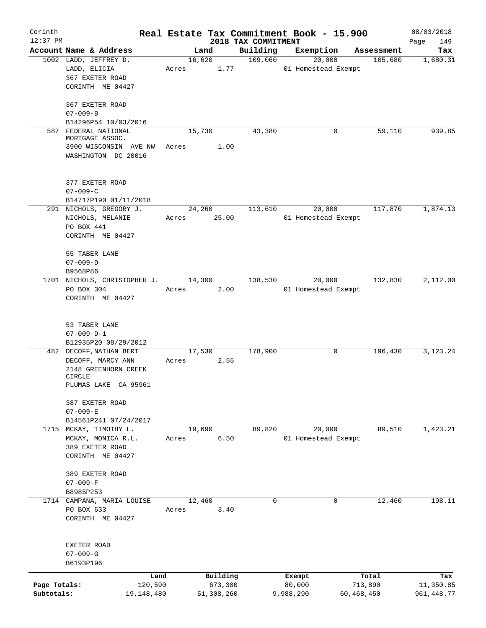| Corinth<br>$12:37$ PM |                                              |            |             | 2018 TAX COMMITMENT | Real Estate Tax Commitment Book - 15.900 |            | 08/03/2018<br>149<br>Page |
|-----------------------|----------------------------------------------|------------|-------------|---------------------|------------------------------------------|------------|---------------------------|
|                       | Account Name & Address                       |            | Land        | Building            | Exemption                                | Assessment | Tax                       |
|                       | 1002 LADD, JEFFREY D.                        |            | 16,620      | 109,060             | 20,000                                   | 105,680    | 1,680.31                  |
|                       | LADD, ELICIA                                 | Acres      | 1.77        |                     | 01 Homestead Exempt                      |            |                           |
|                       | 367 EXETER ROAD                              |            |             |                     |                                          |            |                           |
|                       | CORINTH ME 04427                             |            |             |                     |                                          |            |                           |
|                       | 367 EXETER ROAD                              |            |             |                     |                                          |            |                           |
|                       | $07 - 009 - B$                               |            |             |                     |                                          |            |                           |
|                       | B14296P54 10/03/2016                         |            |             |                     |                                          |            |                           |
|                       | 587 FEDERAL NATIONAL                         |            | 15,730      | 43,380              | 0                                        | 59,110     | 939.85                    |
|                       | MORTGAGE ASSOC.                              |            |             |                     |                                          |            |                           |
|                       | 3900 WISCONSIN AVE NW<br>WASHINGTON DC 20016 | Acres      | 1.00        |                     |                                          |            |                           |
|                       |                                              |            |             |                     |                                          |            |                           |
|                       | 377 EXETER ROAD                              |            |             |                     |                                          |            |                           |
|                       | $07 - 009 - C$                               |            |             |                     |                                          |            |                           |
|                       | B14717P190 01/11/2018                        |            |             |                     |                                          |            |                           |
|                       | 291 NICHOLS, GREGORY J.                      |            | 24,260      | 113,610             | 20,000                                   | 117,870    | 1,874.13                  |
|                       | NICHOLS, MELANIE                             |            | Acres 25.00 |                     | 01 Homestead Exempt                      |            |                           |
|                       | PO BOX 441                                   |            |             |                     |                                          |            |                           |
|                       | CORINTH ME 04427                             |            |             |                     |                                          |            |                           |
|                       | 55 TABER LANE                                |            |             |                     |                                          |            |                           |
|                       | $07 - 009 - D$                               |            |             |                     |                                          |            |                           |
|                       | B9568P86                                     |            |             |                     |                                          |            |                           |
|                       | 1701 NICHOLS, CHRISTOPHER J.                 |            | 14,300      | 138,530             | 20,000                                   | 132,830    | 2,112.00                  |
|                       | PO BOX 304                                   | Acres      | 2.00        |                     | 01 Homestead Exempt                      |            |                           |
|                       | CORINTH ME 04427                             |            |             |                     |                                          |            |                           |
|                       | 53 TABER LANE                                |            |             |                     |                                          |            |                           |
|                       | $07 - 009 - D - 1$                           |            |             |                     |                                          |            |                           |
|                       | B12935P20 08/29/2012                         |            |             |                     |                                          |            |                           |
|                       | 482 DECOFF, NATHAN BERT                      |            | 17,530      | 178,900             | 0                                        | 196,430    | 3,123.24                  |
|                       | DECOFF, MARCY ANN                            | Acres      | 2.55        |                     |                                          |            |                           |
|                       | 2148 GREENHORN CREEK                         |            |             |                     |                                          |            |                           |
|                       | CIRCLE                                       |            |             |                     |                                          |            |                           |
|                       | PLUMAS LAKE CA 95961                         |            |             |                     |                                          |            |                           |
|                       | 387 EXETER ROAD                              |            |             |                     |                                          |            |                           |
|                       | $07 - 009 - E$                               |            |             |                     |                                          |            |                           |
|                       | B14561P241 07/24/2017                        |            |             |                     |                                          |            |                           |
|                       | 1715 MCKAY, TIMOTHY L.                       |            | 19,690      | 89,820              | 20,000                                   | 89,510     | 1,423.21                  |
|                       | MCKAY, MONICA R.L.                           | Acres      | 6.50        |                     | 01 Homestead Exempt                      |            |                           |
|                       | 389 EXETER ROAD                              |            |             |                     |                                          |            |                           |
|                       | CORINTH ME 04427                             |            |             |                     |                                          |            |                           |
|                       | 389 EXETER ROAD                              |            |             |                     |                                          |            |                           |
|                       | $07 - 009 - F$                               |            |             |                     |                                          |            |                           |
|                       | B8985P253                                    |            |             |                     |                                          |            |                           |
|                       | 1714 CAMPANA, MARIA LOUISE                   |            | 12,460      | 0                   | 0                                        | 12,460     | 198.11                    |
|                       | PO BOX 633                                   | Acres      | 3.40        |                     |                                          |            |                           |
|                       | CORINTH ME 04427                             |            |             |                     |                                          |            |                           |
|                       |                                              |            |             |                     |                                          |            |                           |
|                       | EXETER ROAD<br>$07 - 009 - G$                |            |             |                     |                                          |            |                           |
|                       | B6193P196                                    |            |             |                     |                                          |            |                           |
|                       |                                              | Land       | Building    |                     | Exempt                                   | Total      | Tax                       |
| Page Totals:          |                                              | 120,590    | 673,300     |                     | 80,000                                   | 713,890    | 11,350.85                 |
| Subtotals:            |                                              | 19,148,480 | 51,308,260  |                     | 9,988,290                                | 60,468,450 | 961, 448.77               |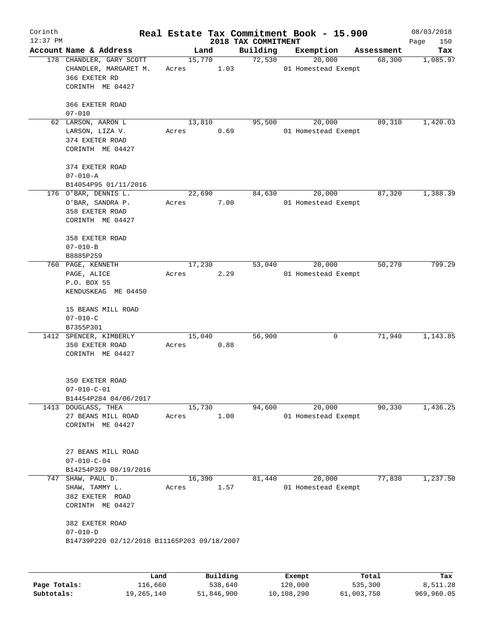| Corinth<br>$12:37$ PM |                                                                                        |                 |                     |          | Real Estate Tax Commitment Book - 15.900 |            | 08/03/2018         |
|-----------------------|----------------------------------------------------------------------------------------|-----------------|---------------------|----------|------------------------------------------|------------|--------------------|
|                       | Account Name & Address                                                                 | Land            | 2018 TAX COMMITMENT | Building | Exemption                                | Assessment | Page<br>150<br>Tax |
|                       | 178 CHANDLER, GARY SCOTT<br>CHANDLER, MARGARET M.<br>366 EXETER RD<br>CORINTH ME 04427 | 15,770<br>Acres | 1.03                | 72,530   | 20,000<br>01 Homestead Exempt            | 68,300     | 1,085.97           |
|                       | 366 EXETER ROAD<br>$07 - 010$                                                          |                 |                     |          |                                          |            |                    |
|                       | 62 LARSON, AARON L<br>LARSON, LIZA V.<br>374 EXETER ROAD<br>CORINTH ME 04427           | 13,810<br>Acres | 0.69                | 95,500   | 20,000<br>01 Homestead Exempt            | 89,310     | 1,420.03           |
|                       | 374 EXETER ROAD<br>$07 - 010 - A$<br>B14054P95 01/11/2016                              |                 |                     |          |                                          |            |                    |
|                       | 176 O'BAR, DENNIS L.<br>O'BAR, SANDRA P.<br>358 EXETER ROAD<br>CORINTH ME 04427        | 22,690<br>Acres | 7.00                | 84,630   | 20,000<br>01 Homestead Exempt            | 87,320     | 1,388.39           |
|                       | 358 EXETER ROAD<br>$07 - 010 - B$<br>B8885P259                                         |                 |                     |          |                                          |            |                    |
|                       | 760 PAGE, KENNETH<br>PAGE, ALICE<br>P.O. BOX 55<br>KENDUSKEAG ME 04450                 | 17,230<br>Acres | 2.29                | 53,040   | 20,000<br>01 Homestead Exempt            | 50,270     | 799.29             |
|                       | 15 BEANS MILL ROAD<br>$07 - 010 - C$<br>B7355P301                                      |                 |                     |          |                                          |            |                    |
|                       | 1412 SPENCER, KIMBERLY<br>350 EXETER ROAD<br>CORINTH ME 04427                          | 15,040<br>Acres | 0.88                | 56,900   | 0                                        | 71,940     | 1,143.85           |
|                       | 350 EXETER ROAD<br>$07 - 010 - C - 01$<br>B14454P284 04/06/2017                        |                 |                     |          |                                          |            |                    |
|                       | 1413 DOUGLASS, THEA<br>27 BEANS MILL ROAD<br>CORINTH ME 04427                          | 15,730<br>Acres | 1.00                | 94,600   | 20,000<br>01 Homestead Exempt            | 90,330     | 1,436.25           |
|                       | 27 BEANS MILL ROAD<br>$07 - 010 - C - 04$<br>B14254P329 08/19/2016                     |                 |                     |          |                                          |            |                    |
| 747                   | SHAW, PAUL D.<br>SHAW, TAMMY L.<br>382 EXETER ROAD<br>CORINTH ME 04427                 | 16,390<br>Acres | 1.57                | 81,440   | 20,000<br>01 Homestead Exempt            | 77,830     | 1,237.50           |
|                       | 382 EXETER ROAD<br>$07 - 010 - D$<br>B14739P220 02/12/2018 B11165P203 09/18/2007       |                 |                     |          |                                          |            |                    |
|                       | Land                                                                                   |                 | Building            |          | Exempt                                   | Total      | Tax                |

**Page Totals:** 116,660 538,640 120,000 535,300 8,511.28 **Subtotals:** 19,265,140 51,846,900 10,108,290 61,003,750 969,960.05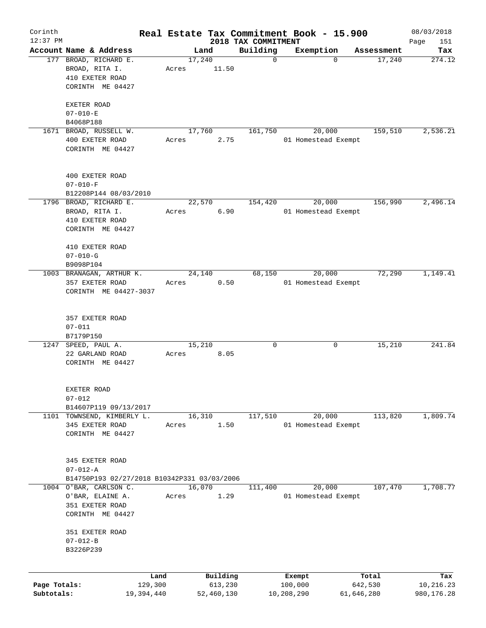| Corinth      |                                                 |       |                |                         | Real Estate Tax Commitment Book - 15.900 |                      | 08/03/2018    |
|--------------|-------------------------------------------------|-------|----------------|-------------------------|------------------------------------------|----------------------|---------------|
| $12:37$ PM   |                                                 |       |                | 2018 TAX COMMITMENT     |                                          |                      | Page<br>151   |
|              | Account Name & Address<br>177 BROAD, RICHARD E. |       | Land<br>17,240 | Building<br>$\mathbf 0$ | Exemption<br>$\mathbf 0$                 | Assessment<br>17,240 | Tax<br>274.12 |
|              | BROAD, RITA I.                                  | Acres | 11.50          |                         |                                          |                      |               |
|              | 410 EXETER ROAD                                 |       |                |                         |                                          |                      |               |
|              | CORINTH ME 04427                                |       |                |                         |                                          |                      |               |
|              |                                                 |       |                |                         |                                          |                      |               |
|              | EXETER ROAD                                     |       |                |                         |                                          |                      |               |
|              | $07 - 010 - E$                                  |       |                |                         |                                          |                      |               |
|              | B4068P188                                       |       |                |                         |                                          |                      |               |
|              | 1671 BROAD, RUSSELL W.                          |       | 17,760         | 161,750                 | 20,000                                   | 159,510              | 2,536.21      |
|              | 400 EXETER ROAD                                 | Acres | 2.75           |                         | 01 Homestead Exempt                      |                      |               |
|              | CORINTH ME 04427                                |       |                |                         |                                          |                      |               |
|              |                                                 |       |                |                         |                                          |                      |               |
|              |                                                 |       |                |                         |                                          |                      |               |
|              | 400 EXETER ROAD                                 |       |                |                         |                                          |                      |               |
|              | $07 - 010 - F$                                  |       |                |                         |                                          |                      |               |
|              | B12208P144 08/03/2010                           |       |                |                         |                                          |                      |               |
|              | 1796 BROAD, RICHARD E.                          |       | 22,570         | 154,420                 | 20,000                                   | 156,990              | 2,496.14      |
|              | BROAD, RITA I.                                  | Acres | 6.90           |                         | 01 Homestead Exempt                      |                      |               |
|              | 410 EXETER ROAD                                 |       |                |                         |                                          |                      |               |
|              | CORINTH ME 04427                                |       |                |                         |                                          |                      |               |
|              |                                                 |       |                |                         |                                          |                      |               |
|              | 410 EXETER ROAD                                 |       |                |                         |                                          |                      |               |
|              | $07 - 010 - G$                                  |       |                |                         |                                          |                      |               |
|              | B9098P104                                       |       |                |                         |                                          |                      |               |
|              | 1003 BRANAGAN, ARTHUR K.                        |       | 24,140         | 68,150                  | 20,000                                   | 72,290               | 1,149.41      |
|              | 357 EXETER ROAD                                 | Acres | 0.50           |                         | 01 Homestead Exempt                      |                      |               |
|              | CORINTH ME 04427-3037                           |       |                |                         |                                          |                      |               |
|              |                                                 |       |                |                         |                                          |                      |               |
|              |                                                 |       |                |                         |                                          |                      |               |
|              | 357 EXETER ROAD                                 |       |                |                         |                                          |                      |               |
|              | $07 - 011$                                      |       |                |                         |                                          |                      |               |
|              | B7179P150                                       |       |                |                         |                                          |                      |               |
| 1247         | SPEED, PAUL A.                                  |       | 15,210         | 0                       | 0                                        | 15,210               | 241.84        |
|              | 22 GARLAND ROAD                                 | Acres | 8.05           |                         |                                          |                      |               |
|              | CORINTH ME 04427                                |       |                |                         |                                          |                      |               |
|              |                                                 |       |                |                         |                                          |                      |               |
|              |                                                 |       |                |                         |                                          |                      |               |
|              | EXETER ROAD                                     |       |                |                         |                                          |                      |               |
|              | $07 - 012$                                      |       |                |                         |                                          |                      |               |
|              | B14607P119 09/13/2017                           |       |                |                         |                                          |                      |               |
| 1101         | TOWNSEND, KIMBERLY L.                           |       | 16,310         | 117,510                 | 20,000                                   | 113,820              | 1,809.74      |
|              | 345 EXETER ROAD                                 | Acres | 1.50           |                         | 01 Homestead Exempt                      |                      |               |
|              | CORINTH ME 04427                                |       |                |                         |                                          |                      |               |
|              |                                                 |       |                |                         |                                          |                      |               |
|              |                                                 |       |                |                         |                                          |                      |               |
|              | 345 EXETER ROAD                                 |       |                |                         |                                          |                      |               |
|              | $07 - 012 - A$                                  |       |                |                         |                                          |                      |               |
|              | B14750P193 02/27/2018 B10342P331 03/03/2006     |       |                |                         |                                          |                      |               |
| 1004         | O'BAR, CARLSON C.                               |       | 16,070         | 111,400                 | 20,000                                   | 107,470              | 1,708.77      |
|              | O'BAR, ELAINE A.                                | Acres | 1.29           |                         | 01 Homestead Exempt                      |                      |               |
|              | 351 EXETER ROAD                                 |       |                |                         |                                          |                      |               |
|              | CORINTH ME 04427                                |       |                |                         |                                          |                      |               |
|              |                                                 |       |                |                         |                                          |                      |               |
|              | 351 EXETER ROAD                                 |       |                |                         |                                          |                      |               |
|              | $07 - 012 - B$                                  |       |                |                         |                                          |                      |               |
|              | B3226P239                                       |       |                |                         |                                          |                      |               |
|              |                                                 |       |                |                         |                                          |                      |               |
|              |                                                 | Land  | Building       |                         | Exempt                                   | Total                | Tax           |
| Page Totals: | 129,300                                         |       | 613,230        |                         | 100,000                                  | 642,530              | 10,216.23     |
| Subtotals:   | 19,394,440                                      |       | 52,460,130     |                         | 10,208,290                               | 61,646,280           | 980,176.28    |
|              |                                                 |       |                |                         |                                          |                      |               |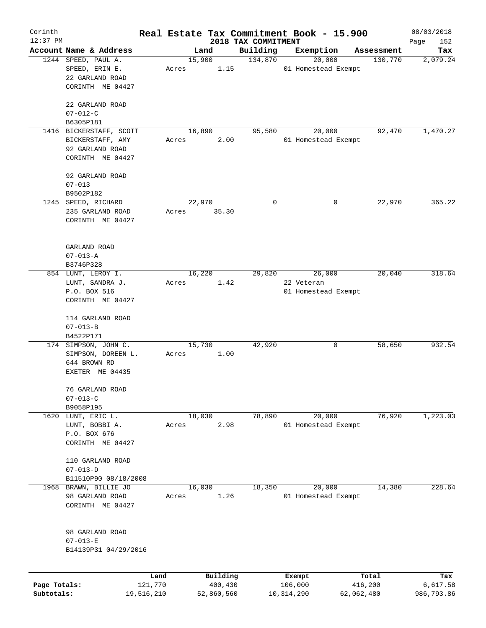| Corinth      |                             |         |       |                |          | Real Estate Tax Commitment Book - 15.900 |            |                     |                       | 08/03/2018         |
|--------------|-----------------------------|---------|-------|----------------|----------|------------------------------------------|------------|---------------------|-----------------------|--------------------|
| $12:37$ PM   | Account Name & Address      |         |       |                |          | 2018 TAX COMMITMENT<br>Building          |            | Exemption           |                       | Page<br>152<br>Tax |
|              | 1244 SPEED, PAUL A.         |         |       | Land<br>15,900 |          | 134,870                                  |            | 20,000              | Assessment<br>130,770 | 2,079.24           |
|              | SPEED, ERIN E.              |         | Acres |                | 1.15     |                                          |            | 01 Homestead Exempt |                       |                    |
|              | 22 GARLAND ROAD             |         |       |                |          |                                          |            |                     |                       |                    |
|              | CORINTH ME 04427            |         |       |                |          |                                          |            |                     |                       |                    |
|              |                             |         |       |                |          |                                          |            |                     |                       |                    |
|              | 22 GARLAND ROAD             |         |       |                |          |                                          |            |                     |                       |                    |
|              | $07 - 012 - C$              |         |       |                |          |                                          |            |                     |                       |                    |
|              | B6305P181                   |         |       |                |          |                                          |            |                     |                       |                    |
|              | 1416 BICKERSTAFF, SCOTT     |         |       | 16,890         |          | 95,580                                   |            | 20,000              | 92,470                | 1,470.27           |
|              | BICKERSTAFF, AMY            |         | Acres |                | 2.00     |                                          |            | 01 Homestead Exempt |                       |                    |
|              | 92 GARLAND ROAD             |         |       |                |          |                                          |            |                     |                       |                    |
|              | CORINTH ME 04427            |         |       |                |          |                                          |            |                     |                       |                    |
|              |                             |         |       |                |          |                                          |            |                     |                       |                    |
|              | 92 GARLAND ROAD             |         |       |                |          |                                          |            |                     |                       |                    |
|              | $07 - 013$                  |         |       |                |          |                                          |            |                     |                       |                    |
|              | B9502P182                   |         |       |                |          |                                          |            |                     |                       |                    |
|              | 1245 SPEED, RICHARD         |         |       | 22,970         |          | 0                                        |            | 0                   | 22,970                | 365.22             |
|              | 235 GARLAND ROAD            |         | Acres |                | 35.30    |                                          |            |                     |                       |                    |
|              | CORINTH ME 04427            |         |       |                |          |                                          |            |                     |                       |                    |
|              |                             |         |       |                |          |                                          |            |                     |                       |                    |
|              |                             |         |       |                |          |                                          |            |                     |                       |                    |
|              | GARLAND ROAD                |         |       |                |          |                                          |            |                     |                       |                    |
|              | $07 - 013 - A$              |         |       |                |          |                                          |            |                     |                       |                    |
|              | B3746P328                   |         |       |                |          |                                          |            |                     |                       |                    |
|              | 854 LUNT, LEROY I.          |         |       | 16,220         |          | 29,820                                   |            | 26,000              | 20,040                | 318.64             |
|              | LUNT, SANDRA J.             |         | Acres |                | 1.42     |                                          | 22 Veteran |                     |                       |                    |
|              | P.O. BOX 516                |         |       |                |          |                                          |            | 01 Homestead Exempt |                       |                    |
|              | CORINTH ME 04427            |         |       |                |          |                                          |            |                     |                       |                    |
|              |                             |         |       |                |          |                                          |            |                     |                       |                    |
|              | 114 GARLAND ROAD            |         |       |                |          |                                          |            |                     |                       |                    |
|              | $07 - 013 - B$              |         |       |                |          |                                          |            |                     |                       |                    |
|              | B4522P171                   |         |       |                |          |                                          |            |                     |                       |                    |
|              | 174 SIMPSON, JOHN C.        |         |       | 15,730         |          | 42,920                                   |            | 0                   | 58,650                | 932.54             |
|              | SIMPSON, DOREEN L.          |         | Acres |                | 1.00     |                                          |            |                     |                       |                    |
|              | 644 BROWN RD                |         |       |                |          |                                          |            |                     |                       |                    |
|              | EXETER ME 04435             |         |       |                |          |                                          |            |                     |                       |                    |
|              |                             |         |       |                |          |                                          |            |                     |                       |                    |
|              | 76 GARLAND ROAD             |         |       |                |          |                                          |            |                     |                       |                    |
|              | $07 - 013 - C$<br>B9058P195 |         |       |                |          |                                          |            |                     |                       |                    |
| 1620         | LUNT, ERIC L.               |         |       | 18,030         |          | 78,890                                   |            | 20,000              | 76,920                | 1,223.03           |
|              | LUNT, BOBBI A.              |         | Acres |                | 2.98     |                                          |            | 01 Homestead Exempt |                       |                    |
|              | P.O. BOX 676                |         |       |                |          |                                          |            |                     |                       |                    |
|              | CORINTH ME 04427            |         |       |                |          |                                          |            |                     |                       |                    |
|              |                             |         |       |                |          |                                          |            |                     |                       |                    |
|              | 110 GARLAND ROAD            |         |       |                |          |                                          |            |                     |                       |                    |
|              | $07 - 013 - D$              |         |       |                |          |                                          |            |                     |                       |                    |
|              | B11510P90 08/18/2008        |         |       |                |          |                                          |            |                     |                       |                    |
| 1968         | BRAWN, BILLIE JO            |         |       | 16,030         |          | 18,350                                   |            | 20,000              | 14,380                | 228.64             |
|              | 98 GARLAND ROAD             |         | Acres |                | 1.26     |                                          |            | 01 Homestead Exempt |                       |                    |
|              | CORINTH ME 04427            |         |       |                |          |                                          |            |                     |                       |                    |
|              |                             |         |       |                |          |                                          |            |                     |                       |                    |
|              |                             |         |       |                |          |                                          |            |                     |                       |                    |
|              | 98 GARLAND ROAD             |         |       |                |          |                                          |            |                     |                       |                    |
|              | $07 - 013 - E$              |         |       |                |          |                                          |            |                     |                       |                    |
|              | B14139P31 04/29/2016        |         |       |                |          |                                          |            |                     |                       |                    |
|              |                             |         |       |                |          |                                          |            |                     |                       |                    |
|              |                             | Land    |       |                | Building |                                          | Exempt     |                     | Total                 | Tax                |
| Page Totals: |                             | 121,770 |       |                | 400,430  |                                          | 106,000    |                     | 416,200               | 6,617.58           |
|              |                             |         |       |                |          |                                          |            |                     |                       |                    |

**Subtotals:** 19,516,210 52,860,560 10,314,290 62,062,480 986,793.86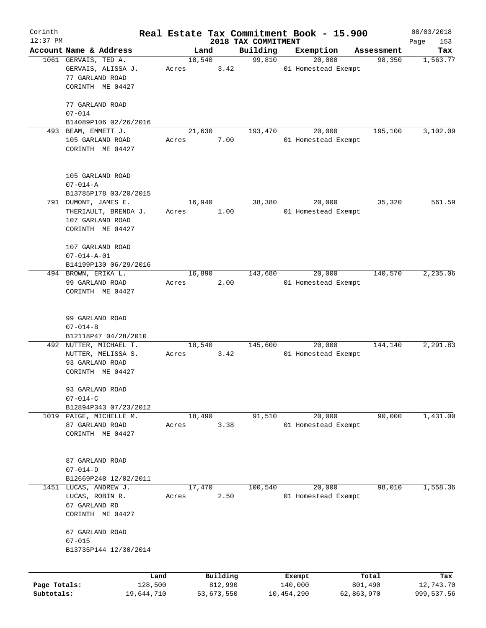| Corinth      |                                                               |       |                |                     | Real Estate Tax Commitment Book - 15.900 |                      | 08/03/2018  |
|--------------|---------------------------------------------------------------|-------|----------------|---------------------|------------------------------------------|----------------------|-------------|
| $12:37$ PM   |                                                               |       |                | 2018 TAX COMMITMENT |                                          |                      | Page<br>153 |
|              | Account Name & Address                                        |       | Land<br>18,540 | Building<br>99,810  | Exemption<br>20,000                      | Assessment<br>98,350 | Tax         |
|              | 1061 GERVAIS, TED A.<br>GERVAIS, ALISSA J.<br>77 GARLAND ROAD | Acres | 3.42           |                     | 01 Homestead Exempt                      |                      | 1,563.77    |
|              | CORINTH ME 04427                                              |       |                |                     |                                          |                      |             |
|              | 77 GARLAND ROAD                                               |       |                |                     |                                          |                      |             |
|              | $07 - 014$<br>B14089P106 02/26/2016                           |       |                |                     |                                          |                      |             |
|              | 493 BEAM, EMMETT J.                                           |       | 21,630         | 193,470             | 20,000                                   | 195,100              | 3,102.09    |
|              | 105 GARLAND ROAD<br>CORINTH ME 04427                          | Acres | 7.00           |                     | 01 Homestead Exempt                      |                      |             |
|              | 105 GARLAND ROAD                                              |       |                |                     |                                          |                      |             |
|              | $07 - 014 - A$                                                |       |                |                     |                                          |                      |             |
|              | B13785P178 03/20/2015                                         |       |                |                     |                                          |                      |             |
|              | 791 DUMONT, JAMES E.                                          |       | 16,940         | 38,380              | 20,000                                   | 35,320               | 561.59      |
|              | THERIAULT, BRENDA J.                                          | Acres | 1.00           |                     | 01 Homestead Exempt                      |                      |             |
|              | 107 GARLAND ROAD<br>CORINTH ME 04427                          |       |                |                     |                                          |                      |             |
|              | 107 GARLAND ROAD                                              |       |                |                     |                                          |                      |             |
|              | $07 - 014 - A - 01$                                           |       |                |                     |                                          |                      |             |
|              | B14199P130 06/29/2016                                         |       |                |                     |                                          |                      |             |
|              | 494 BROWN, ERIKA L.                                           |       | 16,890         | 143,680             | 20,000                                   | 140,570              | 2,235.06    |
|              | 99 GARLAND ROAD<br>CORINTH ME 04427                           | Acres | 2.00           |                     | 01 Homestead Exempt                      |                      |             |
|              | 99 GARLAND ROAD                                               |       |                |                     |                                          |                      |             |
|              | $07 - 014 - B$                                                |       |                |                     |                                          |                      |             |
|              | B12118P47 04/28/2010                                          |       |                |                     |                                          |                      |             |
|              | 492 NUTTER, MICHAEL T.                                        |       | 18,540         | 145,600             | 20,000                                   | 144,140              | 2,291.83    |
|              | NUTTER, MELISSA S.                                            | Acres | 3.42           |                     | 01 Homestead Exempt                      |                      |             |
|              | 93 GARLAND ROAD                                               |       |                |                     |                                          |                      |             |
|              | CORINTH ME 04427                                              |       |                |                     |                                          |                      |             |
|              | 93 GARLAND ROAD                                               |       |                |                     |                                          |                      |             |
|              | $07 - 014 - C$                                                |       |                |                     |                                          |                      |             |
|              | B12894P343 07/23/2012<br>1019 PAIGE, MICHELLE M.              |       | 18,490         | 91,510              | 20,000                                   | 90,000               | 1,431.00    |
|              | 87 GARLAND ROAD                                               | Acres | 3.38           |                     | 01 Homestead Exempt                      |                      |             |
|              | CORINTH ME 04427                                              |       |                |                     |                                          |                      |             |
|              | 87 GARLAND ROAD                                               |       |                |                     |                                          |                      |             |
|              | $07 - 014 - D$                                                |       |                |                     |                                          |                      |             |
|              | B12669P248 12/02/2011                                         |       |                |                     |                                          |                      |             |
| 1451         | LUCAS, ANDREW J.                                              |       | 17,470         | 100,540             | 20,000                                   | 98,010               | 1,558.36    |
|              | LUCAS, ROBIN R.                                               | Acres | 2.50           |                     | 01 Homestead Exempt                      |                      |             |
|              | 67 GARLAND RD                                                 |       |                |                     |                                          |                      |             |
|              | CORINTH ME 04427                                              |       |                |                     |                                          |                      |             |
|              | 67 GARLAND ROAD                                               |       |                |                     |                                          |                      |             |
|              | $07 - 015$                                                    |       |                |                     |                                          |                      |             |
|              | B13735P144 12/30/2014                                         |       |                |                     |                                          |                      |             |
|              | Land                                                          |       | Building       |                     | Exempt                                   | Total                | Tax         |
| Page Totals: | 128,500                                                       |       | 812,990        |                     | 140,000                                  | 801,490              | 12,743.70   |
| Subtotals:   | 19,644,710                                                    |       | 53,673,550     |                     | 10,454,290                               | 62,863,970           | 999,537.56  |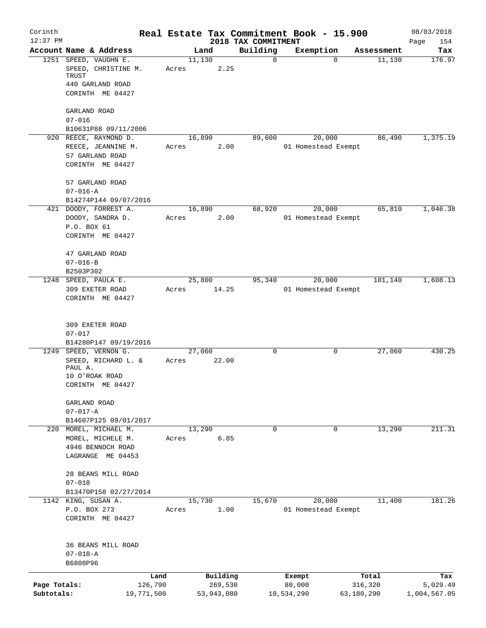| Corinth                    |                                                |         |        |                       |                                 | Real Estate Tax Commitment Book - 15.900 |                       |            | 08/03/2018               |
|----------------------------|------------------------------------------------|---------|--------|-----------------------|---------------------------------|------------------------------------------|-----------------------|------------|--------------------------|
| $12:37$ PM                 | Account Name & Address                         |         | Land   |                       | 2018 TAX COMMITMENT<br>Building | Exemption                                |                       | Assessment | Page<br>154<br>Tax       |
|                            | 1251 SPEED, VAUGHN E.<br>SPEED, CHRISTINE M.   | Acres   | 11,130 | 2.25                  | $\mathbf 0$                     | $\Omega$                                 |                       | 11,130     | 176.97                   |
|                            | TRUST<br>440 GARLAND ROAD<br>CORINTH ME 04427  |         |        |                       |                                 |                                          |                       |            |                          |
|                            | GARLAND ROAD                                   |         |        |                       |                                 |                                          |                       |            |                          |
|                            | $07 - 016$                                     |         |        |                       |                                 |                                          |                       |            |                          |
|                            | B10631P88 09/11/2006                           |         |        |                       |                                 |                                          |                       |            |                          |
|                            | 920 REECE, RAYMOND D.                          |         | 16,890 |                       | 89,600                          | 20,000                                   |                       | 86,490     | 1,375.19                 |
|                            | REECE, JEANNINE M.<br>57 GARLAND ROAD          | Acres   |        | 2.00                  |                                 | 01 Homestead Exempt                      |                       |            |                          |
|                            | CORINTH ME 04427                               |         |        |                       |                                 |                                          |                       |            |                          |
|                            | 57 GARLAND ROAD                                |         |        |                       |                                 |                                          |                       |            |                          |
|                            | $07 - 016 - A$                                 |         |        |                       |                                 |                                          |                       |            |                          |
|                            | B14274P144 09/07/2016<br>421 DOODY, FORREST A. |         | 16,890 |                       | 68,920                          | 20,000                                   |                       | 65,810     | 1,046.38                 |
|                            | DOODY, SANDRA D.                               | Acres   |        | 2.00                  |                                 | 01 Homestead Exempt                      |                       |            |                          |
|                            | P.O. BOX 61                                    |         |        |                       |                                 |                                          |                       |            |                          |
|                            | CORINTH ME 04427                               |         |        |                       |                                 |                                          |                       |            |                          |
|                            | 47 GARLAND ROAD                                |         |        |                       |                                 |                                          |                       |            |                          |
|                            | $07 - 016 - B$<br>B2503P302                    |         |        |                       |                                 |                                          |                       |            |                          |
|                            | 1248 SPEED, PAULA E.                           |         | 25,800 |                       | 95,340                          | 20,000                                   |                       | 101,140    | 1,608.13                 |
|                            | 309 EXETER ROAD                                | Acres   |        | 14.25                 |                                 | 01 Homestead Exempt                      |                       |            |                          |
|                            | CORINTH ME 04427                               |         |        |                       |                                 |                                          |                       |            |                          |
|                            | 309 EXETER ROAD                                |         |        |                       |                                 |                                          |                       |            |                          |
|                            | $07 - 017$                                     |         |        |                       |                                 |                                          |                       |            |                          |
|                            | B14280P147 09/19/2016                          |         |        |                       |                                 |                                          |                       |            |                          |
|                            | 1249 SPEED, VERNON G.                          |         | 27,060 |                       | $\mathbf 0$                     | 0                                        |                       | 27,060     | 430.25                   |
|                            | SPEED, RICHARD L. &<br>PAUL A.                 | Acres   |        | 22.00                 |                                 |                                          |                       |            |                          |
|                            | 10 O'ROAK ROAD                                 |         |        |                       |                                 |                                          |                       |            |                          |
|                            | CORINTH ME 04427                               |         |        |                       |                                 |                                          |                       |            |                          |
|                            | GARLAND ROAD                                   |         |        |                       |                                 |                                          |                       |            |                          |
|                            | $07 - 017 - A$                                 |         |        |                       |                                 |                                          |                       |            |                          |
|                            | B14607P125 09/01/2017<br>220 MOREL, MICHAEL M. |         | 13,290 |                       | $\Omega$                        | $\mathbf 0$                              |                       | 13,290     | 211.31                   |
|                            | MOREL, MICHELE M.                              | Acres   |        | 6.85                  |                                 |                                          |                       |            |                          |
|                            | 4946 BENNOCH ROAD                              |         |        |                       |                                 |                                          |                       |            |                          |
|                            | LAGRANGE ME 04453                              |         |        |                       |                                 |                                          |                       |            |                          |
|                            | 28 BEANS MILL ROAD                             |         |        |                       |                                 |                                          |                       |            |                          |
|                            | $07 - 018$                                     |         |        |                       |                                 |                                          |                       |            |                          |
|                            | B13470P158 02/27/2014                          |         |        |                       |                                 |                                          |                       |            | 181.26                   |
|                            | 1142 KING, SUSAN A.<br>P.O. BOX 273            | Acres   | 15,730 | 1.00                  | 15,670                          | 20,000<br>01 Homestead Exempt            |                       | 11,400     |                          |
|                            | CORINTH ME 04427                               |         |        |                       |                                 |                                          |                       |            |                          |
|                            | 36 BEANS MILL ROAD                             |         |        |                       |                                 |                                          |                       |            |                          |
|                            | $07 - 018 - A$                                 |         |        |                       |                                 |                                          |                       |            |                          |
|                            | B6808P96                                       |         |        |                       |                                 |                                          |                       |            |                          |
|                            |                                                | Land    |        | Building              |                                 | Exempt                                   |                       | Total      | Tax                      |
| Page Totals:<br>Subtotals: | 19,771,500                                     | 126,790 |        | 269,530<br>53,943,080 |                                 | 80,000<br>10,534,290                     | 316,320<br>63,180,290 |            | 5,029.49<br>1,004,567.05 |
|                            |                                                |         |        |                       |                                 |                                          |                       |            |                          |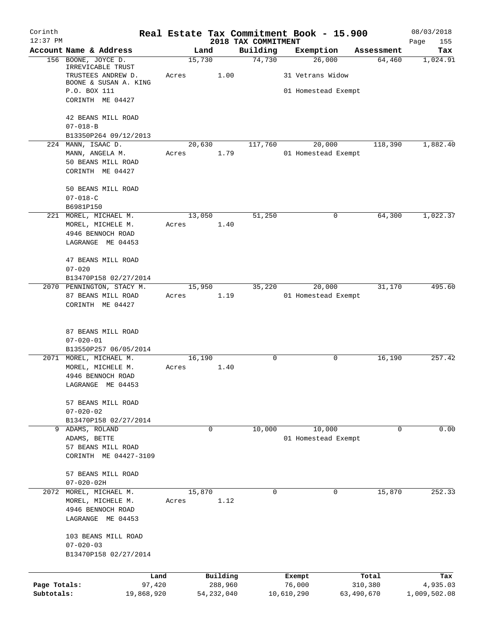| Corinth<br>$12:37$ PM |                                             |             |              |                                 | Real Estate Tax Commitment Book - 15.900 |            | 08/03/2018         |
|-----------------------|---------------------------------------------|-------------|--------------|---------------------------------|------------------------------------------|------------|--------------------|
|                       | Account Name & Address                      | Land        |              | 2018 TAX COMMITMENT<br>Building | Exemption                                | Assessment | Page<br>155<br>Tax |
|                       | 156 BOONE, JOYCE D.                         | 15,730      |              | 74,730                          | 26,000                                   | 64,460     | 1,024.91           |
|                       | IRREVICABLE TRUST<br>TRUSTEES ANDREW D.     | Acres       | 1.00         |                                 | 31 Vetrans Widow                         |            |                    |
|                       | BOONE & SUSAN A. KING<br>P.O. BOX 111       |             |              |                                 | 01 Homestead Exempt                      |            |                    |
|                       | CORINTH ME 04427                            |             |              |                                 |                                          |            |                    |
|                       | 42 BEANS MILL ROAD                          |             |              |                                 |                                          |            |                    |
|                       | $07 - 018 - B$                              |             |              |                                 |                                          |            |                    |
|                       | B13350P264 09/12/2013<br>224 MANN, ISAAC D. | 20,630      |              | 117,760                         | 20,000                                   | 118,390    | 1,882.40           |
|                       | MANN, ANGELA M.                             | Acres       | 1.79         |                                 | 01 Homestead Exempt                      |            |                    |
|                       | 50 BEANS MILL ROAD                          |             |              |                                 |                                          |            |                    |
|                       | CORINTH ME 04427                            |             |              |                                 |                                          |            |                    |
|                       | 50 BEANS MILL ROAD                          |             |              |                                 |                                          |            |                    |
|                       | $07 - 018 - C$                              |             |              |                                 |                                          |            |                    |
|                       | B6981P150                                   |             |              |                                 |                                          |            |                    |
|                       | 221 MOREL, MICHAEL M.                       | 13,050      |              | 51,250                          | $\mathbf 0$                              | 64,300     | 1,022.37           |
|                       | MOREL, MICHELE M.                           | Acres       | 1.40         |                                 |                                          |            |                    |
|                       | 4946 BENNOCH ROAD                           |             |              |                                 |                                          |            |                    |
|                       | LAGRANGE ME 04453                           |             |              |                                 |                                          |            |                    |
|                       | 47 BEANS MILL ROAD                          |             |              |                                 |                                          |            |                    |
|                       | $07 - 020$                                  |             |              |                                 |                                          |            |                    |
|                       | B13470P158 02/27/2014                       |             |              |                                 |                                          |            |                    |
|                       | 2070 PENNINGTON, STACY M.                   | 15,950      |              | 35,220                          | 20,000                                   | 31,170     | 495.60             |
|                       | 87 BEANS MILL ROAD                          | Acres       | 1.19         |                                 | 01 Homestead Exempt                      |            |                    |
|                       | CORINTH ME 04427                            |             |              |                                 |                                          |            |                    |
|                       | 87 BEANS MILL ROAD                          |             |              |                                 |                                          |            |                    |
|                       | $07 - 020 - 01$                             |             |              |                                 |                                          |            |                    |
|                       | B13550P257 06/05/2014                       |             |              |                                 |                                          |            |                    |
|                       | 2071 MOREL, MICHAEL M.                      | 16,190      | 1.40         | 0                               | 0                                        | 16,190     | 257.42             |
|                       | MOREL, MICHELE M.                           | Acres       |              |                                 |                                          |            |                    |
|                       | 4946 BENNOCH ROAD                           |             |              |                                 |                                          |            |                    |
|                       | LAGRANGE ME 04453                           |             |              |                                 |                                          |            |                    |
|                       | 57 BEANS MILL ROAD                          |             |              |                                 |                                          |            |                    |
|                       | $07 - 020 - 02$                             |             |              |                                 |                                          |            |                    |
|                       | B13470P158 02/27/2014                       |             |              |                                 |                                          |            |                    |
|                       | 9 ADAMS, ROLAND                             | $\mathbf 0$ |              | 10,000                          | 10,000                                   | 0          | 0.00               |
|                       | ADAMS, BETTE                                |             |              |                                 | 01 Homestead Exempt                      |            |                    |
|                       | 57 BEANS MILL ROAD                          |             |              |                                 |                                          |            |                    |
|                       | CORINTH ME 04427-3109                       |             |              |                                 |                                          |            |                    |
|                       | 57 BEANS MILL ROAD                          |             |              |                                 |                                          |            |                    |
|                       | $07 - 020 - 02H$                            |             |              |                                 |                                          |            |                    |
| 2072                  | MOREL, MICHAEL M.                           | 15,870      |              | 0                               | 0                                        | 15,870     | 252.33             |
|                       | MOREL, MICHELE M.                           | Acres       | 1.12         |                                 |                                          |            |                    |
|                       | 4946 BENNOCH ROAD                           |             |              |                                 |                                          |            |                    |
|                       | LAGRANGE ME 04453                           |             |              |                                 |                                          |            |                    |
|                       |                                             |             |              |                                 |                                          |            |                    |
|                       | 103 BEANS MILL ROAD                         |             |              |                                 |                                          |            |                    |
|                       | $07 - 020 - 03$                             |             |              |                                 |                                          |            |                    |
|                       | B13470P158 02/27/2014                       |             |              |                                 |                                          |            |                    |
|                       | Land                                        |             | Building     |                                 | Exempt                                   | Total      | Tax                |
| Page Totals:          | 97,420                                      |             | 288,960      |                                 | 76,000                                   | 310,380    | 4,935.03           |
| Subtotals:            | 19,868,920                                  |             | 54, 232, 040 |                                 | 10,610,290                               | 63,490,670 | 1,009,502.08       |
|                       |                                             |             |              |                                 |                                          |            |                    |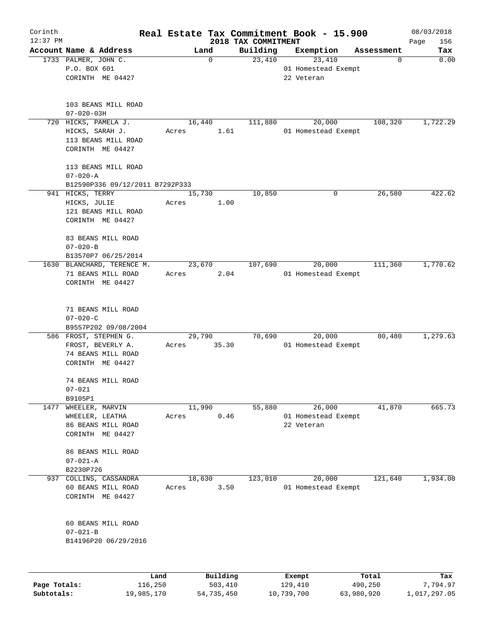| Corinth      |                                                   |                     |                     | Real Estate Tax Commitment Book - 15.900 |                 | 08/03/2018  |
|--------------|---------------------------------------------------|---------------------|---------------------|------------------------------------------|-----------------|-------------|
| $12:37$ PM   | Account Name & Address                            |                     | 2018 TAX COMMITMENT |                                          |                 | Page<br>156 |
|              | 1733 PALMER, JOHN C.                              | Land<br>$\mathbf 0$ | Building<br>23,410  | Exemption<br>23,410                      | Assessment<br>0 | Tax<br>0.00 |
|              | P.O. BOX 601                                      |                     |                     | 01 Homestead Exempt                      |                 |             |
|              | CORINTH ME 04427                                  |                     |                     | 22 Veteran                               |                 |             |
|              |                                                   |                     |                     |                                          |                 |             |
|              |                                                   |                     |                     |                                          |                 |             |
|              | 103 BEANS MILL ROAD                               |                     |                     |                                          |                 |             |
|              | $07 - 020 - 03H$                                  |                     |                     |                                          |                 |             |
| 720          | HICKS, PAMELA J.                                  | 16,440              | 111,880             | 20,000                                   | 108,320         | 1,722.29    |
|              | HICKS, SARAH J.                                   | Acres<br>1.61       |                     | 01 Homestead Exempt                      |                 |             |
|              | 113 BEANS MILL ROAD                               |                     |                     |                                          |                 |             |
|              | CORINTH ME 04427                                  |                     |                     |                                          |                 |             |
|              |                                                   |                     |                     |                                          |                 |             |
|              | 113 BEANS MILL ROAD                               |                     |                     |                                          |                 |             |
|              | $07 - 020 - A$<br>B12590P336 09/12/2011 B7292P333 |                     |                     |                                          |                 |             |
|              | 941 HICKS, TERRY                                  | 15,730              | 10,850              | 0                                        | 26,580          | 422.62      |
|              | HICKS, JULIE                                      | 1.00<br>Acres       |                     |                                          |                 |             |
|              | 121 BEANS MILL ROAD                               |                     |                     |                                          |                 |             |
|              | CORINTH ME 04427                                  |                     |                     |                                          |                 |             |
|              |                                                   |                     |                     |                                          |                 |             |
|              | 83 BEANS MILL ROAD                                |                     |                     |                                          |                 |             |
|              | $07 - 020 - B$                                    |                     |                     |                                          |                 |             |
|              | B13570P7 06/25/2014                               |                     |                     |                                          |                 |             |
|              | 1630 BLANCHARD, TERENCE M.                        | 23,670              | 107,690             | 20,000                                   | 111,360         | 1,770.62    |
|              | 71 BEANS MILL ROAD                                | 2.04<br>Acres       |                     | 01 Homestead Exempt                      |                 |             |
|              | CORINTH ME 04427                                  |                     |                     |                                          |                 |             |
|              |                                                   |                     |                     |                                          |                 |             |
|              | 71 BEANS MILL ROAD                                |                     |                     |                                          |                 |             |
|              | $07 - 020 - C$                                    |                     |                     |                                          |                 |             |
|              | B9557P202 09/08/2004                              |                     |                     |                                          |                 |             |
|              | 586 FROST, STEPHEN G.                             | 29,790              | 70,690              | 20,000                                   | 80,480          | 1,279.63    |
|              | FROST, BEVERLY A.                                 | 35.30<br>Acres      |                     | 01 Homestead Exempt                      |                 |             |
|              | 74 BEANS MILL ROAD                                |                     |                     |                                          |                 |             |
|              | CORINTH ME 04427                                  |                     |                     |                                          |                 |             |
|              |                                                   |                     |                     |                                          |                 |             |
|              | 74 BEANS MILL ROAD                                |                     |                     |                                          |                 |             |
|              | $07 - 021$                                        |                     |                     |                                          |                 |             |
|              | B9105P1                                           |                     |                     |                                          |                 |             |
| 1477         | WHEELER, MARVIN                                   | 11,990              | 55,880              | 26,000                                   | 41,870          | 665.73      |
|              | WHEELER, LEATHA                                   | 0.46<br>Acres       |                     | 01 Homestead Exempt                      |                 |             |
|              | 86 BEANS MILL ROAD                                |                     |                     | 22 Veteran                               |                 |             |
|              | CORINTH ME 04427                                  |                     |                     |                                          |                 |             |
|              | 86 BEANS MILL ROAD                                |                     |                     |                                          |                 |             |
|              |                                                   |                     |                     |                                          |                 |             |
|              | $07 - 021 - A$                                    |                     |                     |                                          |                 |             |
| 937          | B2230P726                                         |                     |                     |                                          |                 |             |
|              | COLLINS, CASSANDRA                                | 18,630<br>Acres     | 123,010             | 20,000<br>01 Homestead Exempt            | 121,640         | 1,934.08    |
|              | 60 BEANS MILL ROAD                                | 3.50                |                     |                                          |                 |             |
|              | CORINTH ME 04427                                  |                     |                     |                                          |                 |             |
|              |                                                   |                     |                     |                                          |                 |             |
|              | 60 BEANS MILL ROAD                                |                     |                     |                                          |                 |             |
|              | $07 - 021 - B$                                    |                     |                     |                                          |                 |             |
|              | B14196P20 06/29/2016                              |                     |                     |                                          |                 |             |
|              |                                                   |                     |                     |                                          |                 |             |
|              |                                                   |                     |                     |                                          |                 |             |
|              | Land                                              | Building            |                     | Exempt                                   | Total           | Tax         |
| Page Totals: | 116,250                                           | 503,410             |                     | 129,410                                  | 490,250         | 7,794.97    |

**Subtotals:** 19,985,170 54,735,450 10,739,700 63,980,920 1,017,297.05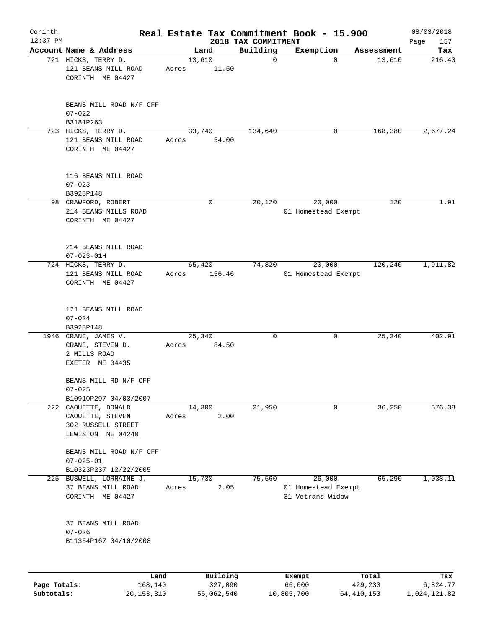| Corinth<br>$12:37$ PM |                                                                                     |       |                  |                                 | Real Estate Tax Commitment Book - 15.900          |                      | 08/03/2018    |
|-----------------------|-------------------------------------------------------------------------------------|-------|------------------|---------------------------------|---------------------------------------------------|----------------------|---------------|
|                       | Account Name & Address                                                              |       | Land             | 2018 TAX COMMITMENT<br>Building |                                                   |                      | Page<br>157   |
|                       | 721 HICKS, TERRY D.                                                                 |       | 13,610           | $\mathbf 0$                     | Exemption<br>$\mathbf 0$                          | Assessment<br>13,610 | Tax<br>216.40 |
|                       | 121 BEANS MILL ROAD<br>CORINTH ME 04427                                             | Acres | 11.50            |                                 |                                                   |                      |               |
|                       | BEANS MILL ROAD N/F OFF<br>$07 - 022$                                               |       |                  |                                 |                                                   |                      |               |
|                       | B3181P263                                                                           |       |                  |                                 |                                                   |                      |               |
|                       | 723 HICKS, TERRY D.<br>121 BEANS MILL ROAD<br>CORINTH ME 04427                      | Acres | 33,740<br>54.00  | 134,640                         | 0                                                 | 168,380              | 2,677.24      |
|                       | 116 BEANS MILL ROAD<br>$07 - 023$<br>B3928P148                                      |       |                  |                                 |                                                   |                      |               |
|                       | 98 CRAWFORD, ROBERT<br>214 BEANS MILLS ROAD<br>CORINTH ME 04427                     |       | 0                | 20,120                          | 20,000<br>01 Homestead Exempt                     | 120                  | 1.91          |
|                       | 214 BEANS MILL ROAD<br>$07 - 023 - 01H$                                             |       |                  |                                 |                                                   |                      |               |
|                       | 724 HICKS, TERRY D.<br>121 BEANS MILL ROAD<br>CORINTH ME 04427                      | Acres | 65,420<br>156.46 | 74,820                          | 20,000<br>01 Homestead Exempt                     | 120,240              | 1,911.82      |
|                       | 121 BEANS MILL ROAD<br>$07 - 024$<br>B3928P148                                      |       |                  |                                 |                                                   |                      |               |
|                       | 1946 CRANE, JAMES V.<br>CRANE, STEVEN D.<br>2 MILLS ROAD<br>EXETER ME 04435         | Acres | 25,340<br>84.50  | 0                               | 0                                                 | 25,340               | 402.91        |
|                       | BEANS MILL RD N/F OFF<br>$07 - 025$                                                 |       |                  |                                 |                                                   |                      |               |
|                       | B10910P297 04/03/2007                                                               |       |                  |                                 |                                                   |                      |               |
|                       | 222 CAOUETTE, DONALD<br>CAOUETTE, STEVEN<br>302 RUSSELL STREET<br>LEWISTON ME 04240 | Acres | 14,300<br>2.00   | 21,950                          | 0                                                 | 36,250               | 576.38        |
|                       | BEANS MILL ROAD N/F OFF<br>$07 - 025 - 01$                                          |       |                  |                                 |                                                   |                      |               |
|                       | B10323P237 12/22/2005                                                               |       |                  |                                 |                                                   |                      |               |
| 225                   | BUSWELL, LORRAINE J.<br>37 BEANS MILL ROAD<br>CORINTH ME 04427                      | Acres | 15,730<br>2.05   | 75,560                          | 26,000<br>01 Homestead Exempt<br>31 Vetrans Widow | 65,290               | 1,038.11      |
|                       | 37 BEANS MILL ROAD<br>$07 - 026$<br>B11354P167 04/10/2008                           |       |                  |                                 |                                                   |                      |               |
|                       | Land                                                                                |       | Building         |                                 | Exempt                                            | Total                | Tax           |
| Page Totals:          | 168,140                                                                             |       | 327,090          |                                 | 66,000                                            | 429,230              | 6,824.77      |

**Subtotals:** 20,153,310 55,062,540 10,805,700 64,410,150 1,024,121.82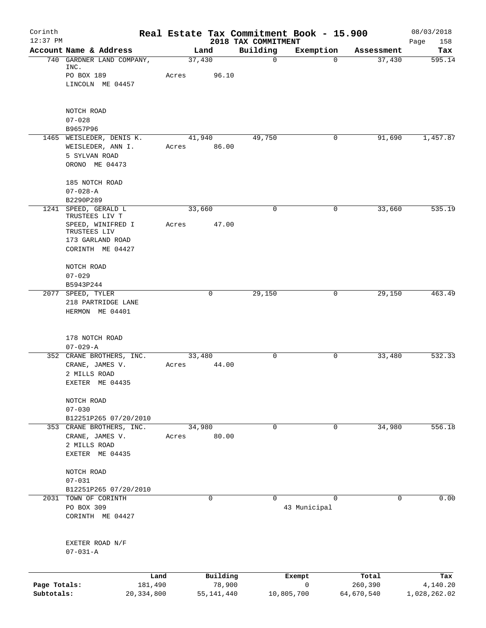| Corinth<br>$12:37$ PM      |                                                       |                         |       |                        | 2018 TAX COMMITMENT | Real Estate Tax Commitment Book - 15.900 |                       | 08/03/2018<br>158        |
|----------------------------|-------------------------------------------------------|-------------------------|-------|------------------------|---------------------|------------------------------------------|-----------------------|--------------------------|
|                            | Account Name & Address                                |                         |       | Land                   | Building            | Exemption                                | Assessment            | Page<br>Tax              |
|                            | 740 GARDNER LAND COMPANY,<br>INC.                     |                         |       | 37,430                 | $\mathbf 0$         | $\mathbf 0$                              | 37,430                | 595.14                   |
|                            | PO BOX 189                                            |                         | Acres | 96.10                  |                     |                                          |                       |                          |
|                            | LINCOLN ME 04457                                      |                         |       |                        |                     |                                          |                       |                          |
|                            | NOTCH ROAD                                            |                         |       |                        |                     |                                          |                       |                          |
|                            | $07 - 028$                                            |                         |       |                        |                     |                                          |                       |                          |
|                            | B9657P96<br>1465 WEISLEDER, DENIS K.                  |                         |       | 41,940                 | 49,750              | 0                                        | 91,690                | 1,457.87                 |
|                            | WEISLEDER, ANN I.<br>5 SYLVAN ROAD                    |                         | Acres | 86.00                  |                     |                                          |                       |                          |
|                            | ORONO ME 04473                                        |                         |       |                        |                     |                                          |                       |                          |
|                            | 185 NOTCH ROAD                                        |                         |       |                        |                     |                                          |                       |                          |
|                            | $07 - 028 - A$<br>B2290P289                           |                         |       |                        |                     |                                          |                       |                          |
|                            | 1241 SPEED, GERALD L<br>TRUSTEES LIV T                |                         |       | 33,660                 | $\mathbf 0$         | 0                                        | 33,660                | 535.19                   |
|                            | SPEED, WINIFRED I<br>TRUSTEES LIV                     |                         | Acres | 47.00                  |                     |                                          |                       |                          |
|                            | 173 GARLAND ROAD<br>CORINTH ME 04427                  |                         |       |                        |                     |                                          |                       |                          |
|                            | NOTCH ROAD                                            |                         |       |                        |                     |                                          |                       |                          |
|                            | $07 - 029$                                            |                         |       |                        |                     |                                          |                       |                          |
|                            | B5943P244                                             |                         |       |                        |                     |                                          |                       |                          |
| 2077                       | SPEED, TYLER<br>218 PARTRIDGE LANE<br>HERMON ME 04401 |                         |       | 0                      | 29,150              | 0                                        | 29,150                | 463.49                   |
|                            | 178 NOTCH ROAD<br>$07 - 029 - A$                      |                         |       |                        |                     |                                          |                       |                          |
|                            | 352 CRANE BROTHERS, INC.                              |                         |       | 33,480                 | $\mathbf 0$         | 0                                        | 33,480                | 532.33                   |
|                            | CRANE, JAMES V.<br>2 MILLS ROAD                       |                         | Acres | 44.00                  |                     |                                          |                       |                          |
|                            | EXETER ME 04435                                       |                         |       |                        |                     |                                          |                       |                          |
|                            | NOTCH ROAD                                            |                         |       |                        |                     |                                          |                       |                          |
|                            | $07 - 030$                                            |                         |       |                        |                     |                                          |                       |                          |
|                            | B12251P265 07/20/2010<br>353 CRANE BROTHERS, INC.     |                         |       | 34,980                 | $\mathbf 0$         | $\mathbf 0$                              | 34,980                | 556.18                   |
|                            | CRANE, JAMES V.<br>2 MILLS ROAD                       |                         | Acres | 80.00                  |                     |                                          |                       |                          |
|                            | EXETER ME 04435                                       |                         |       |                        |                     |                                          |                       |                          |
|                            | NOTCH ROAD<br>$07 - 031$                              |                         |       |                        |                     |                                          |                       |                          |
|                            | B12251P265 07/20/2010                                 |                         |       |                        |                     |                                          |                       |                          |
|                            | 2031 TOWN OF CORINTH                                  |                         |       | $\mathbf 0$            | $\Omega$            | $\Omega$                                 | 0                     | 0.00                     |
|                            | PO BOX 309<br>CORINTH ME 04427                        |                         |       |                        |                     | 43 Municipal                             |                       |                          |
|                            | EXETER ROAD N/F<br>$07 - 031 - A$                     |                         |       |                        |                     |                                          |                       |                          |
|                            |                                                       | Land                    |       | Building               |                     | Exempt                                   | Total                 | Tax                      |
| Page Totals:<br>Subtotals: |                                                       | 181,490<br>20, 334, 800 |       | 78,900<br>55, 141, 440 |                     | 0<br>10,805,700                          | 260,390<br>64,670,540 | 4,140.20<br>1,028,262.02 |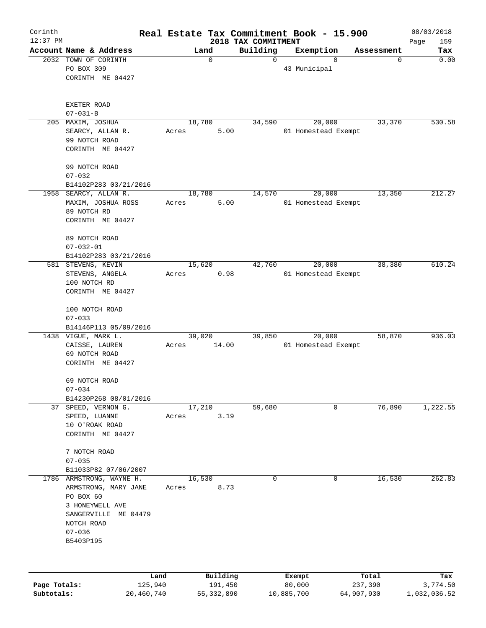| Corinth<br>$12:37$ PM |                               | Real Estate Tax Commitment Book - 15.900 | 2018 TAX COMMITMENT |                     |            | 08/03/2018<br>159<br>Page |
|-----------------------|-------------------------------|------------------------------------------|---------------------|---------------------|------------|---------------------------|
|                       | Account Name & Address        | Land                                     | Building            | Exemption           | Assessment | Tax                       |
|                       | 2032 TOWN OF CORINTH          | $\mathbf 0$                              | $\Omega$            | $\Omega$            | 0          | 0.00                      |
|                       | PO BOX 309                    |                                          |                     | 43 Municipal        |            |                           |
|                       | CORINTH ME 04427              |                                          |                     |                     |            |                           |
|                       |                               |                                          |                     |                     |            |                           |
|                       | EXETER ROAD<br>$07 - 031 - B$ |                                          |                     |                     |            |                           |
| 205                   | MAXIM, JOSHUA                 | 18,780                                   | 34,590              | 20,000              | 33,370     | 530.58                    |
|                       | SEARCY, ALLAN R.              | 5.00<br>Acres                            |                     | 01 Homestead Exempt |            |                           |
|                       | 99 NOTCH ROAD                 |                                          |                     |                     |            |                           |
|                       | CORINTH ME 04427              |                                          |                     |                     |            |                           |
|                       | 99 NOTCH ROAD                 |                                          |                     |                     |            |                           |
|                       | $07 - 032$                    |                                          |                     |                     |            |                           |
|                       | B14102P283 03/21/2016         |                                          |                     |                     |            |                           |
| 1958                  | SEARCY, ALLAN R.              | 18,780                                   | 14,570              | 20,000              | 13,350     | 212.27                    |
|                       | MAXIM, JOSHUA ROSS            | 5.00<br>Acres                            |                     | 01 Homestead Exempt |            |                           |
|                       | 89 NOTCH RD                   |                                          |                     |                     |            |                           |
|                       | CORINTH ME 04427              |                                          |                     |                     |            |                           |
|                       | 89 NOTCH ROAD                 |                                          |                     |                     |            |                           |
|                       | $07 - 032 - 01$               |                                          |                     |                     |            |                           |
|                       | B14102P283 03/21/2016         |                                          |                     |                     |            |                           |
| 581                   | STEVENS, KEVIN                | 15,620                                   | 42,760              | 20,000              | 38,380     | 610.24                    |
|                       | STEVENS, ANGELA               | 0.98<br>Acres                            |                     | 01 Homestead Exempt |            |                           |
|                       | 100 NOTCH RD                  |                                          |                     |                     |            |                           |
|                       | CORINTH ME 04427              |                                          |                     |                     |            |                           |
|                       | 100 NOTCH ROAD                |                                          |                     |                     |            |                           |
|                       | $07 - 033$                    |                                          |                     |                     |            |                           |
|                       | B14146P113 05/09/2016         |                                          |                     |                     |            |                           |
|                       | 1438 VIGUE, MARK L.           | 39,020                                   | 39,850              | 20,000              | 58,870     | 936.03                    |
|                       | CAISSE, LAUREN                | 14.00<br>Acres                           |                     | 01 Homestead Exempt |            |                           |
|                       | 69 NOTCH ROAD                 |                                          |                     |                     |            |                           |
|                       | CORINTH ME 04427              |                                          |                     |                     |            |                           |
|                       | 69 NOTCH ROAD                 |                                          |                     |                     |            |                           |
|                       | $07 - 034$                    |                                          |                     |                     |            |                           |
|                       | B14230P268 08/01/2016         |                                          |                     |                     |            |                           |
|                       | 37 SPEED, VERNON G.           | 17,210                                   | 59,680              | 0                   | 76,890     | 1,222.55                  |
|                       | SPEED, LUANNE                 | 3.19<br>Acres                            |                     |                     |            |                           |
|                       | 10 O'ROAK ROAD                |                                          |                     |                     |            |                           |
|                       | CORINTH ME 04427              |                                          |                     |                     |            |                           |
|                       | 7 NOTCH ROAD                  |                                          |                     |                     |            |                           |
|                       | $07 - 035$                    |                                          |                     |                     |            |                           |
|                       | B11033P82 07/06/2007          |                                          |                     |                     |            |                           |
|                       | 1786 ARMSTRONG, WAYNE H.      | 16,530                                   | 0                   | 0                   | 16,530     | 262.83                    |
|                       | ARMSTRONG, MARY JANE          | 8.73<br>Acres                            |                     |                     |            |                           |
|                       | PO BOX 60                     |                                          |                     |                     |            |                           |
|                       | 3 HONEYWELL AVE               |                                          |                     |                     |            |                           |
|                       | SANGERVILLE ME 04479          |                                          |                     |                     |            |                           |
|                       | NOTCH ROAD                    |                                          |                     |                     |            |                           |
|                       | $07 - 036$                    |                                          |                     |                     |            |                           |
|                       | B5403P195                     |                                          |                     |                     |            |                           |
|                       |                               |                                          |                     |                     |            |                           |
|                       | Land                          | Building                                 |                     | Exempt              | Total      | Tax                       |
| Page Totals:          | 125,940                       | 191,450                                  |                     | 80,000              | 237,390    | 3,774.50                  |
| Subtotals:            | 20,460,740                    | 55, 332, 890                             |                     | 10,885,700          | 64,907,930 | 1,032,036.52              |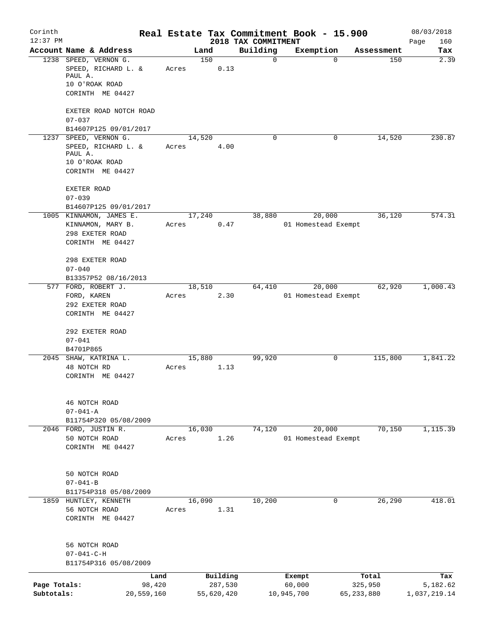| Corinth<br>$12:37$ PM |                                                  |            |       |        |            |                                 | Real Estate Tax Commitment Book - 15.900 |              |            | 08/03/2018         |
|-----------------------|--------------------------------------------------|------------|-------|--------|------------|---------------------------------|------------------------------------------|--------------|------------|--------------------|
|                       | Account Name & Address                           |            |       | Land   |            | 2018 TAX COMMITMENT<br>Building | Exemption                                |              | Assessment | Page<br>160<br>Tax |
|                       | 1238 SPEED, VERNON G.                            |            |       | 150    |            | $\mathbf 0$                     |                                          | $\mathbf 0$  | 150        | 2.39               |
|                       | SPEED, RICHARD L. &<br>PAUL A.                   |            | Acres |        | 0.13       |                                 |                                          |              |            |                    |
|                       | 10 O'ROAK ROAD                                   |            |       |        |            |                                 |                                          |              |            |                    |
|                       | CORINTH ME 04427                                 |            |       |        |            |                                 |                                          |              |            |                    |
|                       | EXETER ROAD NOTCH ROAD                           |            |       |        |            |                                 |                                          |              |            |                    |
|                       | $07 - 037$                                       |            |       |        |            |                                 |                                          |              |            |                    |
|                       | B14607P125 09/01/2017<br>1237 SPEED, VERNON G.   |            |       | 14,520 |            | 0                               |                                          | 0            | 14,520     | 230.87             |
|                       | SPEED, RICHARD L. &                              |            | Acres |        | 4.00       |                                 |                                          |              |            |                    |
|                       | PAUL A.                                          |            |       |        |            |                                 |                                          |              |            |                    |
|                       | 10 O'ROAK ROAD                                   |            |       |        |            |                                 |                                          |              |            |                    |
|                       | CORINTH ME 04427                                 |            |       |        |            |                                 |                                          |              |            |                    |
|                       | <b>EXETER ROAD</b>                               |            |       |        |            |                                 |                                          |              |            |                    |
|                       | $07 - 039$                                       |            |       |        |            |                                 |                                          |              |            |                    |
|                       | B14607P125 09/01/2017<br>1005 KINNAMON, JAMES E. |            |       | 17,240 |            | 38,880                          |                                          |              | 36,120     | 574.31             |
|                       | KINNAMON, MARY B.                                |            | Acres |        | 0.47       |                                 | 20,000<br>01 Homestead Exempt            |              |            |                    |
|                       | 298 EXETER ROAD                                  |            |       |        |            |                                 |                                          |              |            |                    |
|                       | CORINTH ME 04427                                 |            |       |        |            |                                 |                                          |              |            |                    |
|                       | 298 EXETER ROAD                                  |            |       |        |            |                                 |                                          |              |            |                    |
|                       | $07 - 040$                                       |            |       |        |            |                                 |                                          |              |            |                    |
|                       | B13357P52 08/16/2013                             |            |       |        |            |                                 |                                          |              |            |                    |
|                       | 577 FORD, ROBERT J.                              |            |       | 18,510 |            | 64,410                          | 20,000                                   |              | 62,920     | 1,000.43           |
|                       | FORD, KAREN                                      |            | Acres |        | 2.30       |                                 | 01 Homestead Exempt                      |              |            |                    |
|                       | 292 EXETER ROAD<br>CORINTH ME 04427              |            |       |        |            |                                 |                                          |              |            |                    |
|                       | 292 EXETER ROAD                                  |            |       |        |            |                                 |                                          |              |            |                    |
|                       | $07 - 041$                                       |            |       |        |            |                                 |                                          |              |            |                    |
|                       | B4701P865                                        |            |       |        |            |                                 |                                          |              |            |                    |
|                       | 2045 SHAW, KATRINA L.                            |            |       | 15,880 |            | 99,920                          |                                          | 0            | 115,800    | 1,841.22           |
|                       | 48 NOTCH RD                                      |            | Acres |        | 1.13       |                                 |                                          |              |            |                    |
|                       | CORINTH ME 04427                                 |            |       |        |            |                                 |                                          |              |            |                    |
|                       | 46 NOTCH ROAD                                    |            |       |        |            |                                 |                                          |              |            |                    |
|                       | $07 - 041 - A$                                   |            |       |        |            |                                 |                                          |              |            |                    |
|                       | B11754P320 05/08/2009                            |            |       |        |            |                                 |                                          |              |            |                    |
|                       | 2046 FORD, JUSTIN R.                             |            |       | 16,030 |            | 74,120                          | 20,000                                   |              | 70,150     | 1,115.39           |
|                       | 50 NOTCH ROAD                                    |            | Acres |        | 1.26       |                                 | 01 Homestead Exempt                      |              |            |                    |
|                       | CORINTH ME 04427                                 |            |       |        |            |                                 |                                          |              |            |                    |
|                       |                                                  |            |       |        |            |                                 |                                          |              |            |                    |
|                       | 50 NOTCH ROAD<br>$07 - 041 - B$                  |            |       |        |            |                                 |                                          |              |            |                    |
|                       | B11754P318 05/08/2009                            |            |       |        |            |                                 |                                          |              |            |                    |
|                       | 1859 HUNTLEY, KENNETH                            |            |       | 16,090 |            | 10,200                          |                                          | 0            | 26,290     | 418.01             |
|                       | 56 NOTCH ROAD                                    |            | Acres |        | 1.31       |                                 |                                          |              |            |                    |
|                       | CORINTH ME 04427                                 |            |       |        |            |                                 |                                          |              |            |                    |
|                       | 56 NOTCH ROAD                                    |            |       |        |            |                                 |                                          |              |            |                    |
|                       | $07 - 041 - C - H$                               |            |       |        |            |                                 |                                          |              |            |                    |
|                       | B11754P316 05/08/2009                            |            |       |        |            |                                 |                                          |              |            |                    |
|                       |                                                  | Land       |       |        | Building   |                                 | Exempt                                   | Total        |            | Tax                |
| Page Totals:          |                                                  | 98,420     |       |        | 287,530    |                                 | 60,000                                   | 325,950      |            | 5,182.62           |
| Subtotals:            |                                                  | 20,559,160 |       |        | 55,620,420 |                                 | 10,945,700                               | 65, 233, 880 |            | 1,037,219.14       |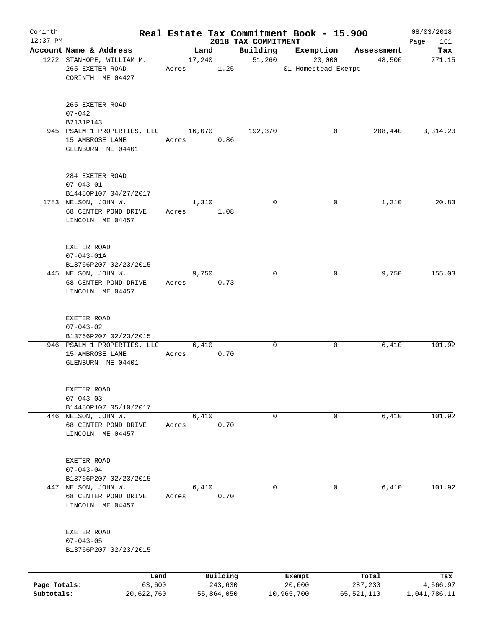| Corinth                    |                                                                     |       |        |                       |                                 | Real Estate Tax Commitment Book - 15.900 |                       | 08/03/2018               |
|----------------------------|---------------------------------------------------------------------|-------|--------|-----------------------|---------------------------------|------------------------------------------|-----------------------|--------------------------|
| $12:37$ PM                 | Account Name & Address                                              |       | Land   |                       | 2018 TAX COMMITMENT<br>Building | Exemption                                |                       | 161<br>Page<br>Tax       |
|                            | 1272 STANHOPE, WILLIAM M.<br>265 EXETER ROAD                        | Acres | 17,240 | 1.25                  | 51,260                          | 20,000<br>01 Homestead Exempt            | Assessment<br>48,500  | 771.15                   |
|                            | CORINTH ME 04427                                                    |       |        |                       |                                 |                                          |                       |                          |
|                            | 265 EXETER ROAD<br>$07 - 042$                                       |       |        |                       |                                 |                                          |                       |                          |
|                            | B2131P143                                                           |       |        |                       |                                 |                                          |                       |                          |
|                            | 945 PSALM 1 PROPERTIES, LLC                                         |       | 16,070 |                       | 192,370                         | 0                                        | 208,440               | 3,314.20                 |
|                            | 15 AMBROSE LANE<br>GLENBURN ME 04401                                | Acres |        | 0.86                  |                                 |                                          |                       |                          |
|                            | 284 EXETER ROAD                                                     |       |        |                       |                                 |                                          |                       |                          |
|                            | $07 - 043 - 01$<br>B14480P107 04/27/2017                            |       |        |                       |                                 |                                          |                       |                          |
|                            | 1783 NELSON, JOHN W.                                                |       | 1,310  |                       | 0                               | 0                                        | 1,310                 | 20.83                    |
|                            | 68 CENTER POND DRIVE<br>LINCOLN ME 04457                            | Acres |        | 1.08                  |                                 |                                          |                       |                          |
|                            | EXETER ROAD                                                         |       |        |                       |                                 |                                          |                       |                          |
|                            | $07 - 043 - 01A$                                                    |       |        |                       |                                 |                                          |                       |                          |
|                            | B13766P207 02/23/2015<br>445 NELSON, JOHN W.                        |       | 9,750  |                       | $\Omega$                        | 0                                        | 9,750                 | 155.03                   |
|                            | 68 CENTER POND DRIVE<br>LINCOLN ME 04457                            | Acres |        | 0.73                  |                                 |                                          |                       |                          |
|                            | EXETER ROAD<br>$07 - 043 - 02$                                      |       |        |                       |                                 |                                          |                       |                          |
|                            | B13766P207 02/23/2015                                               |       |        |                       |                                 |                                          |                       |                          |
|                            | 946 PSALM 1 PROPERTIES, LLC<br>15 AMBROSE LANE<br>GLENBURN ME 04401 | Acres | 6,410  | 0.70                  | 0                               | 0                                        | 6,410                 | 101.92                   |
|                            | EXETER ROAD<br>$07 - 043 - 03$                                      |       |        |                       |                                 |                                          |                       |                          |
|                            | B14480P107 05/10/2017                                               |       |        |                       |                                 |                                          |                       |                          |
|                            | 446 NELSON, JOHN W.<br>68 CENTER POND DRIVE<br>LINCOLN ME 04457     | Acres | 6,410  | 0.70                  | 0                               | 0                                        | 6,410                 | 101.92                   |
|                            | EXETER ROAD<br>$07 - 043 - 04$                                      |       |        |                       |                                 |                                          |                       |                          |
|                            | B13766P207 02/23/2015                                               |       |        |                       |                                 |                                          |                       |                          |
| 447                        | NELSON, JOHN W.<br>68 CENTER POND DRIVE<br>LINCOLN ME 04457         | Acres | 6,410  | 0.70                  | 0                               | 0                                        | 6,410                 | 101.92                   |
|                            | EXETER ROAD<br>$07 - 043 - 05$<br>B13766P207 02/23/2015             |       |        |                       |                                 |                                          |                       |                          |
|                            | Land                                                                |       |        | Building              |                                 | Exempt                                   | Total                 | Tax                      |
| Page Totals:<br>Subtotals: | 63,600<br>20,622,760                                                |       |        | 243,630<br>55,864,050 |                                 | 20,000<br>10,965,700                     | 287,230<br>65,521,110 | 4,566.97<br>1,041,786.11 |
|                            |                                                                     |       |        |                       |                                 |                                          |                       |                          |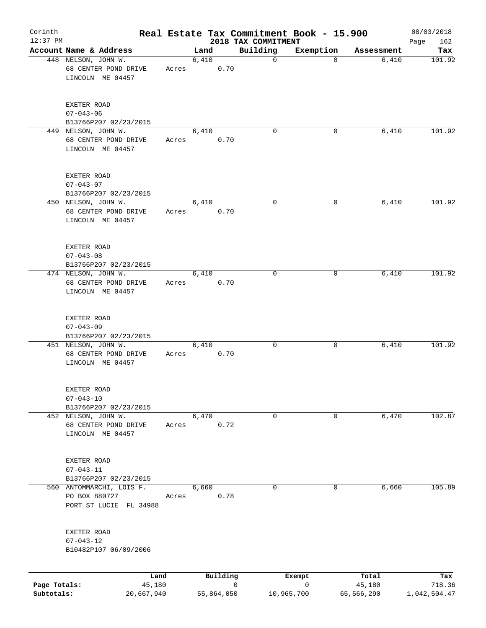| Corinth<br>$12:37$ PM      |                                                                     |       |       |            | Real Estate Tax Commitment Book - 15.900<br>2018 TAX COMMITMENT |             |                      | 08/03/2018<br>162<br>Page |
|----------------------------|---------------------------------------------------------------------|-------|-------|------------|-----------------------------------------------------------------|-------------|----------------------|---------------------------|
|                            | Account Name & Address                                              |       | Land  |            | Building                                                        | Exemption   | Assessment           | Tax                       |
|                            | 448 NELSON, JOHN W.<br>68 CENTER POND DRIVE<br>LINCOLN ME 04457     | Acres | 6,410 | 0.70       | 0                                                               | 0           | 6,410                | 101.92                    |
|                            | EXETER ROAD<br>$07 - 043 - 06$<br>B13766P207 02/23/2015             |       |       |            |                                                                 |             |                      |                           |
|                            | 449 NELSON, JOHN W.<br>68 CENTER POND DRIVE<br>LINCOLN ME 04457     | Acres | 6,410 | 0.70       | 0                                                               | 0           | 6,410                | 101.92                    |
|                            | EXETER ROAD<br>$07 - 043 - 07$<br>B13766P207 02/23/2015             |       |       |            |                                                                 |             |                      |                           |
|                            | 450 NELSON, JOHN W.<br>68 CENTER POND DRIVE<br>LINCOLN ME 04457     | Acres | 6,410 | 0.70       | 0                                                               | 0           | 6,410                | 101.92                    |
|                            | EXETER ROAD<br>$07 - 043 - 08$<br>B13766P207 02/23/2015             |       |       |            |                                                                 |             |                      |                           |
|                            | 474 NELSON, JOHN W.<br>68 CENTER POND DRIVE<br>LINCOLN ME 04457     | Acres | 6,410 | 0.70       | $\mathbf 0$                                                     | 0           | 6,410                | 101.92                    |
|                            | EXETER ROAD<br>$07 - 043 - 09$<br>B13766P207 02/23/2015             |       |       |            |                                                                 |             |                      |                           |
|                            | 451 NELSON, JOHN W.<br>68 CENTER POND DRIVE<br>LINCOLN ME 04457     | Acres | 6,410 | 0.70       | 0                                                               | 0           | 6,410                | 101.92                    |
|                            | EXETER ROAD<br>$07 - 043 - 10$<br>B13766P207 02/23/2015             |       |       |            |                                                                 |             |                      |                           |
|                            | 452 NELSON, JOHN W.<br>68 CENTER POND DRIVE<br>LINCOLN ME 04457     | Acres | 6,470 | 0.72       | 0                                                               | 0           | 6,470                | 102.87                    |
|                            | EXETER ROAD<br>$07 - 043 - 11$<br>B13766P207 02/23/2015             |       |       |            |                                                                 |             |                      |                           |
|                            | 560 ANTOMMARCHI, LOIS F.<br>PO BOX 880727<br>PORT ST LUCIE FL 34988 | Acres | 6,660 | 0.78       | 0                                                               | 0           | 6,660                | 105.89                    |
|                            | EXETER ROAD<br>$07 - 043 - 12$<br>B10482P107 06/09/2006             |       |       |            |                                                                 |             |                      |                           |
|                            | Land                                                                |       |       | Building   |                                                                 | Exempt      | Total                | Tax                       |
| Page Totals:<br>Subtotals: | 45,180<br>20,667,940                                                |       |       | 55,864,050 | $\mathbf 0$<br>10,965,700                                       | $\mathbf 0$ | 45,180<br>65,566,290 | 718.36<br>1,042,504.47    |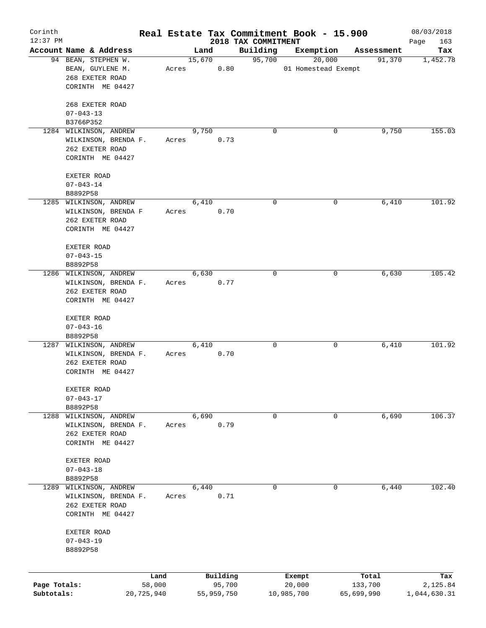| Corinth                    |                              |                      |       |        |                      |                                 | Real Estate Tax Commitment Book - 15.900 |                       | 08/03/2018               |
|----------------------------|------------------------------|----------------------|-------|--------|----------------------|---------------------------------|------------------------------------------|-----------------------|--------------------------|
| $12:37$ PM                 | Account Name & Address       |                      |       | Land   |                      | 2018 TAX COMMITMENT<br>Building | Exemption                                | Assessment            | Page<br>163<br>Tax       |
|                            | 94 BEAN, STEPHEN W.          |                      |       | 15,670 |                      | 95,700                          | 20,000                                   | 91,370                | 1,452.78                 |
|                            | BEAN, GUYLENE M.             |                      | Acres |        | 0.80                 |                                 | 01 Homestead Exempt                      |                       |                          |
|                            | 268 EXETER ROAD              |                      |       |        |                      |                                 |                                          |                       |                          |
|                            | CORINTH ME 04427             |                      |       |        |                      |                                 |                                          |                       |                          |
|                            |                              |                      |       |        |                      |                                 |                                          |                       |                          |
|                            | 268 EXETER ROAD              |                      |       |        |                      |                                 |                                          |                       |                          |
|                            | $07 - 043 - 13$<br>B3766P352 |                      |       |        |                      |                                 |                                          |                       |                          |
|                            | 1284 WILKINSON, ANDREW       |                      |       | 9,750  |                      | $\Omega$                        | 0                                        | 9,750                 | 155.03                   |
|                            | WILKINSON, BRENDA F.         |                      | Acres |        | 0.73                 |                                 |                                          |                       |                          |
|                            | 262 EXETER ROAD              |                      |       |        |                      |                                 |                                          |                       |                          |
|                            | CORINTH ME 04427             |                      |       |        |                      |                                 |                                          |                       |                          |
|                            | EXETER ROAD                  |                      |       |        |                      |                                 |                                          |                       |                          |
|                            | $07 - 043 - 14$              |                      |       |        |                      |                                 |                                          |                       |                          |
|                            | B8892P58                     |                      |       |        |                      |                                 |                                          |                       |                          |
|                            | 1285 WILKINSON, ANDREW       |                      |       | 6,410  |                      | 0                               | 0                                        | 6,410                 | 101.92                   |
|                            | WILKINSON, BRENDA F          |                      | Acres |        | 0.70                 |                                 |                                          |                       |                          |
|                            | 262 EXETER ROAD              |                      |       |        |                      |                                 |                                          |                       |                          |
|                            | CORINTH ME 04427             |                      |       |        |                      |                                 |                                          |                       |                          |
|                            | EXETER ROAD                  |                      |       |        |                      |                                 |                                          |                       |                          |
|                            | $07 - 043 - 15$              |                      |       |        |                      |                                 |                                          |                       |                          |
|                            | B8892P58                     |                      |       |        |                      |                                 |                                          |                       |                          |
|                            | 1286 WILKINSON, ANDREW       |                      |       | 6,630  |                      | 0                               | 0                                        | 6,630                 | 105.42                   |
|                            | WILKINSON, BRENDA F.         |                      | Acres |        | 0.77                 |                                 |                                          |                       |                          |
|                            | 262 EXETER ROAD              |                      |       |        |                      |                                 |                                          |                       |                          |
|                            | CORINTH ME 04427             |                      |       |        |                      |                                 |                                          |                       |                          |
|                            |                              |                      |       |        |                      |                                 |                                          |                       |                          |
|                            | EXETER ROAD                  |                      |       |        |                      |                                 |                                          |                       |                          |
|                            | $07 - 043 - 16$              |                      |       |        |                      |                                 |                                          |                       |                          |
|                            | B8892P58                     |                      |       |        |                      |                                 |                                          |                       |                          |
|                            | 1287 WILKINSON, ANDREW       |                      |       | 6,410  |                      | 0                               | 0                                        | 6,410                 | 101.92                   |
|                            | WILKINSON, BRENDA F.         |                      | Acres |        | 0.70                 |                                 |                                          |                       |                          |
|                            | 262 EXETER ROAD              |                      |       |        |                      |                                 |                                          |                       |                          |
|                            | CORINTH ME 04427             |                      |       |        |                      |                                 |                                          |                       |                          |
|                            | EXETER ROAD                  |                      |       |        |                      |                                 |                                          |                       |                          |
|                            | $07 - 043 - 17$              |                      |       |        |                      |                                 |                                          |                       |                          |
|                            | B8892P58                     |                      |       |        |                      |                                 |                                          |                       |                          |
| 1288                       | WILKINSON, ANDREW            |                      |       | 6,690  |                      | 0                               | 0                                        | 6,690                 | 106.37                   |
|                            | WILKINSON, BRENDA F.         |                      | Acres |        | 0.79                 |                                 |                                          |                       |                          |
|                            | 262 EXETER ROAD              |                      |       |        |                      |                                 |                                          |                       |                          |
|                            | CORINTH ME 04427             |                      |       |        |                      |                                 |                                          |                       |                          |
|                            | EXETER ROAD                  |                      |       |        |                      |                                 |                                          |                       |                          |
|                            | $07 - 043 - 18$              |                      |       |        |                      |                                 |                                          |                       |                          |
|                            | B8892P58                     |                      |       |        |                      |                                 |                                          |                       |                          |
| 1289                       | WILKINSON, ANDREW            |                      |       | 6,440  |                      | 0                               | 0                                        | 6,440                 | 102.40                   |
|                            | WILKINSON, BRENDA F.         |                      | Acres |        | 0.71                 |                                 |                                          |                       |                          |
|                            | 262 EXETER ROAD              |                      |       |        |                      |                                 |                                          |                       |                          |
|                            | CORINTH ME 04427             |                      |       |        |                      |                                 |                                          |                       |                          |
|                            | EXETER ROAD                  |                      |       |        |                      |                                 |                                          |                       |                          |
|                            | $07 - 043 - 19$              |                      |       |        |                      |                                 |                                          |                       |                          |
|                            | B8892P58                     |                      |       |        |                      |                                 |                                          |                       |                          |
|                            |                              |                      |       |        |                      |                                 |                                          |                       |                          |
|                            |                              | Land                 |       |        | Building             |                                 | Exempt                                   | Total                 | Tax                      |
| Page Totals:<br>Subtotals: |                              | 58,000<br>20,725,940 |       |        | 95,700<br>55,959,750 |                                 | 20,000<br>10,985,700                     | 133,700<br>65,699,990 | 2,125.84<br>1,044,630.31 |
|                            |                              |                      |       |        |                      |                                 |                                          |                       |                          |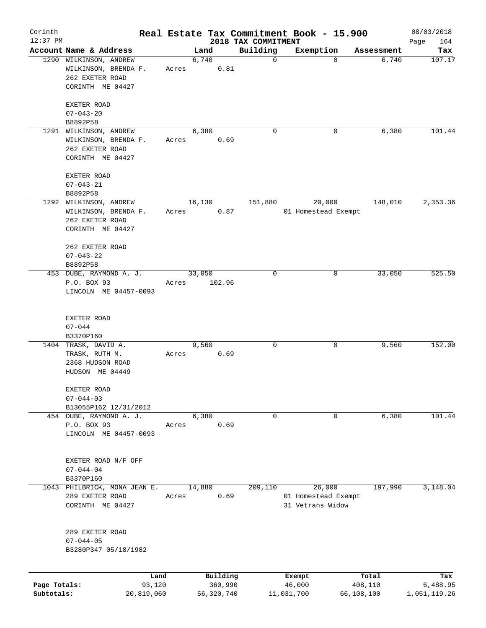| Corinth<br>$12:37$ PM      |                                                                                       |                      |       |        |                         | 2018 TAX COMMITMENT | Real Estate Tax Commitment Book - 15.900          |                       | 08/03/2018<br>Page<br>164 |
|----------------------------|---------------------------------------------------------------------------------------|----------------------|-------|--------|-------------------------|---------------------|---------------------------------------------------|-----------------------|---------------------------|
|                            | Account Name & Address                                                                |                      |       | Land   |                         | Building            | Exemption                                         | Assessment            | Tax                       |
|                            | 1290 WILKINSON, ANDREW<br>WILKINSON, BRENDA F.<br>262 EXETER ROAD<br>CORINTH ME 04427 |                      | Acres | 6,740  | 0.81                    | 0                   | $\Omega$                                          | 6,740                 | 107.17                    |
|                            | EXETER ROAD<br>$07 - 043 - 20$<br>B8892P58                                            |                      |       |        |                         |                     |                                                   |                       |                           |
|                            | 1291 WILKINSON, ANDREW<br>WILKINSON, BRENDA F.<br>262 EXETER ROAD<br>CORINTH ME 04427 |                      | Acres | 6,380  | 0.69                    | 0                   | 0                                                 | 6,380                 | 101.44                    |
|                            | EXETER ROAD<br>$07 - 043 - 21$<br>B8892P58                                            |                      |       |        |                         |                     |                                                   |                       |                           |
|                            | 1292 WILKINSON, ANDREW<br>WILKINSON, BRENDA F.<br>262 EXETER ROAD<br>CORINTH ME 04427 |                      | Acres | 16,130 | 0.87                    | 151,880             | 20,000<br>01 Homestead Exempt                     | 148,010               | 2,353.36                  |
|                            | 262 EXETER ROAD<br>$07 - 043 - 22$<br>B8892P58                                        |                      |       |        |                         |                     |                                                   |                       |                           |
|                            | 453 DUBE, RAYMOND A. J.<br>P.O. BOX 93<br>LINCOLN ME 04457-0093                       |                      | Acres | 33,050 | 102.96                  | 0                   | 0                                                 | 33,050                | 525.50                    |
|                            | EXETER ROAD<br>$07 - 044$<br>B3370P160                                                |                      |       |        |                         |                     |                                                   |                       |                           |
|                            | 1404 TRASK, DAVID A.<br>TRASK, RUTH M.<br>2368 HUDSON ROAD<br>HUDSON ME 04449         |                      | Acres | 9,560  | 0.69                    | 0                   | 0                                                 | 9,560                 | 152.00                    |
|                            | EXETER ROAD<br>$07 - 044 - 03$<br>B13055P162 12/31/2012                               |                      |       |        |                         |                     |                                                   |                       |                           |
|                            | 454 DUBE, RAYMOND A. J.<br>P.O. BOX 93<br>LINCOLN ME 04457-0093                       |                      | Acres | 6,380  | 0.69                    | 0                   | 0                                                 | 6,380                 | 101.44                    |
|                            | EXETER ROAD N/F OFF<br>$07 - 044 - 04$<br>B3370P160                                   |                      |       |        |                         |                     |                                                   |                       |                           |
|                            | 1043 PHILBRICK, MONA JEAN E.<br>289 EXETER ROAD<br>CORINTH ME 04427                   |                      | Acres | 14,880 | 0.69                    | 209,110             | 26,000<br>01 Homestead Exempt<br>31 Vetrans Widow | 197,990               | 3,148.04                  |
|                            | 289 EXETER ROAD<br>$07 - 044 - 05$<br>B3280P347 05/18/1982                            |                      |       |        |                         |                     |                                                   |                       |                           |
|                            |                                                                                       | Land                 |       |        | Building                |                     | Exempt                                            | Total                 | Tax                       |
| Page Totals:<br>Subtotals: |                                                                                       | 93,120<br>20,819,060 |       |        | 360,990<br>56, 320, 740 |                     | 46,000<br>11,031,700                              | 408,110<br>66,108,100 | 6,488.95<br>1,051,119.26  |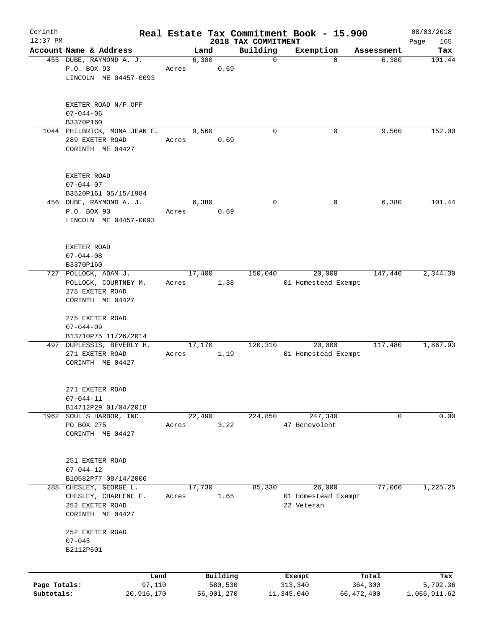| Corinth<br>12:37 PM |                                                   |            |       |        |            | Real Estate Tax Commitment Book - 15.900 |               |                     |                     | 08/03/2018         |
|---------------------|---------------------------------------------------|------------|-------|--------|------------|------------------------------------------|---------------|---------------------|---------------------|--------------------|
|                     | Account Name & Address                            |            |       | Land   |            | 2018 TAX COMMITMENT<br>Building          |               | Exemption           |                     | 165<br>Page<br>Tax |
|                     | 455 DUBE, RAYMOND A. J.                           |            |       | 6,380  |            | $\mathbf 0$                              |               | $\Omega$            | Assessment<br>6,380 | 101.44             |
|                     | P.O. BOX 93                                       |            | Acres |        | 0.69       |                                          |               |                     |                     |                    |
|                     | LINCOLN ME 04457-0093                             |            |       |        |            |                                          |               |                     |                     |                    |
|                     |                                                   |            |       |        |            |                                          |               |                     |                     |                    |
|                     | EXETER ROAD N/F OFF                               |            |       |        |            |                                          |               |                     |                     |                    |
|                     | $07 - 044 - 06$<br>B3370P160                      |            |       |        |            |                                          |               |                     |                     |                    |
|                     | 1044 PHILBRICK, MONA JEAN E.                      |            |       | 9,560  |            | 0                                        |               | 0                   | 9,560               | 152.00             |
|                     | 289 EXETER ROAD                                   |            | Acres |        | 0.69       |                                          |               |                     |                     |                    |
|                     | CORINTH ME 04427                                  |            |       |        |            |                                          |               |                     |                     |                    |
|                     | EXETER ROAD                                       |            |       |        |            |                                          |               |                     |                     |                    |
|                     | $07 - 044 - 07$                                   |            |       |        |            |                                          |               |                     |                     |                    |
|                     | B3520P161 05/15/1984                              |            |       |        |            |                                          |               |                     |                     |                    |
|                     | 456 DUBE, RAYMOND A. J.                           |            |       | 6,380  |            | $\mathbf 0$                              |               | 0                   | 6,380               | 101.44             |
|                     | P.O. BOX 93                                       |            | Acres |        | 0.69       |                                          |               |                     |                     |                    |
|                     | LINCOLN ME 04457-0093                             |            |       |        |            |                                          |               |                     |                     |                    |
|                     | EXETER ROAD                                       |            |       |        |            |                                          |               |                     |                     |                    |
|                     | $07 - 044 - 08$                                   |            |       |        |            |                                          |               |                     |                     |                    |
|                     | B3370P160                                         |            |       |        |            |                                          |               |                     |                     |                    |
|                     | 727 POLLOCK, ADAM J.                              |            |       | 17,400 |            | 150,040                                  |               | 20,000              | 147,440             | 2,344.30           |
|                     | POLLOCK, COURTNEY M.                              |            | Acres |        | 1.38       |                                          |               | 01 Homestead Exempt |                     |                    |
|                     | 275 EXETER ROAD                                   |            |       |        |            |                                          |               |                     |                     |                    |
|                     | CORINTH ME 04427                                  |            |       |        |            |                                          |               |                     |                     |                    |
|                     | 275 EXETER ROAD                                   |            |       |        |            |                                          |               |                     |                     |                    |
|                     | $07 - 044 - 09$                                   |            |       |        |            |                                          |               |                     |                     |                    |
|                     | B13710P75 11/26/2014<br>497 DUPLESSIS, BEVERLY H. |            |       | 17,170 |            | 120,310                                  |               | 20,000              | 117,480             | 1,867.93           |
|                     | 271 EXETER ROAD                                   |            | Acres |        | 1.19       |                                          |               | 01 Homestead Exempt |                     |                    |
|                     | CORINTH ME 04427                                  |            |       |        |            |                                          |               |                     |                     |                    |
|                     |                                                   |            |       |        |            |                                          |               |                     |                     |                    |
|                     | 271 EXETER ROAD                                   |            |       |        |            |                                          |               |                     |                     |                    |
|                     | $07 - 044 - 11$                                   |            |       |        |            |                                          |               |                     |                     |                    |
|                     | B14712P29 01/04/2018                              |            |       |        |            | 224,850                                  |               |                     | 0                   | 0.00               |
| 1962                | SOUL'S HARBOR, INC.<br>PO BOX 275                 |            | Acres | 22,490 | 3.22       |                                          | 47 Benevolent | 247,340             |                     |                    |
|                     | CORINTH ME 04427                                  |            |       |        |            |                                          |               |                     |                     |                    |
|                     |                                                   |            |       |        |            |                                          |               |                     |                     |                    |
|                     | 251 EXETER ROAD                                   |            |       |        |            |                                          |               |                     |                     |                    |
|                     | $07 - 044 - 12$                                   |            |       |        |            |                                          |               |                     |                     |                    |
|                     | B10582P77 08/14/2006                              |            |       |        |            | 85,330                                   |               | 26,000              | 77,060              | 1,225.25           |
| 288                 | CHESLEY, GEORGE L.<br>CHESLEY, CHARLENE E.        |            | Acres | 17,730 | 1.65       |                                          |               | 01 Homestead Exempt |                     |                    |
|                     | 252 EXETER ROAD                                   |            |       |        |            |                                          | 22 Veteran    |                     |                     |                    |
|                     | CORINTH ME 04427                                  |            |       |        |            |                                          |               |                     |                     |                    |
|                     | 252 EXETER ROAD                                   |            |       |        |            |                                          |               |                     |                     |                    |
|                     | $07 - 045$<br>B2112P501                           |            |       |        |            |                                          |               |                     |                     |                    |
|                     |                                                   |            |       |        |            |                                          |               |                     |                     |                    |
|                     |                                                   | Land       |       |        | Building   |                                          | Exempt        |                     | Total               | Tax                |
| Page Totals:        |                                                   | 97,110     |       |        | 580,530    |                                          | 313,340       |                     | 364,300             | 5,792.36           |
| Subtotals:          |                                                   | 20,916,170 |       |        | 56,901,270 |                                          | 11,345,040    |                     | 66,472,400          | 1,056,911.62       |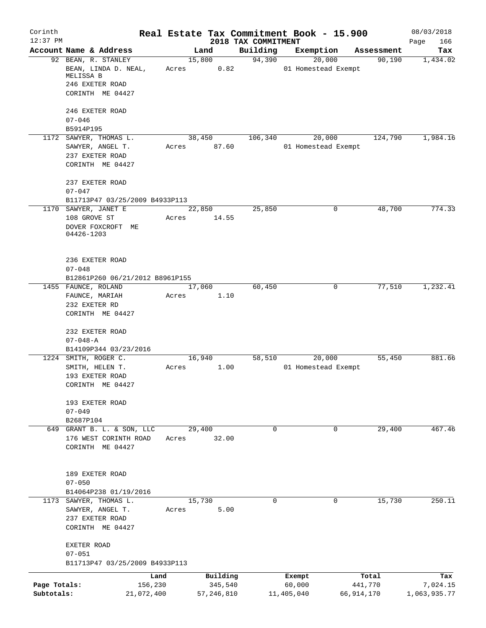| Corinth                    |                                                 |         |                         |                                 | Real Estate Tax Commitment Book - 15.900   |                         | 08/03/2018               |
|----------------------------|-------------------------------------------------|---------|-------------------------|---------------------------------|--------------------------------------------|-------------------------|--------------------------|
| $12:37$ PM                 | Account Name & Address                          |         | Land                    | 2018 TAX COMMITMENT<br>Building |                                            |                         | Page<br>166              |
|                            | 92 BEAN, R. STANLEY<br>BEAN, LINDA D. NEAL,     |         | 15,800<br>0.82          | 94,390                          | Exemption<br>20,000<br>01 Homestead Exempt | Assessment<br>90,190    | Tax<br>1,434.02          |
|                            | MELISSA B                                       | Acres   |                         |                                 |                                            |                         |                          |
|                            | 246 EXETER ROAD<br>CORINTH ME 04427             |         |                         |                                 |                                            |                         |                          |
|                            | 246 EXETER ROAD                                 |         |                         |                                 |                                            |                         |                          |
|                            | $07 - 046$<br>B5914P195                         |         |                         |                                 |                                            |                         |                          |
|                            | 1172 SAWYER, THOMAS L.                          |         | 38,450                  | 106,340                         | 20,000                                     | 124,790                 | 1,984.16                 |
|                            | SAWYER, ANGEL T.<br>237 EXETER ROAD             | Acres   | 87.60                   |                                 | 01 Homestead Exempt                        |                         |                          |
|                            | CORINTH ME 04427                                |         |                         |                                 |                                            |                         |                          |
|                            | 237 EXETER ROAD                                 |         |                         |                                 |                                            |                         |                          |
|                            | $07 - 047$<br>B11713P47 03/25/2009 B4933P113    |         |                         |                                 |                                            |                         |                          |
|                            | 1170 SAWYER, JANET E                            |         | 22,850                  | 25,850                          | 0                                          | 48,700                  | 774.33                   |
|                            | 108 GROVE ST                                    | Acres   | 14.55                   |                                 |                                            |                         |                          |
|                            | DOVER FOXCROFT ME<br>04426-1203                 |         |                         |                                 |                                            |                         |                          |
|                            | 236 EXETER ROAD                                 |         |                         |                                 |                                            |                         |                          |
|                            | $07 - 048$<br>B12861P260 06/21/2012 B8961P155   |         |                         |                                 |                                            |                         |                          |
|                            | 1455 FAUNCE, ROLAND                             |         | 17,060                  | 60,450                          | 0                                          | 77,510                  | 1,232.41                 |
|                            | FAUNCE, MARIAH                                  | Acres   | 1.10                    |                                 |                                            |                         |                          |
|                            | 232 EXETER RD<br>CORINTH ME 04427               |         |                         |                                 |                                            |                         |                          |
|                            | 232 EXETER ROAD                                 |         |                         |                                 |                                            |                         |                          |
|                            | $07 - 048 - A$                                  |         |                         |                                 |                                            |                         |                          |
|                            | B14109P344 03/23/2016                           |         |                         |                                 |                                            |                         |                          |
|                            | 1224 SMITH, ROGER C.<br>SMITH, HELEN T.         | Acres   | 16,940<br>1.00          | 58,510                          | 20,000<br>01 Homestead Exempt              | 55,450                  | 881.66                   |
|                            | 193 EXETER ROAD<br>CORINTH ME 04427             |         |                         |                                 |                                            |                         |                          |
|                            | 193 EXETER ROAD                                 |         |                         |                                 |                                            |                         |                          |
|                            | $07 - 049$                                      |         |                         |                                 |                                            |                         |                          |
|                            | B2687P104<br>649 GRANT B. L. & SON, LLC         |         | 29,400                  | $\Omega$                        | $\mathbf 0$                                | 29,400                  | 467.46                   |
|                            | 176 WEST CORINTH ROAD                           | Acres   | 32.00                   |                                 |                                            |                         |                          |
|                            | CORINTH ME 04427                                |         |                         |                                 |                                            |                         |                          |
|                            | 189 EXETER ROAD                                 |         |                         |                                 |                                            |                         |                          |
|                            | $07 - 050$                                      |         |                         |                                 |                                            |                         |                          |
|                            | B14064P238 01/19/2016<br>1173 SAWYER, THOMAS L. |         | 15,730                  | $\mathbf 0$                     | 0                                          | 15,730                  | 250.11                   |
|                            | SAWYER, ANGEL T.                                | Acres   | 5.00                    |                                 |                                            |                         |                          |
|                            | 237 EXETER ROAD<br>CORINTH ME 04427             |         |                         |                                 |                                            |                         |                          |
|                            | EXETER ROAD                                     |         |                         |                                 |                                            |                         |                          |
|                            | $07 - 051$<br>B11713P47 03/25/2009 B4933P113    |         |                         |                                 |                                            |                         |                          |
|                            |                                                 | Land    | Building                |                                 | Exempt                                     | Total                   | Tax                      |
| Page Totals:<br>Subtotals: | 21,072,400                                      | 156,230 | 345,540<br>57, 246, 810 |                                 | 60,000<br>11,405,040                       | 441,770<br>66, 914, 170 | 7,024.15<br>1,063,935.77 |
|                            |                                                 |         |                         |                                 |                                            |                         |                          |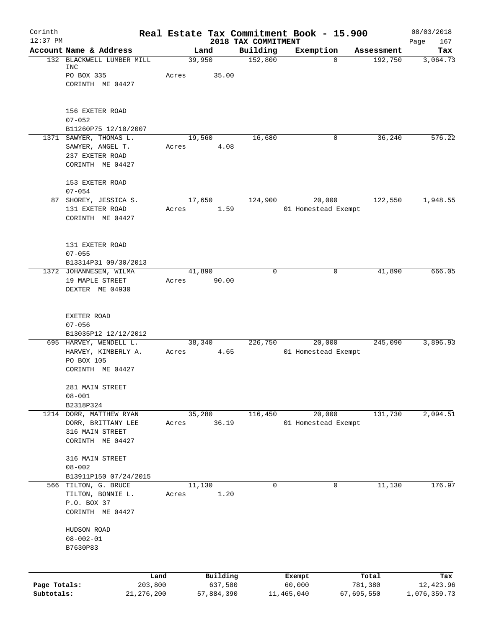| Corinth<br>$12:37$ PM |                                                |        |                     |                                 | Real Estate Tax Commitment Book - 15.900 |            |                  | 08/03/2018         |
|-----------------------|------------------------------------------------|--------|---------------------|---------------------------------|------------------------------------------|------------|------------------|--------------------|
|                       | Account Name & Address                         |        | Land                | 2018 TAX COMMITMENT<br>Building | Exemption                                |            | Assessment       | 167<br>Page<br>Tax |
|                       | 132 BLACKWELL LUMBER MILL<br>INC<br>PO BOX 335 | Acres  | 39,950<br>35.00     | 152,800                         |                                          | $\Omega$   | 192,750          | 3,064.73           |
|                       | CORINTH ME 04427                               |        |                     |                                 |                                          |            |                  |                    |
|                       | 156 EXETER ROAD<br>$07 - 052$                  |        |                     |                                 |                                          |            |                  |                    |
|                       | B11260P75 12/10/2007                           |        |                     |                                 |                                          |            |                  |                    |
|                       | 1371 SAWYER, THOMAS L.                         |        | 19,560              | 16,680                          |                                          | 0          | 36, 240          | 576.22             |
|                       | SAWYER, ANGEL T.<br>237 EXETER ROAD            | Acres  | 4.08                |                                 |                                          |            |                  |                    |
|                       | CORINTH ME 04427                               |        |                     |                                 |                                          |            |                  |                    |
|                       | 153 EXETER ROAD<br>$07 - 054$                  |        |                     |                                 |                                          |            |                  |                    |
|                       | 87 SHOREY, JESSICA S.                          |        | 17,650              | 124,900                         | 20,000                                   |            | 122,550          | 1,948.55           |
|                       | 131 EXETER ROAD                                | Acres  | 1.59                |                                 | 01 Homestead Exempt                      |            |                  |                    |
|                       | CORINTH ME 04427                               |        |                     |                                 |                                          |            |                  |                    |
|                       | 131 EXETER ROAD                                |        |                     |                                 |                                          |            |                  |                    |
|                       | $07 - 055$                                     |        |                     |                                 |                                          |            |                  |                    |
|                       | B13314P31 09/30/2013<br>1372 JOHANNESEN, WILMA |        | 41,890              | $\Omega$                        |                                          | 0          | 41,890           | 666.05             |
|                       | 19 MAPLE STREET                                | Acres  | 90.00               |                                 |                                          |            |                  |                    |
|                       | DEXTER ME 04930                                |        |                     |                                 |                                          |            |                  |                    |
|                       | EXETER ROAD                                    |        |                     |                                 |                                          |            |                  |                    |
|                       | $07 - 056$                                     |        |                     |                                 |                                          |            |                  |                    |
|                       | B13035P12 12/12/2012                           |        |                     |                                 |                                          |            |                  |                    |
|                       | 695 HARVEY, WENDELL L.                         |        | 38,340              | 226,750                         | 20,000                                   |            | 245,090          | 3,896.93           |
|                       | HARVEY, KIMBERLY A.<br>PO BOX 105              | Acres  | 4.65                |                                 | 01 Homestead Exempt                      |            |                  |                    |
|                       | CORINTH ME 04427                               |        |                     |                                 |                                          |            |                  |                    |
|                       | 281 MAIN STREET                                |        |                     |                                 |                                          |            |                  |                    |
|                       | $08 - 001$                                     |        |                     |                                 |                                          |            |                  |                    |
|                       | B2318P324                                      |        |                     |                                 |                                          |            |                  |                    |
|                       | 1214 DORR, MATTHEW RYAN<br>DORR, BRITTANY LEE  | Acres  | 35,280<br>36.19     | 116,450                         | 20,000<br>01 Homestead Exempt            |            | 131,730          | 2,094.51           |
|                       | 316 MAIN STREET                                |        |                     |                                 |                                          |            |                  |                    |
|                       | CORINTH ME 04427                               |        |                     |                                 |                                          |            |                  |                    |
|                       | 316 MAIN STREET                                |        |                     |                                 |                                          |            |                  |                    |
|                       | $08 - 002$<br>B13911P150 07/24/2015            |        |                     |                                 |                                          |            |                  |                    |
|                       | 566 TILTON, G. BRUCE                           | 11,130 |                     | $\mathbf 0$                     |                                          | 0          | 11,130           | 176.97             |
|                       | TILTON, BONNIE L.                              | Acres  | 1.20                |                                 |                                          |            |                  |                    |
|                       | P.O. BOX 37                                    |        |                     |                                 |                                          |            |                  |                    |
|                       | CORINTH ME 04427                               |        |                     |                                 |                                          |            |                  |                    |
|                       | HUDSON ROAD                                    |        |                     |                                 |                                          |            |                  |                    |
|                       | $08 - 002 - 01$                                |        |                     |                                 |                                          |            |                  |                    |
|                       | B7630P83                                       |        |                     |                                 |                                          |            |                  |                    |
|                       |                                                |        |                     |                                 |                                          |            |                  |                    |
| Page Totals:          | Land<br>203,800                                |        | Building<br>637,580 |                                 | Exempt<br>60,000                         |            | Total<br>781,380 | Tax<br>12,423.96   |
| Subtotals:            | 21, 276, 200                                   |        | 57,884,390          |                                 | 11,465,040                               | 67,695,550 |                  | 1,076,359.73       |
|                       |                                                |        |                     |                                 |                                          |            |                  |                    |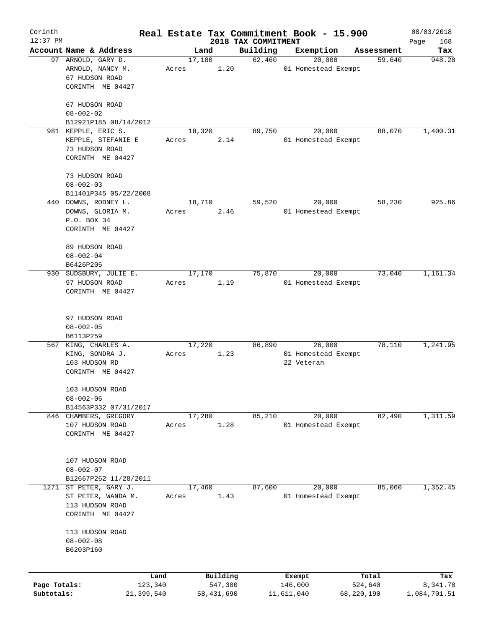| Corinth      |                                   |       |                |                     |                     | Real Estate Tax Commitment Book - 15.900 |                      | 08/03/2018      |
|--------------|-----------------------------------|-------|----------------|---------------------|---------------------|------------------------------------------|----------------------|-----------------|
| $12:37$ PM   | Account Name & Address            |       |                |                     | 2018 TAX COMMITMENT |                                          |                      | Page<br>168     |
|              | 97 ARNOLD, GARY D.                |       | Land<br>17,180 |                     | Building<br>62,460  | Exemption<br>20,000                      | Assessment<br>59,640 | Tax<br>948.28   |
|              | ARNOLD, NANCY M.                  | Acres |                | 1.20                |                     | 01 Homestead Exempt                      |                      |                 |
|              | 67 HUDSON ROAD                    |       |                |                     |                     |                                          |                      |                 |
|              | CORINTH ME 04427                  |       |                |                     |                     |                                          |                      |                 |
|              | 67 HUDSON ROAD                    |       |                |                     |                     |                                          |                      |                 |
|              | $08 - 002 - 02$                   |       |                |                     |                     |                                          |                      |                 |
|              | B12921P185 08/14/2012             |       |                |                     |                     |                                          |                      |                 |
|              | 981 KEPPLE, ERIC S.               |       | 18,320         |                     | 89,750              | 20,000                                   | 88,070               | 1,400.31        |
|              | KEPPLE, STEFANIE E                | Acres |                | 2.14                |                     | 01 Homestead Exempt                      |                      |                 |
|              | 73 HUDSON ROAD                    |       |                |                     |                     |                                          |                      |                 |
|              | CORINTH ME 04427                  |       |                |                     |                     |                                          |                      |                 |
|              | 73 HUDSON ROAD                    |       |                |                     |                     |                                          |                      |                 |
|              | $08 - 002 - 03$                   |       |                |                     |                     |                                          |                      |                 |
|              |                                   |       |                |                     |                     |                                          |                      |                 |
|              | B11401P345 05/22/2008             |       |                |                     |                     |                                          |                      | 925.86          |
|              | 440 DOWNS, RODNEY L.              |       | 18,710         |                     | 59,520              | 20,000                                   | 58,230               |                 |
|              | DOWNS, GLORIA M.                  | Acres |                | 2.46                |                     | 01 Homestead Exempt                      |                      |                 |
|              | P.O. BOX 34                       |       |                |                     |                     |                                          |                      |                 |
|              | CORINTH ME 04427                  |       |                |                     |                     |                                          |                      |                 |
|              | 89 HUDSON ROAD                    |       |                |                     |                     |                                          |                      |                 |
|              | $08 - 002 - 04$                   |       |                |                     |                     |                                          |                      |                 |
|              | B6426P205                         |       |                |                     |                     |                                          |                      |                 |
|              | 930 SUDSBURY, JULIE E.            |       | 17,170         |                     | 75,870              | 20,000                                   | 73,040               | 1,161.34        |
|              | 97 HUDSON ROAD                    | Acres |                | 1.19                |                     | 01 Homestead Exempt                      |                      |                 |
|              | CORINTH ME 04427                  |       |                |                     |                     |                                          |                      |                 |
|              |                                   |       |                |                     |                     |                                          |                      |                 |
|              |                                   |       |                |                     |                     |                                          |                      |                 |
|              | 97 HUDSON ROAD                    |       |                |                     |                     |                                          |                      |                 |
|              | $08 - 002 - 05$                   |       |                |                     |                     |                                          |                      |                 |
|              | B6113P259                         |       |                |                     |                     |                                          |                      |                 |
| 567          | KING, CHARLES A.                  |       | 17,220         |                     | 86,890              | 26,000                                   | 78,110               | 1,241.95        |
|              | KING, SONDRA J.                   | Acres |                | 1.23                |                     | 01 Homestead Exempt                      |                      |                 |
|              | 103 HUDSON RD<br>CORINTH ME 04427 |       |                |                     |                     | 22 Veteran                               |                      |                 |
|              |                                   |       |                |                     |                     |                                          |                      |                 |
|              | 103 HUDSON ROAD                   |       |                |                     |                     |                                          |                      |                 |
|              | $08 - 002 - 06$                   |       |                |                     |                     |                                          |                      |                 |
|              | B14563P332 07/31/2017             |       |                |                     |                     |                                          |                      |                 |
|              | 846 CHAMBERS, GREGORY             |       | 17,280         |                     | 85,210              | 20,000                                   | 82,490               | 1,311.59        |
|              | 107 HUDSON ROAD                   | Acres |                | 1.28                |                     | 01 Homestead Exempt                      |                      |                 |
|              | CORINTH ME 04427                  |       |                |                     |                     |                                          |                      |                 |
|              |                                   |       |                |                     |                     |                                          |                      |                 |
|              | 107 HUDSON ROAD                   |       |                |                     |                     |                                          |                      |                 |
|              | $08 - 002 - 07$                   |       |                |                     |                     |                                          |                      |                 |
|              | B12667P262 11/28/2011             |       |                |                     |                     |                                          |                      |                 |
| 1271         | ST PETER, GARY J.                 |       | 17,460         |                     | 87,600              | 20,000                                   | 85,060               | 1,352.45        |
|              | ST PETER, WANDA M.                | Acres |                | 1.43                |                     | 01 Homestead Exempt                      |                      |                 |
|              | 113 HUDSON ROAD                   |       |                |                     |                     |                                          |                      |                 |
|              | CORINTH ME 04427                  |       |                |                     |                     |                                          |                      |                 |
|              |                                   |       |                |                     |                     |                                          |                      |                 |
|              | 113 HUDSON ROAD                   |       |                |                     |                     |                                          |                      |                 |
|              | $08 - 002 - 08$                   |       |                |                     |                     |                                          |                      |                 |
|              | B6203P160                         |       |                |                     |                     |                                          |                      |                 |
|              |                                   |       |                |                     |                     |                                          |                      |                 |
| Page Totals: | 123,340                           | Land  |                | Building<br>547,300 |                     | Exempt<br>146,000                        | Total<br>524,640     | Tax<br>8,341.78 |
| Subtotals:   | 21,399,540                        |       |                | 58,431,690          |                     | 11,611,040                               | 68,220,190           | 1,084,701.51    |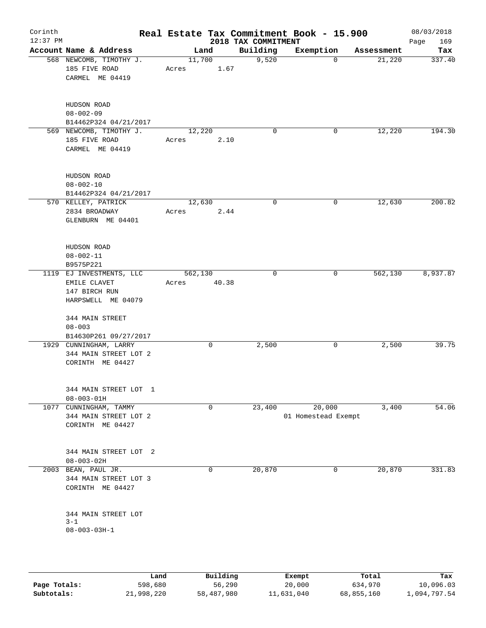| $12:37$ PM |                                                                                 |       |                  | 2018 TAX COMMITMENT | Real Estate Tax Commitment Book - 15.900 |            | 08/03/2018<br>Page<br>169 |
|------------|---------------------------------------------------------------------------------|-------|------------------|---------------------|------------------------------------------|------------|---------------------------|
|            | Account Name & Address                                                          |       | Land             | Building            | Exemption                                | Assessment | Tax                       |
|            | 568 NEWCOMB, TIMOTHY J.<br>185 FIVE ROAD<br>CARMEL ME 04419                     | Acres | 11,700<br>1.67   | 9,520               | $\Omega$                                 | 21,220     | 337.40                    |
|            | HUDSON ROAD<br>$08 - 002 - 09$<br>B14462P324 04/21/2017                         |       |                  |                     |                                          |            |                           |
|            | 569 NEWCOMB, TIMOTHY J.<br>185 FIVE ROAD<br>CARMEL ME 04419                     | Acres | 12,220<br>2.10   | $\mathbf 0$         | 0                                        | 12,220     | 194.30                    |
|            | HUDSON ROAD<br>$08 - 002 - 10$<br>B14462P324 04/21/2017                         |       |                  |                     |                                          |            |                           |
|            | 570 KELLEY, PATRICK<br>2834 BROADWAY<br>GLENBURN ME 04401                       | Acres | 12,630<br>2.44   | $\mathbf 0$         | 0                                        | 12,630     | 200.82                    |
|            | HUDSON ROAD<br>$08 - 002 - 11$<br>B9575P221                                     |       |                  |                     |                                          |            |                           |
|            | 1119 EJ INVESTMENTS, LLC<br>EMILE CLAVET<br>147 BIRCH RUN<br>HARPSWELL ME 04079 | Acres | 562,130<br>40.38 | $\mathbf 0$         | 0                                        | 562,130    | 8,937.87                  |
|            | 344 MAIN STREET<br>$08 - 003$<br>B14630P261 09/27/2017                          |       |                  |                     |                                          |            |                           |
|            | 1929 CUNNINGHAM, LARRY<br>344 MAIN STREET LOT 2<br>CORINTH ME 04427             |       | 0                | 2,500               | 0                                        | 2,500      | 39.75                     |
|            | 344 MAIN STREET LOT 1<br>$08 - 003 - 01H$                                       |       |                  |                     |                                          |            |                           |
| 1077       | CUNNINGHAM, TAMMY<br>344 MAIN STREET LOT 2<br>CORINTH ME 04427                  |       | 0                | 23,400              | 20,000<br>01 Homestead Exempt            | 3,400      | 54.06                     |
|            | 344 MAIN STREET LOT 2<br>$08 - 003 - 02H$                                       |       |                  |                     |                                          |            |                           |
| 2003       | BEAN, PAUL JR.<br>344 MAIN STREET LOT 3<br>CORINTH ME 04427                     |       | 0                | 20,870              | 0                                        | 20,870     | 331.83                    |
|            | 344 MAIN STREET LOT                                                             |       |                  |                     |                                          |            |                           |

|              | Land       | Building   | Exempt     | Total      | Tax          |
|--------------|------------|------------|------------|------------|--------------|
| Page Totals: | 598,680    | 56,290     | 20,000     | 634,970    | 10,096.03    |
| Subtotals:   | 21,998,220 | 58,487,980 | 11,631,040 | 68,855,160 | l,094,797.54 |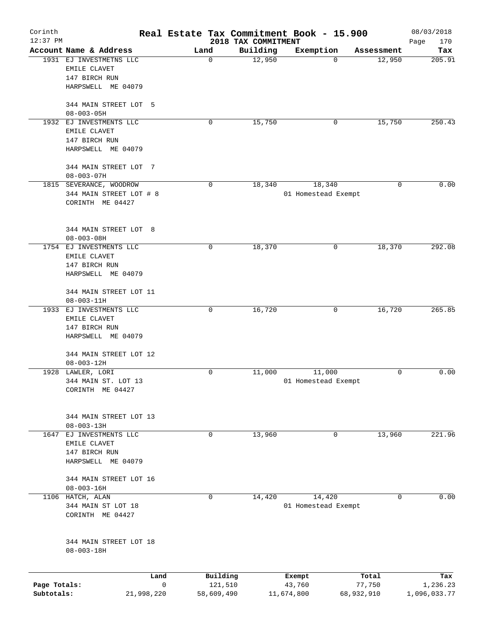| Corinth      |                                            |                |                     | Real Estate Tax Commitment Book - 15.900 |                     |            |                      | 08/03/2018    |
|--------------|--------------------------------------------|----------------|---------------------|------------------------------------------|---------------------|------------|----------------------|---------------|
| $12:37$ PM   | Account Name & Address                     |                |                     | 2018 TAX COMMITMENT                      |                     |            |                      | 170<br>Page   |
|              | 1931 EJ INVESTMETNS LLC                    |                | Land<br>$\mathbf 0$ | Building<br>12,950                       | Exemption           | 0          | Assessment<br>12,950 | Tax<br>205.91 |
|              | EMILE CLAVET                               |                |                     |                                          |                     |            |                      |               |
|              | 147 BIRCH RUN                              |                |                     |                                          |                     |            |                      |               |
|              | HARPSWELL ME 04079                         |                |                     |                                          |                     |            |                      |               |
|              |                                            |                |                     |                                          |                     |            |                      |               |
|              | 344 MAIN STREET LOT 5                      |                |                     |                                          |                     |            |                      |               |
|              | $08 - 003 - 05H$                           |                |                     |                                          |                     |            |                      |               |
|              | 1932 EJ INVESTMENTS LLC<br>EMILE CLAVET    |                | 0                   | 15,750                                   |                     | 0          | 15,750               | 250.43        |
|              | 147 BIRCH RUN                              |                |                     |                                          |                     |            |                      |               |
|              | HARPSWELL ME 04079                         |                |                     |                                          |                     |            |                      |               |
|              |                                            |                |                     |                                          |                     |            |                      |               |
|              | 344 MAIN STREET LOT 7                      |                |                     |                                          |                     |            |                      |               |
|              | $08 - 003 - 07H$                           |                |                     |                                          |                     |            |                      |               |
|              | 1815 SEVERANCE, WOODROW                    |                | $\mathbf 0$         | 18,340                                   | 18,340              |            | $\Omega$             | 0.00          |
|              | 344 MAIN STREET LOT # 8                    |                |                     |                                          | 01 Homestead Exempt |            |                      |               |
|              | CORINTH ME 04427                           |                |                     |                                          |                     |            |                      |               |
|              |                                            |                |                     |                                          |                     |            |                      |               |
|              | 344 MAIN STREET LOT 8                      |                |                     |                                          |                     |            |                      |               |
|              | $08 - 003 - 08H$                           |                |                     |                                          |                     |            |                      |               |
|              | 1754 EJ INVESTMENTS LLC                    |                | 0                   | 18,370                                   |                     | 0          | 18,370               | 292.08        |
|              | EMILE CLAVET                               |                |                     |                                          |                     |            |                      |               |
|              | 147 BIRCH RUN                              |                |                     |                                          |                     |            |                      |               |
|              | HARPSWELL ME 04079                         |                |                     |                                          |                     |            |                      |               |
|              |                                            |                |                     |                                          |                     |            |                      |               |
|              | 344 MAIN STREET LOT 11<br>$08 - 003 - 11H$ |                |                     |                                          |                     |            |                      |               |
|              | 1933 EJ INVESTMENTS LLC                    |                | 0                   | 16,720                                   |                     | 0          | 16,720               | 265.85        |
|              | EMILE CLAVET                               |                |                     |                                          |                     |            |                      |               |
|              | 147 BIRCH RUN                              |                |                     |                                          |                     |            |                      |               |
|              | HARPSWELL ME 04079                         |                |                     |                                          |                     |            |                      |               |
|              |                                            |                |                     |                                          |                     |            |                      |               |
|              | 344 MAIN STREET LOT 12                     |                |                     |                                          |                     |            |                      |               |
|              | $08 - 003 - 12H$                           |                |                     |                                          |                     |            |                      |               |
|              | 1928 LAWLER, LORI                          |                | 0                   | 11,000                                   | 11,000              |            | 0                    | 0.00          |
|              | 344 MAIN ST. LOT 13<br>CORINTH ME 04427    |                |                     |                                          | 01 Homestead Exempt |            |                      |               |
|              |                                            |                |                     |                                          |                     |            |                      |               |
|              |                                            |                |                     |                                          |                     |            |                      |               |
|              | 344 MAIN STREET LOT 13                     |                |                     |                                          |                     |            |                      |               |
|              | $08 - 003 - 13H$                           |                |                     |                                          |                     |            |                      |               |
| 1647         | EJ INVESTMENTS LLC                         |                | 0                   | 13,960                                   |                     | 0          | 13,960               | 221.96        |
|              | EMILE CLAVET                               |                |                     |                                          |                     |            |                      |               |
|              | 147 BIRCH RUN                              |                |                     |                                          |                     |            |                      |               |
|              | HARPSWELL ME 04079                         |                |                     |                                          |                     |            |                      |               |
|              | 344 MAIN STREET LOT 16                     |                |                     |                                          |                     |            |                      |               |
|              | $08 - 003 - 16H$                           |                |                     |                                          |                     |            |                      |               |
|              | 1106 HATCH, ALAN                           |                | $\mathbf 0$         | 14,420                                   | 14,420              |            | $\mathbf 0$          | 0.00          |
|              | 344 MAIN ST LOT 18                         |                |                     |                                          | 01 Homestead Exempt |            |                      |               |
|              | CORINTH ME 04427                           |                |                     |                                          |                     |            |                      |               |
|              |                                            |                |                     |                                          |                     |            |                      |               |
|              | 344 MAIN STREET LOT 18                     |                |                     |                                          |                     |            |                      |               |
|              | $08 - 003 - 18H$                           |                |                     |                                          |                     |            |                      |               |
|              |                                            |                |                     |                                          |                     |            |                      |               |
|              |                                            | Land           |                     | Building                                 | Exempt              |            | Total                | Tax           |
| Page Totals: |                                            | $\overline{0}$ |                     | 121,510                                  | 43,760              |            | 77,750               | 1,236.23      |
| Subtotals:   |                                            | 21,998,220     |                     | 58,609,490                               | 11,674,800          | 68,932,910 |                      | 1,096,033.77  |
|              |                                            |                |                     |                                          |                     |            |                      |               |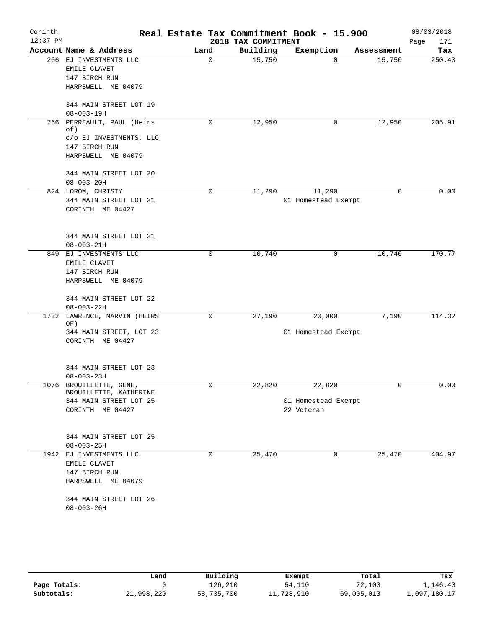| Corinth    |                                                   | Real Estate Tax Commitment Book - 15.900 |                     |                     |             | 08/03/2018  |
|------------|---------------------------------------------------|------------------------------------------|---------------------|---------------------|-------------|-------------|
| $12:37$ PM |                                                   |                                          | 2018 TAX COMMITMENT |                     |             | Page<br>171 |
|            | Account Name & Address                            | Land                                     | Building            | Exemption           | Assessment  | Tax         |
|            | 206 EJ INVESTMENTS LLC                            | 0                                        | 15,750              | $\Omega$            | 15,750      | 250.43      |
|            | EMILE CLAVET<br>147 BIRCH RUN                     |                                          |                     |                     |             |             |
|            | HARPSWELL ME 04079                                |                                          |                     |                     |             |             |
|            |                                                   |                                          |                     |                     |             |             |
|            | 344 MAIN STREET LOT 19                            |                                          |                     |                     |             |             |
|            | $08 - 003 - 19H$                                  |                                          |                     |                     |             |             |
|            | 766 PERREAULT, PAUL (Heirs                        | 0                                        | 12,950              | 0                   | 12,950      | 205.91      |
|            | of)                                               |                                          |                     |                     |             |             |
|            | c/o EJ INVESTMENTS, LLC                           |                                          |                     |                     |             |             |
|            | 147 BIRCH RUN                                     |                                          |                     |                     |             |             |
|            | HARPSWELL ME 04079                                |                                          |                     |                     |             |             |
|            | 344 MAIN STREET LOT 20                            |                                          |                     |                     |             |             |
|            | $08 - 003 - 20H$                                  |                                          |                     |                     |             |             |
|            | 824 LOROM, CHRISTY                                | $\mathbf 0$                              | 11,290              | 11,290              | $\mathbf 0$ | 0.00        |
|            | 344 MAIN STREET LOT 21                            |                                          |                     | 01 Homestead Exempt |             |             |
|            | CORINTH ME 04427                                  |                                          |                     |                     |             |             |
|            |                                                   |                                          |                     |                     |             |             |
|            |                                                   |                                          |                     |                     |             |             |
|            | 344 MAIN STREET LOT 21                            |                                          |                     |                     |             |             |
|            | $08 - 003 - 21H$                                  |                                          |                     |                     |             |             |
| 849        | EJ INVESTMENTS LLC                                | 0                                        | 10,740              | 0                   | 10,740      | 170.77      |
|            | EMILE CLAVET                                      |                                          |                     |                     |             |             |
|            | 147 BIRCH RUN                                     |                                          |                     |                     |             |             |
|            | HARPSWELL ME 04079                                |                                          |                     |                     |             |             |
|            |                                                   |                                          |                     |                     |             |             |
|            | 344 MAIN STREET LOT 22<br>$08 - 003 - 22H$        |                                          |                     |                     |             |             |
| 1732       | LAWRENCE, MARVIN (HEIRS                           | $\mathbf 0$                              | 27,190              | 20,000              | 7,190       | 114.32      |
|            | OF)                                               |                                          |                     |                     |             |             |
|            | 344 MAIN STREET, LOT 23                           |                                          |                     | 01 Homestead Exempt |             |             |
|            | CORINTH ME 04427                                  |                                          |                     |                     |             |             |
|            |                                                   |                                          |                     |                     |             |             |
|            |                                                   |                                          |                     |                     |             |             |
|            | 344 MAIN STREET LOT 23                            |                                          |                     |                     |             |             |
|            | $08 - 003 - 23H$                                  |                                          |                     |                     |             |             |
|            | 1076 BROUILLETTE, GENE,<br>BROUILLETTE, KATHERINE | 0                                        | 22,820              | 22,820              | 0           | 0.00        |
|            | 344 MAIN STREET LOT 25                            |                                          |                     | 01 Homestead Exempt |             |             |
|            | CORINTH ME 04427                                  |                                          |                     | 22 Veteran          |             |             |
|            |                                                   |                                          |                     |                     |             |             |
|            |                                                   |                                          |                     |                     |             |             |
|            | 344 MAIN STREET LOT 25                            |                                          |                     |                     |             |             |
|            | $08 - 003 - 25H$                                  |                                          |                     |                     |             |             |
|            | 1942 EJ INVESTMENTS LLC                           | $\mathbf 0$                              | 25,470              | $\mathbf 0$         | 25,470      | 404.97      |
|            | EMILE CLAVET                                      |                                          |                     |                     |             |             |
|            | 147 BIRCH RUN                                     |                                          |                     |                     |             |             |
|            | HARPSWELL ME 04079                                |                                          |                     |                     |             |             |
|            | 344 MAIN STREET LOT 26                            |                                          |                     |                     |             |             |
|            | $08 - 003 - 26H$                                  |                                          |                     |                     |             |             |
|            |                                                   |                                          |                     |                     |             |             |
|            |                                                   |                                          |                     |                     |             |             |

|              | Land       | Building   | Exempt     | Total      | Tax          |
|--------------|------------|------------|------------|------------|--------------|
| Page Totals: |            | 126,210    | 54,110     | 72,100     | 1,146.40     |
| Subtotals:   | 21,998,220 | 58,735,700 | 11,728,910 | 69,005,010 | 1,097,180.17 |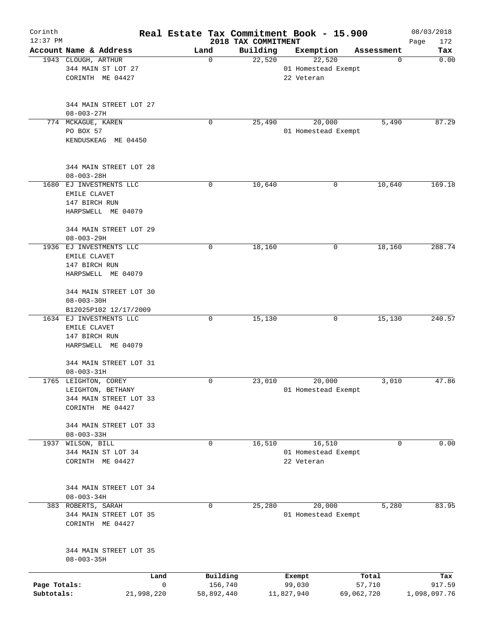| Corinth<br>$12:37$ PM |                                            |      |                     | Real Estate Tax Commitment Book - 15.900<br>2018 TAX COMMITMENT |                     |                 | 08/03/2018<br>172<br>Page |
|-----------------------|--------------------------------------------|------|---------------------|-----------------------------------------------------------------|---------------------|-----------------|---------------------------|
|                       | Account Name & Address                     | Land |                     | Building                                                        | Exemption           | Assessment      | Tax                       |
|                       | 1943 CLOUGH, ARTHUR                        |      | 0                   | 22,520                                                          | 22,520              | 0               | 0.00                      |
|                       | 344 MAIN ST LOT 27                         |      |                     |                                                                 | 01 Homestead Exempt |                 |                           |
|                       | CORINTH ME 04427                           |      |                     |                                                                 | 22 Veteran          |                 |                           |
|                       |                                            |      |                     |                                                                 |                     |                 |                           |
|                       | 344 MAIN STREET LOT 27<br>$08 - 003 - 27H$ |      |                     |                                                                 |                     |                 |                           |
|                       | 774 MCKAGUE, KAREN                         |      | 0                   | 25,490                                                          | 20,000              | 5,490           | 87.29                     |
|                       | PO BOX 57<br>KENDUSKEAG ME 04450           |      |                     |                                                                 | 01 Homestead Exempt |                 |                           |
|                       | 344 MAIN STREET LOT 28<br>$08 - 003 - 28H$ |      |                     |                                                                 |                     |                 |                           |
|                       | 1680 EJ INVESTMENTS LLC                    |      | 0                   | 10,640                                                          | 0                   | 10,640          | 169.18                    |
|                       | EMILE CLAVET                               |      |                     |                                                                 |                     |                 |                           |
|                       | 147 BIRCH RUN                              |      |                     |                                                                 |                     |                 |                           |
|                       | HARPSWELL ME 04079                         |      |                     |                                                                 |                     |                 |                           |
|                       | 344 MAIN STREET LOT 29                     |      |                     |                                                                 |                     |                 |                           |
|                       | $08 - 003 - 29H$                           |      |                     |                                                                 |                     |                 |                           |
|                       | 1936 EJ INVESTMENTS LLC                    |      | 0                   | 18,160                                                          | 0                   | 18,160          | 288.74                    |
|                       | EMILE CLAVET                               |      |                     |                                                                 |                     |                 |                           |
|                       | 147 BIRCH RUN                              |      |                     |                                                                 |                     |                 |                           |
|                       | HARPSWELL ME 04079                         |      |                     |                                                                 |                     |                 |                           |
|                       | 344 MAIN STREET LOT 30                     |      |                     |                                                                 |                     |                 |                           |
|                       | $08 - 003 - 30H$                           |      |                     |                                                                 |                     |                 |                           |
|                       | B12025P102 12/17/2009                      |      |                     |                                                                 |                     |                 |                           |
|                       | 1634 EJ INVESTMENTS LLC                    |      | 0                   | 15,130                                                          | 0                   | 15,130          | 240.57                    |
|                       | EMILE CLAVET                               |      |                     |                                                                 |                     |                 |                           |
|                       | 147 BIRCH RUN<br>HARPSWELL ME 04079        |      |                     |                                                                 |                     |                 |                           |
|                       |                                            |      |                     |                                                                 |                     |                 |                           |
|                       | 344 MAIN STREET LOT 31                     |      |                     |                                                                 |                     |                 |                           |
|                       | $08 - 003 - 31H$                           |      |                     |                                                                 |                     |                 |                           |
|                       | 1765 LEIGHTON, COREY                       |      | 0                   | 23,010                                                          | 20,000              | 3,010           | 47.86                     |
|                       | LEIGHTON, BETHANY                          |      |                     |                                                                 | 01 Homestead Exempt |                 |                           |
|                       | 344 MAIN STREET LOT 33                     |      |                     |                                                                 |                     |                 |                           |
|                       | CORINTH ME 04427                           |      |                     |                                                                 |                     |                 |                           |
|                       | 344 MAIN STREET LOT 33                     |      |                     |                                                                 |                     |                 |                           |
|                       | $08 - 003 - 33H$                           |      |                     |                                                                 |                     |                 |                           |
| 1937                  | WILSON, BILL                               |      | 0                   | 16,510                                                          | 16,510              | 0               | 0.00                      |
|                       | 344 MAIN ST LOT 34                         |      |                     |                                                                 | 01 Homestead Exempt |                 |                           |
|                       | CORINTH ME 04427                           |      |                     |                                                                 | 22 Veteran          |                 |                           |
|                       | 344 MAIN STREET LOT 34                     |      |                     |                                                                 |                     |                 |                           |
|                       | $08 - 003 - 34H$                           |      |                     |                                                                 |                     |                 |                           |
|                       | 383 ROBERTS, SARAH                         |      | 0                   | 25,280                                                          | 20,000              | 5,280           | 83.95                     |
|                       | 344 MAIN STREET LOT 35<br>CORINTH ME 04427 |      |                     |                                                                 | 01 Homestead Exempt |                 |                           |
|                       | 344 MAIN STREET LOT 35<br>$08 - 003 - 35H$ |      |                     |                                                                 |                     |                 |                           |
|                       |                                            |      |                     |                                                                 |                     |                 |                           |
| Page Totals:          | Land                                       | 0    | Building<br>156,740 |                                                                 | Exempt<br>99,030    | Total<br>57,710 | Tax<br>917.59             |
| Subtotals:            | 21,998,220                                 |      | 58,892,440          |                                                                 | 11,827,940          | 69,062,720      | 1,098,097.76              |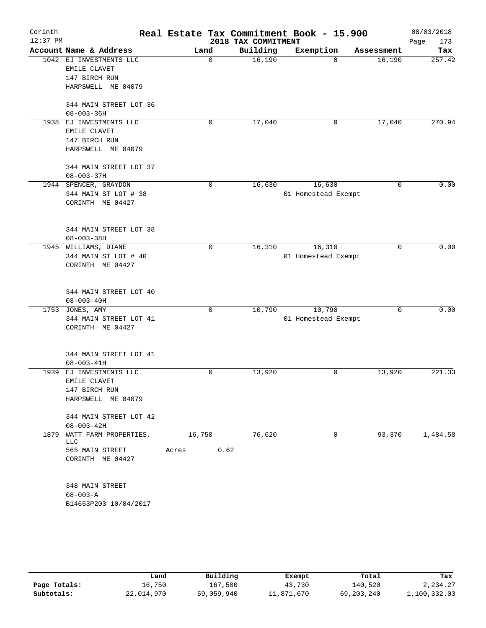| Corinth<br>$12:37$ PM |                                                                                |                         | 2018 TAX COMMITMENT | Real Estate Tax Commitment Book - 15.900 |             | 08/03/2018<br>Page<br>173 |
|-----------------------|--------------------------------------------------------------------------------|-------------------------|---------------------|------------------------------------------|-------------|---------------------------|
|                       | Account Name & Address                                                         | Land                    | Building            | Exemption                                | Assessment  | Tax                       |
| 1042                  | EJ INVESTMENTS LLC<br>EMILE CLAVET<br>147 BIRCH RUN<br>HARPSWELL ME 04079      | $\mathbf 0$             | 16,190              | $\Omega$                                 | 16,190      | 257.42                    |
|                       | 344 MAIN STREET LOT 36<br>$08 - 003 - 36H$                                     |                         |                     |                                          |             |                           |
|                       | 1938 EJ INVESTMENTS LLC<br>EMILE CLAVET<br>147 BIRCH RUN<br>HARPSWELL ME 04079 | 0                       | 17,040              | 0                                        | 17,040      | 270.94                    |
|                       | 344 MAIN STREET LOT 37<br>$08 - 003 - 37H$                                     |                         |                     |                                          |             |                           |
|                       | 1944 SPENCER, GRAYDON<br>344 MAIN ST LOT # 38<br>CORINTH ME 04427              | 0                       | 16,630              | 16,630<br>01 Homestead Exempt            | $\Omega$    | 0.00                      |
|                       | 344 MAIN STREET LOT 38<br>$08 - 003 - 38H$                                     |                         |                     |                                          |             |                           |
|                       | 1945 WILLIAMS, DIANE<br>344 MAIN ST LOT # 40<br>CORINTH ME 04427               | 0                       | 16,310              | 16,310<br>01 Homestead Exempt            | $\mathbf 0$ | 0.00                      |
|                       | 344 MAIN STREET LOT 40<br>$08 - 003 - 40H$                                     |                         |                     |                                          |             |                           |
|                       | 1753 JONES, AMY<br>344 MAIN STREET LOT 41<br>CORINTH ME 04427                  | $\mathbf 0$             | 10,790              | 10,790<br>01 Homestead Exempt            | $\mathbf 0$ | 0.00                      |
|                       | 344 MAIN STREET LOT 41<br>$08 - 003 - 41H$                                     |                         |                     |                                          |             |                           |
| 1939                  | EJ INVESTMENTS LLC<br>EMILE CLAVET<br>147 BIRCH RUN<br>HARPSWELL ME 04079      | 0                       | 13,920              | 0                                        | 13,920      | 221.33                    |
|                       | 344 MAIN STREET LOT 42<br>$08 - 003 - 42H$                                     |                         |                     |                                          |             |                           |
|                       | 1879 WATT FARM PROPERTIES,<br>LLC.<br>565 MAIN STREET<br>CORINTH ME 04427      | 16,750<br>0.62<br>Acres | 76,620              | 0                                        | 93,370      | 1,484.58                  |
|                       | 348 MAIN STREET<br>$08 - 003 - A$<br>B14653P203 10/04/2017                     |                         |                     |                                          |             |                           |
|                       |                                                                                |                         |                     |                                          |             |                           |

|              | Land       | Building   | Exempt     | Total      | Tax          |
|--------------|------------|------------|------------|------------|--------------|
| Page Totals: | 16,750     | 167,500    | 43,730     | 140,520    | 2,234.27     |
| Subtotals:   | 22,014,970 | 59,059,940 | 11,871,670 | 69,203,240 | 1,100,332.03 |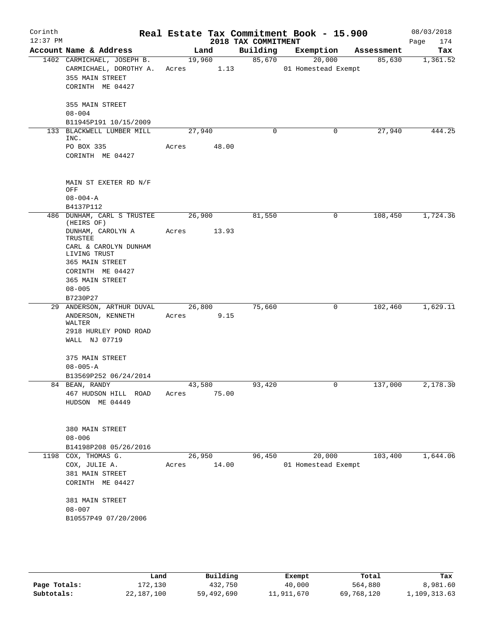| Corinth<br>$12:37$ PM |                                                                                                    |                 |                | 2018 TAX COMMITMENT | Real Estate Tax Commitment Book - 15.900 |            | 08/03/2018<br>174<br>Page |
|-----------------------|----------------------------------------------------------------------------------------------------|-----------------|----------------|---------------------|------------------------------------------|------------|---------------------------|
|                       | Account Name & Address                                                                             |                 | Land           | Building            | Exemption                                | Assessment | Tax                       |
|                       | 1402 CARMICHAEL, JOSEPH B.<br>CARMICHAEL, DOROTHY A.<br>355 MAIN STREET<br>CORINTH ME 04427        | Acres           | 19,960<br>1.13 | 85,670              | 20,000<br>01 Homestead Exempt            | 85,630     | 1,361.52                  |
|                       | 355 MAIN STREET<br>$08 - 004$<br>B11945P191 10/15/2009                                             |                 |                |                     |                                          |            |                           |
|                       | 133 BLACKWELL LUMBER MILL<br>INC.<br>PO BOX 335<br>CORINTH ME 04427                                | 27,940<br>Acres | 48.00          | $\mathbf 0$         | 0                                        | 27,940     | 444.25                    |
|                       | MAIN ST EXETER RD N/F<br>OFF<br>$08 - 004 - A$<br>B4137P112                                        |                 |                |                     |                                          |            |                           |
|                       | 486 DUNHAM, CARL S TRUSTEE<br>(HEIRS OF)<br>DUNHAM, CAROLYN A                                      | 26,900<br>Acres | 13.93          | 81,550              | 0                                        | 108,450    | 1,724.36                  |
|                       | TRUSTEE<br>CARL & CAROLYN DUNHAM<br>LIVING TRUST                                                   |                 |                |                     |                                          |            |                           |
|                       | 365 MAIN STREET<br>CORINTH ME 04427<br>365 MAIN STREET                                             |                 |                |                     |                                          |            |                           |
|                       | $08 - 005$<br>B7230P27                                                                             |                 |                |                     |                                          |            |                           |
|                       | 29 ANDERSON, ARTHUR DUVAL<br>ANDERSON, KENNETH<br>WALTER<br>2918 HURLEY POND ROAD<br>WALL NJ 07719 | 26,800<br>Acres | 9.15           | 75,660              | 0                                        | 102,460    | 1,629.11                  |
|                       | 375 MAIN STREET<br>$08 - 005 - A$<br>B13569P252 06/24/2014                                         |                 |                |                     |                                          |            |                           |
|                       | 84 BEAN, RANDY<br>467 HUDSON HILL ROAD<br>HUDSON ME 04449                                          | 43,580<br>Acres | 75.00          | 93,420              | 0                                        | 137,000    | 2,178.30                  |
|                       | 380 MAIN STREET<br>$08 - 006$<br>B14198P208 05/26/2016                                             |                 |                |                     |                                          |            |                           |
|                       | 1198 COX, THOMAS G.<br>COX, JULIE A.<br>381 MAIN STREET<br>CORINTH ME 04427                        | Acres 14.00     | 26,950         | 96,450              | 20,000<br>01 Homestead Exempt            | 103,400    | 1,644.06                  |
|                       | 381 MAIN STREET<br>$08 - 007$<br>B10557P49 07/20/2006                                              |                 |                |                     |                                          |            |                           |
|                       |                                                                                                    |                 |                |                     |                                          |            |                           |

|              | Land       | Building   | Exempt     | Total      | Tax          |
|--------------|------------|------------|------------|------------|--------------|
| Page Totals: | 172,130    | 432,750    | 40,000     | 564,880    | 8,981.60     |
| Subtotals:   | 22,187,100 | 59,492,690 | 11,911,670 | 69,768,120 | 1,109,313.63 |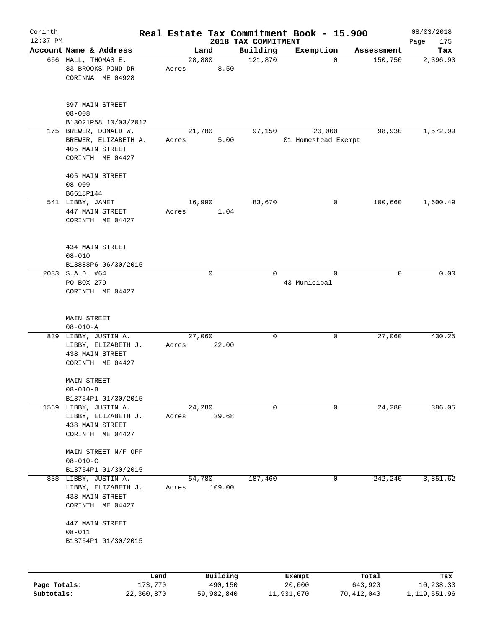| Corinth      |                                                                                      |                 |                 |                     |                                 |          | Real Estate Tax Commitment Book - 15.900 |                  | 08/03/2018       |
|--------------|--------------------------------------------------------------------------------------|-----------------|-----------------|---------------------|---------------------------------|----------|------------------------------------------|------------------|------------------|
| $12:37$ PM   | Account Name & Address                                                               |                 |                 | Land                | 2018 TAX COMMITMENT<br>Building |          |                                          | Assessment       | Page<br>175      |
|              | 666 HALL, THOMAS E.<br>83 BROOKS POND DR                                             |                 | 28,880<br>Acres | 8.50                | 121,870                         |          | Exemption<br>$\mathbf 0$                 | 150,750          | Tax<br>2,396.93  |
|              | CORINNA ME 04928                                                                     |                 |                 |                     |                                 |          |                                          |                  |                  |
|              | 397 MAIN STREET<br>$08 - 008$                                                        |                 |                 |                     |                                 |          |                                          |                  |                  |
|              | B13021P58 10/03/2012                                                                 |                 |                 |                     |                                 |          |                                          |                  |                  |
|              | 175 BREWER, DONALD W.<br>BREWER, ELIZABETH A.<br>405 MAIN STREET<br>CORINTH ME 04427 |                 | Acres           | 21,780<br>5.00      |                                 | 97,150   | 20,000<br>01 Homestead Exempt            | 98,930           | 1,572.99         |
|              | 405 MAIN STREET                                                                      |                 |                 |                     |                                 |          |                                          |                  |                  |
|              | $08 - 009$<br>B6618P144                                                              |                 |                 |                     |                                 |          |                                          |                  |                  |
|              | 541 LIBBY, JANET                                                                     |                 | 16,990          |                     |                                 | 83,670   | 0                                        | 100,660          | 1,600.49         |
|              | 447 MAIN STREET<br>CORINTH ME 04427                                                  |                 | Acres           | 1.04                |                                 |          |                                          |                  |                  |
|              | 434 MAIN STREET<br>$08 - 010$                                                        |                 |                 |                     |                                 |          |                                          |                  |                  |
|              | B13888P6 06/30/2015                                                                  |                 |                 |                     |                                 |          |                                          |                  |                  |
|              | 2033 S.A.D. #64<br>PO BOX 279                                                        |                 |                 | $\mathbf 0$         |                                 | $\Omega$ | $\Omega$<br>43 Municipal                 | 0                | 0.00             |
|              | CORINTH ME 04427                                                                     |                 |                 |                     |                                 |          |                                          |                  |                  |
|              | <b>MAIN STREET</b>                                                                   |                 |                 |                     |                                 |          |                                          |                  |                  |
|              | $08 - 010 - A$                                                                       |                 | 27,060          |                     |                                 | 0        | 0                                        | 27,060           | 430.25           |
|              | 839 LIBBY, JUSTIN A.<br>LIBBY, ELIZABETH J.<br>438 MAIN STREET<br>CORINTH ME 04427   |                 | Acres           | 22.00               |                                 |          |                                          |                  |                  |
|              | <b>MAIN STREET</b><br>$08 - 010 - B$                                                 |                 |                 |                     |                                 |          |                                          |                  |                  |
|              | B13754P1 01/30/2015                                                                  |                 |                 |                     |                                 |          |                                          |                  |                  |
|              | 1569 LIBBY, JUSTIN A.                                                                |                 | 24,280          |                     |                                 | 0        | 0                                        | 24,280           | 386.05           |
|              | LIBBY, ELIZABETH J.<br>438 MAIN STREET<br>CORINTH ME 04427                           |                 | Acres           | 39.68               |                                 |          |                                          |                  |                  |
|              | MAIN STREET N/F OFF<br>$08 - 010 - C$                                                |                 |                 |                     |                                 |          |                                          |                  |                  |
|              | B13754P1 01/30/2015                                                                  |                 |                 |                     |                                 |          |                                          |                  |                  |
|              | 838 LIBBY, JUSTIN A.<br>LIBBY, ELIZABETH J.<br>438 MAIN STREET                       |                 | 54,780<br>Acres | 109.00              | 187,460                         |          | 0                                        | 242,240          | 3,851.62         |
|              | CORINTH ME 04427                                                                     |                 |                 |                     |                                 |          |                                          |                  |                  |
|              | 447 MAIN STREET<br>$08 - 011$                                                        |                 |                 |                     |                                 |          |                                          |                  |                  |
|              | B13754P1 01/30/2015                                                                  |                 |                 |                     |                                 |          |                                          |                  |                  |
|              |                                                                                      |                 |                 |                     |                                 |          |                                          |                  |                  |
| Page Totals: |                                                                                      | Land<br>173,770 |                 | Building<br>490,150 |                                 |          | Exempt<br>20,000                         | Total<br>643,920 | Tax<br>10,238.33 |
|              |                                                                                      |                 |                 |                     |                                 |          |                                          |                  |                  |

**Subtotals:** 22,360,870 59,982,840 11,931,670 70,412,040 1,119,551.96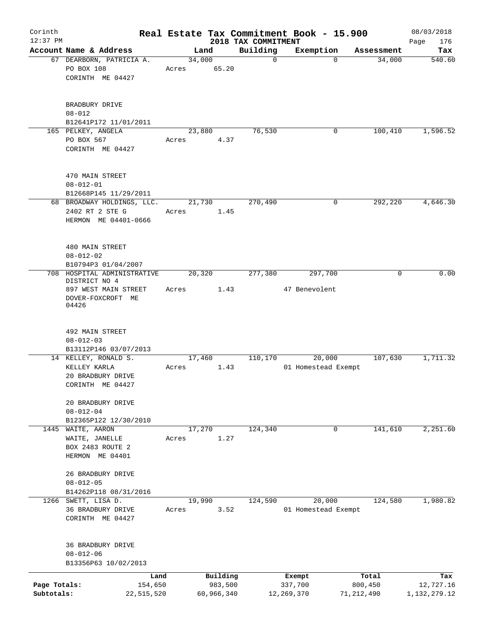| Corinth                    |                                                                       |       |                         |                         | Real Estate Tax Commitment Book - 15.900 |                         | 08/03/2018                |
|----------------------------|-----------------------------------------------------------------------|-------|-------------------------|-------------------------|------------------------------------------|-------------------------|---------------------------|
| $12:37$ PM                 |                                                                       |       |                         | 2018 TAX COMMITMENT     |                                          |                         | 176<br>Page               |
|                            | Account Name & Address<br>67 DEARBORN, PATRICIA A.<br>PO BOX 108      | Acres | Land<br>34,000<br>65.20 | Building<br>$\mathbf 0$ | Exemption<br>$\Omega$                    | Assessment<br>34,000    | Tax<br>540.60             |
|                            | CORINTH ME 04427                                                      |       |                         |                         |                                          |                         |                           |
|                            | BRADBURY DRIVE<br>$08 - 012$                                          |       |                         |                         |                                          |                         |                           |
|                            | B12641P172 11/01/2011                                                 |       |                         |                         |                                          |                         |                           |
|                            | 165 PELKEY, ANGELA<br>PO BOX 567<br>CORINTH ME 04427                  | Acres | 23,880<br>4.37          | 76,530                  | 0                                        | 100,410                 | 1,596.52                  |
|                            | 470 MAIN STREET<br>$08 - 012 - 01$<br>B12668P145 11/29/2011           |       |                         |                         |                                          |                         |                           |
|                            | 68 BROADWAY HOLDINGS, LLC.<br>2402 RT 2 STE G<br>HERMON ME 04401-0666 | Acres | 21,730<br>1.45          | 270,490                 | 0                                        | 292,220                 | 4,646.30                  |
|                            | 480 MAIN STREET<br>$08 - 012 - 02$<br>B10794P3 01/04/2007             |       |                         |                         |                                          |                         |                           |
|                            | 708 HOSPITAL ADMINISTRATIVE<br>DISTRICT NO 4                          |       | 20,320                  | 277,380                 | 297,700                                  | 0                       | 0.00                      |
|                            | 897 WEST MAIN STREET                                                  | Acres | 1.43                    |                         | 47 Benevolent                            |                         |                           |
|                            | DOVER-FOXCROFT ME<br>04426                                            |       |                         |                         |                                          |                         |                           |
|                            | 492 MAIN STREET<br>$08 - 012 - 03$                                    |       |                         |                         |                                          |                         |                           |
|                            | B13112P146 03/07/2013                                                 |       |                         |                         |                                          |                         |                           |
|                            | 14 KELLEY, RONALD S.                                                  |       | 17,460                  | 110,170                 | 20,000                                   | 107,630                 | 1,711.32                  |
|                            | KELLEY KARLA                                                          | Acres | 1.43                    |                         | 01 Homestead Exempt                      |                         |                           |
|                            | 20 BRADBURY DRIVE<br>CORINTH ME 04427                                 |       |                         |                         |                                          |                         |                           |
|                            | 20 BRADBURY DRIVE<br>$08 - 012 - 04$<br>B12365P122 12/30/2010         |       |                         |                         |                                          |                         |                           |
|                            | 1445 WAITE, AARON                                                     |       | 17,270                  | 124,340                 | 0                                        | 141,610                 | 2,251.60                  |
|                            | WAITE, JANELLE                                                        | Acres | 1.27                    |                         |                                          |                         |                           |
|                            | BOX 2483 ROUTE 2<br>HERMON ME 04401                                   |       |                         |                         |                                          |                         |                           |
|                            | 26 BRADBURY DRIVE<br>$08 - 012 - 05$                                  |       |                         |                         |                                          |                         |                           |
|                            | B14262P118 08/31/2016                                                 |       |                         |                         |                                          |                         |                           |
|                            | 1266 SWETT, LISA D.<br>36 BRADBURY DRIVE<br>CORINTH ME 04427          | Acres | 19,990<br>3.52          | 124,590                 | 20,000<br>01 Homestead Exempt            | 124,580                 | 1,980.82                  |
|                            | 36 BRADBURY DRIVE<br>$08 - 012 - 06$                                  |       |                         |                         |                                          |                         |                           |
|                            | B13356P63 10/02/2013                                                  |       |                         |                         |                                          |                         |                           |
|                            | Land                                                                  |       | Building                |                         | Exempt                                   | Total                   | Tax                       |
| Page Totals:<br>Subtotals: | 154,650<br>22,515,520                                                 |       | 983,500<br>60,966,340   |                         | 337,700<br>12,269,370                    | 800,450<br>71, 212, 490 | 12,727.16<br>1,132,279.12 |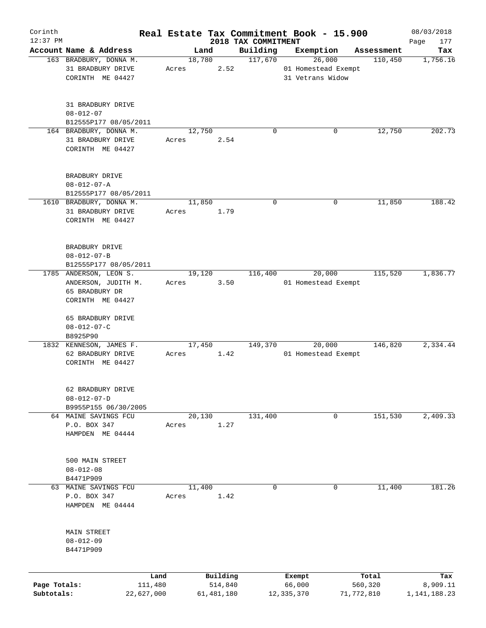| Corinth      |                                                 |       |            |          |                                 | Real Estate Tax Commitment Book - 15.900 |            |            | 08/03/2018         |
|--------------|-------------------------------------------------|-------|------------|----------|---------------------------------|------------------------------------------|------------|------------|--------------------|
| $12:37$ PM   | Account Name & Address                          |       | Land       |          | 2018 TAX COMMITMENT<br>Building | Exemption                                |            | Assessment | 177<br>Page<br>Tax |
|              | 163 BRADBURY, DONNA M.                          |       | 18,780     |          | 117,670                         | 26,000                                   |            | 110,450    | 1,756.16           |
|              | 31 BRADBURY DRIVE                               | Acres |            | 2.52     |                                 | 01 Homestead Exempt                      |            |            |                    |
|              | CORINTH ME 04427                                |       |            |          |                                 | 31 Vetrans Widow                         |            |            |                    |
|              |                                                 |       |            |          |                                 |                                          |            |            |                    |
|              |                                                 |       |            |          |                                 |                                          |            |            |                    |
|              | 31 BRADBURY DRIVE                               |       |            |          |                                 |                                          |            |            |                    |
|              | $08 - 012 - 07$                                 |       |            |          |                                 |                                          |            |            |                    |
|              | B12555P177 08/05/2011<br>164 BRADBURY, DONNA M. |       | 12,750     |          | $\Omega$                        |                                          | 0          | 12,750     | 202.73             |
|              | 31 BRADBURY DRIVE                               | Acres |            | 2.54     |                                 |                                          |            |            |                    |
|              | CORINTH ME 04427                                |       |            |          |                                 |                                          |            |            |                    |
|              |                                                 |       |            |          |                                 |                                          |            |            |                    |
|              |                                                 |       |            |          |                                 |                                          |            |            |                    |
|              | BRADBURY DRIVE                                  |       |            |          |                                 |                                          |            |            |                    |
|              | $08 - 012 - 07 - A$                             |       |            |          |                                 |                                          |            |            |                    |
|              | B12555P177 08/05/2011                           |       |            |          |                                 |                                          |            |            |                    |
|              | 1610 BRADBURY, DONNA M.                         |       | 11,850     |          | $\mathbf 0$                     |                                          | 0          | 11,850     | 188.42             |
|              | 31 BRADBURY DRIVE                               | Acres |            | 1.79     |                                 |                                          |            |            |                    |
|              | CORINTH ME 04427                                |       |            |          |                                 |                                          |            |            |                    |
|              |                                                 |       |            |          |                                 |                                          |            |            |                    |
|              | BRADBURY DRIVE                                  |       |            |          |                                 |                                          |            |            |                    |
|              | $08 - 012 - 07 - B$                             |       |            |          |                                 |                                          |            |            |                    |
|              | B12555P177 08/05/2011                           |       |            |          |                                 |                                          |            |            |                    |
|              | 1785 ANDERSON, LEON S.                          |       | 19,120     |          | 116,400                         | 20,000                                   |            | 115,520    | 1,836.77           |
|              | ANDERSON, JUDITH M.                             | Acres |            | 3.50     |                                 | 01 Homestead Exempt                      |            |            |                    |
|              | 65 BRADBURY DR                                  |       |            |          |                                 |                                          |            |            |                    |
|              | CORINTH ME 04427                                |       |            |          |                                 |                                          |            |            |                    |
|              |                                                 |       |            |          |                                 |                                          |            |            |                    |
|              | 65 BRADBURY DRIVE                               |       |            |          |                                 |                                          |            |            |                    |
|              | $08 - 012 - 07 - C$                             |       |            |          |                                 |                                          |            |            |                    |
|              | B8925P90                                        |       |            |          |                                 |                                          |            |            |                    |
|              | 1832 KENNESON, JAMES F.                         |       | 17,450     |          | 149,370                         | 20,000                                   |            | 146,820    | 2,334.44           |
|              | 62 BRADBURY DRIVE<br>CORINTH ME 04427           | Acres |            | 1.42     |                                 | 01 Homestead Exempt                      |            |            |                    |
|              |                                                 |       |            |          |                                 |                                          |            |            |                    |
|              |                                                 |       |            |          |                                 |                                          |            |            |                    |
|              | 62 BRADBURY DRIVE                               |       |            |          |                                 |                                          |            |            |                    |
|              | $08 - 012 - 07 - D$                             |       |            |          |                                 |                                          |            |            |                    |
|              | B9955P155 06/30/2005                            |       |            |          |                                 |                                          |            |            |                    |
|              | 64 MAINE SAVINGS FCU                            |       | 20,130     |          | 131,400                         |                                          | 0          | 151,530    | 2,409.33           |
|              | P.O. BOX 347                                    | Acres |            | 1.27     |                                 |                                          |            |            |                    |
|              | HAMPDEN ME 04444                                |       |            |          |                                 |                                          |            |            |                    |
|              |                                                 |       |            |          |                                 |                                          |            |            |                    |
|              | 500 MAIN STREET                                 |       |            |          |                                 |                                          |            |            |                    |
|              | $08 - 012 - 08$                                 |       |            |          |                                 |                                          |            |            |                    |
|              | B4471P909                                       |       |            |          |                                 |                                          |            |            |                    |
|              | 63 MAINE SAVINGS FCU                            |       | 11,400     |          | 0                               |                                          | 0          | 11,400     | 181.26             |
|              | P.O. BOX 347                                    | Acres |            | 1.42     |                                 |                                          |            |            |                    |
|              | HAMPDEN ME 04444                                |       |            |          |                                 |                                          |            |            |                    |
|              |                                                 |       |            |          |                                 |                                          |            |            |                    |
|              |                                                 |       |            |          |                                 |                                          |            |            |                    |
|              | MAIN STREET                                     |       |            |          |                                 |                                          |            |            |                    |
|              | $08 - 012 - 09$                                 |       |            |          |                                 |                                          |            |            |                    |
|              | B4471P909                                       |       |            |          |                                 |                                          |            |            |                    |
|              |                                                 |       |            |          |                                 |                                          |            |            |                    |
|              | Land                                            |       |            | Building |                                 | Exempt                                   |            | Total      | Tax                |
| Page Totals: | 111,480                                         |       |            | 514,840  |                                 | 66,000                                   |            | 560,320    | 8,909.11           |
| Subtotals:   | 22,627,000                                      |       | 61,481,180 |          |                                 | 12,335,370                               | 71,772,810 |            | 1,141,188.23       |
|              |                                                 |       |            |          |                                 |                                          |            |            |                    |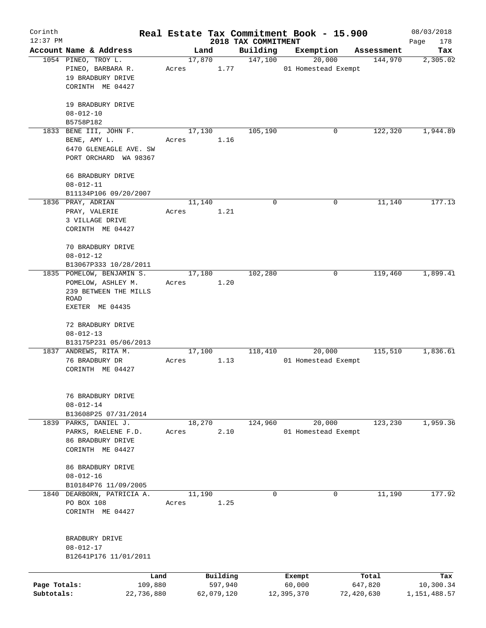| Corinth<br>$12:37$ PM |                                                    |                 |            |                                 | Real Estate Tax Commitment Book - 15.900 |            | 08/03/2018         |
|-----------------------|----------------------------------------------------|-----------------|------------|---------------------------------|------------------------------------------|------------|--------------------|
|                       | Account Name & Address                             | Land            |            | 2018 TAX COMMITMENT<br>Building | Exemption                                | Assessment | Page<br>178<br>Tax |
|                       | 1054 PINEO, TROY L.<br>PINEO, BARBARA R.           | 17,870<br>Acres | 1.77       | 147,100                         | 20,000<br>01 Homestead Exempt            | 144,970    | 2,305.02           |
|                       | 19 BRADBURY DRIVE<br>CORINTH ME 04427              |                 |            |                                 |                                          |            |                    |
|                       | 19 BRADBURY DRIVE<br>$08 - 012 - 10$               |                 |            |                                 |                                          |            |                    |
|                       | B5758P182                                          |                 |            |                                 |                                          |            |                    |
|                       | 1833 BENE III, JOHN F.                             | 17,130          |            | 105,190                         | 0                                        | 122,320    | 1,944.89           |
|                       | BENE, AMY L.                                       | Acres           | 1.16       |                                 |                                          |            |                    |
|                       | 6470 GLENEAGLE AVE. SW<br>PORT ORCHARD WA 98367    |                 |            |                                 |                                          |            |                    |
|                       | 66 BRADBURY DRIVE                                  |                 |            |                                 |                                          |            |                    |
|                       | $08 - 012 - 11$                                    |                 |            |                                 |                                          |            |                    |
|                       | B11134P106 09/20/2007                              |                 |            |                                 |                                          |            |                    |
|                       | 1836 PRAY, ADRIAN<br>PRAY, VALERIE                 | 11,140          | 1.21       | 0                               | 0                                        | 11,140     | 177.13             |
|                       | 3 VILLAGE DRIVE                                    | Acres           |            |                                 |                                          |            |                    |
|                       | CORINTH ME 04427                                   |                 |            |                                 |                                          |            |                    |
|                       | 70 BRADBURY DRIVE                                  |                 |            |                                 |                                          |            |                    |
|                       | $08 - 012 - 12$                                    |                 |            |                                 |                                          |            |                    |
|                       | B13067P333 10/28/2011<br>1835 POMELOW, BENJAMIN S. | 17,180          |            | 102,280                         | 0                                        | 119,460    | 1,899.41           |
|                       | POMELOW, ASHLEY M.                                 | Acres           | 1.20       |                                 |                                          |            |                    |
|                       | 239 BETWEEN THE MILLS                              |                 |            |                                 |                                          |            |                    |
|                       | ROAD                                               |                 |            |                                 |                                          |            |                    |
|                       | EXETER ME 04435                                    |                 |            |                                 |                                          |            |                    |
|                       | 72 BRADBURY DRIVE                                  |                 |            |                                 |                                          |            |                    |
|                       | $08 - 012 - 13$                                    |                 |            |                                 |                                          |            |                    |
|                       | B13175P231 05/06/2013                              |                 |            |                                 |                                          |            |                    |
|                       | 1837 ANDREWS, RITA M.                              | 17,100          |            | 118,410                         | 20,000                                   | 115,510    | 1,836.61           |
|                       | 76 BRADBURY DR                                     | Acres           | 1.13       |                                 | 01 Homestead Exempt                      |            |                    |
|                       | CORINTH ME 04427                                   |                 |            |                                 |                                          |            |                    |
|                       | 76 BRADBURY DRIVE                                  |                 |            |                                 |                                          |            |                    |
|                       | $08 - 012 - 14$                                    |                 |            |                                 |                                          |            |                    |
|                       | B13608P25 07/31/2014                               |                 |            |                                 | 20,000                                   | 123,230    |                    |
|                       | 1839 PARKS, DANIEL J.<br>PARKS, RAELENE F.D.       | 18,270<br>Acres | 2.10       | 124,960                         | 01 Homestead Exempt                      |            | 1,959.36           |
|                       | 86 BRADBURY DRIVE                                  |                 |            |                                 |                                          |            |                    |
|                       | CORINTH ME 04427                                   |                 |            |                                 |                                          |            |                    |
|                       | 86 BRADBURY DRIVE                                  |                 |            |                                 |                                          |            |                    |
|                       | $08 - 012 - 16$                                    |                 |            |                                 |                                          |            |                    |
|                       | B10184P76 11/09/2005                               |                 |            |                                 |                                          |            |                    |
|                       | 1840 DEARBORN, PATRICIA A.                         | 11,190          |            | $\mathbf 0$                     | 0                                        | 11,190     | 177.92             |
|                       | PO BOX 108<br>CORINTH ME 04427                     | Acres           | 1.25       |                                 |                                          |            |                    |
|                       |                                                    |                 |            |                                 |                                          |            |                    |
|                       | BRADBURY DRIVE                                     |                 |            |                                 |                                          |            |                    |
|                       | $08 - 012 - 17$                                    |                 |            |                                 |                                          |            |                    |
|                       | B12641P176 11/01/2011                              |                 |            |                                 |                                          |            |                    |
|                       |                                                    |                 | Building   |                                 |                                          | Total      |                    |
| Page Totals:          | Land<br>109,880                                    |                 | 597,940    |                                 | Exempt<br>60,000                         | 647,820    | Tax<br>10,300.34   |
| Subtotals:            | 22,736,880                                         |                 | 62,079,120 |                                 | 12,395,370                               | 72,420,630 | 1, 151, 488.57     |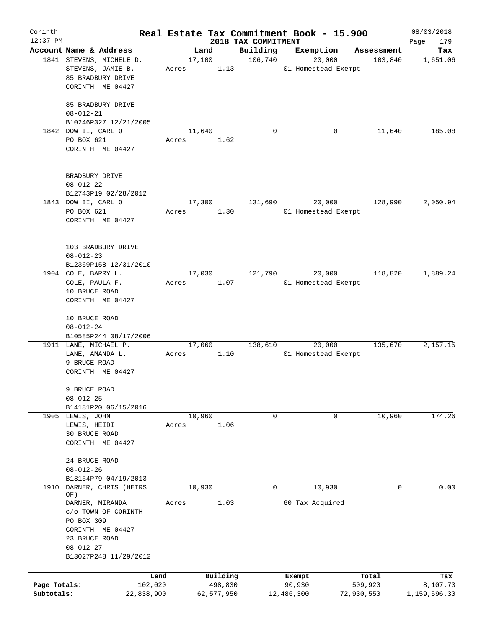| Corinth<br>$12:37$ PM      |                                                                                                                                       |                 |                       |                                 | Real Estate Tax Commitment Book - 15.900 |                       | 08/03/2018               |
|----------------------------|---------------------------------------------------------------------------------------------------------------------------------------|-----------------|-----------------------|---------------------------------|------------------------------------------|-----------------------|--------------------------|
|                            | Account Name & Address                                                                                                                |                 | Land                  | 2018 TAX COMMITMENT<br>Building | Exemption                                | Assessment            | Page<br>179<br>Tax       |
|                            | 1841 STEVENS, MICHELE D.<br>STEVENS, JAMIE B.                                                                                         | 17,100<br>Acres | 1.13                  | 106,740                         | 20,000<br>01 Homestead Exempt            | 103,840               | 1,651.06                 |
|                            | 85 BRADBURY DRIVE<br>CORINTH ME 04427                                                                                                 |                 |                       |                                 |                                          |                       |                          |
|                            | 85 BRADBURY DRIVE<br>$08 - 012 - 21$                                                                                                  |                 |                       |                                 |                                          |                       |                          |
|                            | B10246P327 12/21/2005                                                                                                                 |                 |                       |                                 |                                          |                       |                          |
|                            | 1842 DOW II, CARL O<br>PO BOX 621<br>CORINTH ME 04427                                                                                 | 11,640<br>Acres | 1.62                  | $\Omega$                        | 0                                        | 11,640                | 185.08                   |
|                            | BRADBURY DRIVE<br>$08 - 012 - 22$<br>B12743P19 02/28/2012                                                                             |                 |                       |                                 |                                          |                       |                          |
|                            | 1843 DOW II, CARL O                                                                                                                   | 17,300          |                       | 131,690                         | 20,000                                   | 128,990               | 2,050.94                 |
|                            | PO BOX 621<br>CORINTH ME 04427                                                                                                        | Acres           | 1.30                  |                                 | 01 Homestead Exempt                      |                       |                          |
|                            | 103 BRADBURY DRIVE<br>$08 - 012 - 23$                                                                                                 |                 |                       |                                 |                                          |                       |                          |
|                            | B12369P158 12/31/2010<br>1904 COLE, BARRY L.                                                                                          | 17,030          |                       | 121,790                         | 20,000                                   | 118,820               | 1,889.24                 |
|                            | COLE, PAULA F.<br>10 BRUCE ROAD<br>CORINTH ME 04427                                                                                   | Acres           | 1.07                  |                                 | 01 Homestead Exempt                      |                       |                          |
|                            | 10 BRUCE ROAD<br>$08 - 012 - 24$                                                                                                      |                 |                       |                                 |                                          |                       |                          |
|                            | B10585P244 08/17/2006                                                                                                                 |                 |                       |                                 |                                          |                       |                          |
|                            | 1911 LANE, MICHAEL P.<br>LANE, AMANDA L.<br>9 BRUCE ROAD                                                                              | 17,060<br>Acres | 1.10                  | 138,610                         | 20,000<br>01 Homestead Exempt            | 135,670               | 2,157.15                 |
|                            | CORINTH ME 04427                                                                                                                      |                 |                       |                                 |                                          |                       |                          |
|                            | 9 BRUCE ROAD<br>$08 - 012 - 25$                                                                                                       |                 |                       |                                 |                                          |                       |                          |
|                            | B14181P20 06/15/2016                                                                                                                  |                 |                       |                                 |                                          |                       |                          |
|                            | 1905 LEWIS, JOHN<br>LEWIS, HEIDI                                                                                                      | 10,960<br>Acres | 1.06                  | 0                               | 0                                        | 10,960                | 174.26                   |
|                            | 30 BRUCE ROAD<br>CORINTH ME 04427                                                                                                     |                 |                       |                                 |                                          |                       |                          |
|                            | 24 BRUCE ROAD<br>$08 - 012 - 26$                                                                                                      |                 |                       |                                 |                                          |                       |                          |
|                            | B13154P79 04/19/2013                                                                                                                  |                 |                       |                                 |                                          |                       |                          |
| 1910                       | DARNER, CHRIS (HEIRS<br>OF)                                                                                                           | 10,930          |                       | 0                               | 10,930                                   | 0                     | 0.00                     |
|                            | DARNER, MIRANDA<br>c/o TOWN OF CORINTH<br>PO BOX 309<br>CORINTH ME 04427<br>23 BRUCE ROAD<br>$08 - 012 - 27$<br>B13027P248 11/29/2012 | Acres           | 1.03                  |                                 | 60 Tax Acquired                          |                       |                          |
|                            |                                                                                                                                       |                 |                       |                                 |                                          |                       |                          |
|                            | Land                                                                                                                                  |                 | Building              |                                 | Exempt                                   | Total                 | Tax                      |
| Page Totals:<br>Subtotals: | 102,020<br>22,838,900                                                                                                                 |                 | 498,830<br>62,577,950 |                                 | 90,930<br>12,486,300                     | 509,920<br>72,930,550 | 8,107.73<br>1,159,596.30 |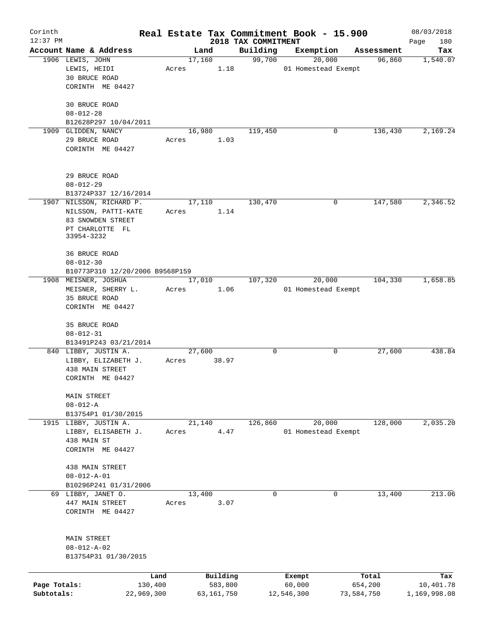| Corinth      |                                              |                 |        |                     |                     | Real Estate Tax Commitment Book - 15.900 |   |                      | 08/03/2018       |
|--------------|----------------------------------------------|-----------------|--------|---------------------|---------------------|------------------------------------------|---|----------------------|------------------|
| $12:37$ PM   | Account Name & Address                       |                 |        |                     | 2018 TAX COMMITMENT |                                          |   |                      | Page<br>180      |
|              | 1906 LEWIS, JOHN                             |                 | 17,160 | Land                | Building<br>99,700  | Exemption<br>20,000                      |   | Assessment<br>96,860 | Tax<br>1,540.07  |
|              | LEWIS, HEIDI                                 | Acres           |        | 1.18                |                     | 01 Homestead Exempt                      |   |                      |                  |
|              | 30 BRUCE ROAD                                |                 |        |                     |                     |                                          |   |                      |                  |
|              | CORINTH ME 04427                             |                 |        |                     |                     |                                          |   |                      |                  |
|              |                                              |                 |        |                     |                     |                                          |   |                      |                  |
|              | 30 BRUCE ROAD                                |                 |        |                     |                     |                                          |   |                      |                  |
|              | $08 - 012 - 28$                              |                 |        |                     |                     |                                          |   |                      |                  |
|              | B12628P297 10/04/2011                        |                 |        |                     |                     |                                          |   |                      |                  |
|              | 1909 GLIDDEN, NANCY                          |                 | 16,980 |                     | 119,450             |                                          | 0 | 136,430              | 2,169.24         |
|              | 29 BRUCE ROAD                                | Acres           |        | 1.03                |                     |                                          |   |                      |                  |
|              | CORINTH ME 04427                             |                 |        |                     |                     |                                          |   |                      |                  |
|              |                                              |                 |        |                     |                     |                                          |   |                      |                  |
|              | 29 BRUCE ROAD                                |                 |        |                     |                     |                                          |   |                      |                  |
|              | $08 - 012 - 29$                              |                 |        |                     |                     |                                          |   |                      |                  |
|              | B13724P337 12/16/2014                        |                 |        |                     |                     |                                          |   |                      |                  |
|              | 1907 NILSSON, RICHARD P.                     |                 | 17,110 |                     | 130,470             |                                          | 0 | 147,580              | 2,346.52         |
|              | NILSSON, PATTI-KATE                          | Acres           |        | 1.14                |                     |                                          |   |                      |                  |
|              | 83 SNOWDEN STREET                            |                 |        |                     |                     |                                          |   |                      |                  |
|              | PT CHARLOTTE FL                              |                 |        |                     |                     |                                          |   |                      |                  |
|              | 33954-3232                                   |                 |        |                     |                     |                                          |   |                      |                  |
|              |                                              |                 |        |                     |                     |                                          |   |                      |                  |
|              | 36 BRUCE ROAD                                |                 |        |                     |                     |                                          |   |                      |                  |
|              | $08 - 012 - 30$                              |                 |        |                     |                     |                                          |   |                      |                  |
|              | B10773P310 12/20/2006 B9568P159              |                 |        |                     |                     |                                          |   |                      |                  |
|              | 1908 MEISNER, JOSHUA                         |                 | 17,010 |                     | 107,320             | 20,000                                   |   | 104,330              | 1,658.85         |
|              | MEISNER, SHERRY L.                           | Acres           |        | 1.06                |                     | 01 Homestead Exempt                      |   |                      |                  |
|              | 35 BRUCE ROAD                                |                 |        |                     |                     |                                          |   |                      |                  |
|              | CORINTH ME 04427                             |                 |        |                     |                     |                                          |   |                      |                  |
|              | 35 BRUCE ROAD                                |                 |        |                     |                     |                                          |   |                      |                  |
|              | $08 - 012 - 31$                              |                 |        |                     |                     |                                          |   |                      |                  |
|              | B13491P243 03/21/2014                        |                 |        |                     |                     |                                          |   |                      |                  |
|              | 840 LIBBY, JUSTIN A.                         |                 | 27,600 |                     | 0                   |                                          | 0 | 27,600               | 438.84           |
|              | LIBBY, ELIZABETH J.                          | Acres           |        | 38.97               |                     |                                          |   |                      |                  |
|              | 438 MAIN STREET                              |                 |        |                     |                     |                                          |   |                      |                  |
|              | CORINTH ME 04427                             |                 |        |                     |                     |                                          |   |                      |                  |
|              |                                              |                 |        |                     |                     |                                          |   |                      |                  |
|              | MAIN STREET                                  |                 |        |                     |                     |                                          |   |                      |                  |
|              | $08 - 012 - A$                               |                 |        |                     |                     |                                          |   |                      |                  |
|              | B13754P1 01/30/2015<br>1915 LIBBY, JUSTIN A. |                 | 21,140 |                     |                     | 20,000                                   |   | 128,000              | 2,035.20         |
|              | LIBBY, ELISABETH J.                          | Acres           |        | 4.47                | 126,860             | 01 Homestead Exempt                      |   |                      |                  |
|              | 438 MAIN ST                                  |                 |        |                     |                     |                                          |   |                      |                  |
|              | CORINTH ME 04427                             |                 |        |                     |                     |                                          |   |                      |                  |
|              |                                              |                 |        |                     |                     |                                          |   |                      |                  |
|              | 438 MAIN STREET                              |                 |        |                     |                     |                                          |   |                      |                  |
|              | $08 - 012 - A - 01$                          |                 |        |                     |                     |                                          |   |                      |                  |
|              | B10296P241 01/31/2006                        |                 |        |                     |                     |                                          |   |                      |                  |
|              | 69 LIBBY, JANET O.                           |                 | 13,400 |                     | $\mathbf 0$         |                                          | 0 | 13,400               | 213.06           |
|              | 447 MAIN STREET                              | Acres           |        | 3.07                |                     |                                          |   |                      |                  |
|              | CORINTH ME 04427                             |                 |        |                     |                     |                                          |   |                      |                  |
|              |                                              |                 |        |                     |                     |                                          |   |                      |                  |
|              |                                              |                 |        |                     |                     |                                          |   |                      |                  |
|              | MAIN STREET                                  |                 |        |                     |                     |                                          |   |                      |                  |
|              | $08 - 012 - A - 02$                          |                 |        |                     |                     |                                          |   |                      |                  |
|              | B13754P31 01/30/2015                         |                 |        |                     |                     |                                          |   |                      |                  |
|              |                                              |                 |        |                     |                     |                                          |   |                      |                  |
| Page Totals: |                                              | Land<br>130,400 |        | Building<br>583,800 |                     | Exempt<br>60,000                         |   | Total<br>654,200     | Tax<br>10,401.78 |
| Subtotals:   | 22,969,300                                   |                 |        | 63,161,750          |                     | 12,546,300                               |   | 73,584,750           | 1,169,998.08     |
|              |                                              |                 |        |                     |                     |                                          |   |                      |                  |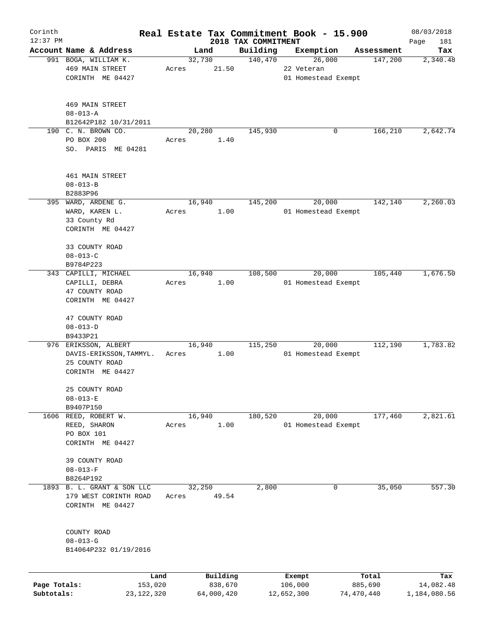| Corinth      |                                            |              |        |            |                                 | Real Estate Tax Commitment Book - 15.900 |                       | 08/03/2018         |
|--------------|--------------------------------------------|--------------|--------|------------|---------------------------------|------------------------------------------|-----------------------|--------------------|
| $12:37$ PM   | Account Name & Address                     |              | Land   |            | 2018 TAX COMMITMENT<br>Building | Exemption                                |                       | Page<br>181<br>Tax |
|              | 991 BOGA, WILLIAM K.                       |              | 32,730 |            | 140,470                         | 26,000                                   | Assessment<br>147,200 | 2,340.48           |
|              | <b>469 MAIN STREET</b><br>CORINTH ME 04427 | Acres        |        | 21.50      |                                 | 22 Veteran<br>01 Homestead Exempt        |                       |                    |
|              | <b>469 MAIN STREET</b>                     |              |        |            |                                 |                                          |                       |                    |
|              | $08 - 013 - A$<br>B12642P182 10/31/2011    |              |        |            |                                 |                                          |                       |                    |
|              | 190 C. N. BROWN CO.                        |              | 20,280 |            | 145,930                         | 0                                        | 166,210               | 2,642.74           |
|              | PO BOX 200<br>SO. PARIS ME 04281           | Acres        |        | 1.40       |                                 |                                          |                       |                    |
|              | 461 MAIN STREET                            |              |        |            |                                 |                                          |                       |                    |
|              | $08 - 013 - B$                             |              |        |            |                                 |                                          |                       |                    |
|              | B2883P96                                   |              |        |            |                                 |                                          |                       |                    |
|              | 395 WARD, ARDENE G.                        |              | 16,940 |            | 145,200                         | 20,000                                   | 142,140               | 2,260.03           |
|              | WARD, KAREN L.                             | Acres        |        | 1.00       |                                 | 01 Homestead Exempt                      |                       |                    |
|              | 33 County Rd<br>CORINTH ME 04427           |              |        |            |                                 |                                          |                       |                    |
|              |                                            |              |        |            |                                 |                                          |                       |                    |
|              | 33 COUNTY ROAD                             |              |        |            |                                 |                                          |                       |                    |
|              | $08 - 013 - C$                             |              |        |            |                                 |                                          |                       |                    |
|              | B9784P223                                  |              |        |            |                                 |                                          |                       |                    |
|              | 343 CAPILLI, MICHAEL                       |              | 16,940 |            | 108,500                         | 20,000                                   | 105,440               | 1,676.50           |
|              | CAPILLI, DEBRA                             | Acres        |        | 1.00       |                                 | 01 Homestead Exempt                      |                       |                    |
|              | 47 COUNTY ROAD<br>CORINTH ME 04427         |              |        |            |                                 |                                          |                       |                    |
|              |                                            |              |        |            |                                 |                                          |                       |                    |
|              | 47 COUNTY ROAD                             |              |        |            |                                 |                                          |                       |                    |
|              | $08 - 013 - D$                             |              |        |            |                                 |                                          |                       |                    |
|              | B9433P21                                   |              |        |            |                                 |                                          |                       |                    |
|              | 976 ERIKSSON, ALBERT                       |              | 16,940 |            | 115,250                         | 20,000                                   | 112,190               | 1,783.82           |
|              | DAVIS-ERIKSSON, TAMMYL.                    | Acres        |        | 1.00       |                                 | 01 Homestead Exempt                      |                       |                    |
|              | 25 COUNTY ROAD                             |              |        |            |                                 |                                          |                       |                    |
|              | CORINTH ME 04427                           |              |        |            |                                 |                                          |                       |                    |
|              | 25 COUNTY ROAD                             |              |        |            |                                 |                                          |                       |                    |
|              | $08 - 013 - E$                             |              |        |            |                                 |                                          |                       |                    |
|              | B9407P150                                  |              |        |            |                                 |                                          |                       |                    |
| 1606         | REED, ROBERT W.                            |              | 16,940 |            | 180,520                         | 20,000                                   | 177,460               | 2,821.61           |
|              | REED, SHARON                               | Acres        |        | 1.00       |                                 | 01 Homestead Exempt                      |                       |                    |
|              | PO BOX 101                                 |              |        |            |                                 |                                          |                       |                    |
|              | CORINTH ME 04427                           |              |        |            |                                 |                                          |                       |                    |
|              | 39 COUNTY ROAD                             |              |        |            |                                 |                                          |                       |                    |
|              | $08 - 013 - F$                             |              |        |            |                                 |                                          |                       |                    |
|              | B8264P192                                  |              |        |            |                                 |                                          |                       |                    |
|              | 1893 B. L. GRANT & SON LLC                 |              | 32,250 |            | 2,800                           | 0                                        | 35,050                | 557.30             |
|              | 179 WEST CORINTH ROAD                      | Acres        |        | 49.54      |                                 |                                          |                       |                    |
|              | CORINTH ME 04427                           |              |        |            |                                 |                                          |                       |                    |
|              |                                            |              |        |            |                                 |                                          |                       |                    |
|              | COUNTY ROAD                                |              |        |            |                                 |                                          |                       |                    |
|              | $08 - 013 - G$                             |              |        |            |                                 |                                          |                       |                    |
|              | B14064P232 01/19/2016                      |              |        |            |                                 |                                          |                       |                    |
|              |                                            | Land         |        | Building   |                                 | Exempt                                   | Total                 | Tax                |
| Page Totals: |                                            | 153,020      |        | 838,670    |                                 | 106,000                                  | 885,690               | 14,082.48          |
| Subtotals:   |                                            | 23, 122, 320 |        | 64,000,420 |                                 | 12,652,300                               | 74,470,440            | 1,184,080.56       |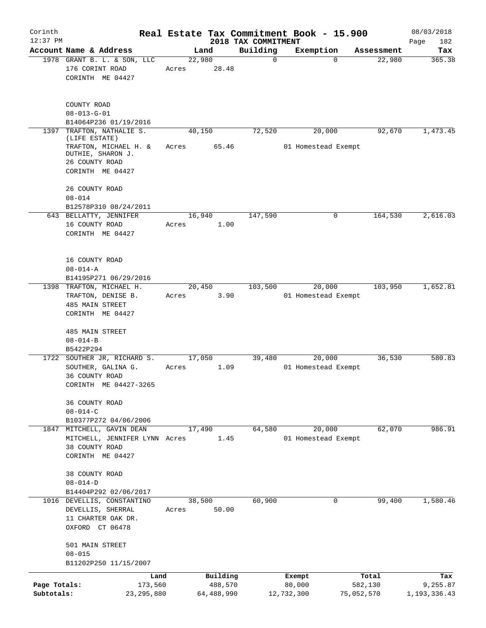| Corinth<br>$12:37$ PM      |                                                                                  |         |        |                       |                                 | Real Estate Tax Commitment Book - 15.900 |                       | 08/03/2018                 |
|----------------------------|----------------------------------------------------------------------------------|---------|--------|-----------------------|---------------------------------|------------------------------------------|-----------------------|----------------------------|
|                            | Account Name & Address                                                           |         | Land   |                       | 2018 TAX COMMITMENT<br>Building | Exemption                                | Assessment            | Page<br>182<br>Tax         |
|                            | 1978 GRANT B. L. & SON, LLC<br>176 CORINT ROAD<br>CORINTH ME 04427               | Acres   | 22,980 | 28.48                 | $\mathbf 0$                     |                                          | 22,980<br>$\Omega$    | 365.38                     |
|                            | COUNTY ROAD<br>$08 - 013 - G - 01$<br>B14064P236 01/19/2016                      |         |        |                       |                                 |                                          |                       |                            |
| 1397                       | TRAFTON, NATHALIE S.<br>(LIFE ESTATE)                                            |         | 40,150 |                       | 72,520                          | 20,000                                   | 92,670                | 1,473.45                   |
|                            | TRAFTON, MICHAEL H. &<br>DUTHIE, SHARON J.<br>26 COUNTY ROAD<br>CORINTH ME 04427 | Acres   |        | 65.46                 |                                 | 01 Homestead Exempt                      |                       |                            |
|                            | 26 COUNTY ROAD<br>$08 - 014$<br>B12578P310 08/24/2011                            |         |        |                       |                                 |                                          |                       |                            |
|                            | 643 BELLATTY, JENNIFER                                                           |         | 16,940 |                       | 147,590                         |                                          | 164,530<br>0          | 2,616.03                   |
|                            | 16 COUNTY ROAD<br>CORINTH ME 04427                                               | Acres   |        | 1.00                  |                                 |                                          |                       |                            |
|                            | 16 COUNTY ROAD<br>$08 - 014 - A$<br>B14195P271 06/29/2016                        |         |        |                       |                                 |                                          |                       |                            |
|                            | 1398 TRAFTON, MICHAEL H.                                                         |         | 20,450 |                       | 103,500                         | 20,000                                   | 103,950               | 1,652.81                   |
|                            | TRAFTON, DENISE B.<br><b>485 MAIN STREET</b><br>CORINTH ME 04427                 | Acres   |        | 3.90                  |                                 | 01 Homestead Exempt                      |                       |                            |
|                            | 485 MAIN STREET<br>$08 - 014 - B$<br>B5422P294                                   |         |        |                       |                                 |                                          |                       |                            |
|                            | 1722 SOUTHER JR, RICHARD S.                                                      |         | 17,050 |                       | 39,480                          | 20,000                                   | 36,530                | 580.83                     |
|                            | SOUTHER, GALINA G.<br>36 COUNTY ROAD<br>CORINTH ME 04427-3265                    | Acres   |        | 1.09                  |                                 | 01 Homestead Exempt                      |                       |                            |
|                            | 36 COUNTY ROAD<br>$08 - 014 - C$<br>B10377P272 04/06/2006                        |         |        |                       |                                 |                                          |                       |                            |
|                            | 1847 MITCHELL, GAVIN DEAN                                                        |         | 17,490 |                       | 64,580                          | 20,000                                   | 62,070                | 986.91                     |
|                            | MITCHELL, JENNIFER LYNN Acres<br>38 COUNTY ROAD<br>CORINTH ME 04427              |         |        | 1.45                  |                                 | 01 Homestead Exempt                      |                       |                            |
|                            | 38 COUNTY ROAD<br>$08 - 014 - D$                                                 |         |        |                       |                                 |                                          |                       |                            |
|                            | B14404P292 02/06/2017<br>1016 DEVELLIS, CONSTANTINO                              |         | 38,500 |                       | 60,900                          |                                          | 99,400<br>0           | 1,580.46                   |
|                            | DEVELLIS, SHERRAL<br>11 CHARTER OAK DR.<br>OXFORD CT 06478                       | Acres   |        | 50.00                 |                                 |                                          |                       |                            |
|                            | 501 MAIN STREET<br>$08 - 015$<br>B11202P250 11/15/2007                           |         |        |                       |                                 |                                          |                       |                            |
|                            |                                                                                  | Land    |        | Building              |                                 | Exempt                                   | Total                 | Tax                        |
| Page Totals:<br>Subtotals: | 23, 295, 880                                                                     | 173,560 |        | 488,570<br>64,488,990 |                                 | 80,000<br>12,732,300                     | 582,130<br>75,052,570 | 9,255.87<br>1, 193, 336.43 |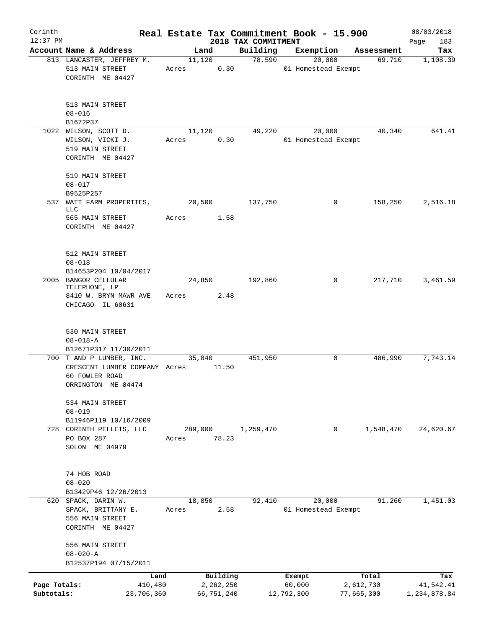| Corinth<br>$12:37$ PM      |                                                                                                   |       |                         | 2018 TAX COMMITMENT | Real Estate Tax Commitment Book - 15.900 |                         | 08/03/2018                |
|----------------------------|---------------------------------------------------------------------------------------------------|-------|-------------------------|---------------------|------------------------------------------|-------------------------|---------------------------|
|                            | Account Name & Address                                                                            |       | Land                    | Building            | Exemption                                | Assessment              | 183<br>Page<br>Tax        |
|                            | 813 LANCASTER, JEFFREY M.                                                                         |       | 11,120                  |                     | 78,590<br>20,000                         | 69,710                  | 1,108.39                  |
|                            | 513 MAIN STREET<br>CORINTH ME 04427                                                               | Acres | 0.30                    |                     | 01 Homestead Exempt                      |                         |                           |
|                            | 513 MAIN STREET<br>$08 - 016$                                                                     |       |                         |                     |                                          |                         |                           |
|                            | B1672P37                                                                                          |       |                         |                     |                                          |                         |                           |
|                            | 1022 WILSON, SCOTT D.<br>WILSON, VICKI J.<br>519 MAIN STREET<br>CORINTH ME 04427                  | Acres | 11,120<br>0.30          | 49,220              | 20,000<br>01 Homestead Exempt            | 40,340                  | 641.41                    |
|                            | 519 MAIN STREET<br>$08 - 017$                                                                     |       |                         |                     |                                          |                         |                           |
|                            | B9525P257                                                                                         |       |                         |                     |                                          |                         |                           |
| 537                        | WATT FARM PROPERTIES,<br>LLC                                                                      |       | 20,500                  | 137,750             | 0                                        | 158,250                 | 2,516.18                  |
|                            | 565 MAIN STREET<br>CORINTH ME 04427                                                               | Acres | 1.58                    |                     |                                          |                         |                           |
|                            | 512 MAIN STREET<br>$08 - 018$                                                                     |       |                         |                     |                                          |                         |                           |
|                            | B14653P204 10/04/2017<br>2005 BANGOR CELLULAR                                                     |       | 24,850                  | 192,860             | 0                                        | 217,710                 | 3,461.59                  |
|                            | TELEPHONE, LP<br>8410 W. BRYN MAWR AVE<br>CHICAGO IL 60631                                        | Acres | 2.48                    |                     |                                          |                         |                           |
|                            | 530 MAIN STREET<br>$08 - 018 - A$                                                                 |       |                         |                     |                                          |                         |                           |
|                            | B12671P317 11/30/2011                                                                             |       |                         |                     |                                          |                         |                           |
|                            | 700 T AND P LUMBER, INC.<br>CRESCENT LUMBER COMPANY Acres<br>60 FOWLER ROAD<br>ORRINGTON ME 04474 |       | 35,040<br>11.50         | 451,950             | 0                                        | 486,990                 | 7,743.14                  |
|                            | 534 MAIN STREET<br>$08 - 019$                                                                     |       |                         |                     |                                          |                         |                           |
|                            | B11946P119 10/16/2009                                                                             |       |                         |                     |                                          |                         |                           |
|                            | 728 CORINTH PELLETS, LLC<br>PO BOX 287<br>SOLON ME 04979                                          | Acres | 289,000<br>78.23        | 1,259,470           | 0                                        | 1,548,470               | 24,620.67                 |
|                            | 74 HOB ROAD<br>$08 - 020$                                                                         |       |                         |                     |                                          |                         |                           |
|                            | B13429P46 12/26/2013<br>620 SPACK, DARIN W.                                                       |       | 18,850                  | 92,410              | 20,000                                   | 91,260                  | 1,451.03                  |
|                            | SPACK, BRITTANY E.<br>556 MAIN STREET<br>CORINTH ME 04427                                         | Acres | 2.58                    |                     | 01 Homestead Exempt                      |                         |                           |
|                            | 556 MAIN STREET<br>$08 - 020 - A$                                                                 |       |                         |                     |                                          |                         |                           |
|                            | B12537P194 07/15/2011                                                                             |       |                         |                     |                                          |                         |                           |
|                            | Land                                                                                              |       | Building                |                     | Exempt                                   | Total                   | Tax                       |
| Page Totals:<br>Subtotals: | 410,480<br>23,706,360                                                                             |       | 2,262,250<br>66,751,240 |                     | 60,000<br>12,792,300                     | 2,612,730<br>77,665,300 | 41,542.41<br>1,234,878.84 |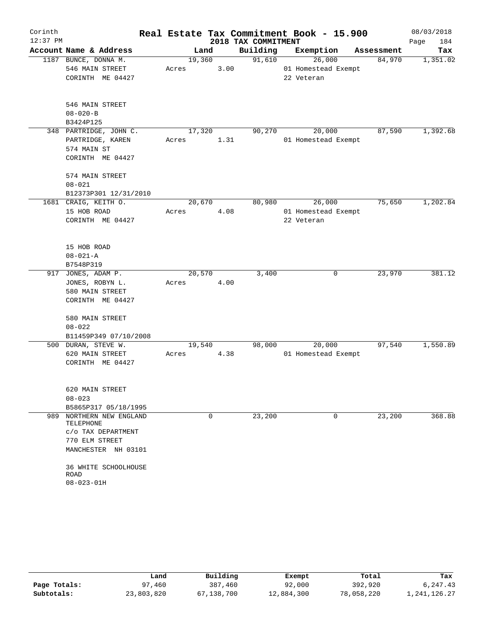| Corinth    |                                              |                 |      |                     | Real Estate Tax Commitment Book - 15.900 |             | 08/03/2018  |
|------------|----------------------------------------------|-----------------|------|---------------------|------------------------------------------|-------------|-------------|
| $12:37$ PM |                                              |                 |      | 2018 TAX COMMITMENT |                                          |             | 184<br>Page |
|            | Account Name & Address                       |                 | Land | Building            | Exemption                                | Assessment  | Tax         |
|            | 1187 BUNCE, DONNA M.<br>546 MAIN STREET      | 19,360<br>Acres | 3.00 | 91,610              | 26,000<br>01 Homestead Exempt            | 84,970      | 1,351.02    |
|            | CORINTH ME 04427                             |                 |      |                     | 22 Veteran                               |             |             |
|            |                                              |                 |      |                     |                                          |             |             |
|            | 546 MAIN STREET                              |                 |      |                     |                                          |             |             |
|            | $08 - 020 - B$                               |                 |      |                     |                                          |             |             |
|            | B3424P125                                    |                 |      |                     |                                          |             |             |
|            | 348 PARTRIDGE, JOHN C.                       | 17,320          |      | 90,270              | 20,000                                   | 87,590      | 1,392.68    |
|            | PARTRIDGE, KAREN                             | Acres           | 1.31 |                     | 01 Homestead Exempt                      |             |             |
|            | 574 MAIN ST                                  |                 |      |                     |                                          |             |             |
|            | CORINTH ME 04427                             |                 |      |                     |                                          |             |             |
|            | 574 MAIN STREET                              |                 |      |                     |                                          |             |             |
|            | $08 - 021$                                   |                 |      |                     |                                          |             |             |
|            | B12373P301 12/31/2010                        |                 |      |                     |                                          |             |             |
|            | 1681 CRAIG, KEITH O.                         | 20,670          |      | 80,980              | 26,000                                   | 75,650      | 1,202.84    |
|            | 15 HOB ROAD                                  | Acres           | 4.08 |                     | 01 Homestead Exempt                      |             |             |
|            | CORINTH ME 04427                             |                 |      |                     | 22 Veteran                               |             |             |
|            |                                              |                 |      |                     |                                          |             |             |
|            | 15 HOB ROAD                                  |                 |      |                     |                                          |             |             |
|            | $08 - 021 - A$                               |                 |      |                     |                                          |             |             |
|            | B7548P319                                    |                 |      |                     |                                          |             |             |
| 917        | JONES, ADAM P.                               | 20,570          |      | 3,400               |                                          | 23,970<br>0 | 381.12      |
|            | JONES, ROBYN L.                              | Acres           | 4.00 |                     |                                          |             |             |
|            | 580 MAIN STREET                              |                 |      |                     |                                          |             |             |
|            | CORINTH ME 04427                             |                 |      |                     |                                          |             |             |
|            | 580 MAIN STREET                              |                 |      |                     |                                          |             |             |
|            | $08 - 022$                                   |                 |      |                     |                                          |             |             |
|            | B11459P349 07/10/2008                        |                 |      |                     |                                          |             |             |
|            | 500 DURAN, STEVE W.                          | 19,540          |      | 98,000              | 20,000                                   | 97,540      | 1,550.89    |
|            | 620 MAIN STREET                              | Acres           | 4.38 |                     | 01 Homestead Exempt                      |             |             |
|            | CORINTH ME 04427                             |                 |      |                     |                                          |             |             |
|            |                                              |                 |      |                     |                                          |             |             |
|            | 620 MAIN STREET                              |                 |      |                     |                                          |             |             |
|            | $08 - 023$                                   |                 |      |                     |                                          |             |             |
| 989        | B5865P317 05/18/1995<br>NORTHERN NEW ENGLAND |                 | 0    |                     |                                          | 0           |             |
|            | TELEPHONE                                    |                 |      | 23,200              |                                          | 23,200      | 368.88      |
|            | C/O TAX DEPARTMENT                           |                 |      |                     |                                          |             |             |
|            | 770 ELM STREET                               |                 |      |                     |                                          |             |             |
|            | MANCHESTER NH 03101                          |                 |      |                     |                                          |             |             |
|            | 36 WHITE SCHOOLHOUSE                         |                 |      |                     |                                          |             |             |
|            | ROAD                                         |                 |      |                     |                                          |             |             |
|            | $08 - 023 - 01H$                             |                 |      |                     |                                          |             |             |

|              | Land       | Building   | Exempt     | Total      | Tax          |
|--------------|------------|------------|------------|------------|--------------|
| Page Totals: | 97,460     | 387,460    | 92,000     | 392,920    | 6,247.43     |
| Subtotals:   | 23,803,820 | 67,138,700 | 12,884,300 | 78,058,220 | l,241,126.27 |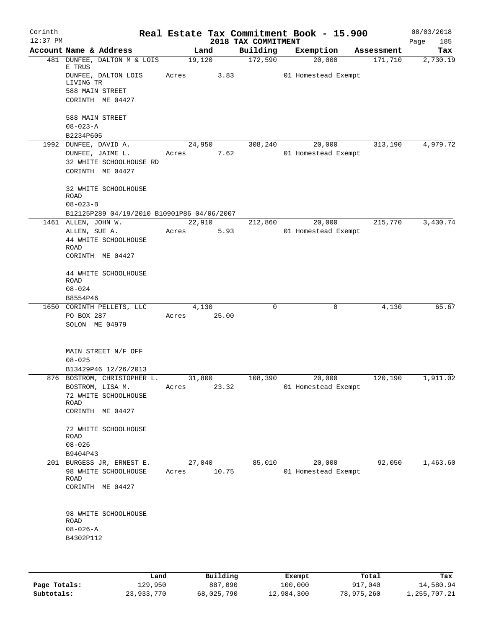| Corinth<br>$12:37$ PM |                        |                                            |       |                | 2018 TAX COMMITMENT | Real Estate Tax Commitment Book - 15.900 |            | 08/03/2018<br>185<br>Page |
|-----------------------|------------------------|--------------------------------------------|-------|----------------|---------------------|------------------------------------------|------------|---------------------------|
|                       |                        | Account Name & Address                     |       | Land           | Building            | Exemption                                | Assessment | Tax                       |
|                       |                        | 481 DUNFEE, DALTON M & LOIS                |       | 19,120         | 172,590             | 20,000                                   | 171,710    | 2,730.19                  |
|                       | E TRUS<br>LIVING TR    | DUNFEE, DALTON LOIS                        | Acres | 3.83           |                     | 01 Homestead Exempt                      |            |                           |
|                       |                        | 588 MAIN STREET                            |       |                |                     |                                          |            |                           |
|                       |                        | CORINTH ME 04427                           |       |                |                     |                                          |            |                           |
|                       | 588 MAIN STREET        |                                            |       |                |                     |                                          |            |                           |
|                       | $08 - 023 - A$         |                                            |       |                |                     |                                          |            |                           |
|                       | B2234P605              | 1992 DUNFEE, DAVID A.                      |       |                | 308,240             |                                          |            | 4,979.72                  |
|                       |                        | DUNFEE, JAIME L.                           |       | 24,950<br>7.62 |                     | 20,000<br>01 Homestead Exempt            | 313,190    |                           |
|                       |                        | 32 WHITE SCHOOLHOUSE RD                    | Acres |                |                     |                                          |            |                           |
|                       |                        | CORINTH ME 04427                           |       |                |                     |                                          |            |                           |
|                       |                        | 32 WHITE SCHOOLHOUSE                       |       |                |                     |                                          |            |                           |
|                       | ROAD<br>$08 - 023 - B$ |                                            |       |                |                     |                                          |            |                           |
|                       |                        | B12125P289 04/19/2010 B10901P86 04/06/2007 |       |                |                     |                                          |            |                           |
|                       | 1461 ALLEN, JOHN W.    |                                            |       | 22,910         | 212,860             | 20,000                                   | 215,770    | 3,430.74                  |
|                       | ALLEN, SUE A.          |                                            | Acres | 5.93           |                     | 01 Homestead Exempt                      |            |                           |
|                       |                        | 44 WHITE SCHOOLHOUSE                       |       |                |                     |                                          |            |                           |
|                       | ROAD                   |                                            |       |                |                     |                                          |            |                           |
|                       |                        | CORINTH ME 04427                           |       |                |                     |                                          |            |                           |
|                       |                        | 44 WHITE SCHOOLHOUSE                       |       |                |                     |                                          |            |                           |
|                       | ROAD                   |                                            |       |                |                     |                                          |            |                           |
|                       | $08 - 024$             |                                            |       |                |                     |                                          |            |                           |
|                       | B8554P46               | 1650 CORINTH PELLETS, LLC                  |       | 4,130          | 0                   | 0                                        | 4,130      | 65.67                     |
|                       | PO BOX 287             |                                            | Acres | 25.00          |                     |                                          |            |                           |
|                       | SOLON ME 04979         |                                            |       |                |                     |                                          |            |                           |
|                       |                        |                                            |       |                |                     |                                          |            |                           |
|                       |                        | MAIN STREET N/F OFF                        |       |                |                     |                                          |            |                           |
|                       | $08 - 025$             |                                            |       |                |                     |                                          |            |                           |
|                       |                        | B13429P46 12/26/2013                       |       |                |                     |                                          |            |                           |
|                       |                        | 876 BOSTROM, CHRISTOPHER L.                |       | 31,800         | 108,390             | 20,000                                   | 120,190    | 1,911.02                  |
|                       |                        | BOSTROM, LISA M.                           | Acres | 23.32          |                     | 01 Homestead Exempt                      |            |                           |
|                       |                        | 72 WHITE SCHOOLHOUSE                       |       |                |                     |                                          |            |                           |
|                       | ROAD                   |                                            |       |                |                     |                                          |            |                           |
|                       |                        | CORINTH ME 04427                           |       |                |                     |                                          |            |                           |
|                       | ROAD                   | 72 WHITE SCHOOLHOUSE                       |       |                |                     |                                          |            |                           |
|                       | $08 - 026$             |                                            |       |                |                     |                                          |            |                           |
|                       | B9404P43               |                                            |       |                |                     |                                          |            |                           |
|                       |                        | 201 BURGESS JR, ERNEST E.                  |       | 27,040         | 85,010              | 20,000                                   | 92,050     | 1,463.60                  |
|                       |                        | 98 WHITE SCHOOLHOUSE                       | Acres | 10.75          |                     | 01 Homestead Exempt                      |            |                           |
|                       | ROAD                   |                                            |       |                |                     |                                          |            |                           |
|                       |                        | CORINTH ME 04427                           |       |                |                     |                                          |            |                           |
|                       |                        |                                            |       |                |                     |                                          |            |                           |
|                       | <b>ROAD</b>            | 98 WHITE SCHOOLHOUSE                       |       |                |                     |                                          |            |                           |
|                       | $08 - 026 - A$         |                                            |       |                |                     |                                          |            |                           |
|                       | B4302P112              |                                            |       |                |                     |                                          |            |                           |
|                       |                        |                                            |       |                |                     |                                          |            |                           |
|                       |                        |                                            |       |                |                     |                                          |            |                           |
|                       |                        |                                            |       |                |                     |                                          |            |                           |

|              | Land       | Building   | Exempt     | Total      | Tax          |
|--------------|------------|------------|------------|------------|--------------|
| Page Totals: | 129,950    | 887,090    | 100,000    | 917,040    | 14,580.94    |
| Subtotals:   | 23,933,770 | 68,025,790 | 12,984,300 | 78,975,260 | 1,255,707.21 |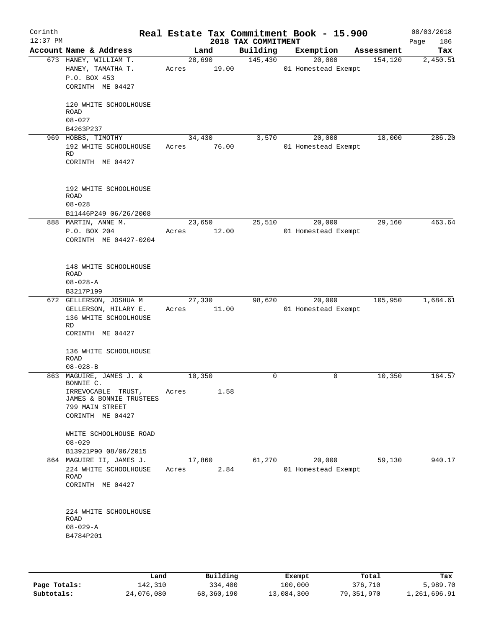| Corinth<br>$12:37$ PM |                                                                                                   |                 |                 | 2018 TAX COMMITMENT | Real Estate Tax Commitment Book - 15.900 |            | 08/03/2018<br>186<br>Page |
|-----------------------|---------------------------------------------------------------------------------------------------|-----------------|-----------------|---------------------|------------------------------------------|------------|---------------------------|
|                       | Account Name & Address                                                                            |                 | Land            | Building            | Exemption                                | Assessment | Tax                       |
|                       | 673 HANEY, WILLIAM T.<br>HANEY, TAMATHA T.<br>P.O. BOX 453<br>CORINTH ME 04427                    | Acres           | 28,690<br>19.00 | 145,430             | 20,000<br>01 Homestead Exempt            | 154,120    | 2,450.51                  |
|                       | 120 WHITE SCHOOLHOUSE<br><b>ROAD</b><br>$08 - 027$<br>B4263P237                                   |                 |                 |                     |                                          |            |                           |
|                       | 969 HOBBS, TIMOTHY                                                                                | 34,430          |                 | 3,570               | 20,000                                   | 18,000     | 286.20                    |
|                       | 192 WHITE SCHOOLHOUSE<br>RD<br>CORINTH ME 04427                                                   | Acres           | 76.00           |                     | 01 Homestead Exempt                      |            |                           |
|                       | 192 WHITE SCHOOLHOUSE<br><b>ROAD</b><br>$08 - 028$                                                |                 |                 |                     |                                          |            |                           |
|                       | B11446P249 06/26/2008                                                                             |                 |                 |                     |                                          |            |                           |
|                       | 888 MARTIN, ANNE M.<br>P.O. BOX 204<br>CORINTH ME 04427-0204                                      | 23,650<br>Acres | 12.00           | 25,510              | 20,000<br>01 Homestead Exempt            | 29,160     | 463.64                    |
|                       | 148 WHITE SCHOOLHOUSE<br>ROAD<br>$08 - 028 - A$<br>B3217P199                                      |                 |                 |                     |                                          |            |                           |
|                       | 672 GELLERSON, JOSHUA M                                                                           | 27,330          |                 | 98,620              | 20,000                                   | 105,950    | 1,684.61                  |
|                       | GELLERSON, HILARY E.<br>136 WHITE SCHOOLHOUSE<br><b>RD</b><br>CORINTH ME 04427                    | Acres           | 11.00           |                     | 01 Homestead Exempt                      |            |                           |
|                       | 136 WHITE SCHOOLHOUSE<br>ROAD<br>$08 - 028 - B$                                                   |                 |                 |                     |                                          |            |                           |
|                       | 863 MAGUIRE, JAMES J. &                                                                           | 10,350          |                 | 0                   | 0                                        | 10,350     | 164.57                    |
|                       | BONNIE C.<br>IRREVOCABLE TRUST,<br>JAMES & BONNIE TRUSTEES<br>799 MAIN STREET<br>CORINTH ME 04427 | Acres           | 1.58            |                     |                                          |            |                           |
|                       | WHITE SCHOOLHOUSE ROAD<br>$08 - 029$                                                              |                 |                 |                     |                                          |            |                           |
|                       | B13921P90 08/06/2015                                                                              |                 |                 |                     |                                          |            |                           |
|                       | 864 MAGUIRE II, JAMES J.<br>224 WHITE SCHOOLHOUSE<br>ROAD<br>CORINTH ME 04427                     | Acres           | 17,860<br>2.84  | 61,270              | 20,000<br>01 Homestead Exempt            | 59,130     | 940.17                    |
|                       | 224 WHITE SCHOOLHOUSE<br>ROAD<br>$08 - 029 - A$<br>B4784P201                                      |                 |                 |                     |                                          |            |                           |
|                       |                                                                                                   |                 |                 |                     |                                          |            |                           |

|              | Land       | Building   | Exempt     | Total      | Tax          |
|--------------|------------|------------|------------|------------|--------------|
| Page Totals: | 142,310    | 334,400    | 100,000    | 376,710    | 5,989.70     |
| Subtotals:   | 24,076,080 | 68,360,190 | 13,084,300 | 79,351,970 | 1,261,696.91 |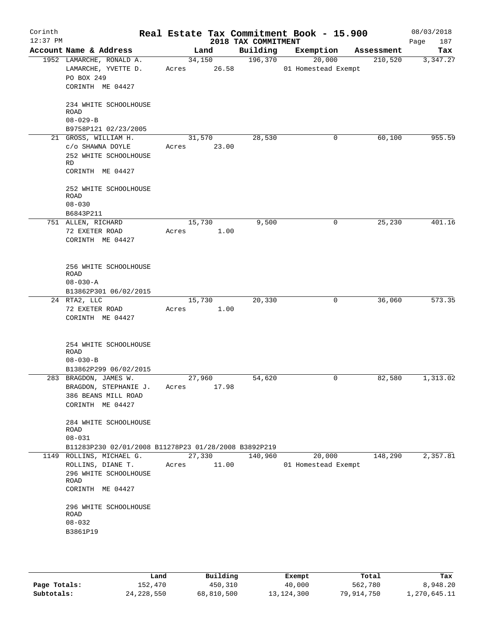| Corinth<br>$12:37$ PM |                                                                                                    |                          | 2018 TAX COMMITMENT | Real Estate Tax Commitment Book - 15.900 |            | 08/03/2018<br>187<br>Page |
|-----------------------|----------------------------------------------------------------------------------------------------|--------------------------|---------------------|------------------------------------------|------------|---------------------------|
|                       | Account Name & Address                                                                             | Land                     | Building            | Exemption                                | Assessment | Tax                       |
|                       | 1952 LAMARCHE, RONALD A.<br>LAMARCHE, YVETTE D.<br>PO BOX 249<br>CORINTH ME 04427                  | 34,150<br>Acres 26.58    | 196,370             | 20,000<br>01 Homestead Exempt            | 210,520    | 3,347.27                  |
|                       | 234 WHITE SCHOOLHOUSE<br>ROAD<br>$08 - 029 - B$<br>B9758P121 02/23/2005                            |                          |                     |                                          |            |                           |
|                       | 21 GROSS, WILLIAM H.                                                                               | 31,570                   | 28,530              | 0                                        | 60,100     | 955.59                    |
|                       | C/O SHAWNA DOYLE<br>252 WHITE SCHOOLHOUSE<br>RD<br>CORINTH ME 04427                                | 23.00<br>Acres           |                     |                                          |            |                           |
|                       | 252 WHITE SCHOOLHOUSE<br>ROAD<br>$08 - 030$                                                        |                          |                     |                                          |            |                           |
|                       | B6843P211                                                                                          |                          |                     |                                          |            |                           |
|                       | 751 ALLEN, RICHARD<br>72 EXETER ROAD<br>CORINTH ME 04427                                           | 15,730<br>1.00<br>Acres  | 9,500               | 0                                        | 25,230     | 401.16                    |
|                       | 256 WHITE SCHOOLHOUSE<br>ROAD<br>$08 - 030 - A$<br>B13862P301 06/02/2015                           |                          |                     |                                          |            |                           |
|                       | 24 RTA2, LLC                                                                                       | 15,730                   | 20,330              | 0                                        | 36,060     | 573.35                    |
|                       | 72 EXETER ROAD<br>CORINTH ME 04427                                                                 | 1.00<br>Acres            |                     |                                          |            |                           |
|                       | 254 WHITE SCHOOLHOUSE<br>ROAD<br>$08 - 030 - B$                                                    |                          |                     |                                          |            |                           |
|                       | B13862P299 06/02/2015                                                                              |                          |                     |                                          |            |                           |
|                       | 283 BRAGDON, JAMES W.<br>BRAGDON, STEPHANIE J.<br>386 BEANS MILL ROAD<br>CORINTH ME 04427          | 27,960<br>17.98<br>Acres | 54,620              | 0                                        | 82,580     | 1,313.02                  |
|                       | 284 WHITE SCHOOLHOUSE<br>ROAD<br>$08 - 031$                                                        |                          |                     |                                          |            |                           |
|                       | B11283P230 02/01/2008 B11278P23 01/28/2008 B3892P219                                               |                          |                     |                                          |            |                           |
|                       | 1149 ROLLINS, MICHAEL G.<br>ROLLINS, DIANE T.<br>296 WHITE SCHOOLHOUSE<br>ROAD<br>CORINTH ME 04427 | 27,330<br>11.00<br>Acres | 140,960             | 20,000<br>01 Homestead Exempt            | 148,290    | 2,357.81                  |
|                       | 296 WHITE SCHOOLHOUSE<br>ROAD<br>$08 - 032$<br>B3861P19                                            |                          |                     |                                          |            |                           |
|                       |                                                                                                    |                          |                     |                                          |            |                           |

|              | Land       | Building   | Exempt     | Total      | Tax          |
|--------------|------------|------------|------------|------------|--------------|
| Page Totals: | 152,470    | 450,310    | 40,000     | 562,780    | 8,948.20     |
| Subtotals:   | 24,228,550 | 68,810,500 | 13,124,300 | 79,914,750 | 1,270,645.11 |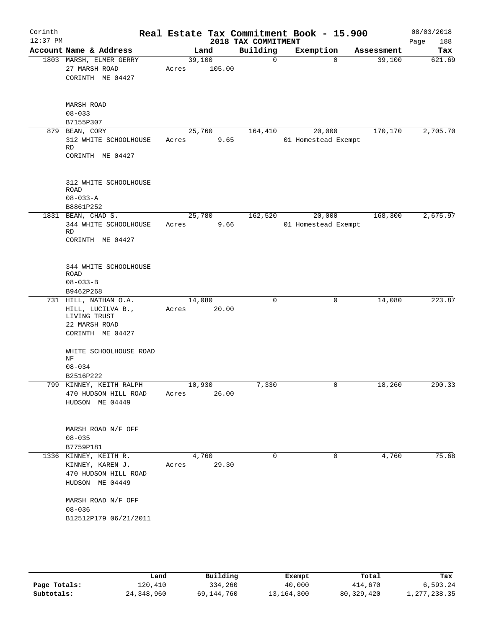| Corinth<br>$12:37$ PM |                                                                                                 |                      |        | 2018 TAX COMMITMENT | Real Estate Tax Commitment Book - 15.900 |                |            | 08/03/2018<br>188<br>Page |
|-----------------------|-------------------------------------------------------------------------------------------------|----------------------|--------|---------------------|------------------------------------------|----------------|------------|---------------------------|
|                       | Account Name & Address                                                                          |                      | Land   | Building            | Exemption                                |                | Assessment | Tax                       |
|                       | 1803 MARSH, ELMER GERRY<br>27 MARSH ROAD<br>CORINTH ME 04427                                    | 39,100<br>Acres      | 105.00 | $\mathbf 0$         |                                          | $\Omega$       | 39,100     | 621.69                    |
|                       | MARSH ROAD<br>$08 - 033$                                                                        |                      |        |                     |                                          |                |            |                           |
|                       | B7155P307                                                                                       |                      |        |                     |                                          |                |            |                           |
|                       | 879 BEAN, CORY<br>312 WHITE SCHOOLHOUSE<br>RD<br>CORINTH ME 04427                               | 25,760<br>Acres      | 9.65   | 164,410             | 20,000<br>01 Homestead Exempt            |                | 170,170    | 2,705.70                  |
|                       | 312 WHITE SCHOOLHOUSE<br>ROAD<br>$08 - 033 - A$<br>B8861P252                                    |                      |        |                     |                                          |                |            |                           |
|                       | 1831 BEAN, CHAD S.<br>344 WHITE SCHOOLHOUSE<br><b>RD</b><br>CORINTH ME 04427                    | 25,780<br>Acres      | 9.66   | 162,520             | 20,000<br>01 Homestead Exempt            |                | 168,300    | 2,675.97                  |
|                       | 344 WHITE SCHOOLHOUSE<br>ROAD<br>$08 - 033 - B$<br>B9462P268                                    |                      |        |                     |                                          |                |            |                           |
|                       | 731 HILL, NATHAN O.A.<br>HILL, LUCILVA B.,<br>LIVING TRUST<br>22 MARSH ROAD<br>CORINTH ME 04427 | 14,080<br>Acres      | 20.00  | $\mathbf 0$         |                                          | 0              | 14,080     | 223.87                    |
|                       | WHITE SCHOOLHOUSE ROAD<br>ΝF<br>$08 - 034$<br>B2516P222                                         |                      |        |                     |                                          |                |            |                           |
|                       | 799 KINNEY, KEITH RALPH<br>470 HUDSON HILL ROAD Acres<br>HUDSON ME 04449                        | 10,930               | 26.00  | 7,330               |                                          | $\overline{0}$ | 18,260     | 290.33                    |
|                       | MARSH ROAD N/F OFF<br>$08 - 035$<br>B7759P181                                                   |                      |        |                     |                                          |                |            |                           |
|                       | 1336 KINNEY, KEITH R.<br>KINNEY, KAREN J.<br>470 HUDSON HILL ROAD<br>HUDSON ME 04449            | 4,760<br>Acres 29.30 |        | $\Omega$            |                                          | $\Omega$       | 4,760      | 75.68                     |
|                       | MARSH ROAD N/F OFF<br>$08 - 036$<br>B12512P179 06/21/2011                                       |                      |        |                     |                                          |                |            |                           |
|                       |                                                                                                 |                      |        |                     |                                          |                |            |                           |

|              | Land       | Building   | Exempt     | Total      | Tax          |
|--------------|------------|------------|------------|------------|--------------|
| Page Totals: | 120,410    | 334,260    | 40,000     | 414,670    | 6,593.24     |
| Subtotals:   | 24,348,960 | 69,144,760 | 13,164,300 | 80,329,420 | l,277,238.35 |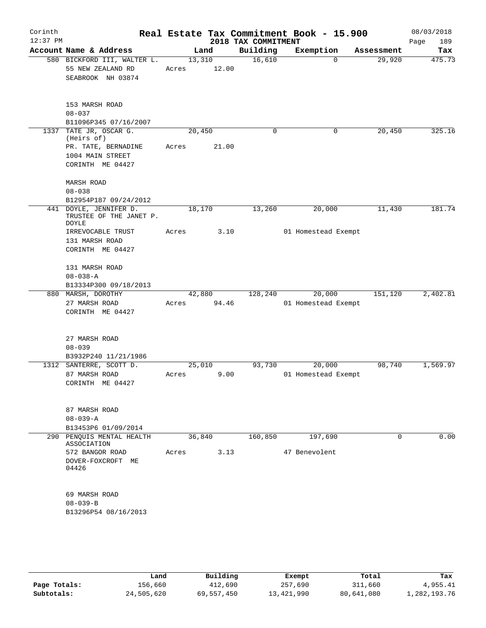| Corinth<br>$12:37$ PM |                                                                            |       |        |       | 2018 TAX COMMITMENT | Real Estate Tax Commitment Book - 15.900 |            | 08/03/2018<br>189<br>Page |
|-----------------------|----------------------------------------------------------------------------|-------|--------|-------|---------------------|------------------------------------------|------------|---------------------------|
|                       | Account Name & Address                                                     |       | Land   |       | Building            | Exemption                                | Assessment | Tax                       |
|                       | 580 BICKFORD III, WALTER L.<br>55 NEW ZEALAND RD<br>SEABROOK NH 03874      | Acres | 13,310 | 12.00 | 16,610              | $\Omega$                                 | 29,920     | 475.73                    |
|                       | 153 MARSH ROAD<br>$08 - 037$<br>B11096P345 07/16/2007                      |       |        |       |                     |                                          |            |                           |
| 1337                  | TATE JR, OSCAR G.<br>(Heirs of)                                            |       | 20,450 |       | $\mathbf 0$         | 0                                        | 20,450     | 325.16                    |
|                       | PR. TATE, BERNADINE<br>1004 MAIN STREET<br>CORINTH ME 04427                | Acres |        | 21.00 |                     |                                          |            |                           |
|                       | <b>MARSH ROAD</b><br>$08 - 038$                                            |       |        |       |                     |                                          |            |                           |
|                       | B12954P187 09/24/2012<br>441 DOYLE, JENNIFER D.<br>TRUSTEE OF THE JANET P. |       | 18,170 |       | 13,260              | 20,000                                   | 11,430     | 181.74                    |
|                       | DOYLE<br>IRREVOCABLE TRUST<br>131 MARSH ROAD<br>CORINTH ME 04427           | Acres |        | 3.10  |                     | 01 Homestead Exempt                      |            |                           |
|                       | 131 MARSH ROAD<br>$08 - 038 - A$<br>B13334P300 09/18/2013                  |       |        |       |                     |                                          |            |                           |
|                       | 880 MARSH, DOROTHY                                                         |       | 42,880 |       | 128,240             | 20,000                                   | 151,120    | 2,402.81                  |
|                       | 27 MARSH ROAD<br>CORINTH ME 04427                                          | Acres |        | 94.46 |                     | 01 Homestead Exempt                      |            |                           |
|                       | 27 MARSH ROAD<br>$08 - 039$<br>B3932P240 11/21/1986                        |       |        |       |                     |                                          |            |                           |
|                       | 1312 SANTERRE, SCOTT D.                                                    |       | 25,010 |       | 93,730              | 20,000                                   | 98,740     | 1,569.97                  |
|                       | 87 MARSH ROAD<br>CORINTH ME 04427                                          | Acres |        | 9.00  |                     | 01 Homestead Exempt                      |            |                           |
|                       | 87 MARSH ROAD<br>$08 - 039 - A$                                            |       |        |       |                     |                                          |            |                           |
|                       | B13453P6 01/09/2014<br>290 PENQUIS MENTAL HEALTH                           |       | 36,840 |       | 160,850             | 197,690                                  | 0          | 0.00                      |
|                       | ASSOCIATION                                                                |       |        |       |                     |                                          |            |                           |
|                       | 572 BANGOR ROAD<br>DOVER-FOXCROFT ME<br>04426                              | Acres |        | 3.13  |                     | 47 Benevolent                            |            |                           |
|                       | 69 MARSH ROAD<br>$08 - 039 - B$<br>B13296P54 08/16/2013                    |       |        |       |                     |                                          |            |                           |
|                       |                                                                            |       |        |       |                     |                                          |            |                           |

|              | Land       | Building   | Exempt     | Total      | Tax          |
|--------------|------------|------------|------------|------------|--------------|
| Page Totals: | 156,660    | 412,690    | 257,690    | 311,660    | 4,955.41     |
| Subtotals:   | 24,505,620 | 69,557,450 | 13,421,990 | 80,641,080 | 1,282,193.76 |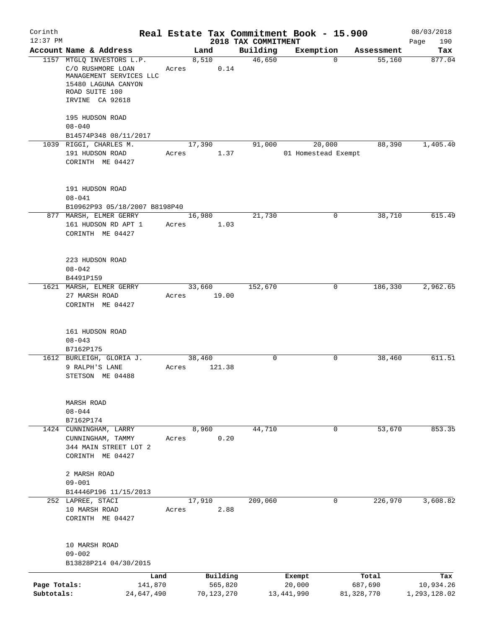| Corinth                    |                                                                                                                    |                 |                        |         |                                 | Real Estate Tax Commitment Book - 15.900 |                                     | 08/03/2018                       |
|----------------------------|--------------------------------------------------------------------------------------------------------------------|-----------------|------------------------|---------|---------------------------------|------------------------------------------|-------------------------------------|----------------------------------|
| $12:37$ PM                 | Account Name & Address                                                                                             |                 | Land                   |         | 2018 TAX COMMITMENT<br>Building | Exemption                                |                                     | 190<br>Page<br>Tax               |
|                            | 1157 MTGLQ INVESTORS L.P.<br>C/O RUSHMORE LOAN<br>MANAGEMENT SERVICES LLC<br>15480 LAGUNA CANYON<br>ROAD SUITE 100 | Acres           | 8,510                  | 0.14    | 46,650                          |                                          | Assessment<br>55,160<br>$\mathbf 0$ | 877.04                           |
|                            | IRVINE CA 92618<br>195 HUDSON ROAD<br>$08 - 040$                                                                   |                 |                        |         |                                 |                                          |                                     |                                  |
|                            | B14574P348 08/11/2017<br>1039 RIGGI, CHARLES M.                                                                    |                 | 17,390                 |         | 91,000                          | 20,000                                   | 88,390                              | 1,405.40                         |
|                            | 191 HUDSON ROAD<br>CORINTH ME 04427                                                                                | Acres           |                        | 1.37    |                                 | 01 Homestead Exempt                      |                                     |                                  |
|                            | 191 HUDSON ROAD<br>$08 - 041$<br>B10962P93 05/18/2007 B8198P40                                                     |                 |                        |         |                                 |                                          |                                     |                                  |
|                            | 877 MARSH, ELMER GERRY                                                                                             |                 | 16,980                 |         | 21,730                          |                                          | 38,710<br>0                         | 615.49                           |
|                            | 161 HUDSON RD APT 1<br>CORINTH ME 04427                                                                            | Acres           |                        | 1.03    |                                 |                                          |                                     |                                  |
|                            | 223 HUDSON ROAD<br>$08 - 042$<br>B4491P159                                                                         |                 |                        |         |                                 |                                          |                                     |                                  |
|                            | 1621 MARSH, ELMER GERRY                                                                                            |                 | 33,660                 |         | 152,670                         |                                          | 186,330<br>0                        | 2,962.65                         |
|                            | 27 MARSH ROAD<br>CORINTH ME 04427                                                                                  | Acres           |                        | 19.00   |                                 |                                          |                                     |                                  |
|                            | 161 HUDSON ROAD<br>$08 - 043$<br>B7162P175                                                                         |                 |                        |         |                                 |                                          |                                     |                                  |
|                            | 1612 BURLEIGH, GLORIA J.                                                                                           |                 | 38,460                 |         | $\mathbf 0$                     |                                          | 0<br>38,460                         | 611.51                           |
|                            | 9 RALPH'S LANE<br>STETSON ME 04488                                                                                 | Acres           | 121.38                 |         |                                 |                                          |                                     |                                  |
|                            | MARSH ROAD<br>$08 - 044$<br>B7162P174                                                                              |                 |                        |         |                                 |                                          |                                     |                                  |
|                            | 1424 CUNNINGHAM, LARRY                                                                                             |                 | 8,960                  |         | 44,710                          |                                          | 53,670<br>$\overline{0}$            | 853.35                           |
|                            | CUNNINGHAM, TAMMY<br>344 MAIN STREET LOT 2<br>CORINTH ME 04427                                                     | Acres           |                        | 0.20    |                                 |                                          |                                     |                                  |
|                            | 2 MARSH ROAD<br>$09 - 001$                                                                                         |                 |                        |         |                                 |                                          |                                     |                                  |
|                            | B14446P196 11/15/2013<br>252 LAPREE, STACI                                                                         |                 | 17,910                 |         | 209,060                         |                                          | 226,970<br>0                        | 3,608.82                         |
|                            | 10 MARSH ROAD<br>CORINTH ME 04427                                                                                  | Acres           |                        | 2.88    |                                 |                                          |                                     |                                  |
|                            | 10 MARSH ROAD<br>$09 - 002$<br>B13828P214 04/30/2015                                                               |                 |                        |         |                                 |                                          |                                     |                                  |
|                            |                                                                                                                    |                 |                        |         |                                 |                                          |                                     |                                  |
| Page Totals:<br>Subtotals: | 24,647,490                                                                                                         | Land<br>141,870 | Building<br>70,123,270 | 565,820 |                                 | Exempt<br>20,000<br>13, 441, 990         | Total<br>687,690<br>81, 328, 770    | Tax<br>10,934.26<br>1,293,128.02 |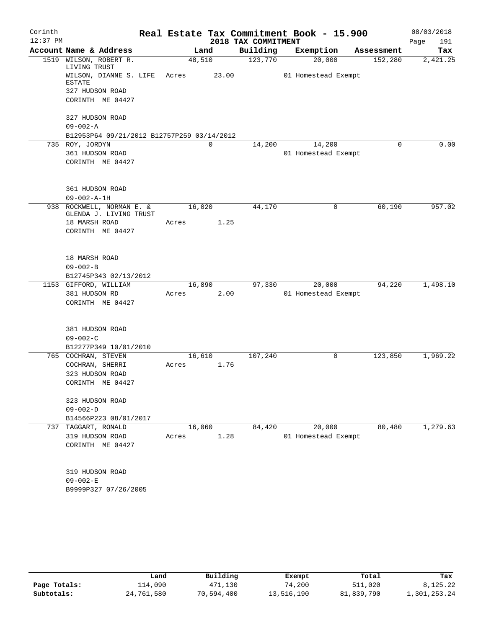| Corinth    |                                            |         |       |                     | Real Estate Tax Commitment Book - 15.900 |            | 08/03/2018  |
|------------|--------------------------------------------|---------|-------|---------------------|------------------------------------------|------------|-------------|
| $12:37$ PM |                                            |         |       | 2018 TAX COMMITMENT |                                          |            | Page<br>191 |
|            | Account Name & Address                     |         | Land  | Building            | Exemption                                | Assessment | Tax         |
|            | 1519 WILSON, ROBERT R.<br>LIVING TRUST     | 48,510  |       | 123,770             | 20,000                                   | 152,280    | 2,421.25    |
|            | WILSON, DIANNE S. LIFE<br><b>ESTATE</b>    | Acres   | 23.00 |                     | 01 Homestead Exempt                      |            |             |
|            | 327 HUDSON ROAD                            |         |       |                     |                                          |            |             |
|            | CORINTH ME 04427                           |         |       |                     |                                          |            |             |
|            | 327 HUDSON ROAD                            |         |       |                     |                                          |            |             |
|            | $09 - 002 - A$                             |         |       |                     |                                          |            |             |
|            | B12953P64 09/21/2012 B12757P259 03/14/2012 |         |       |                     |                                          |            |             |
|            | 735 ROY, JORDYN                            |         | 0     | 14,200              | 14,200                                   | 0          | 0.00        |
|            | 361 HUDSON ROAD                            |         |       |                     | 01 Homestead Exempt                      |            |             |
|            | CORINTH ME 04427                           |         |       |                     |                                          |            |             |
|            | 361 HUDSON ROAD                            |         |       |                     |                                          |            |             |
|            | $09 - 002 - A - 1H$                        |         |       |                     |                                          |            |             |
| 938        | ROCKWELL, NORMAN E. &                      | 16,020  |       | 44,170              | 0                                        | 60,190     | 957.02      |
|            | GLENDA J. LIVING TRUST<br>18 MARSH ROAD    | Acres   | 1.25  |                     |                                          |            |             |
|            | CORINTH ME 04427                           |         |       |                     |                                          |            |             |
|            |                                            |         |       |                     |                                          |            |             |
|            | 18 MARSH ROAD                              |         |       |                     |                                          |            |             |
|            | $09 - 002 - B$                             |         |       |                     |                                          |            |             |
|            | B12745P343 02/13/2012                      |         |       |                     |                                          |            |             |
|            | 1153 GIFFORD, WILLIAM                      | 16,890  |       | 97,330              | 20,000                                   | 94,220     | 1,498.10    |
|            | 381 HUDSON RD                              | Acres   | 2.00  |                     | 01 Homestead Exempt                      |            |             |
|            | CORINTH ME 04427                           |         |       |                     |                                          |            |             |
|            | 381 HUDSON ROAD                            |         |       |                     |                                          |            |             |
|            | $09 - 002 - C$                             |         |       |                     |                                          |            |             |
|            | B12277P349 10/01/2010                      |         |       |                     |                                          |            |             |
|            | 765 COCHRAN, STEVEN                        | 16, 610 |       | 107,240             | 0                                        | 123,850    | 1,969.22    |
|            | COCHRAN, SHERRI                            | Acres   | 1.76  |                     |                                          |            |             |
|            | 323 HUDSON ROAD                            |         |       |                     |                                          |            |             |
|            | CORINTH ME 04427                           |         |       |                     |                                          |            |             |
|            | 323 HUDSON ROAD                            |         |       |                     |                                          |            |             |
|            | $09 - 002 - D$                             |         |       |                     |                                          |            |             |
|            | B14566P223 08/01/2017                      |         |       |                     |                                          |            |             |
|            | 737 TAGGART, RONALD                        | 16,060  |       | 84,420              | 20,000                                   | 80,480     | 1,279.63    |
|            | 319 HUDSON ROAD                            | Acres   | 1.28  |                     | 01 Homestead Exempt                      |            |             |
|            | CORINTH ME 04427                           |         |       |                     |                                          |            |             |
|            | 319 HUDSON ROAD                            |         |       |                     |                                          |            |             |
|            | $09 - 002 - E$                             |         |       |                     |                                          |            |             |
|            | B9999P327 07/26/2005                       |         |       |                     |                                          |            |             |
|            |                                            |         |       |                     |                                          |            |             |

|              | Land       | Building   | Exempt     | Total      | Tax          |
|--------------|------------|------------|------------|------------|--------------|
| Page Totals: | ⊥14,090    | 471,130    | 74,200     | 511,020    | 8,125.22     |
| Subtotals:   | 24,761,580 | 70,594,400 | 13,516,190 | 81,839,790 | 1,301,253.24 |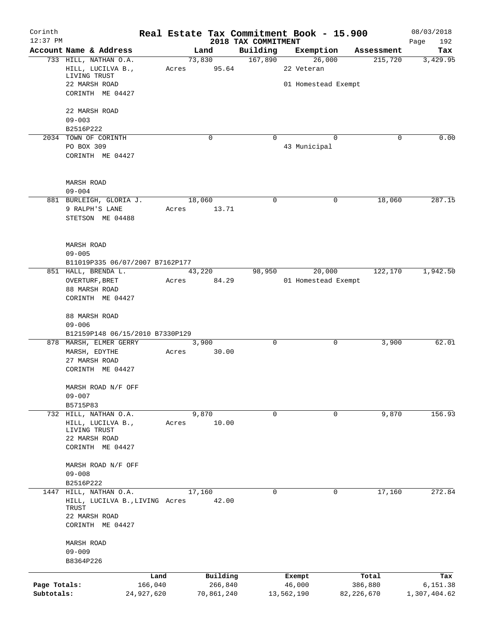| Corinth                    |                                                    |                       |        |                       |                     | Real Estate Tax Commitment Book - 15.900 |                         | 08/03/2018               |
|----------------------------|----------------------------------------------------|-----------------------|--------|-----------------------|---------------------|------------------------------------------|-------------------------|--------------------------|
| $12:37$ PM                 | Account Name & Address                             |                       |        |                       | 2018 TAX COMMITMENT |                                          |                         | Page<br>192              |
|                            | 733 HILL, NATHAN O.A.                              |                       | 73,830 | Land                  | Building<br>167,890 | Exemption<br>26,000                      | Assessment<br>215,720   | Tax                      |
|                            | HILL, LUCILVA B.,<br>LIVING TRUST                  |                       | Acres  | 95.64                 |                     | 22 Veteran                               |                         | 3,429.95                 |
|                            | 22 MARSH ROAD<br>CORINTH ME 04427                  |                       |        |                       |                     | 01 Homestead Exempt                      |                         |                          |
|                            | 22 MARSH ROAD                                      |                       |        |                       |                     |                                          |                         |                          |
|                            | $09 - 003$                                         |                       |        |                       |                     |                                          |                         |                          |
|                            | B2516P222                                          |                       |        |                       |                     |                                          |                         |                          |
|                            | 2034 TOWN OF CORINTH<br>PO BOX 309                 |                       |        | $\mathbf 0$           | $\Omega$            | $\Omega$<br>43 Municipal                 | $\Omega$                | 0.00                     |
|                            | CORINTH ME 04427                                   |                       |        |                       |                     |                                          |                         |                          |
|                            | MARSH ROAD                                         |                       |        |                       |                     |                                          |                         |                          |
|                            | $09 - 004$                                         |                       |        |                       |                     |                                          |                         |                          |
|                            | 881 BURLEIGH, GLORIA J.                            |                       | 18,060 |                       | 0                   |                                          | 0<br>18,060             | 287.15                   |
|                            | 9 RALPH'S LANE<br>STETSON ME 04488                 |                       | Acres  | 13.71                 |                     |                                          |                         |                          |
|                            | <b>MARSH ROAD</b><br>$09 - 005$                    |                       |        |                       |                     |                                          |                         |                          |
|                            | B11019P335 06/07/2007 B7162P177                    |                       |        |                       |                     |                                          |                         |                          |
|                            | 851 HALL, BRENDA L.                                |                       | 43,220 |                       | 98,950              | 20,000                                   | 122,170                 | 1,942.50                 |
|                            | OVERTURF, BRET                                     |                       | Acres  | 84.29                 |                     | 01 Homestead Exempt                      |                         |                          |
|                            | 88 MARSH ROAD<br>CORINTH ME 04427                  |                       |        |                       |                     |                                          |                         |                          |
|                            |                                                    |                       |        |                       |                     |                                          |                         |                          |
|                            | 88 MARSH ROAD<br>$09 - 006$                        |                       |        |                       |                     |                                          |                         |                          |
|                            | B12159P148 06/15/2010 B7330P129                    |                       |        |                       |                     |                                          |                         |                          |
|                            | 878 MARSH, ELMER GERRY                             |                       |        | 3,900                 | 0                   | 0                                        | 3,900                   | 62.01                    |
|                            | MARSH, EDYTHE<br>27 MARSH ROAD                     |                       | Acres  | 30.00                 |                     |                                          |                         |                          |
|                            | CORINTH ME 04427                                   |                       |        |                       |                     |                                          |                         |                          |
|                            | MARSH ROAD N/F OFF<br>$09 - 007$                   |                       |        |                       |                     |                                          |                         |                          |
|                            | B5715P83                                           |                       |        |                       |                     |                                          |                         |                          |
|                            | 732 HILL, NATHAN O.A.                              |                       |        | 9,870                 | 0                   |                                          | 0<br>9,870              | 156.93                   |
|                            | HILL, LUCILVA B.,<br>LIVING TRUST<br>22 MARSH ROAD |                       | Acres  | 10.00                 |                     |                                          |                         |                          |
|                            | CORINTH ME 04427                                   |                       |        |                       |                     |                                          |                         |                          |
|                            | MARSH ROAD N/F OFF                                 |                       |        |                       |                     |                                          |                         |                          |
|                            | $09 - 008$                                         |                       |        |                       |                     |                                          |                         |                          |
|                            | B2516P222                                          |                       |        |                       |                     |                                          |                         |                          |
| 1447                       | HILL, NATHAN O.A.                                  |                       | 17,160 |                       | 0                   | 0                                        | 17,160                  | 272.84                   |
|                            | HILL, LUCILVA B., LIVING Acres<br>TRUST            |                       |        | 42.00                 |                     |                                          |                         |                          |
|                            | 22 MARSH ROAD                                      |                       |        |                       |                     |                                          |                         |                          |
|                            | CORINTH ME 04427                                   |                       |        |                       |                     |                                          |                         |                          |
|                            | MARSH ROAD<br>$09 - 009$                           |                       |        |                       |                     |                                          |                         |                          |
|                            | B8364P226                                          |                       |        |                       |                     |                                          |                         |                          |
|                            |                                                    |                       |        |                       |                     |                                          |                         |                          |
|                            |                                                    | Land                  |        | Building              |                     | Exempt                                   | Total                   | Tax                      |
| Page Totals:<br>Subtotals: |                                                    | 166,040<br>24,927,620 |        | 266,840<br>70,861,240 |                     | 46,000<br>13,562,190                     | 386,880<br>82, 226, 670 | 6,151.38<br>1,307,404.62 |
|                            |                                                    |                       |        |                       |                     |                                          |                         |                          |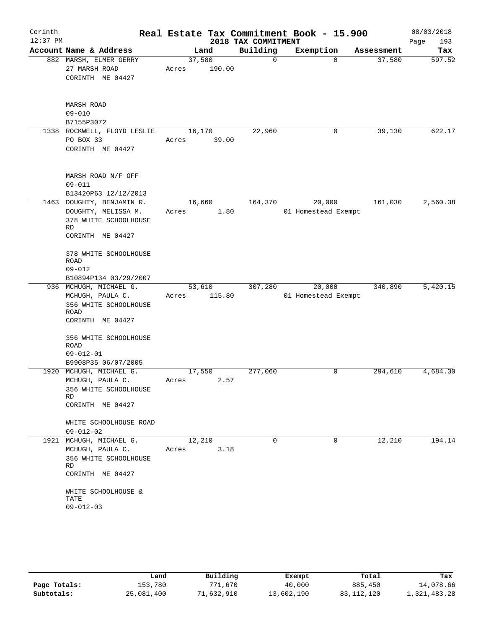| Corinth<br>$12:37$ PM |                                                                                                                                                                                   |                 |        | 2018 TAX COMMITMENT | Real Estate Tax Commitment Book - 15.900 |            | 08/03/2018<br>193<br>Page |
|-----------------------|-----------------------------------------------------------------------------------------------------------------------------------------------------------------------------------|-----------------|--------|---------------------|------------------------------------------|------------|---------------------------|
|                       | Account Name & Address                                                                                                                                                            |                 | Land   | Building            | Exemption                                | Assessment | Tax                       |
|                       | 882 MARSH, ELMER GERRY<br>27 MARSH ROAD<br>CORINTH ME 04427                                                                                                                       | 37,580<br>Acres | 190.00 | $\mathbf 0$         | $\Omega$                                 | 37,580     | 597.52                    |
|                       | <b>MARSH ROAD</b><br>$09 - 010$<br>B7155P3072                                                                                                                                     |                 |        |                     |                                          |            |                           |
|                       | 1338 ROCKWELL, FLOYD LESLIE<br>PO BOX 33<br>CORINTH ME 04427                                                                                                                      | 16,170<br>Acres | 39.00  | 22,960              | 0                                        | 39,130     | 622.17                    |
|                       | MARSH ROAD N/F OFF<br>$09 - 011$<br>B13420P63 12/12/2013                                                                                                                          |                 |        |                     |                                          |            |                           |
|                       | 1463 DOUGHTY, BENJAMIN R.<br>DOUGHTY, MELISSA M.<br>378 WHITE SCHOOLHOUSE<br>RD<br>CORINTH ME 04427<br>378 WHITE SCHOOLHOUSE<br>ROAD<br>$09 - 012$                                | 16,660<br>Acres | 1.80   | 164,370             | 20,000<br>01 Homestead Exempt            | 161,030    | 2,560.38                  |
|                       | B10894P134 03/29/2007                                                                                                                                                             |                 |        |                     |                                          |            |                           |
|                       | 936 MCHUGH, MICHAEL G.<br>MCHUGH, PAULA C.<br>356 WHITE SCHOOLHOUSE<br>ROAD<br>CORINTH ME 04427<br>356 WHITE SCHOOLHOUSE<br><b>ROAD</b><br>$09 - 012 - 01$<br>B9908P35 06/07/2005 | 53,610<br>Acres | 115.80 | 307,280             | 20,000<br>01 Homestead Exempt            | 340,890    | 5,420.15                  |
|                       | 1920 MCHUGH, MICHAEL G.<br>MCHUGH, PAULA C.<br>356 WHITE SCHOOLHOUSE<br>RD<br>CORINTH ME 04427<br>WHITE SCHOOLHOUSE ROAD                                                          | 17,550<br>Acres | 2.57   | 277,060             | 0                                        | 294,610    | 4,684.30                  |
|                       | $09 - 012 - 02$                                                                                                                                                                   |                 |        |                     |                                          |            |                           |
|                       | 1921 MCHUGH, MICHAEL G.<br>MCHUGH, PAULA C.<br>356 WHITE SCHOOLHOUSE<br><b>RD</b><br>CORINTH ME 04427<br>WHITE SCHOOLHOUSE &<br>TATE<br>$09 - 012 - 03$                           | 12,210<br>Acres | 3.18   | $\mathbf 0$         | $\Omega$                                 | 12,210     | 194.14                    |

|              | Land       | Building  | Exempt     | Total        | Tax          |
|--------------|------------|-----------|------------|--------------|--------------|
| Page Totals: | 153,780    | 771,670   | 40,000     | 885,450      | 14,078.66    |
| Subtotals:   | 25,081,400 | 1,632,910 | 13,602,190 | 83, 112, 120 | 1,321,483.28 |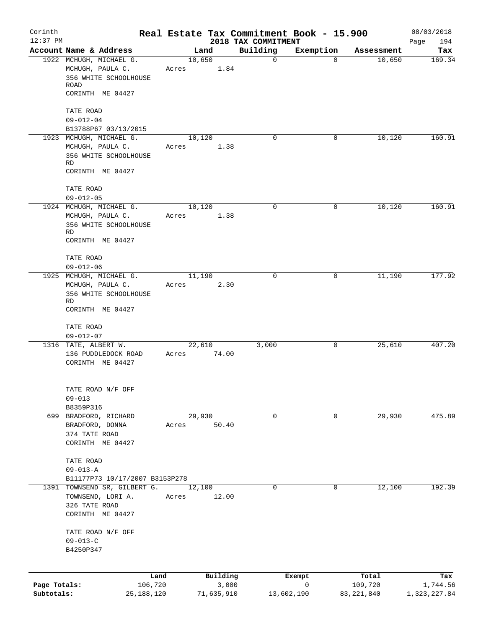| Corinth<br>$12:37$ PM      |                                                                                                  |                 |                                 | 2018 TAX COMMITMENT | Real Estate Tax Commitment Book - 15.900 |                                  | 08/03/2018<br>194<br>Page       |
|----------------------------|--------------------------------------------------------------------------------------------------|-----------------|---------------------------------|---------------------|------------------------------------------|----------------------------------|---------------------------------|
|                            | Account Name & Address                                                                           |                 | Land                            | Building            | Exemption                                | Assessment                       | Tax                             |
|                            | 1922 MCHUGH, MICHAEL G.<br>MCHUGH, PAULA C.<br>356 WHITE SCHOOLHOUSE<br>ROAD<br>CORINTH ME 04427 | 10,650<br>Acres | 1.84                            | $\mathbf 0$         | $\mathbf 0$                              | 10,650                           | 169.34                          |
|                            | TATE ROAD<br>$09 - 012 - 04$                                                                     |                 |                                 |                     |                                          |                                  |                                 |
|                            | B13788P67 03/13/2015                                                                             |                 |                                 |                     |                                          |                                  |                                 |
|                            | 1923 MCHUGH, MICHAEL G.<br>MCHUGH, PAULA C.<br>356 WHITE SCHOOLHOUSE<br>RD<br>CORINTH ME 04427   | 10,120<br>Acres | 1.38                            | $\Omega$            | 0                                        | 10,120                           | 160.91                          |
|                            | TATE ROAD<br>$09 - 012 - 05$                                                                     |                 |                                 |                     |                                          |                                  |                                 |
|                            | 1924 MCHUGH, MICHAEL G.                                                                          | 10,120          |                                 | $\Omega$            | $\mathbf 0$                              | 10,120                           | 160.91                          |
|                            | MCHUGH, PAULA C.<br>356 WHITE SCHOOLHOUSE<br>RD<br>CORINTH ME 04427                              | Acres           | 1.38                            |                     |                                          |                                  |                                 |
|                            | TATE ROAD<br>$09 - 012 - 06$                                                                     |                 |                                 |                     |                                          |                                  |                                 |
|                            | 1925 MCHUGH, MICHAEL G.<br>MCHUGH, PAULA C.<br>356 WHITE SCHOOLHOUSE<br>RD<br>CORINTH ME 04427   | 11,190<br>Acres | 2.30                            | 0                   | 0                                        | 11,190                           | 177.92                          |
|                            | TATE ROAD<br>$09 - 012 - 07$                                                                     |                 |                                 |                     |                                          |                                  |                                 |
|                            | 1316 TATE, ALBERT W.<br>136 PUDDLEDOCK ROAD<br>CORINTH ME 04427                                  | Acres           | 22,610<br>74.00                 | 3,000               | 0                                        | 25,610                           | 407.20                          |
|                            | TATE ROAD N/F OFF<br>$09 - 013$                                                                  |                 |                                 |                     |                                          |                                  |                                 |
|                            | B8359P316<br>699 BRADFORD, RICHARD<br>BRADFORD, DONNA<br>374 TATE ROAD<br>CORINTH ME 04427       | 29,930<br>Acres | 50.40                           | 0                   | 0                                        | 29,930                           | 475.89                          |
|                            | TATE ROAD<br>$09 - 013 - A$<br>B11177P73 10/17/2007 B3153P278                                    |                 |                                 |                     |                                          |                                  |                                 |
| 1391                       | TOWNSEND SR, GILBERT G.<br>TOWNSEND, LORI A.<br>326 TATE ROAD<br>CORINTH ME 04427                | 12,100<br>Acres | 12.00                           | 0                   | 0                                        | 12,100                           | 192.39                          |
|                            | TATE ROAD N/F OFF<br>$09 - 013 - C$<br>B4250P347                                                 |                 |                                 |                     |                                          |                                  |                                 |
|                            |                                                                                                  |                 |                                 |                     |                                          |                                  |                                 |
| Page Totals:<br>Subtotals: | Land<br>106,720<br>25, 188, 120                                                                  |                 | Building<br>3,000<br>71,635,910 |                     | Exempt<br>0<br>13,602,190                | Total<br>109,720<br>83, 221, 840 | Tax<br>1,744.56<br>1,323,227.84 |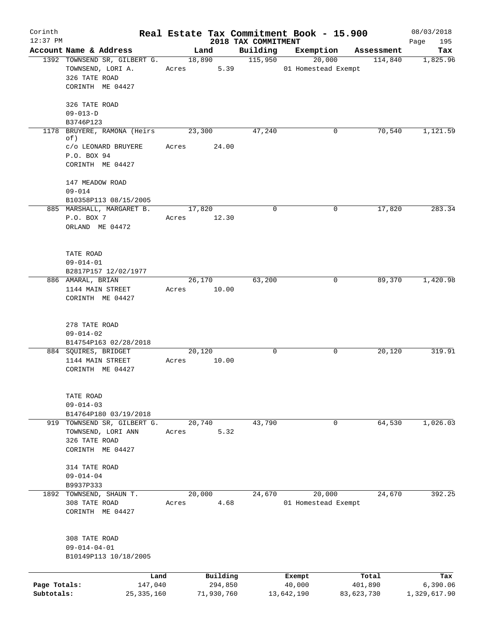| Corinth<br>$12:37$ PM      |                                                                                              | Real Estate Tax Commitment Book - 15.900 |                                 |                               |                       | 08/03/2018               |
|----------------------------|----------------------------------------------------------------------------------------------|------------------------------------------|---------------------------------|-------------------------------|-----------------------|--------------------------|
|                            | Account Name & Address                                                                       | Land                                     | 2018 TAX COMMITMENT<br>Building | Exemption                     | Assessment            | 195<br>Page<br>Tax       |
|                            | 1392 TOWNSEND SR, GILBERT G.<br>TOWNSEND, LORI A.<br>326 TATE ROAD<br>CORINTH ME 04427       | 18,890<br>5.39<br>Acres                  | 115,950                         | 20,000<br>01 Homestead Exempt | 114,840               | 1,825.96                 |
|                            | 326 TATE ROAD<br>$09 - 013 - D$<br>B3746P123                                                 |                                          |                                 |                               |                       |                          |
|                            | 1178 BRUYERE, RAMONA (Heirs<br>of)<br>c/o LEONARD BRUYERE<br>P.O. BOX 94<br>CORINTH ME 04427 | 23,300<br>24.00<br>Acres                 | 47,240                          | 0                             | 70,540                | 1,121.59                 |
|                            | 147 MEADOW ROAD<br>$09 - 014$<br>B10358P113 08/15/2005<br>885 MARSHALL, MARGARET B.          | 17,820                                   | $\mathbf 0$                     | 0                             | 17,820                | 283.34                   |
|                            | P.O. BOX 7<br>ORLAND ME 04472                                                                | Acres 12.30                              |                                 |                               |                       |                          |
|                            | TATE ROAD<br>$09 - 014 - 01$<br>B2817P157 12/02/1977                                         |                                          |                                 |                               |                       |                          |
|                            | 886 AMARAL, BRIAN<br>1144 MAIN STREET<br>CORINTH ME 04427                                    | 26,170<br>Acres 10.00                    | 63,200                          | 0                             | 89,370                | 1,420.98                 |
|                            | 278 TATE ROAD<br>$09 - 014 - 02$<br>B14754P163 02/28/2018                                    |                                          |                                 |                               |                       |                          |
|                            | 884 SQUIRES, BRIDGET<br>1144 MAIN STREET<br>CORINTH ME 04427                                 | 20,120<br>10.00<br>Acres                 | $\mathbf 0$                     | 0                             | 20,120                | 319.91                   |
|                            | TATE ROAD<br>$09 - 014 - 03$<br>B14764P180 03/19/2018                                        |                                          |                                 |                               |                       |                          |
|                            | 919 TOWNSEND SR, GILBERT G.<br>TOWNSEND, LORI ANN<br>326 TATE ROAD<br>CORINTH ME 04427       | 20,740<br>5.32<br>Acres                  | 43,790                          | 0                             | 64,530                | 1,026.03                 |
|                            | 314 TATE ROAD<br>$09 - 014 - 04$<br>B9937P333                                                |                                          |                                 |                               |                       |                          |
|                            | 1892 TOWNSEND, SHAUN T.<br>308 TATE ROAD<br>CORINTH ME 04427                                 | 20,000<br>4.68<br>Acres                  | 24,670                          | 20,000<br>01 Homestead Exempt | 24,670                | 392.25                   |
|                            | 308 TATE ROAD<br>$09 - 014 - 04 - 01$<br>B10149P113 10/18/2005                               |                                          |                                 |                               |                       |                          |
|                            | Land                                                                                         | Building                                 |                                 | Exempt                        | Total                 | Tax                      |
| Page Totals:<br>Subtotals: | 147,040<br>25,335,160                                                                        | 294,850<br>71,930,760                    |                                 | 40,000<br>13,642,190          | 401,890<br>83,623,730 | 6,390.06<br>1,329,617.90 |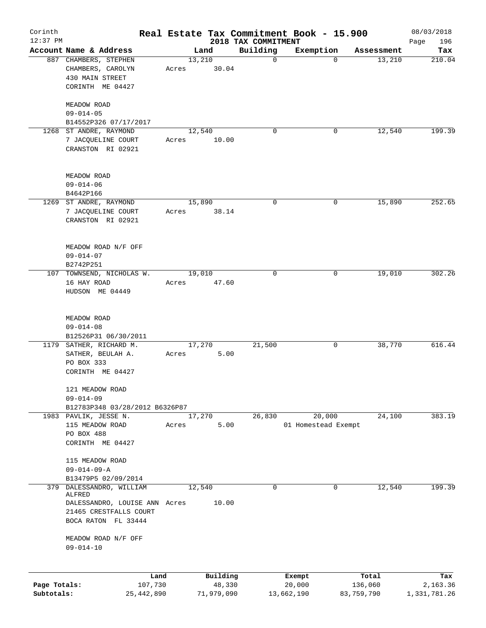| Corinth      |                                                   |       |                |                         | Real Estate Tax Commitment Book - 15.900 |                      | 08/03/2018    |
|--------------|---------------------------------------------------|-------|----------------|-------------------------|------------------------------------------|----------------------|---------------|
| $12:37$ PM   |                                                   |       |                | 2018 TAX COMMITMENT     |                                          |                      | 196<br>Page   |
|              | Account Name & Address<br>887 CHAMBERS, STEPHEN   |       | Land<br>13,210 | Building<br>$\mathbf 0$ | Exemption<br>0                           | Assessment<br>13,210 | Tax<br>210.04 |
|              | CHAMBERS, CAROLYN                                 | Acres | 30.04          |                         |                                          |                      |               |
|              | 430 MAIN STREET                                   |       |                |                         |                                          |                      |               |
|              | CORINTH ME 04427                                  |       |                |                         |                                          |                      |               |
|              |                                                   |       |                |                         |                                          |                      |               |
|              | MEADOW ROAD                                       |       |                |                         |                                          |                      |               |
|              | $09 - 014 - 05$                                   |       |                |                         |                                          |                      |               |
|              | B14552P326 07/17/2017                             |       |                |                         |                                          |                      |               |
|              | 1268 ST ANDRE, RAYMOND                            |       | 12,540         | $\mathbf 0$             | 0                                        | 12,540               | 199.39        |
|              | 7 JACQUELINE COURT                                | Acres | 10.00          |                         |                                          |                      |               |
|              | CRANSTON RI 02921                                 |       |                |                         |                                          |                      |               |
|              |                                                   |       |                |                         |                                          |                      |               |
|              |                                                   |       |                |                         |                                          |                      |               |
|              | MEADOW ROAD<br>$09 - 014 - 06$                    |       |                |                         |                                          |                      |               |
|              | B4642P166                                         |       |                |                         |                                          |                      |               |
|              | 1269 ST ANDRE, RAYMOND                            |       | 15,890         | $\mathbf 0$             | 0                                        | 15,890               | 252.65        |
|              | 7 JACQUELINE COURT                                | Acres | 38.14          |                         |                                          |                      |               |
|              | CRANSTON RI 02921                                 |       |                |                         |                                          |                      |               |
|              |                                                   |       |                |                         |                                          |                      |               |
|              |                                                   |       |                |                         |                                          |                      |               |
|              | MEADOW ROAD N/F OFF                               |       |                |                         |                                          |                      |               |
|              | $09 - 014 - 07$                                   |       |                |                         |                                          |                      |               |
|              | B2742P251                                         |       |                |                         |                                          |                      |               |
|              | 107 TOWNSEND, NICHOLAS W.                         |       | 19,010         | $\mathbf 0$             | 0                                        | 19,010               | 302.26        |
|              | 16 HAY ROAD                                       | Acres | 47.60          |                         |                                          |                      |               |
|              | HUDSON ME 04449                                   |       |                |                         |                                          |                      |               |
|              |                                                   |       |                |                         |                                          |                      |               |
|              | MEADOW ROAD                                       |       |                |                         |                                          |                      |               |
|              | $09 - 014 - 08$                                   |       |                |                         |                                          |                      |               |
|              | B12526P31 06/30/2011                              |       |                |                         |                                          |                      |               |
| 1179         | SATHER, RICHARD M.                                |       | 17,270         | 21,500                  | 0                                        | 38,770               | 616.44        |
|              | SATHER, BEULAH A.                                 | Acres | 5.00           |                         |                                          |                      |               |
|              | PO BOX 333                                        |       |                |                         |                                          |                      |               |
|              | CORINTH ME 04427                                  |       |                |                         |                                          |                      |               |
|              |                                                   |       |                |                         |                                          |                      |               |
|              | 121 MEADOW ROAD                                   |       |                |                         |                                          |                      |               |
|              | $09 - 014 - 09$<br>B12783P348 03/28/2012 B6326P87 |       |                |                         |                                          |                      |               |
|              | 1983 PAVLIK, JESSE N.                             |       | 17,270         | 26,830                  | 20,000                                   | 24,100               | 383.19        |
|              | 115 MEADOW ROAD                                   | Acres | 5.00           |                         | 01 Homestead Exempt                      |                      |               |
|              | PO BOX 488                                        |       |                |                         |                                          |                      |               |
|              | CORINTH ME 04427                                  |       |                |                         |                                          |                      |               |
|              |                                                   |       |                |                         |                                          |                      |               |
|              | 115 MEADOW ROAD                                   |       |                |                         |                                          |                      |               |
|              | $09 - 014 - 09 - A$                               |       |                |                         |                                          |                      |               |
|              | B13479P5 02/09/2014                               |       |                |                         |                                          |                      |               |
|              | 379 DALESSANDRO, WILLIAM                          |       | 12,540         | 0                       | 0                                        | 12,540               | 199.39        |
|              | ALFRED<br>DALESSANDRO, LOUISE ANN Acres           |       | 10.00          |                         |                                          |                      |               |
|              | 21465 CRESTFALLS COURT                            |       |                |                         |                                          |                      |               |
|              | BOCA RATON FL 33444                               |       |                |                         |                                          |                      |               |
|              |                                                   |       |                |                         |                                          |                      |               |
|              | MEADOW ROAD N/F OFF                               |       |                |                         |                                          |                      |               |
|              | $09 - 014 - 10$                                   |       |                |                         |                                          |                      |               |
|              |                                                   |       |                |                         |                                          |                      |               |
|              | Land                                              |       | Building       |                         | Exempt                                   | Total                | Tax           |
| Page Totals: | 107,730                                           |       | 48,330         |                         | 20,000                                   | 136,060              | 2,163.36      |
| Subtotals:   | 25, 442, 890                                      |       | 71,979,090     |                         | 13,662,190                               | 83,759,790           | 1,331,781.26  |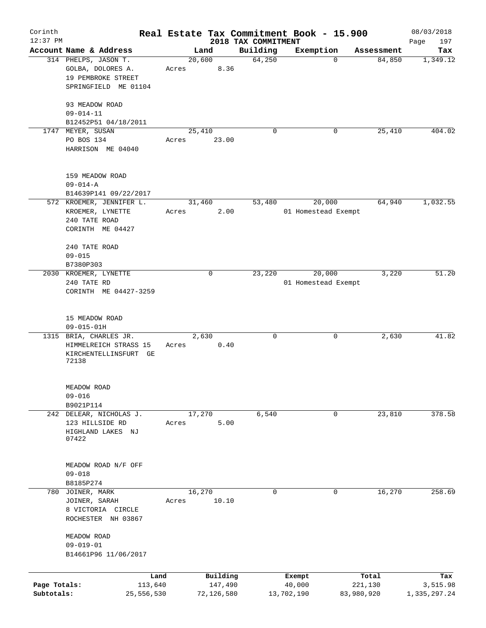|                            |                                                                                         |                 |                       |                                 | Real Estate Tax Commitment Book - 15.900 |                       | 08/03/2018               |
|----------------------------|-----------------------------------------------------------------------------------------|-----------------|-----------------------|---------------------------------|------------------------------------------|-----------------------|--------------------------|
| $12:37$ PM                 | Account Name & Address                                                                  | Land            |                       | 2018 TAX COMMITMENT<br>Building | Exemption                                |                       | 197<br>Page              |
|                            | 314 PHELPS, JASON T.<br>GOLBA, DOLORES A.<br>19 PEMBROKE STREET<br>SPRINGFIELD ME 01104 | 20,600<br>Acres | 8.36                  | 64,250                          | $\mathbf 0$                              | Assessment<br>84,850  | Tax<br>1,349.12          |
|                            | 93 MEADOW ROAD<br>$09 - 014 - 11$<br>B12452P51 04/18/2011                               |                 |                       |                                 |                                          |                       |                          |
|                            | 1747 MEYER, SUSAN<br>PO BOS 134<br>HARRISON ME 04040                                    | 25,410<br>Acres | 23.00                 | $\mathbf 0$                     | 0                                        | 25,410                | 404.02                   |
|                            | 159 MEADOW ROAD<br>$09 - 014 - A$<br>B14639P141 09/22/2017                              |                 |                       |                                 |                                          |                       |                          |
|                            | 572 KROEMER, JENNIFER L.<br>KROEMER, LYNETTE<br>240 TATE ROAD<br>CORINTH ME 04427       | 31,460<br>Acres | 2.00                  | 53,480                          | 20,000<br>01 Homestead Exempt            | 64,940                | 1,032.55                 |
|                            | 240 TATE ROAD<br>$09 - 015$<br>B7380P303                                                |                 |                       |                                 |                                          |                       |                          |
|                            | 2030 KROEMER, LYNETTE<br>240 TATE RD<br>CORINTH ME 04427-3259                           |                 | 0                     | 23,220                          | 20,000<br>01 Homestead Exempt            | 3,220                 | 51.20                    |
|                            | 15 MEADOW ROAD<br>$09 - 015 - 01H$                                                      |                 |                       |                                 |                                          |                       |                          |
|                            | 1315 BRIA, CHARLES JR.<br>HIMMELREICH STRASS 15<br>KIRCHENTELLINSFURT GE<br>72138       | 2,630<br>Acres  | 0.40                  | 0                               | 0                                        | 2,630                 | 41.82                    |
|                            | MEADOW ROAD<br>$09 - 016$<br>B9021P114                                                  |                 |                       |                                 |                                          |                       |                          |
|                            | 242 DELEAR, NICHOLAS J.<br>123 HILLSIDE RD<br>HIGHLAND LAKES NJ<br>07422                | 17,270<br>Acres | 5.00                  | 6,540                           | 0                                        | 23,810                | 378.58                   |
|                            | MEADOW ROAD N/F OFF<br>$09 - 018$<br>B8185P274                                          |                 |                       |                                 |                                          |                       |                          |
|                            | 780 JOINER, MARK<br>JOINER, SARAH<br>8 VICTORIA CIRCLE<br>ROCHESTER NH 03867            | 16,270<br>Acres | 10.10                 | 0                               | 0                                        | 16,270                | 258.69                   |
|                            | MEADOW ROAD<br>$09 - 019 - 01$<br>B14661P96 11/06/2017                                  |                 |                       |                                 |                                          |                       |                          |
|                            | Land                                                                                    |                 | Building              |                                 | Exempt                                   | Total                 | Tax                      |
| Page Totals:<br>Subtotals: | 113,640<br>25,556,530                                                                   |                 | 147,490<br>72,126,580 |                                 | 40,000<br>13,702,190                     | 221,130<br>83,980,920 | 3,515.98<br>1,335,297.24 |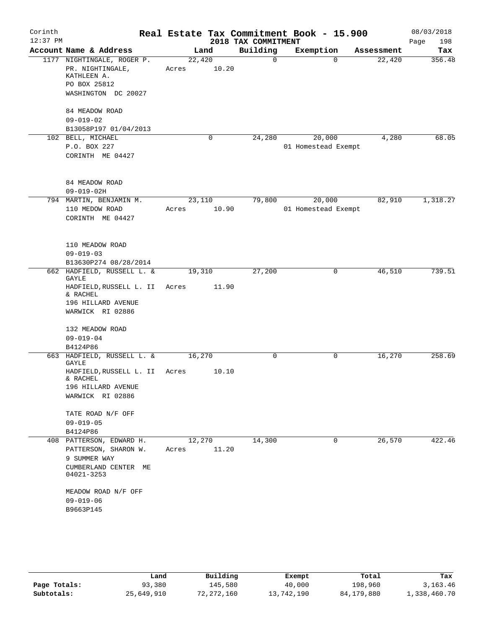| Corinth    |                                                                                                        |                 |             |                      | Real Estate Tax Commitment Book - 15.900 |            | 08/03/2018  |
|------------|--------------------------------------------------------------------------------------------------------|-----------------|-------------|----------------------|------------------------------------------|------------|-------------|
| $12:37$ PM |                                                                                                        |                 |             | 2018 TAX COMMITMENT  |                                          |            | Page<br>198 |
|            | Account Name & Address<br>1177 NIGHTINGALE, ROGER P.                                                   | Land            |             | Building<br>$\Omega$ | Exemption<br>$\Omega$                    | Assessment | Tax         |
|            | PR. NIGHTINGALE,<br>KATHLEEN A.<br>PO BOX 25812<br>WASHINGTON DC 20027                                 | 22,420<br>Acres | 10.20       |                      |                                          | 22,420     | 356.48      |
|            | 84 MEADOW ROAD<br>$09 - 019 - 02$<br>B13058P197 01/04/2013                                             |                 |             |                      |                                          |            |             |
|            | 102 BELL, MICHAEL<br>P.O. BOX 227<br>CORINTH ME 04427                                                  |                 | $\mathbf 0$ | 24,280               | 20,000<br>01 Homestead Exempt            | 4,280      | 68.05       |
|            | 84 MEADOW ROAD<br>$09 - 019 - 02H$                                                                     |                 |             |                      |                                          |            |             |
|            | 794 MARTIN, BENJAMIN M.<br>110 MEDOW ROAD<br>CORINTH ME 04427                                          | 23,110<br>Acres | 10.90       | 79,800               | 20,000<br>01 Homestead Exempt            | 82,910     | 1,318.27    |
|            | 110 MEADOW ROAD<br>$09 - 019 - 03$<br>B13630P274 08/28/2014                                            |                 |             |                      |                                          |            |             |
|            | 662 HADFIELD, RUSSELL L. &<br>GAYLE<br>HADFIELD, RUSSELL L. II                                         | 19,310<br>Acres | 11.90       | 27,200               | 0                                        | 46,510     | 739.51      |
|            | & RACHEL<br>196 HILLARD AVENUE<br>WARWICK RI 02886                                                     |                 |             |                      |                                          |            |             |
|            | 132 MEADOW ROAD<br>$09 - 019 - 04$                                                                     |                 |             |                      |                                          |            |             |
|            | B4124P86<br>663 HADFIELD, RUSSELL L. &                                                                 | 16,270          |             | 0                    | 0                                        | 16,270     | 258.69      |
|            | GAYLE<br>HADFIELD, RUSSELL L. II                                                                       | Acres           | 10.10       |                      |                                          |            |             |
|            | & RACHEL<br>196 HILLARD AVENUE<br>WARWICK RI 02886                                                     |                 |             |                      |                                          |            |             |
|            | TATE ROAD N/F OFF<br>$09 - 019 - 05$                                                                   |                 |             |                      |                                          |            |             |
|            | B4124P86                                                                                               |                 |             |                      |                                          |            |             |
|            | 408 PATTERSON, EDWARD H.<br>PATTERSON, SHARON W.<br>9 SUMMER WAY<br>CUMBERLAND CENTER ME<br>04021-3253 | 12,270<br>Acres | 11.20       | 14,300               | 0                                        | 26,570     | 422.46      |
|            | MEADOW ROAD N/F OFF<br>$09 - 019 - 06$<br>B9663P145                                                    |                 |             |                      |                                          |            |             |

|              | Land       | Building     | Exempt     | Total      | Tax          |
|--------------|------------|--------------|------------|------------|--------------|
| Page Totals: | 93,380     | 145,580      | 40,000     | 198,960    | 3, 163, 46   |
| Subtotals:   | 25,649,910 | 72, 272, 160 | 13,742,190 | 84,179,880 | 1,338,460.70 |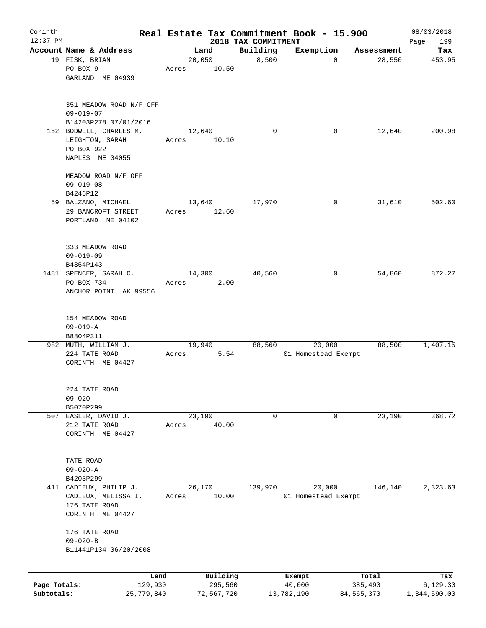| Corinth<br>$12:37$ PM |                         |         |       |            |                                 | Real Estate Tax Commitment Book - 15.900 |              | 08/03/2018         |
|-----------------------|-------------------------|---------|-------|------------|---------------------------------|------------------------------------------|--------------|--------------------|
|                       | Account Name & Address  |         |       | Land       | 2018 TAX COMMITMENT<br>Building | Exemption                                | Assessment   | 199<br>Page<br>Tax |
|                       | 19 FISK, BRIAN          |         |       | 20,050     | 8,500                           | $\mathbf 0$                              | 28,550       | 453.95             |
|                       | PO BOX 9                |         | Acres | 10.50      |                                 |                                          |              |                    |
|                       | GARLAND ME 04939        |         |       |            |                                 |                                          |              |                    |
|                       | 351 MEADOW ROAD N/F OFF |         |       |            |                                 |                                          |              |                    |
|                       | $09 - 019 - 07$         |         |       |            |                                 |                                          |              |                    |
|                       | B14203P278 07/01/2016   |         |       |            |                                 |                                          |              |                    |
|                       | 152 BODWELL, CHARLES M. |         |       | 12,640     | $\Omega$                        | 0                                        | 12,640       | 200.98             |
|                       | LEIGHTON, SARAH         |         | Acres | 10.10      |                                 |                                          |              |                    |
|                       | PO BOX 922              |         |       |            |                                 |                                          |              |                    |
|                       | NAPLES ME 04055         |         |       |            |                                 |                                          |              |                    |
|                       | MEADOW ROAD N/F OFF     |         |       |            |                                 |                                          |              |                    |
|                       | $09 - 019 - 08$         |         |       |            |                                 |                                          |              |                    |
|                       | B4246P12                |         |       |            |                                 |                                          |              |                    |
|                       | 59 BALZANO, MICHAEL     |         |       | 13,640     | 17,970                          | 0                                        | 31,610       | 502.60             |
|                       | 29 BANCROFT STREET      |         | Acres | 12.60      |                                 |                                          |              |                    |
|                       | PORTLAND ME 04102       |         |       |            |                                 |                                          |              |                    |
|                       |                         |         |       |            |                                 |                                          |              |                    |
|                       | 333 MEADOW ROAD         |         |       |            |                                 |                                          |              |                    |
|                       | $09 - 019 - 09$         |         |       |            |                                 |                                          |              |                    |
|                       | B4354P143               |         |       |            |                                 |                                          |              |                    |
|                       | 1481 SPENCER, SARAH C.  |         |       | 14,300     | 40,560                          | 0                                        | 54,860       | 872.27             |
|                       | PO BOX 734              |         | Acres | 2.00       |                                 |                                          |              |                    |
|                       | ANCHOR POINT AK 99556   |         |       |            |                                 |                                          |              |                    |
|                       |                         |         |       |            |                                 |                                          |              |                    |
|                       | 154 MEADOW ROAD         |         |       |            |                                 |                                          |              |                    |
|                       | $09 - 019 - A$          |         |       |            |                                 |                                          |              |                    |
|                       | B8804P311               |         |       |            |                                 |                                          |              |                    |
|                       | 982 MUTH, WILLIAM J.    |         |       | 19,940     | 88,560                          | 20,000                                   | 88,500       | 1,407.15           |
|                       | 224 TATE ROAD           |         | Acres | 5.54       |                                 | 01 Homestead Exempt                      |              |                    |
|                       | CORINTH ME 04427        |         |       |            |                                 |                                          |              |                    |
|                       |                         |         |       |            |                                 |                                          |              |                    |
|                       | 224 TATE ROAD           |         |       |            |                                 |                                          |              |                    |
|                       | $09 - 020$              |         |       |            |                                 |                                          |              |                    |
|                       | B5070P299               |         |       |            |                                 |                                          |              |                    |
| 507                   | EASLER, DAVID J.        |         |       | 23,190     | 0                               | 0                                        | 23,190       | 368.72             |
|                       | 212 TATE ROAD           |         | Acres | 40.00      |                                 |                                          |              |                    |
|                       | CORINTH ME 04427        |         |       |            |                                 |                                          |              |                    |
|                       |                         |         |       |            |                                 |                                          |              |                    |
|                       | TATE ROAD               |         |       |            |                                 |                                          |              |                    |
|                       | $09 - 020 - A$          |         |       |            |                                 |                                          |              |                    |
|                       | B4203P299               |         |       |            |                                 |                                          |              |                    |
| 411                   | CADIEUX, PHILIP J.      |         |       | 26,170     | 139,970                         | 20,000                                   | 146,140      | 2,323.63           |
|                       | CADIEUX, MELISSA I.     |         | Acres | 10.00      |                                 | 01 Homestead Exempt                      |              |                    |
|                       | 176 TATE ROAD           |         |       |            |                                 |                                          |              |                    |
|                       | CORINTH ME 04427        |         |       |            |                                 |                                          |              |                    |
|                       | 176 TATE ROAD           |         |       |            |                                 |                                          |              |                    |
|                       | $09 - 020 - B$          |         |       |            |                                 |                                          |              |                    |
|                       | B11441P134 06/20/2008   |         |       |            |                                 |                                          |              |                    |
|                       |                         |         |       |            |                                 |                                          |              |                    |
|                       |                         | Land    |       | Building   |                                 | Exempt                                   | Total        | Tax                |
| Page Totals:          |                         | 129,930 |       | 295,560    |                                 | 40,000                                   | 385,490      | 6, 129.30          |
| Subtotals:            | 25,779,840              |         |       | 72,567,720 |                                 | 13,782,190                               | 84, 565, 370 | 1,344,590.00       |
|                       |                         |         |       |            |                                 |                                          |              |                    |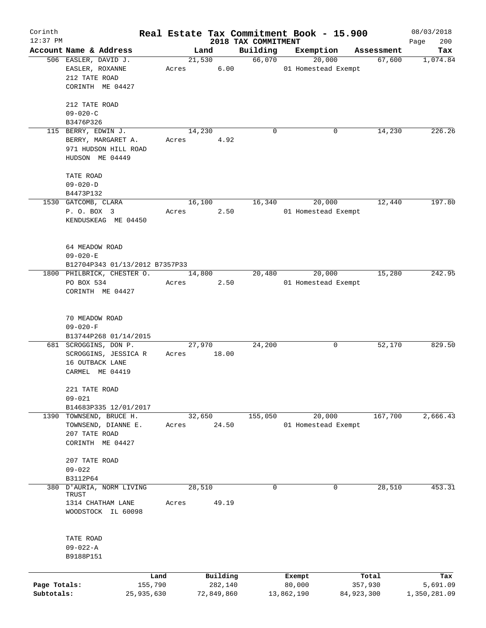| Corinth      |                                         |       |        |            |                     | Real Estate Tax Commitment Book - 15.900 |              | 08/03/2018   |
|--------------|-----------------------------------------|-------|--------|------------|---------------------|------------------------------------------|--------------|--------------|
| $12:37$ PM   |                                         |       |        |            | 2018 TAX COMMITMENT |                                          |              | 200<br>Page  |
|              | Account Name & Address                  |       | Land   |            | Building            | Exemption                                | Assessment   | Tax          |
|              | 506 EASLER, DAVID J.<br>EASLER, ROXANNE |       | 21,530 | 6.00       | 66,070              | 20,000<br>01 Homestead Exempt            | 67,600       | 1,074.84     |
|              | 212 TATE ROAD                           | Acres |        |            |                     |                                          |              |              |
|              | CORINTH ME 04427                        |       |        |            |                     |                                          |              |              |
|              |                                         |       |        |            |                     |                                          |              |              |
|              | 212 TATE ROAD                           |       |        |            |                     |                                          |              |              |
|              | $09 - 020 - C$                          |       |        |            |                     |                                          |              |              |
|              | B3476P326                               |       |        |            |                     |                                          |              |              |
| 115          | BERRY, EDWIN J.                         |       | 14,230 |            | 0                   | 0                                        | 14,230       | 226.26       |
|              | BERRY, MARGARET A.                      | Acres |        | 4.92       |                     |                                          |              |              |
|              | 971 HUDSON HILL ROAD                    |       |        |            |                     |                                          |              |              |
|              | HUDSON ME 04449                         |       |        |            |                     |                                          |              |              |
|              |                                         |       |        |            |                     |                                          |              |              |
|              | TATE ROAD                               |       |        |            |                     |                                          |              |              |
|              | $09 - 020 - D$                          |       |        |            |                     |                                          |              |              |
|              | B4473P132                               |       |        |            |                     |                                          |              |              |
|              | 1530 GATCOMB, CLARA                     |       | 16,100 |            | 16,340              | 20,000                                   | 12,440       | 197.80       |
|              | P. O. BOX 3                             | Acres |        | 2.50       |                     | 01 Homestead Exempt                      |              |              |
|              | KENDUSKEAG ME 04450                     |       |        |            |                     |                                          |              |              |
|              |                                         |       |        |            |                     |                                          |              |              |
|              |                                         |       |        |            |                     |                                          |              |              |
|              | 64 MEADOW ROAD                          |       |        |            |                     |                                          |              |              |
|              | $09 - 020 - E$                          |       |        |            |                     |                                          |              |              |
|              | B12704P343 01/13/2012 B7357P33          |       |        |            |                     |                                          |              |              |
|              | 1800 PHILBRICK, CHESTER O.              |       | 14,800 |            | 20,480              | 20,000                                   | 15,280       | 242.95       |
|              | PO BOX 534                              | Acres |        | 2.50       |                     | 01 Homestead Exempt                      |              |              |
|              | CORINTH ME 04427                        |       |        |            |                     |                                          |              |              |
|              |                                         |       |        |            |                     |                                          |              |              |
|              |                                         |       |        |            |                     |                                          |              |              |
|              | 70 MEADOW ROAD                          |       |        |            |                     |                                          |              |              |
|              | $09 - 020 - F$                          |       |        |            |                     |                                          |              |              |
|              | B13744P268 01/14/2015                   |       |        |            |                     |                                          |              |              |
|              | 681 SCROGGINS, DON P.                   |       | 27,970 |            | 24,200              | 0                                        | 52,170       | 829.50       |
|              | SCROGGINS, JESSICA R                    | Acres |        | 18.00      |                     |                                          |              |              |
|              | 16 OUTBACK LANE                         |       |        |            |                     |                                          |              |              |
|              | CARMEL ME 04419                         |       |        |            |                     |                                          |              |              |
|              |                                         |       |        |            |                     |                                          |              |              |
|              | 221 TATE ROAD                           |       |        |            |                     |                                          |              |              |
|              | $09 - 021$                              |       |        |            |                     |                                          |              |              |
|              | B14683P335 12/01/2017                   |       |        |            |                     |                                          |              |              |
|              | 1390 TOWNSEND, BRUCE H.                 |       | 32,650 |            | 155,050             | 20,000                                   | 167,700      | 2,666.43     |
|              | TOWNSEND, DIANNE E.                     | Acres |        | 24.50      |                     | 01 Homestead Exempt                      |              |              |
|              | 207 TATE ROAD                           |       |        |            |                     |                                          |              |              |
|              | CORINTH ME 04427                        |       |        |            |                     |                                          |              |              |
|              |                                         |       |        |            |                     |                                          |              |              |
|              | 207 TATE ROAD                           |       |        |            |                     |                                          |              |              |
|              | $09 - 022$                              |       |        |            |                     |                                          |              |              |
|              | B3112P64                                |       |        |            |                     |                                          |              |              |
|              | 380 D'AURIA, NORM LIVING                |       | 28,510 |            | 0                   | 0                                        | 28,510       | 453.31       |
|              | TRUST                                   |       |        |            |                     |                                          |              |              |
|              | 1314 CHATHAM LANE                       | Acres |        | 49.19      |                     |                                          |              |              |
|              | WOODSTOCK IL 60098                      |       |        |            |                     |                                          |              |              |
|              |                                         |       |        |            |                     |                                          |              |              |
|              |                                         |       |        |            |                     |                                          |              |              |
|              | TATE ROAD<br>09-022-A                   |       |        |            |                     |                                          |              |              |
|              | B9188P151                               |       |        |            |                     |                                          |              |              |
|              |                                         |       |        |            |                     |                                          |              |              |
|              |                                         |       |        |            |                     |                                          |              |              |
|              | Land                                    |       |        | Building   |                     | Exempt                                   | Total        | Tax          |
| Page Totals: | 155,790                                 |       |        | 282,140    |                     | 80,000                                   | 357,930      | 5,691.09     |
| Subtotals:   | 25,935,630                              |       |        | 72,849,860 |                     | 13,862,190                               | 84, 923, 300 | 1,350,281.09 |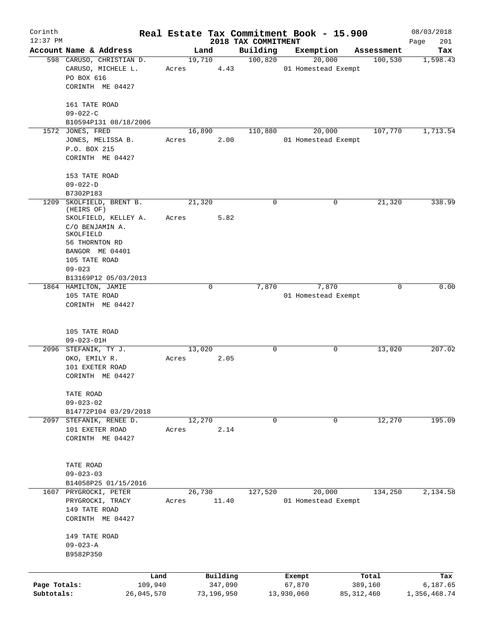| Corinth<br>$12:37$ PM      |                                                                                                                                        |       |                       |                                 | Real Estate Tax Commitment Book - 15.900 |                         | 08/03/2018               |
|----------------------------|----------------------------------------------------------------------------------------------------------------------------------------|-------|-----------------------|---------------------------------|------------------------------------------|-------------------------|--------------------------|
|                            | Account Name & Address                                                                                                                 |       | Land                  | 2018 TAX COMMITMENT<br>Building | Exemption                                | Assessment              | Page<br>201<br>Tax       |
|                            | 598 CARUSO, CHRISTIAN D.<br>CARUSO, MICHELE L.<br>PO BOX 616<br>CORINTH ME 04427                                                       | Acres | 19,710<br>4.43        | 100,820                         | 20,000<br>01 Homestead Exempt            | 100,530                 | 1,598.43                 |
|                            | 161 TATE ROAD<br>$09 - 022 - C$                                                                                                        |       |                       |                                 |                                          |                         |                          |
|                            | B10594P131 08/18/2006                                                                                                                  |       |                       |                                 |                                          |                         |                          |
|                            | 1572 JONES, FRED<br>JONES, MELISSA B.<br>P.O. BOX 215<br>CORINTH ME 04427                                                              | Acres | 16,890<br>2.00        | 110,880                         | 20,000<br>01 Homestead Exempt            | 107,770                 | 1,713.54                 |
|                            | 153 TATE ROAD<br>$09 - 022 - D$                                                                                                        |       |                       |                                 |                                          |                         |                          |
| 1209                       | B7302P183<br>SKOLFIELD, BRENT B.                                                                                                       |       | 21,320                | 0                               | 0                                        | 21,320                  | 338.99                   |
|                            | (HEIRS OF)<br>SKOLFIELD, KELLEY A.<br>C/O BENJAMIN A.<br>SKOLFIELD<br>56 THORNTON RD<br>BANGOR ME 04401<br>105 TATE ROAD<br>$09 - 023$ | Acres | 5.82                  |                                 |                                          |                         |                          |
|                            | B13169P12 05/03/2013                                                                                                                   |       |                       |                                 |                                          |                         | 0.00                     |
|                            | 1864 HAMILTON, JAMIE<br>105 TATE ROAD<br>CORINTH ME 04427                                                                              |       | 0                     | 7,870                           | 7,870<br>01 Homestead Exempt             | 0                       |                          |
|                            | 105 TATE ROAD<br>$09 - 023 - 01H$                                                                                                      |       |                       |                                 |                                          |                         |                          |
|                            | 2096 STEFANIK, TY J.<br>OKO, EMILY R.<br>101 EXETER ROAD<br>CORINTH ME 04427                                                           | Acres | 13,020<br>2.05        | 0                               | 0                                        | 13,020                  | 207.02                   |
|                            | TATE ROAD<br>$09 - 023 - 02$<br>B14772P104 03/29/2018                                                                                  |       |                       |                                 |                                          |                         |                          |
| 2097                       | STEFANIK, RENEE D.<br>101 EXETER ROAD<br>CORINTH ME 04427                                                                              | Acres | 12,270<br>2.14        | 0                               | $\mathbf 0$                              | 12,270                  | 195.09                   |
|                            | TATE ROAD<br>$09 - 023 - 03$<br>B14058P25 01/15/2016                                                                                   |       |                       |                                 |                                          |                         |                          |
|                            | 1607 PRYGROCKI, PETER<br>PRYGROCKI, TRACY<br>149 TATE ROAD<br>CORINTH ME 04427                                                         | Acres | 26,730<br>11.40       | 127,520                         | 20,000<br>01 Homestead Exempt            | 134,250                 | 2,134.58                 |
|                            | 149 TATE ROAD<br>$09 - 023 - A$<br>B9582P350                                                                                           |       |                       |                                 |                                          |                         |                          |
|                            |                                                                                                                                        | Land  | Building              |                                 | Exempt                                   | Total                   | Tax                      |
| Page Totals:<br>Subtotals: | 109,940<br>26,045,570                                                                                                                  |       | 347,090<br>73,196,950 |                                 | 67,870<br>13,930,060                     | 389,160<br>85, 312, 460 | 6,187.65<br>1,356,468.74 |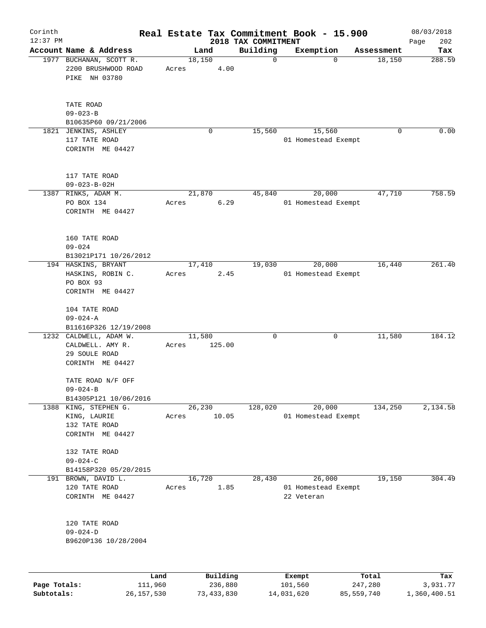| Corinth      |                                                                                 | Real Estate Tax Commitment Book - 15.900 |                                 |                                             |                  | 08/03/2018         |
|--------------|---------------------------------------------------------------------------------|------------------------------------------|---------------------------------|---------------------------------------------|------------------|--------------------|
| $12:37$ PM   | Account Name & Address                                                          | Land                                     | 2018 TAX COMMITMENT<br>Building | Exemption                                   | Assessment       | Page<br>202<br>Tax |
|              | 1977 BUCHANAN, SCOTT R.<br>2200 BRUSHWOOD ROAD<br>PIKE NH 03780                 | 18,150<br>Acres                          | $\mathbf 0$<br>4.00             | $\Omega$                                    | 18,150           | 288.59             |
|              | TATE ROAD<br>$09 - 023 - B$<br>B10635P60 09/21/2006                             |                                          |                                 |                                             |                  |                    |
|              | 1821 JENKINS, ASHLEY<br>117 TATE ROAD<br>CORINTH ME 04427                       | 0                                        | 15,560                          | 15,560<br>01 Homestead Exempt               | 0                | 0.00               |
|              | 117 TATE ROAD<br>$09 - 023 - B - 02H$                                           |                                          |                                 |                                             |                  |                    |
| 1387         | RINKS, ADAM M.<br>PO BOX 134<br>CORINTH ME 04427                                | 21,870<br>Acres                          | 45,840<br>6.29                  | 20,000<br>01 Homestead Exempt               | 47,710           | 758.59             |
|              | 160 TATE ROAD<br>$09 - 024$<br>B13021P171 10/26/2012                            |                                          |                                 |                                             |                  |                    |
|              | 194 HASKINS, BRYANT<br>HASKINS, ROBIN C.<br>PO BOX 93<br>CORINTH ME 04427       | 17,410<br>Acres                          | 19,030<br>2.45                  | 20,000<br>01 Homestead Exempt               | 16,440           | 261.40             |
|              | 104 TATE ROAD<br>$09 - 024 - A$<br>B11616P326 12/19/2008                        |                                          |                                 |                                             |                  |                    |
|              | 1232 CALDWELL, ADAM W.<br>CALDWELL. AMY R.<br>29 SOULE ROAD<br>CORINTH ME 04427 | 11,580<br>125.00<br>Acres                | 0                               | 0                                           | 11,580           | 184.12             |
|              | TATE ROAD N/F OFF<br>$09 - 024 - B$<br>B14305P121 10/06/2016                    |                                          |                                 |                                             |                  |                    |
|              | 1388 KING, STEPHEN G.<br>KING, LAURIE<br>132 TATE ROAD<br>CORINTH ME 04427      | 26,230<br>10.05<br>Acres                 | 128,020                         | 20,000<br>01 Homestead Exempt               | 134,250          | 2,134.58           |
|              | 132 TATE ROAD<br>$09 - 024 - C$<br>B14158P320 05/20/2015                        |                                          |                                 |                                             |                  |                    |
| 191          | BROWN, DAVID L.<br>120 TATE ROAD<br>CORINTH ME 04427                            | 16,720<br>Acres                          | 28,430<br>1.85                  | 26,000<br>01 Homestead Exempt<br>22 Veteran | 19,150           | 304.49             |
|              | 120 TATE ROAD<br>$09 - 024 - D$<br>B9620P136 10/28/2004                         |                                          |                                 |                                             |                  |                    |
| Page Totals: | 111,960                                                                         | Building<br>Land<br>236,880              |                                 | Exempt<br>101,560                           | Total<br>247,280 | Tax<br>3,931.77    |
| Subtotals:   | 26, 157, 530                                                                    | 73, 433, 830                             |                                 | 14,031,620                                  | 85,559,740       | 1,360,400.51       |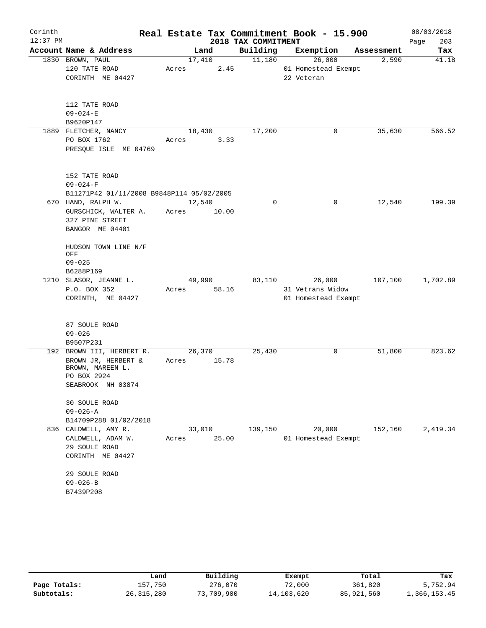| Corinth    |                                           |        |       |                     | Real Estate Tax Commitment Book - 15.900 |             | 08/03/2018  |
|------------|-------------------------------------------|--------|-------|---------------------|------------------------------------------|-------------|-------------|
| $12:37$ PM |                                           |        |       | 2018 TAX COMMITMENT |                                          |             | 203<br>Page |
|            | Account Name & Address                    |        | Land  | Building            | Exemption                                | Assessment  | Tax         |
|            | 1830 BROWN, PAUL<br>120 TATE ROAD         | 17,410 |       | 11,180              | 26,000                                   | 2,590       | 41.18       |
|            |                                           | Acres  | 2.45  |                     | 01 Homestead Exempt                      |             |             |
|            | CORINTH ME 04427                          |        |       |                     | 22 Veteran                               |             |             |
|            | 112 TATE ROAD                             |        |       |                     |                                          |             |             |
|            | $09 - 024 - E$                            |        |       |                     |                                          |             |             |
|            | B9620P147                                 |        |       |                     |                                          |             |             |
|            | 1889 FLETCHER, NANCY                      | 18,430 |       | 17,200              |                                          | 35,630<br>0 | 566.52      |
|            | PO BOX 1762                               | Acres  | 3.33  |                     |                                          |             |             |
|            | PRESQUE ISLE ME 04769                     |        |       |                     |                                          |             |             |
|            | 152 TATE ROAD                             |        |       |                     |                                          |             |             |
|            | $09 - 024 - F$                            |        |       |                     |                                          |             |             |
|            | B11271P42 01/11/2008 B9848P114 05/02/2005 |        |       |                     |                                          |             |             |
|            | 670 HAND, RALPH W.                        | 12,540 |       | 0                   |                                          | 12,540<br>0 | 199.39      |
|            | GURSCHICK, WALTER A.                      | Acres  | 10.00 |                     |                                          |             |             |
|            | 327 PINE STREET                           |        |       |                     |                                          |             |             |
|            | BANGOR ME 04401                           |        |       |                     |                                          |             |             |
|            | HUDSON TOWN LINE N/F<br>OFF               |        |       |                     |                                          |             |             |
|            | $09 - 025$                                |        |       |                     |                                          |             |             |
|            | B6288P169                                 |        |       |                     |                                          |             |             |
|            | 1210 SLASOR, JEANNE L.                    | 49,990 |       | 83,110              | 26,000                                   | 107,100     | 1,702.89    |
|            | P.O. BOX 352                              | Acres  | 58.16 |                     | 31 Vetrans Widow                         |             |             |
|            | CORINTH, ME 04427                         |        |       |                     | 01 Homestead Exempt                      |             |             |
|            | 87 SOULE ROAD                             |        |       |                     |                                          |             |             |
|            | $09 - 026$                                |        |       |                     |                                          |             |             |
|            | B9507P231                                 |        |       |                     |                                          |             |             |
|            | 192 BROWN III, HERBERT R.                 | 26,370 |       | 25,430              |                                          | 0<br>51,800 | 823.62      |
|            | BROWN JR, HERBERT &<br>BROWN, MAREEN L.   | Acres  | 15.78 |                     |                                          |             |             |
|            | PO BOX 2924                               |        |       |                     |                                          |             |             |
|            | SEABROOK NH 03874                         |        |       |                     |                                          |             |             |
|            | <b>30 SOULE ROAD</b><br>$09 - 026 - A$    |        |       |                     |                                          |             |             |
|            |                                           |        |       |                     |                                          |             |             |
|            | B14709P288 01/02/2018                     |        |       |                     |                                          |             |             |
| 836        | CALDWELL, AMY R.                          | 33,010 |       | 139,150             | 20,000                                   | 152,160     | 2,419.34    |
|            | CALDWELL, ADAM W.                         | Acres  | 25.00 |                     | 01 Homestead Exempt                      |             |             |
|            | 29 SOULE ROAD<br>CORINTH ME 04427         |        |       |                     |                                          |             |             |
|            | 29 SOULE ROAD                             |        |       |                     |                                          |             |             |
|            | $09 - 026 - B$                            |        |       |                     |                                          |             |             |
|            | B7439P208                                 |        |       |                     |                                          |             |             |

|              | Land         | Building   | Exempt     | Total      | Tax          |
|--------------|--------------|------------|------------|------------|--------------|
| Page Totals: | 157.750      | 276,070    | 72,000     | 361,820    | 5,752.94     |
| Subtotals:   | 26, 315, 280 | 73,709,900 | 14,103,620 | 85,921,560 | 1,366,153.45 |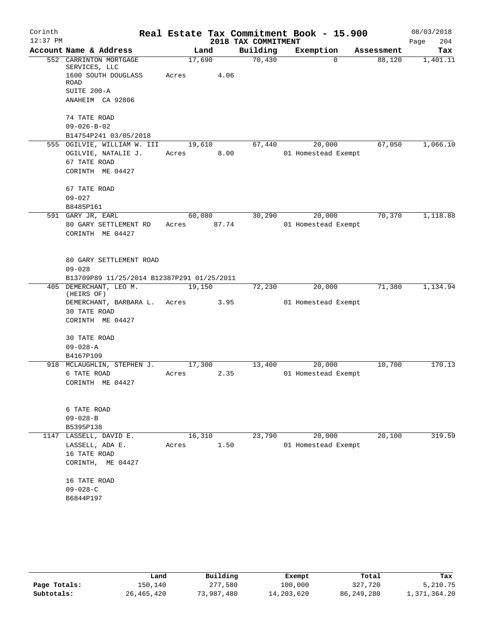| Corinth    |                                            |        |       |                     | Real Estate Tax Commitment Book - 15.900 |            | 08/03/2018  |
|------------|--------------------------------------------|--------|-------|---------------------|------------------------------------------|------------|-------------|
| $12:37$ PM |                                            |        |       | 2018 TAX COMMITMENT |                                          |            | 204<br>Page |
|            | Account Name & Address                     |        | Land  | Building            | Exemption                                | Assessment | Tax         |
|            | 552 CARRINTON MORTGAGE<br>SERVICES, LLC    | 17,690 |       | 70,430              | $\Omega$                                 | 88,120     | 1,401.11    |
|            | 1600 SOUTH DOUGLASS                        | Acres  | 4.06  |                     |                                          |            |             |
|            | <b>ROAD</b>                                |        |       |                     |                                          |            |             |
|            | SUITE 200-A                                |        |       |                     |                                          |            |             |
|            | ANAHEIM CA 92806                           |        |       |                     |                                          |            |             |
|            | 74 TATE ROAD                               |        |       |                     |                                          |            |             |
|            | $09 - 026 - B - 02$                        |        |       |                     |                                          |            |             |
|            | B14754P241 03/05/2018                      |        |       |                     |                                          |            |             |
|            | 555 OGILVIE, WILLIAM W. III                | 19,610 |       | 67,440              | 20,000                                   | 67,050     | 1,066.10    |
|            | OGILVIE, NATALIE J.                        | Acres  | 8.00  |                     | 01 Homestead Exempt                      |            |             |
|            | 67 TATE ROAD                               |        |       |                     |                                          |            |             |
|            | CORINTH ME 04427                           |        |       |                     |                                          |            |             |
|            | 67 TATE ROAD                               |        |       |                     |                                          |            |             |
|            | $09 - 027$                                 |        |       |                     |                                          |            |             |
|            | B8485P161                                  |        |       |                     |                                          |            |             |
|            | 591 GARY JR, EARL                          | 60,080 |       | 30,290              | 20,000                                   | 70,370     | 1,118.88    |
|            | 80 GARY SETTLEMENT RD                      | Acres  | 87.74 |                     | 01 Homestead Exempt                      |            |             |
|            | CORINTH ME 04427                           |        |       |                     |                                          |            |             |
|            |                                            |        |       |                     |                                          |            |             |
|            | 80 GARY SETTLEMENT ROAD                    |        |       |                     |                                          |            |             |
|            | $09 - 028$                                 |        |       |                     |                                          |            |             |
|            | B13709P89 11/25/2014 B12387P291 01/25/2011 |        |       |                     |                                          |            |             |
|            | 405 DEMERCHANT, LEO M.<br>(HEIRS OF)       | 19,150 |       | 72,230              | 20,000                                   | 71,380     | 1,134.94    |
|            | DEMERCHANT, BARBARA L. Acres               |        | 3.95  |                     | 01 Homestead Exempt                      |            |             |
|            | 30 TATE ROAD                               |        |       |                     |                                          |            |             |
|            | CORINTH ME 04427                           |        |       |                     |                                          |            |             |
|            | <b>30 TATE ROAD</b>                        |        |       |                     |                                          |            |             |
|            | $09 - 028 - A$                             |        |       |                     |                                          |            |             |
|            | B4167P109                                  |        |       |                     |                                          |            |             |
| 918        | MCLAUGHLIN, STEPHEN J.                     | 17,300 |       | 13,400              | 20,000                                   | 10,700     | 170.13      |
|            | 6 TATE ROAD                                | Acres  | 2.35  |                     | 01 Homestead Exempt                      |            |             |
|            | CORINTH ME 04427                           |        |       |                     |                                          |            |             |
|            |                                            |        |       |                     |                                          |            |             |
|            | 6 TATE ROAD                                |        |       |                     |                                          |            |             |
|            | $09 - 028 - B$                             |        |       |                     |                                          |            |             |
|            | B5395P138                                  |        |       |                     |                                          |            |             |
|            | 1147 LASSELL, DAVID E.                     | 16,310 |       | 23,790              | 20,000                                   | 20,100     | 319.59      |
|            | LASSELL, ADA E.                            | Acres  | 1.50  |                     | 01 Homestead Exempt                      |            |             |
|            | 16 TATE ROAD                               |        |       |                     |                                          |            |             |
|            | CORINTH, ME 04427                          |        |       |                     |                                          |            |             |
|            | 16 TATE ROAD                               |        |       |                     |                                          |            |             |
|            | $09 - 028 - C$                             |        |       |                     |                                          |            |             |
|            | B6844P197                                  |        |       |                     |                                          |            |             |
|            |                                            |        |       |                     |                                          |            |             |

|              | Land         | Building   | Exempt     | Total        | Tax          |
|--------------|--------------|------------|------------|--------------|--------------|
| Page Totals: | 150.140      | 277,580    | 100,000    | 327,720      | 5,210.75     |
| Subtotals:   | 26, 465, 420 | 73,987,480 | 14,203,620 | 86, 249, 280 | 1,371,364.20 |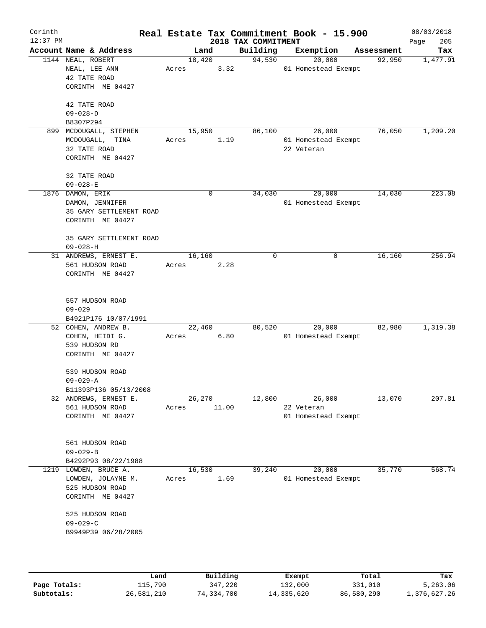| Corinth    |                                   |       |          |       |                                 | Real Estate Tax Commitment Book - 15.900 |                      | 08/03/2018         |
|------------|-----------------------------------|-------|----------|-------|---------------------------------|------------------------------------------|----------------------|--------------------|
| $12:37$ PM | Account Name & Address            |       | Land     |       | 2018 TAX COMMITMENT<br>Building | Exemption                                |                      | 205<br>Page<br>Tax |
|            | 1144 NEAL, ROBERT                 |       | 18,420   |       | 94,530                          | 20,000                                   | Assessment<br>92,950 | 1,477.91           |
|            | NEAL, LEE ANN                     | Acres |          | 3.32  |                                 | 01 Homestead Exempt                      |                      |                    |
|            | 42 TATE ROAD                      |       |          |       |                                 |                                          |                      |                    |
|            | CORINTH ME 04427                  |       |          |       |                                 |                                          |                      |                    |
|            |                                   |       |          |       |                                 |                                          |                      |                    |
|            | 42 TATE ROAD                      |       |          |       |                                 |                                          |                      |                    |
|            | $09 - 028 - D$                    |       |          |       |                                 |                                          |                      |                    |
|            | B8307P294                         |       |          |       |                                 |                                          |                      |                    |
|            | 899 MCDOUGALL, STEPHEN            |       | 15,950   |       | 86,100                          | 26,000                                   | 76,050               | 1,209.20           |
|            | MCDOUGALL, TINA                   | Acres |          | 1.19  |                                 | 01 Homestead Exempt                      |                      |                    |
|            | 32 TATE ROAD                      |       |          |       |                                 | 22 Veteran                               |                      |                    |
|            | CORINTH ME 04427                  |       |          |       |                                 |                                          |                      |                    |
|            | 32 TATE ROAD                      |       |          |       |                                 |                                          |                      |                    |
|            | $09 - 028 - E$                    |       |          |       |                                 |                                          |                      |                    |
|            | 1876 DAMON, ERIK                  |       | 0        |       | 34,030                          | 20,000                                   | 14,030               | 223.08             |
|            | DAMON, JENNIFER                   |       |          |       |                                 | 01 Homestead Exempt                      |                      |                    |
|            | 35 GARY SETTLEMENT ROAD           |       |          |       |                                 |                                          |                      |                    |
|            | CORINTH ME 04427                  |       |          |       |                                 |                                          |                      |                    |
|            |                                   |       |          |       |                                 |                                          |                      |                    |
|            | 35 GARY SETTLEMENT ROAD           |       |          |       |                                 |                                          |                      |                    |
|            | $09 - 028 - H$                    |       |          |       |                                 |                                          |                      |                    |
|            | 31 ANDREWS, ERNEST E.             |       | 16,160   |       | 0                               | 0                                        | 16,160               | 256.94             |
|            | 561 HUDSON ROAD                   | Acres |          | 2.28  |                                 |                                          |                      |                    |
|            | CORINTH ME 04427                  |       |          |       |                                 |                                          |                      |                    |
|            |                                   |       |          |       |                                 |                                          |                      |                    |
|            | 557 HUDSON ROAD                   |       |          |       |                                 |                                          |                      |                    |
|            | $09 - 029$                        |       |          |       |                                 |                                          |                      |                    |
|            | B4921P176 10/07/1991              |       |          |       |                                 |                                          |                      |                    |
|            | 52 COHEN, ANDREW B.               |       | 22,460   |       | 80,520                          | 20,000                                   | 82,980               | 1,319.38           |
|            | COHEN, HEIDI G.                   | Acres |          | 6.80  |                                 | 01 Homestead Exempt                      |                      |                    |
|            | 539 HUDSON RD                     |       |          |       |                                 |                                          |                      |                    |
|            | CORINTH ME 04427                  |       |          |       |                                 |                                          |                      |                    |
|            |                                   |       |          |       |                                 |                                          |                      |                    |
|            | 539 HUDSON ROAD<br>$09 - 029 - A$ |       |          |       |                                 |                                          |                      |                    |
|            | B11393P136 05/13/2008             |       |          |       |                                 |                                          |                      |                    |
|            | 32 ANDREWS, ERNEST E.             |       | 26,270   |       | 12,800                          | 26,000                                   | 13,070               | 207.81             |
|            | 561 HUDSON ROAD                   | Acres |          | 11.00 |                                 | 22 Veteran                               |                      |                    |
|            | CORINTH ME 04427                  |       |          |       |                                 | 01 Homestead Exempt                      |                      |                    |
|            |                                   |       |          |       |                                 |                                          |                      |                    |
|            |                                   |       |          |       |                                 |                                          |                      |                    |
|            | 561 HUDSON ROAD                   |       |          |       |                                 |                                          |                      |                    |
|            | $09 - 029 - B$                    |       |          |       |                                 |                                          |                      |                    |
|            | B4292P93 08/22/1988               |       |          |       |                                 |                                          |                      |                    |
| 1219       | LOWDEN, BRUCE A.                  |       | 16,530   |       | 39,240                          | 20,000                                   | 35,770               | 568.74             |
|            | LOWDEN, JOLAYNE M.                | Acres |          | 1.69  |                                 | 01 Homestead Exempt                      |                      |                    |
|            | 525 HUDSON ROAD                   |       |          |       |                                 |                                          |                      |                    |
|            | CORINTH ME 04427                  |       |          |       |                                 |                                          |                      |                    |
|            | 525 HUDSON ROAD                   |       |          |       |                                 |                                          |                      |                    |
|            | $09 - 029 - C$                    |       |          |       |                                 |                                          |                      |                    |
|            | B9949P39 06/28/2005               |       |          |       |                                 |                                          |                      |                    |
|            |                                   |       |          |       |                                 |                                          |                      |                    |
|            |                                   |       |          |       |                                 |                                          |                      |                    |
|            |                                   |       |          |       |                                 |                                          |                      |                    |
|            |                                   | Land. | Building |       |                                 | <b>Ryomnt</b>                            | $T0+21$              | Tav                |

|              | Land       | Building   | Exempt     | Total      | Tax          |
|--------------|------------|------------|------------|------------|--------------|
| Page Totals: | 115,790    | 347,220    | 132,000    | 331,010    | 5,263.06     |
| Subtotals:   | 26,581,210 | 74,334,700 | 14,335,620 | 86,580,290 | 1,376,627.26 |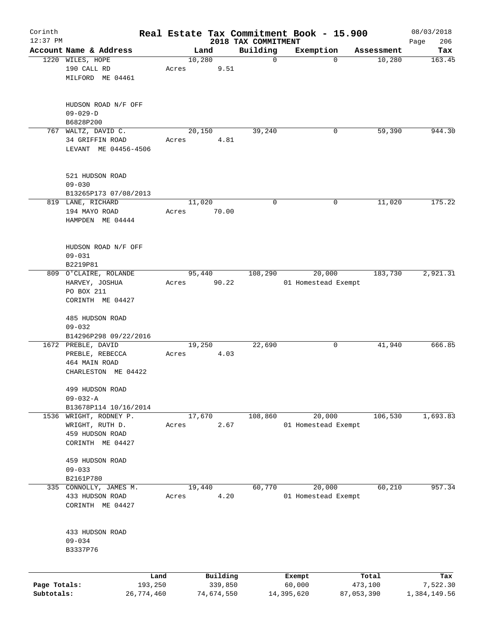| Corinth      |                        |            |       |            |          |                     | Real Estate Tax Commitment Book - 15.900 |             |            | 08/03/2018   |
|--------------|------------------------|------------|-------|------------|----------|---------------------|------------------------------------------|-------------|------------|--------------|
| $12:37$ PM   |                        |            |       |            |          | 2018 TAX COMMITMENT |                                          |             |            | 206<br>Page  |
|              | Account Name & Address |            |       | Land       |          | Building            | Exemption                                |             | Assessment | Tax          |
|              | 1220 WILES, HOPE       |            |       | 10,280     |          | $\mathbf 0$         |                                          | $\mathbf 0$ | 10,280     | 163.45       |
|              | 190 CALL RD            |            | Acres |            | 9.51     |                     |                                          |             |            |              |
|              | MILFORD ME 04461       |            |       |            |          |                     |                                          |             |            |              |
|              | HUDSON ROAD N/F OFF    |            |       |            |          |                     |                                          |             |            |              |
|              | $09 - 029 - D$         |            |       |            |          |                     |                                          |             |            |              |
|              | B6828P200              |            |       |            |          |                     |                                          |             |            |              |
|              | 767 WALTZ, DAVID C.    |            |       | 20,150     |          | 39,240              |                                          | 0           | 59,390     | 944.30       |
|              | 34 GRIFFIN ROAD        |            | Acres |            | 4.81     |                     |                                          |             |            |              |
|              | LEVANT ME 04456-4506   |            |       |            |          |                     |                                          |             |            |              |
|              | 521 HUDSON ROAD        |            |       |            |          |                     |                                          |             |            |              |
|              | $09 - 030$             |            |       |            |          |                     |                                          |             |            |              |
|              | B13265P173 07/08/2013  |            |       |            |          |                     |                                          |             |            |              |
|              |                        |            |       |            |          | 0                   |                                          | 0           |            | 175.22       |
|              | 819 LANE, RICHARD      |            |       | 11,020     |          |                     |                                          |             | 11,020     |              |
|              | 194 MAYO ROAD          |            | Acres |            | 70.00    |                     |                                          |             |            |              |
|              | HAMPDEN ME 04444       |            |       |            |          |                     |                                          |             |            |              |
|              | HUDSON ROAD N/F OFF    |            |       |            |          |                     |                                          |             |            |              |
|              | $09 - 031$             |            |       |            |          |                     |                                          |             |            |              |
|              | B2219P81               |            |       |            |          |                     |                                          |             |            |              |
|              | 809 O'CLAIRE, ROLANDE  |            |       | 95,440     |          | 108,290             | 20,000                                   |             | 183,730    | 2,921.31     |
|              | HARVEY, JOSHUA         |            | Acres |            | 90.22    |                     | 01 Homestead Exempt                      |             |            |              |
|              |                        |            |       |            |          |                     |                                          |             |            |              |
|              | PO BOX 211             |            |       |            |          |                     |                                          |             |            |              |
|              | CORINTH ME 04427       |            |       |            |          |                     |                                          |             |            |              |
|              | 485 HUDSON ROAD        |            |       |            |          |                     |                                          |             |            |              |
|              | $09 - 032$             |            |       |            |          |                     |                                          |             |            |              |
|              | B14296P298 09/22/2016  |            |       |            |          |                     |                                          |             |            |              |
|              | 1672 PREBLE, DAVID     |            |       | 19,250     |          | 22,690              |                                          | 0           | 41,940     | 666.85       |
|              | PREBLE, REBECCA        |            | Acres |            | 4.03     |                     |                                          |             |            |              |
|              | 464 MAIN ROAD          |            |       |            |          |                     |                                          |             |            |              |
|              | CHARLESTON ME 04422    |            |       |            |          |                     |                                          |             |            |              |
|              | 499 HUDSON ROAD        |            |       |            |          |                     |                                          |             |            |              |
|              | $09 - 032 - A$         |            |       |            |          |                     |                                          |             |            |              |
|              | B13678P114 10/16/2014  |            |       |            |          |                     |                                          |             |            |              |
| 1536         | WRIGHT, RODNEY P.      |            |       | 17,670     |          | 108,860             | 20,000                                   |             | 106,530    | 1,693.83     |
|              | WRIGHT, RUTH D.        |            | Acres |            | 2.67     |                     | 01 Homestead Exempt                      |             |            |              |
|              | 459 HUDSON ROAD        |            |       |            |          |                     |                                          |             |            |              |
|              | CORINTH ME 04427       |            |       |            |          |                     |                                          |             |            |              |
|              | 459 HUDSON ROAD        |            |       |            |          |                     |                                          |             |            |              |
|              | $09 - 033$             |            |       |            |          |                     |                                          |             |            |              |
|              | B2161P780              |            |       |            |          |                     |                                          |             |            |              |
|              | 335 CONNOLLY, JAMES M. |            |       | 19,440     |          | 60,770              | 20,000                                   |             | 60,210     | 957.34       |
|              | 433 HUDSON ROAD        |            | Acres |            | 4.20     |                     | 01 Homestead Exempt                      |             |            |              |
|              | CORINTH ME 04427       |            |       |            |          |                     |                                          |             |            |              |
|              |                        |            |       |            |          |                     |                                          |             |            |              |
|              | 433 HUDSON ROAD        |            |       |            |          |                     |                                          |             |            |              |
|              | $09 - 034$<br>B3337P76 |            |       |            |          |                     |                                          |             |            |              |
|              |                        |            |       |            |          |                     |                                          |             |            |              |
|              |                        | Land       |       |            | Building |                     | Exempt                                   |             | Total      | Tax          |
| Page Totals: |                        | 193,250    |       |            | 339,850  |                     | 60,000                                   |             | 473,100    | 7,522.30     |
| Subtotals:   |                        | 26,774,460 |       | 74,674,550 |          |                     | 14,395,620                               | 87,053,390  |            | 1,384,149.56 |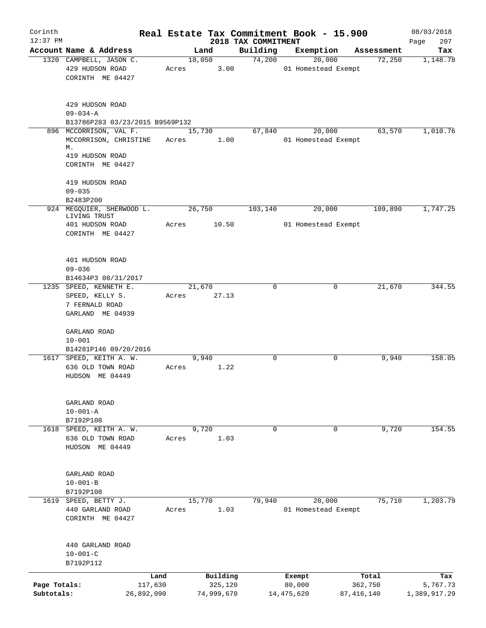| Corinth                    |                                                                      |       |                       |                                 | Real Estate Tax Commitment Book - 15.900 |                         | 08/03/2018               |
|----------------------------|----------------------------------------------------------------------|-------|-----------------------|---------------------------------|------------------------------------------|-------------------------|--------------------------|
| $12:37$ PM                 | Account Name & Address                                               |       | Land                  | 2018 TAX COMMITMENT<br>Building | Exemption                                | Assessment              | 207<br>Page<br>Tax       |
|                            | 1320 CAMPBELL, JASON C.                                              |       | 18,050                | 74,200                          | 20,000                                   | 72,250                  | 1,148.78                 |
|                            | 429 HUDSON ROAD<br>CORINTH ME 04427                                  | Acres | 3.00                  |                                 | 01 Homestead Exempt                      |                         |                          |
|                            | 429 HUDSON ROAD<br>$09 - 034 - A$<br>B13786P283 03/23/2015 B9569P132 |       |                       |                                 |                                          |                         |                          |
|                            | 896 MCCORRISON, VAL F.                                               |       | 15,730                | 67,840                          | 20,000                                   | 63,570                  | 1,010.76                 |
|                            | MCCORRISON, CHRISTINE<br>М.<br>419 HUDSON ROAD                       | Acres | 1.00                  |                                 | 01 Homestead Exempt                      |                         |                          |
|                            | CORINTH ME 04427                                                     |       |                       |                                 |                                          |                         |                          |
|                            | 419 HUDSON ROAD                                                      |       |                       |                                 |                                          |                         |                          |
|                            | $09 - 035$                                                           |       |                       |                                 |                                          |                         |                          |
|                            | B2483P200<br>924 MEGQUIER, SHERWOOD L.<br>LIVING TRUST               |       | 26,750                | 103,140                         | 20,000                                   | 109,890                 | 1,747.25                 |
|                            | 401 HUDSON ROAD<br>CORINTH ME 04427                                  | Acres | 10.50                 |                                 | 01 Homestead Exempt                      |                         |                          |
|                            | 401 HUDSON ROAD<br>$09 - 036$                                        |       |                       |                                 |                                          |                         |                          |
|                            | B14634P3 08/31/2017                                                  |       |                       |                                 |                                          |                         |                          |
|                            | 1235 SPEED, KENNETH E.                                               |       | 21,670                | 0                               | 0                                        | 21,670                  | 344.55                   |
|                            | SPEED, KELLY S.<br>7 FERNALD ROAD<br>GARLAND ME 04939                | Acres | 27.13                 |                                 |                                          |                         |                          |
|                            | GARLAND ROAD<br>$10 - 001$                                           |       |                       |                                 |                                          |                         |                          |
|                            | B14281P146 09/20/2016                                                |       |                       |                                 |                                          |                         |                          |
|                            | 1617 SPEED, KEITH A. W.                                              |       | 9,940                 | $\mathbf 0$                     | 0                                        | 9,940                   | 158.05                   |
|                            | 636 OLD TOWN ROAD<br>HUDSON ME 04449                                 | Acres | 1.22                  |                                 |                                          |                         |                          |
|                            | GARLAND ROAD<br>$10 - 001 - A$                                       |       |                       |                                 |                                          |                         |                          |
|                            | B7192P108                                                            |       |                       |                                 |                                          |                         |                          |
|                            | 1618 SPEED, KEITH A. W.                                              |       | 9,720                 | $\mathbf 0$                     | 0                                        | 9,720                   | 154.55                   |
|                            | 636 OLD TOWN ROAD<br>HUDSON ME 04449                                 | Acres | 1.03                  |                                 |                                          |                         |                          |
|                            | GARLAND ROAD<br>$10 - 001 - B$                                       |       |                       |                                 |                                          |                         |                          |
|                            | B7192P108                                                            |       |                       |                                 |                                          |                         |                          |
| 1619                       | SPEED, BETTY J.                                                      |       | 15,770                | 79,940                          | 20,000                                   | 75,710                  | 1,203.79                 |
|                            | 440 GARLAND ROAD<br>CORINTH ME 04427                                 | Acres | 1.03                  |                                 | 01 Homestead Exempt                      |                         |                          |
|                            | 440 GARLAND ROAD                                                     |       |                       |                                 |                                          |                         |                          |
|                            | $10 - 001 - C$<br>B7192P112                                          |       |                       |                                 |                                          |                         |                          |
|                            | Land                                                                 |       | Building              |                                 | Exempt                                   | Total                   | Tax                      |
| Page Totals:<br>Subtotals: | 117,630<br>26,892,090                                                |       | 325,120<br>74,999,670 |                                 | 80,000<br>14, 475, 620                   | 362,750<br>87, 416, 140 | 5,767.73<br>1,389,917.29 |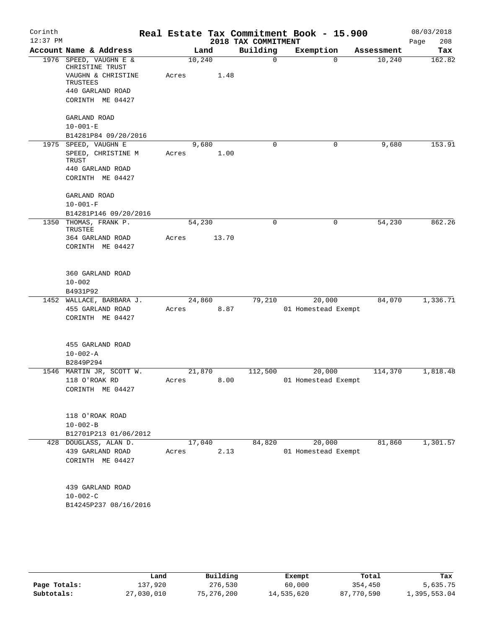| Corinth<br>$12:37$ PM |                                           |        |        | 2018 TAX COMMITMENT | Real Estate Tax Commitment Book - 15.900 |            | 08/03/2018<br>208<br>Page |
|-----------------------|-------------------------------------------|--------|--------|---------------------|------------------------------------------|------------|---------------------------|
|                       | Account Name & Address                    |        | Land   | Building            | Exemption                                | Assessment | Tax                       |
|                       | 1976 SPEED, VAUGHN E &<br>CHRISTINE TRUST | 10,240 |        | $\mathbf 0$         | $\mathbf 0$                              | 10,240     | 162.82                    |
|                       | VAUGHN & CHRISTINE<br>TRUSTEES            | Acres  | 1.48   |                     |                                          |            |                           |
|                       | 440 GARLAND ROAD                          |        |        |                     |                                          |            |                           |
|                       | CORINTH ME 04427                          |        |        |                     |                                          |            |                           |
|                       | GARLAND ROAD                              |        |        |                     |                                          |            |                           |
|                       | $10 - 001 - E$                            |        |        |                     |                                          |            |                           |
|                       | B14281P84 09/20/2016                      |        |        |                     |                                          |            |                           |
|                       | 1975 SPEED, VAUGHN E                      |        | 9,680  | $\mathbf 0$         | 0                                        | 9,680      | 153.91                    |
|                       | SPEED, CHRISTINE M<br>TRUST               | Acres  | 1.00   |                     |                                          |            |                           |
|                       | 440 GARLAND ROAD                          |        |        |                     |                                          |            |                           |
|                       | CORINTH ME 04427                          |        |        |                     |                                          |            |                           |
|                       |                                           |        |        |                     |                                          |            |                           |
|                       | GARLAND ROAD                              |        |        |                     |                                          |            |                           |
|                       | $10 - 001 - F$                            |        |        |                     |                                          |            |                           |
|                       | B14281P146 09/20/2016                     |        |        |                     |                                          |            |                           |
|                       | 1350 THOMAS, FRANK P.<br>TRUSTEE          | 54,230 |        | $\mathbf 0$         | 0                                        | 54,230     | 862.26                    |
|                       | 364 GARLAND ROAD                          | Acres  | 13.70  |                     |                                          |            |                           |
|                       | CORINTH ME 04427                          |        |        |                     |                                          |            |                           |
|                       | 360 GARLAND ROAD                          |        |        |                     |                                          |            |                           |
|                       | $10 - 002$                                |        |        |                     |                                          |            |                           |
|                       | B4931P92                                  |        |        |                     |                                          |            |                           |
|                       | 1452 WALLACE, BARBARA J.                  | 24,860 |        | 79,210              | 20,000                                   | 84,070     | 1,336.71                  |
|                       | 455 GARLAND ROAD                          | Acres  | 8.87   |                     | 01 Homestead Exempt                      |            |                           |
|                       | CORINTH ME 04427                          |        |        |                     |                                          |            |                           |
|                       | 455 GARLAND ROAD                          |        |        |                     |                                          |            |                           |
|                       | $10 - 002 - A$                            |        |        |                     |                                          |            |                           |
|                       | B2849P294                                 |        |        |                     |                                          |            |                           |
|                       | 1546 MARTIN JR, SCOTT W.                  | 21,870 |        | 112,500             | 20,000                                   | 114,370    | 1,818.48                  |
|                       | 118 O'ROAK RD                             | Acres  | 8.00   |                     | 01 Homestead Exempt                      |            |                           |
|                       | CORINTH ME 04427                          |        |        |                     |                                          |            |                           |
|                       |                                           |        |        |                     |                                          |            |                           |
|                       | 118 O'ROAK ROAD                           |        |        |                     |                                          |            |                           |
|                       | $10 - 002 - B$                            |        |        |                     |                                          |            |                           |
|                       | B12701P213 01/06/2012                     |        |        |                     |                                          |            |                           |
|                       | 428 DOUGLASS, ALAN D.                     |        | 17,040 | 84,820              | 20,000                                   | 81,860     | 1,301.57                  |
|                       | 439 GARLAND ROAD                          | Acres  | 2.13   |                     | 01 Homestead Exempt                      |            |                           |
|                       | CORINTH ME 04427                          |        |        |                     |                                          |            |                           |
|                       | 439 GARLAND ROAD                          |        |        |                     |                                          |            |                           |
|                       | $10 - 002 - C$                            |        |        |                     |                                          |            |                           |
|                       | B14245P237 08/16/2016                     |        |        |                     |                                          |            |                           |
|                       |                                           |        |        |                     |                                          |            |                           |
|                       |                                           |        |        |                     |                                          |            |                           |

|              | Land       | Building   | Exempt     | Total      | Tax          |
|--------------|------------|------------|------------|------------|--------------|
| Page Totals: | 137,920    | 276,530    | 60,000     | 354,450    | 5,635.75     |
| Subtotals:   | 27,030,010 | 75,276,200 | 14,535,620 | 87,770,590 | l,395,553.04 |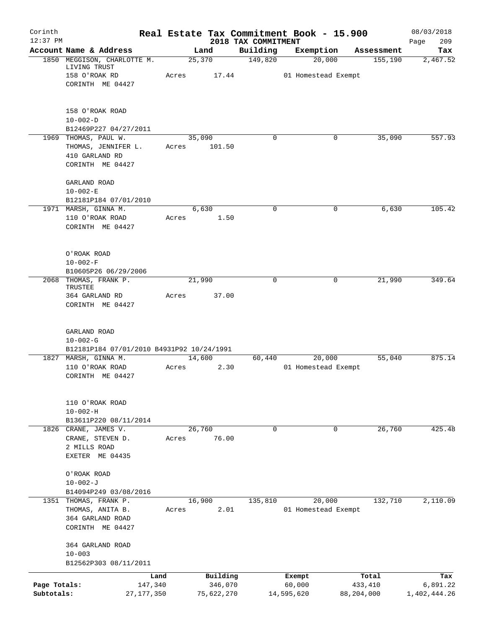| Corinth                    |                                           |                         |        |                       |                                 | Real Estate Tax Commitment Book - 15.900 |                       | 08/03/2018               |
|----------------------------|-------------------------------------------|-------------------------|--------|-----------------------|---------------------------------|------------------------------------------|-----------------------|--------------------------|
| $12:37$ PM                 | Account Name & Address                    |                         | Land   |                       | 2018 TAX COMMITMENT<br>Building | Exemption                                | Assessment            | 209<br>Page<br>Tax       |
|                            | 1850 MEGGISON, CHARLOTTE M.               |                         | 25,370 |                       | 149,820                         | 20,000                                   | 155,190               | 2,467.52                 |
|                            | LIVING TRUST                              |                         |        |                       |                                 |                                          |                       |                          |
|                            | 158 O'ROAK RD<br>CORINTH ME 04427         | Acres                   |        | 17.44                 |                                 | 01 Homestead Exempt                      |                       |                          |
|                            |                                           |                         |        |                       |                                 |                                          |                       |                          |
|                            | 158 O'ROAK ROAD                           |                         |        |                       |                                 |                                          |                       |                          |
|                            | $10 - 002 - D$                            |                         |        |                       |                                 |                                          |                       |                          |
|                            | B12469P227 04/27/2011                     |                         |        |                       |                                 |                                          |                       |                          |
|                            | 1969 THOMAS, PAUL W.                      |                         | 35,090 | 101.50                | 0                               | 0                                        | 35,090                | 557.93                   |
|                            | THOMAS, JENNIFER L.<br>410 GARLAND RD     | Acres                   |        |                       |                                 |                                          |                       |                          |
|                            | CORINTH ME 04427                          |                         |        |                       |                                 |                                          |                       |                          |
|                            | GARLAND ROAD                              |                         |        |                       |                                 |                                          |                       |                          |
|                            | $10 - 002 - E$                            |                         |        |                       |                                 |                                          |                       |                          |
|                            | B12181P184 07/01/2010                     |                         |        |                       | $\mathbf 0$                     |                                          | 6,630                 | 105.42                   |
|                            | 1971 MARSH, GINNA M.<br>110 O'ROAK ROAD   | Acres                   | 6,630  | 1.50                  |                                 | 0                                        |                       |                          |
|                            | CORINTH ME 04427                          |                         |        |                       |                                 |                                          |                       |                          |
|                            |                                           |                         |        |                       |                                 |                                          |                       |                          |
|                            | O'ROAK ROAD                               |                         |        |                       |                                 |                                          |                       |                          |
|                            | $10 - 002 - F$                            |                         |        |                       |                                 |                                          |                       |                          |
| 2068                       | B10605P26 06/29/2006<br>THOMAS, FRANK P.  |                         | 21,990 |                       | $\mathbf 0$                     | 0                                        | 21,990                | 349.64                   |
|                            | TRUSTEE                                   |                         |        |                       |                                 |                                          |                       |                          |
|                            | 364 GARLAND RD<br>CORINTH ME 04427        | Acres                   |        | 37.00                 |                                 |                                          |                       |                          |
|                            | GARLAND ROAD<br>$10 - 002 - G$            |                         |        |                       |                                 |                                          |                       |                          |
|                            | B12181P184 07/01/2010 B4931P92 10/24/1991 |                         |        |                       |                                 |                                          |                       |                          |
|                            | 1827 MARSH, GINNA M.                      |                         | 14,600 |                       | 60,440                          | 20,000                                   | 55,040                | 875.14                   |
|                            | 110 O'ROAK ROAD                           | Acres                   |        | 2.30                  |                                 | 01 Homestead Exempt                      |                       |                          |
|                            | CORINTH ME 04427                          |                         |        |                       |                                 |                                          |                       |                          |
|                            | 110 O'ROAK ROAD                           |                         |        |                       |                                 |                                          |                       |                          |
|                            | $10 - 002 - H$                            |                         |        |                       |                                 |                                          |                       |                          |
|                            | B13611P220 08/11/2014                     |                         |        |                       |                                 |                                          |                       |                          |
|                            | 1826 CRANE, JAMES V.<br>CRANE, STEVEN D.  |                         | 26,760 | 76.00                 | $\mathbf 0$                     | $\mathbf 0$                              | 26,760                | 425.48                   |
|                            | 2 MILLS ROAD                              | Acres                   |        |                       |                                 |                                          |                       |                          |
|                            | EXETER ME 04435                           |                         |        |                       |                                 |                                          |                       |                          |
|                            | O'ROAK ROAD                               |                         |        |                       |                                 |                                          |                       |                          |
|                            | $10 - 002 - J$                            |                         |        |                       |                                 |                                          |                       |                          |
|                            | B14094P249 03/08/2016                     |                         |        |                       |                                 |                                          |                       |                          |
|                            | 1351 THOMAS, FRANK P.<br>THOMAS, ANITA B. | Acres                   | 16,900 | 2.01                  | 135,810                         | 20,000<br>01 Homestead Exempt            | 132,710               | 2,110.09                 |
|                            | 364 GARLAND ROAD                          |                         |        |                       |                                 |                                          |                       |                          |
|                            | CORINTH ME 04427                          |                         |        |                       |                                 |                                          |                       |                          |
|                            | 364 GARLAND ROAD                          |                         |        |                       |                                 |                                          |                       |                          |
|                            | $10 - 003$                                |                         |        |                       |                                 |                                          |                       |                          |
|                            | B12562P303 08/11/2011                     |                         |        |                       |                                 |                                          |                       |                          |
|                            |                                           | Land                    |        | Building              |                                 | Exempt                                   | Total                 | Tax                      |
| Page Totals:<br>Subtotals: |                                           | 147,340<br>27, 177, 350 |        | 346,070<br>75,622,270 |                                 | 60,000<br>14,595,620                     | 433,410<br>88,204,000 | 6,891.22<br>1,402,444.26 |
|                            |                                           |                         |        |                       |                                 |                                          |                       |                          |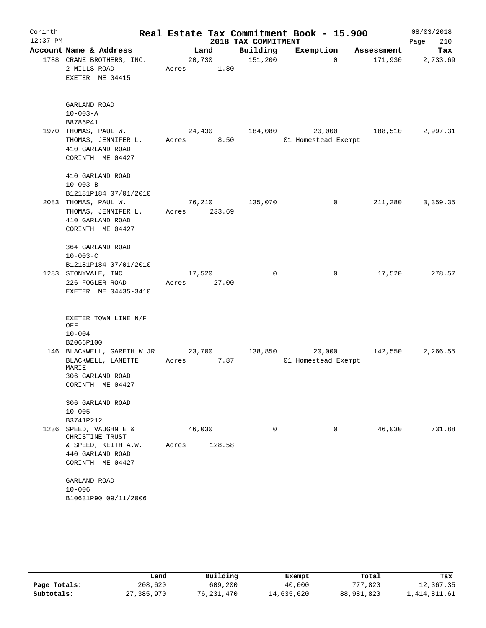| Corinth    |                                           |        |        |                     | Real Estate Tax Commitment Book - 15.900 |            | 08/03/2018  |
|------------|-------------------------------------------|--------|--------|---------------------|------------------------------------------|------------|-------------|
| $12:37$ PM |                                           |        |        | 2018 TAX COMMITMENT |                                          |            | 210<br>Page |
|            | Account Name & Address                    |        | Land   | Building            | Exemption                                | Assessment | Tax         |
|            | 1788 CRANE BROTHERS, INC.                 | 20,730 |        | 151,200             | $\Omega$                                 | 171,930    | 2,733.69    |
|            | 2 MILLS ROAD                              | Acres  | 1.80   |                     |                                          |            |             |
|            | EXETER ME 04415                           |        |        |                     |                                          |            |             |
|            |                                           |        |        |                     |                                          |            |             |
|            | GARLAND ROAD<br>$10 - 003 - A$            |        |        |                     |                                          |            |             |
|            | B8786P41                                  |        |        |                     |                                          |            |             |
|            | 1970 THOMAS, PAUL W.                      | 24,430 |        | 184,080             | 20,000                                   | 188,510    | 2,997.31    |
|            | THOMAS, JENNIFER L.                       | Acres  | 8.50   |                     | 01 Homestead Exempt                      |            |             |
|            | 410 GARLAND ROAD                          |        |        |                     |                                          |            |             |
|            | CORINTH ME 04427                          |        |        |                     |                                          |            |             |
|            | 410 GARLAND ROAD                          |        |        |                     |                                          |            |             |
|            | $10 - 003 - B$                            |        |        |                     |                                          |            |             |
|            | B12181P184 07/01/2010                     |        |        |                     |                                          |            |             |
|            | 2083 THOMAS, PAUL W.                      | 76,210 |        | 135,070             | 0                                        | 211,280    | 3,359.35    |
|            | THOMAS, JENNIFER L.                       | Acres  | 233.69 |                     |                                          |            |             |
|            | 410 GARLAND ROAD                          |        |        |                     |                                          |            |             |
|            | CORINTH ME 04427                          |        |        |                     |                                          |            |             |
|            | 364 GARLAND ROAD                          |        |        |                     |                                          |            |             |
|            | $10 - 003 - C$                            |        |        |                     |                                          |            |             |
|            | B12181P184 07/01/2010                     |        |        |                     |                                          |            |             |
|            | 1283 STONYVALE, INC                       | 17,520 |        | $\mathbf 0$         | 0                                        | 17,520     | 278.57      |
|            | 226 FOGLER ROAD                           | Acres  | 27.00  |                     |                                          |            |             |
|            | EXETER ME 04435-3410                      |        |        |                     |                                          |            |             |
|            | EXETER TOWN LINE N/F<br>OFF<br>$10 - 004$ |        |        |                     |                                          |            |             |
|            | B2066P100                                 |        |        |                     |                                          |            |             |
|            | 146 BLACKWELL, GARETH W JR                | 23,700 |        | 138,850             | 20,000                                   | 142,550    | 2,266.55    |
|            | BLACKWELL, LANETTE<br>MARIE               | Acres  | 7.87   |                     | 01 Homestead Exempt                      |            |             |
|            | 306 GARLAND ROAD                          |        |        |                     |                                          |            |             |
|            | CORINTH ME 04427                          |        |        |                     |                                          |            |             |
|            | 306 GARLAND ROAD                          |        |        |                     |                                          |            |             |
|            | $10 - 005$                                |        |        |                     |                                          |            |             |
|            | B3741P212                                 |        |        |                     |                                          |            |             |
| 1236       | SPEED, VAUGHN E &<br>CHRISTINE TRUST      | 46,030 |        | $\Omega$            | 0                                        | 46,030     | 731.88      |
|            | & SPEED, KEITH A.W.                       | Acres  | 128.58 |                     |                                          |            |             |
|            | 440 GARLAND ROAD                          |        |        |                     |                                          |            |             |
|            | CORINTH ME 04427                          |        |        |                     |                                          |            |             |
|            | GARLAND ROAD                              |        |        |                     |                                          |            |             |
|            | $10 - 006$                                |        |        |                     |                                          |            |             |
|            | B10631P90 09/11/2006                      |        |        |                     |                                          |            |             |

|              | Land       | Building   | Exempt     | Total      | Tax            |
|--------------|------------|------------|------------|------------|----------------|
| Page Totals: | 208,620    | 609,200    | 40,000     | 777,820    | 12,367.35      |
| Subtotals:   | 27,385,970 | 76,231,470 | 14,635,620 | 88,981,820 | 1, 414, 811.61 |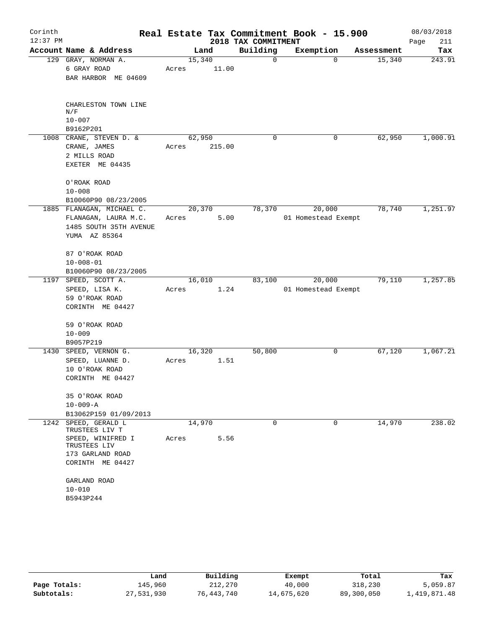| Corinth<br>$12:37$ PM |                                                                                                                                                                |                 |        | 2018 TAX COMMITMENT | Real Estate Tax Commitment Book - 15.900 |                    | 08/03/2018<br>211<br>Page |
|-----------------------|----------------------------------------------------------------------------------------------------------------------------------------------------------------|-----------------|--------|---------------------|------------------------------------------|--------------------|---------------------------|
|                       | Account Name & Address                                                                                                                                         | Land            |        | Building            | Exemption                                | Assessment         | Tax                       |
|                       | 129 GRAY, NORMAN A.<br>6 GRAY ROAD<br>BAR HARBOR ME 04609                                                                                                      | 15,340<br>Acres | 11.00  | $\mathbf 0$         |                                          | 15,340<br>$\Omega$ | 243.91                    |
|                       | CHARLESTON TOWN LINE<br>N/F<br>$10 - 007$<br>B9162P201                                                                                                         |                 |        |                     |                                          |                    |                           |
|                       | 1008 CRANE, STEVEN D. &<br>CRANE, JAMES<br>2 MILLS ROAD<br>EXETER ME 04435                                                                                     | 62,950<br>Acres | 215.00 | $\Omega$            |                                          | 62,950<br>0        | 1,000.91                  |
|                       | O'ROAK ROAD<br>$10 - 008$<br>B10060P90 08/23/2005                                                                                                              |                 |        |                     |                                          |                    |                           |
|                       | 1885 FLANAGAN, MICHAEL C.<br>FLANAGAN, LAURA M.C.<br>1485 SOUTH 35TH AVENUE<br>YUMA AZ 85364                                                                   | 20,370<br>Acres | 5.00   | 78,370              | 20,000<br>01 Homestead Exempt            | 78,740             | 1,251.97                  |
|                       | 87 O'ROAK ROAD<br>$10 - 008 - 01$<br>B10060P90 08/23/2005                                                                                                      |                 |        |                     |                                          |                    |                           |
|                       | 1197 SPEED, SCOTT A.<br>SPEED, LISA K.<br>59 O'ROAK ROAD<br>CORINTH ME 04427                                                                                   | 16,010<br>Acres | 1.24   | 83,100              | 20,000<br>01 Homestead Exempt            | 79,110             | 1,257.85                  |
|                       | 59 O'ROAK ROAD<br>$10 - 009$<br>B9057P219                                                                                                                      |                 |        |                     |                                          |                    |                           |
|                       | 1430 SPEED, VERNON G.<br>SPEED, LUANNE D.<br>10 O'ROAK ROAD<br>CORINTH ME 04427                                                                                | 16,320<br>Acres | 1.51   | 50,800              |                                          | 67,120<br>0        | 1,067.21                  |
|                       | 35 O'ROAK ROAD<br>$10 - 009 - A$<br>B13062P159 01/09/2013                                                                                                      |                 |        |                     |                                          |                    |                           |
|                       | 1242 SPEED, GERALD L<br>TRUSTEES LIV T<br>SPEED, WINIFRED I<br>TRUSTEES LIV<br>173 GARLAND ROAD<br>CORINTH ME 04427<br>GARLAND ROAD<br>$10 - 010$<br>B5943P244 | 14,970<br>Acres | 5.56   | $\Omega$            |                                          | 14,970<br>$\Omega$ | 238.02                    |

|              | Land       | Building   | Exempt     | Total      | Tax          |
|--------------|------------|------------|------------|------------|--------------|
| Page Totals: | 145,960    | 212,270    | 40,000     | 318,230    | 5,059.87     |
| Subtotals:   | 27,531,930 | 76,443,740 | 14,675,620 | 89,300,050 | 1,419,871.48 |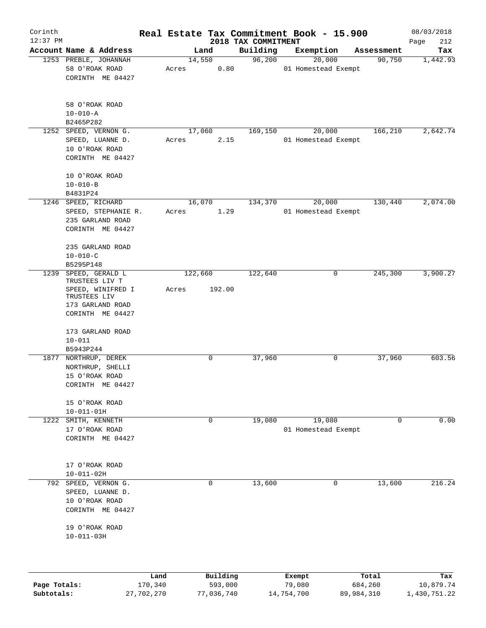| Corinth      |                                                                                             |                 |       |                |                     | Real Estate Tax Commitment Book - 15.900 |                  |                               |                      | 08/03/2018       |
|--------------|---------------------------------------------------------------------------------------------|-----------------|-------|----------------|---------------------|------------------------------------------|------------------|-------------------------------|----------------------|------------------|
| $12:37$ PM   |                                                                                             |                 |       |                |                     | 2018 TAX COMMITMENT                      |                  |                               |                      | 212<br>Page      |
|              | Account Name & Address<br>1253 PREBLE, JOHANNAH                                             |                 |       | Land<br>14,550 |                     | Building<br>96,200                       | Exemption        | 20,000                        | Assessment<br>90,750 | Tax<br>1,442.93  |
|              | 58 O'ROAK ROAD<br>CORINTH ME 04427                                                          |                 | Acres |                | 0.80                |                                          |                  | 01 Homestead Exempt           |                      |                  |
|              | 58 O'ROAK ROAD<br>$10 - 010 - A$<br>B2465P282                                               |                 |       |                |                     |                                          |                  |                               |                      |                  |
| 1252         | SPEED, VERNON G.                                                                            |                 |       | 17,060         |                     | 169,150                                  |                  | 20,000                        | 166,210              | 2,642.74         |
|              | SPEED, LUANNE D.<br>10 O'ROAK ROAD<br>CORINTH ME 04427                                      |                 | Acres |                | 2.15                |                                          |                  | 01 Homestead Exempt           |                      |                  |
|              | 10 O'ROAK ROAD                                                                              |                 |       |                |                     |                                          |                  |                               |                      |                  |
|              | $10 - 010 - B$                                                                              |                 |       |                |                     |                                          |                  |                               |                      |                  |
|              | B4831P24<br>1246 SPEED, RICHARD                                                             |                 |       |                |                     |                                          |                  |                               | 130,440              | 2,074.00         |
|              | SPEED, STEPHANIE R.<br>235 GARLAND ROAD<br>CORINTH ME 04427                                 |                 | Acres | 16,070         | 1.29                | 134,370                                  |                  | 20,000<br>01 Homestead Exempt |                      |                  |
|              | 235 GARLAND ROAD<br>$10 - 010 - C$<br>B5295P148                                             |                 |       |                |                     |                                          |                  |                               |                      |                  |
| 1239         | SPEED, GERALD L                                                                             |                 |       | 122,660        |                     | 122,640                                  |                  | 0                             | 245,300              | 3,900.27         |
|              | TRUSTEES LIV T<br>SPEED, WINIFRED I<br>TRUSTEES LIV<br>173 GARLAND ROAD<br>CORINTH ME 04427 |                 | Acres |                | 192.00              |                                          |                  |                               |                      |                  |
|              | 173 GARLAND ROAD                                                                            |                 |       |                |                     |                                          |                  |                               |                      |                  |
|              | $10 - 011$<br>B5943P244                                                                     |                 |       |                |                     |                                          |                  |                               |                      |                  |
|              | 1877 NORTHRUP, DEREK<br>NORTHRUP, SHELLI<br>15 O'ROAK ROAD<br>CORINTH ME 04427              |                 |       | 0              |                     | 37,960                                   |                  | 0                             | 37,960               | 603.56           |
|              | 15 O'ROAK ROAD                                                                              |                 |       |                |                     |                                          |                  |                               |                      |                  |
| 1222         | $10 - 011 - 01H$<br>SMITH, KENNETH                                                          |                 |       | $\mathbf 0$    |                     | 19,080                                   |                  | 19,080                        | 0                    | 0.00             |
|              | 17 O'ROAK ROAD<br>CORINTH ME 04427                                                          |                 |       |                |                     |                                          |                  | 01 Homestead Exempt           |                      |                  |
|              | 17 O'ROAK ROAD                                                                              |                 |       |                |                     |                                          |                  |                               |                      |                  |
|              | $10 - 011 - 02H$<br>SPEED, VERNON G.                                                        |                 |       | 0              |                     |                                          |                  | 0                             | 13,600               | 216.24           |
| 792          | SPEED, LUANNE D.<br>10 O'ROAK ROAD                                                          |                 |       |                |                     | 13,600                                   |                  |                               |                      |                  |
|              | CORINTH ME 04427                                                                            |                 |       |                |                     |                                          |                  |                               |                      |                  |
|              | 19 O'ROAK ROAD<br>$10 - 011 - 03H$                                                          |                 |       |                |                     |                                          |                  |                               |                      |                  |
|              |                                                                                             |                 |       |                |                     |                                          |                  |                               |                      |                  |
| Page Totals: |                                                                                             | Land<br>170,340 |       |                | Building<br>593,000 |                                          | Exempt<br>79,080 |                               | Total<br>684,260     | Tax<br>10,879.74 |

**Subtotals:** 27,702,270 77,036,740 14,754,700 89,984,310 1,430,751.22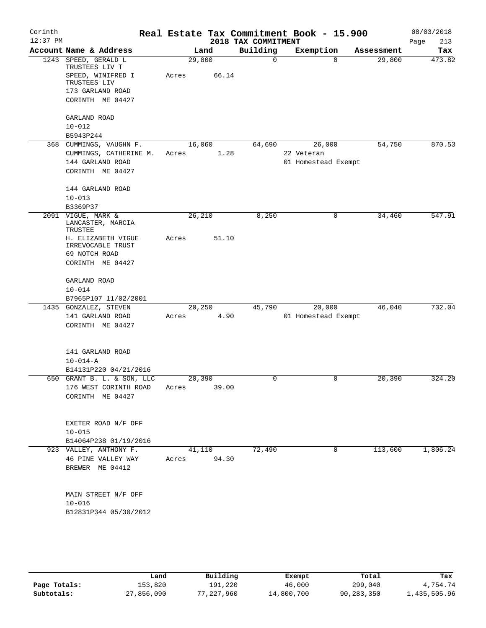| Corinth<br>$12:37$ PM |                                                           |       |                | 2018 TAX COMMITMENT | Real Estate Tax Commitment Book - 15.900 |                        | 08/03/2018<br>213<br>Page |
|-----------------------|-----------------------------------------------------------|-------|----------------|---------------------|------------------------------------------|------------------------|---------------------------|
|                       | Account Name & Address                                    |       | Land           | Building            | Exemption                                | Assessment             | Tax                       |
| 1243                  | SPEED, GERALD L<br>TRUSTEES LIV T                         |       | 29,800         | $\mathbf 0$         |                                          | 29,800<br>$\Omega$     | 473.82                    |
|                       | SPEED, WINIFRED I<br>TRUSTEES LIV                         | Acres | 66.14          |                     |                                          |                        |                           |
|                       | 173 GARLAND ROAD                                          |       |                |                     |                                          |                        |                           |
|                       | CORINTH ME 04427                                          |       |                |                     |                                          |                        |                           |
|                       | GARLAND ROAD                                              |       |                |                     |                                          |                        |                           |
|                       | $10 - 012$                                                |       |                |                     |                                          |                        |                           |
|                       | B5943P244                                                 |       |                |                     |                                          |                        |                           |
|                       | 368 CUMMINGS, VAUGHN F.                                   |       | 16,060         | 64,690              | 26,000                                   | 54,750                 | 870.53                    |
|                       | CUMMINGS, CATHERINE M.                                    | Acres | 1.28           |                     | 22 Veteran                               |                        |                           |
|                       | 144 GARLAND ROAD<br>CORINTH ME 04427                      |       |                |                     | 01 Homestead Exempt                      |                        |                           |
|                       | 144 GARLAND ROAD                                          |       |                |                     |                                          |                        |                           |
|                       | $10 - 013$                                                |       |                |                     |                                          |                        |                           |
|                       | B3369P37                                                  |       |                |                     |                                          |                        |                           |
|                       | 2091 VIGUE, MARK &<br>LANCASTER, MARCIA<br><b>TRUSTEE</b> |       | 26,210         | 8,250               | 0                                        | 34,460                 | 547.91                    |
|                       | H. ELIZABETH VIGUE<br>IRREVOCABLE TRUST                   | Acres | 51.10          |                     |                                          |                        |                           |
|                       | 69 NOTCH ROAD                                             |       |                |                     |                                          |                        |                           |
|                       | CORINTH ME 04427                                          |       |                |                     |                                          |                        |                           |
|                       | GARLAND ROAD                                              |       |                |                     |                                          |                        |                           |
|                       | $10 - 014$                                                |       |                |                     |                                          |                        |                           |
|                       | B7965P107 11/02/2001                                      |       |                |                     |                                          |                        | 732.04                    |
|                       | 1435 GONZALEZ, STEVEN<br>141 GARLAND ROAD                 | Acres | 20,250<br>4.90 | 45,790              | 20,000<br>01 Homestead Exempt            | 46,040                 |                           |
|                       | CORINTH ME 04427                                          |       |                |                     |                                          |                        |                           |
|                       | 141 GARLAND ROAD                                          |       |                |                     |                                          |                        |                           |
|                       | $10 - 014 - A$                                            |       |                |                     |                                          |                        |                           |
|                       | B14131P220 04/21/2016                                     |       |                |                     |                                          |                        |                           |
|                       | 650 GRANT B. L. & SON, LLC                                |       | 20,390         | $\mathbf 0$         | 0                                        | 20,390                 | 324.20                    |
|                       | 176 WEST CORINTH ROAD                                     | Acres | 39.00          |                     |                                          |                        |                           |
|                       | CORINTH ME 04427                                          |       |                |                     |                                          |                        |                           |
|                       | EXETER ROAD N/F OFF                                       |       |                |                     |                                          |                        |                           |
|                       | $10 - 015$                                                |       |                |                     |                                          |                        |                           |
|                       | B14064P238 01/19/2016                                     |       |                |                     |                                          |                        |                           |
|                       | 923 VALLEY, ANTHONY F.                                    |       | 41,110         | 72,490              |                                          | 113,600<br>$\mathbf 0$ | 1,806.24                  |
|                       | 46 PINE VALLEY WAY                                        | Acres | 94.30          |                     |                                          |                        |                           |
|                       | BREWER ME 04412                                           |       |                |                     |                                          |                        |                           |
|                       | MAIN STREET N/F OFF                                       |       |                |                     |                                          |                        |                           |
|                       | $10 - 016$                                                |       |                |                     |                                          |                        |                           |
|                       | B12831P344 05/30/2012                                     |       |                |                     |                                          |                        |                           |
|                       |                                                           |       |                |                     |                                          |                        |                           |
|                       |                                                           |       |                |                     |                                          |                        |                           |

|              | Land       | Building   | Exempt     | Total      | Tax          |
|--------------|------------|------------|------------|------------|--------------|
| Page Totals: | 153,820    | 191,220    | 46,000     | 299,040    | 4,754.74     |
| Subtotals:   | 27,856,090 | 77,227,960 | 14,800,700 | 90,283,350 | 1,435,505.96 |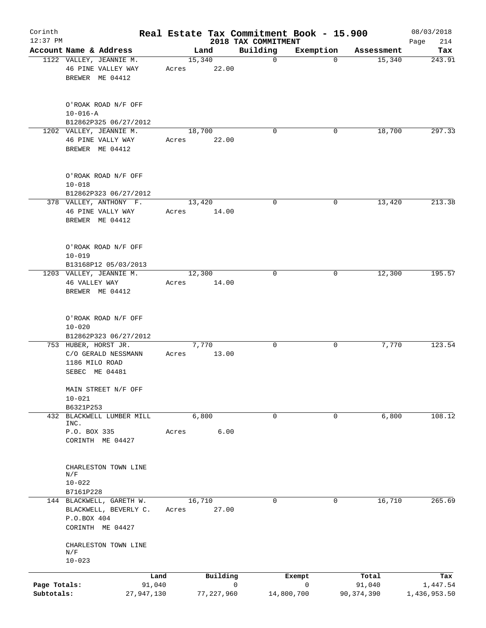| Corinth                    |                      |                                                                       |        |                 | Real Estate Tax Commitment Book - 15.900 |                           |                        | 08/03/2018               |
|----------------------------|----------------------|-----------------------------------------------------------------------|--------|-----------------|------------------------------------------|---------------------------|------------------------|--------------------------|
| $12:37$ PM                 |                      | Account Name & Address                                                |        | Land            | 2018 TAX COMMITMENT<br>Building          | Exemption                 |                        | 214<br>Page<br>Tax       |
|                            |                      | 1122 VALLEY, JEANNIE M.                                               | 15,340 |                 | $\mathbf 0$                              | $\mathbf 0$               | Assessment<br>15,340   | 243.91                   |
|                            |                      | 46 PINE VALLEY WAY<br>BREWER ME 04412                                 | Acres  | 22.00           |                                          |                           |                        |                          |
|                            | $10 - 016 - A$       | O'ROAK ROAD N/F OFF<br>B12862P325 06/27/2012                          |        |                 |                                          |                           |                        |                          |
|                            |                      | 1202 VALLEY, JEANNIE M.                                               |        | 18,700          | $\mathbf 0$                              | 0                         | 18,700                 | 297.33                   |
|                            |                      | 46 PINE VALLY WAY<br>BREWER ME 04412                                  | Acres  | 22.00           |                                          |                           |                        |                          |
|                            | $10 - 018$           | O'ROAK ROAD N/F OFF                                                   |        |                 |                                          |                           |                        |                          |
|                            |                      | B12862P323 06/27/2012<br>378 VALLEY, ANTHONY F.                       |        | 13,420          | $\mathbf 0$                              | 0                         | 13,420                 | 213.38                   |
|                            |                      | 46 PINE VALLY WAY<br>BREWER ME 04412                                  | Acres  | 14.00           |                                          |                           |                        |                          |
|                            | $10 - 019$           | O'ROAK ROAD N/F OFF                                                   |        |                 |                                          |                           |                        |                          |
|                            |                      | B13168P12 05/03/2013<br>1203 VALLEY, JEANNIE M.                       |        | 12,300          | $\mathbf 0$                              | 0                         | 12,300                 | 195.57                   |
|                            | 46 VALLEY WAY        | BREWER ME 04412                                                       | Acres  | 14.00           |                                          |                           |                        |                          |
|                            | $10 - 020$           | O'ROAK ROAD N/F OFF                                                   |        |                 |                                          |                           |                        |                          |
|                            |                      | B12862P323 06/27/2012                                                 |        |                 |                                          |                           |                        |                          |
|                            | 1186 MILO ROAD       | 753 HUBER, HORST JR.<br>C/O GERALD NESSMANN<br>SEBEC ME 04481         | Acres  | 7,770<br>13.00  | 0                                        | 0                         | 7,770                  | 123.54                   |
|                            | $10 - 021$           | MAIN STREET N/F OFF                                                   |        |                 |                                          |                           |                        |                          |
|                            | B6321P253            | 432 BLACKWELL LUMBER MILL                                             |        | 6,800           | 0                                        | 0                         | 6,800                  | 108.12                   |
|                            | INC.<br>P.O. BOX 335 | CORINTH ME 04427                                                      | Acres  | 6.00            |                                          |                           |                        |                          |
|                            | N/F<br>$10 - 022$    | CHARLESTON TOWN LINE                                                  |        |                 |                                          |                           |                        |                          |
|                            | B7161P228            |                                                                       |        |                 |                                          |                           |                        |                          |
|                            | P.O.BOX 404          | 144 BLACKWELL, GARETH W.<br>BLACKWELL, BEVERLY C.<br>CORINTH ME 04427 | Acres  | 16,710<br>27.00 | 0                                        | 0                         | 16,710                 | 265.69                   |
|                            | N/F<br>$10 - 023$    | CHARLESTON TOWN LINE                                                  |        |                 |                                          |                           |                        |                          |
|                            |                      | Land                                                                  |        | Building        |                                          | Exempt                    | Total                  | Tax                      |
| Page Totals:<br>Subtotals: |                      | 91,040<br>27,947,130                                                  |        | 77, 227, 960    | $\mathbf 0$                              | $\mathbf 0$<br>14,800,700 | 91,040<br>90, 374, 390 | 1,447.54<br>1,436,953.50 |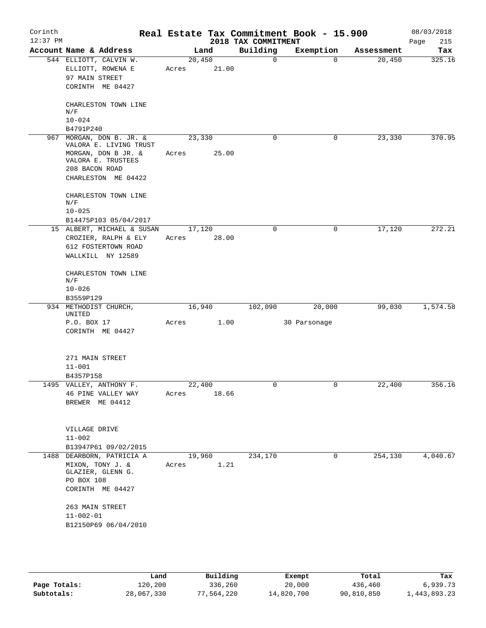| Corinth<br>$12:37$ PM |                                                                                                              |                 |       | 2018 TAX COMMITMENT | Real Estate Tax Commitment Book - 15.900 |            | 08/03/2018<br>215<br>Page |
|-----------------------|--------------------------------------------------------------------------------------------------------------|-----------------|-------|---------------------|------------------------------------------|------------|---------------------------|
|                       | Account Name & Address                                                                                       | Land            |       | Building            | Exemption                                | Assessment | Tax                       |
|                       | 544 ELLIOTT, CALVIN W.<br>ELLIOTT, ROWENA E<br>97 MAIN STREET                                                | 20,450<br>Acres | 21.00 | $\mathsf{O}$        | $\Omega$                                 | 20,450     | 325.16                    |
|                       | CORINTH ME 04427                                                                                             |                 |       |                     |                                          |            |                           |
|                       | CHARLESTON TOWN LINE<br>N/F<br>$10 - 024$                                                                    |                 |       |                     |                                          |            |                           |
|                       | B4791P240                                                                                                    |                 |       |                     |                                          |            |                           |
|                       | 967 MORGAN, DON B. JR. &                                                                                     | 23,330          |       | 0                   | 0                                        | 23,330     | 370.95                    |
|                       | VALORA E. LIVING TRUST<br>MORGAN, DON B JR. &<br>VALORA E. TRUSTEES<br>208 BACON ROAD<br>CHARLESTON ME 04422 | Acres           | 25.00 |                     |                                          |            |                           |
|                       | CHARLESTON TOWN LINE<br>N/F<br>$10 - 025$                                                                    |                 |       |                     |                                          |            |                           |
|                       | B14475P103 05/04/2017                                                                                        |                 |       |                     |                                          |            |                           |
|                       | 15 ALBERT, MICHAEL & SUSAN                                                                                   | 17,120          |       | $\mathbf 0$         | 0                                        | 17,120     | 272.21                    |
|                       | CROZIER, RALPH & ELY                                                                                         | Acres           | 28.00 |                     |                                          |            |                           |
|                       | 612 FOSTERTOWN ROAD<br>WALLKILL NY 12589                                                                     |                 |       |                     |                                          |            |                           |
|                       | CHARLESTON TOWN LINE<br>N/F                                                                                  |                 |       |                     |                                          |            |                           |
|                       | $10 - 026$<br>B3559P129                                                                                      |                 |       |                     |                                          |            |                           |
|                       | 934 METHODIST CHURCH,                                                                                        | 16,940          |       | 102,090             | 20,000                                   | 99,030     | 1,574.58                  |
|                       | UNITED<br>P.O. BOX 17                                                                                        | Acres           | 1.00  |                     | 30 Parsonage                             |            |                           |
|                       | CORINTH ME 04427                                                                                             |                 |       |                     |                                          |            |                           |
|                       | 271 MAIN STREET                                                                                              |                 |       |                     |                                          |            |                           |
|                       | $11 - 001$                                                                                                   |                 |       |                     |                                          |            |                           |
|                       | B4357P158                                                                                                    |                 |       |                     |                                          |            |                           |
|                       | 1495 VALLEY, ANTHONY F.<br>46 PINE VALLEY WAY                                                                | 22,400<br>Acres | 18.66 | 0                   | $\mathbf 0$                              | 22,400     | 356.16                    |
|                       | BREWER ME 04412                                                                                              |                 |       |                     |                                          |            |                           |
|                       | VILLAGE DRIVE<br>$11 - 002$                                                                                  |                 |       |                     |                                          |            |                           |
|                       | B13947P61 09/02/2015                                                                                         |                 |       |                     |                                          |            |                           |
|                       | 1488 DEARBORN, PATRICIA A                                                                                    | 19,960          |       | 234,170             | 0                                        | 254,130    | 4,040.67                  |
|                       | MIXON, TONY J. &<br>GLAZIER, GLENN G.<br>PO BOX 108                                                          | Acres           | 1.21  |                     |                                          |            |                           |
|                       | CORINTH ME 04427                                                                                             |                 |       |                     |                                          |            |                           |
|                       | 263 MAIN STREET                                                                                              |                 |       |                     |                                          |            |                           |
|                       | $11 - 002 - 01$                                                                                              |                 |       |                     |                                          |            |                           |
|                       | B12150P69 06/04/2010                                                                                         |                 |       |                     |                                          |            |                           |
|                       |                                                                                                              |                 |       |                     |                                          |            |                           |

|              | Land       | Building   | Exempt     | Total      | Tax          |
|--------------|------------|------------|------------|------------|--------------|
| Page Totals: | 120,200    | 336,260    | 20,000     | 436,460    | 6,939.73     |
| Subtotals:   | 28,067,330 | 77,564,220 | 14,820,700 | 90,810,850 | 1,443,893.23 |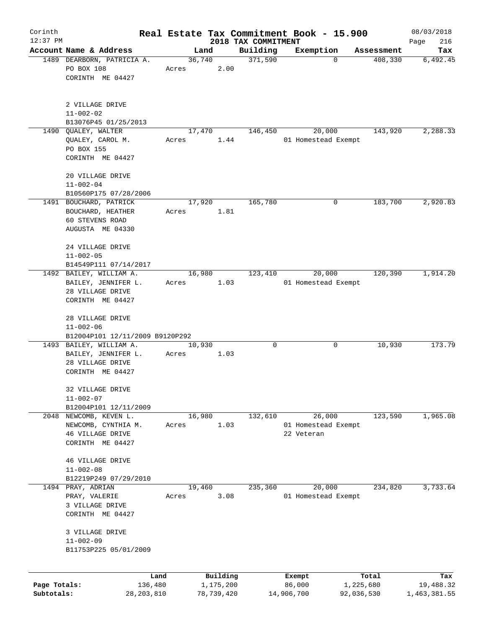| Corinth      |                                                                 |              |       |                |                     | Real Estate Tax Commitment Book - 15.900 |                       | 08/03/2018      |
|--------------|-----------------------------------------------------------------|--------------|-------|----------------|---------------------|------------------------------------------|-----------------------|-----------------|
| $12:37$ PM   |                                                                 |              |       |                | 2018 TAX COMMITMENT |                                          |                       | Page<br>216     |
|              | Account Name & Address<br>1489 DEARBORN, PATRICIA A.            |              |       | Land<br>36,740 | Building<br>371,590 | Exemption<br>$\Omega$                    | Assessment<br>408,330 | Tax<br>6,492.45 |
|              | PO BOX 108<br>CORINTH ME 04427                                  |              | Acres | 2.00           |                     |                                          |                       |                 |
|              | 2 VILLAGE DRIVE<br>$11 - 002 - 02$<br>B13076P45 01/25/2013      |              |       |                |                     |                                          |                       |                 |
|              | 1490 OUALEY, WALTER                                             |              |       | 17,470         | 146,450             | 20,000                                   | 143,920               | 2,288.33        |
|              | QUALEY, CAROL M.<br>PO BOX 155<br>CORINTH ME 04427              |              | Acres | 1.44           |                     | 01 Homestead Exempt                      |                       |                 |
|              | 20 VILLAGE DRIVE<br>$11 - 002 - 04$<br>B10560P175 07/28/2006    |              |       |                |                     |                                          |                       |                 |
|              | 1491 BOUCHARD, PATRICK                                          |              |       | 17,920         | 165,780             | 0                                        | 183,700               | 2,920.83        |
|              | BOUCHARD, HEATHER<br><b>60 STEVENS ROAD</b><br>AUGUSTA ME 04330 |              | Acres | 1.81           |                     |                                          |                       |                 |
|              | 24 VILLAGE DRIVE<br>$11 - 002 - 05$<br>B14549P111 07/14/2017    |              |       |                |                     |                                          |                       |                 |
|              | 1492 BAILEY, WILLIAM A.                                         |              |       | 16,980         | 123,410             | 20,000                                   | 120,390               | 1,914.20        |
|              | BAILEY, JENNIFER L.                                             |              | Acres | 1.03           |                     | 01 Homestead Exempt                      |                       |                 |
|              | 28 VILLAGE DRIVE                                                |              |       |                |                     |                                          |                       |                 |
|              | CORINTH ME 04427                                                |              |       |                |                     |                                          |                       |                 |
|              | 28 VILLAGE DRIVE<br>$11 - 002 - 06$                             |              |       |                |                     |                                          |                       |                 |
|              | B12004P101 12/11/2009 B9120P292                                 |              |       |                |                     |                                          |                       |                 |
|              | 1493 BAILEY, WILLIAM A.                                         |              |       | 10,930         | $\mathbf 0$         | 0                                        | 10,930                | 173.79          |
|              | BAILEY, JENNIFER L.                                             |              | Acres | 1.03           |                     |                                          |                       |                 |
|              | 28 VILLAGE DRIVE<br>CORINTH ME 04427                            |              |       |                |                     |                                          |                       |                 |
|              |                                                                 |              |       |                |                     |                                          |                       |                 |
|              | 32 VILLAGE DRIVE                                                |              |       |                |                     |                                          |                       |                 |
|              | $11 - 002 - 07$                                                 |              |       |                |                     |                                          |                       |                 |
|              | B12004P101 12/11/2009                                           |              |       |                |                     |                                          |                       |                 |
|              | 2048 NEWCOMB, KEVEN L.                                          |              |       | 16,980<br>1.03 | 132,610             | 26,000                                   | 123,590               | 1,965.08        |
|              | NEWCOMB, CYNTHIA M.<br>46 VILLAGE DRIVE                         |              | Acres |                |                     | 01 Homestead Exempt<br>22 Veteran        |                       |                 |
|              | CORINTH ME 04427                                                |              |       |                |                     |                                          |                       |                 |
|              |                                                                 |              |       |                |                     |                                          |                       |                 |
|              | 46 VILLAGE DRIVE                                                |              |       |                |                     |                                          |                       |                 |
|              | $11 - 002 - 08$                                                 |              |       |                |                     |                                          |                       |                 |
|              | B12219P249 07/29/2010                                           |              |       |                |                     |                                          |                       |                 |
| 1494         | PRAY, ADRIAN<br>PRAY, VALERIE                                   |              | Acres | 19,460<br>3.08 | 235,360             | 20,000<br>01 Homestead Exempt            | 234,820               | 3,733.64        |
|              | 3 VILLAGE DRIVE                                                 |              |       |                |                     |                                          |                       |                 |
|              | CORINTH ME 04427                                                |              |       |                |                     |                                          |                       |                 |
|              |                                                                 |              |       |                |                     |                                          |                       |                 |
|              | 3 VILLAGE DRIVE                                                 |              |       |                |                     |                                          |                       |                 |
|              | $11 - 002 - 09$                                                 |              |       |                |                     |                                          |                       |                 |
|              | B11753P225 05/01/2009                                           |              |       |                |                     |                                          |                       |                 |
|              |                                                                 | Land         |       | Building       |                     | Exempt                                   | Total                 | Tax             |
| Page Totals: |                                                                 | 136,480      |       | 1,175,200      |                     | 86,000                                   | 1,225,680             | 19,488.32       |
| Subtotals:   |                                                                 | 28, 203, 810 |       | 78,739,420     |                     | 14,906,700                               | 92,036,530            | 1,463,381.55    |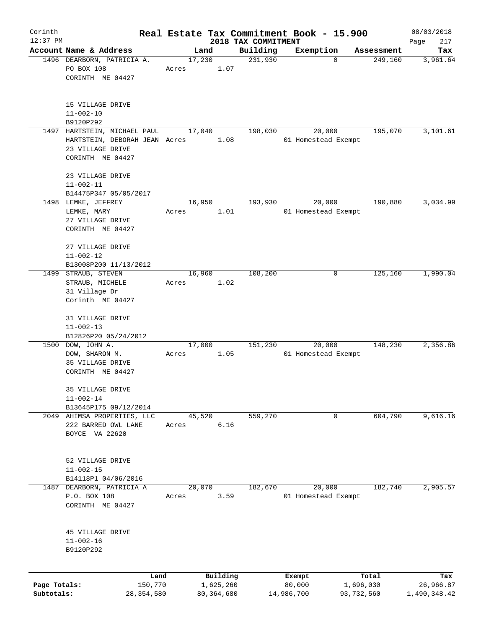| Corinth                    |                                                                       |       |                           |      |                     | Real Estate Tax Commitment Book - 15.900 |                         | 08/03/2018                |
|----------------------------|-----------------------------------------------------------------------|-------|---------------------------|------|---------------------|------------------------------------------|-------------------------|---------------------------|
| $12:37$ PM                 | Account Name & Address                                                |       |                           |      | 2018 TAX COMMITMENT |                                          |                         | Page<br>217               |
|                            | 1496 DEARBORN, PATRICIA A.                                            |       | Land<br>17,230            |      | Building<br>231,930 | Exemption<br>$\mathbf 0$                 | Assessment<br>249,160   | Tax<br>3,961.64           |
|                            | PO BOX 108<br>CORINTH ME 04427                                        | Acres |                           | 1.07 |                     |                                          |                         |                           |
|                            | 15 VILLAGE DRIVE<br>$11 - 002 - 10$<br>B9120P292                      |       |                           |      |                     |                                          |                         |                           |
|                            | 1497 HARTSTEIN, MICHAEL PAUL                                          |       | 17,040                    |      | 198,030             | 20,000                                   | 195,070                 | 3,101.61                  |
|                            | HARTSTEIN, DEBORAH JEAN Acres<br>23 VILLAGE DRIVE<br>CORINTH ME 04427 |       |                           | 1.08 |                     | 01 Homestead Exempt                      |                         |                           |
|                            | 23 VILLAGE DRIVE<br>$11 - 002 - 11$                                   |       |                           |      |                     |                                          |                         |                           |
|                            | B14475P347 05/05/2017                                                 |       |                           |      |                     |                                          |                         |                           |
|                            | 1498 LEMKE, JEFFREY<br>LEMKE, MARY<br>27 VILLAGE DRIVE                | Acres | 16,950                    | 1.01 | 193,930             | 20,000<br>01 Homestead Exempt            | 190,880                 | 3,034.99                  |
|                            | CORINTH ME 04427                                                      |       |                           |      |                     |                                          |                         |                           |
|                            | 27 VILLAGE DRIVE<br>$11 - 002 - 12$                                   |       |                           |      |                     |                                          |                         |                           |
|                            | B13008P200 11/13/2012<br>1499 STRAUB, STEVEN                          |       | 16,960                    |      | 108,200             | 0                                        | 125,160                 | 1,990.04                  |
|                            | STRAUB, MICHELE<br>31 Village Dr                                      | Acres |                           | 1.02 |                     |                                          |                         |                           |
|                            | Corinth ME 04427                                                      |       |                           |      |                     |                                          |                         |                           |
|                            | 31 VILLAGE DRIVE<br>$11 - 002 - 13$<br>B12826P20 05/24/2012           |       |                           |      |                     |                                          |                         |                           |
|                            | 1500 DOW, JOHN A.                                                     |       | 17,000                    |      | 151,230             | 20,000                                   | 148,230                 | 2,356.86                  |
|                            | DOW, SHARON M.<br>35 VILLAGE DRIVE<br>CORINTH ME 04427                | Acres |                           | 1.05 |                     | 01 Homestead Exempt                      |                         |                           |
|                            | 35 VILLAGE DRIVE                                                      |       |                           |      |                     |                                          |                         |                           |
|                            | $11 - 002 - 14$                                                       |       |                           |      |                     |                                          |                         |                           |
| 2049                       | B13645P175 09/12/2014                                                 |       |                           |      |                     | 0                                        | 604,790                 | 9,616.16                  |
|                            | AHIMSA PROPERTIES, LLC<br>222 BARRED OWL LANE<br>BOYCE VA 22620       | Acres | 45,520                    | 6.16 | 559,270             |                                          |                         |                           |
|                            | 52 VILLAGE DRIVE<br>$11 - 002 - 15$<br>B14118P1 04/06/2016            |       |                           |      |                     |                                          |                         |                           |
| 1487                       | DEARBORN, PATRICIA A                                                  |       | 20,070                    |      | 182,670             | 20,000                                   | 182,740                 | 2,905.57                  |
|                            | P.O. BOX 108<br>CORINTH ME 04427                                      | Acres |                           | 3.59 |                     | 01 Homestead Exempt                      |                         |                           |
|                            | 45 VILLAGE DRIVE<br>$11 - 002 - 16$<br>B9120P292                      |       |                           |      |                     |                                          |                         |                           |
|                            | Land                                                                  |       | Building                  |      |                     | Exempt                                   | Total                   | Tax                       |
| Page Totals:<br>Subtotals: | 150,770<br>28, 354, 580                                               |       | 1,625,260<br>80, 364, 680 |      |                     | 80,000<br>14,986,700                     | 1,696,030<br>93,732,560 | 26,966.87<br>1,490,348.42 |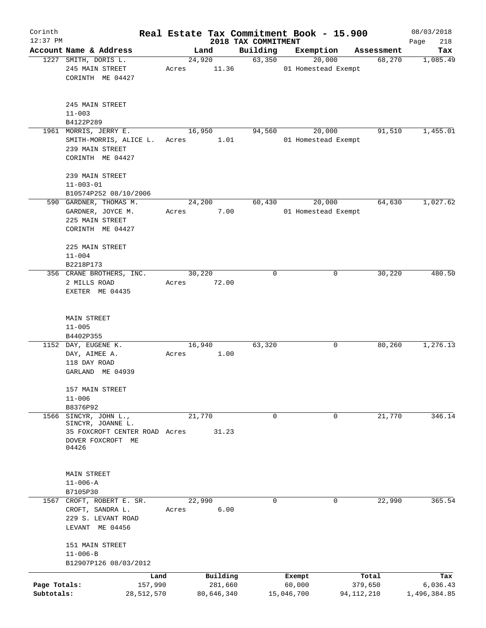| Corinth                    |                                                                                                      |                 |                       |                     | Real Estate Tax Commitment Book - 15.900 |                       | 08/03/2018               |
|----------------------------|------------------------------------------------------------------------------------------------------|-----------------|-----------------------|---------------------|------------------------------------------|-----------------------|--------------------------|
| $12:37$ PM                 |                                                                                                      |                 |                       | 2018 TAX COMMITMENT |                                          |                       | 218<br>Page              |
|                            | Account Name & Address<br>1227 SMITH, DORIS L.                                                       |                 | Land<br>24,920        | Building<br>63,350  | Exemption<br>20,000                      | Assessment<br>68,270  | Tax<br>1,085.49          |
|                            | 245 MAIN STREET<br>CORINTH ME 04427                                                                  | Acres           | 11.36                 |                     | 01 Homestead Exempt                      |                       |                          |
|                            | 245 MAIN STREET<br>$11 - 003$<br>B4122P289                                                           |                 |                       |                     |                                          |                       |                          |
|                            | 1961 MORRIS, JERRY E.                                                                                | 16,950          |                       | 94,560              | 20,000                                   | 91,510                | 1,455.01                 |
|                            | SMITH-MORRIS, ALICE L.<br>239 MAIN STREET<br>CORINTH ME 04427                                        | Acres           | 1.01                  |                     | 01 Homestead Exempt                      |                       |                          |
|                            | 239 MAIN STREET<br>$11 - 003 - 01$<br>B10574P252 08/10/2006                                          |                 |                       |                     |                                          |                       |                          |
|                            | 590 GARDNER, THOMAS M.                                                                               | 24,200          |                       | 60,430              | 20,000                                   | 64,630                | 1,027.62                 |
|                            | GARDNER, JOYCE M.<br>225 MAIN STREET<br>CORINTH ME 04427                                             | Acres           | 7.00                  |                     | 01 Homestead Exempt                      |                       |                          |
|                            | 225 MAIN STREET<br>$11 - 004$                                                                        |                 |                       |                     |                                          |                       |                          |
|                            | B2218P173<br>356 CRANE BROTHERS, INC.                                                                | 30,220          |                       | 0                   | 0                                        | 30,220                | 480.50                   |
|                            | 2 MILLS ROAD<br>EXETER ME 04435                                                                      | Acres           | 72.00                 |                     |                                          |                       |                          |
|                            | MAIN STREET<br>$11 - 005$                                                                            |                 |                       |                     |                                          |                       |                          |
|                            | B4402P355<br>1152 DAY, EUGENE K.                                                                     | 16,940          |                       | 63,320              | 0                                        | 80,260                | 1,276.13                 |
|                            | DAY, AIMEE A.<br>118 DAY ROAD<br>GARLAND ME 04939                                                    | Acres           | 1.00                  |                     |                                          |                       |                          |
|                            | 157 MAIN STREET<br>$11 - 006$                                                                        |                 |                       |                     |                                          |                       |                          |
|                            | B8376P92                                                                                             |                 |                       |                     |                                          |                       |                          |
| 1566                       | SINCYR, JOHN L.,<br>SINCYR, JOANNE L.<br>35 FOXCROFT CENTER ROAD Acres<br>DOVER FOXCROFT ME<br>04426 | 21,770          | 31.23                 | 0                   | 0                                        | 21,770                | 346.14                   |
|                            | MAIN STREET<br>$11 - 006 - A$                                                                        |                 |                       |                     |                                          |                       |                          |
|                            | B7105P30                                                                                             |                 |                       |                     |                                          |                       |                          |
|                            | 1567 CROFT, ROBERT E. SR.<br>CROFT, SANDRA L.<br>229 S. LEVANT ROAD<br>LEVANT ME 04456               | 22,990<br>Acres | 6.00                  | 0                   | 0                                        | 22,990                | 365.54                   |
|                            | 151 MAIN STREET<br>$11 - 006 - B$<br>B12907P126 08/03/2012                                           |                 |                       |                     |                                          |                       |                          |
|                            | Land                                                                                                 |                 | Building              |                     | Exempt                                   | Total                 | Tax                      |
| Page Totals:<br>Subtotals: | 157,990<br>28,512,570                                                                                |                 | 281,660<br>80,646,340 |                     | 60,000<br>15,046,700                     | 379,650<br>94,112,210 | 6,036.43<br>1,496,384.85 |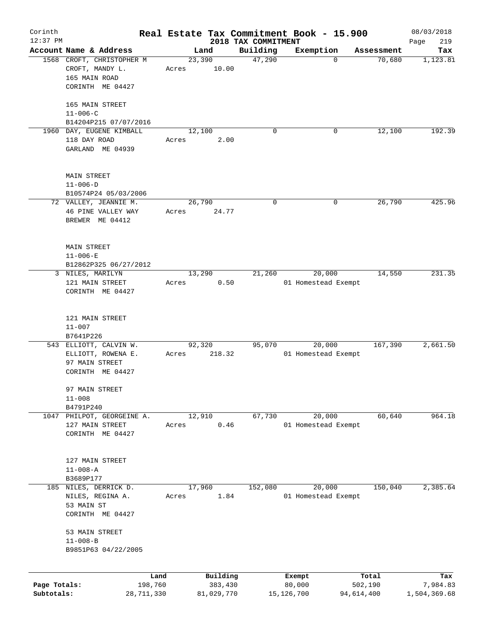| Corinth                    |                                                               |       |                       |                     | Real Estate Tax Commitment Book - 15.900 |                       | 08/03/2018               |
|----------------------------|---------------------------------------------------------------|-------|-----------------------|---------------------|------------------------------------------|-----------------------|--------------------------|
| $12:37$ PM                 |                                                               |       |                       | 2018 TAX COMMITMENT |                                          |                       | 219<br>Page              |
|                            | Account Name & Address                                        |       | Land                  | Building            | Exemption                                | Assessment            | Tax                      |
|                            | 1568 CROFT, CHRISTOPHER M<br>CROFT, MANDY L.<br>165 MAIN ROAD | Acres | 23,390<br>10.00       | 47,290              | $\mathbf 0$                              | 70,680                | 1,123.81                 |
|                            | CORINTH ME 04427                                              |       |                       |                     |                                          |                       |                          |
|                            | 165 MAIN STREET<br>$11 - 006 - C$                             |       |                       |                     |                                          |                       |                          |
|                            | B14204P215 07/07/2016                                         |       |                       |                     |                                          |                       |                          |
|                            | 1960 DAY, EUGENE KIMBALL                                      |       | 12,100                | $\Omega$            | 0                                        | 12,100                | 192.39                   |
|                            | 118 DAY ROAD<br>GARLAND ME 04939                              | Acres | 2.00                  |                     |                                          |                       |                          |
|                            | <b>MAIN STREET</b><br>$11 - 006 - D$                          |       |                       |                     |                                          |                       |                          |
|                            | B10574P24 05/03/2006                                          |       |                       |                     |                                          |                       |                          |
|                            | 72 VALLEY, JEANNIE M.                                         |       | 26,790                | 0                   | 0                                        | 26,790                | 425.96                   |
|                            | 46 PINE VALLEY WAY<br>BREWER ME 04412                         | Acres | 24.77                 |                     |                                          |                       |                          |
|                            | <b>MAIN STREET</b><br>$11 - 006 - E$                          |       |                       |                     |                                          |                       |                          |
|                            | B12862P325 06/27/2012                                         |       |                       |                     |                                          |                       |                          |
|                            | 3 NILES, MARILYN                                              |       | 13,290                | 21,260              | 20,000                                   | 14,550                | 231.35                   |
|                            | 121 MAIN STREET<br>CORINTH ME 04427                           | Acres | 0.50                  |                     | 01 Homestead Exempt                      |                       |                          |
|                            | 121 MAIN STREET                                               |       |                       |                     |                                          |                       |                          |
|                            | $11 - 007$                                                    |       |                       |                     |                                          |                       |                          |
|                            | B7641P226<br>543 ELLIOTT, CALVIN W.                           |       | 92,320                | 95,070              | 20,000                                   | 167,390               | 2,661.50                 |
|                            | ELLIOTT, ROWENA E.<br>97 MAIN STREET<br>CORINTH ME 04427      | Acres | 218.32                |                     | 01 Homestead Exempt                      |                       |                          |
|                            |                                                               |       |                       |                     |                                          |                       |                          |
|                            | 97 MAIN STREET<br>$11 - 008$                                  |       |                       |                     |                                          |                       |                          |
|                            | B4791P240                                                     |       |                       |                     |                                          |                       |                          |
| 1047                       | PHILPOT, GEORGEINE A.                                         |       | 12,910                | 67,730              | 20,000                                   | 60,640                | 964.18                   |
|                            | 127 MAIN STREET<br>CORINTH ME 04427                           | Acres | 0.46                  |                     | 01 Homestead Exempt                      |                       |                          |
|                            | 127 MAIN STREET                                               |       |                       |                     |                                          |                       |                          |
|                            | $11 - 008 - A$                                                |       |                       |                     |                                          |                       |                          |
|                            | B3689P177                                                     |       |                       |                     |                                          |                       |                          |
| 185                        | NILES, DERRICK D.<br>NILES, REGINA A.<br>53 MAIN ST           | Acres | 17,960<br>1.84        | 152,080             | 20,000<br>01 Homestead Exempt            | 150,040               | 2,385.64                 |
|                            | CORINTH ME 04427                                              |       |                       |                     |                                          |                       |                          |
|                            | 53 MAIN STREET<br>$11 - 008 - B$                              |       |                       |                     |                                          |                       |                          |
|                            | B9851P63 04/22/2005                                           |       |                       |                     |                                          |                       |                          |
|                            | Land                                                          |       | Building              |                     | Exempt                                   | Total                 | Tax                      |
| Page Totals:<br>Subtotals: | 198,760<br>28,711,330                                         |       | 383,430<br>81,029,770 |                     | 80,000<br>15, 126, 700                   | 502,190<br>94,614,400 | 7,984.83<br>1,504,369.68 |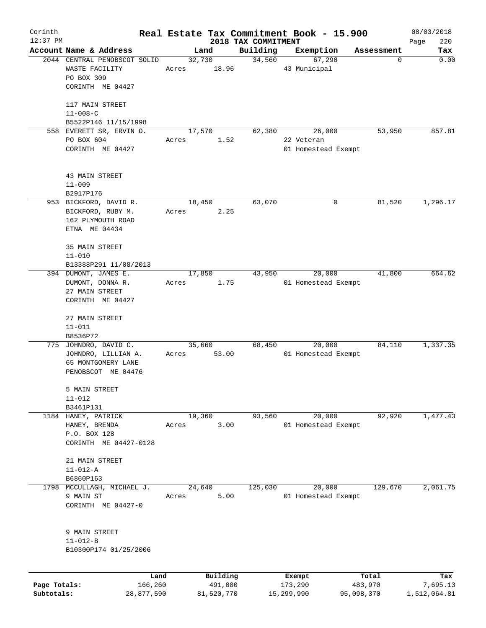| Corinth      |                                                                                |       |                     |                     | Real Estate Tax Commitment Book - 15.900 |                  | 08/03/2018      |
|--------------|--------------------------------------------------------------------------------|-------|---------------------|---------------------|------------------------------------------|------------------|-----------------|
| $12:37$ PM   | Account Name & Address                                                         |       |                     | 2018 TAX COMMITMENT |                                          |                  | 220<br>Page     |
|              | 2044 CENTRAL PENOBSCOT SOLID                                                   |       | Land<br>32,730      | Building<br>34,560  | Exemption<br>67,290                      | Assessment<br>0  | Tax<br>0.00     |
|              | WASTE FACILITY<br>PO BOX 309<br>CORINTH ME 04427                               | Acres | 18.96               |                     | 43 Municipal                             |                  |                 |
|              | 117 MAIN STREET<br>$11 - 008 - C$                                              |       |                     |                     |                                          |                  |                 |
|              | B5522P146 11/15/1998                                                           |       |                     |                     |                                          |                  |                 |
|              | 558 EVERETT SR, ERVIN O.                                                       |       | 17,570              | 62,380              | 26,000                                   | 53,950           | 857.81          |
|              | PO BOX 604<br>CORINTH ME 04427                                                 | Acres | 1.52                |                     | 22 Veteran<br>01 Homestead Exempt        |                  |                 |
|              | 43 MAIN STREET                                                                 |       |                     |                     |                                          |                  |                 |
|              | $11 - 009$<br>B2917P176                                                        |       |                     |                     |                                          |                  |                 |
|              | 953 BICKFORD, DAVID R.                                                         |       | 18,450              | 63,070              | 0                                        | 81,520           | 1,296.17        |
|              | BICKFORD, RUBY M.<br>162 PLYMOUTH ROAD<br>ETNA ME 04434                        | Acres | 2.25                |                     |                                          |                  |                 |
|              | 35 MAIN STREET<br>$11 - 010$                                                   |       |                     |                     |                                          |                  |                 |
|              | B13388P291 11/08/2013                                                          |       |                     |                     |                                          |                  |                 |
|              | 394 DUMONT, JAMES E.<br>DUMONT, DONNA R.<br>27 MAIN STREET<br>CORINTH ME 04427 | Acres | 17,850<br>1.75      | 43,950              | 20,000<br>01 Homestead Exempt            | 41,800           | 664.62          |
|              | 27 MAIN STREET<br>$11 - 011$<br>B8536P72                                       |       |                     |                     |                                          |                  |                 |
|              | 775 JOHNDRO, DAVID C.                                                          |       | 35,660              | 68,450              | 20,000                                   | 84,110           | 1,337.35        |
|              | JOHNDRO, LILLIAN A.<br>65 MONTGOMERY LANE<br>PENOBSCOT ME 04476                | Acres | 53.00               |                     | 01 Homestead Exempt                      |                  |                 |
|              | 5 MAIN STREET<br>$11 - 012$                                                    |       |                     |                     |                                          |                  |                 |
|              | B3461P131                                                                      |       |                     |                     |                                          |                  |                 |
|              | 1184 HANEY, PATRICK<br>HANEY, BRENDA<br>P.O. BOX 128<br>CORINTH ME 04427-0128  | Acres | 19,360<br>3.00      | 93,560              | 20,000<br>01 Homestead Exempt            | 92,920           | 1,477.43        |
|              | 21 MAIN STREET<br>$11 - 012 - A$                                               |       |                     |                     |                                          |                  |                 |
|              | B6860P163                                                                      |       |                     |                     |                                          |                  |                 |
| 1798         | MCCULLAGH, MICHAEL J.                                                          |       | 24,640              | 125,030             | 20,000                                   | 129,670          | 2,061.75        |
|              | 9 MAIN ST<br>CORINTH ME 04427-0                                                | Acres | 5.00                |                     | 01 Homestead Exempt                      |                  |                 |
|              | 9 MAIN STREET<br>$11 - 012 - B$<br>B10300P174 01/25/2006                       |       |                     |                     |                                          |                  |                 |
| Page Totals: | 166,260                                                                        | Land  | Building<br>491,000 |                     | Exempt<br>173,290                        | Total<br>483,970 | Tax<br>7,695.13 |
| Subtotals:   | 28,877,590                                                                     |       | 81,520,770          |                     | 15,299,990                               | 95,098,370       | 1,512,064.81    |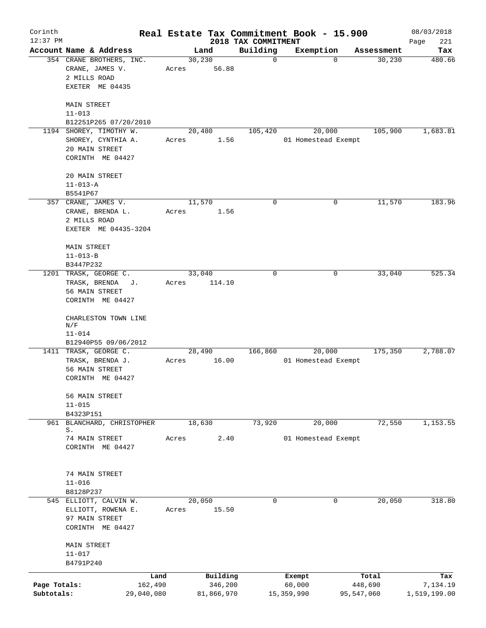| Corinth                    |                                                                                                         |                  |                                   |                                 | Real Estate Tax Commitment Book - 15.900 |                                | 08/03/2018                      |
|----------------------------|---------------------------------------------------------------------------------------------------------|------------------|-----------------------------------|---------------------------------|------------------------------------------|--------------------------------|---------------------------------|
| $12:37$ PM                 | Account Name & Address                                                                                  |                  | Land                              | 2018 TAX COMMITMENT<br>Building | Exemption                                | Assessment                     | 221<br>Page<br>Tax              |
|                            | 354 CRANE BROTHERS, INC.<br>CRANE, JAMES V.<br>2 MILLS ROAD<br>EXETER ME 04435                          | 30, 230<br>Acres | 56.88                             | 0                               | $\Omega$                                 | 30, 230                        | 480.66                          |
|                            | <b>MAIN STREET</b><br>$11 - 013$<br>B12251P265 07/20/2010                                               |                  |                                   |                                 |                                          |                                |                                 |
|                            | 1194 SHOREY, TIMOTHY W.<br>SHOREY, CYNTHIA A.<br>20 MAIN STREET<br>CORINTH ME 04427                     | Acres            | 20,480<br>1.56                    | 105,420                         | 20,000<br>01 Homestead Exempt            | 105,900                        | 1,683.81                        |
|                            | 20 MAIN STREET<br>$11 - 013 - A$<br>B5541P67                                                            |                  |                                   |                                 |                                          |                                |                                 |
|                            | 357 CRANE, JAMES V.<br>CRANE, BRENDA L.<br>2 MILLS ROAD<br>EXETER ME 04435-3204                         | 11,570<br>Acres  | 1.56                              | 0                               | 0                                        | 11,570                         | 183.96                          |
|                            | MAIN STREET<br>$11 - 013 - B$<br>B3447P232                                                              |                  |                                   |                                 |                                          |                                |                                 |
|                            | 1201 TRASK, GEORGE C.<br>TRASK, BRENDA<br>J.<br>56 MAIN STREET<br>CORINTH ME 04427                      | 33,040<br>Acres  | 114.10                            | 0                               | 0                                        | 33,040                         | 525.34                          |
|                            | CHARLESTON TOWN LINE<br>N/F<br>$11 - 014$                                                               |                  |                                   |                                 |                                          |                                |                                 |
|                            | B12940P55 09/06/2012<br>1411 TRASK, GEORGE C.<br>TRASK, BRENDA J.<br>56 MAIN STREET<br>CORINTH ME 04427 | Acres            | 28,490<br>16.00                   | 166,860                         | 20,000<br>01 Homestead Exempt            | 175,350                        | 2,788.07                        |
|                            | 56 MAIN STREET<br>$11 - 015$<br>B4323P151                                                               |                  |                                   |                                 |                                          |                                |                                 |
| 961                        | BLANCHARD, CHRISTOPHER<br>S.                                                                            | 18,630           |                                   | 73,920                          | 20,000                                   | 72,550                         | 1,153.55                        |
|                            | 74 MAIN STREET<br>CORINTH ME 04427                                                                      | Acres            | 2.40                              |                                 | 01 Homestead Exempt                      |                                |                                 |
|                            | 74 MAIN STREET<br>$11 - 016$<br>B8128P237                                                               |                  |                                   |                                 |                                          |                                |                                 |
|                            | 545 ELLIOTT, CALVIN W.<br>ELLIOTT, ROWENA E.<br>97 MAIN STREET<br>CORINTH ME 04427                      | 20,050<br>Acres  | 15.50                             | 0                               | 0                                        | 20,050                         | 318.80                          |
|                            | MAIN STREET<br>$11 - 017$<br>B4791P240                                                                  |                  |                                   |                                 |                                          |                                |                                 |
| Page Totals:<br>Subtotals: | 162,490<br>29,040,080                                                                                   | Land             | Building<br>346,200<br>81,866,970 |                                 | Exempt<br>60,000<br>15, 359, 990         | Total<br>448,690<br>95,547,060 | Tax<br>7,134.19<br>1,519,199.00 |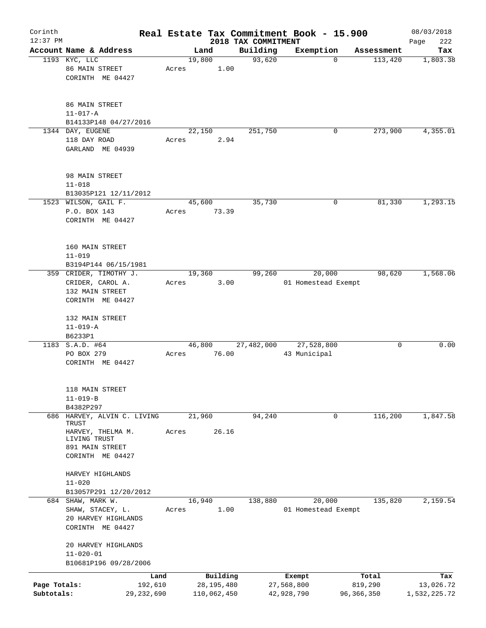| Corinth                    |                                                                                   |                 |        |                                         |                     | Real Estate Tax Commitment Book - 15.900 |                                  | 08/03/2018                       |
|----------------------------|-----------------------------------------------------------------------------------|-----------------|--------|-----------------------------------------|---------------------|------------------------------------------|----------------------------------|----------------------------------|
| $12:37$ PM                 |                                                                                   |                 |        |                                         | 2018 TAX COMMITMENT |                                          |                                  | 222<br>Page                      |
|                            | Account Name & Address                                                            |                 | Land   |                                         | Building            | Exemption                                | Assessment                       | Tax                              |
|                            | 1193 KYC, LLC<br>86 MAIN STREET<br>CORINTH ME 04427                               | Acres           | 19,800 | 1.00                                    | 93,620              | 0                                        | 113,420                          | 1,803.38                         |
|                            | 86 MAIN STREET<br>$11 - 017 - A$                                                  |                 |        |                                         |                     |                                          |                                  |                                  |
|                            | B14133P148 04/27/2016                                                             |                 |        |                                         |                     |                                          |                                  |                                  |
|                            | 1344 DAY, EUGENE<br>118 DAY ROAD<br>GARLAND ME 04939                              | Acres           | 22,150 | 2.94                                    | 251,750             | 0                                        | 273,900                          | 4,355.01                         |
|                            | 98 MAIN STREET<br>$11 - 018$<br>B13035P121 12/11/2012                             |                 |        |                                         |                     |                                          |                                  |                                  |
|                            | 1523 WILSON, GAIL F.<br>P.O. BOX 143<br>CORINTH ME 04427                          | Acres           | 45,600 | 73.39                                   | 35,730              | 0                                        | 81,330                           | 1,293.15                         |
|                            | 160 MAIN STREET<br>$11 - 019$<br>B3194P144 06/15/1981                             |                 |        |                                         |                     |                                          |                                  |                                  |
|                            | 359 CRIDER, TIMOTHY J.<br>CRIDER, CAROL A.<br>132 MAIN STREET<br>CORINTH ME 04427 | Acres           | 19,360 | 3.00                                    | 99,260              | 20,000<br>01 Homestead Exempt            | 98,620                           | 1,568.06                         |
|                            | 132 MAIN STREET<br>$11 - 019 - A$<br>B6233P1                                      |                 |        |                                         |                     |                                          |                                  |                                  |
|                            | 1183 S.A.D. #64<br>PO BOX 279<br>CORINTH ME 04427                                 | Acres           | 46,800 | 76.00                                   | 27,482,000          | 27,528,800<br>43 Municipal               | 0                                | 0.00                             |
|                            | 118 MAIN STREET<br>$11 - 019 - B$<br>B4382P297                                    |                 |        |                                         |                     |                                          |                                  |                                  |
| 686                        | HARVEY, ALVIN C. LIVING                                                           |                 | 21,960 |                                         | 94,240              | 0                                        | 116,200                          | 1,847.58                         |
|                            | TRUST<br>HARVEY, THELMA M.<br>LIVING TRUST<br>891 MAIN STREET<br>CORINTH ME 04427 | Acres           |        | 26.16                                   |                     |                                          |                                  |                                  |
|                            | HARVEY HIGHLANDS<br>$11 - 020$                                                    |                 |        |                                         |                     |                                          |                                  |                                  |
|                            | B13057P291 12/20/2012<br>684 SHAW, MARK W.                                        |                 | 16,940 |                                         | 138,880             | 20,000                                   | 135,820                          | 2,159.54                         |
|                            | SHAW, STACEY, L.<br>20 HARVEY HIGHLANDS<br>CORINTH ME 04427                       | Acres           |        | 1.00                                    |                     | 01 Homestead Exempt                      |                                  |                                  |
|                            | 20 HARVEY HIGHLANDS<br>$11 - 020 - 01$                                            |                 |        |                                         |                     |                                          |                                  |                                  |
|                            | B10681P196 09/28/2006                                                             |                 |        |                                         |                     |                                          |                                  |                                  |
| Page Totals:<br>Subtotals: | 29, 232, 690                                                                      | Land<br>192,610 |        | Building<br>28, 195, 480<br>110,062,450 |                     | Exempt<br>27,568,800<br>42,928,790       | Total<br>819,290<br>96, 366, 350 | Tax<br>13,026.72<br>1,532,225.72 |
|                            |                                                                                   |                 |        |                                         |                     |                                          |                                  |                                  |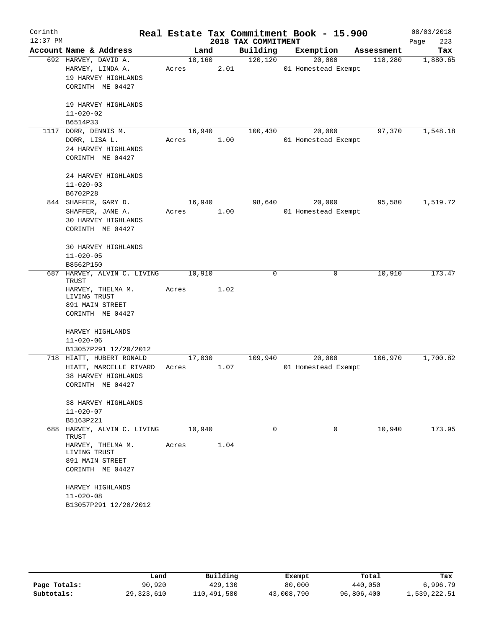| Corinth    |                                                                                                       |                 |      |                     | Real Estate Tax Commitment Book - 15.900 |            | 08/03/2018  |
|------------|-------------------------------------------------------------------------------------------------------|-----------------|------|---------------------|------------------------------------------|------------|-------------|
| $12:37$ PM |                                                                                                       |                 |      | 2018 TAX COMMITMENT |                                          |            | 223<br>Page |
|            | Account Name & Address                                                                                | Land            |      | Building            | Exemption                                | Assessment | Tax         |
|            | 692 HARVEY, DAVID A.<br>HARVEY, LINDA A.<br>19 HARVEY HIGHLANDS<br>CORINTH ME 04427                   | 18,160<br>Acres | 2.01 | 120, 120            | 20,000<br>01 Homestead Exempt            | 118,280    | 1,880.65    |
|            | 19 HARVEY HIGHLANDS<br>$11 - 020 - 02$<br>B6514P33                                                    |                 |      |                     |                                          |            |             |
|            | 1117 DORR, DENNIS M.                                                                                  | 16,940          |      | 100,430             | 20,000                                   | 97,370     | 1,548.18    |
|            | DORR, LISA L.<br>24 HARVEY HIGHLANDS<br>CORINTH ME 04427                                              | Acres           | 1.00 |                     | 01 Homestead Exempt                      |            |             |
|            | 24 HARVEY HIGHLANDS<br>$11 - 020 - 03$<br>B6702P28                                                    |                 |      |                     |                                          |            |             |
|            | 844 SHAFFER, GARY D.<br>SHAFFER, JANE A.<br><b>30 HARVEY HIGHLANDS</b><br>CORINTH ME 04427            | 16,940<br>Acres | 1.00 | 98,640              | 20,000<br>01 Homestead Exempt            | 95,580     | 1,519.72    |
|            | 30 HARVEY HIGHLANDS<br>$11 - 020 - 05$<br>B8562P150                                                   |                 |      |                     |                                          |            |             |
| 687        | HARVEY, ALVIN C. LIVING                                                                               | 10,910          |      | 0                   | 0                                        | 10,910     | 173.47      |
|            | TRUST<br>HARVEY, THELMA M.<br>LIVING TRUST<br>891 MAIN STREET<br>CORINTH ME 04427                     | Acres           | 1.02 |                     |                                          |            |             |
|            | HARVEY HIGHLANDS<br>$11 - 020 - 06$<br>B13057P291 12/20/2012                                          |                 |      |                     |                                          |            |             |
|            | 718 HIATT, HUBERT RONALD<br>HIATT, MARCELLE RIVARD<br>38 HARVEY HIGHLANDS<br>CORINTH ME 04427         | 17,030<br>Acres | 1.07 | 109,940             | 20,000<br>01 Homestead Exempt            | 106,970    | 1,700.82    |
|            | 38 HARVEY HIGHLANDS<br>$11 - 020 - 07$<br>B5163P221                                                   |                 |      |                     |                                          |            |             |
|            | 688 HARVEY, ALVIN C. LIVING                                                                           | 10,940          |      | $\Omega$            | $\Omega$                                 | 10,940     | 173.95      |
|            | TRUST<br>HARVEY, THELMA M.<br>LIVING TRUST<br>891 MAIN STREET<br>CORINTH ME 04427<br>HARVEY HIGHLANDS | Acres           | 1.04 |                     |                                          |            |             |
|            | $11 - 020 - 08$                                                                                       |                 |      |                     |                                          |            |             |
|            | B13057P291 12/20/2012                                                                                 |                 |      |                     |                                          |            |             |

|              | Land       | Building    | Exempt     | Total      | Tax          |
|--------------|------------|-------------|------------|------------|--------------|
| Page Totals: | 90,920     | 429,130     | 80,000     | 440,050    | 6,996.79     |
| Subtotals:   | 29,323,610 | 110,491,580 | 43,008,790 | 96,806,400 | 1,539,222.51 |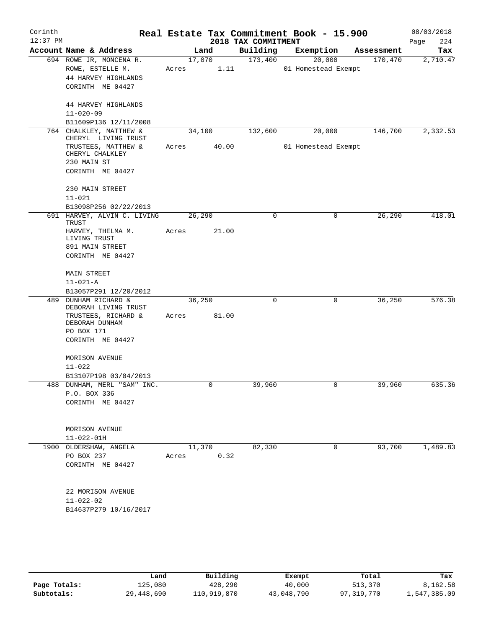| Corinth<br>$12:37$ PM |                                                                                        |                 |                | Real Estate Tax Commitment Book - 15.900<br>2018 TAX COMMITMENT |                               |            | 08/03/2018<br>224<br>Page |
|-----------------------|----------------------------------------------------------------------------------------|-----------------|----------------|-----------------------------------------------------------------|-------------------------------|------------|---------------------------|
|                       | Account Name & Address                                                                 |                 | Land           | Building                                                        | Exemption                     | Assessment | Tax                       |
|                       | 694 ROWE JR, MONCENA R.<br>ROWE, ESTELLE M.<br>44 HARVEY HIGHLANDS<br>CORINTH ME 04427 | Acres           | 17,070<br>1.11 | 173,400                                                         | 20,000<br>01 Homestead Exempt | 170,470    | 2,710.47                  |
|                       | 44 HARVEY HIGHLANDS<br>$11 - 020 - 09$                                                 |                 |                |                                                                 |                               |            |                           |
|                       | B11609P136 12/11/2008<br>764 CHALKLEY, MATTHEW &                                       |                 | 34,100         | 132,600                                                         | 20,000                        | 146,700    | 2,332.53                  |
|                       | CHERYL LIVING TRUST                                                                    |                 |                |                                                                 |                               |            |                           |
|                       | TRUSTEES, MATTHEW &<br>CHERYL CHALKLEY<br>230 MAIN ST                                  | Acres           | 40.00          |                                                                 | 01 Homestead Exempt           |            |                           |
|                       | CORINTH ME 04427                                                                       |                 |                |                                                                 |                               |            |                           |
|                       | 230 MAIN STREET<br>$11 - 021$                                                          |                 |                |                                                                 |                               |            |                           |
|                       | B13098P256 02/22/2013                                                                  |                 |                |                                                                 |                               |            |                           |
|                       | 691 HARVEY, ALVIN C. LIVING<br>TRUST<br>HARVEY, THELMA M.                              | 26,290<br>Acres | 21.00          | $\mathbf 0$                                                     | 0                             | 26,290     | 418.01                    |
|                       | LIVING TRUST                                                                           |                 |                |                                                                 |                               |            |                           |
|                       | 891 MAIN STREET                                                                        |                 |                |                                                                 |                               |            |                           |
|                       | CORINTH ME 04427                                                                       |                 |                |                                                                 |                               |            |                           |
|                       | <b>MAIN STREET</b>                                                                     |                 |                |                                                                 |                               |            |                           |
|                       | $11 - 021 - A$                                                                         |                 |                |                                                                 |                               |            |                           |
|                       | B13057P291 12/20/2012                                                                  |                 |                |                                                                 |                               |            |                           |
| 489                   | <b>DUNHAM RICHARD &amp;</b><br>DEBORAH LIVING TRUST                                    |                 | 36,250         | $\mathbf 0$                                                     | 0                             | 36,250     | 576.38                    |
|                       | TRUSTEES, RICHARD &<br>DEBORAH DUNHAM                                                  | Acres           | 81.00          |                                                                 |                               |            |                           |
|                       | PO BOX 171<br>CORINTH ME 04427                                                         |                 |                |                                                                 |                               |            |                           |
|                       |                                                                                        |                 |                |                                                                 |                               |            |                           |
|                       | MORISON AVENUE                                                                         |                 |                |                                                                 |                               |            |                           |
|                       | $11 - 022$                                                                             |                 |                |                                                                 |                               |            |                           |
|                       | B13107P198 03/04/2013<br>488 DUNHAM, MERL "SAM" INC.                                   |                 | $\overline{0}$ | 39,960                                                          | 0                             | 39,960     | 635.36                    |
|                       | P.O. BOX 336                                                                           |                 |                |                                                                 |                               |            |                           |
|                       | CORINTH ME 04427                                                                       |                 |                |                                                                 |                               |            |                           |
|                       | MORISON AVENUE                                                                         |                 |                |                                                                 |                               |            |                           |
|                       | $11 - 022 - 01H$                                                                       |                 |                |                                                                 |                               |            |                           |
|                       | 1900 OLDERSHAW, ANGELA                                                                 |                 | 11,370<br>0.32 | 82,330                                                          | 0                             | 93,700     | 1,489.83                  |
|                       | PO BOX 237<br>CORINTH ME 04427                                                         | Acres           |                |                                                                 |                               |            |                           |
|                       |                                                                                        |                 |                |                                                                 |                               |            |                           |
|                       | 22 MORISON AVENUE                                                                      |                 |                |                                                                 |                               |            |                           |
|                       | $11 - 022 - 02$                                                                        |                 |                |                                                                 |                               |            |                           |
|                       | B14637P279 10/16/2017                                                                  |                 |                |                                                                 |                               |            |                           |
|                       |                                                                                        |                 |                |                                                                 |                               |            |                           |
|                       |                                                                                        |                 |                |                                                                 |                               |            |                           |

|              | Land       | Building    | Exempt     | Total      | Tax          |
|--------------|------------|-------------|------------|------------|--------------|
| Page Totals: | 125,080    | 428,290     | 40,000     | 513,370    | 8,162.58     |
| Subtotals:   | 29,448,690 | 110,919,870 | 43,048,790 | 97,319,770 | 1,547,385.09 |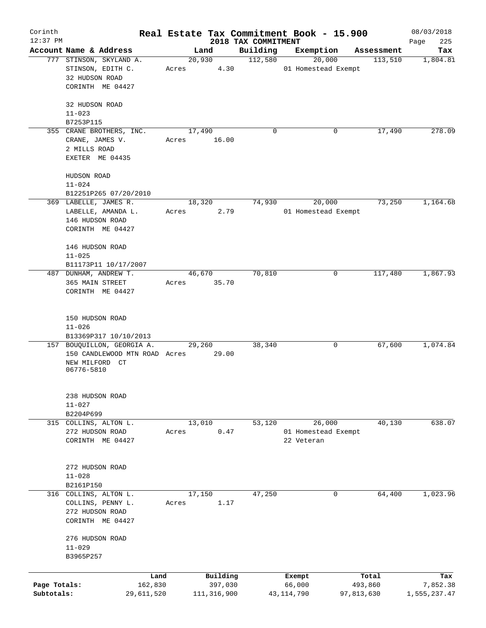| Corinth                    |                                                                                   |                 |                          |                                 | Real Estate Tax Commitment Book - 15.900 |                       | 08/03/2018               |
|----------------------------|-----------------------------------------------------------------------------------|-----------------|--------------------------|---------------------------------|------------------------------------------|-----------------------|--------------------------|
| $12:37$ PM                 | Account Name & Address                                                            | Land            |                          | 2018 TAX COMMITMENT<br>Building | Exemption                                | Assessment            | 225<br>Page<br>Tax       |
|                            | 777 STINSON, SKYLAND A.<br>STINSON, EDITH C.                                      | 20,930<br>Acres | 4.30                     | 112,580                         | 20,000<br>01 Homestead Exempt            | 113,510               | 1,804.81                 |
|                            | 32 HUDSON ROAD<br>CORINTH ME 04427                                                |                 |                          |                                 |                                          |                       |                          |
|                            | 32 HUDSON ROAD<br>$11 - 023$                                                      |                 |                          |                                 |                                          |                       |                          |
|                            | B7253P115                                                                         |                 |                          |                                 |                                          |                       |                          |
|                            | 355 CRANE BROTHERS, INC.<br>CRANE, JAMES V.<br>2 MILLS ROAD<br>EXETER ME 04435    | 17,490<br>Acres | 16.00                    | $\mathbf 0$                     | 0                                        | 17,490                | 278.09                   |
|                            | HUDSON ROAD<br>$11 - 024$                                                         |                 |                          |                                 |                                          |                       |                          |
|                            | B12251P265 07/20/2010                                                             |                 |                          |                                 |                                          |                       |                          |
|                            | 369 LABELLE, JAMES R.<br>LABELLE, AMANDA L.<br>146 HUDSON ROAD                    | 18,320<br>Acres | 2.79                     | 74,930                          | 20,000<br>01 Homestead Exempt            | 73,250                | 1,164.68                 |
|                            | CORINTH ME 04427                                                                  |                 |                          |                                 |                                          |                       |                          |
|                            | 146 HUDSON ROAD<br>$11 - 025$                                                     |                 |                          |                                 |                                          |                       |                          |
|                            | B11173P11 10/17/2007                                                              |                 |                          |                                 |                                          |                       |                          |
|                            | 487 DUNHAM, ANDREW T.<br>365 MAIN STREET<br>CORINTH ME 04427                      | 46,670<br>Acres | 35.70                    | 70,810                          | 0                                        | 117,480               | 1,867.93                 |
|                            | 150 HUDSON ROAD<br>$11 - 026$<br>B13369P317 10/10/2013                            |                 |                          |                                 |                                          |                       |                          |
|                            | 157 BOUQUILLON, GEORGIA A.                                                        | 29,260          |                          | 38,340                          | 0                                        | 67,600                | 1,074.84                 |
|                            | 150 CANDLEWOOD MTN ROAD Acres<br>NEW MILFORD CT<br>06776-5810                     |                 | 29.00                    |                                 |                                          |                       |                          |
|                            | 238 HUDSON ROAD<br>$11 - 027$<br>B2204P699                                        |                 |                          |                                 |                                          |                       |                          |
|                            | 315 COLLINS, ALTON L.                                                             | 13,010          |                          | 53,120                          | 26,000                                   | 40,130                | 638.07                   |
|                            | 272 HUDSON ROAD<br>CORINTH ME 04427                                               | Acres           | 0.47                     |                                 | 01 Homestead Exempt<br>22 Veteran        |                       |                          |
|                            | 272 HUDSON ROAD<br>$11 - 028$                                                     |                 |                          |                                 |                                          |                       |                          |
|                            | B2161P150                                                                         |                 |                          |                                 |                                          |                       |                          |
|                            | 316 COLLINS, ALTON L.<br>COLLINS, PENNY L.<br>272 HUDSON ROAD<br>CORINTH ME 04427 | 17,150<br>Acres | 1.17                     | 47,250                          | 0                                        | 64,400                | 1,023.96                 |
|                            | 276 HUDSON ROAD<br>$11 - 029$<br>B3965P257                                        |                 |                          |                                 |                                          |                       |                          |
|                            |                                                                                   |                 |                          |                                 |                                          |                       |                          |
|                            | Land                                                                              |                 | Building                 |                                 | Exempt                                   | Total                 | Tax                      |
| Page Totals:<br>Subtotals: | 162,830<br>29,611,520                                                             |                 | 397,030<br>111, 316, 900 |                                 | 66,000<br>43,114,790                     | 493,860<br>97,813,630 | 7,852.38<br>1,555,237.47 |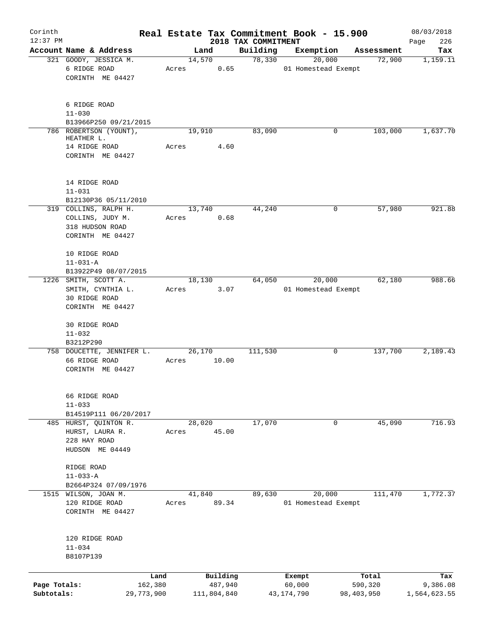| Corinth      |                           |            |        |             |                                 | Real Estate Tax Commitment Book - 15.900 |            |            | 08/03/2018         |
|--------------|---------------------------|------------|--------|-------------|---------------------------------|------------------------------------------|------------|------------|--------------------|
| $12:37$ PM   | Account Name & Address    |            |        | Land        | 2018 TAX COMMITMENT<br>Building | Exemption                                |            | Assessment | 226<br>Page<br>Tax |
|              | 321 GOODY, JESSICA M.     |            |        | 14,570      | 78,330                          | 20,000                                   |            | 72,900     | 1,159.11           |
|              | 6 RIDGE ROAD              |            | Acres  | 0.65        |                                 | 01 Homestead Exempt                      |            |            |                    |
|              | CORINTH ME 04427          |            |        |             |                                 |                                          |            |            |                    |
|              |                           |            |        |             |                                 |                                          |            |            |                    |
|              | 6 RIDGE ROAD              |            |        |             |                                 |                                          |            |            |                    |
|              | $11 - 030$                |            |        |             |                                 |                                          |            |            |                    |
|              | B13966P250 09/21/2015     |            |        |             |                                 |                                          |            |            |                    |
|              | 786 ROBERTSON (YOUNT),    |            | 19,910 |             | 83,090                          |                                          | 0          | 103,000    | 1,637.70           |
|              | HEATHER L.                |            |        |             |                                 |                                          |            |            |                    |
|              | 14 RIDGE ROAD             |            | Acres  | 4.60        |                                 |                                          |            |            |                    |
|              | CORINTH ME 04427          |            |        |             |                                 |                                          |            |            |                    |
|              | 14 RIDGE ROAD             |            |        |             |                                 |                                          |            |            |                    |
|              | $11 - 031$                |            |        |             |                                 |                                          |            |            |                    |
|              | B12130P36 05/11/2010      |            |        |             |                                 |                                          |            |            |                    |
|              | 319 COLLINS, RALPH H.     |            |        | 13,740      | 44,240                          |                                          | 0          | 57,980     | 921.88             |
|              | COLLINS, JUDY M.          |            | Acres  | 0.68        |                                 |                                          |            |            |                    |
|              | 318 HUDSON ROAD           |            |        |             |                                 |                                          |            |            |                    |
|              | CORINTH ME 04427          |            |        |             |                                 |                                          |            |            |                    |
|              | 10 RIDGE ROAD             |            |        |             |                                 |                                          |            |            |                    |
|              | $11 - 031 - A$            |            |        |             |                                 |                                          |            |            |                    |
|              | B13922P49 08/07/2015      |            |        |             |                                 |                                          |            |            |                    |
|              | 1226 SMITH, SCOTT A.      |            |        | 18,130      | 64,050                          | 20,000                                   |            | 62,180     | 988.66             |
|              | SMITH, CYNTHIA L.         |            | Acres  | 3.07        |                                 | 01 Homestead Exempt                      |            |            |                    |
|              | 30 RIDGE ROAD             |            |        |             |                                 |                                          |            |            |                    |
|              | CORINTH ME 04427          |            |        |             |                                 |                                          |            |            |                    |
|              | <b>30 RIDGE ROAD</b>      |            |        |             |                                 |                                          |            |            |                    |
|              | $11 - 032$                |            |        |             |                                 |                                          |            |            |                    |
|              | B3212P290                 |            |        |             |                                 |                                          |            |            |                    |
|              | 758 DOUCETTE, JENNIFER L. |            |        | 26,170      | 111,530                         |                                          | 0          | 137,700    | 2,189.43           |
|              | 66 RIDGE ROAD             |            | Acres  | 10.00       |                                 |                                          |            |            |                    |
|              | CORINTH ME 04427          |            |        |             |                                 |                                          |            |            |                    |
|              | 66 RIDGE ROAD             |            |        |             |                                 |                                          |            |            |                    |
|              | $11 - 033$                |            |        |             |                                 |                                          |            |            |                    |
|              | B14519P111 06/20/2017     |            |        |             |                                 |                                          |            |            |                    |
|              | 485 HURST, OUINTON R.     |            | 28,020 |             | 17,070                          |                                          | 0          | 45,090     | 716.93             |
|              | HURST, LAURA R.           |            | Acres  | 45.00       |                                 |                                          |            |            |                    |
|              | 228 HAY ROAD              |            |        |             |                                 |                                          |            |            |                    |
|              | HUDSON ME 04449           |            |        |             |                                 |                                          |            |            |                    |
|              | RIDGE ROAD                |            |        |             |                                 |                                          |            |            |                    |
|              | $11 - 033 - A$            |            |        |             |                                 |                                          |            |            |                    |
|              | B2664P324 07/09/1976      |            |        |             |                                 |                                          |            |            |                    |
|              | 1515 WILSON, JOAN M.      |            | 41,840 |             | 89,630                          | 20,000                                   |            | 111,470    | 1,772.37           |
|              | 120 RIDGE ROAD            |            | Acres  | 89.34       |                                 | 01 Homestead Exempt                      |            |            |                    |
|              | CORINTH ME 04427          |            |        |             |                                 |                                          |            |            |                    |
|              |                           |            |        |             |                                 |                                          |            |            |                    |
|              | 120 RIDGE ROAD            |            |        |             |                                 |                                          |            |            |                    |
|              | $11 - 034$                |            |        |             |                                 |                                          |            |            |                    |
|              | B8107P139                 |            |        |             |                                 |                                          |            |            |                    |
|              |                           | Land       |        | Building    |                                 | Exempt                                   |            | Total      | Tax                |
| Page Totals: |                           | 162,380    |        | 487,940     |                                 | 60,000                                   |            | 590,320    | 9,386.08           |
| Subtotals:   |                           | 29,773,900 |        | 111,804,840 |                                 | 43,174,790                               | 98,403,950 |            | 1,564,623.55       |
|              |                           |            |        |             |                                 |                                          |            |            |                    |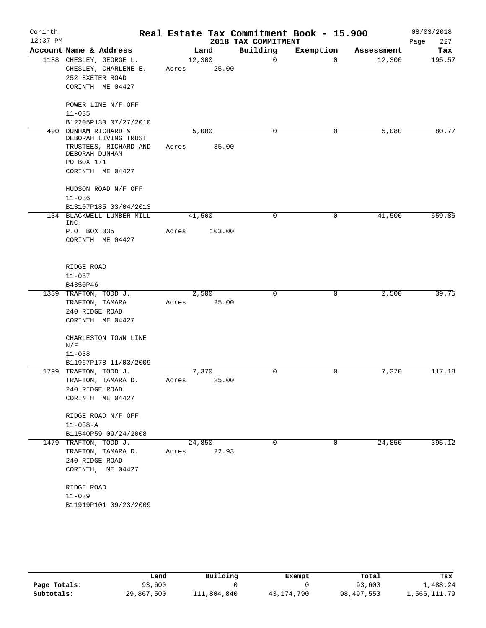| Corinth<br>$12:37$ PM |                                          |       |        | 2018 TAX COMMITMENT | Real Estate Tax Commitment Book - 15.900 |            | 08/03/2018<br>227<br>Page |
|-----------------------|------------------------------------------|-------|--------|---------------------|------------------------------------------|------------|---------------------------|
|                       | Account Name & Address                   |       | Land   | Building            | Exemption                                | Assessment | Tax                       |
|                       | 1188 CHESLEY, GEORGE L.                  |       | 12,300 | $\mathsf{O}$        | $\Omega$                                 | 12,300     | 195.57                    |
|                       | CHESLEY, CHARLENE E.                     | Acres | 25.00  |                     |                                          |            |                           |
|                       | 252 EXETER ROAD                          |       |        |                     |                                          |            |                           |
|                       | CORINTH ME 04427                         |       |        |                     |                                          |            |                           |
|                       | POWER LINE N/F OFF                       |       |        |                     |                                          |            |                           |
|                       | $11 - 035$                               |       |        |                     |                                          |            |                           |
|                       | B12205P130 07/27/2010                    |       |        |                     |                                          |            |                           |
| 490                   | DUNHAM RICHARD &<br>DEBORAH LIVING TRUST |       | 5,080  | $\mathbf 0$         | 0                                        | 5,080      | 80.77                     |
|                       | TRUSTEES, RICHARD AND                    | Acres | 35.00  |                     |                                          |            |                           |
|                       | DEBORAH DUNHAM                           |       |        |                     |                                          |            |                           |
|                       | PO BOX 171                               |       |        |                     |                                          |            |                           |
|                       | CORINTH ME 04427                         |       |        |                     |                                          |            |                           |
|                       | HUDSON ROAD N/F OFF                      |       |        |                     |                                          |            |                           |
|                       | $11 - 036$                               |       |        |                     |                                          |            |                           |
|                       | B13107P185 03/04/2013                    |       |        |                     |                                          |            |                           |
|                       | 134 BLACKWELL LUMBER MILL<br>INC.        |       | 41,500 | 0                   | 0                                        | 41,500     | 659.85                    |
|                       | P.O. BOX 335                             | Acres | 103.00 |                     |                                          |            |                           |
|                       | CORINTH ME 04427                         |       |        |                     |                                          |            |                           |
|                       |                                          |       |        |                     |                                          |            |                           |
|                       | RIDGE ROAD                               |       |        |                     |                                          |            |                           |
|                       | $11 - 037$                               |       |        |                     |                                          |            |                           |
|                       | B4350P46                                 |       |        |                     |                                          |            |                           |
|                       | 1339 TRAFTON, TODD J.                    |       | 2,500  | $\mathbf 0$         | 0                                        | 2,500      | 39.75                     |
|                       | TRAFTON, TAMARA                          | Acres | 25.00  |                     |                                          |            |                           |
|                       | 240 RIDGE ROAD<br>CORINTH ME 04427       |       |        |                     |                                          |            |                           |
|                       |                                          |       |        |                     |                                          |            |                           |
|                       | CHARLESTON TOWN LINE<br>N/F              |       |        |                     |                                          |            |                           |
|                       | $11 - 038$                               |       |        |                     |                                          |            |                           |
|                       | B11967P178 11/03/2009                    |       |        |                     |                                          |            |                           |
|                       | 1799 TRAFTON, TODD J.                    |       | 7,370  | $\mathbf 0$         | 0                                        | 7,370      | 117.18                    |
|                       | TRAFTON, TAMARA D.                       | Acres | 25.00  |                     |                                          |            |                           |
|                       | 240 RIDGE ROAD                           |       |        |                     |                                          |            |                           |
|                       | CORINTH ME 04427                         |       |        |                     |                                          |            |                           |
|                       | RIDGE ROAD N/F OFF                       |       |        |                     |                                          |            |                           |
|                       | $11 - 038 - A$                           |       |        |                     |                                          |            |                           |
|                       | B11540P59 09/24/2008                     |       |        |                     |                                          |            |                           |
|                       | 1479 TRAFTON, TODD J.                    |       | 24,850 | 0                   | 0                                        | 24,850     | 395.12                    |
|                       | TRAFTON, TAMARA D.                       | Acres | 22.93  |                     |                                          |            |                           |
|                       | 240 RIDGE ROAD                           |       |        |                     |                                          |            |                           |
|                       | CORINTH, ME 04427                        |       |        |                     |                                          |            |                           |
|                       | RIDGE ROAD                               |       |        |                     |                                          |            |                           |
|                       | $11 - 039$                               |       |        |                     |                                          |            |                           |
|                       | B11919P101 09/23/2009                    |       |        |                     |                                          |            |                           |

|              | Land       | Building    | Exempt       | Total      | Tax          |
|--------------|------------|-------------|--------------|------------|--------------|
| Page Totals: | 93,600     |             |              | 93,600     | 1,488.24     |
| Subtotals:   | 29,867,500 | 111,804,840 | 43, 174, 790 | 98,497,550 | 1,566,111.79 |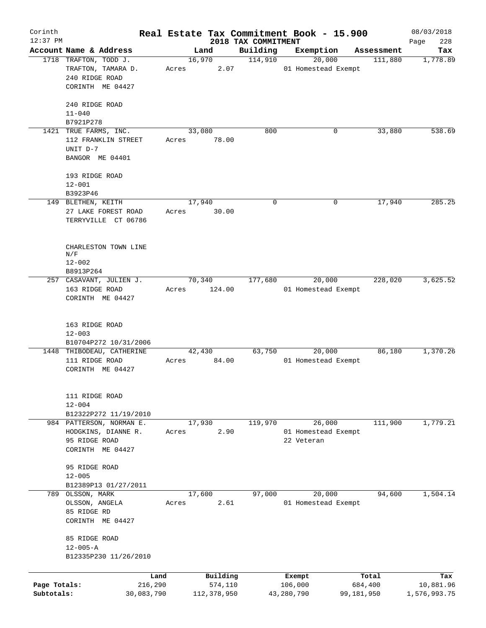| Corinth      |                                                    |                 |                     |                     | Real Estate Tax Commitment Book - 15.900 |                  |         | 08/03/2018       |
|--------------|----------------------------------------------------|-----------------|---------------------|---------------------|------------------------------------------|------------------|---------|------------------|
| $12:37$ PM   |                                                    |                 |                     | 2018 TAX COMMITMENT |                                          |                  |         | 228<br>Page      |
|              | Account Name & Address                             | Land            |                     | Building            | Exemption                                | Assessment       |         | Tax              |
|              | 1718 TRAFTON, TODD J.<br>TRAFTON, TAMARA D.        | 16,970<br>Acres | 2.07                | 114,910             | 20,000<br>01 Homestead Exempt            |                  | 111,880 | 1,778.89         |
|              | 240 RIDGE ROAD                                     |                 |                     |                     |                                          |                  |         |                  |
|              | CORINTH ME 04427                                   |                 |                     |                     |                                          |                  |         |                  |
|              |                                                    |                 |                     |                     |                                          |                  |         |                  |
|              | 240 RIDGE ROAD                                     |                 |                     |                     |                                          |                  |         |                  |
|              | $11 - 040$                                         |                 |                     |                     |                                          |                  |         |                  |
|              | B7921P278                                          |                 |                     |                     |                                          |                  |         |                  |
|              | 1421 TRUE FARMS, INC.                              | 33,080          |                     | 800                 |                                          | 0                | 33,880  | 538.69           |
|              | 112 FRANKLIN STREET                                | Acres           | 78.00               |                     |                                          |                  |         |                  |
|              | UNIT D-7                                           |                 |                     |                     |                                          |                  |         |                  |
|              | BANGOR ME 04401                                    |                 |                     |                     |                                          |                  |         |                  |
|              |                                                    |                 |                     |                     |                                          |                  |         |                  |
|              | 193 RIDGE ROAD                                     |                 |                     |                     |                                          |                  |         |                  |
|              | $12 - 001$                                         |                 |                     |                     |                                          |                  |         |                  |
|              | B3923P46                                           |                 |                     |                     |                                          |                  |         |                  |
|              | 149 BLETHEN, KEITH                                 | 17,940          |                     | $\mathbf 0$         |                                          | 0                | 17,940  | 285.25           |
|              | 27 LAKE FOREST ROAD                                | Acres           | 30.00               |                     |                                          |                  |         |                  |
|              | TERRYVILLE CT 06786                                |                 |                     |                     |                                          |                  |         |                  |
|              |                                                    |                 |                     |                     |                                          |                  |         |                  |
|              | CHARLESTON TOWN LINE                               |                 |                     |                     |                                          |                  |         |                  |
|              | N/F                                                |                 |                     |                     |                                          |                  |         |                  |
|              | $12 - 002$                                         |                 |                     |                     |                                          |                  |         |                  |
|              | B8913P264                                          |                 |                     |                     |                                          |                  |         |                  |
|              | 257 CASAVANT, JULIEN J.                            | 70,340          |                     | 177,680             | 20,000                                   |                  | 228,020 | 3,625.52         |
|              | 163 RIDGE ROAD                                     | Acres           | 124.00              |                     | 01 Homestead Exempt                      |                  |         |                  |
|              | CORINTH ME 04427                                   |                 |                     |                     |                                          |                  |         |                  |
|              |                                                    |                 |                     |                     |                                          |                  |         |                  |
|              |                                                    |                 |                     |                     |                                          |                  |         |                  |
|              | 163 RIDGE ROAD                                     |                 |                     |                     |                                          |                  |         |                  |
|              | $12 - 003$                                         |                 |                     |                     |                                          |                  |         |                  |
|              | B10704P272 10/31/2006<br>1448 THIBODEAU, CATHERINE | 42,430          |                     | 63,750              | 20,000                                   |                  | 86,180  | 1,370.26         |
|              | 111 RIDGE ROAD                                     | Acres           | 84.00               |                     | 01 Homestead Exempt                      |                  |         |                  |
|              | CORINTH ME 04427                                   |                 |                     |                     |                                          |                  |         |                  |
|              |                                                    |                 |                     |                     |                                          |                  |         |                  |
|              |                                                    |                 |                     |                     |                                          |                  |         |                  |
|              | 111 RIDGE ROAD                                     |                 |                     |                     |                                          |                  |         |                  |
|              | $12 - 004$                                         |                 |                     |                     |                                          |                  |         |                  |
|              | B12322P272 11/19/2010                              |                 |                     |                     |                                          |                  |         |                  |
|              | 984 PATTERSON, NORMAN E.                           | 17,930          |                     | 119,970             | 26,000                                   |                  | 111,900 | 1,779.21         |
|              | HODGKINS, DIANNE R.                                | Acres           | 2.90                |                     | 01 Homestead Exempt                      |                  |         |                  |
|              | 95 RIDGE ROAD                                      |                 |                     |                     | 22 Veteran                               |                  |         |                  |
|              | CORINTH ME 04427                                   |                 |                     |                     |                                          |                  |         |                  |
|              | 95 RIDGE ROAD                                      |                 |                     |                     |                                          |                  |         |                  |
|              | $12 - 005$                                         |                 |                     |                     |                                          |                  |         |                  |
|              | B12389P13 01/27/2011                               |                 |                     |                     |                                          |                  |         |                  |
|              | 789 OLSSON, MARK                                   | 17,600          |                     | 97,000              | 20,000                                   |                  | 94,600  | 1,504.14         |
|              | OLSSON, ANGELA                                     | Acres           | 2.61                |                     | 01 Homestead Exempt                      |                  |         |                  |
|              | 85 RIDGE RD                                        |                 |                     |                     |                                          |                  |         |                  |
|              | CORINTH ME 04427                                   |                 |                     |                     |                                          |                  |         |                  |
|              |                                                    |                 |                     |                     |                                          |                  |         |                  |
|              | 85 RIDGE ROAD                                      |                 |                     |                     |                                          |                  |         |                  |
|              | $12 - 005 - A$                                     |                 |                     |                     |                                          |                  |         |                  |
|              | B12335P230 11/26/2010                              |                 |                     |                     |                                          |                  |         |                  |
|              |                                                    |                 |                     |                     |                                          |                  |         |                  |
| Page Totals: | Land<br>216,290                                    |                 | Building<br>574,110 |                     | Exempt<br>106,000                        | Total<br>684,400 |         | Tax<br>10,881.96 |
| Subtotals:   | 30,083,790                                         |                 | 112,378,950         |                     | 43,280,790                               | 99,181,950       |         | 1,576,993.75     |
|              |                                                    |                 |                     |                     |                                          |                  |         |                  |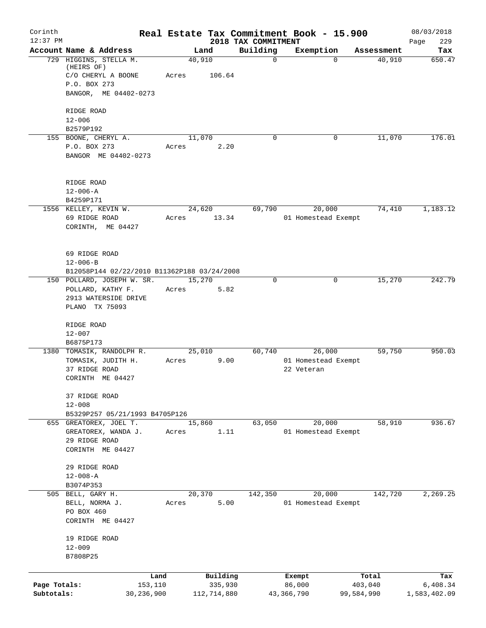| Corinth<br>$12:37$ PM      |                                                                                                     |                           | 2018 TAX COMMITMENT | Real Estate Tax Commitment Book - 15.900    |                       | 08/03/2018<br>229        |
|----------------------------|-----------------------------------------------------------------------------------------------------|---------------------------|---------------------|---------------------------------------------|-----------------------|--------------------------|
|                            | Account Name & Address                                                                              | Land                      | Building            | Exemption                                   | Assessment            | Page<br>Tax              |
|                            | 729 HIGGINS, STELLA M.<br>(HEIRS OF)<br>C/O CHERYL A BOONE<br>P.O. BOX 273<br>BANGOR, ME 04402-0273 | 40,910<br>Acres<br>106.64 | $\Omega$            | $\Omega$                                    | 40,910                | 650.47                   |
|                            | RIDGE ROAD<br>$12 - 006$<br>B2579P192                                                               |                           |                     |                                             |                       |                          |
|                            | 155 BOONE, CHERYL A.<br>P.O. BOX 273<br>BANGOR ME 04402-0273                                        | 11,070<br>2.20<br>Acres   | $\Omega$            | 0                                           | 11,070                | 176.01                   |
|                            | RIDGE ROAD<br>$12 - 006 - A$<br>B4259P171                                                           |                           |                     |                                             |                       |                          |
|                            | 1556 KELLEY, KEVIN W.<br>69 RIDGE ROAD<br>CORINTH, ME 04427                                         | 24,620<br>13.34<br>Acres  | 69,790              | 20,000<br>01 Homestead Exempt               | 74,410                | 1,183.12                 |
|                            | 69 RIDGE ROAD<br>$12 - 006 - B$<br>B12058P144 02/22/2010 B11362P188 03/24/2008                      |                           |                     |                                             |                       |                          |
|                            | 150 POLLARD, JOSEPH W. SR.<br>POLLARD, KATHY F.<br>2913 WATERSIDE DRIVE<br>PLANO TX 75093           | 15,270<br>5.82<br>Acres   | $\Omega$            | 0                                           | 15,270                | 242.79                   |
|                            | RIDGE ROAD<br>$12 - 007$<br>B6875P173                                                               |                           |                     |                                             |                       |                          |
|                            | 1380 TOMASIK, RANDOLPH R.<br>TOMASIK, JUDITH H.<br>37 RIDGE ROAD<br>CORINTH ME 04427                | 25,010<br>9.00<br>Acres   | 60,740              | 26,000<br>01 Homestead Exempt<br>22 Veteran | 59,750                | 950.03                   |
|                            | 37 RIDGE ROAD<br>$12 - 008$<br>B5329P257 05/21/1993 B4705P126                                       |                           |                     |                                             |                       |                          |
|                            | 655 GREATOREX, JOEL T.<br>GREATOREX, WANDA J.<br>29 RIDGE ROAD<br>CORINTH ME 04427                  | 15,860<br>1.11<br>Acres   | 63,050              | 20,000<br>01 Homestead Exempt               | 58,910                | 936.67                   |
|                            | 29 RIDGE ROAD<br>$12 - 008 - A$<br>B3074P353                                                        |                           |                     |                                             |                       |                          |
|                            | 505 BELL, GARY H.<br>BELL, NORMA J.<br>PO BOX 460<br>CORINTH ME 04427                               | 20,370<br>5.00<br>Acres   | 142,350             | 20,000<br>01 Homestead Exempt               | 142,720               | 2,269.25                 |
|                            | 19 RIDGE ROAD<br>$12 - 009$<br>B7808P25                                                             |                           |                     |                                             |                       |                          |
|                            | Land                                                                                                | Building                  |                     | Exempt                                      | Total                 | Tax                      |
| Page Totals:<br>Subtotals: | 153,110<br>30,236,900                                                                               | 335,930<br>112,714,880    |                     | 86,000<br>43,366,790                        | 403,040<br>99,584,990 | 6,408.34<br>1,583,402.09 |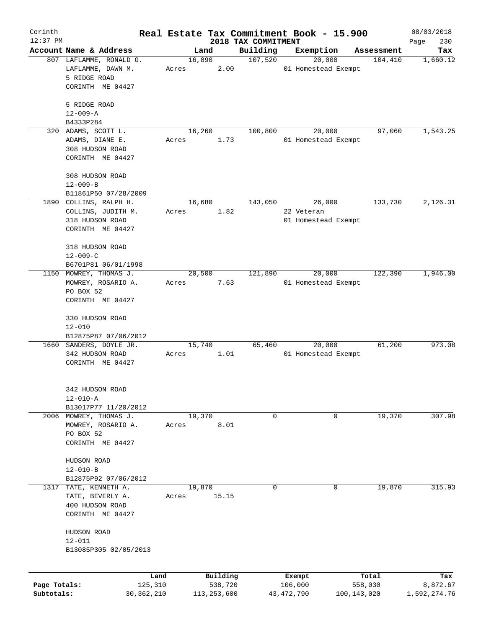| Corinth      |                                      |       |               |                     | Real Estate Tax Commitment Book - 15.900 |             | 08/03/2018   |
|--------------|--------------------------------------|-------|---------------|---------------------|------------------------------------------|-------------|--------------|
| $12:37$ PM   |                                      |       |               | 2018 TAX COMMITMENT |                                          |             | 230<br>Page  |
|              | Account Name & Address               |       | Land          | Building            | Exemption                                | Assessment  | Tax          |
|              | 807 LAFLAMME, RONALD G.              |       | 16,890        | 107,520             | 20,000                                   | 104,410     | 1,660.12     |
|              | LAFLAMME, DAWN M.<br>5 RIDGE ROAD    | Acres | 2.00          |                     | 01 Homestead Exempt                      |             |              |
|              |                                      |       |               |                     |                                          |             |              |
|              | CORINTH ME 04427                     |       |               |                     |                                          |             |              |
|              | 5 RIDGE ROAD                         |       |               |                     |                                          |             |              |
|              | $12 - 009 - A$                       |       |               |                     |                                          |             |              |
|              | B4333P284                            |       |               |                     |                                          |             |              |
|              | 320 ADAMS, SCOTT L.                  |       | 16,260        | 100,800             | 20,000                                   | 97,060      | 1,543.25     |
|              | ADAMS, DIANE E.                      | Acres | 1.73          |                     | 01 Homestead Exempt                      |             |              |
|              | 308 HUDSON ROAD                      |       |               |                     |                                          |             |              |
|              | CORINTH ME 04427                     |       |               |                     |                                          |             |              |
|              |                                      |       |               |                     |                                          |             |              |
|              | 308 HUDSON ROAD                      |       |               |                     |                                          |             |              |
|              | $12 - 009 - B$                       |       |               |                     |                                          |             |              |
|              | B11861P50 07/28/2009                 |       |               |                     |                                          |             |              |
|              | 1890 COLLINS, RALPH H.               |       | 16,680        | 143,050             | 26,000                                   | 133,730     | 2,126.31     |
|              | COLLINS, JUDITH M.                   | Acres | 1.82          |                     | 22 Veteran                               |             |              |
|              | 318 HUDSON ROAD                      |       |               |                     | 01 Homestead Exempt                      |             |              |
|              | CORINTH ME 04427                     |       |               |                     |                                          |             |              |
|              | 318 HUDSON ROAD                      |       |               |                     |                                          |             |              |
|              | $12 - 009 - C$                       |       |               |                     |                                          |             |              |
|              | B6701P81 06/01/1998                  |       |               |                     |                                          |             |              |
| 1150         | MOWREY, THOMAS J.                    |       | 20,500        | 121,890             | 20,000                                   | 122,390     | 1,946.00     |
|              | MOWREY, ROSARIO A.                   | Acres | 7.63          |                     | 01 Homestead Exempt                      |             |              |
|              | PO BOX 52                            |       |               |                     |                                          |             |              |
|              | CORINTH ME 04427                     |       |               |                     |                                          |             |              |
|              |                                      |       |               |                     |                                          |             |              |
|              | 330 HUDSON ROAD                      |       |               |                     |                                          |             |              |
|              | $12 - 010$                           |       |               |                     |                                          |             |              |
|              | B12875P87 07/06/2012                 |       |               |                     |                                          |             |              |
|              | 1660 SANDERS, DOYLE JR.              |       | 15,740        | 65,460              | 20,000                                   | 61,200      | 973.08       |
|              | 342 HUDSON ROAD                      | Acres | 1.01          |                     | 01 Homestead Exempt                      |             |              |
|              | CORINTH ME 04427                     |       |               |                     |                                          |             |              |
|              |                                      |       |               |                     |                                          |             |              |
|              | 342 HUDSON ROAD                      |       |               |                     |                                          |             |              |
|              | $12 - 010 - A$                       |       |               |                     |                                          |             |              |
|              | B13017P77 11/20/2012                 |       |               |                     |                                          |             |              |
|              | 2006 MOWREY, THOMAS J.               |       | 19,370        | $\mathsf{O}$        |                                          | 19,370<br>0 | 307.98       |
|              | MOWREY, ROSARIO A.                   | Acres | 8.01          |                     |                                          |             |              |
|              | PO BOX 52                            |       |               |                     |                                          |             |              |
|              | CORINTH ME 04427                     |       |               |                     |                                          |             |              |
|              |                                      |       |               |                     |                                          |             |              |
|              | HUDSON ROAD                          |       |               |                     |                                          |             |              |
|              | $12 - 010 - B$                       |       |               |                     |                                          |             |              |
|              | B12875P92 07/06/2012                 |       | 19,870        | $\mathbf 0$         |                                          | 19,870<br>0 | 315.93       |
| 1317         | TATE, KENNETH A.<br>TATE, BEVERLY A. | Acres | 15.15         |                     |                                          |             |              |
|              | 400 HUDSON ROAD                      |       |               |                     |                                          |             |              |
|              | CORINTH ME 04427                     |       |               |                     |                                          |             |              |
|              |                                      |       |               |                     |                                          |             |              |
|              | HUDSON ROAD                          |       |               |                     |                                          |             |              |
|              | $12 - 011$                           |       |               |                     |                                          |             |              |
|              | B13085P305 02/05/2013                |       |               |                     |                                          |             |              |
|              |                                      |       |               |                     |                                          |             |              |
|              | Land                                 |       | Building      |                     | Exempt                                   | Total       | Tax          |
| Page Totals: | 125,310                              |       | 538,720       |                     | 106,000                                  | 558,030     | 8,872.67     |
| Subtotals:   | 30, 362, 210                         |       | 113, 253, 600 |                     | 43, 472, 790                             | 100,143,020 | 1,592,274.76 |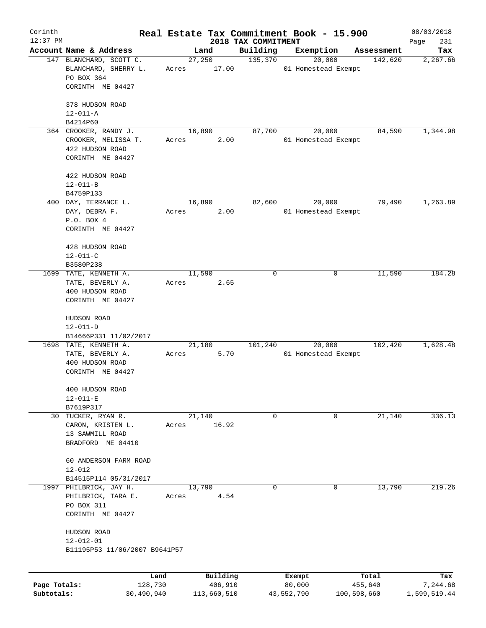| Corinth      |                                                                                 |       |                 |                     | Real Estate Tax Commitment Book - 15.900 |             | 08/03/2018   |
|--------------|---------------------------------------------------------------------------------|-------|-----------------|---------------------|------------------------------------------|-------------|--------------|
| $12:37$ PM   |                                                                                 |       |                 | 2018 TAX COMMITMENT |                                          |             | 231<br>Page  |
|              | Account Name & Address<br>147 BLANCHARD, SCOTT C.                               |       | Land            | Building            | Exemption                                | Assessment  | Tax          |
|              | BLANCHARD, SHERRY L.<br>PO BOX 364<br>CORINTH ME 04427                          | Acres | 27,250<br>17.00 | 135,370             | 20,000<br>01 Homestead Exempt            | 142,620     | 2, 267.66    |
|              | 378 HUDSON ROAD<br>$12 - 011 - A$                                               |       |                 |                     |                                          |             |              |
|              | B4214P60                                                                        |       |                 |                     |                                          |             |              |
|              | 364 CROOKER, RANDY J.                                                           |       | 16,890          | 87,700              | 20,000                                   | 84,590      | 1,344.98     |
|              | CROOKER, MELISSA T.<br>422 HUDSON ROAD<br>CORINTH ME 04427                      | Acres | 2.00            |                     | 01 Homestead Exempt                      |             |              |
|              | 422 HUDSON ROAD<br>$12 - 011 - B$                                               |       |                 |                     |                                          |             |              |
|              | B4759P133                                                                       |       |                 |                     |                                          |             |              |
|              | 400 DAY, TERRANCE L.                                                            |       | 16,890          | 82,600              | 20,000                                   | 79,490      | 1,263.89     |
|              | DAY, DEBRA F.<br>P.O. BOX 4<br>CORINTH ME 04427                                 | Acres | 2.00            |                     | 01 Homestead Exempt                      |             |              |
|              |                                                                                 |       |                 |                     |                                          |             |              |
|              | 428 HUDSON ROAD                                                                 |       |                 |                     |                                          |             |              |
|              | $12 - 011 - C$                                                                  |       |                 |                     |                                          |             |              |
|              | B3580P238                                                                       |       |                 |                     |                                          |             |              |
|              | 1699 TATE, KENNETH A.                                                           |       | 11,590          | 0                   | 0                                        | 11,590      | 184.28       |
|              | TATE, BEVERLY A.                                                                | Acres | 2.65            |                     |                                          |             |              |
|              | 400 HUDSON ROAD<br>CORINTH ME 04427                                             |       |                 |                     |                                          |             |              |
|              | HUDSON ROAD                                                                     |       |                 |                     |                                          |             |              |
|              | $12 - 011 - D$                                                                  |       |                 |                     |                                          |             |              |
|              | B14666P331 11/02/2017<br>1698 TATE, KENNETH A.                                  |       |                 |                     | 20,000                                   |             | 1,628.48     |
|              | TATE, BEVERLY A.                                                                | Acres | 21,180<br>5.70  | 101,240             | 01 Homestead Exempt                      | 102,420     |              |
|              | 400 HUDSON ROAD                                                                 |       |                 |                     |                                          |             |              |
|              | CORINTH ME 04427                                                                |       |                 |                     |                                          |             |              |
|              | 400 HUDSON ROAD                                                                 |       |                 |                     |                                          |             |              |
|              | $12 - 011 - E$                                                                  |       |                 |                     |                                          |             |              |
|              | B7619P317                                                                       |       |                 |                     |                                          |             |              |
|              | 30 TUCKER, RYAN R.<br>CARON, KRISTEN L.<br>13 SAWMILL ROAD<br>BRADFORD ME 04410 | Acres | 21,140<br>16.92 | 0                   | 0                                        | 21,140      | 336.13       |
|              | 60 ANDERSON FARM ROAD                                                           |       |                 |                     |                                          |             |              |
|              | $12 - 012$                                                                      |       |                 |                     |                                          |             |              |
|              | B14515P114 05/31/2017<br>1997 PHILBRICK, JAY H.                                 |       | 13,790          | 0                   | 0                                        | 13,790      | 219.26       |
|              | PHILBRICK, TARA E.<br>PO BOX 311                                                | Acres | 4.54            |                     |                                          |             |              |
|              | CORINTH ME 04427                                                                |       |                 |                     |                                          |             |              |
|              | HUDSON ROAD                                                                     |       |                 |                     |                                          |             |              |
|              | $12 - 012 - 01$<br>B11195P53 11/06/2007 B9641P57                                |       |                 |                     |                                          |             |              |
|              |                                                                                 | Land  | Building        |                     | Exempt                                   | Total       | Tax          |
| Page Totals: | 128,730                                                                         |       | 406,910         |                     | 80,000                                   | 455,640     | 7,244.68     |
| Subtotals:   | 30,490,940                                                                      |       | 113,660,510     |                     | 43,552,790                               | 100,598,660 | 1,599,519.44 |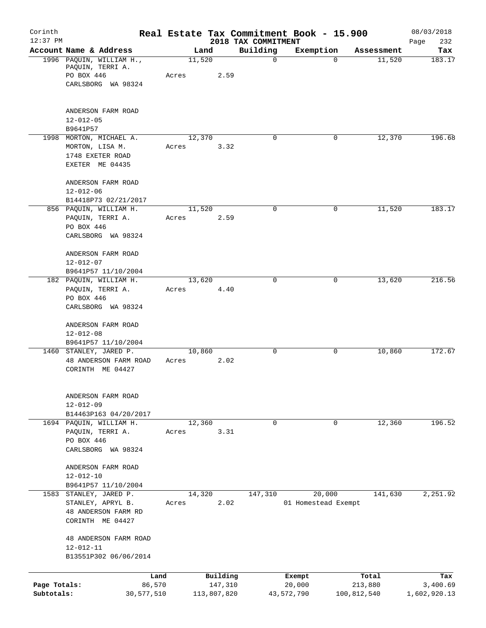| Corinth<br>$12:37$ PM      |                                                                                        |                 |          | 2018 TAX COMMITMENT | Real Estate Tax Commitment Book - 15.900 |                        | 08/03/2018<br>232<br>Page |
|----------------------------|----------------------------------------------------------------------------------------|-----------------|----------|---------------------|------------------------------------------|------------------------|---------------------------|
|                            | Account Name & Address                                                                 | Land            |          | Building            | Exemption                                | Assessment             | Tax                       |
|                            | 1996 PAQUIN, WILLIAM H.,<br>PAQUIN, TERRI A.<br>PO BOX 446<br>CARLSBORG WA 98324       | 11,520<br>Acres | 2.59     | $\mathbf 0$         | $\Omega$                                 | 11,520                 | 183.17                    |
|                            | ANDERSON FARM ROAD<br>$12 - 012 - 05$<br>B9641P57                                      |                 |          |                     |                                          |                        |                           |
|                            | 1998 MORTON, MICHAEL A.<br>MORTON, LISA M.<br>1748 EXETER ROAD<br>EXETER ME 04435      | 12,370<br>Acres | 3.32     | $\Omega$            | 0                                        | 12,370                 | 196.68                    |
|                            | ANDERSON FARM ROAD<br>$12 - 012 - 06$<br>B14418P73 02/21/2017                          |                 |          |                     |                                          |                        |                           |
|                            | 856 PAQUIN, WILLIAM H.<br>PAQUIN, TERRI A.<br>PO BOX 446<br>CARLSBORG WA 98324         | 11,520<br>Acres | 2.59     | $\mathbf 0$         | 0                                        | 11,520                 | 183.17                    |
|                            | ANDERSON FARM ROAD<br>$12 - 012 - 07$<br>B9641P57 11/10/2004                           |                 |          | $\Omega$            | 0                                        | 13,620                 | 216.56                    |
|                            | 182 PAQUIN, WILLIAM H.<br>PAQUIN, TERRI A.<br>PO BOX 446<br>CARLSBORG WA 98324         | 13,620<br>Acres | 4.40     |                     |                                          |                        |                           |
|                            | ANDERSON FARM ROAD<br>$12 - 012 - 08$<br>B9641P57 11/10/2004                           |                 |          |                     |                                          |                        |                           |
|                            | 1460 STANLEY, JARED P.<br>48 ANDERSON FARM ROAD<br>CORINTH ME 04427                    | 10,860<br>Acres | 2.02     | $\mathbf 0$         | 0                                        | 10,860                 | 172.67                    |
|                            | ANDERSON FARM ROAD<br>$12 - 012 - 09$<br>B14463P163 04/20/2017                         |                 |          |                     |                                          |                        |                           |
|                            | 1694 PAQUIN, WILLIAM H.<br>PAQUIN, TERRI A.<br>PO BOX 446<br>CARLSBORG WA 98324        | 12,360<br>Acres | 3.31     | $\mathbf 0$         | $\mathbf 0$                              | 12,360                 | 196.52                    |
|                            | ANDERSON FARM ROAD<br>$12 - 012 - 10$<br>B9641P57 11/10/2004                           |                 |          |                     |                                          |                        |                           |
|                            | 1583 STANLEY, JARED P.<br>STANLEY, APRYL B.<br>48 ANDERSON FARM RD<br>CORINTH ME 04427 | 14,320<br>Acres | 2.02     | 147,310             | 20,000<br>01 Homestead Exempt            | 141,630                | 2,251.92                  |
|                            | 48 ANDERSON FARM ROAD<br>12-012-11<br>B13551P302 06/06/2014                            |                 |          |                     |                                          |                        |                           |
|                            | Land                                                                                   |                 | Building |                     | Exempt                                   | Total                  | Tax                       |
| Page Totals:<br>Subtotals: | 86,570<br>30,577,510                                                                   | 113,807,820     | 147,310  |                     | 20,000<br>43,572,790                     | 213,880<br>100,812,540 | 3,400.69<br>1,602,920.13  |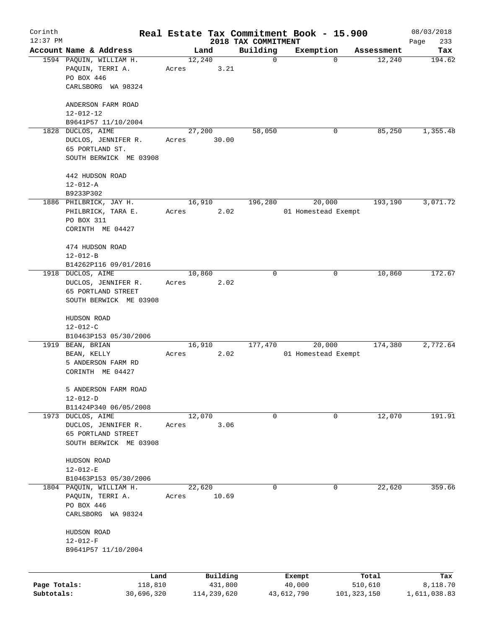| Corinth      |                                                                  |       |             |                                 | Real Estate Tax Commitment Book - 15.900 |             | 08/03/2018         |
|--------------|------------------------------------------------------------------|-------|-------------|---------------------------------|------------------------------------------|-------------|--------------------|
| $12:37$ PM   | Account Name & Address                                           |       | Land        | 2018 TAX COMMITMENT<br>Building | Exemption                                | Assessment  | 233<br>Page<br>Tax |
|              | 1594 PAQUIN, WILLIAM H.                                          |       | 12,240      | $\mathbf 0$                     | $\mathbf 0$                              | 12,240      | 194.62             |
|              | PAQUIN, TERRI A.<br>PO BOX 446                                   | Acres | 3.21        |                                 |                                          |             |                    |
|              | CARLSBORG WA 98324                                               |       |             |                                 |                                          |             |                    |
|              | ANDERSON FARM ROAD<br>$12 - 012 - 12$                            |       |             |                                 |                                          |             |                    |
|              | B9641P57 11/10/2004                                              |       |             |                                 |                                          |             |                    |
| 1828         | DUCLOS, AIME                                                     |       | 27,200      | 58,050                          | 0                                        | 85,250      | 1,355.48           |
|              | DUCLOS, JENNIFER R.<br>65 PORTLAND ST.<br>SOUTH BERWICK ME 03908 | Acres | 30.00       |                                 |                                          |             |                    |
|              |                                                                  |       |             |                                 |                                          |             |                    |
|              | 442 HUDSON ROAD                                                  |       |             |                                 |                                          |             |                    |
|              | $12 - 012 - A$<br>B9233P302                                      |       |             |                                 |                                          |             |                    |
|              | 1886 PHILBRICK, JAY H.                                           |       | 16,910      | 196,280                         | 20,000                                   | 193, 190    | 3,071.72           |
|              | PHILBRICK, TARA E.<br>PO BOX 311                                 | Acres | 2.02        |                                 | 01 Homestead Exempt                      |             |                    |
|              | CORINTH ME 04427                                                 |       |             |                                 |                                          |             |                    |
|              | 474 HUDSON ROAD<br>$12 - 012 - B$                                |       |             |                                 |                                          |             |                    |
|              | B14262P116 09/01/2016                                            |       |             |                                 |                                          |             |                    |
|              | 1918 DUCLOS, AIME                                                |       | 10,860      | 0                               | 0                                        | 10,860      | 172.67             |
|              | DUCLOS, JENNIFER R.<br>65 PORTLAND STREET                        | Acres | 2.02        |                                 |                                          |             |                    |
|              | SOUTH BERWICK ME 03908                                           |       |             |                                 |                                          |             |                    |
|              | HUDSON ROAD<br>$12 - 012 - C$                                    |       |             |                                 |                                          |             |                    |
|              | B10463P153 05/30/2006                                            |       |             |                                 |                                          |             |                    |
|              | 1919 BEAN, BRIAN                                                 |       | 16,910      | 177,470                         | 20,000                                   | 174,380     | 2,772.64           |
|              | BEAN, KELLY<br>5 ANDERSON FARM RD                                | Acres | 2.02        |                                 | 01 Homestead Exempt                      |             |                    |
|              | CORINTH ME 04427                                                 |       |             |                                 |                                          |             |                    |
|              | 5 ANDERSON FARM ROAD<br>$12 - 012 - D$                           |       |             |                                 |                                          |             |                    |
|              | B11424P340 06/05/2008                                            |       |             |                                 |                                          |             |                    |
|              | 1973 DUCLOS, AIME                                                |       | 12,070      | 0                               | 0                                        | 12,070      | 191.91             |
|              | DUCLOS, JENNIFER R.                                              | Acres | 3.06        |                                 |                                          |             |                    |
|              | 65 PORTLAND STREET<br>SOUTH BERWICK ME 03908                     |       |             |                                 |                                          |             |                    |
|              | HUDSON ROAD<br>$12 - 012 - E$                                    |       |             |                                 |                                          |             |                    |
|              | B10463P153 05/30/2006                                            |       |             |                                 |                                          |             |                    |
| 1804         | PAQUIN, WILLIAM H.                                               |       | 22,620      | 0                               | 0                                        | 22,620      | 359.66             |
|              | PAQUIN, TERRI A.                                                 | Acres | 10.69       |                                 |                                          |             |                    |
|              | PO BOX 446<br>CARLSBORG WA 98324                                 |       |             |                                 |                                          |             |                    |
|              | HUDSON ROAD                                                      |       |             |                                 |                                          |             |                    |
|              | $12 - 012 - F$                                                   |       |             |                                 |                                          |             |                    |
|              | B9641P57 11/10/2004                                              |       |             |                                 |                                          |             |                    |
|              | Land                                                             |       | Building    |                                 | Exempt                                   | Total       | Tax                |
| Page Totals: | 118,810                                                          |       | 431,800     |                                 | 40,000                                   | 510,610     | 8,118.70           |
| Subtotals:   | 30,696,320                                                       |       | 114,239,620 |                                 | 43,612,790                               | 101,323,150 | 1,611,038.83       |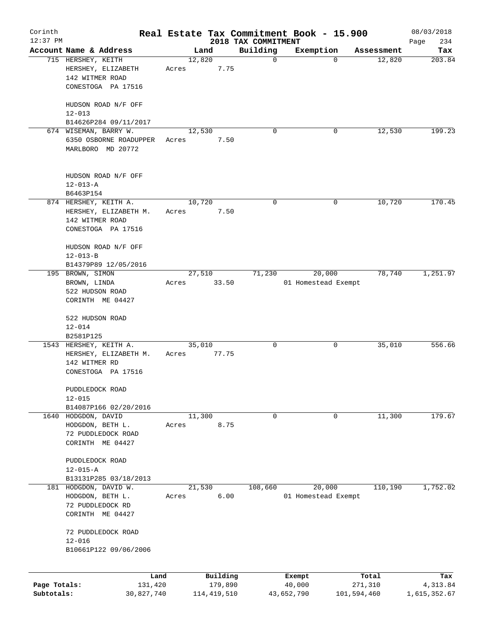| Corinth      |                                            |       |                     |                                 | Real Estate Tax Commitment Book - 15.900 |                  | 08/03/2018         |
|--------------|--------------------------------------------|-------|---------------------|---------------------------------|------------------------------------------|------------------|--------------------|
| $12:37$ PM   | Account Name & Address                     |       | Land                | 2018 TAX COMMITMENT<br>Building | Exemption                                | Assessment       | 234<br>Page<br>Tax |
|              | 715 HERSHEY, KEITH                         |       | 12,820              | $\mathbf 0$                     |                                          | 12,820<br>0      | 203.84             |
|              | HERSHEY, ELIZABETH                         | Acres | 7.75                |                                 |                                          |                  |                    |
|              | 142 WITMER ROAD                            |       |                     |                                 |                                          |                  |                    |
|              | CONESTOGA PA 17516                         |       |                     |                                 |                                          |                  |                    |
|              |                                            |       |                     |                                 |                                          |                  |                    |
|              | HUDSON ROAD N/F OFF                        |       |                     |                                 |                                          |                  |                    |
|              | $12 - 013$                                 |       |                     |                                 |                                          |                  |                    |
|              | B14626P284 09/11/2017                      |       |                     |                                 |                                          |                  |                    |
|              | 674 WISEMAN, BARRY W.                      |       | 12,530              | 0                               | 0                                        | 12,530           | 199.23             |
|              | 6350 OSBORNE ROADUPPER                     | Acres | 7.50                |                                 |                                          |                  |                    |
|              | MARLBORO MD 20772                          |       |                     |                                 |                                          |                  |                    |
|              |                                            |       |                     |                                 |                                          |                  |                    |
|              | HUDSON ROAD N/F OFF                        |       |                     |                                 |                                          |                  |                    |
|              | $12 - 013 - A$                             |       |                     |                                 |                                          |                  |                    |
|              | B6463P154                                  |       |                     |                                 |                                          |                  |                    |
|              | 874 HERSHEY, KEITH A.                      |       | 10,720              | 0                               | 0                                        | 10,720           | 170.45             |
|              | HERSHEY, ELIZABETH M.                      | Acres | 7.50                |                                 |                                          |                  |                    |
|              | 142 WITMER ROAD                            |       |                     |                                 |                                          |                  |                    |
|              | CONESTOGA PA 17516                         |       |                     |                                 |                                          |                  |                    |
|              |                                            |       |                     |                                 |                                          |                  |                    |
|              | HUDSON ROAD N/F OFF                        |       |                     |                                 |                                          |                  |                    |
|              | $12 - 013 - B$                             |       |                     |                                 |                                          |                  |                    |
|              | B14379P89 12/05/2016                       |       |                     |                                 |                                          |                  |                    |
|              | 195 BROWN, SIMON                           |       | 27,510              | 71,230                          | 20,000                                   | 78,740           | 1,251.97           |
|              | BROWN, LINDA                               | Acres | 33.50               |                                 | 01 Homestead Exempt                      |                  |                    |
|              | 522 HUDSON ROAD<br>CORINTH ME 04427        |       |                     |                                 |                                          |                  |                    |
|              |                                            |       |                     |                                 |                                          |                  |                    |
|              | 522 HUDSON ROAD                            |       |                     |                                 |                                          |                  |                    |
|              | $12 - 014$                                 |       |                     |                                 |                                          |                  |                    |
|              | B2581P125                                  |       |                     |                                 |                                          |                  |                    |
|              | 1543 HERSHEY, KEITH A.                     |       | 35,010              | 0                               | 0                                        | 35,010           | 556.66             |
|              | HERSHEY, ELIZABETH M.                      | Acres | 77.75               |                                 |                                          |                  |                    |
|              | 142 WITMER RD                              |       |                     |                                 |                                          |                  |                    |
|              | CONESTOGA PA 17516                         |       |                     |                                 |                                          |                  |                    |
|              | PUDDLEDOCK ROAD                            |       |                     |                                 |                                          |                  |                    |
|              | $12 - 015$                                 |       |                     |                                 |                                          |                  |                    |
|              | B14087P166 02/20/2016                      |       |                     |                                 |                                          |                  |                    |
|              | 1640 HODGDON, DAVID                        |       | 11,300              | 0                               | 0                                        | 11,300           | 179.67             |
|              | HODGDON, BETH L.                           | Acres | 8.75                |                                 |                                          |                  |                    |
|              | 72 PUDDLEDOCK ROAD                         |       |                     |                                 |                                          |                  |                    |
|              | CORINTH ME 04427                           |       |                     |                                 |                                          |                  |                    |
|              |                                            |       |                     |                                 |                                          |                  |                    |
|              | PUDDLEDOCK ROAD                            |       |                     |                                 |                                          |                  |                    |
|              | $12 - 015 - A$                             |       |                     |                                 |                                          |                  |                    |
| 181          | B13131P285 03/18/2013<br>HODGDON, DAVID W. |       | 21,530              | 108,660                         | 20,000                                   | 110,190          | 1,752.02           |
|              | HODGDON, BETH L.                           | Acres | 6.00                |                                 | 01 Homestead Exempt                      |                  |                    |
|              | 72 PUDDLEDOCK RD                           |       |                     |                                 |                                          |                  |                    |
|              | CORINTH ME 04427                           |       |                     |                                 |                                          |                  |                    |
|              |                                            |       |                     |                                 |                                          |                  |                    |
|              | 72 PUDDLEDOCK ROAD                         |       |                     |                                 |                                          |                  |                    |
|              | $12 - 016$                                 |       |                     |                                 |                                          |                  |                    |
|              | B10661P122 09/06/2006                      |       |                     |                                 |                                          |                  |                    |
|              |                                            |       |                     |                                 |                                          |                  |                    |
| Page Totals: | Land<br>131,420                            |       | Building<br>179,890 |                                 | Exempt<br>40,000                         | Total<br>271,310 | Tax<br>4,313.84    |
| Subtotals:   | 30,827,740                                 |       | 114, 419, 510       |                                 | 43,652,790                               | 101,594,460      | 1,615,352.67       |
|              |                                            |       |                     |                                 |                                          |                  |                    |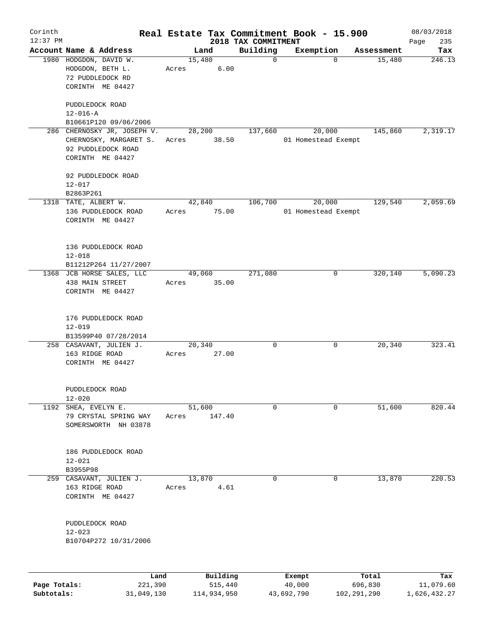| Corinth      |                                                          |        |                     |                         | Real Estate Tax Commitment Book - 15.900 |                      | 08/03/2018       |
|--------------|----------------------------------------------------------|--------|---------------------|-------------------------|------------------------------------------|----------------------|------------------|
| $12:37$ PM   |                                                          |        |                     | 2018 TAX COMMITMENT     |                                          |                      | 235<br>Page      |
|              | Account Name & Address<br>1980 HODGDON, DAVID W.         | 15,480 | Land                | Building<br>$\mathbf 0$ | Exemption<br>$\mathbf 0$                 | Assessment<br>15,480 | Tax<br>246.13    |
|              | HODGDON, BETH L.<br>72 PUDDLEDOCK RD<br>CORINTH ME 04427 | Acres  | 6.00                |                         |                                          |                      |                  |
|              | PUDDLEDOCK ROAD                                          |        |                     |                         |                                          |                      |                  |
|              | $12 - 016 - A$                                           |        |                     |                         |                                          |                      |                  |
|              | B10661P120 09/06/2006                                    |        |                     |                         |                                          |                      |                  |
|              | 286 CHERNOSKY JR, JOSEPH V.                              |        | 28,200              | 137,660                 | 20,000                                   | 145,860              | 2,319.17         |
|              | CHERNOSKY, MARGARET S.<br>92 PUDDLEDOCK ROAD             | Acres  | 38.50               |                         | 01 Homestead Exempt                      |                      |                  |
|              | CORINTH ME 04427                                         |        |                     |                         |                                          |                      |                  |
|              | 92 PUDDLEDOCK ROAD                                       |        |                     |                         |                                          |                      |                  |
|              | $12 - 017$                                               |        |                     |                         |                                          |                      |                  |
|              | B2863P261<br>1318 TATE, ALBERT W.                        | 42,840 |                     | 106,700                 | 20,000                                   | 129,540              | 2,059.69         |
|              | 136 PUDDLEDOCK ROAD<br>CORINTH ME 04427                  | Acres  | 75.00               |                         | 01 Homestead Exempt                      |                      |                  |
|              | 136 PUDDLEDOCK ROAD                                      |        |                     |                         |                                          |                      |                  |
|              | $12 - 018$                                               |        |                     |                         |                                          |                      |                  |
|              | B11212P264 11/27/2007                                    |        |                     |                         |                                          |                      |                  |
|              | 1368 JCB HORSE SALES, LLC                                |        | 49,060              | 271,080                 | 0                                        | 320,140              | 5,090.23         |
|              | 438 MAIN STREET<br>CORINTH ME 04427                      | Acres  | 35.00               |                         |                                          |                      |                  |
|              | 176 PUDDLEDOCK ROAD                                      |        |                     |                         |                                          |                      |                  |
|              | $12 - 019$<br>B13599P40 07/28/2014                       |        |                     |                         |                                          |                      |                  |
|              | 258 CASAVANT, JULIEN J.                                  | 20,340 |                     | 0                       | 0                                        | 20,340               | 323.41           |
|              | 163 RIDGE ROAD<br>CORINTH ME 04427                       | Acres  | 27.00               |                         |                                          |                      |                  |
|              | PUDDLEDOCK ROAD                                          |        |                     |                         |                                          |                      |                  |
|              | $12 - 020$                                               |        |                     |                         |                                          |                      |                  |
| 1192         | SHEA, EVELYN E.                                          | 51,600 |                     | 0                       | 0                                        | 51,600               | 820.44           |
|              | 79 CRYSTAL SPRING WAY<br>SOMERSWORTH NH 03878            | Acres  | 147.40              |                         |                                          |                      |                  |
|              | 186 PUDDLEDOCK ROAD                                      |        |                     |                         |                                          |                      |                  |
|              | $12 - 021$                                               |        |                     |                         |                                          |                      |                  |
|              | B3955P98                                                 | 13,870 |                     | $\mathbf 0$             | 0                                        | 13,870               | 220.53           |
|              | 259 CASAVANT, JULIEN J.<br>163 RIDGE ROAD                | Acres  | 4.61                |                         |                                          |                      |                  |
|              | CORINTH ME 04427                                         |        |                     |                         |                                          |                      |                  |
|              | PUDDLEDOCK ROAD                                          |        |                     |                         |                                          |                      |                  |
|              | $12 - 023$                                               |        |                     |                         |                                          |                      |                  |
|              | B10704P272 10/31/2006                                    |        |                     |                         |                                          |                      |                  |
|              |                                                          |        |                     |                         |                                          |                      |                  |
| Page Totals: | Land<br>221,390                                          |        | Building<br>515,440 |                         | Exempt<br>40,000                         | Total<br>696,830     | Tax<br>11,079.60 |
| Subtotals:   | 31,049,130                                               |        | 114,934,950         |                         | 43,692,790                               | 102,291,290          | 1,626,432.27     |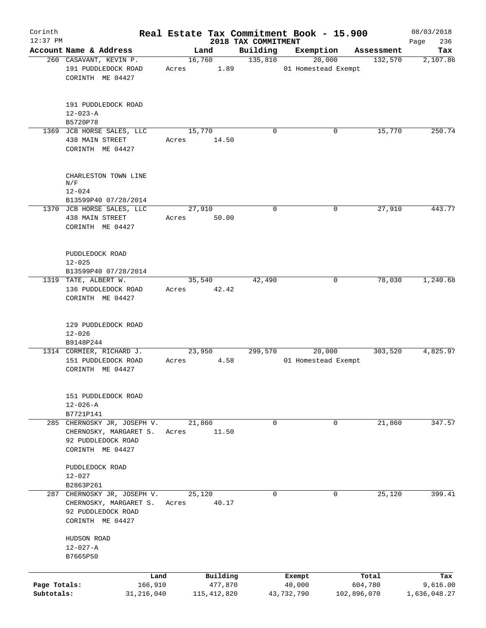| Corinth      |                                                                                                              |                       |               |                     | Real Estate Tax Commitment Book - 15.900 |                       | 08/03/2018      |
|--------------|--------------------------------------------------------------------------------------------------------------|-----------------------|---------------|---------------------|------------------------------------------|-----------------------|-----------------|
| $12:37$ PM   |                                                                                                              |                       |               | 2018 TAX COMMITMENT |                                          |                       | 236<br>Page     |
|              | Account Name & Address                                                                                       | Land<br>16,760        |               | Building<br>135,810 | Exemption<br>20,000                      | Assessment<br>132,570 | Tax<br>2,107.86 |
|              | 260 CASAVANT, KEVIN P.<br>191 PUDDLEDOCK ROAD<br>CORINTH ME 04427                                            | Acres                 | 1.89          |                     | 01 Homestead Exempt                      |                       |                 |
|              | 191 PUDDLEDOCK ROAD<br>$12 - 023 - A$                                                                        |                       |               |                     |                                          |                       |                 |
|              | B5720P78                                                                                                     |                       |               |                     |                                          |                       |                 |
|              | 1369 JCB HORSE SALES, LLC<br>438 MAIN STREET<br>CORINTH ME 04427                                             | 15,770<br>Acres       | 14.50         | $\mathbf 0$         | 0                                        | 15,770                | 250.74          |
|              | CHARLESTON TOWN LINE<br>N/F<br>$12 - 024$                                                                    |                       |               |                     |                                          |                       |                 |
|              | B13599P40 07/28/2014                                                                                         |                       |               |                     |                                          |                       |                 |
|              | 1370 JCB HORSE SALES, LLC<br>438 MAIN STREET<br>CORINTH ME 04427                                             | 27,910<br>Acres 50.00 |               | $\mathbf 0$         | 0                                        | 27,910                | 443.77          |
|              | PUDDLEDOCK ROAD<br>$12 - 025$<br>B13599P40 07/28/2014                                                        |                       |               |                     |                                          |                       |                 |
|              | 1319 TATE, ALBERT W.<br>136 PUDDLEDOCK ROAD<br>CORINTH ME 04427                                              | 35,540<br>Acres 42.42 |               | 42,490              | 0                                        | 78,030                | 1,240.68        |
|              | 129 PUDDLEDOCK ROAD<br>$12 - 026$<br>B9148P244                                                               |                       |               |                     |                                          |                       |                 |
|              | 1314 CORMIER, RICHARD J.<br>151 PUDDLEDOCK ROAD<br>CORINTH ME 04427                                          | 23,950<br>Acres       | 4.58          | 299,570             | 20,000<br>01 Homestead Exempt            | 303,520               | 4,825.97        |
|              | 151 PUDDLEDOCK ROAD<br>$12 - 026 - A$<br>B7721P141                                                           |                       |               |                     |                                          |                       |                 |
|              | 285 CHERNOSKY JR, JOSEPH V.<br>CHERNOSKY, MARGARET S.<br>92 PUDDLEDOCK ROAD<br>CORINTH ME 04427              | 21,860<br>Acres       | 11.50         | 0                   | 0                                        | 21,860                | 347.57          |
|              | PUDDLEDOCK ROAD<br>$12 - 027$                                                                                |                       |               |                     |                                          |                       |                 |
|              | B2863P261<br>287 CHERNOSKY JR, JOSEPH V.<br>CHERNOSKY, MARGARET S.<br>92 PUDDLEDOCK ROAD<br>CORINTH ME 04427 | 25,120<br>Acres       | 40.17         | $\mathbf 0$         | $\mathbf 0$                              | 25,120                | 399.41          |
|              | HUDSON ROAD<br>$12 - 027 - A$<br>B7665P50                                                                    |                       |               |                     |                                          |                       |                 |
|              | Land                                                                                                         |                       | Building      |                     | Exempt                                   | Total                 | Tax             |
| Page Totals: | 166,910                                                                                                      |                       | 477,870       |                     | 40,000                                   | 604,780               | 9,616.00        |
| Subtotals:   | 31,216,040                                                                                                   |                       | 115, 412, 820 |                     | 43,732,790                               | 102,896,070           | 1,636,048.27    |
|              |                                                                                                              |                       |               |                     |                                          |                       |                 |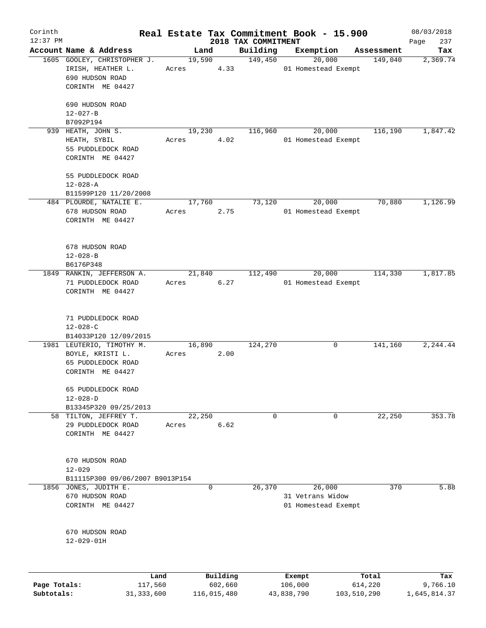| Corinth      |                                                                                         |                 |          |                                 | Real Estate Tax Commitment Book - 15.900          |            | 08/03/2018         |
|--------------|-----------------------------------------------------------------------------------------|-----------------|----------|---------------------------------|---------------------------------------------------|------------|--------------------|
| $12:37$ PM   | Account Name & Address                                                                  | Land            |          | 2018 TAX COMMITMENT<br>Building | Exemption                                         | Assessment | 237<br>Page<br>Tax |
|              | 1605 GOOLEY, CHRISTOPHER J.                                                             | 19,590          |          | 149,450                         | 20,000                                            | 149,040    | 2,369.74           |
|              | IRISH, HEATHER L.<br>690 HUDSON ROAD<br>CORINTH ME 04427                                | Acres           | 4.33     |                                 | 01 Homestead Exempt                               |            |                    |
|              | 690 HUDSON ROAD<br>$12 - 027 - B$                                                       |                 |          |                                 |                                                   |            |                    |
|              | B7092P194                                                                               |                 |          |                                 |                                                   |            |                    |
|              | 939 HEATH, JOHN S.<br>HEATH, SYBIL<br>55 PUDDLEDOCK ROAD<br>CORINTH ME 04427            | 19,230<br>Acres | 4.02     | 116,960                         | 20,000<br>01 Homestead Exempt                     | 116,190    | 1,847.42           |
|              | 55 PUDDLEDOCK ROAD<br>$12 - 028 - A$                                                    |                 |          |                                 |                                                   |            |                    |
|              | B11599P120 11/20/2008<br>484 PLOURDE, NATALIE E.                                        | 17,760          |          | 73,120                          | 20,000                                            | 70,880     | 1,126.99           |
|              | 678 HUDSON ROAD<br>CORINTH ME 04427                                                     | Acres           | 2.75     |                                 | 01 Homestead Exempt                               |            |                    |
|              | 678 HUDSON ROAD<br>$12 - 028 - B$<br>B6176P348                                          |                 |          |                                 |                                                   |            |                    |
|              | 1849 RANKIN, JEFFERSON A.<br>71 PUDDLEDOCK ROAD<br>CORINTH ME 04427                     | 21,840<br>Acres | 6.27     | 112,490                         | 20,000<br>01 Homestead Exempt                     | 114,330    | 1,817.85           |
|              | 71 PUDDLEDOCK ROAD<br>$12 - 028 - C$<br>B14033P120 12/09/2015                           |                 |          |                                 |                                                   |            |                    |
|              | 1981 LEUTERIO, TIMOTHY M.<br>BOYLE, KRISTI L.<br>65 PUDDLEDOCK ROAD<br>CORINTH ME 04427 | 16,890<br>Acres | 2.00     | 124,270                         | 0                                                 | 141,160    | 2,244.44           |
|              | 65 PUDDLEDOCK ROAD<br>$12 - 028 - D$<br>B13345P320 09/25/2013                           |                 |          |                                 |                                                   |            |                    |
|              | 58 TILTON, JEFFREY T.<br>29 PUDDLEDOCK ROAD<br>CORINTH ME 04427                         | 22,250<br>Acres | 6.62     | 0                               | 0                                                 | 22,250     | 353.78             |
|              | 670 HUDSON ROAD<br>$12 - 029$                                                           |                 |          |                                 |                                                   |            |                    |
|              | B11115P300 09/06/2007 B9013P154                                                         |                 |          |                                 |                                                   |            |                    |
|              | 1856 JONES, JUDITH E.<br>670 HUDSON ROAD<br>CORINTH ME 04427                            |                 | 0        | 26,370                          | 26,000<br>31 Vetrans Widow<br>01 Homestead Exempt | 370        | 5.88               |
|              | 670 HUDSON ROAD<br>$12 - 029 - 01H$                                                     |                 |          |                                 |                                                   |            |                    |
|              | Land                                                                                    |                 | Building |                                 | Exempt                                            | Total      | Tax                |
| Page Totals: | 117,560                                                                                 |                 | 602,660  |                                 | 106,000                                           | 614,220    | 9,766.10           |

**Page Totals:** 117,560 602,660 106,000 614,220 9,766.10 **Subtotals:** 31,333,600 116,015,480 43,838,790 103,510,290 1,645,814.37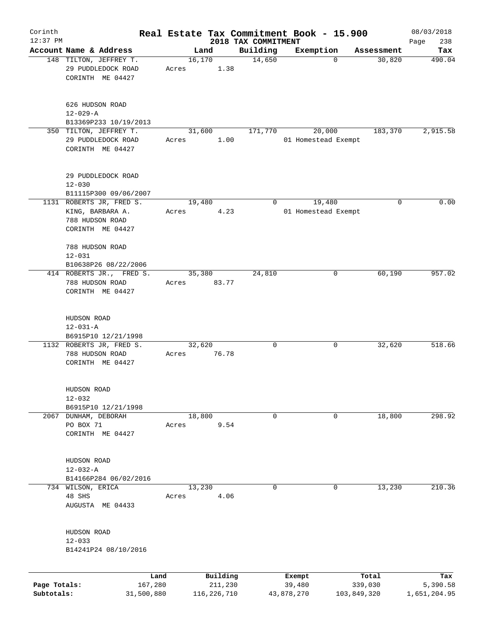| Corinth      |                                              |            |       |                |                                 | Real Estate Tax Commitment Book - 15.900 |   |             | 08/03/2018    |
|--------------|----------------------------------------------|------------|-------|----------------|---------------------------------|------------------------------------------|---|-------------|---------------|
| $12:37$ PM   | Account Name & Address                       |            |       | Land           | 2018 TAX COMMITMENT<br>Building | Exemption                                |   | Assessment  | 238<br>Page   |
|              | 148 TILTON, JEFFREY T.<br>29 PUDDLEDOCK ROAD |            | Acres | 16,170<br>1.38 | 14,650                          |                                          | 0 | 30,820      | Tax<br>490.04 |
|              | CORINTH ME 04427                             |            |       |                |                                 |                                          |   |             |               |
|              | 626 HUDSON ROAD<br>$12 - 029 - A$            |            |       |                |                                 |                                          |   |             |               |
|              | B13369P233 10/19/2013                        |            |       |                |                                 |                                          |   |             |               |
|              | 350 TILTON, JEFFREY T.                       |            |       | 31,600         | 171,770                         | 20,000                                   |   | 183,370     | 2,915.58      |
|              | 29 PUDDLEDOCK ROAD<br>CORINTH ME 04427       |            | Acres | 1.00           |                                 | 01 Homestead Exempt                      |   |             |               |
|              | 29 PUDDLEDOCK ROAD<br>$12 - 030$             |            |       |                |                                 |                                          |   |             |               |
|              | B11115P300 09/06/2007                        |            |       |                |                                 |                                          |   |             |               |
|              | 1131 ROBERTS JR, FRED S.                     |            |       | 19,480         | 0                               | 19,480                                   |   | 0           | 0.00          |
|              | KING, BARBARA A.                             |            | Acres | 4.23           |                                 | 01 Homestead Exempt                      |   |             |               |
|              | 788 HUDSON ROAD<br>CORINTH ME 04427          |            |       |                |                                 |                                          |   |             |               |
|              | 788 HUDSON ROAD                              |            |       |                |                                 |                                          |   |             |               |
|              | $12 - 031$                                   |            |       |                |                                 |                                          |   |             |               |
|              | B10638P26 08/22/2006                         |            |       |                |                                 |                                          |   |             |               |
|              | 414 ROBERTS JR., FRED S.                     |            |       | 35,380         | 24,810                          |                                          | 0 | 60,190      | 957.02        |
|              | 788 HUDSON ROAD<br>CORINTH ME 04427          |            | Acres | 83.77          |                                 |                                          |   |             |               |
|              | HUDSON ROAD                                  |            |       |                |                                 |                                          |   |             |               |
|              | $12 - 031 - A$                               |            |       |                |                                 |                                          |   |             |               |
|              | B6915P10 12/21/1998                          |            |       |                |                                 |                                          |   |             |               |
|              | 1132 ROBERTS JR, FRED S.                     |            |       | 32,620         | 0                               |                                          | 0 | 32,620      | 518.66        |
|              | 788 HUDSON ROAD<br>CORINTH ME 04427          |            | Acres | 76.78          |                                 |                                          |   |             |               |
|              | HUDSON ROAD                                  |            |       |                |                                 |                                          |   |             |               |
|              | $12 - 032$                                   |            |       |                |                                 |                                          |   |             |               |
|              | B6915P10 12/21/1998                          |            |       |                |                                 |                                          |   |             |               |
|              | 2067 DUNHAM, DEBORAH                         |            |       | 18,800         | 0                               |                                          | 0 | 18,800      | 298.92        |
|              | PO BOX 71<br>CORINTH ME 04427                |            | Acres | 9.54           |                                 |                                          |   |             |               |
|              | HUDSON ROAD                                  |            |       |                |                                 |                                          |   |             |               |
|              | $12 - 032 - A$                               |            |       |                |                                 |                                          |   |             |               |
|              | B14166P284 06/02/2016                        |            |       |                |                                 |                                          |   |             |               |
|              | 734 WILSON, ERICA                            |            |       | 13,230         | 0                               |                                          | 0 | 13,230      | 210.36        |
|              | 48 SHS                                       |            | Acres | 4.06           |                                 |                                          |   |             |               |
|              | AUGUSTA ME 04433                             |            |       |                |                                 |                                          |   |             |               |
|              | HUDSON ROAD                                  |            |       |                |                                 |                                          |   |             |               |
|              | $12 - 033$                                   |            |       |                |                                 |                                          |   |             |               |
|              | B14241P24 08/10/2016                         |            |       |                |                                 |                                          |   |             |               |
|              |                                              | Land       |       | Building       |                                 | Exempt                                   |   | Total       | Tax           |
| Page Totals: |                                              | 167,280    |       | 211,230        |                                 | 39,480                                   |   | 339,030     | 5,390.58      |
| Subtotals:   |                                              | 31,500,880 |       | 116, 226, 710  |                                 | 43,878,270                               |   | 103,849,320 | 1,651,204.95  |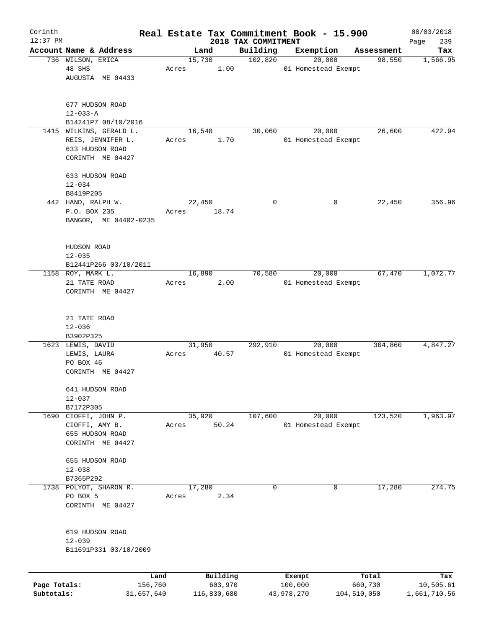| Corinth      |                             |                 |       |                |         | Real Estate Tax Commitment Book - 15.900 |                     |        |                      | 08/03/2018       |
|--------------|-----------------------------|-----------------|-------|----------------|---------|------------------------------------------|---------------------|--------|----------------------|------------------|
| $12:37$ PM   |                             |                 |       |                |         | 2018 TAX COMMITMENT                      |                     |        |                      | 239<br>Page      |
|              | Account Name & Address      |                 |       | Land<br>15,730 |         | Building<br>102,820                      | Exemption           | 20,000 | Assessment<br>98,550 | Tax              |
|              | 736 WILSON, ERICA<br>48 SHS |                 | Acres |                | 1.00    |                                          | 01 Homestead Exempt |        |                      | 1,566.95         |
|              | AUGUSTA ME 04433            |                 |       |                |         |                                          |                     |        |                      |                  |
|              |                             |                 |       |                |         |                                          |                     |        |                      |                  |
|              | 677 HUDSON ROAD             |                 |       |                |         |                                          |                     |        |                      |                  |
|              | $12 - 033 - A$              |                 |       |                |         |                                          |                     |        |                      |                  |
|              | B14241P7 08/10/2016         |                 |       |                |         |                                          |                     |        |                      |                  |
| 1415         | WILKINS, GERALD L.          |                 |       | 16,540         |         | 30,060                                   |                     | 20,000 | 26,600               | 422.94           |
|              | REIS, JENNIFER L.           |                 | Acres |                | 1.70    |                                          | 01 Homestead Exempt |        |                      |                  |
|              | 633 HUDSON ROAD             |                 |       |                |         |                                          |                     |        |                      |                  |
|              | CORINTH ME 04427            |                 |       |                |         |                                          |                     |        |                      |                  |
|              | 633 HUDSON ROAD             |                 |       |                |         |                                          |                     |        |                      |                  |
|              | $12 - 034$                  |                 |       |                |         |                                          |                     |        |                      |                  |
|              | B8419P205                   |                 |       |                |         |                                          |                     |        |                      |                  |
|              | 442 HAND, RALPH W.          |                 |       | 22,450         |         | 0                                        |                     | 0      | 22,450               | 356.96           |
|              | P.O. BOX 235                |                 | Acres |                | 18.74   |                                          |                     |        |                      |                  |
|              | BANGOR, ME 04402-0235       |                 |       |                |         |                                          |                     |        |                      |                  |
|              |                             |                 |       |                |         |                                          |                     |        |                      |                  |
|              | HUDSON ROAD                 |                 |       |                |         |                                          |                     |        |                      |                  |
|              | $12 - 035$                  |                 |       |                |         |                                          |                     |        |                      |                  |
|              | B12441P266 03/10/2011       |                 |       |                |         |                                          |                     |        |                      |                  |
|              | 1158 ROY, MARK L.           |                 |       | 16,890         |         | 70,580                                   |                     | 20,000 | 67,470               | 1,072.77         |
|              | 21 TATE ROAD                |                 | Acres |                | 2.00    |                                          | 01 Homestead Exempt |        |                      |                  |
|              | CORINTH ME 04427            |                 |       |                |         |                                          |                     |        |                      |                  |
|              |                             |                 |       |                |         |                                          |                     |        |                      |                  |
|              | 21 TATE ROAD                |                 |       |                |         |                                          |                     |        |                      |                  |
|              | $12 - 036$                  |                 |       |                |         |                                          |                     |        |                      |                  |
|              | B3902P325                   |                 |       |                |         |                                          |                     |        |                      |                  |
|              | 1623 LEWIS, DAVID           |                 |       | 31,950         |         | 292,910                                  |                     | 20,000 | 304,860              | 4,847.27         |
|              | LEWIS, LAURA                |                 | Acres |                | 40.57   |                                          | 01 Homestead Exempt |        |                      |                  |
|              | PO BOX 46                   |                 |       |                |         |                                          |                     |        |                      |                  |
|              | CORINTH ME 04427            |                 |       |                |         |                                          |                     |        |                      |                  |
|              | 641 HUDSON ROAD             |                 |       |                |         |                                          |                     |        |                      |                  |
|              | $12 - 037$                  |                 |       |                |         |                                          |                     |        |                      |                  |
|              | B7172P305                   |                 |       |                |         |                                          |                     |        |                      |                  |
|              | 1690 CIOFFI, JOHN P.        |                 |       | 35,920         |         | 107,600                                  |                     | 20,000 | 123,520              | 1,963.97         |
|              | CIOFFI, AMY B.              |                 | Acres |                | 50.24   |                                          | 01 Homestead Exempt |        |                      |                  |
|              | 655 HUDSON ROAD             |                 |       |                |         |                                          |                     |        |                      |                  |
|              | CORINTH ME 04427            |                 |       |                |         |                                          |                     |        |                      |                  |
|              | 655 HUDSON ROAD             |                 |       |                |         |                                          |                     |        |                      |                  |
|              | $12 - 038$                  |                 |       |                |         |                                          |                     |        |                      |                  |
|              | B7365P292                   |                 |       |                |         |                                          |                     |        |                      |                  |
|              | 1738 POLYOT, SHARON R.      |                 |       | 17,280         |         | 0                                        |                     | 0      | 17,280               | 274.75           |
|              | PO BOX 5                    |                 | Acres |                | 2.34    |                                          |                     |        |                      |                  |
|              | CORINTH ME 04427            |                 |       |                |         |                                          |                     |        |                      |                  |
|              |                             |                 |       |                |         |                                          |                     |        |                      |                  |
|              | 619 HUDSON ROAD             |                 |       |                |         |                                          |                     |        |                      |                  |
|              | $12 - 039$                  |                 |       |                |         |                                          |                     |        |                      |                  |
|              | B11691P331 03/10/2009       |                 |       |                |         |                                          |                     |        |                      |                  |
|              |                             |                 |       |                |         |                                          |                     |        |                      |                  |
| Page Totals: |                             | Land<br>156,760 |       | Building       | 603,970 |                                          | Exempt<br>100,000   |        | Total<br>660,730     | Tax<br>10,505.61 |
| Subtotals:   |                             | 31,657,640      |       | 116,830,680    |         |                                          | 43,978,270          |        | 104,510,050          | 1,661,710.56     |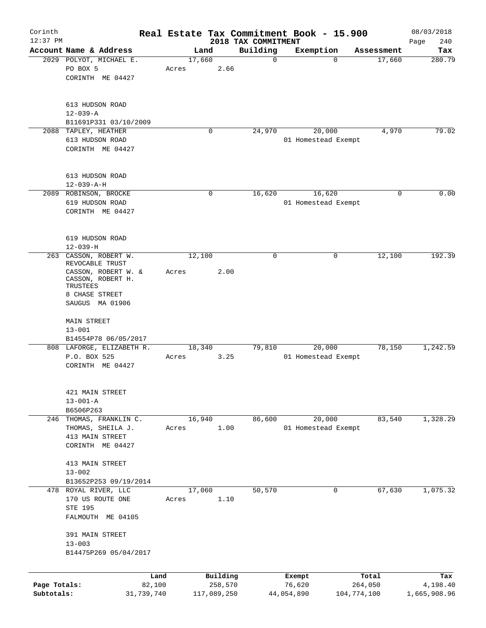| Corinth<br>$12:37$ PM      |                                                                                           |                      |                 |                        | 2018 TAX COMMITMENT | Real Estate Tax Commitment Book - 15.900 |                        | 08/03/2018<br>240<br>Page |
|----------------------------|-------------------------------------------------------------------------------------------|----------------------|-----------------|------------------------|---------------------|------------------------------------------|------------------------|---------------------------|
|                            | Account Name & Address                                                                    |                      | Land            |                        | Building            | Exemption                                | Assessment             | Tax                       |
|                            | 2029 POLYOT, MICHAEL E.<br>PO BOX 5<br>CORINTH ME 04427                                   |                      | 17,660<br>Acres | 2.66                   | $\mathbf 0$         |                                          | 17,660<br>$\Omega$     | 280.79                    |
|                            | 613 HUDSON ROAD<br>$12 - 039 - A$<br>B11691P331 03/10/2009                                |                      |                 |                        |                     |                                          |                        |                           |
|                            | 2088 TAPLEY, HEATHER<br>613 HUDSON ROAD<br>CORINTH ME 04427                               |                      |                 | $\mathbf 0$            | 24,970              | 20,000<br>01 Homestead Exempt            | 4,970                  | 79.02                     |
|                            | 613 HUDSON ROAD<br>$12 - 039 - A - H$                                                     |                      |                 |                        |                     |                                          |                        |                           |
|                            | 2089 ROBINSON, BROCKE<br>619 HUDSON ROAD<br>CORINTH ME 04427                              |                      |                 | $\mathbf 0$            | 16,620              | 16,620<br>01 Homestead Exempt            | 0                      | 0.00                      |
|                            | 619 HUDSON ROAD<br>$12 - 039 - H$                                                         |                      |                 |                        |                     |                                          |                        |                           |
| 263                        | CASSON, ROBERT W.<br>REVOCABLE TRUST                                                      |                      | 12,100          |                        | $\mathbf 0$         |                                          | 12,100<br>$\mathbf 0$  | 192.39                    |
|                            | CASSON, ROBERT W. &<br>CASSON, ROBERT H.<br>TRUSTEES<br>8 CHASE STREET<br>SAUGUS MA 01906 |                      | Acres           | 2.00                   |                     |                                          |                        |                           |
|                            | <b>MAIN STREET</b><br>$13 - 001$<br>B14554P78 06/05/2017                                  |                      |                 |                        |                     |                                          |                        |                           |
|                            | 808 LAFORGE, ELIZABETH R.<br>P.O. BOX 525<br>CORINTH ME 04427                             |                      | 18,340<br>Acres | 3.25                   | 79,810              | 20,000<br>01 Homestead Exempt            | 78,150                 | 1,242.59                  |
|                            | 421 MAIN STREET<br>$13 - 001 - A$<br>B6506P263                                            |                      |                 |                        |                     |                                          |                        |                           |
|                            | 246 THOMAS, FRANKLIN C.<br>THOMAS, SHEILA J.<br>413 MAIN STREET<br>CORINTH ME 04427       |                      | 16,940<br>Acres | 1.00                   | 86,600              | 20,000<br>01 Homestead Exempt            | 83,540                 | 1,328.29                  |
|                            | 413 MAIN STREET<br>$13 - 002$<br>B13652P253 09/19/2014                                    |                      |                 |                        |                     |                                          |                        |                           |
|                            | 478 ROYAL RIVER, LLC<br>170 US ROUTE ONE<br>STE 195<br>FALMOUTH ME 04105                  |                      | 17,060<br>Acres | 1.10                   | 50,570              |                                          | 67,630<br>0            | 1,075.32                  |
|                            | 391 MAIN STREET<br>$13 - 003$<br>B14475P269 05/04/2017                                    |                      |                 |                        |                     |                                          |                        |                           |
|                            |                                                                                           | Land                 |                 | Building               |                     | Exempt                                   | Total                  | Tax                       |
| Page Totals:<br>Subtotals: |                                                                                           | 82,100<br>31,739,740 |                 | 258,570<br>117,089,250 |                     | 76,620<br>44,054,890                     | 264,050<br>104,774,100 | 4,198.40<br>1,665,908.96  |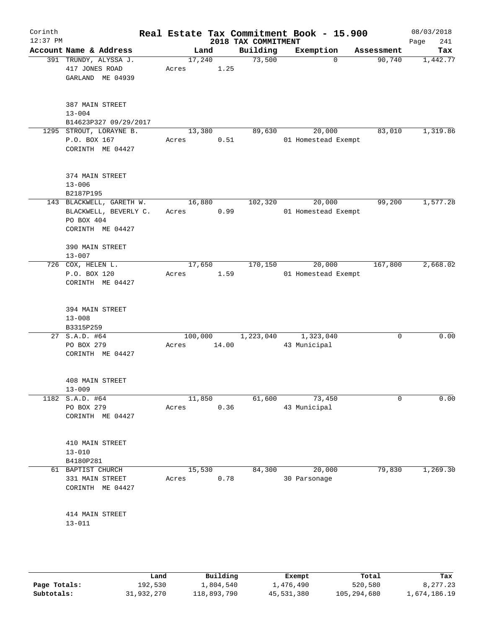| Corinth<br>$12:37$ PM |                                                                                        |                                                   |       |         |       | 2018 TAX COMMITMENT | Real Estate Tax Commitment Book - 15.900 |             | 08/03/2018<br>241<br>Page |
|-----------------------|----------------------------------------------------------------------------------------|---------------------------------------------------|-------|---------|-------|---------------------|------------------------------------------|-------------|---------------------------|
|                       | Account Name & Address                                                                 |                                                   |       | Land    |       | Building            | Exemption                                | Assessment  | Tax                       |
|                       | 391 TRUNDY, ALYSSA J.<br>417 JONES ROAD<br>GARLAND ME 04939                            |                                                   | Acres | 17,240  | 1.25  | 73,500              | $\mathbf{0}$                             | 90,740      | 1,442.77                  |
|                       | 387 MAIN STREET<br>$13 - 004$                                                          | B14623P327 09/29/2017                             |       |         |       |                     |                                          |             |                           |
|                       | 1295 STROUT, LORAYNE B.<br>P.O. BOX 167<br>CORINTH ME 04427                            |                                                   | Acres | 13,380  | 0.51  | 89,630              | 20,000<br>01 Homestead Exempt            | 83,010      | 1,319.86                  |
|                       | 374 MAIN STREET<br>$13 - 006$<br>B2187P195                                             |                                                   |       |         |       |                     |                                          |             |                           |
|                       | PO BOX 404<br>CORINTH ME 04427                                                         | 143 BLACKWELL, GARETH W.<br>BLACKWELL, BEVERLY C. | Acres | 16,880  | 0.99  | 102,320             | 20,000<br>01 Homestead Exempt            | 99,200      | 1,577.28                  |
|                       | 390 MAIN STREET<br>$13 - 007$<br>726 COX, HELEN L.<br>P.O. BOX 120<br>CORINTH ME 04427 |                                                   | Acres | 17,650  | 1.59  | 170,150             | 20,000<br>01 Homestead Exempt            | 167,800     | 2,668.02                  |
|                       | 394 MAIN STREET<br>$13 - 008$<br>B3315P259                                             |                                                   |       |         |       |                     |                                          |             |                           |
|                       | 27 S.A.D. #64<br>PO BOX 279<br>CORINTH ME 04427                                        |                                                   | Acres | 100,000 | 14.00 | 1,223,040           | 1,323,040<br>43 Municipal                | $\mathbf 0$ | 0.00                      |
|                       | 408 MAIN STREET<br>$13 - 009$                                                          |                                                   |       |         |       |                     |                                          |             |                           |
|                       | 1182 S.A.D. #64<br>PO BOX 279<br>CORINTH ME 04427                                      |                                                   | Acres | 11,850  | 0.36  | 61,600              | 73,450<br>43 Municipal                   | 0           | 0.00                      |
|                       | 410 MAIN STREET<br>$13 - 010$<br>B4180P281                                             |                                                   |       |         |       |                     |                                          |             |                           |
|                       | 61 BAPTIST CHURCH<br>331 MAIN STREET<br>CORINTH ME 04427                               |                                                   | Acres | 15,530  | 0.78  | 84,300              | 20,000<br>30 Parsonage                   | 79,830      | 1,269.30                  |
|                       | 414 MAIN STREET<br>$13 - 011$                                                          |                                                   |       |         |       |                     |                                          |             |                           |
|                       |                                                                                        |                                                   |       |         |       |                     |                                          |             |                           |

|              | Land       | Building    | Exempt     | Total       | Tax          |
|--------------|------------|-------------|------------|-------------|--------------|
| Page Totals: | 192,530    | 1,804,540   | 1,476,490  | 520,580     | 8,277.23     |
| Subtotals:   | 31,932,270 | 118,893,790 | 45,531,380 | 105,294,680 | 1,674,186.19 |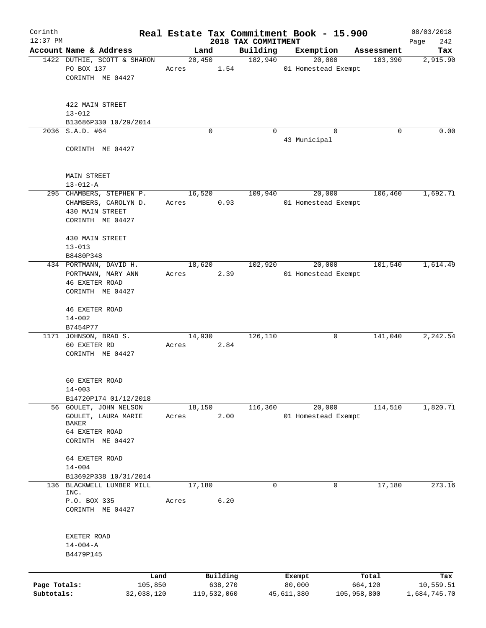| Corinth                    |                                                                                         |                       |       |                        |      | Real Estate Tax Commitment Book - 15.900 |                      |          |                        | 08/03/2018                |
|----------------------------|-----------------------------------------------------------------------------------------|-----------------------|-------|------------------------|------|------------------------------------------|----------------------|----------|------------------------|---------------------------|
| $12:37$ PM                 | Account Name & Address                                                                  |                       |       | Land                   |      | 2018 TAX COMMITMENT<br>Building          | Exemption            |          | Assessment             | 242<br>Page<br>Tax        |
|                            | 1422 DUTHIE, SCOTT & SHARON                                                             |                       |       | 20,450                 |      | 182,940                                  |                      | 20,000   | 183,390                | 2,915.90                  |
|                            | PO BOX 137<br>CORINTH ME 04427                                                          |                       | Acres |                        | 1.54 |                                          | 01 Homestead Exempt  |          |                        |                           |
|                            | 422 MAIN STREET<br>$13 - 012$                                                           |                       |       |                        |      |                                          |                      |          |                        |                           |
|                            | B13686P330 10/29/2014                                                                   |                       |       |                        |      |                                          |                      |          |                        |                           |
|                            | 2036 S.A.D. #64<br>CORINTH ME 04427                                                     |                       |       | $\Omega$               |      | $\Omega$                                 | 43 Municipal         | $\Omega$ | 0                      | 0.00                      |
|                            | MAIN STREET<br>$13 - 012 - A$                                                           |                       |       |                        |      |                                          |                      |          |                        |                           |
|                            | 295 CHAMBERS, STEPHEN P.<br>CHAMBERS, CAROLYN D.<br>430 MAIN STREET<br>CORINTH ME 04427 |                       | Acres | 16,520                 | 0.93 | 109,940                                  | 01 Homestead Exempt  | 20,000   | 106,460                | 1,692.71                  |
|                            | 430 MAIN STREET<br>$13 - 013$<br>B8480P348                                              |                       |       |                        |      |                                          |                      |          |                        |                           |
|                            | 434 PORTMANN, DAVID H.                                                                  |                       |       | 18,620                 |      | 102,920                                  |                      | 20,000   | 101,540                | 1,614.49                  |
|                            | PORTMANN, MARY ANN<br><b>46 EXETER ROAD</b><br>CORINTH ME 04427                         |                       | Acres |                        | 2.39 |                                          | 01 Homestead Exempt  |          |                        |                           |
|                            | <b>46 EXETER ROAD</b><br>$14 - 002$                                                     |                       |       |                        |      |                                          |                      |          |                        |                           |
|                            | B7454P77                                                                                |                       |       |                        |      |                                          |                      |          |                        |                           |
|                            | 1171 JOHNSON, BRAD S.<br>60 EXETER RD<br>CORINTH ME 04427                               |                       | Acres | 14,930                 | 2.84 | 126,110                                  |                      | 0        | 141,040                | 2,242.54                  |
|                            | 60 EXETER ROAD<br>$14 - 003$                                                            |                       |       |                        |      |                                          |                      |          |                        |                           |
|                            | B14720P174 01/12/2018<br>56 GOULET, JOHN NELSON                                         |                       |       | 18,150                 |      | 116,360                                  |                      | 20,000   | 114,510                | 1,820.71                  |
|                            | GOULET, LAURA MARIE<br><b>BAKER</b><br>64 EXETER ROAD<br>CORINTH ME 04427               |                       | Acres |                        | 2.00 |                                          | 01 Homestead Exempt  |          |                        |                           |
|                            | 64 EXETER ROAD<br>$14 - 004$<br>B13692P338 10/31/2014                                   |                       |       |                        |      |                                          |                      |          |                        |                           |
| 136                        | BLACKWELL LUMBER MILL                                                                   |                       |       | 17,180                 |      | $\mathbf 0$                              |                      | 0        | 17,180                 | 273.16                    |
|                            | INC.<br>P.O. BOX 335<br>CORINTH ME 04427                                                |                       | Acres |                        | 6.20 |                                          |                      |          |                        |                           |
|                            | EXETER ROAD<br>$14 - 004 - A$<br>B4479P145                                              |                       |       |                        |      |                                          |                      |          |                        |                           |
|                            |                                                                                         | Land                  |       | Building               |      |                                          | Exempt               |          | Total                  | Tax                       |
| Page Totals:<br>Subtotals: |                                                                                         | 105,850<br>32,038,120 |       | 638,270<br>119,532,060 |      |                                          | 80,000<br>45,611,380 |          | 664,120<br>105,958,800 | 10,559.51<br>1,684,745.70 |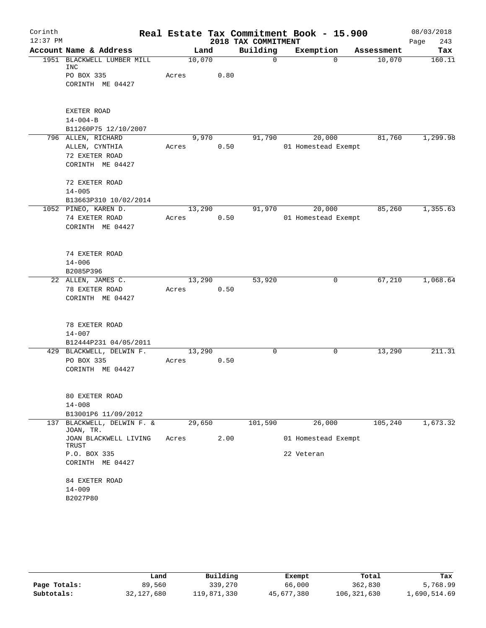| Corinth    |                                     |        |      |                     | Real Estate Tax Commitment Book - 15.900 |            | 08/03/2018  |
|------------|-------------------------------------|--------|------|---------------------|------------------------------------------|------------|-------------|
| $12:37$ PM |                                     |        |      | 2018 TAX COMMITMENT |                                          |            | 243<br>Page |
|            | Account Name & Address              | Land   |      | Building            | Exemption                                | Assessment | Tax         |
|            | 1951 BLACKWELL LUMBER MILL<br>INC   | 10,070 |      | $\mathbf 0$         | $\Omega$                                 | 10,070     | 160.11      |
|            | PO BOX 335                          | Acres  | 0.80 |                     |                                          |            |             |
|            | CORINTH ME 04427                    |        |      |                     |                                          |            |             |
|            |                                     |        |      |                     |                                          |            |             |
|            |                                     |        |      |                     |                                          |            |             |
|            | EXETER ROAD                         |        |      |                     |                                          |            |             |
|            | $14 - 004 - B$                      |        |      |                     |                                          |            |             |
|            | B11260P75 12/10/2007                |        |      |                     |                                          |            |             |
|            | 796 ALLEN, RICHARD                  | 9,970  |      | 91,790              | 20,000                                   | 81,760     | 1,299.98    |
|            | ALLEN, CYNTHIA<br>72 EXETER ROAD    | Acres  | 0.50 |                     | 01 Homestead Exempt                      |            |             |
|            | CORINTH ME 04427                    |        |      |                     |                                          |            |             |
|            |                                     |        |      |                     |                                          |            |             |
|            | 72 EXETER ROAD                      |        |      |                     |                                          |            |             |
|            | $14 - 005$                          |        |      |                     |                                          |            |             |
|            | B13663P310 10/02/2014               |        |      |                     |                                          |            |             |
|            | 1052 PINEO, KAREN D.                | 13,290 |      | 91,970              | 20,000                                   | 85,260     | 1,355.63    |
|            | 74 EXETER ROAD                      | Acres  | 0.50 |                     | 01 Homestead Exempt                      |            |             |
|            | CORINTH ME 04427                    |        |      |                     |                                          |            |             |
|            |                                     |        |      |                     |                                          |            |             |
|            | 74 EXETER ROAD                      |        |      |                     |                                          |            |             |
|            | $14 - 006$                          |        |      |                     |                                          |            |             |
|            | B2085P396                           |        |      |                     |                                          |            |             |
|            | 22 ALLEN, JAMES C.                  | 13,290 |      | 53,920              | 0                                        | 67,210     | 1,068.64    |
|            | 78 EXETER ROAD                      | Acres  | 0.50 |                     |                                          |            |             |
|            | CORINTH ME 04427                    |        |      |                     |                                          |            |             |
|            |                                     |        |      |                     |                                          |            |             |
|            |                                     |        |      |                     |                                          |            |             |
|            | 78 EXETER ROAD                      |        |      |                     |                                          |            |             |
|            | $14 - 007$<br>B12444P231 04/05/2011 |        |      |                     |                                          |            |             |
|            | 429 BLACKWELL, DELWIN F.            | 13,290 |      | 0                   | 0                                        | 13,290     | 211.31      |
|            | PO BOX 335                          | Acres  | 0.50 |                     |                                          |            |             |
|            | CORINTH ME 04427                    |        |      |                     |                                          |            |             |
|            |                                     |        |      |                     |                                          |            |             |
|            |                                     |        |      |                     |                                          |            |             |
|            | 80 EXETER ROAD                      |        |      |                     |                                          |            |             |
|            | $14 - 008$<br>B13001P6 11/09/2012   |        |      |                     |                                          |            |             |
|            | 137 BLACKWELL, DELWIN F. &          | 29,650 |      | 101,590             | 26,000                                   | 105,240    | 1,673.32    |
|            | JOAN, TR.                           |        |      |                     |                                          |            |             |
|            | JOAN BLACKWELL LIVING               | Acres  | 2.00 |                     | 01 Homestead Exempt                      |            |             |
|            | TRUST                               |        |      |                     |                                          |            |             |
|            | P.O. BOX 335                        |        |      |                     | 22 Veteran                               |            |             |
|            | CORINTH ME 04427                    |        |      |                     |                                          |            |             |
|            | 84 EXETER ROAD                      |        |      |                     |                                          |            |             |
|            | $14 - 009$                          |        |      |                     |                                          |            |             |
|            | B2027P80                            |        |      |                     |                                          |            |             |
|            |                                     |        |      |                     |                                          |            |             |

|              | Land       | Building    | Exempt     | Total       | Tax          |
|--------------|------------|-------------|------------|-------------|--------------|
| Page Totals: | 89,560     | 339,270     | 66,000     | 362,830     | 5,768.99     |
| Subtotals:   | 32,127,680 | 119,871,330 | 45,677,380 | 106,321,630 | 1,690,514.69 |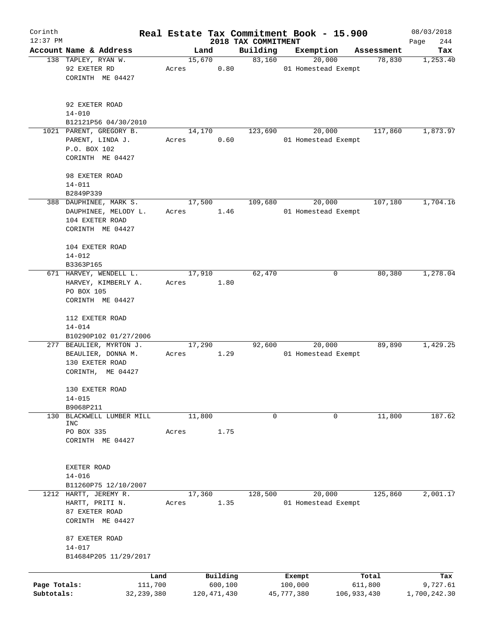| Corinth      |                                                             |              |       |        |             |                                 | Real Estate Tax Commitment Book - 15.900 |             |            | 08/03/2018         |
|--------------|-------------------------------------------------------------|--------------|-------|--------|-------------|---------------------------------|------------------------------------------|-------------|------------|--------------------|
| $12:37$ PM   | Account Name & Address                                      |              |       | Land   |             | 2018 TAX COMMITMENT<br>Building | Exemption                                |             | Assessment | 244<br>Page<br>Tax |
|              | 138 TAPLEY, RYAN W.                                         |              |       | 15,670 |             | 83,160                          | 20,000                                   |             | 78,830     | 1,253.40           |
|              | 92 EXETER RD                                                |              | Acres |        | 0.80        |                                 | 01 Homestead Exempt                      |             |            |                    |
|              | CORINTH ME 04427                                            |              |       |        |             |                                 |                                          |             |            |                    |
|              | 92 EXETER ROAD                                              |              |       |        |             |                                 |                                          |             |            |                    |
|              | $14 - 010$                                                  |              |       |        |             |                                 |                                          |             |            |                    |
|              | B12121P56 04/30/2010                                        |              |       |        |             |                                 |                                          |             |            |                    |
|              | 1021 PARENT, GREGORY B.                                     |              |       | 14,170 |             | 123,690                         | 20,000                                   |             | 117,860    | 1,873.97           |
|              | PARENT, LINDA J.<br>P.O. BOX 102                            |              | Acres |        | 0.60        |                                 | 01 Homestead Exempt                      |             |            |                    |
|              | CORINTH ME 04427                                            |              |       |        |             |                                 |                                          |             |            |                    |
|              | 98 EXETER ROAD<br>$14 - 011$                                |              |       |        |             |                                 |                                          |             |            |                    |
|              | B2849P339                                                   |              |       |        |             |                                 |                                          |             |            |                    |
|              | 388 DAUPHINEE, MARK S.                                      |              |       | 17,500 |             | 109,680                         | 20,000                                   |             | 107,180    | 1,704.16           |
|              | DAUPHINEE, MELODY L.                                        |              | Acres |        | 1.46        |                                 | 01 Homestead Exempt                      |             |            |                    |
|              | 104 EXETER ROAD                                             |              |       |        |             |                                 |                                          |             |            |                    |
|              | CORINTH ME 04427                                            |              |       |        |             |                                 |                                          |             |            |                    |
|              | 104 EXETER ROAD                                             |              |       |        |             |                                 |                                          |             |            |                    |
|              | $14 - 012$                                                  |              |       |        |             |                                 |                                          |             |            |                    |
|              | B3363P165                                                   |              |       |        |             |                                 |                                          |             |            |                    |
|              | 671 HARVEY, WENDELL L.<br>HARVEY, KIMBERLY A.<br>PO BOX 105 |              | Acres | 17,910 | 1.80        | 62,470                          |                                          | 0           | 80,380     | 1,278.04           |
|              | CORINTH ME 04427                                            |              |       |        |             |                                 |                                          |             |            |                    |
|              | 112 EXETER ROAD                                             |              |       |        |             |                                 |                                          |             |            |                    |
|              | $14 - 014$<br>B10290P102 01/27/2006                         |              |       |        |             |                                 |                                          |             |            |                    |
|              | 277 BEAULIER, MYRTON J.                                     |              |       | 17,290 |             | 92,600                          | 20,000                                   |             | 89,890     | 1,429.25           |
|              | BEAULIER, DONNA M.<br>130 EXETER ROAD                       |              | Acres |        | 1.29        |                                 | 01 Homestead Exempt                      |             |            |                    |
|              | CORINTH, ME 04427                                           |              |       |        |             |                                 |                                          |             |            |                    |
|              | 130 EXETER ROAD<br>$14 - 015$                               |              |       |        |             |                                 |                                          |             |            |                    |
|              | B9068P211                                                   |              |       |        |             |                                 |                                          |             |            |                    |
| 130          | BLACKWELL LUMBER MILL                                       |              |       | 11,800 |             | 0                               |                                          | 0           | 11,800     | 187.62             |
|              | INC                                                         |              |       |        |             |                                 |                                          |             |            |                    |
|              | PO BOX 335                                                  |              | Acres |        | 1.75        |                                 |                                          |             |            |                    |
|              | CORINTH ME 04427                                            |              |       |        |             |                                 |                                          |             |            |                    |
|              | EXETER ROAD                                                 |              |       |        |             |                                 |                                          |             |            |                    |
|              | $14 - 016$                                                  |              |       |        |             |                                 |                                          |             |            |                    |
|              | B11260P75 12/10/2007                                        |              |       |        |             |                                 |                                          |             |            |                    |
|              | 1212 HARTT, JEREMY R.                                       |              |       | 17,360 |             | 128,500                         | 20,000                                   |             | 125,860    | 2,001.17           |
|              | HARTT, PRITI N.                                             |              | Acres |        | 1.35        |                                 | 01 Homestead Exempt                      |             |            |                    |
|              | 87 EXETER ROAD                                              |              |       |        |             |                                 |                                          |             |            |                    |
|              | CORINTH ME 04427                                            |              |       |        |             |                                 |                                          |             |            |                    |
|              | 87 EXETER ROAD                                              |              |       |        |             |                                 |                                          |             |            |                    |
|              | $14 - 017$<br>B14684P205 11/29/2017                         |              |       |        |             |                                 |                                          |             |            |                    |
|              |                                                             |              |       |        |             |                                 |                                          |             |            |                    |
|              |                                                             | Land         |       |        | Building    |                                 | Exempt                                   |             | Total      | Tax                |
| Page Totals: |                                                             | 111,700      |       |        | 600,100     |                                 | 100,000                                  |             | 611,800    | 9,727.61           |
| Subtotals:   |                                                             | 32, 239, 380 |       |        | 120,471,430 |                                 | 45,777,380                               | 106,933,430 |            | 1,700,242.30       |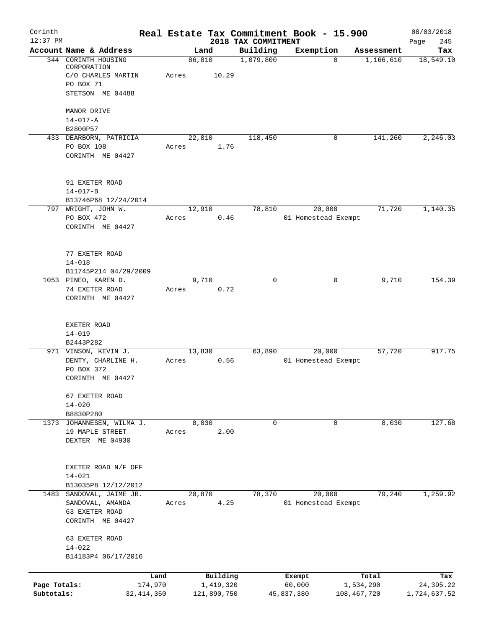| Corinth      |                                               |         |                |          |                       | Real Estate Tax Commitment Book - 15.900 |             |                         | 08/03/2018       |
|--------------|-----------------------------------------------|---------|----------------|----------|-----------------------|------------------------------------------|-------------|-------------------------|------------------|
| $12:37$ PM   |                                               |         |                |          | 2018 TAX COMMITMENT   |                                          |             |                         | 245<br>Page      |
|              | Account Name & Address<br>344 CORINTH HOUSING |         | Land<br>86,810 |          | Building<br>1,079,800 | Exemption                                | $\Omega$    | Assessment<br>1,166,610 | Tax<br>18,549.10 |
|              | CORPORATION                                   |         |                |          |                       |                                          |             |                         |                  |
|              | C/O CHARLES MARTIN                            | Acres   |                | 10.29    |                       |                                          |             |                         |                  |
|              | PO BOX 71                                     |         |                |          |                       |                                          |             |                         |                  |
|              | STETSON ME 04488                              |         |                |          |                       |                                          |             |                         |                  |
|              | MANOR DRIVE                                   |         |                |          |                       |                                          |             |                         |                  |
|              | $14 - 017 - A$                                |         |                |          |                       |                                          |             |                         |                  |
|              | B2800P57                                      |         |                |          |                       |                                          |             |                         |                  |
|              | 433 DEARBORN, PATRICIA                        |         | 22,810         |          | 118,450               |                                          | 0           | 141,260                 | 2,246.03         |
|              | PO BOX 108                                    | Acres   |                | 1.76     |                       |                                          |             |                         |                  |
|              | CORINTH ME 04427                              |         |                |          |                       |                                          |             |                         |                  |
|              |                                               |         |                |          |                       |                                          |             |                         |                  |
|              |                                               |         |                |          |                       |                                          |             |                         |                  |
|              | 91 EXETER ROAD                                |         |                |          |                       |                                          |             |                         |                  |
|              | $14 - 017 - B$                                |         |                |          |                       |                                          |             |                         |                  |
|              | B13746P68 12/24/2014<br>797 WRIGHT, JOHN W.   |         | 12,910         |          | 78,810                | 20,000                                   |             | 71,720                  | 1,140.35         |
|              | PO BOX 472                                    | Acres   |                |          |                       |                                          |             |                         |                  |
|              | CORINTH ME 04427                              |         |                | 0.46     |                       | 01 Homestead Exempt                      |             |                         |                  |
|              |                                               |         |                |          |                       |                                          |             |                         |                  |
|              |                                               |         |                |          |                       |                                          |             |                         |                  |
|              | 77 EXETER ROAD                                |         |                |          |                       |                                          |             |                         |                  |
|              | $14 - 018$                                    |         |                |          |                       |                                          |             |                         |                  |
|              | B11745P214 04/29/2009                         |         |                |          |                       |                                          |             |                         |                  |
|              | 1053 PINEO, KAREN D.                          |         | 9,710          |          | $\Omega$              |                                          | 0           | 9,710                   | 154.39           |
|              | 74 EXETER ROAD                                | Acres   |                | 0.72     |                       |                                          |             |                         |                  |
|              | CORINTH ME 04427                              |         |                |          |                       |                                          |             |                         |                  |
|              |                                               |         |                |          |                       |                                          |             |                         |                  |
|              |                                               |         |                |          |                       |                                          |             |                         |                  |
|              | EXETER ROAD                                   |         |                |          |                       |                                          |             |                         |                  |
|              | $14 - 019$                                    |         |                |          |                       |                                          |             |                         |                  |
|              | B2443P282                                     |         |                |          |                       |                                          |             |                         |                  |
|              | 971 VINSON, KEVIN J.                          |         | 13,830         |          | 63,890                | 20,000                                   |             | 57,720                  | 917.75           |
|              | DENTY, CHARLINE H.                            | Acres   |                | 0.56     |                       | 01 Homestead Exempt                      |             |                         |                  |
|              | PO BOX 372<br>CORINTH ME 04427                |         |                |          |                       |                                          |             |                         |                  |
|              |                                               |         |                |          |                       |                                          |             |                         |                  |
|              | 67 EXETER ROAD                                |         |                |          |                       |                                          |             |                         |                  |
|              | $14 - 020$                                    |         |                |          |                       |                                          |             |                         |                  |
|              | B8830P280                                     |         |                |          |                       |                                          |             |                         |                  |
|              | 1373 JOHANNESEN, WILMA J.                     |         | 8,030          |          | $\mathbf 0$           |                                          | 0           | 8,030                   | 127.68           |
|              | 19 MAPLE STREET                               | Acres   |                | 2.00     |                       |                                          |             |                         |                  |
|              | DEXTER ME 04930                               |         |                |          |                       |                                          |             |                         |                  |
|              |                                               |         |                |          |                       |                                          |             |                         |                  |
|              |                                               |         |                |          |                       |                                          |             |                         |                  |
|              | EXETER ROAD N/F OFF                           |         |                |          |                       |                                          |             |                         |                  |
|              | $14 - 021$                                    |         |                |          |                       |                                          |             |                         |                  |
|              | B13035P8 12/12/2012                           |         |                |          |                       |                                          |             |                         |                  |
| 1483         | SANDOVAL, JAIME JR.                           |         | 20,870         |          | 78,370                | 20,000                                   |             | 79,240                  | 1,259.92         |
|              | SANDOVAL, AMANDA                              | Acres   |                | 4.25     |                       | 01 Homestead Exempt                      |             |                         |                  |
|              | 63 EXETER ROAD                                |         |                |          |                       |                                          |             |                         |                  |
|              | CORINTH ME 04427                              |         |                |          |                       |                                          |             |                         |                  |
|              | 63 EXETER ROAD                                |         |                |          |                       |                                          |             |                         |                  |
|              | $14 - 022$                                    |         |                |          |                       |                                          |             |                         |                  |
|              | B14183P4 06/17/2016                           |         |                |          |                       |                                          |             |                         |                  |
|              |                                               |         |                |          |                       |                                          |             |                         |                  |
|              |                                               | Land    |                | Building |                       | Exempt                                   |             | Total                   | Tax              |
| Page Totals: |                                               | 174,970 | 1,419,320      |          |                       | 60,000                                   |             | 1,534,290               | 24,395.22        |
| Subtotals:   | 32,414,350                                    |         | 121,890,750    |          |                       | 45,837,380                               | 108,467,720 |                         | 1,724,637.52     |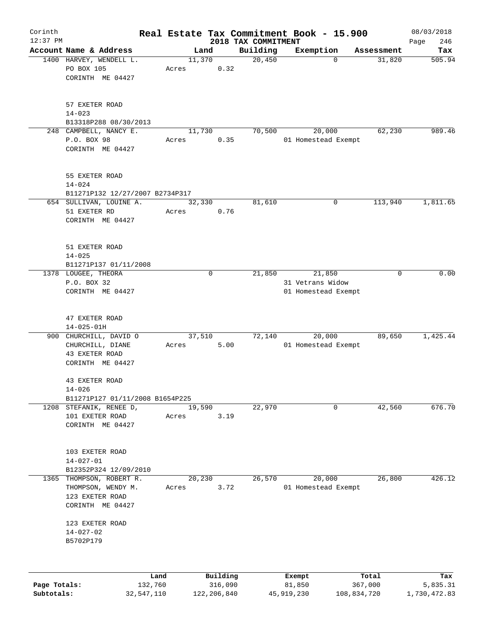| Corinth      |                                                                 |         |             |                     | Real Estate Tax Commitment Book - 15.900 |                      | 08/03/2018    |
|--------------|-----------------------------------------------------------------|---------|-------------|---------------------|------------------------------------------|----------------------|---------------|
| $12:37$ PM   |                                                                 |         |             | 2018 TAX COMMITMENT |                                          |                      | 246<br>Page   |
|              | Account Name & Address<br>1400 HARVEY, WENDELL L.               | 11,370  | Land        | Building<br>20,450  | Exemption<br>$\mathbf 0$                 | Assessment<br>31,820 | Tax<br>505.94 |
|              | PO BOX 105<br>CORINTH ME 04427                                  | Acres   | 0.32        |                     |                                          |                      |               |
|              | 57 EXETER ROAD<br>$14 - 023$<br>B13318P288 08/30/2013           |         |             |                     |                                          |                      |               |
|              | 248 CAMPBELL, NANCY E.                                          | 11,730  |             | 70,500              | 20,000                                   | 62,230               | 989.46        |
|              | P.O. BOX 98<br>CORINTH ME 04427                                 | Acres   | 0.35        |                     | 01 Homestead Exempt                      |                      |               |
|              | 55 EXETER ROAD<br>$14 - 024$<br>B11271P132 12/27/2007 B2734P317 |         |             |                     |                                          |                      |               |
|              | 654 SULLIVAN, LOUINE A.                                         | 32,330  |             | 81,610              | 0                                        | 113,940              | 1,811.65      |
|              | 51 EXETER RD<br>CORINTH ME 04427                                | Acres   | 0.76        |                     |                                          |                      |               |
|              | 51 EXETER ROAD<br>$14 - 025$                                    |         |             |                     |                                          |                      |               |
|              | B11271P137 01/11/2008                                           |         |             |                     |                                          |                      |               |
|              | 1378 LOUGEE, THEORA                                             |         | $\mathbf 0$ | 21,850              | 21,850                                   | 0                    | 0.00          |
|              | P.O. BOX 32<br>CORINTH ME 04427                                 |         |             |                     | 31 Vetrans Widow                         |                      |               |
|              |                                                                 |         |             |                     | 01 Homestead Exempt                      |                      |               |
|              | 47 EXETER ROAD<br>$14 - 025 - 01H$                              |         |             |                     |                                          |                      |               |
|              | 900 CHURCHILL, DAVID O                                          | 37, 510 |             | 72,140              | 20,000                                   | 89,650               | 1,425.44      |
|              | CHURCHILL, DIANE<br>43 EXETER ROAD<br>CORINTH ME 04427          | Acres   | 5.00        |                     | 01 Homestead Exempt                      |                      |               |
|              | 43 EXETER ROAD<br>$14 - 026$                                    |         |             |                     |                                          |                      |               |
|              | B11271P127 01/11/2008 B1654P225                                 |         |             |                     |                                          |                      |               |
|              | 1208 STEFANIK, RENEE D,                                         | 19,590  |             | 22,970              | 0                                        | 42,560               | 676.70        |
|              | 101 EXETER ROAD<br>CORINTH ME 04427                             | Acres   | 3.19        |                     |                                          |                      |               |
|              | 103 EXETER ROAD<br>$14 - 027 - 01$<br>B12352P324 12/09/2010     |         |             |                     |                                          |                      |               |
| 1365         | THOMPSON, ROBERT R.                                             | 20,230  |             | 26,570              | 20,000                                   | 26,800               | 426.12        |
|              | THOMPSON, WENDY M.<br>123 EXETER ROAD<br>CORINTH ME 04427       | Acres   | 3.72        |                     | 01 Homestead Exempt                      |                      |               |
|              | 123 EXETER ROAD<br>$14 - 027 - 02$<br>B5702P179                 |         |             |                     |                                          |                      |               |
|              |                                                                 |         |             |                     |                                          |                      |               |
|              | Land                                                            |         | Building    |                     | Exempt                                   | Total                | Tax           |
| Page Totals: | 132,760                                                         |         | 316,090     |                     | 81,850                                   | 367,000              | 5,835.31      |

**Subtotals:** 32,547,110 122,206,840 45,919,230 108,834,720 1,730,472.83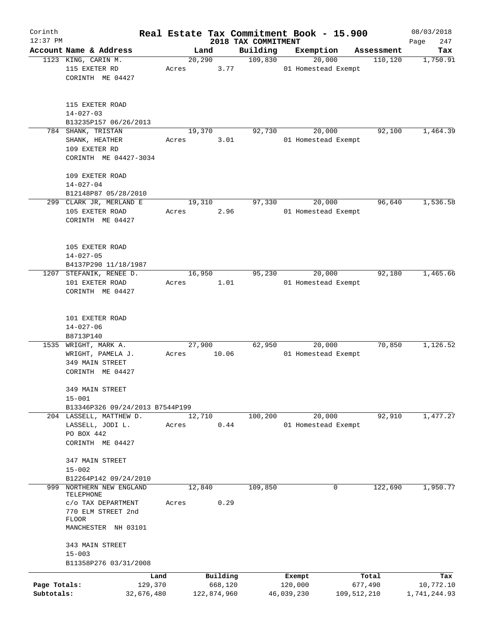| Corinth      |                                                                |                 |       |                 |                     | Real Estate Tax Commitment Book - 15.900 |                   |                               |                       | 08/03/2018       |
|--------------|----------------------------------------------------------------|-----------------|-------|-----------------|---------------------|------------------------------------------|-------------------|-------------------------------|-----------------------|------------------|
| $12:37$ PM   |                                                                |                 |       |                 |                     | 2018 TAX COMMITMENT                      |                   |                               |                       | 247<br>Page      |
|              | Account Name & Address<br>1123 KING, CARIN M.                  |                 |       | Land<br>20, 290 |                     | Building<br>109,830                      | Exemption         | 20,000                        | Assessment<br>110,120 | Tax<br>1,750.91  |
|              | 115 EXETER RD<br>CORINTH ME 04427                              |                 | Acres |                 | 3.77                |                                          |                   | 01 Homestead Exempt           |                       |                  |
|              | 115 EXETER ROAD<br>$14 - 027 - 03$<br>B13235P157 06/26/2013    |                 |       |                 |                     |                                          |                   |                               |                       |                  |
|              | 784 SHANK, TRISTAN                                             |                 |       | 19,370          |                     | 92,730                                   |                   | 20,000                        | 92,100                | 1,464.39         |
|              | SHANK, HEATHER<br>109 EXETER RD<br>CORINTH ME 04427-3034       |                 | Acres |                 | 3.01                |                                          |                   | 01 Homestead Exempt           |                       |                  |
|              | 109 EXETER ROAD<br>$14 - 027 - 04$                             |                 |       |                 |                     |                                          |                   |                               |                       |                  |
|              | B12148P87 05/28/2010                                           |                 |       |                 |                     |                                          |                   |                               |                       |                  |
|              | 299 CLARK JR, MERLAND E<br>105 EXETER ROAD<br>CORINTH ME 04427 |                 | Acres | 19,310          | 2.96                | 97,330                                   |                   | 20,000<br>01 Homestead Exempt | 96,640                | 1,536.58         |
|              | 105 EXETER ROAD<br>$14 - 027 - 05$<br>B4137P290 11/18/1987     |                 |       |                 |                     |                                          |                   |                               |                       |                  |
|              | 1207 STEFANIK, RENEE D.                                        |                 |       | 16,950          |                     | 95,230                                   |                   | 20,000                        | 92,180                | 1,465.66         |
|              | 101 EXETER ROAD<br>CORINTH ME 04427                            |                 | Acres |                 | 1.01                |                                          |                   | 01 Homestead Exempt           |                       |                  |
|              | 101 EXETER ROAD<br>$14 - 027 - 06$                             |                 |       |                 |                     |                                          |                   |                               |                       |                  |
|              | B8713P140                                                      |                 |       |                 |                     |                                          |                   |                               |                       |                  |
| 1535         | WRIGHT, MARK A.<br>WRIGHT, PAMELA J.                           |                 | Acres | 27,900          | 10.06               | 62,950                                   |                   | 20,000<br>01 Homestead Exempt | 70,850                | 1,126.52         |
|              | 349 MAIN STREET<br>CORINTH ME 04427                            |                 |       |                 |                     |                                          |                   |                               |                       |                  |
|              | 349 MAIN STREET<br>$15 - 001$                                  |                 |       |                 |                     |                                          |                   |                               |                       |                  |
|              | B13346P326 09/24/2013 B7544P199                                |                 |       |                 |                     |                                          |                   |                               |                       |                  |
|              | 204 LASSELL, MATTHEW D.                                        |                 |       | 12,710          |                     | 100,200                                  |                   | 20,000                        | 92,910                | 1,477.27         |
|              | LASSELL, JODI L.<br>PO BOX 442<br>CORINTH ME 04427             |                 | Acres |                 | 0.44                |                                          |                   | 01 Homestead Exempt           |                       |                  |
|              | 347 MAIN STREET<br>$15 - 002$                                  |                 |       |                 |                     |                                          |                   |                               |                       |                  |
|              | B12264P142 09/24/2010                                          |                 |       |                 |                     |                                          |                   |                               |                       |                  |
| 999          | NORTHERN NEW ENGLAND<br>TELEPHONE                              |                 |       | 12,840          |                     | 109,850                                  |                   | 0                             | 122,690               | 1,950.77         |
|              | C/O TAX DEPARTMENT                                             |                 | Acres |                 | 0.29                |                                          |                   |                               |                       |                  |
|              | 770 ELM STREET 2nd<br>FLOOR<br>MANCHESTER NH 03101             |                 |       |                 |                     |                                          |                   |                               |                       |                  |
|              | 343 MAIN STREET<br>$15 - 003$                                  |                 |       |                 |                     |                                          |                   |                               |                       |                  |
|              | B11358P276 03/31/2008                                          |                 |       |                 |                     |                                          |                   |                               |                       |                  |
| Page Totals: |                                                                | Land<br>129,370 |       |                 | Building<br>668,120 |                                          | Exempt<br>120,000 |                               | Total<br>677,490      | Tax<br>10,772.10 |
| Subtotals:   |                                                                | 32,676,480      |       | 122,874,960     |                     |                                          | 46,039,230        |                               | 109,512,210           | 1,741,244.93     |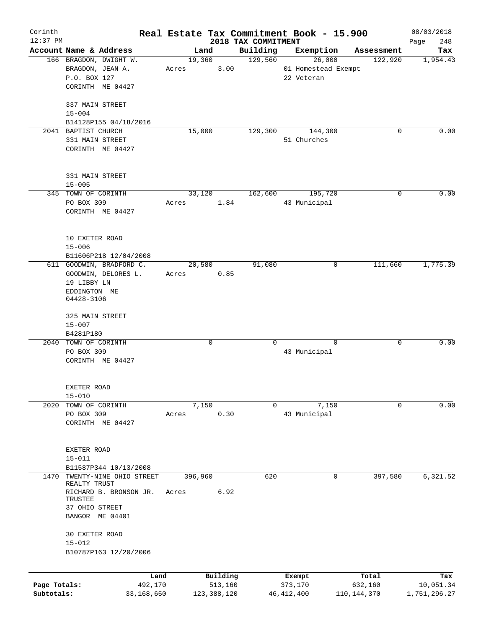| Corinth<br>$12:37$ PM |                                                   |       |             |               | Real Estate Tax Commitment Book - 15.900 |                     |           |               | 08/03/2018         |
|-----------------------|---------------------------------------------------|-------|-------------|---------------|------------------------------------------|---------------------|-----------|---------------|--------------------|
|                       | Account Name & Address                            |       | Land        |               | 2018 TAX COMMITMENT<br>Building          |                     | Exemption | Assessment    | 248<br>Page<br>Tax |
|                       | 166 BRAGDON, DWIGHT W.                            |       | 19,360      |               | 129,560                                  |                     | 26,000    | 122,920       | 1,954.43           |
|                       | BRAGDON, JEAN A.                                  | Acres |             | 3.00          |                                          | 01 Homestead Exempt |           |               |                    |
|                       | P.O. BOX 127                                      |       |             |               |                                          | 22 Veteran          |           |               |                    |
|                       | CORINTH ME 04427                                  |       |             |               |                                          |                     |           |               |                    |
|                       |                                                   |       |             |               |                                          |                     |           |               |                    |
|                       | 337 MAIN STREET                                   |       |             |               |                                          |                     |           |               |                    |
|                       | $15 - 004$                                        |       |             |               |                                          |                     |           |               |                    |
|                       | B14128P155 04/18/2016                             |       |             |               |                                          |                     |           |               |                    |
|                       | 2041 BAPTIST CHURCH                               |       | 15,000      |               | 129,300                                  |                     | 144,300   | 0             | 0.00               |
|                       | 331 MAIN STREET                                   |       |             |               |                                          | 51 Churches         |           |               |                    |
|                       | CORINTH ME 04427                                  |       |             |               |                                          |                     |           |               |                    |
|                       |                                                   |       |             |               |                                          |                     |           |               |                    |
|                       | 331 MAIN STREET                                   |       |             |               |                                          |                     |           |               |                    |
|                       | $15 - 005$<br>345 TOWN OF CORINTH                 |       | 33, 120     |               | 162,600                                  |                     | 195,720   | 0             | 0.00               |
|                       | PO BOX 309                                        | Acres |             | 1.84          |                                          | 43 Municipal        |           |               |                    |
|                       | CORINTH ME 04427                                  |       |             |               |                                          |                     |           |               |                    |
|                       |                                                   |       |             |               |                                          |                     |           |               |                    |
|                       |                                                   |       |             |               |                                          |                     |           |               |                    |
|                       | 10 EXETER ROAD                                    |       |             |               |                                          |                     |           |               |                    |
|                       | $15 - 006$                                        |       |             |               |                                          |                     |           |               |                    |
|                       | B11606P218 12/04/2008<br>611 GOODWIN, BRADFORD C. |       | 20,580      |               | 91,080                                   |                     | 0         | 111,660       | 1,775.39           |
|                       | GOODWIN, DELORES L.                               | Acres |             | 0.85          |                                          |                     |           |               |                    |
|                       | 19 LIBBY LN                                       |       |             |               |                                          |                     |           |               |                    |
|                       | EDDINGTON ME                                      |       |             |               |                                          |                     |           |               |                    |
|                       | 04428-3106                                        |       |             |               |                                          |                     |           |               |                    |
|                       | 325 MAIN STREET                                   |       |             |               |                                          |                     |           |               |                    |
|                       | $15 - 007$                                        |       |             |               |                                          |                     |           |               |                    |
|                       | B4281P180                                         |       |             |               |                                          |                     |           |               |                    |
|                       | 2040 TOWN OF CORINTH                              |       | $\mathbf 0$ |               | $\Omega$                                 |                     | $\Omega$  | 0             | 0.00               |
|                       | PO BOX 309                                        |       |             |               |                                          | 43 Municipal        |           |               |                    |
|                       | CORINTH ME 04427                                  |       |             |               |                                          |                     |           |               |                    |
|                       |                                                   |       |             |               |                                          |                     |           |               |                    |
|                       | EXETER ROAD                                       |       |             |               |                                          |                     |           |               |                    |
|                       | $15 - 010$                                        |       |             |               |                                          |                     |           |               |                    |
| 2020                  | TOWN OF CORINTH                                   |       | 7,150       |               | 0                                        |                     | 7,150     | 0             | 0.00               |
|                       | PO BOX 309                                        | Acres |             | 0.30          |                                          | 43 Municipal        |           |               |                    |
|                       | CORINTH ME 04427                                  |       |             |               |                                          |                     |           |               |                    |
|                       |                                                   |       |             |               |                                          |                     |           |               |                    |
|                       |                                                   |       |             |               |                                          |                     |           |               |                    |
|                       | EXETER ROAD                                       |       |             |               |                                          |                     |           |               |                    |
|                       | $15 - 011$                                        |       |             |               |                                          |                     |           |               |                    |
|                       | B11587P344 10/13/2008                             |       |             |               |                                          |                     |           |               |                    |
| 1470                  | TWENTY-NINE OHIO STREET<br>REALTY TRUST           |       | 396,960     |               | 620                                      |                     | 0         | 397,580       | 6,321.52           |
|                       | RICHARD B. BRONSON JR.                            | Acres |             | 6.92          |                                          |                     |           |               |                    |
|                       | TRUSTEE                                           |       |             |               |                                          |                     |           |               |                    |
|                       | 37 OHIO STREET                                    |       |             |               |                                          |                     |           |               |                    |
|                       | BANGOR ME 04401                                   |       |             |               |                                          |                     |           |               |                    |
|                       | 30 EXETER ROAD                                    |       |             |               |                                          |                     |           |               |                    |
|                       | $15 - 012$                                        |       |             |               |                                          |                     |           |               |                    |
|                       | B10787P163 12/20/2006                             |       |             |               |                                          |                     |           |               |                    |
|                       |                                                   |       |             |               |                                          |                     |           |               |                    |
|                       |                                                   | Land  |             | Building      |                                          | Exempt              |           | Total         | Tax                |
| Page Totals:          | 492,170                                           |       |             | 513,160       |                                          | 373,170             |           | 632,160       | 10,051.34          |
| Subtotals:            | 33,168,650                                        |       |             | 123, 388, 120 |                                          | 46, 412, 400        |           | 110, 144, 370 | 1,751,296.27       |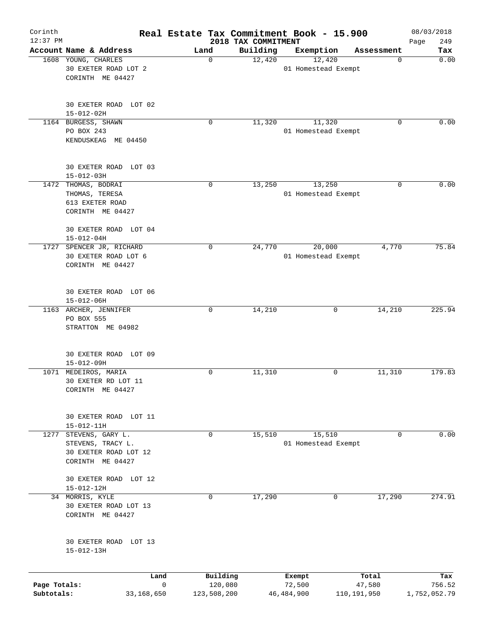| Corinth<br>$12:37$ PM      |                                                                                    | Real Estate Tax Commitment Book - 15.900 | 2018 TAX COMMITMENT |                               |                       | 08/03/2018<br>249<br>Page |
|----------------------------|------------------------------------------------------------------------------------|------------------------------------------|---------------------|-------------------------------|-----------------------|---------------------------|
|                            | Account Name & Address                                                             | Land                                     | Building            | Exemption                     | Assessment            | Tax                       |
|                            | 1608 YOUNG, CHARLES<br>30 EXETER ROAD LOT 2<br>CORINTH ME 04427                    | 0                                        | 12,420              | 12,420<br>01 Homestead Exempt | 0                     | 0.00                      |
|                            | 30 EXETER ROAD LOT 02<br>$15 - 012 - 02H$                                          |                                          |                     |                               |                       |                           |
|                            | 1164 BURGESS, SHAWN<br>PO BOX 243<br>KENDUSKEAG ME 04450                           | 0                                        | 11,320              | 11,320<br>01 Homestead Exempt | 0                     | 0.00                      |
|                            | 30 EXETER ROAD LOT 03<br>$15 - 012 - 03H$                                          |                                          |                     |                               |                       |                           |
|                            | 1472 THOMAS, BODRAI<br>THOMAS, TERESA<br>613 EXETER ROAD<br>CORINTH ME 04427       | $\mathbf 0$                              | 13,250              | 13,250<br>01 Homestead Exempt | 0                     | 0.00                      |
|                            | 30 EXETER ROAD LOT 04<br>$15 - 012 - 04H$                                          |                                          |                     |                               |                       |                           |
|                            | 1727 SPENCER JR, RICHARD<br>30 EXETER ROAD LOT 6<br>CORINTH ME 04427               | 0                                        | 24,770              | 20,000<br>01 Homestead Exempt | 4,770                 | 75.84                     |
|                            | 30 EXETER ROAD LOT 06<br>$15 - 012 - 06H$                                          |                                          |                     |                               |                       |                           |
|                            | 1163 ARCHER, JENNIFER<br>PO BOX 555<br>STRATTON ME 04982                           | $\mathbf 0$                              | 14,210              | $\mathbf 0$                   | 14,210                | 225.94                    |
|                            | 30 EXETER ROAD LOT 09<br>$15 - 012 - 09H$                                          |                                          |                     |                               |                       |                           |
|                            | 1071 MEDEIROS, MARIA<br>30 EXETER RD LOT 11<br>CORINTH ME 04427                    | $\mathsf{O}$                             | 11,310              | 0                             | 11,310                | 179.83                    |
|                            | 30 EXETER ROAD LOT 11<br>$15 - 012 - 11H$                                          |                                          |                     |                               |                       |                           |
| 1277                       | STEVENS, GARY L.<br>STEVENS, TRACY L.<br>30 EXETER ROAD LOT 12<br>CORINTH ME 04427 | $\mathbf 0$                              | 15,510              | 15,510<br>01 Homestead Exempt | 0                     | 0.00                      |
|                            | 30 EXETER ROAD LOT 12<br>$15 - 012 - 12H$                                          |                                          |                     |                               |                       |                           |
|                            | 34 MORRIS, KYLE<br>30 EXETER ROAD LOT 13<br>CORINTH ME 04427                       | 0                                        | 17,290              | 0                             | 17,290                | 274.91                    |
|                            | 30 EXETER ROAD LOT 13<br>$15 - 012 - 13H$                                          |                                          |                     |                               |                       |                           |
|                            | Land                                                                               | Building                                 |                     | Exempt                        | Total                 | Tax                       |
| Page Totals:<br>Subtotals: | 33,168,650                                                                         | $\mathbf 0$<br>120,080<br>123,508,200    |                     | 72,500<br>46, 484, 900        | 47,580<br>110,191,950 | 756.52<br>1,752,052.79    |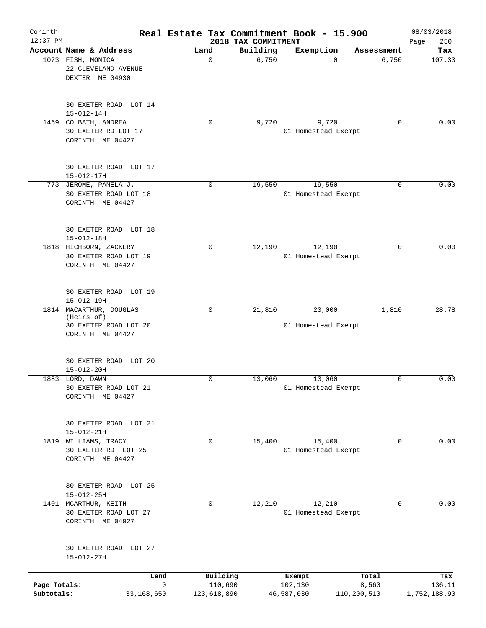| Corinth<br>$12:37$ PM      |                                                                                    |              |                        | 2018 TAX COMMITMENT | Real Estate Tax Commitment Book - 15.900 |                      | 08/03/2018<br>250<br>Page |
|----------------------------|------------------------------------------------------------------------------------|--------------|------------------------|---------------------|------------------------------------------|----------------------|---------------------------|
|                            | Account Name & Address                                                             | Land         |                        | Building            | Exemption                                | Assessment           | Tax                       |
|                            | 1073 FISH, MONICA<br>22 CLEVELAND AVENUE<br>DEXTER ME 04930                        | 0            |                        | 6,750               | $\Omega$                                 | 6,750                | 107.33                    |
|                            | 30 EXETER ROAD LOT 14<br>$15 - 012 - 14H$                                          |              |                        |                     |                                          |                      |                           |
| 1469                       | COLBATH, ANDREA<br>30 EXETER RD LOT 17<br>CORINTH ME 04427                         | 0            |                        | 9,720               | 9,720<br>01 Homestead Exempt             |                      | 0.00<br>0                 |
|                            | 30 EXETER ROAD LOT 17<br>$15 - 012 - 17H$                                          |              |                        |                     |                                          |                      |                           |
|                            | 773 JEROME, PAMELA J.<br>30 EXETER ROAD LOT 18<br>CORINTH ME 04427                 | $\mathbf 0$  |                        | 19,550              | 19,550<br>01 Homestead Exempt            |                      | 0.00<br>0                 |
|                            | 30 EXETER ROAD LOT 18<br>$15 - 012 - 18H$                                          |              |                        |                     |                                          |                      |                           |
|                            | 1818 HICHBORN, ZACKERY<br>30 EXETER ROAD LOT 19<br>CORINTH ME 04427                | 0            |                        | 12,190              | 12,190<br>01 Homestead Exempt            |                      | 0<br>0.00                 |
|                            | 30 EXETER ROAD LOT 19<br>$15 - 012 - 19H$                                          |              |                        |                     |                                          |                      |                           |
|                            | 1814 MACARTHUR, DOUGLAS<br>(Heirs of)<br>30 EXETER ROAD LOT 20<br>CORINTH ME 04427 | 0            |                        | 21,810              | 20,000<br>01 Homestead Exempt            | 1,810                | 28.78                     |
|                            | 30 EXETER ROAD<br>LOT 20<br>$15 - 012 - 20H$                                       |              |                        |                     |                                          |                      |                           |
|                            | 1883 LORD, DAWN<br>30 EXETER ROAD LOT 21<br>CORINTH ME 04427                       | 0            |                        | 13,060              | 13,060<br>01 Homestead Exempt            |                      | 0.00<br>0                 |
|                            | 30 EXETER ROAD LOT 21<br>$15 - 012 - 21H$                                          |              |                        |                     |                                          |                      |                           |
| 1819                       | WILLIAMS, TRACY<br>30 EXETER RD LOT 25<br>CORINTH ME 04427                         | 0            |                        | 15,400              | 15,400<br>01 Homestead Exempt            |                      | 0.00<br>0                 |
|                            | 30 EXETER ROAD LOT 25<br>$15 - 012 - 25H$                                          |              |                        |                     |                                          |                      |                           |
|                            | 1401 MCARTHUR, KEITH<br>30 EXETER ROAD LOT 27<br>CORINTH ME 04927                  | $\mathbf 0$  |                        | 12,210              | 12,210<br>01 Homestead Exempt            |                      | 0.00<br>$\Omega$          |
|                            | 30 EXETER ROAD LOT 27<br>$15 - 012 - 27H$                                          |              |                        |                     |                                          |                      |                           |
|                            | Land                                                                               |              | Building               |                     | Exempt                                   | Total                | Tax                       |
| Page Totals:<br>Subtotals: | 33,168,650                                                                         | $\mathsf{O}$ | 110,690<br>123,618,890 |                     | 102,130<br>46,587,030                    | 8,560<br>110,200,510 | 136.11<br>1,752,188.90    |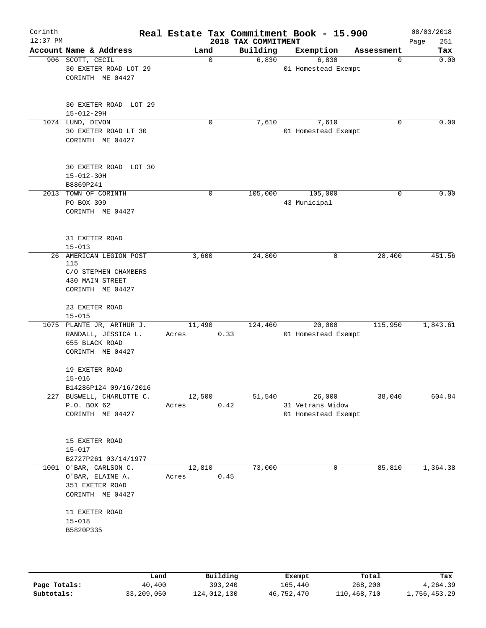| Corinth<br>$12:37$ PM |                                                                                               |                 |      | 2018 TAX COMMITMENT | Real Estate Tax Commitment Book - 15.900          |            | 08/03/2018<br>251<br>Page |
|-----------------------|-----------------------------------------------------------------------------------------------|-----------------|------|---------------------|---------------------------------------------------|------------|---------------------------|
|                       | Account Name & Address                                                                        | Land            |      | Building            | Exemption                                         | Assessment | Tax                       |
|                       | 906 SCOTT, CECIL<br>30 EXETER ROAD LOT 29<br>CORINTH ME 04427                                 |                 | 0    | 6,830               | 6,830<br>01 Homestead Exempt                      | 0          | 0.00                      |
|                       | 30 EXETER ROAD LOT 29<br>$15 - 012 - 29H$                                                     |                 |      |                     |                                                   |            |                           |
|                       | 1074 LUND, DEVON<br>30 EXETER ROAD LT 30<br>CORINTH ME 04427                                  |                 | 0    | 7,610               | 7,610<br>01 Homestead Exempt                      | 0          | 0.00                      |
|                       | 30 EXETER ROAD LOT 30<br>$15 - 012 - 30H$<br>B8869P241                                        |                 |      |                     |                                                   |            |                           |
|                       | 2013 TOWN OF CORINTH<br>PO BOX 309<br>CORINTH ME 04427                                        |                 | 0    | 105,000             | 105,000<br>43 Municipal                           | 0          | 0.00                      |
|                       | 31 EXETER ROAD<br>$15 - 013$                                                                  |                 |      |                     |                                                   |            |                           |
|                       | 26 AMERICAN LEGION POST<br>115<br>C/O STEPHEN CHAMBERS<br>430 MAIN STREET<br>CORINTH ME 04427 | 3,600           |      | 24,800              | 0                                                 | 28,400     | 451.56                    |
|                       | 23 EXETER ROAD<br>$15 - 015$                                                                  |                 |      |                     |                                                   |            |                           |
|                       | 1075 PLANTE JR, ARTHUR J.<br>RANDALL, JESSICA L.<br>655 BLACK ROAD<br>CORINTH ME 04427        | 11,490<br>Acres | 0.33 | 124,460             | 20,000<br>01 Homestead Exempt                     | 115,950    | 1,843.61                  |
|                       | 19 EXETER ROAD<br>$15 - 016$<br>B14286P124 09/16/2016                                         |                 |      |                     |                                                   |            |                           |
|                       | 227 BUSWELL, CHARLOTTE C.<br>P.O. BOX 62<br>CORINTH ME 04427                                  | 12,500<br>Acres | 0.42 | 51,540              | 26,000<br>31 Vetrans Widow<br>01 Homestead Exempt | 38,040     | 604.84                    |
|                       | 15 EXETER ROAD<br>$15 - 017$<br>B2727P261 03/14/1977                                          |                 |      |                     |                                                   |            |                           |
|                       | 1001 O'BAR, CARLSON C.<br>O'BAR, ELAINE A.<br>351 EXETER ROAD<br>CORINTH ME 04427             | 12,810<br>Acres | 0.45 | 73,000              | 0                                                 | 85,810     | 1,364.38                  |
|                       | 11 EXETER ROAD<br>$15 - 018$<br>B5820P335                                                     |                 |      |                     |                                                   |            |                           |
|                       |                                                                                               |                 |      |                     |                                                   |            |                           |

|              | Land       | Building    | Exempt     | Total       | Tax          |
|--------------|------------|-------------|------------|-------------|--------------|
| Page Totals: | 40,400     | 393,240     | 165,440    | 268,200     | 4,264.39     |
| Subtotals:   | 33,209,050 | 124,012,130 | 46,752,470 | 110,468,710 | 1,756,453.29 |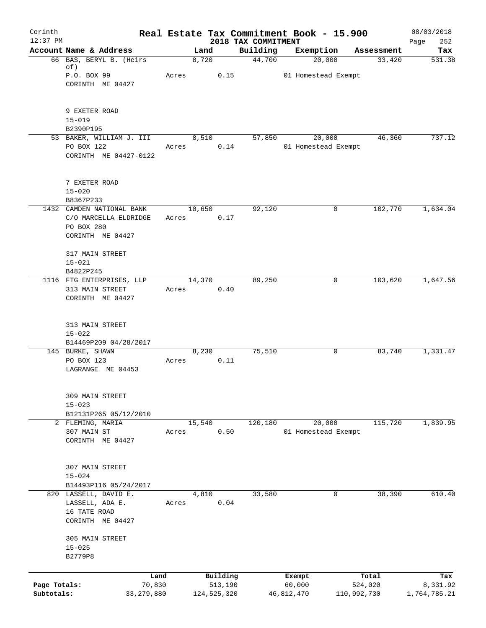| Corinth<br>$12:37$ PM      |                                                                                      |                 |                          |                                 | Real Estate Tax Commitment Book - 15.900 |                        | 08/03/2018               |
|----------------------------|--------------------------------------------------------------------------------------|-----------------|--------------------------|---------------------------------|------------------------------------------|------------------------|--------------------------|
|                            | Account Name & Address                                                               | Land            |                          | 2018 TAX COMMITMENT<br>Building | Exemption                                | Assessment             | 252<br>Page<br>Tax       |
|                            | 66 BAS, BERYL B. (Heirs)<br>of)<br>P.O. BOX 99<br>CORINTH ME 04427                   | 8,720<br>Acres  | 0.15                     | 44,700                          | 20,000<br>01 Homestead Exempt            | 33,420                 | 531.38                   |
|                            | 9 EXETER ROAD<br>$15 - 019$<br>B2390P195                                             |                 |                          |                                 |                                          |                        |                          |
|                            | 53 BAKER, WILLIAM J. III<br>PO BOX 122<br>CORINTH ME 04427-0122                      | 8,510<br>Acres  | 0.14                     | 57,850                          | 20,000<br>01 Homestead Exempt            | 46,360                 | 737.12                   |
|                            | 7 EXETER ROAD<br>$15 - 020$<br>B8367P233                                             |                 |                          |                                 |                                          |                        |                          |
|                            | 1432 CAMDEN NATIONAL BANK<br>C/O MARCELLA ELDRIDGE<br>PO BOX 280<br>CORINTH ME 04427 | 10,650<br>Acres | 0.17                     | 92,120                          | 0                                        | 102,770                | 1,634.04                 |
|                            | 317 MAIN STREET<br>$15 - 021$<br>B4822P245<br>1116 FTG ENTERPRISES, LLP              | 14,370          |                          | 89,250                          | 0                                        | 103,620                | 1,647.56                 |
|                            | 313 MAIN STREET<br>CORINTH ME 04427                                                  | Acres           | 0.40                     |                                 |                                          |                        |                          |
|                            | 313 MAIN STREET<br>$15 - 022$<br>B14469P209 04/28/2017                               |                 |                          |                                 |                                          |                        |                          |
|                            | 145 BURKE, SHAWN<br>PO BOX 123<br>LAGRANGE ME 04453                                  | 8,230<br>Acres  | 0.11                     | 75,510                          | 0                                        | 83,740                 | 1,331.47                 |
|                            | 309 MAIN STREET<br>$15 - 023$<br>B12131P265 05/12/2010                               |                 |                          |                                 |                                          |                        |                          |
|                            | 2 FLEMING, MARIA<br>307 MAIN ST<br>CORINTH ME 04427                                  | 15,540<br>Acres | 0.50                     | 120, 180                        | 20,000<br>01 Homestead Exempt            | 115,720                | 1,839.95                 |
|                            | 307 MAIN STREET<br>$15 - 024$<br>B14493P116 05/24/2017                               |                 |                          |                                 |                                          |                        |                          |
|                            | 820 LASSELL, DAVID E.<br>LASSELL, ADA E.<br>16 TATE ROAD<br>CORINTH ME 04427         | 4,810<br>Acres  | 0.04                     | 33,580                          | 0                                        | 38,390                 | 610.40                   |
|                            | 305 MAIN STREET<br>$15 - 025$<br>B2779P8                                             |                 |                          |                                 |                                          |                        |                          |
|                            |                                                                                      | Land            | Building                 |                                 | Exempt                                   | Total                  | Tax                      |
| Page Totals:<br>Subtotals: | 70,830<br>33, 279, 880                                                               |                 | 513,190<br>124, 525, 320 |                                 | 60,000<br>46,812,470                     | 524,020<br>110,992,730 | 8,331.92<br>1,764,785.21 |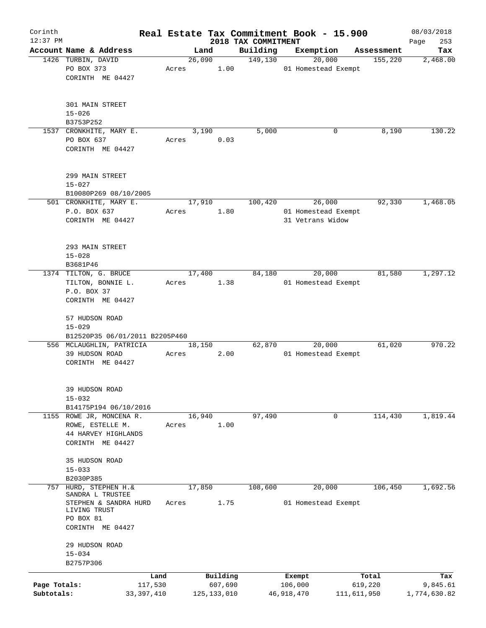| Corinth      |                                       |            |       |                |                     | Real Estate Tax Commitment Book - 15.900 |                       | 08/03/2018      |
|--------------|---------------------------------------|------------|-------|----------------|---------------------|------------------------------------------|-----------------------|-----------------|
| $12:37$ PM   | Account Name & Address                |            |       |                | 2018 TAX COMMITMENT |                                          |                       | 253<br>Page     |
|              | 1426 TURBIN, DAVID                    |            |       | Land<br>26,090 | Building<br>149,130 | Exemption<br>20,000                      | Assessment<br>155,220 | Tax<br>2,468.00 |
|              | PO BOX 373                            |            | Acres | 1.00           |                     | 01 Homestead Exempt                      |                       |                 |
|              | CORINTH ME 04427                      |            |       |                |                     |                                          |                       |                 |
|              |                                       |            |       |                |                     |                                          |                       |                 |
|              |                                       |            |       |                |                     |                                          |                       |                 |
|              | 301 MAIN STREET                       |            |       |                |                     |                                          |                       |                 |
|              | $15 - 026$                            |            |       |                |                     |                                          |                       |                 |
|              | B3753P252                             |            |       |                |                     |                                          |                       |                 |
|              | 1537 CRONKHITE, MARY E.<br>PO BOX 637 |            |       | 3,190          | 5,000               | 0                                        | 8,190                 | 130.22          |
|              | CORINTH ME 04427                      |            | Acres | 0.03           |                     |                                          |                       |                 |
|              |                                       |            |       |                |                     |                                          |                       |                 |
|              |                                       |            |       |                |                     |                                          |                       |                 |
|              | 299 MAIN STREET                       |            |       |                |                     |                                          |                       |                 |
|              | $15 - 027$                            |            |       |                |                     |                                          |                       |                 |
|              | B10080P269 08/10/2005                 |            |       |                |                     |                                          |                       |                 |
|              | 501 CRONKHITE, MARY E.                |            |       | 17,910         | 100,420             | 26,000                                   | 92,330                | 1,468.05        |
|              | P.O. BOX 637                          |            | Acres | 1.80           |                     | 01 Homestead Exempt                      |                       |                 |
|              | CORINTH ME 04427                      |            |       |                |                     | 31 Vetrans Widow                         |                       |                 |
|              |                                       |            |       |                |                     |                                          |                       |                 |
|              | 293 MAIN STREET                       |            |       |                |                     |                                          |                       |                 |
|              | $15 - 028$                            |            |       |                |                     |                                          |                       |                 |
|              | B3681P46                              |            |       |                |                     |                                          |                       |                 |
|              | 1374 TILTON, G. BRUCE                 |            |       | 17,400         | 84,180              | 20,000                                   | 81,580                | 1,297.12        |
|              | TILTON, BONNIE L.                     |            | Acres | 1.38           |                     | 01 Homestead Exempt                      |                       |                 |
|              | P.O. BOX 37                           |            |       |                |                     |                                          |                       |                 |
|              | CORINTH ME 04427                      |            |       |                |                     |                                          |                       |                 |
|              | 57 HUDSON ROAD                        |            |       |                |                     |                                          |                       |                 |
|              | $15 - 029$                            |            |       |                |                     |                                          |                       |                 |
|              | B12520P35 06/01/2011 B2205P460        |            |       |                |                     |                                          |                       |                 |
|              | 556 MCLAUGHLIN, PATRICIA              |            |       | 18,150         | 62,870              | 20,000                                   | 61,020                | 970.22          |
|              | 39 HUDSON ROAD                        |            | Acres | 2.00           |                     | 01 Homestead Exempt                      |                       |                 |
|              | CORINTH ME 04427                      |            |       |                |                     |                                          |                       |                 |
|              |                                       |            |       |                |                     |                                          |                       |                 |
|              | 39 HUDSON ROAD                        |            |       |                |                     |                                          |                       |                 |
|              | $15 - 032$                            |            |       |                |                     |                                          |                       |                 |
|              | B14175P194 06/10/2016                 |            |       |                |                     |                                          |                       |                 |
|              | 1155 ROWE JR, MONCENA R.              |            |       | 16,940         | 97,490              | 0                                        | 114,430               | 1,819.44        |
|              | ROWE, ESTELLE M.                      |            | Acres | 1.00           |                     |                                          |                       |                 |
|              | 44 HARVEY HIGHLANDS                   |            |       |                |                     |                                          |                       |                 |
|              | CORINTH ME 04427                      |            |       |                |                     |                                          |                       |                 |
|              |                                       |            |       |                |                     |                                          |                       |                 |
|              | 35 HUDSON ROAD<br>$15 - 033$          |            |       |                |                     |                                          |                       |                 |
|              | B2030P385                             |            |       |                |                     |                                          |                       |                 |
| 757          | HURD, STEPHEN H.&                     |            |       | 17,850         | 108,600             | 20,000                                   | 106,450               | 1,692.56        |
|              | SANDRA L TRUSTEE                      |            |       |                |                     |                                          |                       |                 |
|              | STEPHEN & SANDRA HURD                 |            | Acres | 1.75           |                     | 01 Homestead Exempt                      |                       |                 |
|              | LIVING TRUST<br>PO BOX 81             |            |       |                |                     |                                          |                       |                 |
|              | CORINTH ME 04427                      |            |       |                |                     |                                          |                       |                 |
|              |                                       |            |       |                |                     |                                          |                       |                 |
|              | 29 HUDSON ROAD                        |            |       |                |                     |                                          |                       |                 |
|              | $15 - 034$                            |            |       |                |                     |                                          |                       |                 |
|              | B2757P306                             |            |       |                |                     |                                          |                       |                 |
|              |                                       | Land       |       | Building       |                     | Exempt                                   | Total                 | Tax             |
| Page Totals: |                                       | 117,530    |       | 607,690        |                     | 106,000                                  | 619,220               | 9,845.61        |
| Subtotals:   |                                       | 33,397,410 |       | 125, 133, 010  |                     | 46, 918, 470                             | 111,611,950           | 1,774,630.82    |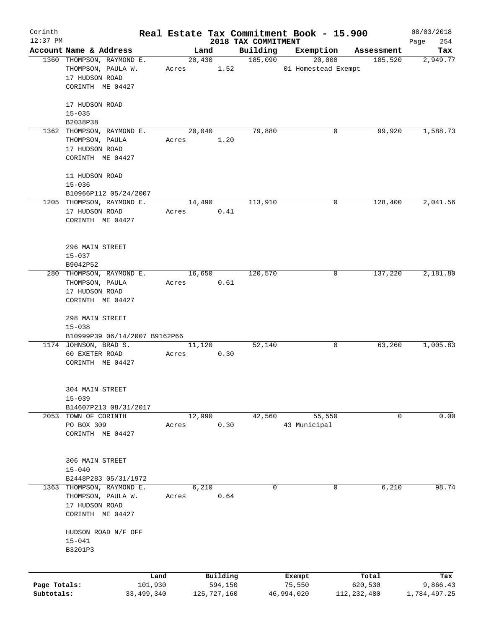| Corinth      |                                                     |              |       |                |             |                     | Real Estate Tax Commitment Book - 15.900 |               | 08/03/2018      |
|--------------|-----------------------------------------------------|--------------|-------|----------------|-------------|---------------------|------------------------------------------|---------------|-----------------|
| $12:37$ PM   |                                                     |              |       |                |             | 2018 TAX COMMITMENT |                                          |               | 254<br>Page     |
|              | Account Name & Address<br>1360 THOMPSON, RAYMOND E. |              |       | Land<br>20,430 |             | Building<br>185,090 | Exemption<br>20,000                      | Assessment    | Tax<br>2,949.77 |
|              |                                                     |              |       |                |             |                     |                                          | 185,520       |                 |
|              | THOMPSON, PAULA W.                                  |              | Acres |                | 1.52        |                     | 01 Homestead Exempt                      |               |                 |
|              | 17 HUDSON ROAD                                      |              |       |                |             |                     |                                          |               |                 |
|              | CORINTH ME 04427                                    |              |       |                |             |                     |                                          |               |                 |
|              |                                                     |              |       |                |             |                     |                                          |               |                 |
|              | 17 HUDSON ROAD                                      |              |       |                |             |                     |                                          |               |                 |
|              | $15 - 035$                                          |              |       |                |             |                     |                                          |               |                 |
|              | B2038P38                                            |              |       |                |             |                     |                                          |               |                 |
|              | 1362 THOMPSON, RAYMOND E.                           |              |       | 20,040         |             | 79,880              | 0                                        | 99,920        | 1,588.73        |
|              | THOMPSON, PAULA                                     |              | Acres |                | 1.20        |                     |                                          |               |                 |
|              | 17 HUDSON ROAD                                      |              |       |                |             |                     |                                          |               |                 |
|              | CORINTH ME 04427                                    |              |       |                |             |                     |                                          |               |                 |
|              |                                                     |              |       |                |             |                     |                                          |               |                 |
|              | 11 HUDSON ROAD                                      |              |       |                |             |                     |                                          |               |                 |
|              | $15 - 036$                                          |              |       |                |             |                     |                                          |               |                 |
|              | B10966P112 05/24/2007                               |              |       |                |             |                     |                                          |               |                 |
|              | 1205 THOMPSON, RAYMOND E.                           |              |       | 14,490         |             | 113,910             | 0                                        | 128,400       | 2,041.56        |
|              | 17 HUDSON ROAD                                      |              | Acres |                | 0.41        |                     |                                          |               |                 |
|              | CORINTH ME 04427                                    |              |       |                |             |                     |                                          |               |                 |
|              |                                                     |              |       |                |             |                     |                                          |               |                 |
|              |                                                     |              |       |                |             |                     |                                          |               |                 |
|              | 296 MAIN STREET                                     |              |       |                |             |                     |                                          |               |                 |
|              | $15 - 037$                                          |              |       |                |             |                     |                                          |               |                 |
|              | B9042P52                                            |              |       |                |             |                     |                                          |               |                 |
|              | 280 THOMPSON, RAYMOND E.                            |              |       | 16,650         |             | 120,570             | 0                                        | 137,220       | 2,181.80        |
|              | THOMPSON, PAULA                                     |              | Acres |                | 0.61        |                     |                                          |               |                 |
|              | 17 HUDSON ROAD                                      |              |       |                |             |                     |                                          |               |                 |
|              | CORINTH ME 04427                                    |              |       |                |             |                     |                                          |               |                 |
|              |                                                     |              |       |                |             |                     |                                          |               |                 |
|              | 298 MAIN STREET                                     |              |       |                |             |                     |                                          |               |                 |
|              | $15 - 038$                                          |              |       |                |             |                     |                                          |               |                 |
|              | B10999P39 06/14/2007 B9162P66                       |              |       |                |             |                     |                                          |               |                 |
|              | 1174 JOHNSON, BRAD S.                               |              |       | 11,120         |             | 52,140              | 0                                        | 63,260        | 1,005.83        |
|              | 60 EXETER ROAD                                      |              | Acres |                | 0.30        |                     |                                          |               |                 |
|              | CORINTH ME 04427                                    |              |       |                |             |                     |                                          |               |                 |
|              |                                                     |              |       |                |             |                     |                                          |               |                 |
|              |                                                     |              |       |                |             |                     |                                          |               |                 |
|              | 304 MAIN STREET                                     |              |       |                |             |                     |                                          |               |                 |
|              | $15 - 039$                                          |              |       |                |             |                     |                                          |               |                 |
|              | B14607P213 08/31/2017                               |              |       |                |             |                     |                                          |               |                 |
|              | 2053 TOWN OF CORINTH                                |              |       | 12,990         |             | 42,560              | 55,550                                   | 0             | 0.00            |
|              | PO BOX 309                                          |              | Acres |                | 0.30        |                     | 43 Municipal                             |               |                 |
|              | CORINTH ME 04427                                    |              |       |                |             |                     |                                          |               |                 |
|              |                                                     |              |       |                |             |                     |                                          |               |                 |
|              |                                                     |              |       |                |             |                     |                                          |               |                 |
|              | 306 MAIN STREET                                     |              |       |                |             |                     |                                          |               |                 |
|              | $15 - 040$                                          |              |       |                |             |                     |                                          |               |                 |
|              | B2448P283 05/31/1972                                |              |       |                |             |                     |                                          |               |                 |
| 1363         | THOMPSON, RAYMOND E.                                |              |       | 6,210          |             | 0                   | 0                                        | 6,210         | 98.74           |
|              | THOMPSON, PAULA W.                                  |              | Acres |                | 0.64        |                     |                                          |               |                 |
|              | 17 HUDSON ROAD                                      |              |       |                |             |                     |                                          |               |                 |
|              | CORINTH ME 04427                                    |              |       |                |             |                     |                                          |               |                 |
|              |                                                     |              |       |                |             |                     |                                          |               |                 |
|              | HUDSON ROAD N/F OFF                                 |              |       |                |             |                     |                                          |               |                 |
|              | $15 - 041$                                          |              |       |                |             |                     |                                          |               |                 |
|              | B3201P3                                             |              |       |                |             |                     |                                          |               |                 |
|              |                                                     |              |       |                |             |                     |                                          |               |                 |
|              |                                                     |              |       |                |             |                     |                                          |               |                 |
|              |                                                     | Land         |       |                | Building    |                     | Exempt                                   | Total         | Tax             |
| Page Totals: |                                                     | 101,930      |       |                | 594,150     |                     | 75,550                                   | 620,530       | 9,866.43        |
| Subtotals:   |                                                     | 33, 499, 340 |       |                | 125,727,160 |                     | 46,994,020                               | 112, 232, 480 | 1,784,497.25    |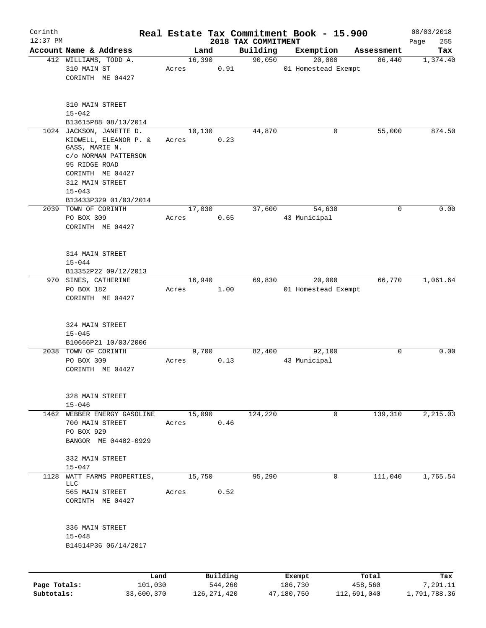| Corinth      |                                                                                                                                       |                 |               |                                 | Real Estate Tax Commitment Book - 15.900 |            | 08/03/2018         |
|--------------|---------------------------------------------------------------------------------------------------------------------------------------|-----------------|---------------|---------------------------------|------------------------------------------|------------|--------------------|
| $12:37$ PM   | Account Name & Address                                                                                                                |                 | Land          | 2018 TAX COMMITMENT<br>Building | Exemption                                | Assessment | 255<br>Page<br>Tax |
|              | 412 WILLIAMS, TODD A.                                                                                                                 | 16,390          |               | 90,050                          | 20,000                                   | 86,440     | 1,374.40           |
|              | 310 MAIN ST<br>CORINTH ME 04427                                                                                                       | Acres           | 0.91          |                                 | 01 Homestead Exempt                      |            |                    |
|              | 310 MAIN STREET<br>$15 - 042$<br>B13615P88 08/13/2014                                                                                 |                 |               |                                 |                                          |            |                    |
|              | 1024 JACKSON, JANETTE D.                                                                                                              | 10,130          |               | 44,870                          | 0                                        | 55,000     | 874.50             |
|              | KIDWELL, ELEANOR P. &<br>GASS, MARIE N.<br>c/o NORMAN PATTERSON<br>95 RIDGE ROAD<br>CORINTH ME 04427<br>312 MAIN STREET<br>$15 - 043$ | Acres           | 0.23          |                                 |                                          |            |                    |
|              | B13433P329 01/03/2014                                                                                                                 |                 |               |                                 |                                          |            |                    |
|              | 2039 TOWN OF CORINTH<br>PO BOX 309<br>CORINTH ME 04427                                                                                | 17,030<br>Acres | 0.65          | 37,600                          | 54,630<br>43 Municipal                   | 0          | 0.00               |
|              | 314 MAIN STREET<br>$15 - 044$<br>B13352P22 09/12/2013                                                                                 |                 |               |                                 |                                          |            |                    |
|              | 970 SINES, CATHERINE                                                                                                                  | 16,940          |               | 69,830                          | 20,000                                   | 66,770     | 1,061.64           |
|              | PO BOX 182<br>CORINTH ME 04427                                                                                                        | Acres           | 1.00          |                                 | 01 Homestead Exempt                      |            |                    |
|              | 324 MAIN STREET<br>$15 - 045$                                                                                                         |                 |               |                                 |                                          |            |                    |
|              | B10666P21 10/03/2006<br>2038 TOWN OF CORINTH                                                                                          |                 |               | 82,400                          | 92,100                                   | 0          | 0.00               |
|              | PO BOX 309<br>CORINTH ME 04427                                                                                                        | Acres           | 9,700<br>0.13 |                                 | 43 Municipal                             |            |                    |
|              | 328 MAIN STREET<br>$15 - 046$                                                                                                         |                 |               |                                 |                                          |            |                    |
|              | 1462 WEBBER ENERGY GASOLINE<br>700 MAIN STREET<br>PO BOX 929<br>BANGOR ME 04402-0929                                                  | 15,090<br>Acres | 0.46          | 124,220                         | 0                                        | 139,310    | 2,215.03           |
|              | 332 MAIN STREET<br>$15 - 047$                                                                                                         |                 |               |                                 |                                          |            |                    |
|              | 1128 WATT FARMS PROPERTIES,                                                                                                           | 15,750          |               | 95,290                          | $\overline{0}$                           | 111,040    | 1,765.54           |
|              | LLC<br>565 MAIN STREET<br>CORINTH ME 04427                                                                                            | Acres           | 0.52          |                                 |                                          |            |                    |
|              | 336 MAIN STREET<br>$15 - 048$<br>B14514P36 06/14/2017                                                                                 |                 |               |                                 |                                          |            |                    |
|              | Land                                                                                                                                  |                 | Building      |                                 | Exempt                                   | Total      | Tax                |
| Page Totals: | 101,030                                                                                                                               |                 | 544,260       |                                 | 186,730                                  | 458,560    | 7,291.11           |

**Subtotals:** 33,600,370 126,271,420 47,180,750 112,691,040 1,791,788.36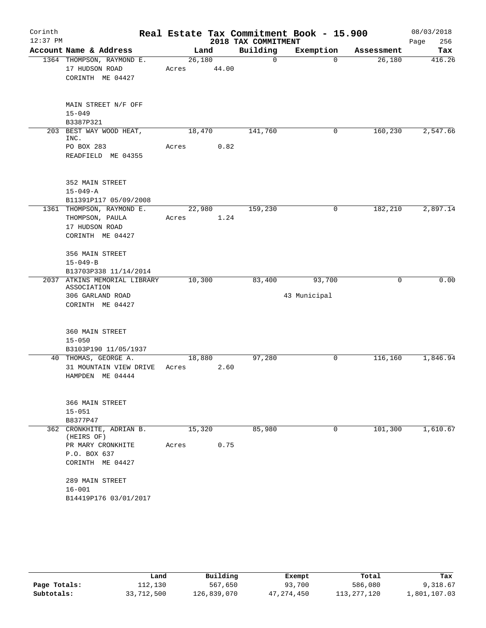| Corinth<br>$12:37$ PM |                                                                                                                    |                 |        | 2018 TAX COMMITMENT | Real Estate Tax Commitment Book - 15.900 |            | 08/03/2018<br>256<br>Page |
|-----------------------|--------------------------------------------------------------------------------------------------------------------|-----------------|--------|---------------------|------------------------------------------|------------|---------------------------|
|                       | Account Name & Address                                                                                             | Land            |        | Building            | Exemption                                | Assessment | Tax                       |
|                       | 1364 THOMPSON, RAYMOND E.<br>17 HUDSON ROAD<br>CORINTH ME 04427                                                    | 26,180<br>Acres | 44.00  | $\mathbf 0$         | $\Omega$                                 | 26,180     | 416.26                    |
|                       | MAIN STREET N/F OFF<br>$15 - 049$<br>B3387P321                                                                     |                 |        |                     |                                          |            |                           |
|                       | 203 BEST WAY WOOD HEAT,<br>INC.<br>PO BOX 283<br>READFIELD ME 04355                                                | 18,470<br>Acres | 0.82   | 141,760             | 0                                        | 160,230    | 2,547.66                  |
|                       | 352 MAIN STREET<br>$15 - 049 - A$<br>B11391P117 05/09/2008                                                         |                 |        |                     |                                          |            |                           |
|                       | 1361 THOMPSON, RAYMOND E.<br>THOMPSON, PAULA<br>17 HUDSON ROAD<br>CORINTH ME 04427                                 | Acres 1.24      | 22,980 | 159,230             | 0                                        | 182,210    | 2,897.14                  |
|                       | 356 MAIN STREET<br>$15 - 049 - B$<br>B13703P338 11/14/2014                                                         |                 |        |                     |                                          |            |                           |
|                       | 2037 ATKINS MEMORIAL LIBRARY<br>ASSOCIATION                                                                        | 10,300          |        | 83,400              | 93,700                                   | $\Omega$   | 0.00                      |
|                       | 306 GARLAND ROAD<br>CORINTH ME 04427                                                                               |                 |        |                     | 43 Municipal                             |            |                           |
|                       | 360 MAIN STREET<br>$15 - 050$<br>B3103P190 11/05/1937                                                              |                 |        |                     |                                          |            |                           |
|                       | 40 THOMAS, GEORGE A.<br>31 MOUNTAIN VIEW DRIVE<br>HAMPDEN ME 04444                                                 | 18,880<br>Acres | 2.60   | 97,280              | 0                                        | 116,160    | 1,846.94                  |
|                       | 366 MAIN STREET<br>$15 - 051$<br>B8377P47                                                                          |                 |        |                     |                                          |            |                           |
|                       | 362 CRONKHITE, ADRIAN B.<br>(HEIRS OF)<br>PR MARY CRONKHITE<br>P.O. BOX 637<br>CORINTH ME 04427<br>289 MAIN STREET | 15,320<br>Acres | 0.75   | 85,980              | 0                                        | 101,300    | 1,610.67                  |
|                       | $16 - 001$<br>B14419P176 03/01/2017                                                                                |                 |        |                     |                                          |            |                           |

|              | Land       | Building    | Exempt       | Total         | Tax          |
|--------------|------------|-------------|--------------|---------------|--------------|
| Page Totals: | 112,130    | 567,650     | 93,700       | 586,080       | 9,318.67     |
| Subtotals:   | 33,712,500 | 126,839,070 | 47, 274, 450 | 113, 277, 120 | 1,801,107.03 |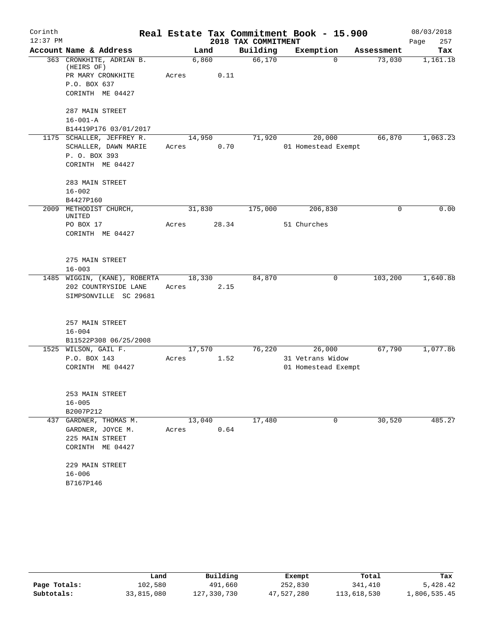| Corinth    |                                        |        |       |                     | Real Estate Tax Commitment Book - 15.900 |            | 08/03/2018  |
|------------|----------------------------------------|--------|-------|---------------------|------------------------------------------|------------|-------------|
| $12:37$ PM |                                        |        |       | 2018 TAX COMMITMENT |                                          |            | Page<br>257 |
|            | Account Name & Address                 |        | Land  | Building            | Exemption                                | Assessment | Tax         |
|            | 363 CRONKHITE, ADRIAN B.<br>(HEIRS OF) | 6,860  |       | 66,170              | $\mathbf 0$                              | 73,030     | 1,161.18    |
|            | PR MARY CRONKHITE                      | Acres  | 0.11  |                     |                                          |            |             |
|            | P.O. BOX 637                           |        |       |                     |                                          |            |             |
|            | CORINTH ME 04427                       |        |       |                     |                                          |            |             |
|            | 287 MAIN STREET                        |        |       |                     |                                          |            |             |
|            | $16 - 001 - A$                         |        |       |                     |                                          |            |             |
|            | B14419P176 03/01/2017                  |        |       |                     |                                          |            |             |
|            | 1175 SCHALLER, JEFFREY R.              | 14,950 |       | 71,920              | 20,000                                   | 66,870     | 1,063.23    |
|            | SCHALLER, DAWN MARIE                   | Acres  | 0.70  |                     | 01 Homestead Exempt                      |            |             |
|            | P. O. BOX 393                          |        |       |                     |                                          |            |             |
|            | CORINTH ME 04427                       |        |       |                     |                                          |            |             |
|            | 283 MAIN STREET                        |        |       |                     |                                          |            |             |
|            | $16 - 002$                             |        |       |                     |                                          |            |             |
|            | B4427P160                              |        |       |                     |                                          |            |             |
| 2009       | METHODIST CHURCH,<br>UNITED            | 31,830 |       | 175,000             | 206,830                                  | 0          | 0.00        |
|            | PO BOX 17                              | Acres  | 28.34 |                     | 51 Churches                              |            |             |
|            | CORINTH ME 04427                       |        |       |                     |                                          |            |             |
|            |                                        |        |       |                     |                                          |            |             |
|            | 275 MAIN STREET                        |        |       |                     |                                          |            |             |
|            | $16 - 003$                             |        |       |                     |                                          |            |             |
| 1485       | WIGGIN, (KANE), ROBERTA                | 18,330 |       | 84,870              | 0                                        | 103,200    | 1,640.88    |
|            | 202 COUNTRYSIDE LANE                   | Acres  | 2.15  |                     |                                          |            |             |
|            | SIMPSONVILLE SC 29681                  |        |       |                     |                                          |            |             |
|            |                                        |        |       |                     |                                          |            |             |
|            | 257 MAIN STREET                        |        |       |                     |                                          |            |             |
|            | $16 - 004$<br>B11522P308 06/25/2008    |        |       |                     |                                          |            |             |
|            | 1525 WILSON, GAIL F.                   | 17,570 |       | 76,220              | 26,000                                   | 67,790     | 1,077.86    |
|            | P.O. BOX 143                           | Acres  | 1.52  |                     | 31 Vetrans Widow                         |            |             |
|            | CORINTH ME 04427                       |        |       |                     | 01 Homestead Exempt                      |            |             |
|            |                                        |        |       |                     |                                          |            |             |
|            | 253 MAIN STREET                        |        |       |                     |                                          |            |             |
|            | $16 - 005$                             |        |       |                     |                                          |            |             |
|            | B2007P212                              |        |       |                     |                                          |            |             |
|            | 437 GARDNER, THOMAS M.                 | 13,040 |       | 17,480              | 0                                        | 30,520     | 485.27      |
|            | GARDNER, JOYCE M.                      | Acres  | 0.64  |                     |                                          |            |             |
|            | 225 MAIN STREET                        |        |       |                     |                                          |            |             |
|            | CORINTH ME 04427                       |        |       |                     |                                          |            |             |
|            | 229 MAIN STREET                        |        |       |                     |                                          |            |             |
|            | $16 - 006$                             |        |       |                     |                                          |            |             |
|            | B7167P146                              |        |       |                     |                                          |            |             |

|              | Land       | Building    | Exempt     | Total       | Tax          |
|--------------|------------|-------------|------------|-------------|--------------|
| Page Totals: | 102,580    | 491,660     | 252,830    | 341,410     | 5,428.42     |
| Subtotals:   | 33,815,080 | 127,330,730 | 47,527,280 | 113,618,530 | 1,806,535.45 |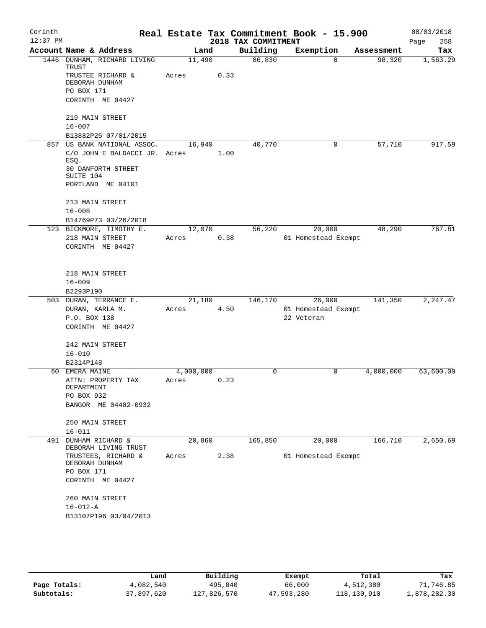| Corinth    |                                                                      |                    |      |                     | Real Estate Tax Commitment Book - 15.900 |            | 08/03/2018  |
|------------|----------------------------------------------------------------------|--------------------|------|---------------------|------------------------------------------|------------|-------------|
| $12:37$ PM |                                                                      |                    |      | 2018 TAX COMMITMENT |                                          |            | 258<br>Page |
|            | Account Name & Address                                               | Land               |      | Building            | Exemption                                | Assessment | Tax         |
|            | 1446 DUNHAM, RICHARD LIVING<br>TRUST                                 | 11,490             |      | 86,830              | $\Omega$                                 | 98,320     | 1,563.29    |
|            | TRUSTEE RICHARD &<br>DEBORAH DUNHAM                                  | Acres              | 0.33 |                     |                                          |            |             |
|            | PO BOX 171                                                           |                    |      |                     |                                          |            |             |
|            | CORINTH ME 04427                                                     |                    |      |                     |                                          |            |             |
|            | 219 MAIN STREET                                                      |                    |      |                     |                                          |            |             |
|            | $16 - 007$                                                           |                    |      |                     |                                          |            |             |
|            | B13882P26 07/01/2015                                                 |                    |      |                     |                                          |            |             |
|            | 857 US BANK NATIONAL ASSOC.<br>C/O JOHN E BALDACCI JR. Acres<br>ESQ. | 16,940             | 1.00 | 40,770              | 0                                        | 57,710     | 917.59      |
|            | 30 DANFORTH STREET<br>SUITE 104                                      |                    |      |                     |                                          |            |             |
|            | PORTLAND ME 04101                                                    |                    |      |                     |                                          |            |             |
|            | 213 MAIN STREET                                                      |                    |      |                     |                                          |            |             |
|            | $16 - 008$                                                           |                    |      |                     |                                          |            |             |
|            | B14769P73 03/26/2018                                                 |                    |      |                     |                                          |            |             |
|            | 123 BICKMORE, TIMOTHY E.                                             | 12,070             |      | 56,220              | 20,000                                   | 48,290     | 767.81      |
|            | 218 MAIN STREET<br>CORINTH ME 04427                                  | Acres              | 0.38 |                     | 01 Homestead Exempt                      |            |             |
|            | 218 MAIN STREET                                                      |                    |      |                     |                                          |            |             |
|            | $16 - 009$                                                           |                    |      |                     |                                          |            |             |
|            | B2293P190                                                            |                    |      |                     |                                          |            |             |
|            | 503 DURAN, TERRANCE E.                                               | 21,180             |      | 146,170             | 26,000                                   | 141,350    | 2,247.47    |
|            | DURAN, KARLA M.                                                      | Acres              | 4.50 |                     | 01 Homestead Exempt                      |            |             |
|            | P.O. BOX 138                                                         |                    |      |                     | 22 Veteran                               |            |             |
|            | CORINTH ME 04427                                                     |                    |      |                     |                                          |            |             |
|            | 242 MAIN STREET                                                      |                    |      |                     |                                          |            |             |
|            | $16 - 010$                                                           |                    |      |                     |                                          |            |             |
|            | B2314P148                                                            |                    |      |                     |                                          |            |             |
|            | 60 EMERA MAINE<br>ATTN: PROPERTY TAX                                 | 4,000,000<br>Acres | 0.23 | $\mathbf 0$         | 0                                        | 4,000,000  | 63,600.00   |
|            | DEPARTMENT                                                           |                    |      |                     |                                          |            |             |
|            | PO BOX 932                                                           |                    |      |                     |                                          |            |             |
|            | BANGOR ME 04402-0932                                                 |                    |      |                     |                                          |            |             |
|            | 250 MAIN STREET                                                      |                    |      |                     |                                          |            |             |
|            | $16 - 011$                                                           |                    |      |                     |                                          |            | 2,650.69    |
| 491        | DUNHAM RICHARD &<br>DEBORAH LIVING TRUST                             | 20,860             |      | 165,850             | 20,000                                   | 166,710    |             |
|            | TRUSTEES, RICHARD &<br>DEBORAH DUNHAM                                | Acres              | 2.38 |                     | 01 Homestead Exempt                      |            |             |
|            | PO BOX 171<br>CORINTH ME 04427                                       |                    |      |                     |                                          |            |             |
|            | 260 MAIN STREET<br>$16 - 012 - A$                                    |                    |      |                     |                                          |            |             |
|            |                                                                      |                    |      |                     |                                          |            |             |
|            | B13107P196 03/04/2013                                                |                    |      |                     |                                          |            |             |
|            |                                                                      |                    |      |                     |                                          |            |             |
|            |                                                                      |                    |      |                     |                                          |            |             |

|              | Land       | Building    | Exempt     | Total       | Tax          |
|--------------|------------|-------------|------------|-------------|--------------|
| Page Totals: | 4,082,540  | 495,840     | 66,000     | 4,512,380   | 71,746.85    |
| Subtotals:   | 37,897,620 | 127,826,570 | 47,593,280 | 118,130,910 | 1,878,282.30 |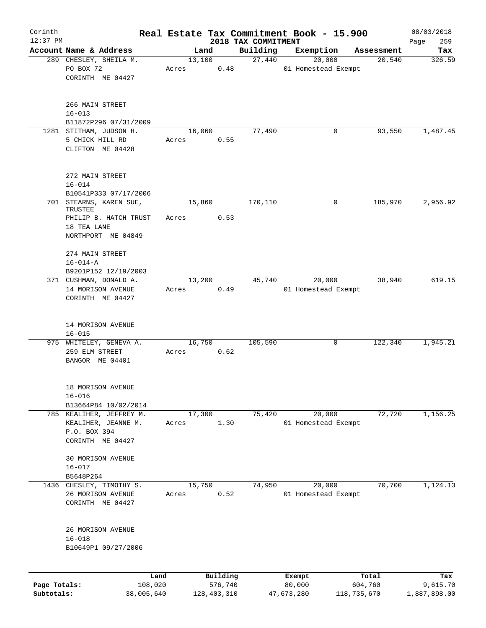| Corinth                    |                                                                       |                 |                        |                                 | Real Estate Tax Commitment Book - 15.900 |                        | 08/03/2018               |
|----------------------------|-----------------------------------------------------------------------|-----------------|------------------------|---------------------------------|------------------------------------------|------------------------|--------------------------|
| $12:37$ PM                 | Account Name & Address                                                |                 | Land                   | 2018 TAX COMMITMENT<br>Building | Exemption                                | Assessment             | 259<br>Page              |
|                            | 289 CHESLEY, SHEILA M.                                                |                 | 13,100                 | 27,440                          | 20,000                                   | 20,540                 | Tax<br>326.59            |
|                            | PO BOX 72<br>CORINTH ME 04427                                         | Acres           | 0.48                   |                                 | 01 Homestead Exempt                      |                        |                          |
|                            | 266 MAIN STREET<br>$16 - 013$<br>B11872P296 07/31/2009                |                 |                        |                                 |                                          |                        |                          |
|                            | 1281 STITHAM, JUDSON H.                                               |                 | 16,060                 | 77,490                          | 0                                        | 93,550                 | 1,487.45                 |
|                            | 5 CHICK HILL RD<br>CLIFTON ME 04428                                   | Acres           | 0.55                   |                                 |                                          |                        |                          |
|                            | 272 MAIN STREET<br>$16 - 014$                                         |                 |                        |                                 |                                          |                        |                          |
|                            | B10541P333 07/17/2006<br>701 STEARNS, KAREN SUE,                      | 15,860          |                        | 170, 110                        | $\mathbf 0$                              | 185,970                | 2,956.92                 |
|                            | TRUSTEE<br>PHILIP B. HATCH TRUST<br>18 TEA LANE<br>NORTHPORT ME 04849 | Acres           | 0.53                   |                                 |                                          |                        |                          |
|                            | 274 MAIN STREET<br>$16 - 014 - A$<br>B9201P152 12/19/2003             |                 |                        |                                 |                                          |                        |                          |
|                            | 371 CUSHMAN, DONALD A.                                                | 13,200          |                        | 45,740                          | 20,000                                   | 38,940                 | 619.15                   |
|                            | 14 MORISON AVENUE<br>CORINTH ME 04427                                 | Acres           | 0.49                   |                                 | 01 Homestead Exempt                      |                        |                          |
|                            | 14 MORISON AVENUE<br>$16 - 015$                                       |                 |                        |                                 |                                          |                        |                          |
|                            | 975 WHITELEY, GENEVA A.<br>259 ELM STREET<br>BANGOR ME 04401          | 16,750<br>Acres | 0.62                   | 105,590                         | 0                                        | 122,340                | 1,945.21                 |
|                            | 18 MORISON AVENUE<br>$16 - 016$                                       |                 |                        |                                 |                                          |                        |                          |
|                            | B13664P84 10/02/2014<br>785 KEALIHER, JEFFREY M.                      | 17,300          |                        | 75,420                          | 20,000                                   | 72,720                 | 1,156.25                 |
|                            | KEALIHER, JEANNE M.<br>P.O. BOX 394<br>CORINTH ME 04427               | Acres           | 1.30                   |                                 | 01 Homestead Exempt                      |                        |                          |
|                            | 30 MORISON AVENUE<br>$16 - 017$                                       |                 |                        |                                 |                                          |                        |                          |
|                            | B5648P264                                                             |                 |                        |                                 |                                          |                        |                          |
|                            | 1436 CHESLEY, TIMOTHY S.<br>26 MORISON AVENUE<br>CORINTH ME 04427     | 15,750<br>Acres | 0.52                   | 74,950                          | 20,000<br>01 Homestead Exempt            | 70,700                 | 1,124.13                 |
|                            | 26 MORISON AVENUE<br>$16 - 018$<br>B10649P1 09/27/2006                |                 |                        |                                 |                                          |                        |                          |
|                            | Land                                                                  |                 | Building               |                                 | Exempt                                   | Total                  | Tax                      |
| Page Totals:<br>Subtotals: | 108,020<br>38,005,640                                                 |                 | 576,740<br>128,403,310 |                                 | 80,000<br>47,673,280                     | 604,760<br>118,735,670 | 9,615.70<br>1,887,898.00 |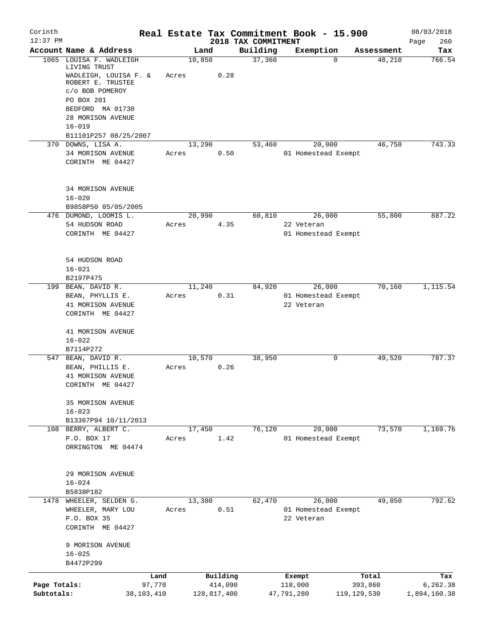| Corinth<br>$12:37$ PM      |                                                                             |       |                        | 2018 TAX COMMITMENT | Real Estate Tax Commitment Book - 15.900 |                          | 08/03/2018               |
|----------------------------|-----------------------------------------------------------------------------|-------|------------------------|---------------------|------------------------------------------|--------------------------|--------------------------|
|                            | Account Name & Address                                                      |       | Land                   | Building            | Exemption                                | Assessment               | 260<br>Page<br>Tax       |
|                            | 1065 LOUISA F. WADLEIGH<br>LIVING TRUST                                     |       | 10,850                 | 37,360              | $\Omega$                                 | 48,210                   | 766.54                   |
|                            | WADLEIGH, LOUISA F. &<br>ROBERT E. TRUSTEE<br>c/o BOB POMEROY<br>PO BOX 201 | Acres | 0.28                   |                     |                                          |                          |                          |
|                            | BEDFORD MA 01730<br>28 MORISON AVENUE<br>$16 - 019$                         |       |                        |                     |                                          |                          |                          |
|                            | B11101P257 08/25/2007                                                       |       |                        |                     |                                          |                          |                          |
|                            | 370 DOWNS, LISA A.                                                          |       | 13,290                 | 53,460              | 20,000                                   | 46,750                   | 743.33                   |
|                            | 34 MORISON AVENUE<br>CORINTH ME 04427                                       | Acres | 0.50                   |                     | 01 Homestead Exempt                      |                          |                          |
|                            | 34 MORISON AVENUE<br>$16 - 020$                                             |       |                        |                     |                                          |                          |                          |
|                            | B9858P50 05/05/2005                                                         |       |                        |                     |                                          |                          |                          |
|                            | 476 DUMOND, LOOMIS L.<br>54 HUDSON ROAD                                     | Acres | 20,990<br>4.35         | 60,810              | 26,000<br>22 Veteran                     | 55,800                   | 887.22                   |
|                            | CORINTH ME 04427                                                            |       |                        |                     | 01 Homestead Exempt                      |                          |                          |
|                            | 54 HUDSON ROAD<br>$16 - 021$                                                |       |                        |                     |                                          |                          |                          |
|                            | B2197P475                                                                   |       |                        |                     |                                          |                          |                          |
|                            | 199 BEAN, DAVID R.<br>BEAN, PHYLLIS E.                                      | Acres | 11,240<br>0.31         | 84,920              | 26,000<br>01 Homestead Exempt            | 70,160                   | 1,115.54                 |
|                            | 41 MORISON AVENUE<br>CORINTH ME 04427                                       |       |                        |                     | 22 Veteran                               |                          |                          |
|                            | 41 MORISON AVENUE<br>$16 - 022$                                             |       |                        |                     |                                          |                          |                          |
|                            | B7114P272<br>547 BEAN, DAVID R.                                             |       | 10,570                 | 38,950              | 0                                        | 49,520                   | 787.37                   |
|                            | BEAN, PHILLIS E.<br>41 MORISON AVENUE<br>CORINTH ME 04427                   | Acres | 0.26                   |                     |                                          |                          |                          |
|                            | 35 MORISON AVENUE<br>$16 - 023$                                             |       |                        |                     |                                          |                          |                          |
|                            | B13367P94 10/11/2013                                                        |       | 17,450                 | 76,120              | 20,000                                   | 73,570                   | 1,169.76                 |
|                            | 108 BERRY, ALBERT C.<br>P.O. BOX 17<br>ORRINGTON ME 04474                   | Acres | 1.42                   |                     | 01 Homestead Exempt                      |                          |                          |
|                            | 29 MORISON AVENUE<br>$16 - 024$                                             |       |                        |                     |                                          |                          |                          |
|                            | B5838P182<br>1478 WHEELER, SELDEN G.                                        |       | 13,380                 | 62,470              | 26,000                                   | 49,850                   | 792.62                   |
|                            | WHEELER, MARY LOU<br>P.O. BOX 35                                            | Acres | 0.51                   |                     | 01 Homestead Exempt<br>22 Veteran        |                          |                          |
|                            | CORINTH ME 04427<br>9 MORISON AVENUE                                        |       |                        |                     |                                          |                          |                          |
|                            | $16 - 025$<br>B4472P299                                                     |       |                        |                     |                                          |                          |                          |
|                            | Land                                                                        |       | Building               |                     | Exempt                                   | Total                    | Tax                      |
| Page Totals:<br>Subtotals: | 97,770<br>38,103,410                                                        |       | 414,090<br>128,817,400 |                     | 118,000<br>47,791,280                    | 393,860<br>119, 129, 530 | 6,262.38<br>1,894,160.38 |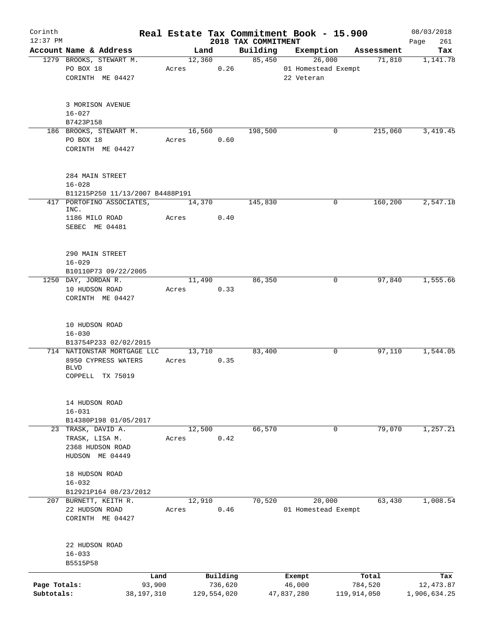| Corinth                    |                                                   |       |                        |      |                     | Real Estate Tax Commitment Book - 15.900 |                        | 08/03/2018                |
|----------------------------|---------------------------------------------------|-------|------------------------|------|---------------------|------------------------------------------|------------------------|---------------------------|
| $12:37$ PM                 |                                                   |       |                        |      | 2018 TAX COMMITMENT |                                          |                        | 261<br>Page               |
|                            | Account Name & Address<br>1279 BROOKS, STEWART M. |       | Land<br>12,360         |      | Building<br>85,450  | Exemption<br>26,000                      | Assessment<br>71,810   | Tax<br>1,141.78           |
|                            | PO BOX 18                                         | Acres |                        | 0.26 |                     | 01 Homestead Exempt                      |                        |                           |
|                            | CORINTH ME 04427                                  |       |                        |      |                     | 22 Veteran                               |                        |                           |
|                            |                                                   |       |                        |      |                     |                                          |                        |                           |
|                            | 3 MORISON AVENUE                                  |       |                        |      |                     |                                          |                        |                           |
|                            | $16 - 027$                                        |       |                        |      |                     |                                          |                        |                           |
|                            | B7423P158                                         |       |                        |      |                     |                                          |                        |                           |
|                            | 186 BROOKS, STEWART M.                            |       | 16,560                 |      | 198,500             | 0                                        | 215,060                | 3, 419.45                 |
|                            | PO BOX 18                                         | Acres |                        | 0.60 |                     |                                          |                        |                           |
|                            | CORINTH ME 04427                                  |       |                        |      |                     |                                          |                        |                           |
|                            |                                                   |       |                        |      |                     |                                          |                        |                           |
|                            | 284 MAIN STREET                                   |       |                        |      |                     |                                          |                        |                           |
|                            | $16 - 028$                                        |       |                        |      |                     |                                          |                        |                           |
|                            | B11215P250 11/13/2007 B4488P191                   |       |                        |      |                     |                                          |                        |                           |
|                            | 417 PORTOFINO ASSOCIATES,<br>INC.                 |       | 14,370                 |      | 145,830             | 0                                        | 160,200                | 2,547.18                  |
|                            | 1186 MILO ROAD                                    | Acres |                        | 0.40 |                     |                                          |                        |                           |
|                            | SEBEC ME 04481                                    |       |                        |      |                     |                                          |                        |                           |
|                            |                                                   |       |                        |      |                     |                                          |                        |                           |
|                            | 290 MAIN STREET                                   |       |                        |      |                     |                                          |                        |                           |
|                            | $16 - 029$                                        |       |                        |      |                     |                                          |                        |                           |
|                            | B10110P73 09/22/2005                              |       |                        |      |                     |                                          |                        |                           |
|                            | 1250 DAY, JORDAN R.                               |       | 11,490                 |      | 86,350              | 0                                        | 97,840                 | 1,555.66                  |
|                            | 10 HUDSON ROAD                                    | Acres |                        | 0.33 |                     |                                          |                        |                           |
|                            | CORINTH ME 04427                                  |       |                        |      |                     |                                          |                        |                           |
|                            | 10 HUDSON ROAD                                    |       |                        |      |                     |                                          |                        |                           |
|                            | $16 - 030$                                        |       |                        |      |                     |                                          |                        |                           |
|                            | B13754P233 02/02/2015                             |       |                        |      |                     |                                          |                        |                           |
|                            | 714 NATIONSTAR MORTGAGE LLC                       |       | 13,710                 |      | 83,400              | 0                                        | 97,110                 | 1,544.05                  |
|                            | 8950 CYPRESS WATERS                               | Acres |                        | 0.35 |                     |                                          |                        |                           |
|                            | <b>BLVD</b>                                       |       |                        |      |                     |                                          |                        |                           |
|                            | COPPELL TX 75019                                  |       |                        |      |                     |                                          |                        |                           |
|                            | 14 HUDSON ROAD                                    |       |                        |      |                     |                                          |                        |                           |
|                            | $16 - 031$                                        |       |                        |      |                     |                                          |                        |                           |
|                            | B14380P198 01/05/2017                             |       |                        |      |                     |                                          |                        |                           |
|                            | 23 TRASK, DAVID A.                                |       | 12,500                 |      | 66,570              | $\mathbf 0$                              | 79,070                 | 1, 257.21                 |
|                            | TRASK, LISA M.                                    | Acres |                        | 0.42 |                     |                                          |                        |                           |
|                            | 2368 HUDSON ROAD                                  |       |                        |      |                     |                                          |                        |                           |
|                            | HUDSON ME 04449                                   |       |                        |      |                     |                                          |                        |                           |
|                            | 18 HUDSON ROAD                                    |       |                        |      |                     |                                          |                        |                           |
|                            | $16 - 032$                                        |       |                        |      |                     |                                          |                        |                           |
|                            | B12921P164 08/23/2012                             |       |                        |      |                     |                                          |                        |                           |
|                            | 207 BURNETT, KEITH R.                             |       | 12,910                 |      | 70,520              | 20,000                                   | 63,430                 | 1,008.54                  |
|                            | 22 HUDSON ROAD                                    | Acres |                        | 0.46 |                     | 01 Homestead Exempt                      |                        |                           |
|                            | CORINTH ME 04427                                  |       |                        |      |                     |                                          |                        |                           |
|                            | 22 HUDSON ROAD                                    |       |                        |      |                     |                                          |                        |                           |
|                            | $16 - 033$                                        |       |                        |      |                     |                                          |                        |                           |
|                            | B5515P58                                          |       |                        |      |                     |                                          |                        |                           |
|                            |                                                   | Land  | Building               |      |                     | Exempt                                   | Total                  | Tax                       |
| Page Totals:<br>Subtotals: | 93,900<br>38,197,310                              |       | 736,620<br>129,554,020 |      |                     | 46,000<br>47,837,280                     | 784,520<br>119,914,050 | 12,473.87<br>1,906,634.25 |
|                            |                                                   |       |                        |      |                     |                                          |                        |                           |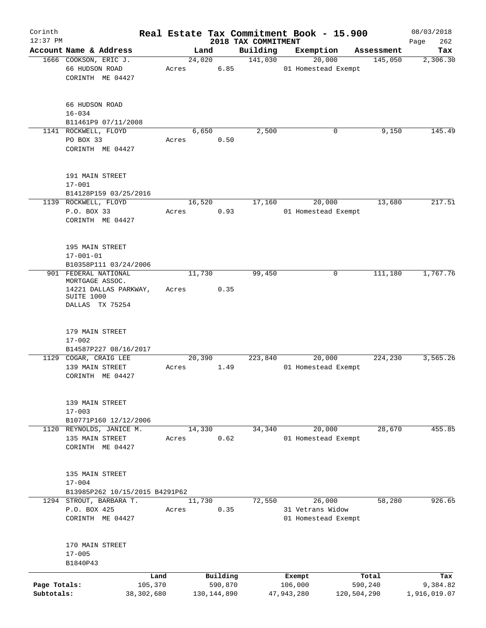| Corinth      |                                                                           |            |       |        |               |                                 | Real Estate Tax Commitment Book - 15.900 |                       | 08/03/2018      |
|--------------|---------------------------------------------------------------------------|------------|-------|--------|---------------|---------------------------------|------------------------------------------|-----------------------|-----------------|
| $12:37$ PM   | Account Name & Address                                                    |            |       | Land   |               | 2018 TAX COMMITMENT<br>Building | Exemption                                |                       | 262<br>Page     |
|              | 1666 COOKSON, ERIC J.<br>66 HUDSON ROAD                                   |            | Acres | 24,020 | 6.85          | 141,030                         | 20,000<br>01 Homestead Exempt            | Assessment<br>145,050 | Tax<br>2,306.30 |
|              | CORINTH ME 04427                                                          |            |       |        |               |                                 |                                          |                       |                 |
|              | 66 HUDSON ROAD<br>$16 - 034$                                              |            |       |        |               |                                 |                                          |                       |                 |
|              | B11461P9 07/11/2008                                                       |            |       |        |               |                                 |                                          |                       |                 |
|              | 1141 ROCKWELL, FLOYD<br>PO BOX 33<br>CORINTH ME 04427                     |            | Acres | 6,650  | 0.50          | 2,500                           | 0                                        | 9,150                 | 145.49          |
|              | 191 MAIN STREET<br>$17 - 001$                                             |            |       |        |               |                                 |                                          |                       |                 |
|              | B14128P159 03/25/2016<br>1139 ROCKWELL, FLOYD                             |            |       | 16,520 |               | 17,160                          | 20,000                                   | 13,680                | 217.51          |
|              | P.O. BOX 33<br>CORINTH ME 04427                                           |            | Acres |        | 0.93          |                                 | 01 Homestead Exempt                      |                       |                 |
|              | 195 MAIN STREET<br>$17 - 001 - 01$<br>B10358P111 03/24/2006               |            |       |        |               |                                 |                                          |                       |                 |
|              | 901 FEDERAL NATIONAL                                                      |            |       | 11,730 |               | 99,450                          | 0                                        | 111,180               | 1,767.76        |
|              | MORTGAGE ASSOC.<br>14221 DALLAS PARKWAY,<br>SUITE 1000<br>DALLAS TX 75254 |            | Acres |        | 0.35          |                                 |                                          |                       |                 |
|              | 179 MAIN STREET<br>$17 - 002$                                             |            |       |        |               |                                 |                                          |                       |                 |
|              | B14587P227 08/16/2017<br>1129 COGAR, CRAIG LEE                            |            |       | 20,390 |               | 223,840                         | 20,000                                   | 224,230               | 3,565.26        |
|              | 139 MAIN STREET<br>CORINTH ME 04427                                       |            | Acres |        | 1.49          |                                 | 01 Homestead Exempt                      |                       |                 |
|              | 139 MAIN STREET<br>$17 - 003$<br>B10771P160 12/12/2006                    |            |       |        |               |                                 |                                          |                       |                 |
|              | 1120 REYNOLDS, JANICE M.                                                  |            |       | 14,330 |               | 34,340                          | 20,000                                   | 28,670                | 455.85          |
|              | 135 MAIN STREET<br>CORINTH ME 04427                                       |            | Acres |        | 0.62          |                                 | 01 Homestead Exempt                      |                       |                 |
|              | 135 MAIN STREET<br>$17 - 004$<br>B13985P262 10/15/2015 B4291P62           |            |       |        |               |                                 |                                          |                       |                 |
|              | 1294 STROUT, BARBARA T.                                                   |            |       | 11,730 |               | 72,550                          | 26,000                                   | 58,280                | 926.65          |
|              | P.O. BOX 425<br>CORINTH ME 04427                                          |            | Acres |        | 0.35          |                                 | 31 Vetrans Widow<br>01 Homestead Exempt  |                       |                 |
|              | 170 MAIN STREET<br>$17 - 005$<br>B1840P43                                 |            |       |        |               |                                 |                                          |                       |                 |
|              |                                                                           | Land       |       |        | Building      |                                 | Exempt                                   | Total                 | Tax             |
| Page Totals: |                                                                           | 105,370    |       |        | 590,870       |                                 | 106,000                                  | 590,240               | 9,384.82        |
| Subtotals:   |                                                                           | 38,302,680 |       |        | 130, 144, 890 |                                 | 47,943,280                               | 120,504,290           | 1,916,019.07    |